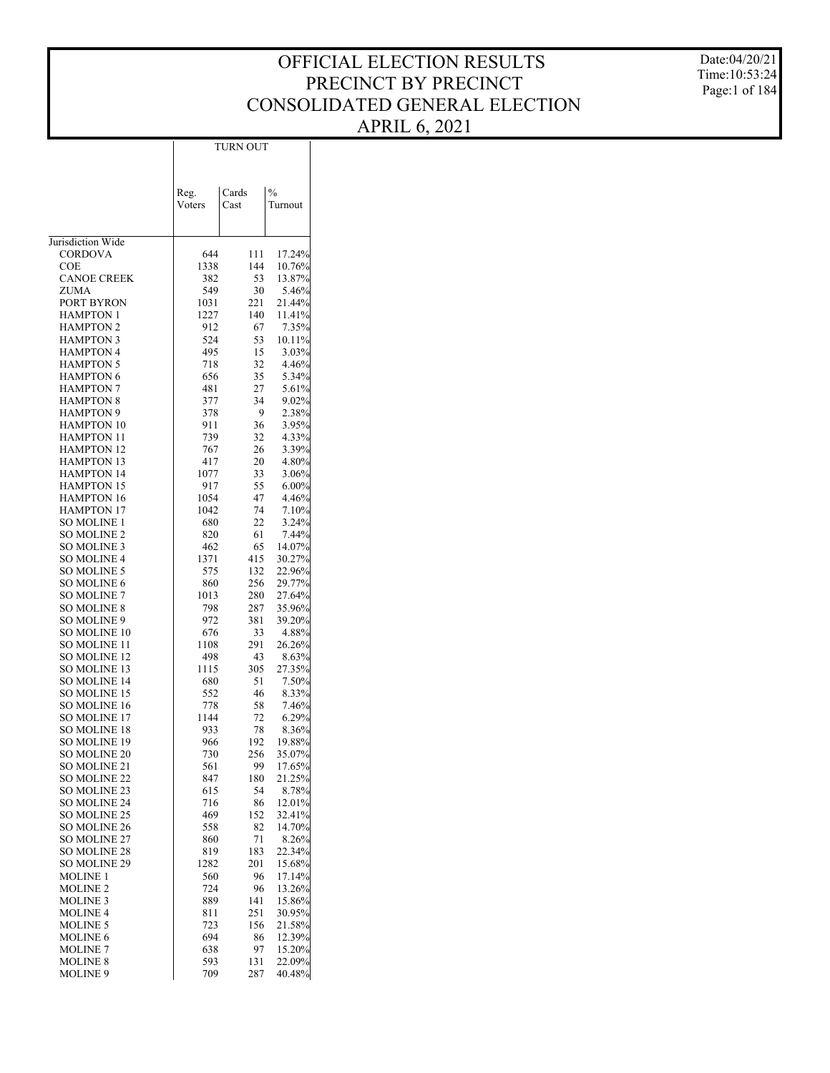Date:04/20/21 Time:10:53:24 Page:1 of 184

|                                          |              | TURN OUT   |                  |
|------------------------------------------|--------------|------------|------------------|
|                                          |              |            |                  |
|                                          |              |            |                  |
|                                          | Reg.         | Cards      | $\frac{0}{0}$    |
|                                          | Voters       | Cast       | Turnout          |
|                                          |              |            |                  |
|                                          |              |            |                  |
| Jurisdiction Wide                        |              |            |                  |
| CORDOVA                                  | 644          | 111        | 17.24%           |
| COE                                      | 1338         | 144        | 10.76%           |
| <b>CANOE CREEK</b>                       | 382          | 53         | 13.87%           |
| ZUMA                                     | 549          | 30         | 5.46%            |
| PORT BYRON<br>HAMPTON 1                  | 1031<br>1227 | 221<br>140 | 21.44%<br>11.41% |
| <b>HAMPTON 2</b>                         | 912          | 67         | 7.35%            |
| <b>HAMPTON 3</b>                         | 524          | 53         | 10.11%           |
| <b>HAMPTON 4</b>                         | 495          | 15         | 3.03%            |
| <b>HAMPTON 5</b>                         | 718          | 32         | 4.46%            |
| <b>HAMPTON 6</b>                         | 656          | 35         | 5.34%            |
| <b>HAMPTON 7</b>                         | 481          | 27         | 5.61%            |
| <b>HAMPTON 8</b>                         | 377          | 34         | 9.02%            |
| <b>HAMPTON 9</b>                         | 378          | 9          | 2.38%            |
| <b>HAMPTON 10</b>                        | 911          | 36         | 3.95%            |
| <b>HAMPTON 11</b>                        | 739          | 32         | 4.33%            |
| <b>HAMPTON 12</b><br><b>HAMPTON 13</b>   | 767<br>417   | 26<br>20   | 3.39%<br>4.80%   |
| <b>HAMPTON 14</b>                        | 1077         | 33         | 3.06%            |
| <b>HAMPTON 15</b>                        | 917          | 55         | 6.00%            |
| <b>HAMPTON 16</b>                        | 1054         | 47         | 4.46%            |
| <b>HAMPTON 17</b>                        | 1042         | 74         | 7.10%            |
| SO MOLINE 1                              | 680          | 22         | 3.24%            |
| <b>SO MOLINE 2</b>                       | 820          | 61         | 7.44%            |
| <b>SO MOLINE 3</b>                       | 462          | 65         | 14.07%           |
| <b>SO MOLINE 4</b>                       | 1371         | 415        | 30.27%           |
| <b>SO MOLINE 5</b>                       | 575          | 132        | 22.96%           |
| <b>SO MOLINE 6</b>                       | 860          | 256        | 29.77%           |
| <b>SO MOLINE 7</b><br><b>SO MOLINE 8</b> | 1013<br>798  | 280<br>287 | 27.64%<br>35.96% |
| SO MOLINE 9                              | 972          | 381        | 39.20%           |
| SO MOLINE 10                             | 676          | 33         | 4.88%            |
| SO MOLINE 11                             | 1108         | 291        | 26.26%           |
| <b>SO MOLINE 12</b>                      | 498          | 43         | 8.63%            |
| SO MOLINE 13                             | 1115         | 305        | 27.35%           |
| <b>SO MOLINE 14</b>                      | 680          | 51         | 7.50%            |
| SO MOLINE 15                             | 552          | 46         | 8.33%            |
| <b>SO MOLINE 16</b>                      | 778          | 58         | 7.46%            |
| SO MOLINE 17<br><b>SO MOLINE 18</b>      | 1144         | 72         | 6.29%            |
| <b>SO MOLINE 19</b>                      | 933<br>966   | 78<br>192  | 8.36%<br>19.88%  |
| SO MOLINE 20                             | 730          | 256        | 35.07%           |
| SO MOLINE 21                             | 561          | 99         | 17.65%           |
| SO MOLINE 22                             | 847          | 180        | 21.25%           |
| SO MOLINE 23                             | 615          | 54         | 8.78%            |
| <b>SO MOLINE 24</b>                      | 716          | 86         | 12.01%           |
| <b>SO MOLINE 25</b>                      | 469          | 152        | 32.41%           |
| <b>SO MOLINE 26</b>                      | 558          | 82         | 14.70%           |
| <b>SO MOLINE 27</b>                      | 860          | 71         | 8.26%            |
| <b>SO MOLINE 28</b>                      | 819          | 183        | 22.34%           |
| SO MOLINE 29                             | 1282         | 201        | 15.68%           |
| <b>MOLINE 1</b><br><b>MOLINE 2</b>       | 560<br>724   | 96<br>96   | 17.14%<br>13.26% |
| <b>MOLINE 3</b>                          | 889          | 141        | 15.86%           |
| <b>MOLINE 4</b>                          | 811          | 251        | 30.95%           |
| <b>MOLINE 5</b>                          | 723          | 156        | 21.58%           |
| <b>MOLINE 6</b>                          | 694          | 86         | 12.39%           |
| <b>MOLINE 7</b>                          | 638          | 97         | 15.20%           |
| <b>MOLINE 8</b>                          | 593          | 131        | 22.09%           |
| MOLINE 9                                 | 709          | 287        | 40.48%           |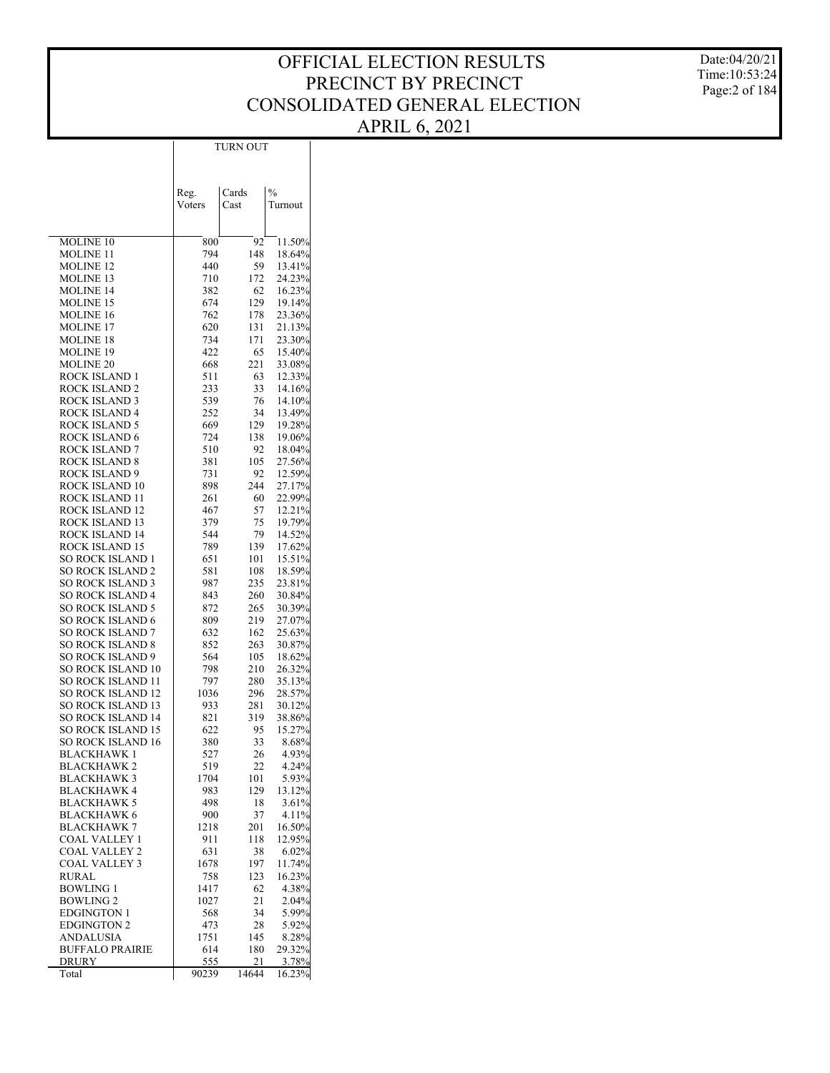Date:04/20/21 Time:10:53:24 Page:2 of 184

|                                                      | Reg.        | Cards      | $\frac{0}{0}$    |
|------------------------------------------------------|-------------|------------|------------------|
|                                                      | Voters      | Cast       | Turnout          |
|                                                      |             |            |                  |
| MOLINE 10                                            | 800         | 92         | 11.50%           |
| <b>MOLINE 11</b>                                     | 794         | 148        | 18.64%           |
| <b>MOLINE 12</b>                                     | 440         | 59         | 13.41%           |
| <b>MOLINE 13</b><br><b>MOLINE 14</b>                 | 710<br>382  | 172<br>62  | 24.23%<br>16.23% |
| <b>MOLINE 15</b>                                     | 674         | 129        | 19.14%           |
| <b>MOLINE 16</b>                                     | 762         | 178        | 23.36%           |
| <b>MOLINE 17</b>                                     | 620         | 131        | 21.13%           |
| <b>MOLINE 18</b>                                     | 734         | 171        | 23.30%           |
| <b>MOLINE 19</b><br><b>MOLINE 20</b>                 | 422<br>668  | 65<br>221  | 15.40%<br>33.08% |
| ROCK ISLAND 1                                        | 511         | 63         | 12.33%           |
| ROCK ISLAND 2                                        | 233         | 33         | 14.16%           |
| ROCK ISLAND 3                                        | 539         | 76         | 14.10%           |
| ROCK ISLAND 4                                        | 252         | 34         | 13.49%           |
| ROCK ISLAND 5                                        | 669         | 129        | 19.28%           |
| ROCK ISLAND 6<br>ROCK ISLAND 7                       | 724<br>510  | 138<br>92  | 19.06%<br>18.04% |
| ROCK ISLAND 8                                        | 381         | 105        | 27.56%           |
| ROCK ISLAND 9                                        | 731         | 92         | 12.59%           |
| ROCK ISLAND 10                                       | 898         | 244        | 27.17%           |
| ROCK ISLAND 11                                       | 261         | 60         | 22.99%           |
| ROCK ISLAND 12                                       | 467         | 57         | 12.21%           |
| ROCK ISLAND 13<br>ROCK ISLAND 14                     | 379         | 75<br>79   | 19.79%<br>14.52% |
| ROCK ISLAND 15                                       | 544<br>789  | 139        | 17.62%           |
| SO ROCK ISLAND 1                                     | 651         | 101        | 15.51%           |
| <b>SO ROCK ISLAND 2</b>                              | 581         | 108        | 18.59%           |
| <b>SO ROCK ISLAND 3</b>                              | 987         | 235        | 23.81%           |
| SO ROCK ISLAND 4                                     | 843         | 260        | 30.84%           |
| <b>SO ROCK ISLAND 5</b>                              | 872         | 265        | 30.39%           |
| <b>SO ROCK ISLAND 6</b><br><b>SO ROCK ISLAND 7</b>   | 809<br>632  | 219<br>162 | 27.07%<br>25.63% |
| <b>SO ROCK ISLAND 8</b>                              | 852         | 263        | 30.87%           |
| <b>SO ROCK ISLAND 9</b>                              | 564         | 105        | 18.62%           |
| <b>SO ROCK ISLAND 10</b>                             | 798         | 210        | 26.32%           |
| <b>SO ROCK ISLAND 11</b>                             | 797         | 280        | 35.13%           |
| <b>SO ROCK ISLAND 12</b><br><b>SO ROCK ISLAND 13</b> | 1036<br>933 | 296<br>281 | 28.57%           |
| <b>SO ROCK ISLAND 14</b>                             | 821         | 319        | 30.12%<br>38.86% |
| <b>SO ROCK ISLAND 15</b>                             | 622         | 95         | 15.27%           |
| <b>SO ROCK ISLAND 16</b>                             | 380         | 33         | 8.68%            |
| BLACKHAWK 1                                          | 527         | 26         | 4.93%            |
| BLACKHAWK 2                                          | 519         | 22         | $4.24\%$         |
| <b>BLACKHAWK 3</b><br>BLACKHAWK 4                    | 1704<br>983 | 101<br>129 | 5.93%<br>13.12%  |
| <b>BLACKHAWK 5</b>                                   | 498         | 18         | 3.61%            |
| <b>BLACKHAWK 6</b>                                   | 900         | 37         | 4.11%            |
| <b>BLACKHAWK 7</b>                                   | 1218        | 201        | 16.50%           |
| COAL VALLEY 1                                        | 911         | 118        | 12.95%           |
| <b>COAL VALLEY 2</b>                                 | 631         | 38         | 6.02%            |
| <b>COAL VALLEY 3</b><br>RURAL                        | 1678<br>758 | 197<br>123 | 11.74%<br>16.23% |
| <b>BOWLING 1</b>                                     | 1417        | 62         | 4.38%            |
| <b>BOWLING 2</b>                                     | 1027        | 21         | 2.04%            |
| <b>EDGINGTON 1</b>                                   | 568         | 34         | 5.99%            |
| <b>EDGINGTON 2</b>                                   | 473         | 28         | 5.92%            |
| ANDALUSIA                                            | 1751        | 145        | 8.28%            |
| <b>BUFFALO PRAIRIE</b><br>DRURY                      | 614<br>555  | 180<br>21  | 29.32%<br>3.78%  |
| Total                                                | 90239       | 14644      | 16.23%           |

TURN OUT

 $\overline{\phantom{a}}$ 

 $\overline{\phantom{a}}$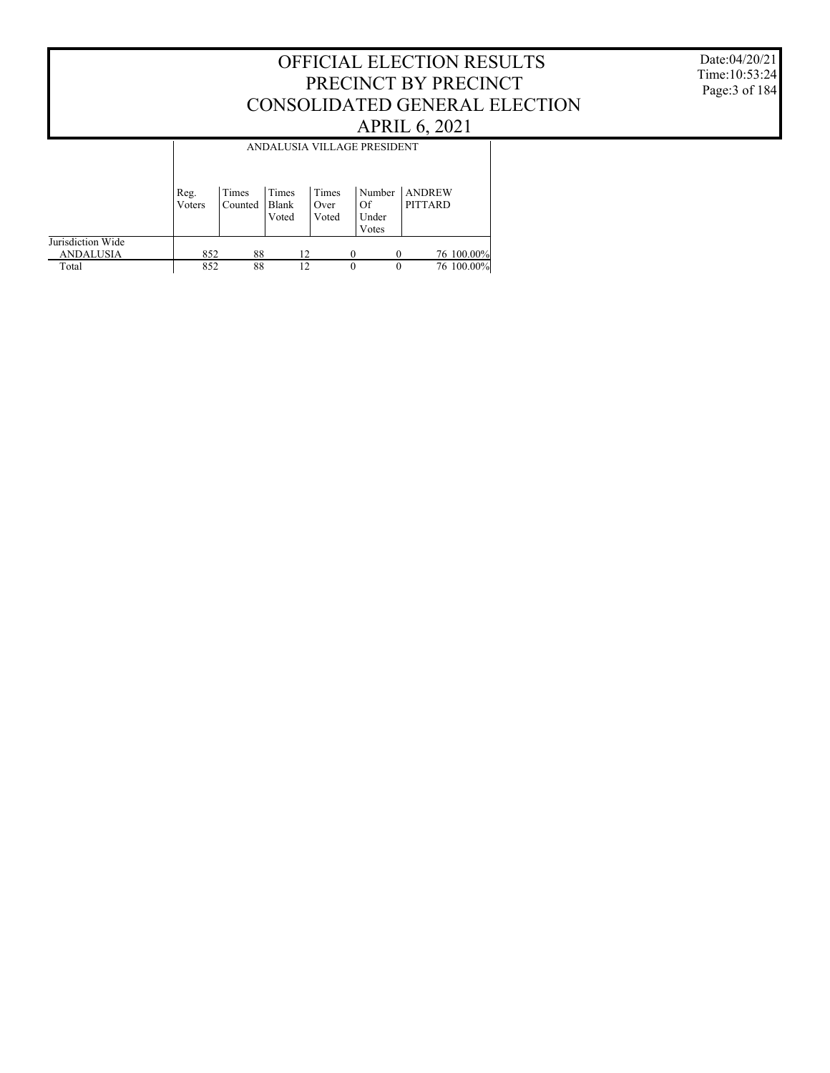Date:04/20/21 Time:10:53:24 Page:3 of 184

|                                       |                | ANDALUSIA VILLAGE PRESIDENT |                         |                        |                                |                                 |  |  |  |  |  |
|---------------------------------------|----------------|-----------------------------|-------------------------|------------------------|--------------------------------|---------------------------------|--|--|--|--|--|
|                                       | Reg.<br>Voters | Times<br>Counted            | Times<br>Blank<br>Voted | Times<br>Over<br>Voted | Number<br>Of<br>Under<br>Votes | <b>ANDREW</b><br><b>PITTARD</b> |  |  |  |  |  |
| Jurisdiction Wide<br><b>ANDALUSIA</b> | 852            | 88                          |                         | 12                     | $\Omega$                       | 76 100.00%                      |  |  |  |  |  |
| Total                                 | 852            | 88                          |                         | 12                     | $\theta$                       | 76 100.00%<br>$\Omega$          |  |  |  |  |  |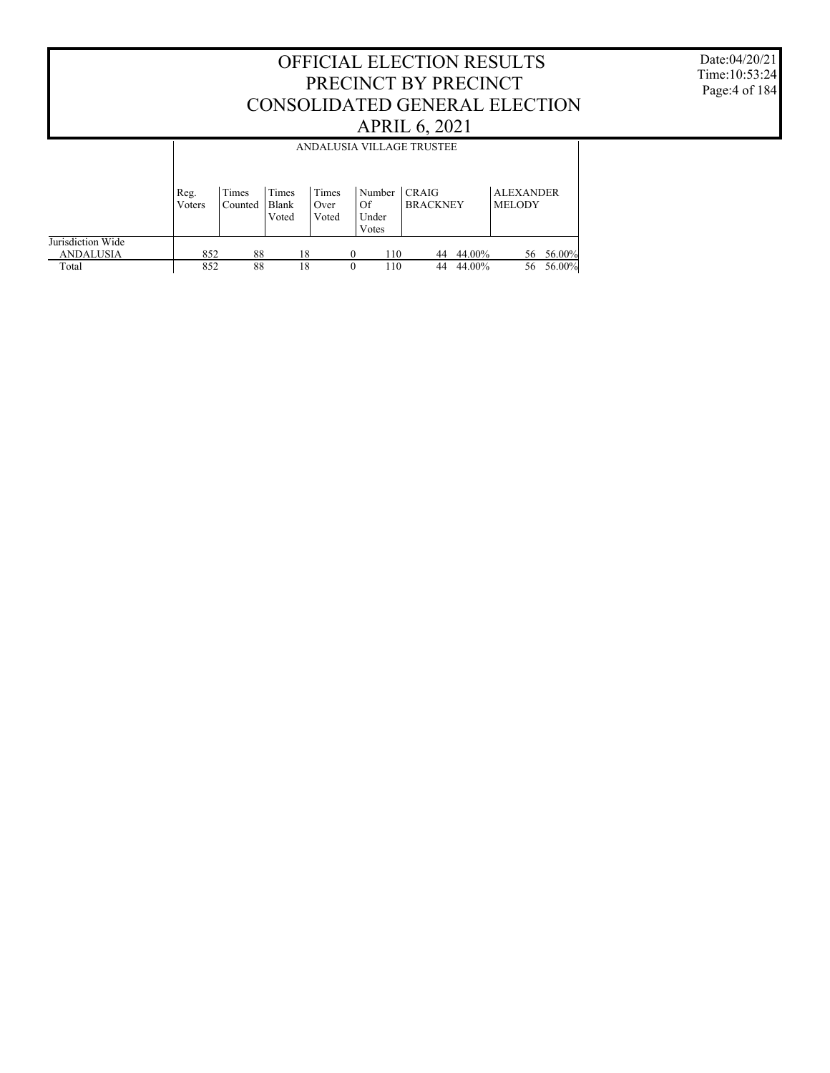Date:04/20/21 Time:10:53:24 Page:4 of 184

|                                       |        | ANDALUSIA VILLAGE TRUSTEE |                |               |                      |                 |        |                  |        |  |  |
|---------------------------------------|--------|---------------------------|----------------|---------------|----------------------|-----------------|--------|------------------|--------|--|--|
|                                       | Reg.   | Times                     | Times          | Times         | Number               | <b>CRAIG</b>    |        | <b>ALEXANDER</b> |        |  |  |
|                                       | Voters | Counted                   | Blank<br>Voted | Over<br>Voted | Of<br>Under<br>Votes | <b>BRACKNEY</b> |        | <b>MELODY</b>    |        |  |  |
| Jurisdiction Wide<br><b>ANDALUSIA</b> | 852    | 88                        | 18             |               | 110<br>0             | 44              | 44.00% | 56               | 56.00% |  |  |
| Total                                 | 852    | 88                        | 18             |               | 110<br>0             | 44              | 44.00% | 56               | 56.00% |  |  |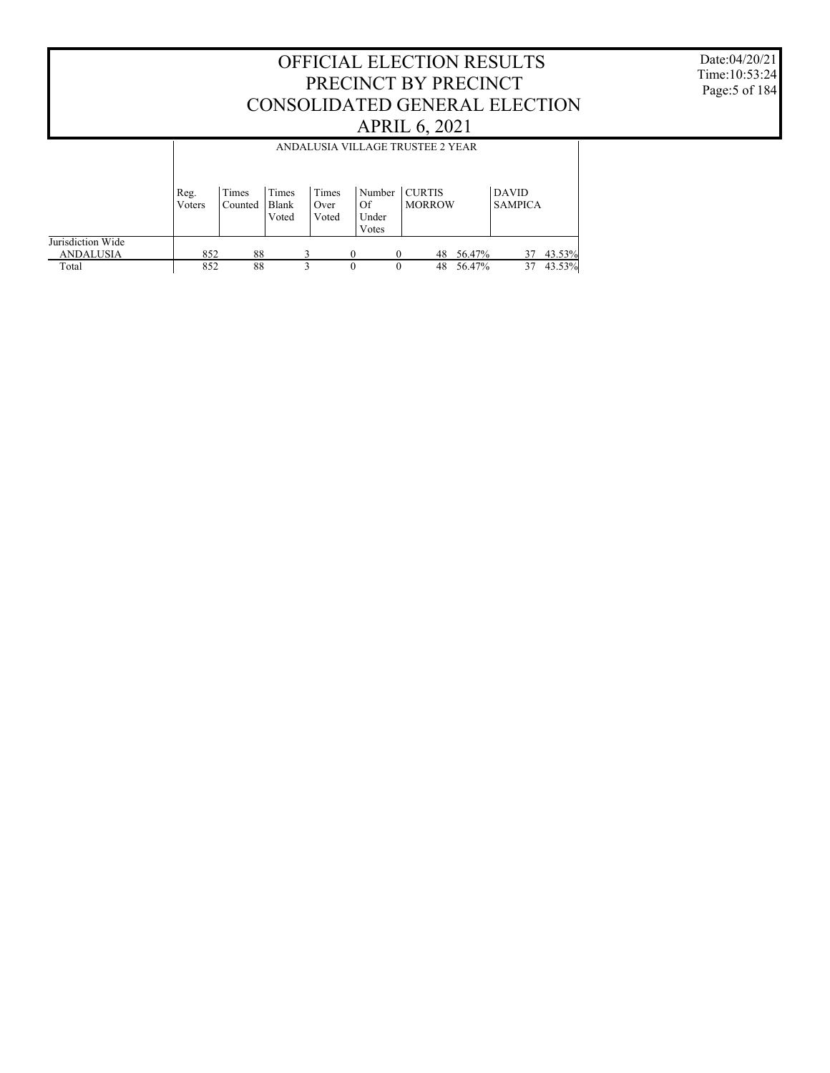#### OFFICIAL ELECTION RESULTS PRECINCT BY PRECINCT CONSOLIDATED GENERAL ELECTION APRIL 6, 2021 Jurisdiction Wide ANDALUSIA Total Reg. Voters Times Counted Times Blank Voted Times Over Voted Number CURTIS  $\overline{\text{of}}$ Under Votes MORROW DAVID SAMPICA ANDALUSIA VILLAGE TRUSTEE 2 YEAR  $\begin{array}{cccccccccccc} 852 & 88 & 3 & 0 & 0 & 48 & 56.47\% & 37 & 43.53\% \\ 852 & 88 & 3 & 0 & 0 & 48 & 56.47\% & 37 & 43.53\% \end{array}$ 48 56.47%

Date:04/20/21 Time:10:53:24 Page:5 of 184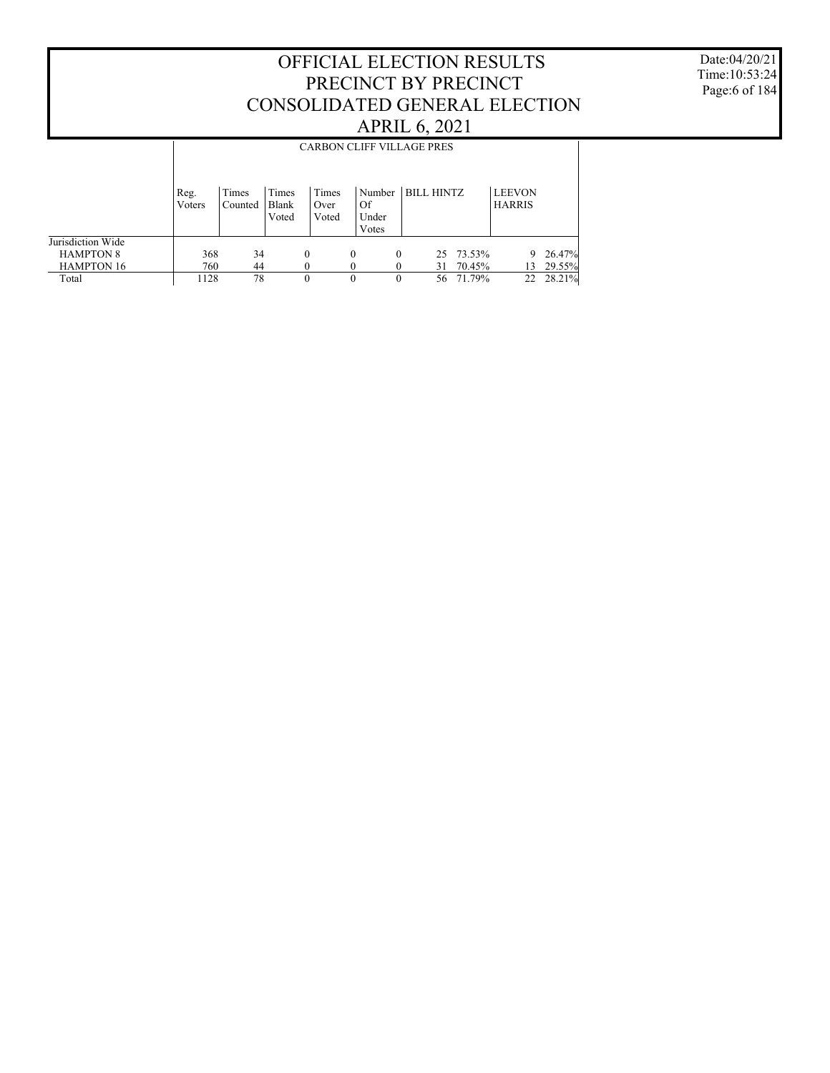Date:04/20/21 Time:10:53:24 Page:6 of 184

|                   |                | <b>CARBON CLIFF VILLAGE PRES</b> |                         |                        |                                |                   |        |                                |        |  |  |
|-------------------|----------------|----------------------------------|-------------------------|------------------------|--------------------------------|-------------------|--------|--------------------------------|--------|--|--|
|                   | Reg.<br>Voters | Times<br>Counted                 | Times<br>Blank<br>Voted | Times<br>Over<br>Voted | Number<br>Of<br>Under<br>Votes | <b>BILL HINTZ</b> |        | <b>LEEVON</b><br><b>HARRIS</b> |        |  |  |
| Jurisdiction Wide |                |                                  |                         |                        |                                |                   |        |                                |        |  |  |
| <b>HAMPTON 8</b>  | 368            | 34                               |                         | $\theta$               | $\Omega$                       | 0<br>25           | 73.53% | 9                              | 26.47% |  |  |
| <b>HAMPTON 16</b> | 760            | 44                               |                         |                        |                                | 31                | 70.45% | 13                             | 29.55% |  |  |
| Total             | 1128           | 78                               |                         | 0                      | $\Omega$                       | 56                | 71.79% | 22                             | 28.21% |  |  |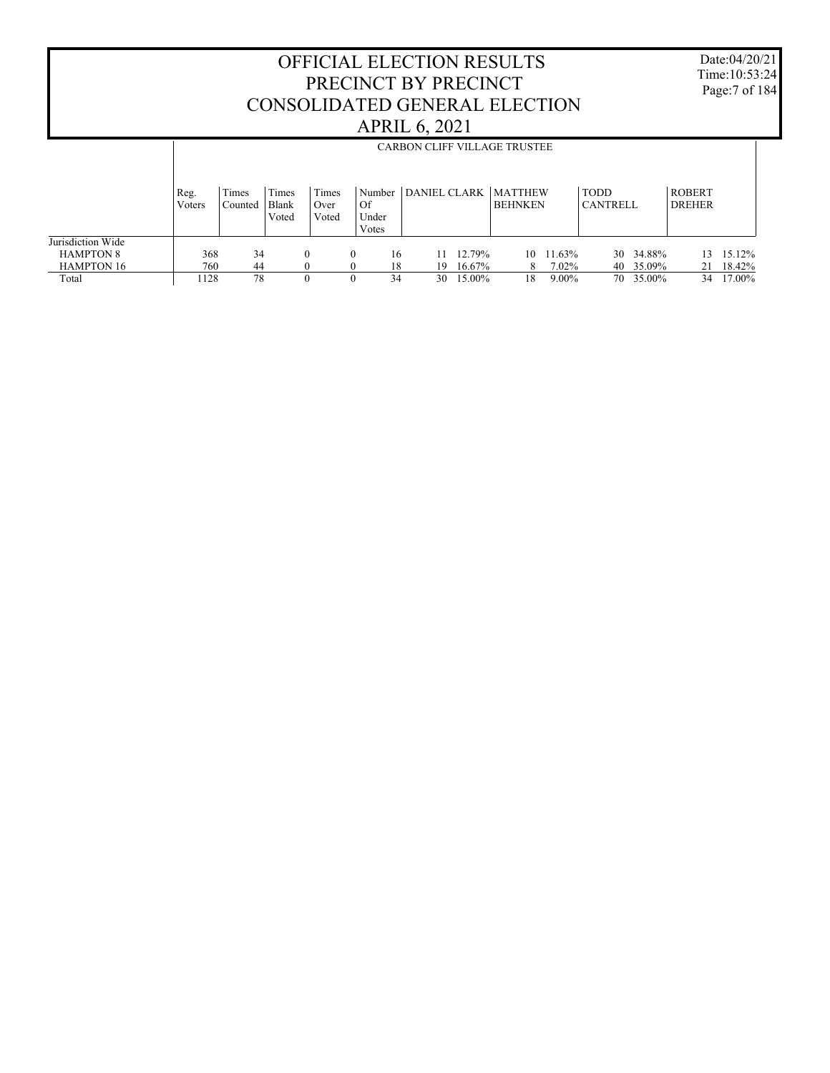Date:04/20/21 Time:10:53:24 Page:7 of 184

|                                       |                |                  |                         |                        |                                |                     |        | <b>CARBON CLIFF VILLAGE TRUSTEE</b> |                                |                                |        |
|---------------------------------------|----------------|------------------|-------------------------|------------------------|--------------------------------|---------------------|--------|-------------------------------------|--------------------------------|--------------------------------|--------|
|                                       |                |                  |                         |                        |                                |                     |        |                                     |                                |                                |        |
|                                       | Reg.<br>Voters | Times<br>Counted | Times<br>Blank<br>Voted | Times<br>Over<br>Voted | Number<br>Of<br>Under<br>Votes | <b>DANIEL CLARK</b> |        | <b>MATTHEW</b><br><b>BEHNKEN</b>    | <b>TODD</b><br><b>CANTRELL</b> | <b>ROBERT</b><br><b>DREHER</b> |        |
| Jurisdiction Wide<br><b>HAMPTON 8</b> | 368            | 34               |                         | 0                      | $\Omega$<br>16                 | 11                  | 12.79% | 1.63%<br>10                         | 34.88%<br>30                   | 13                             | 15.12% |
| <b>HAMPTON 16</b>                     | 760            | 44               |                         |                        | 18<br>$\Omega$                 | 19                  | 16.67% | 7.02%<br>8.                         | 40 35.09%                      | 21                             | 18.42% |
| Total                                 | 128            | 78               |                         |                        | 34<br>$\theta$                 | 30                  | 15.00% | $9.00\%$<br>18                      | 35.00%<br>70                   | 34                             | 17.00% |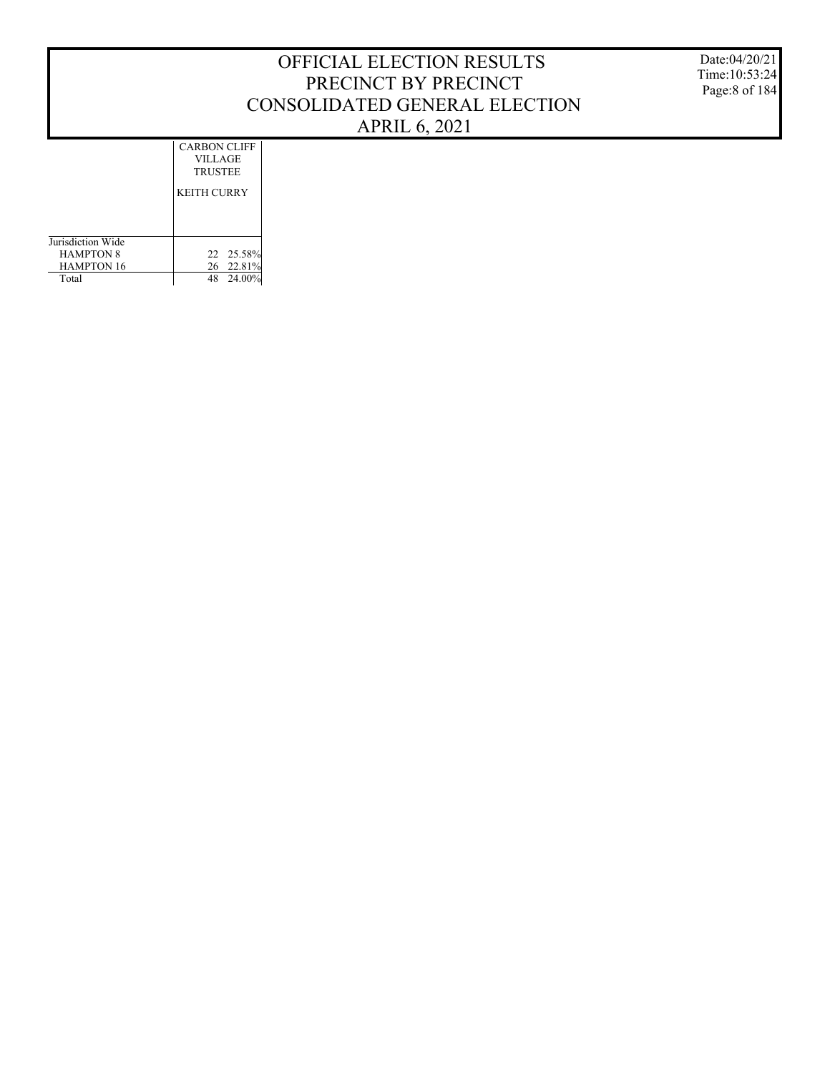Jurisdiction Wide KEITH CURRY CARBON CLIFF VILLAGE TRUSTEE

22 25.58% 26 22.81% 48 24.00%

 HAMPTON 8 HAMPTON 16 Total

Date:04/20/21 Time:10:53:24 Page:8 of 184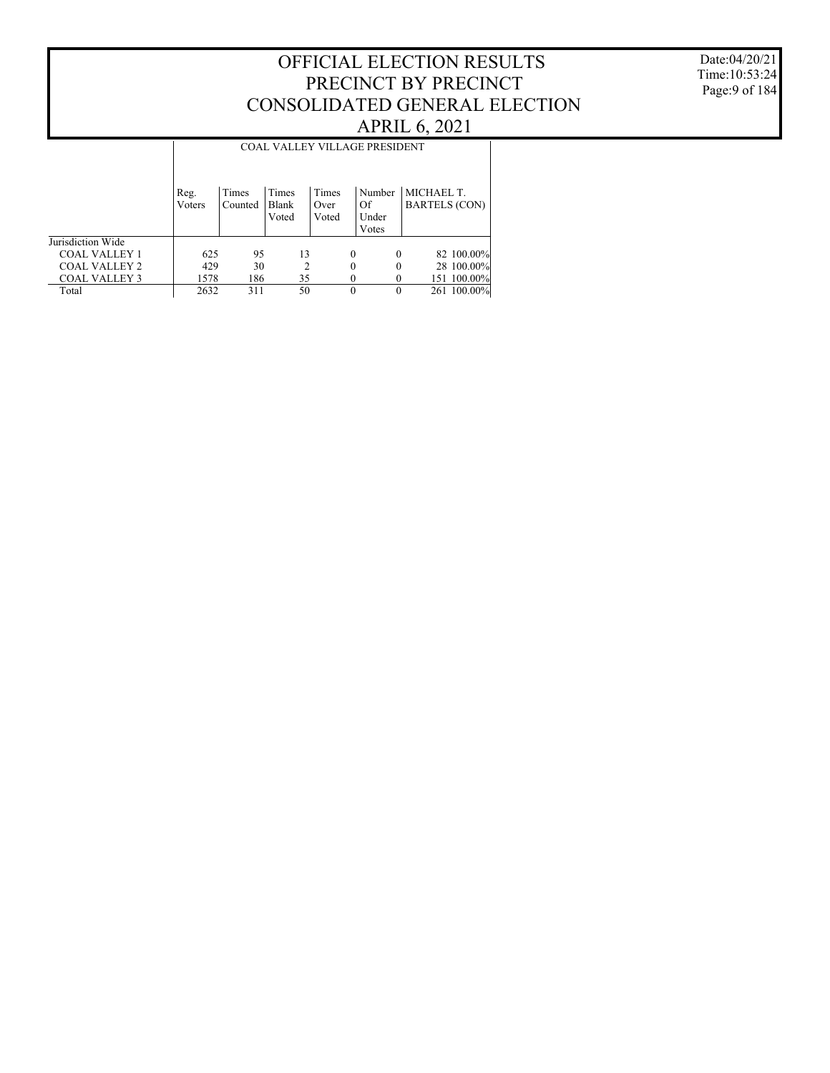Date:04/20/21 Time:10:53:24 Page:9 of 184

|                      |                |                  |                         |                        | <b>COAL VALLEY VILLAGE PRESIDENT</b> |                                    |
|----------------------|----------------|------------------|-------------------------|------------------------|--------------------------------------|------------------------------------|
|                      | Reg.<br>Voters | Times<br>Counted | Times<br>Blank<br>Voted | Times<br>Over<br>Voted | Number<br>Of<br>Under<br>Votes       | MICHAEL T.<br><b>BARTELS (CON)</b> |
| Jurisdiction Wide    |                |                  |                         |                        |                                      |                                    |
| <b>COAL VALLEY 1</b> | 625            | 95               | 13                      | $\Omega$               | $\theta$                             | 82 100.00%                         |
| <b>COAL VALLEY 2</b> | 429            | 30               | 2                       |                        | 0                                    | 28 100.00%                         |
| <b>COAL VALLEY 3</b> | 1578           | 186              | 35                      |                        |                                      | 151 100.00%                        |
| Total                | 2632           | 311              | 50                      |                        | $\theta$                             | 261 100.00%                        |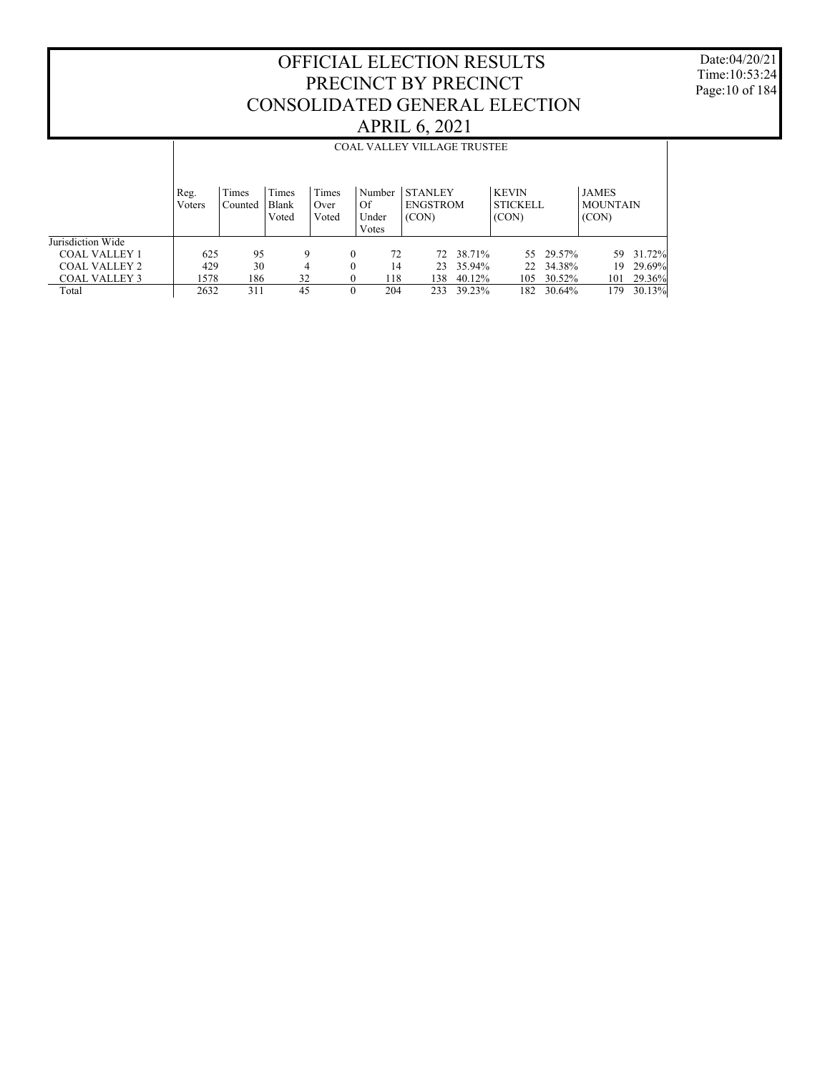Date:04/20/21 Time:10:53:24 Page:10 of 184

|                      |                | <b>COAL VALLEY VILLAGE TRUSTEE</b> |                         |                        |          |                          |                                            |        |                                          |           |                                          |        |
|----------------------|----------------|------------------------------------|-------------------------|------------------------|----------|--------------------------|--------------------------------------------|--------|------------------------------------------|-----------|------------------------------------------|--------|
|                      | Reg.<br>Voters | Times<br>Counted                   | Times<br>Blank<br>Voted | Times<br>Over<br>Voted | Of       | Number<br>Under<br>Votes | <b>STANLEY</b><br><b>ENGSTROM</b><br>(CON) |        | <b>KEVIN</b><br><b>STICKELL</b><br>(CON) |           | <b>JAMES</b><br><b>MOUNTAIN</b><br>(CON) |        |
| Jurisdiction Wide    |                |                                    |                         |                        |          |                          |                                            |        |                                          |           |                                          |        |
| <b>COAL VALLEY 1</b> | 625            | 95                                 | 9                       |                        | $\theta$ | 72                       | 72.                                        | 38.71% |                                          | 55 29.57% | 59.                                      | 31.72% |
| <b>COAL VALLEY 2</b> | 429            | 30                                 | 4                       |                        | $\theta$ | 14                       | 23                                         | 35.94% |                                          | 22 34.38% | 19                                       | 29.69% |
| <b>COAL VALLEY 3</b> | 1578           | 186                                | 32                      |                        | $\theta$ | 118                      | 138                                        | 40.12% | 105                                      | 30.52%    | 101                                      | 29.36% |
| Total                | 2632           | 311                                | 45                      |                        | $\Omega$ | 204                      | 233                                        | 39.23% | 182                                      | 30.64%    | 179                                      | 30.13% |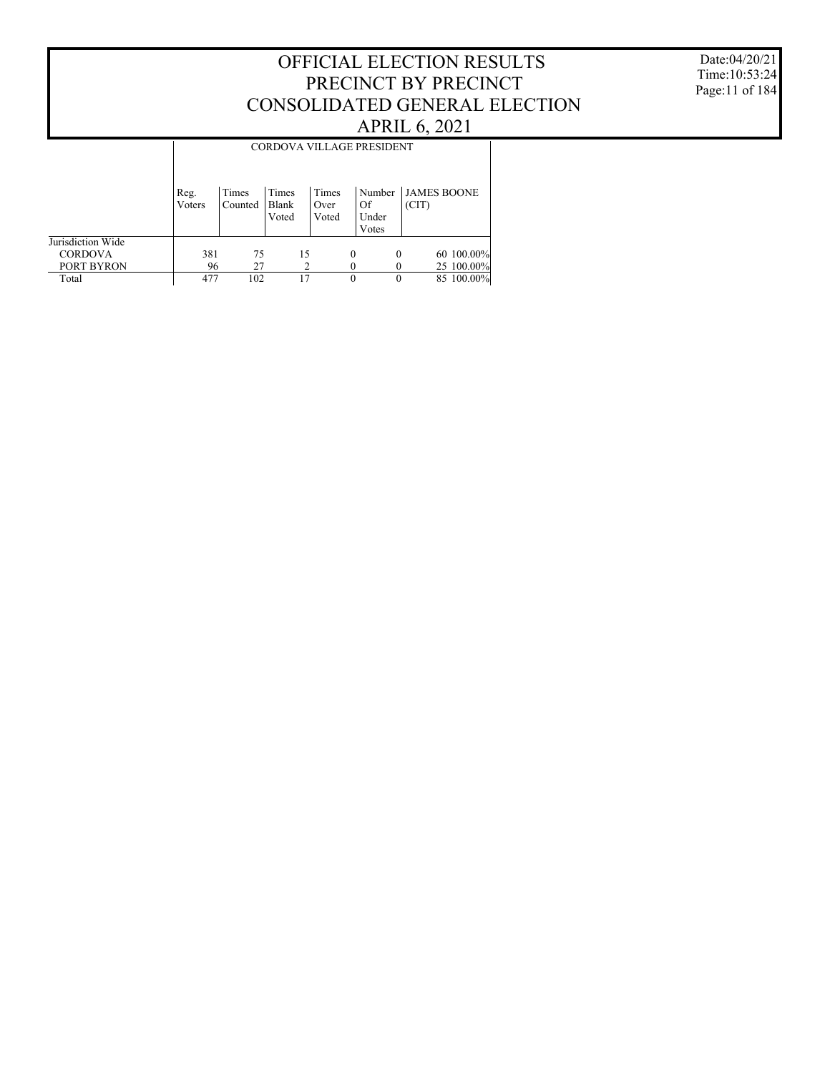Date:04/20/21 Time:10:53:24 Page:11 of 184

|                   | CORDOVA VILLAGE PRESIDENT |                  |                         |                        |                                |          |                    |  |  |
|-------------------|---------------------------|------------------|-------------------------|------------------------|--------------------------------|----------|--------------------|--|--|
|                   | Reg.<br>Voters            | Times<br>Counted | Times<br>Blank<br>Voted | Times<br>Over<br>Voted | Number<br>Of<br>Under<br>Votes | (CIT)    | <b>JAMES BOONE</b> |  |  |
| Jurisdiction Wide |                           |                  |                         |                        |                                |          |                    |  |  |
| <b>CORDOVA</b>    | 381                       | 75               | 15                      |                        | $\Omega$                       | $\Omega$ | 60 100.00%         |  |  |
| PORT BYRON        | 96                        | 27               |                         |                        |                                |          | 25 100.00%         |  |  |
| Total             | 477                       | 102              | 17                      |                        | $\theta$                       | 0        | 85 100.00%         |  |  |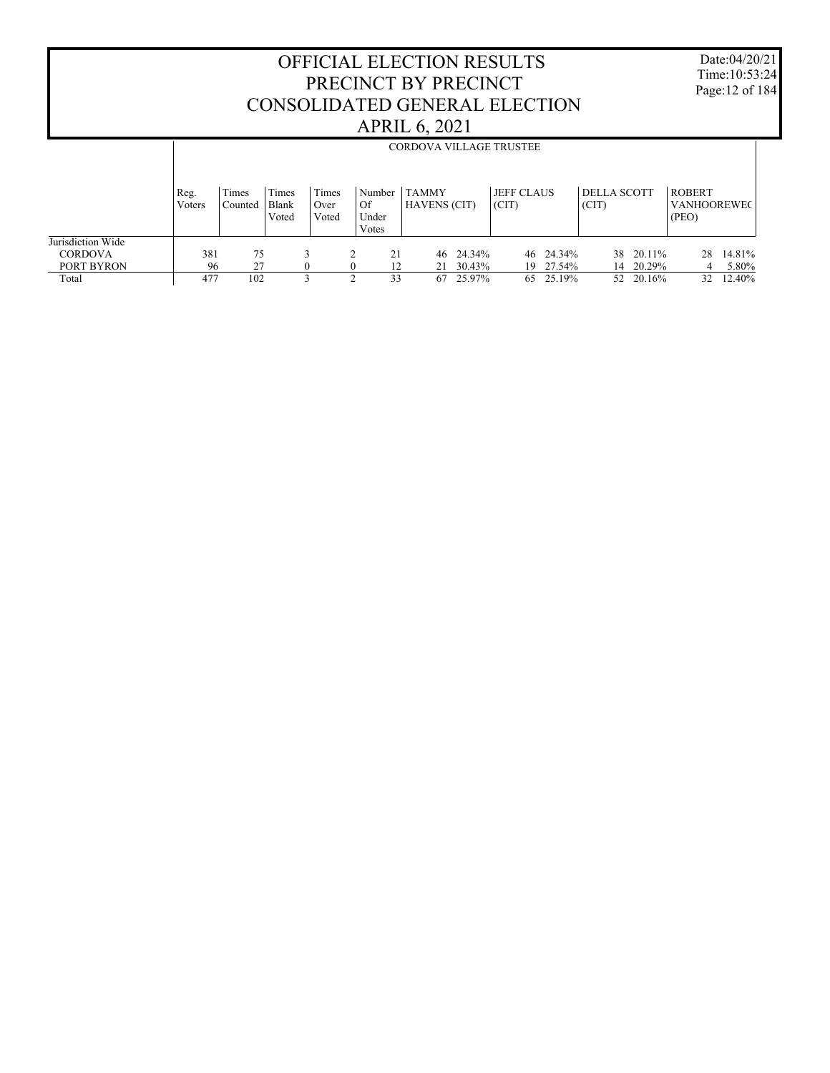Date:04/20/21 Time:10:53:24 Page:12 of 184

|                                     |                |                  |                         |                        |                                  |                                     |           | <b>CORDOVA VILLAGE TRUSTEE</b> |                             |                                              |
|-------------------------------------|----------------|------------------|-------------------------|------------------------|----------------------------------|-------------------------------------|-----------|--------------------------------|-----------------------------|----------------------------------------------|
|                                     | Reg.<br>Voters | Times<br>Counted | Times<br>Blank<br>Voted | Times<br>Over<br>Voted | Number  <br>Of<br>Under<br>Votes | <b>TAMMY</b><br><b>HAVENS (CIT)</b> |           | <b>JEFF CLAUS</b><br>(CIT)     | <b>DELLA SCOTT</b><br>(CIT) | <b>ROBERT</b><br><b>VANHOOREWEC</b><br>(PEO) |
| Jurisdiction Wide<br><b>CORDOVA</b> | 381            | 75               |                         |                        | 21                               |                                     | 46 24.34% | 46 24.34%                      | 20.11%<br>38                | 14.81%<br>28                                 |
| PORT BYRON                          | 96             | 27               |                         |                        | 12                               | 21                                  | 30.43%    | 27.54%<br>19                   | 20.29%<br>14                | 5.80%<br>4                                   |
| Total                               | 477            | 102              |                         |                        | 33                               | 67                                  | 25.97%    | 25.19%<br>65                   | 20.16%<br>52                | 12.40%<br>32                                 |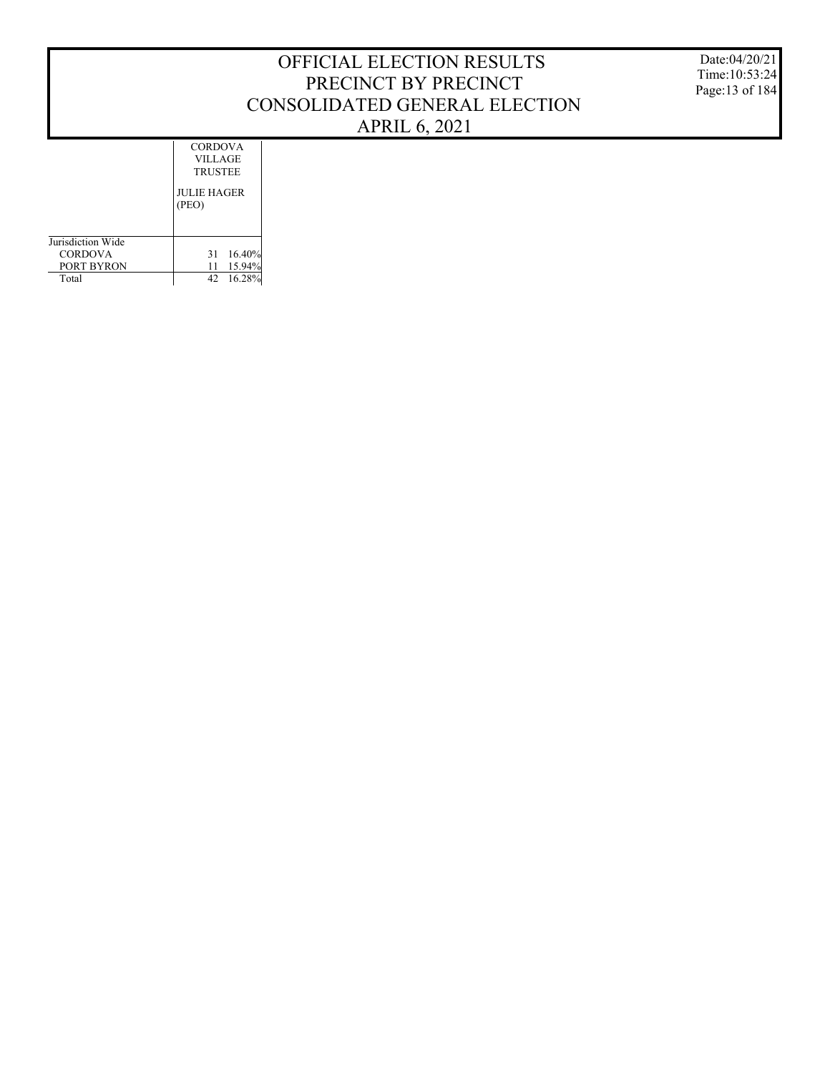Date:04/20/21 Time:10:53:24 Page:13 of 184

|                   | <b>CORDOVA</b><br>VILLAGE<br><b>TRUSTEE</b> |
|-------------------|---------------------------------------------|
|                   | <b>JULIE HAGER</b><br>(PEO)                 |
| Jurisdiction Wide |                                             |
| <b>CORDOVA</b>    | 16.40%<br>31                                |
| PORT BYRON        | 15.94%<br>11                                |
| Total             | 16.28%<br>42                                |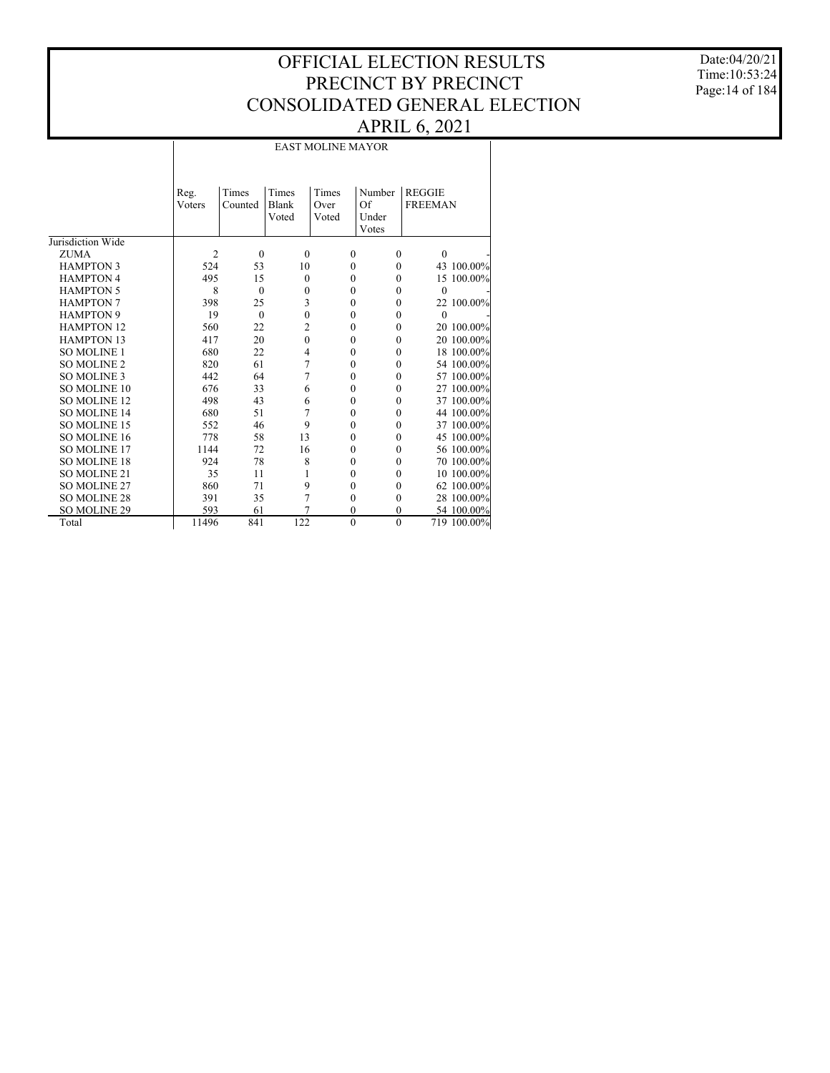Date:04/20/21 Time:10:53:24 Page:14 of 184

|                     |                |                  |                                | <b>EAST MOLINE MAYOR</b> |                                |                                 |
|---------------------|----------------|------------------|--------------------------------|--------------------------|--------------------------------|---------------------------------|
|                     | Reg.<br>Voters | Times<br>Counted | Times<br><b>Blank</b><br>Voted | Times<br>Over<br>Voted   | Number<br>Of<br>Under<br>Votes | <b>REGGIE</b><br><b>FREEMAN</b> |
| Jurisdiction Wide   |                |                  |                                |                          |                                |                                 |
| <b>ZUMA</b>         | $\overline{c}$ | $\mathbf{0}$     | $\mathbf{0}$                   | $\mathbf{0}$             | $\mathbf{0}$                   | $\mathbf{0}$                    |
| <b>HAMPTON 3</b>    | 524            | 53               | 10                             | $\theta$                 | $\theta$                       | 43 100.00%                      |
| <b>HAMPTON 4</b>    | 495            | 15               | $\theta$                       | $\theta$                 | $\theta$                       | 15 100.00%                      |
| <b>HAMPTON 5</b>    | 8              | $\theta$         | $\mathbf{0}$                   | $\theta$                 | $\theta$                       | $\theta$                        |
| <b>HAMPTON 7</b>    | 398            | 25               | 3                              | $\theta$                 | $\mathbf{0}$                   | 22 100.00%                      |
| <b>HAMPTON 9</b>    | 19             | $\Omega$         | $\mathbf{0}$                   | $\theta$                 | $\theta$                       | $\theta$                        |
| <b>HAMPTON 12</b>   | 560            | 22               | $\overline{c}$                 | $\theta$                 | $\theta$                       | 20 100.00%                      |
| <b>HAMPTON 13</b>   | 417            | 20               | $\mathbf{0}$                   | $\mathbf{0}$             | $\mathbf{0}$                   | 20 100.00%                      |
| <b>SO MOLINE 1</b>  | 680            | 22               | $\overline{4}$                 | $\theta$                 | $\theta$                       | 18 100.00%                      |
| <b>SO MOLINE 2</b>  | 820            | 61               | $\overline{7}$                 | $\theta$                 | $\theta$                       | 54 100.00%                      |
| <b>SO MOLINE 3</b>  | 442            | 64               | 7                              | 0                        | $\theta$                       | 57 100.00%                      |
| <b>SO MOLINE 10</b> | 676            | 33               | 6                              | $\mathbf{0}$             | $\theta$                       | 27 100.00%                      |
| <b>SO MOLINE 12</b> | 498            | 43               | 6                              | $\theta$                 | $\theta$                       | 37 100.00%                      |
| <b>SO MOLINE 14</b> | 680            | 51               | 7                              | $\mathbf{0}$             | $\theta$                       | 44 100.00%                      |
| <b>SO MOLINE 15</b> | 552            | 46               | 9                              | $\theta$                 | $\theta$                       | 37 100.00%                      |
| SO MOLINE 16        | 778            | 58               | 13                             | $\theta$                 | $\theta$                       | 45 100.00%                      |
| <b>SO MOLINE 17</b> | 1144           | 72               | 16                             | $\theta$                 | $\theta$                       | 56 100.00%                      |
| <b>SO MOLINE 18</b> | 924            | 78               | 8                              | $\mathbf{0}$             | $\mathbf{0}$                   | 70 100.00%                      |
| <b>SO MOLINE 21</b> | 35             | 11               | 1                              | 0                        | $\theta$                       | 10 100.00%                      |
| <b>SO MOLINE 27</b> | 860            | 71               | 9                              | $\theta$                 | $\theta$                       | 62 100.00%                      |
| <b>SO MOLINE 28</b> | 391            | 35               | 7                              | $\mathbf{0}$             | $\mathbf{0}$                   | 28 100.00%                      |
| SO MOLINE 29        | 593            | 61               | 7                              | $\theta$                 | $\theta$                       | 54 100.00%                      |
| Total               | 11496          | 841              | 122                            | $\mathbf{0}$             | $\mathbf{0}$                   | 719 100.00%                     |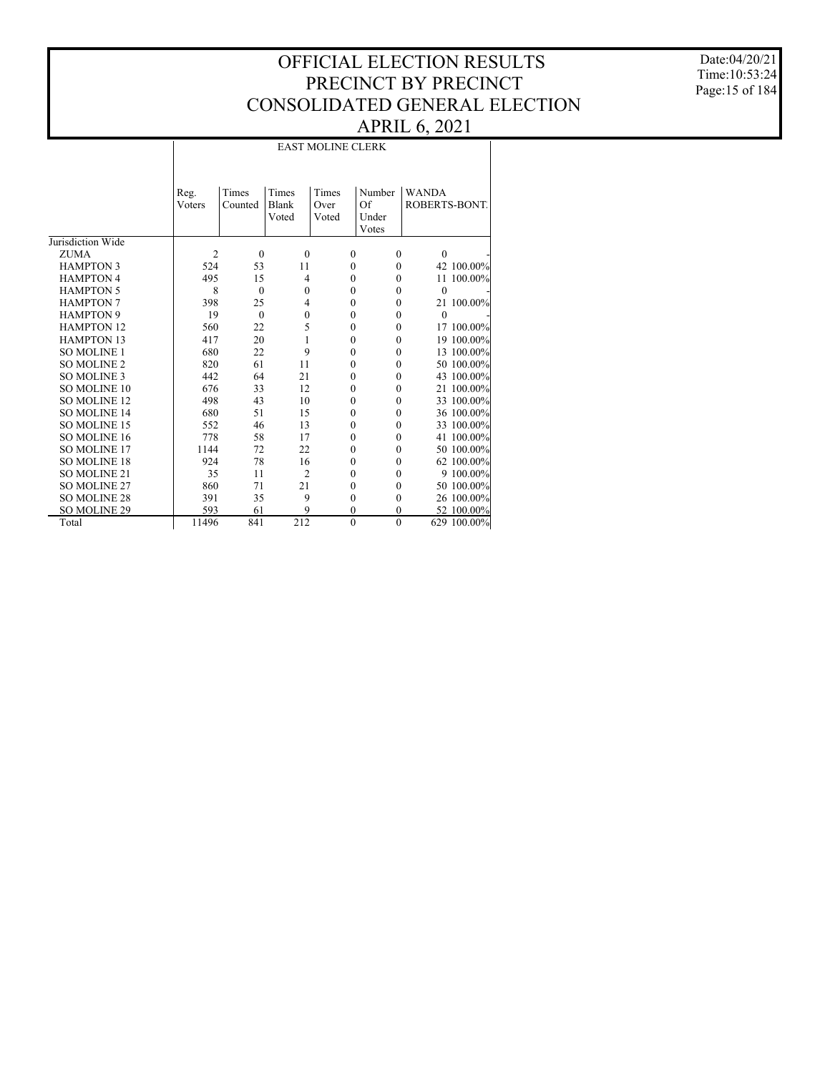Date:04/20/21 Time:10:53:24 Page:15 of 184

|                     |                        | <b>EAST MOLINE CLERK</b> |                         |                        |                                |                               |  |  |  |  |  |  |  |
|---------------------|------------------------|--------------------------|-------------------------|------------------------|--------------------------------|-------------------------------|--|--|--|--|--|--|--|
|                     | Reg.<br><b>V</b> oters | Times<br>Counted         | Times<br>Blank<br>Voted | Times<br>Over<br>Voted | Number<br>Of<br>Under<br>Votes | <b>WANDA</b><br>ROBERTS-BONT. |  |  |  |  |  |  |  |
| Jurisdiction Wide   |                        |                          |                         |                        |                                |                               |  |  |  |  |  |  |  |
| <b>ZUMA</b>         | $\overline{2}$         | $\mathbf{0}$             | $\mathbf{0}$            | $\mathbf{0}$           | $\mathbf{0}$                   | $\mathbf{0}$                  |  |  |  |  |  |  |  |
| <b>HAMPTON 3</b>    | 524                    | 53                       | 11                      | $\mathbf{0}$           | $\Omega$                       | 42 100.00%                    |  |  |  |  |  |  |  |
| <b>HAMPTON 4</b>    | 495                    | 15                       | 4                       | $\theta$               | $\theta$                       | 11 100.00%                    |  |  |  |  |  |  |  |
| <b>HAMPTON 5</b>    | 8                      | $\mathbf{0}$             | $\mathbf{0}$            | $\mathbf{0}$           | $\mathbf{0}$                   | $\theta$                      |  |  |  |  |  |  |  |
| <b>HAMPTON 7</b>    | 398                    | 25                       | $\overline{4}$          | $\theta$               | $\Omega$                       | 21 100.00%                    |  |  |  |  |  |  |  |
| <b>HAMPTON 9</b>    | 19                     | $\theta$                 | $\mathbf{0}$            | $\theta$               | 0                              | $\theta$                      |  |  |  |  |  |  |  |
| <b>HAMPTON 12</b>   | 560                    | 22                       | 5                       | $\mathbf{0}$           | $\mathbf{0}$                   | 17 100.00%                    |  |  |  |  |  |  |  |
| <b>HAMPTON 13</b>   | 417                    | 20                       | 1                       | $\mathbf{0}$           | 0                              | 19 100.00%                    |  |  |  |  |  |  |  |
| <b>SO MOLINE 1</b>  | 680                    | 22                       | 9                       | $\mathbf{0}$           | $\theta$                       | 13 100.00%                    |  |  |  |  |  |  |  |
| <b>SO MOLINE 2</b>  | 820                    | 61                       | 11                      | $\mathbf{0}$           | $\mathbf{0}$                   | 50 100.00%                    |  |  |  |  |  |  |  |
| <b>SO MOLINE 3</b>  | 442                    | 64                       | 21                      | $\mathbf{0}$           | $\theta$                       | 43 100.00%                    |  |  |  |  |  |  |  |
| <b>SO MOLINE 10</b> | 676                    | 33                       | 12                      | $\mathbf{0}$           | 0                              | 21 100.00%                    |  |  |  |  |  |  |  |
| <b>SO MOLINE 12</b> | 498                    | 43                       | 10                      | $\mathbf{0}$           | $\mathbf{0}$                   | 33 100.00%                    |  |  |  |  |  |  |  |
| <b>SO MOLINE 14</b> | 680                    | 51                       | 15                      | $\theta$               | $\theta$                       | 36 100.00%                    |  |  |  |  |  |  |  |
| <b>SO MOLINE 15</b> | 552                    | 46                       | 13                      | $\mathbf{0}$           | 0                              | 33 100.00%                    |  |  |  |  |  |  |  |
| <b>SO MOLINE 16</b> | 778                    | 58                       | 17                      | $\theta$               | $\Omega$                       | 41 100.00%                    |  |  |  |  |  |  |  |
| <b>SO MOLINE 17</b> | 1144                   | 72                       | 22                      | $\theta$               | $\theta$                       | 50 100.00%                    |  |  |  |  |  |  |  |
| <b>SO MOLINE 18</b> | 924                    | 78                       | 16                      | $\mathbf{0}$           | 0                              | 62 100.00%                    |  |  |  |  |  |  |  |
| <b>SO MOLINE 21</b> | 35                     | 11                       | $\overline{2}$          | $\theta$               | 0                              | 9 100.00%                     |  |  |  |  |  |  |  |
| SO MOLINE 27        | 860                    | 71                       | 21                      | $\mathbf{0}$           | $\theta$                       | 50 100.00%                    |  |  |  |  |  |  |  |
| <b>SO MOLINE 28</b> | 391                    | 35                       | 9                       | $\mathbf{0}$           | 0                              | 26 100.00%                    |  |  |  |  |  |  |  |
| SO MOLINE 29        | 593                    | 61                       | 9                       | $\theta$               | $\theta$                       | 52 100.00%                    |  |  |  |  |  |  |  |
| Total               | 11496                  | 841                      | 212                     | $\theta$               | $\theta$                       | 629 100.00%                   |  |  |  |  |  |  |  |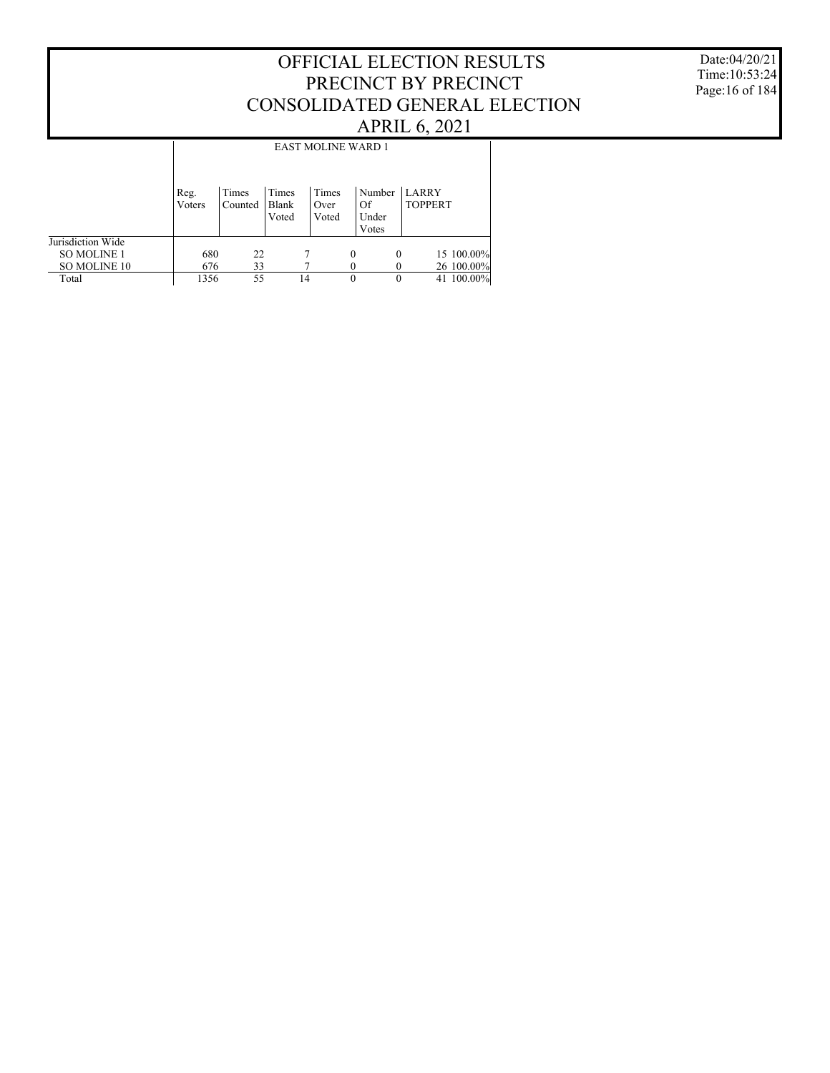#### Date:04/20/21 Time:10:53:24 Page:16 of 184

|                    | <b>EAST MOLINE WARD 1</b> |                  |                         |                        |          |                                |                                |            |  |  |  |  |
|--------------------|---------------------------|------------------|-------------------------|------------------------|----------|--------------------------------|--------------------------------|------------|--|--|--|--|
|                    | Reg.<br>Voters            | Times<br>Counted | Times<br>Blank<br>Voted | Times<br>Over<br>Voted |          | Number<br>Of<br>Under<br>Votes | <b>LARRY</b><br><b>TOPPERT</b> |            |  |  |  |  |
| Jurisdiction Wide  |                           |                  |                         |                        |          |                                |                                |            |  |  |  |  |
| <b>SO MOLINE 1</b> | 680                       | 22               |                         |                        | $\theta$ | $\theta$                       |                                | 15 100.00% |  |  |  |  |
| SO MOLINE 10       | 676                       | 33               |                         |                        |          |                                |                                | 26 100.00% |  |  |  |  |
| Total              | 1356                      | 55               |                         | 14                     | 0        | $\theta$                       |                                | 41 100.00% |  |  |  |  |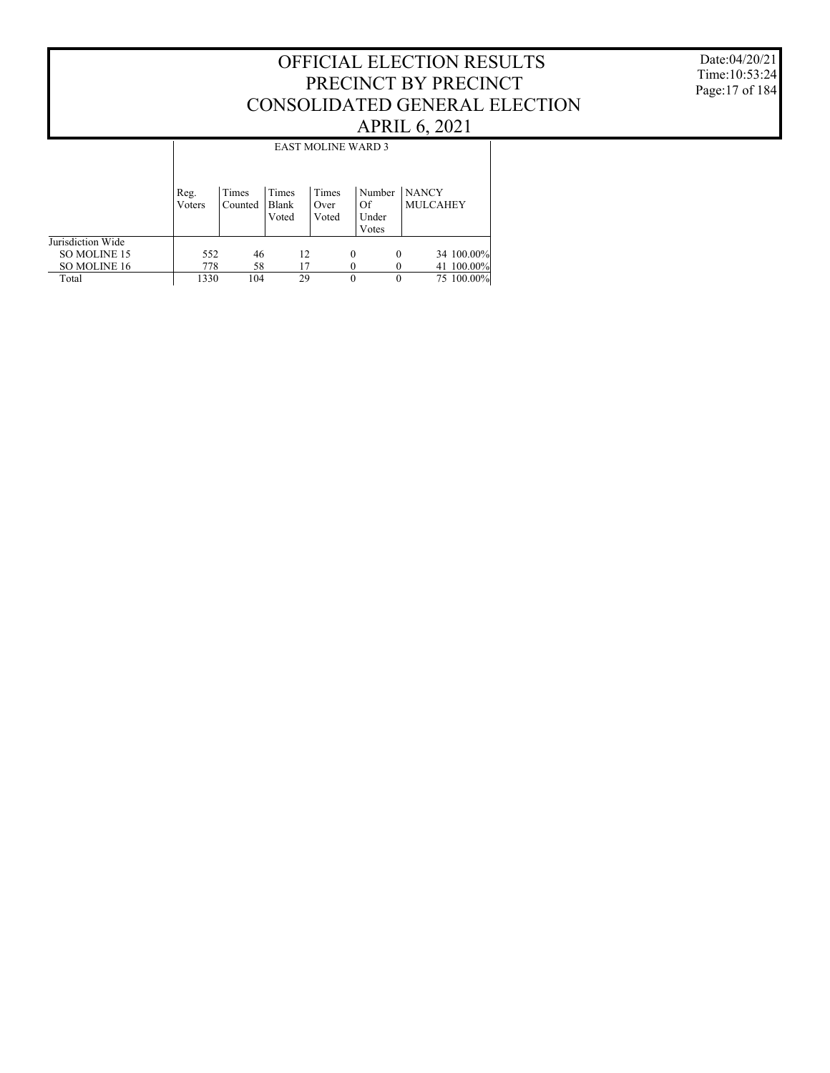#### Date:04/20/21 Time:10:53:24 Page:17 of 184

|                   | <b>EAST MOLINE WARD 3</b> |                  |                         |                        |          |                                |                                 |  |  |  |  |  |
|-------------------|---------------------------|------------------|-------------------------|------------------------|----------|--------------------------------|---------------------------------|--|--|--|--|--|
|                   | Reg.<br>Voters            | Times<br>Counted | Times<br>Blank<br>Voted | Times<br>Over<br>Voted |          | Number<br>Of<br>Under<br>Votes | <b>NANCY</b><br><b>MULCAHEY</b> |  |  |  |  |  |
| Jurisdiction Wide |                           |                  |                         |                        |          |                                |                                 |  |  |  |  |  |
| SO MOLINE 15      | 552                       | 46               |                         | 12                     | $\theta$ | $\theta$                       | 34 100.00%                      |  |  |  |  |  |
| SO MOLINE 16      | 778                       | 58               |                         | 17                     |          |                                | 41 100.00%                      |  |  |  |  |  |
| Total             | 1330                      | 104              |                         | 29                     | $\Omega$ | $\theta$                       | 75 100.00%                      |  |  |  |  |  |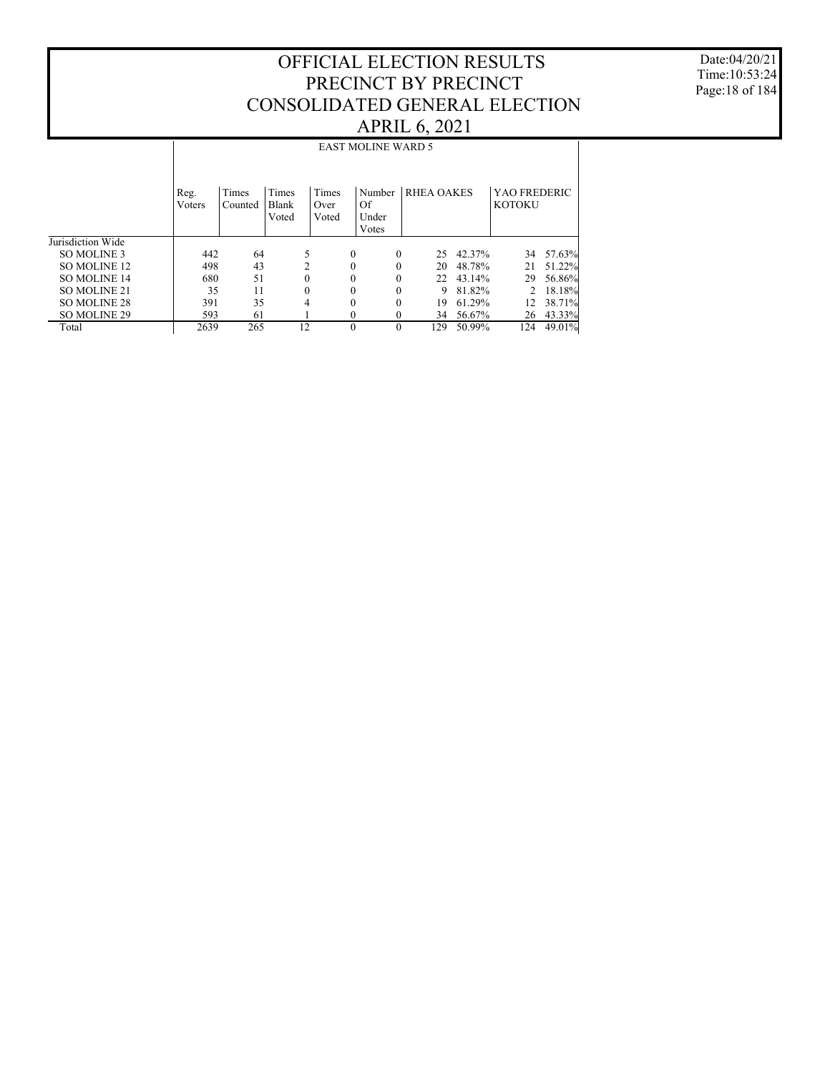Date:04/20/21 Time:10:53:24 Page:18 of 184

|                     |                |                  |                         |                        | <b>EAST MOLINE WARD 5</b>      |                   |        |                               |        |
|---------------------|----------------|------------------|-------------------------|------------------------|--------------------------------|-------------------|--------|-------------------------------|--------|
|                     | Reg.<br>Voters | Times<br>Counted | Times<br>Blank<br>Voted | Times<br>Over<br>Voted | Number<br>Of<br>Under<br>Votes | <b>RHEA OAKES</b> |        | YAO FREDERIC<br><b>KOTOKU</b> |        |
| Jurisdiction Wide   |                |                  |                         |                        |                                |                   |        |                               |        |
| SO MOLINE 3         | 442            | 64               | 5                       | $\Omega$               | $\theta$                       | 25                | 42.37% | 34                            | 57.63% |
| SO MOLINE 12        | 498            | 43               | $\overline{c}$          | $\theta$               | $\theta$                       | 20                | 48.78% | 21                            | 51.22% |
| <b>SO MOLINE 14</b> | 680            | 51               | $\mathbf{0}$            | 0                      | 0                              | 22                | 43.14% | 29                            | 56.86% |
| SO MOLINE 21        | 35             | 11               | $\theta$                | 0                      | $\theta$                       | 9                 | 81.82% | $\mathcal{D}$                 | 18.18% |
| SO MOLINE 28        | 391            | 35               | 4                       | 0                      | $\Omega$                       | 19                | 61.29% | 12                            | 38.71% |
| SO MOLINE 29        | 593            | 61               |                         | 0                      | $\Omega$                       | 34                | 56.67% | 26                            | 43.33% |
| Total               | 2639           | 265              | 12                      | $\Omega$               | $\Omega$                       | 129               | 50.99% | 124                           | 49.01% |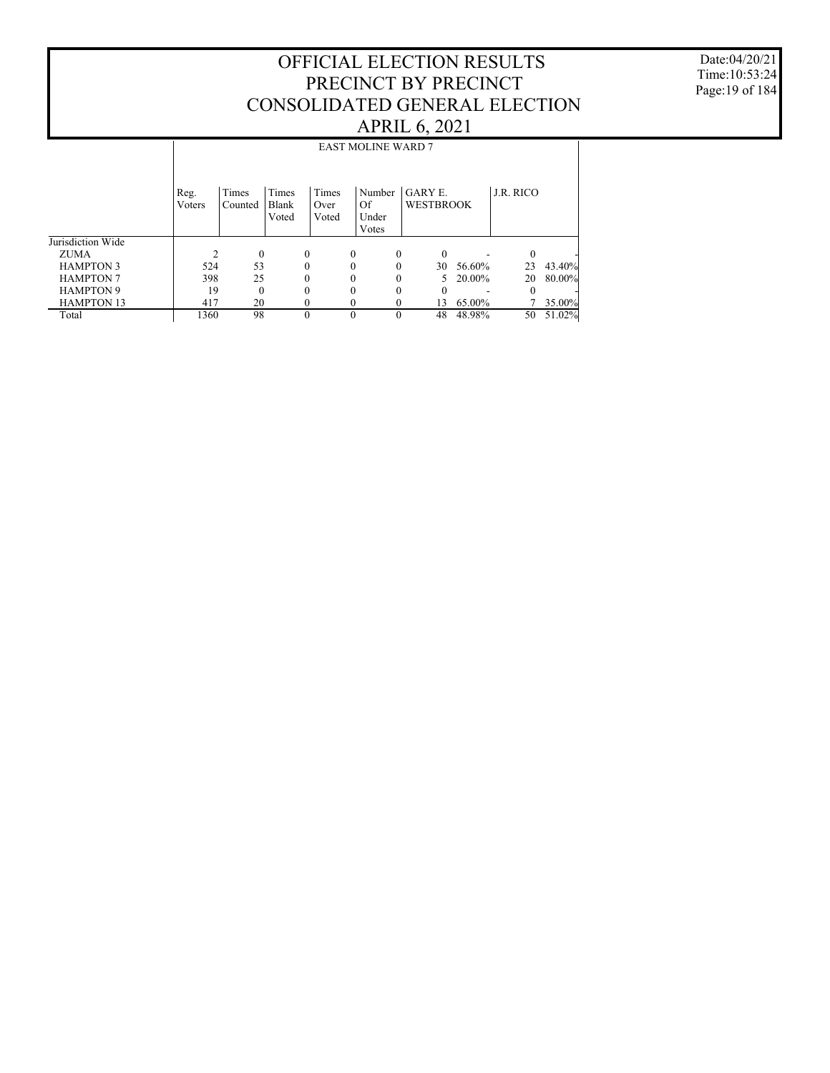Date:04/20/21 Time:10:53:24 Page:19 of 184

|                   |                |                  |                         |                        | <b>EAST MOLINE WARD 7</b>      |                                    |        |           |        |
|-------------------|----------------|------------------|-------------------------|------------------------|--------------------------------|------------------------------------|--------|-----------|--------|
|                   | Reg.<br>Voters | Times<br>Counted | Times<br>Blank<br>Voted | Times<br>Over<br>Voted | Number<br>Of<br>Under<br>Votes | <b>GARY E.</b><br><b>WESTBROOK</b> |        | J.R. RICO |        |
| Jurisdiction Wide |                |                  |                         |                        |                                |                                    |        |           |        |
| <b>ZUMA</b>       |                | $\mathbf{0}$     | $\mathbf{0}$            | $\Omega$               | $\theta$                       | $\theta$                           |        | $\Omega$  |        |
| <b>HAMPTON 3</b>  | 524            | 53               | $\theta$                |                        |                                | 30                                 | 56.60% | 23        | 43.40% |
| <b>HAMPTON 7</b>  | 398            | 25               | $\theta$                |                        |                                | 5                                  | 20.00% | 20        | 80.00% |
| <b>HAMPTON 9</b>  | 19             | $\theta$         | $\theta$                |                        |                                | 0                                  |        | $\Omega$  |        |
| <b>HAMPTON 13</b> | 417            | 20               | 0                       |                        |                                | 13                                 | 65.00% |           | 35.00% |
| Total             | 1360           | 98               | $\theta$                |                        |                                | 48                                 | 48.98% | 50        | 51.02% |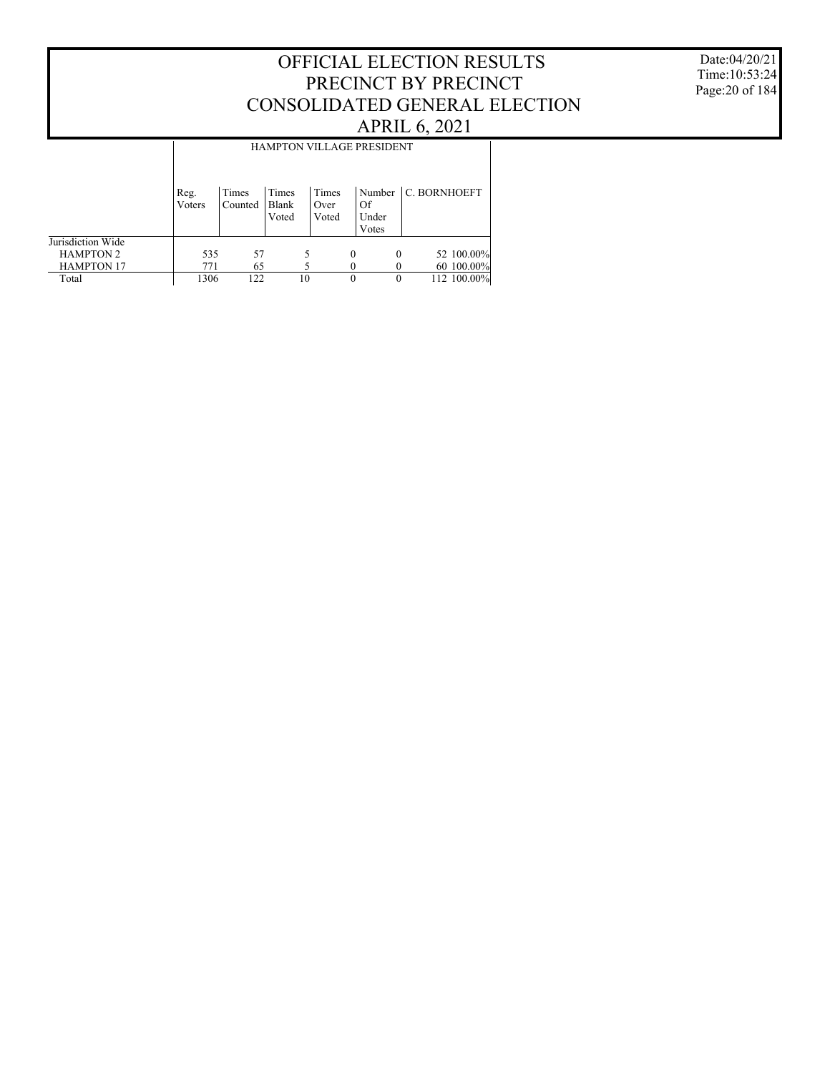Date:04/20/21 Time:10:53:24 Page:20 of 184

|                   | <b>HAMPTON VILLAGE PRESIDENT</b> |                  |                         |                        |   |                      |                       |  |  |  |  |  |
|-------------------|----------------------------------|------------------|-------------------------|------------------------|---|----------------------|-----------------------|--|--|--|--|--|
|                   | Reg.<br>Voters                   | Times<br>Counted | Times<br>Blank<br>Voted | Times<br>Over<br>Voted |   | Of<br>Under<br>Votes | Number   C. BORNHOEFT |  |  |  |  |  |
| Jurisdiction Wide |                                  |                  |                         |                        |   |                      |                       |  |  |  |  |  |
| <b>HAMPTON 2</b>  | 535                              | 57               |                         |                        | 0 | $\Omega$             | 52 100.00%            |  |  |  |  |  |
| <b>HAMPTON 17</b> | 771                              | 65               |                         |                        |   |                      | 60 100.00%            |  |  |  |  |  |
| Total             | 1306                             | 122              |                         | 10                     | 0 |                      | 112 100.00%           |  |  |  |  |  |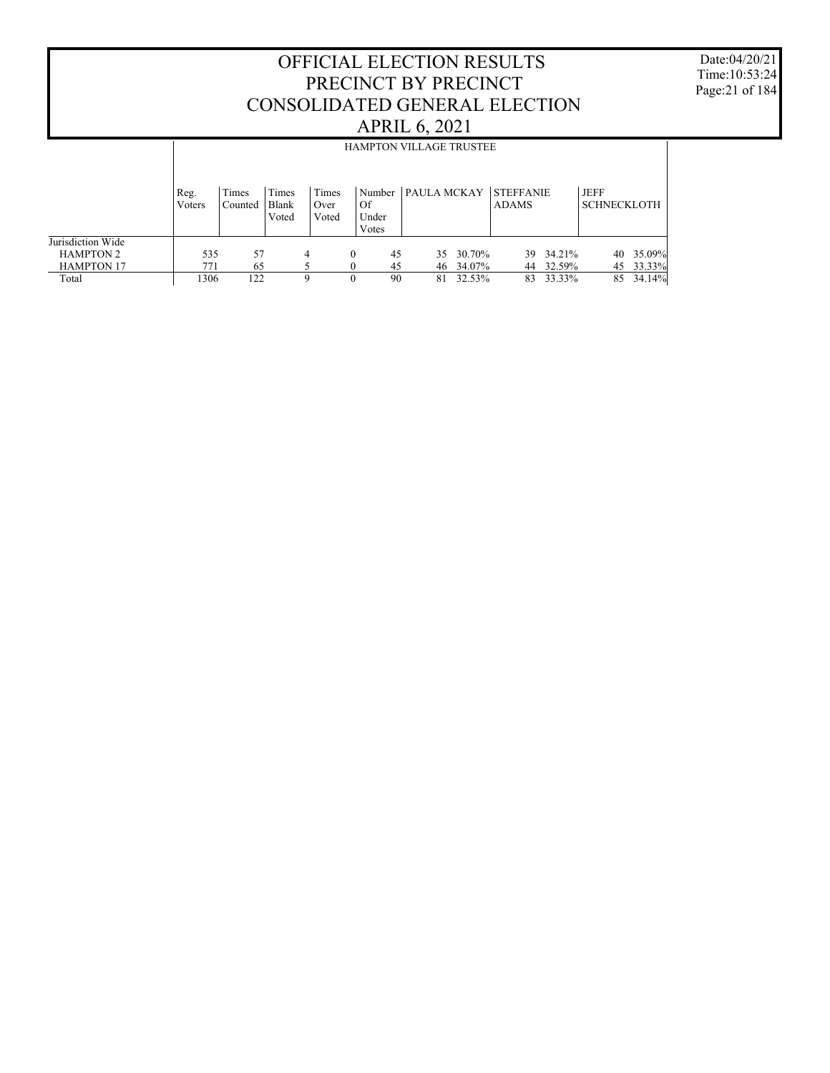Date:04/20/21 Time:10:53:24 Page:21 of 184

|                                       |                | <b>HAMPTON VILLAGE TRUSTEE</b> |                         |                        |    |                          |             |                  |                                  |                     |                            |                     |  |
|---------------------------------------|----------------|--------------------------------|-------------------------|------------------------|----|--------------------------|-------------|------------------|----------------------------------|---------------------|----------------------------|---------------------|--|
|                                       | Reg.<br>Voters | Times<br>Counted               | Times<br>Blank<br>Voted | Times<br>Over<br>Voted | Of | Number<br>Under<br>Votes | PAULA MCKAY |                  | <b>STEFFANIE</b><br><b>ADAMS</b> |                     | JEFF<br><b>SCHNECKLOTH</b> |                     |  |
| Jurisdiction Wide<br><b>HAMPTON 2</b> | 535            | 57                             |                         | 4                      | 0  | 45                       | 35          | 30.70%           |                                  | 39 34.21%           | 40                         | 35.09%              |  |
| <b>HAMPTON 17</b><br>Total            | 771<br>1306    | 65<br>122                      |                         | Q                      |    | 45<br>90                 | 46.<br>81   | 34.07%<br>32.53% | 83                               | 44 32.59%<br>33.33% | 85                         | 45 33.33%<br>34.14% |  |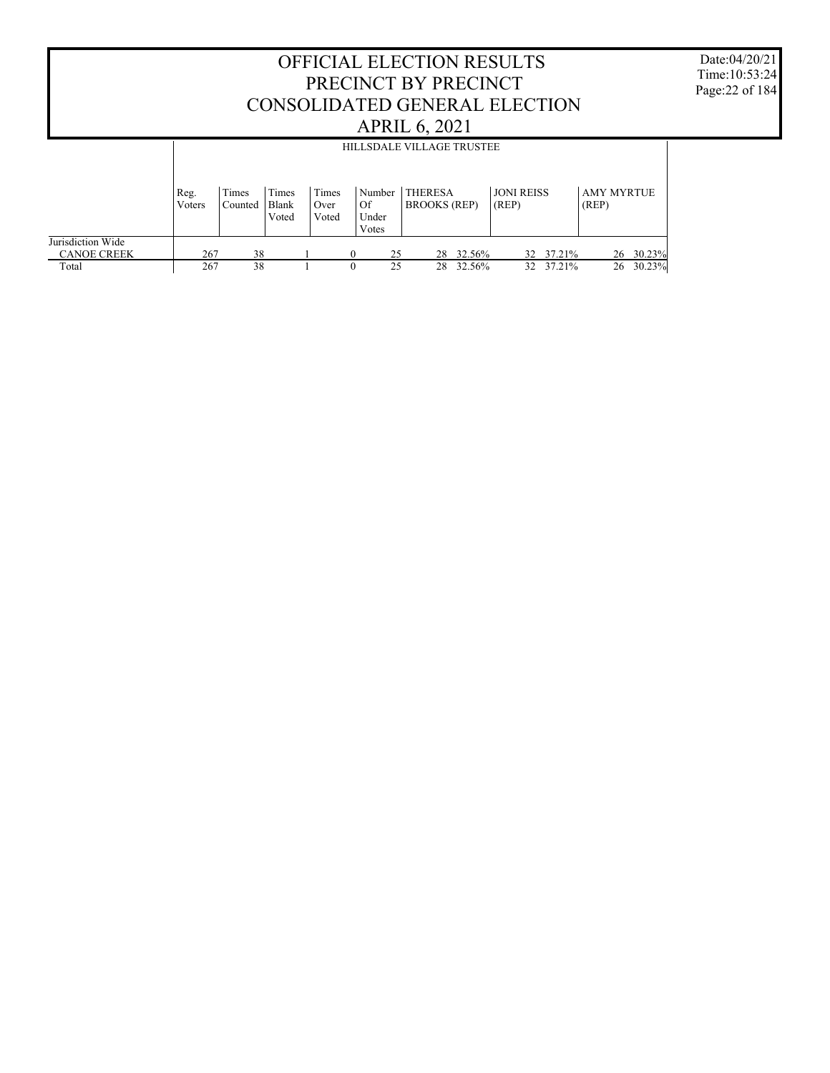#### OFFICIAL ELECTION RESULTS PRECINCT BY PRECINCT CONSOLIDATED GENERAL ELECTION APRIL 6, 2021 Jurisdiction Wide CANOE CREEK Total Reg. Voters Times Counted Times Blank Voted Times Over Voted Number THERESA Of Under Votes BROOKS (REP) JONI REISS (REP) AMY MYRTUE (REP) HILLSDALE VILLAGE TRUSTEE 267 38 1 0 25 28 32.56% 32 37.21% 26 30.23% 267 38 1 0 25 28 32.56% 32 37.21% 26 30.23%

Date:04/20/21 Time:10:53:24 Page:22 of 184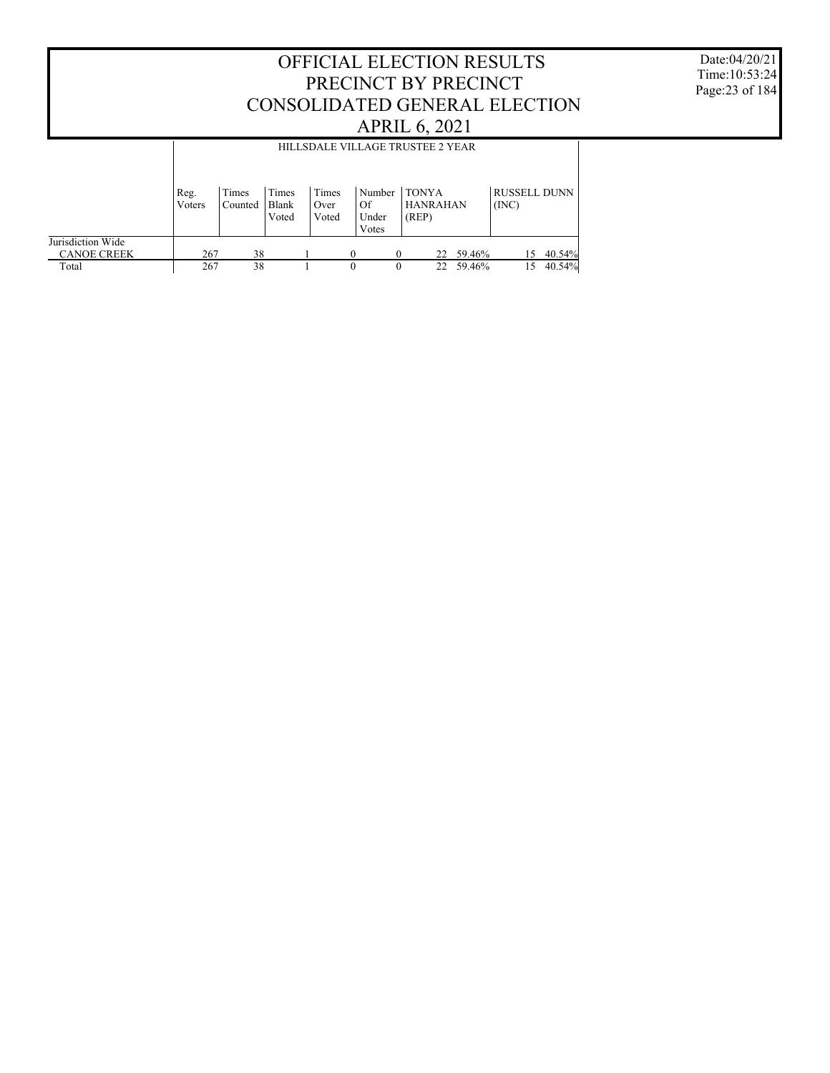Date:04/20/21 Time:10:53:24 Page:23 of 184

|                                         |                | HILLSDALE VILLAGE TRUSTEE 2 YEAR |                         |                        |                                |                                          |     |        |                              |        |  |  |  |
|-----------------------------------------|----------------|----------------------------------|-------------------------|------------------------|--------------------------------|------------------------------------------|-----|--------|------------------------------|--------|--|--|--|
|                                         | Reg.<br>Voters | Times<br>Counted                 | Times<br>Blank<br>Voted | Times<br>Over<br>Voted | Number<br>Of<br>Under<br>Votes | <b>TONYA</b><br><b>HANRAHAN</b><br>(REP) |     |        | <b>RUSSELL DUNN</b><br>(INC) |        |  |  |  |
| Jurisdiction Wide<br><b>CANOE CREEK</b> | 267            | 38                               |                         |                        |                                | $\Omega$                                 | 22  | 59.46% | 15                           | 40.54% |  |  |  |
| Total                                   | 267            | 38                               |                         |                        | 0                              |                                          | 22. | 59.46% | 15                           | 40.54% |  |  |  |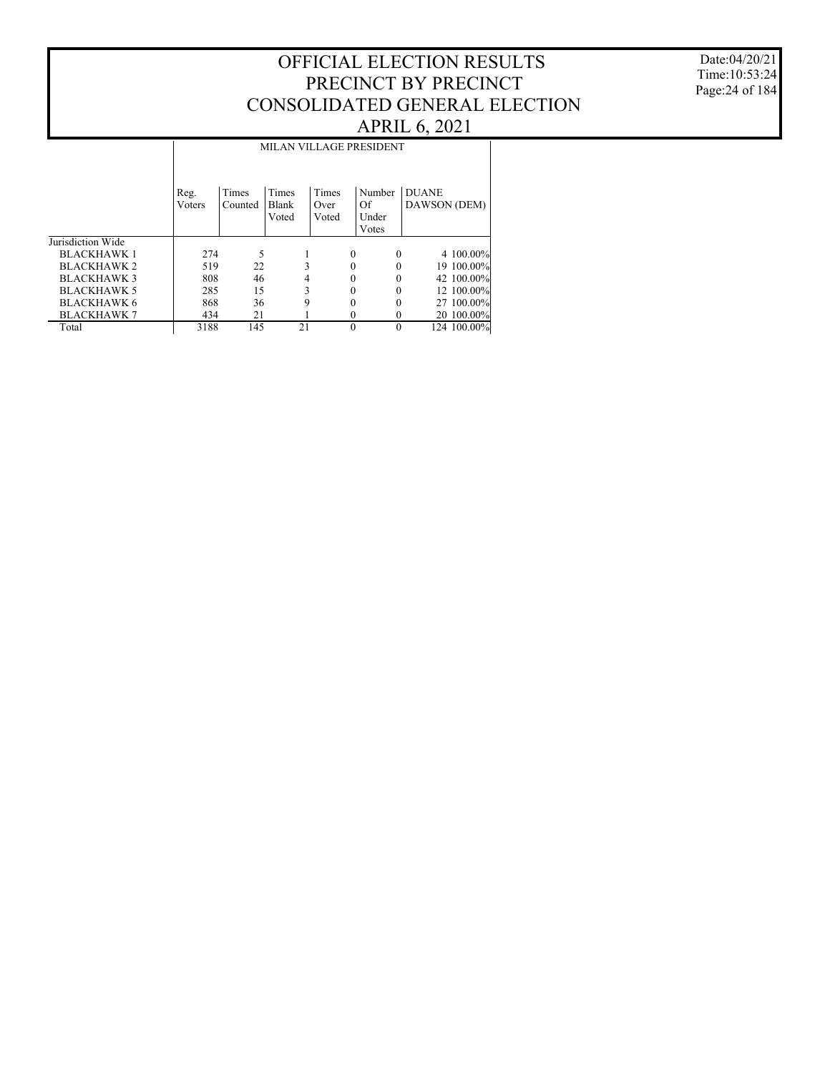Date:04/20/21 Time:10:53:24 Page:24 of 184

|                    |        | <b>MILAN VILLAGE PRESIDENT</b> |       |       |                      |              |  |  |  |  |  |  |  |
|--------------------|--------|--------------------------------|-------|-------|----------------------|--------------|--|--|--|--|--|--|--|
|                    |        |                                |       |       |                      |              |  |  |  |  |  |  |  |
|                    |        |                                |       |       |                      |              |  |  |  |  |  |  |  |
|                    | Reg.   | Times                          | Times | Times | Number               | <b>DUANE</b> |  |  |  |  |  |  |  |
|                    | Voters | Counted                        | Blank | Over  | <b>Of</b>            | DAWSON (DEM) |  |  |  |  |  |  |  |
|                    |        |                                | Voted | Voted | Under                |              |  |  |  |  |  |  |  |
|                    |        |                                |       |       | Votes                |              |  |  |  |  |  |  |  |
| Jurisdiction Wide  |        |                                |       |       |                      |              |  |  |  |  |  |  |  |
| <b>BLACKHAWK 1</b> | 274    | 5                              |       |       | $\Omega$<br>$\theta$ | 4 100.00%    |  |  |  |  |  |  |  |
| <b>BLACKHAWK 2</b> | 519    | 22                             | 3     |       |                      | 19 100.00%   |  |  |  |  |  |  |  |
| <b>BLACKHAWK 3</b> | 808    | 46                             | 4     |       |                      | 42 100.00%   |  |  |  |  |  |  |  |
| <b>BLACKHAWK 5</b> | 285    | 15                             | 3     |       | 0                    | 12 100.00%   |  |  |  |  |  |  |  |
| <b>BLACKHAWK 6</b> | 868    | 36                             | 9     |       |                      | 27 100.00%   |  |  |  |  |  |  |  |
| <b>BLACKHAWK 7</b> | 434    | 21                             |       |       | $_{0}$               | 20 100.00%   |  |  |  |  |  |  |  |
| Total              | 3188   | 145                            | 21    |       |                      | 124 100.00%  |  |  |  |  |  |  |  |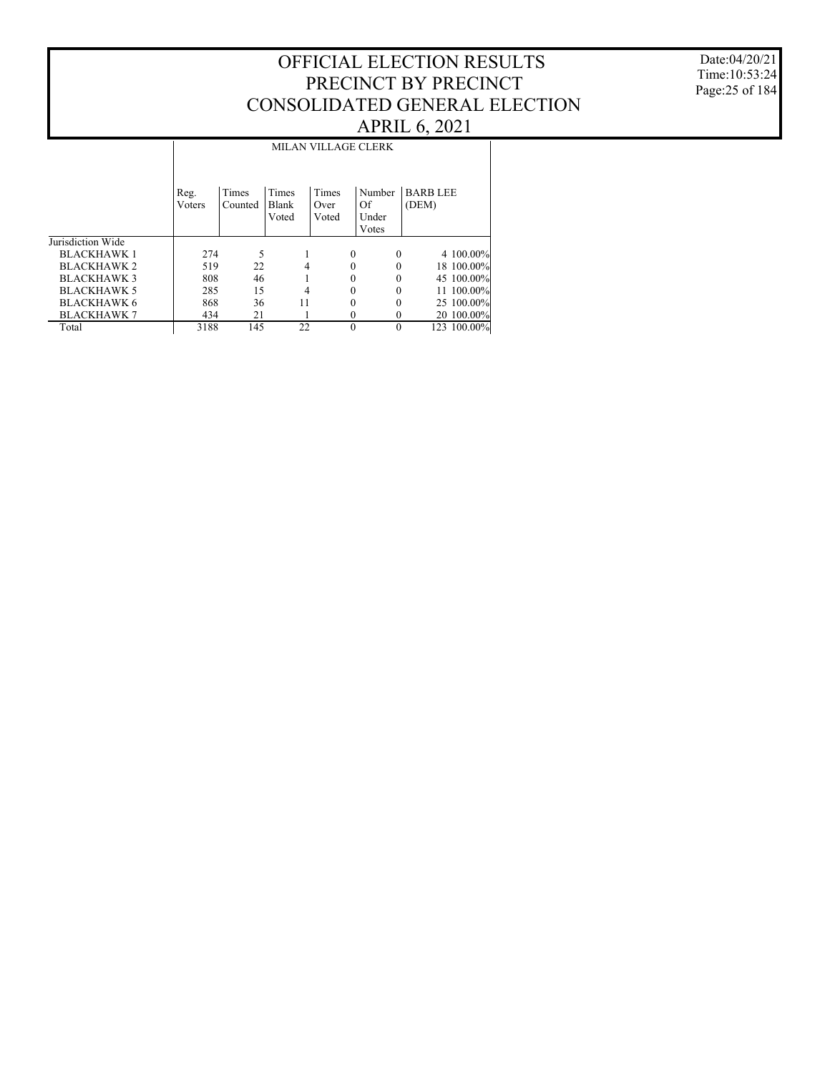Date:04/20/21 Time:10:53:24 Page:25 of 184

|                    |        | MILAN VILLAGE CLERK |       |          |          |                |  |  |  |  |  |  |  |
|--------------------|--------|---------------------|-------|----------|----------|----------------|--|--|--|--|--|--|--|
|                    |        |                     |       |          |          |                |  |  |  |  |  |  |  |
|                    |        |                     |       |          |          |                |  |  |  |  |  |  |  |
|                    | Reg.   | Times               | Times | Times    | Number   | <b>BARBLEE</b> |  |  |  |  |  |  |  |
|                    | Voters | Counted             | Blank | Over     | Of       | (DEM)          |  |  |  |  |  |  |  |
|                    |        |                     | Voted | Voted    | Under    |                |  |  |  |  |  |  |  |
|                    |        |                     |       |          | Votes    |                |  |  |  |  |  |  |  |
| Jurisdiction Wide  |        |                     |       |          |          |                |  |  |  |  |  |  |  |
| <b>BLACKHAWK1</b>  | 274    | 5                   |       | $\theta$ | $\theta$ | 4 100.00%      |  |  |  |  |  |  |  |
| <b>BLACKHAWK 2</b> | 519    | 22                  | 4     | 0        |          | 18 100.00%     |  |  |  |  |  |  |  |
| <b>BLACKHAWK 3</b> | 808    | 46                  |       |          | 0        | 45 100.00%     |  |  |  |  |  |  |  |
| <b>BLACKHAWK 5</b> | 285    | 15                  | 4     | 0        | 0        | 11 100.00%     |  |  |  |  |  |  |  |
| <b>BLACKHAWK 6</b> | 868    | 36                  | 11    | 0        |          | 25 100.00%     |  |  |  |  |  |  |  |
| <b>BLACKHAWK 7</b> | 434    | 21                  |       | $_{0}$   | $_{0}$   | 20 100.00%     |  |  |  |  |  |  |  |
| Total              | 3188   | 145                 | 22    | $\theta$ | 0        | 123 100.00%    |  |  |  |  |  |  |  |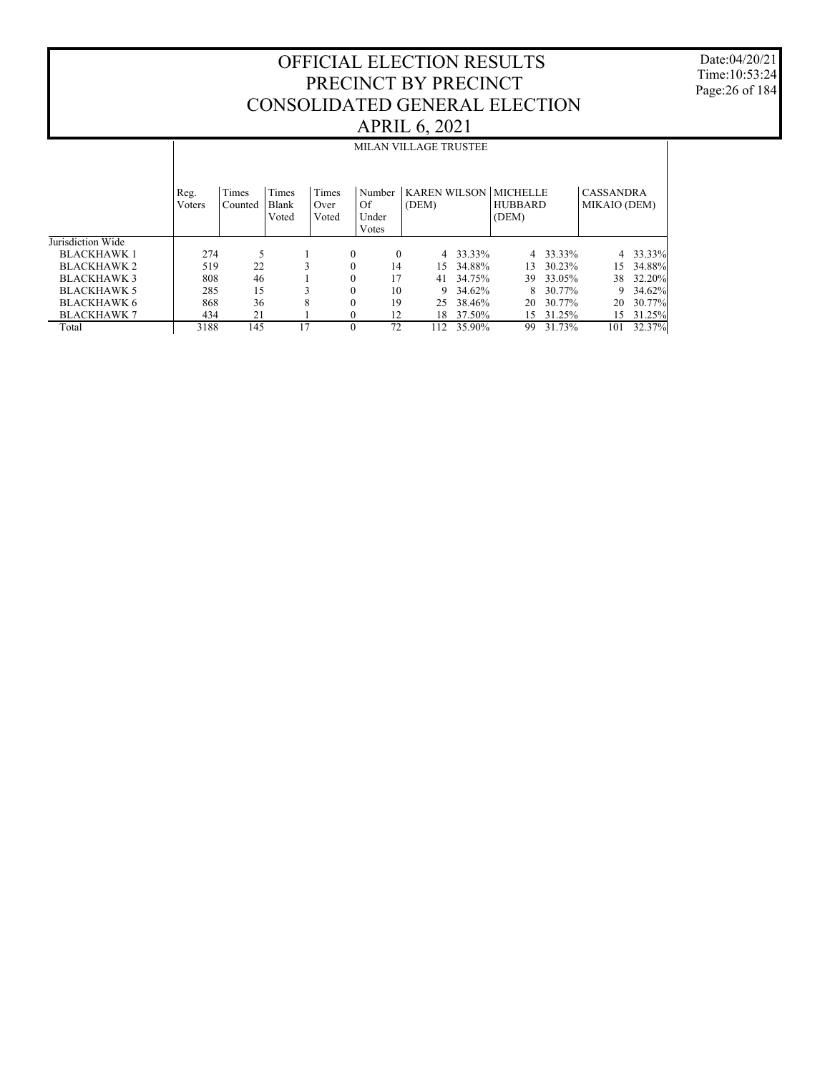Date:04/20/21 Time:10:53:24 Page:26 of 184

|                    |                | <b>MILAN VILLAGE TRUSTEE</b> |                         |                        |              |                                |                              |        |                                            |          |                                  |        |  |
|--------------------|----------------|------------------------------|-------------------------|------------------------|--------------|--------------------------------|------------------------------|--------|--------------------------------------------|----------|----------------------------------|--------|--|
|                    | Reg.<br>Voters | Times<br>Counted             | Times<br>Blank<br>Voted | Times<br>Over<br>Voted |              | Number<br>Of<br>Under<br>Votes | <b>KAREN WILSON</b><br>(DEM) |        | <b>MICHELLE</b><br><b>HUBBARD</b><br>(DEM) |          | <b>CASSANDRA</b><br>MIKAIO (DEM) |        |  |
| Jurisdiction Wide  |                |                              |                         |                        |              |                                |                              |        |                                            |          |                                  |        |  |
| <b>BLACKHAWK1</b>  | 274            | 5                            |                         |                        | $\mathbf{0}$ | $\Omega$                       | $\overline{4}$               | 33.33% |                                            | 4 33.33% | 4                                | 33.33% |  |
| <b>BLACKHAWK 2</b> | 519            | 22                           | 3                       |                        | $\mathbf{0}$ | 14                             | 15.                          | 34.88% | 13                                         | 30.23%   | 15                               | 34.88% |  |
| <b>BLACKHAWK3</b>  | 808            | 46                           |                         |                        | $\mathbf{0}$ | 17                             | 41                           | 34.75% | 39                                         | 33.05%   | 38                               | 32.20% |  |
| <b>BLACKHAWK 5</b> | 285            | 15                           | 3                       |                        | $\mathbf{0}$ | 10                             | 9                            | 34.62% | 8                                          | 30.77%   | 9                                | 34.62% |  |
| <b>BLACKHAWK 6</b> | 868            | 36                           | 8                       |                        | $\mathbf{0}$ | 19                             | 25                           | 38.46% | 20                                         | 30.77%   | 20                               | 30.77% |  |
| <b>BLACKHAWK 7</b> | 434            | 21                           |                         |                        | $\mathbf{0}$ | 12                             | 18                           | 37.50% | 15                                         | 31.25%   | 15                               | 31.25% |  |
| Total              | 3188           | 145                          | 17                      |                        | $\theta$     | 72                             | 112                          | 35.90% | 99                                         | 31.73%   | 101                              | 32.37% |  |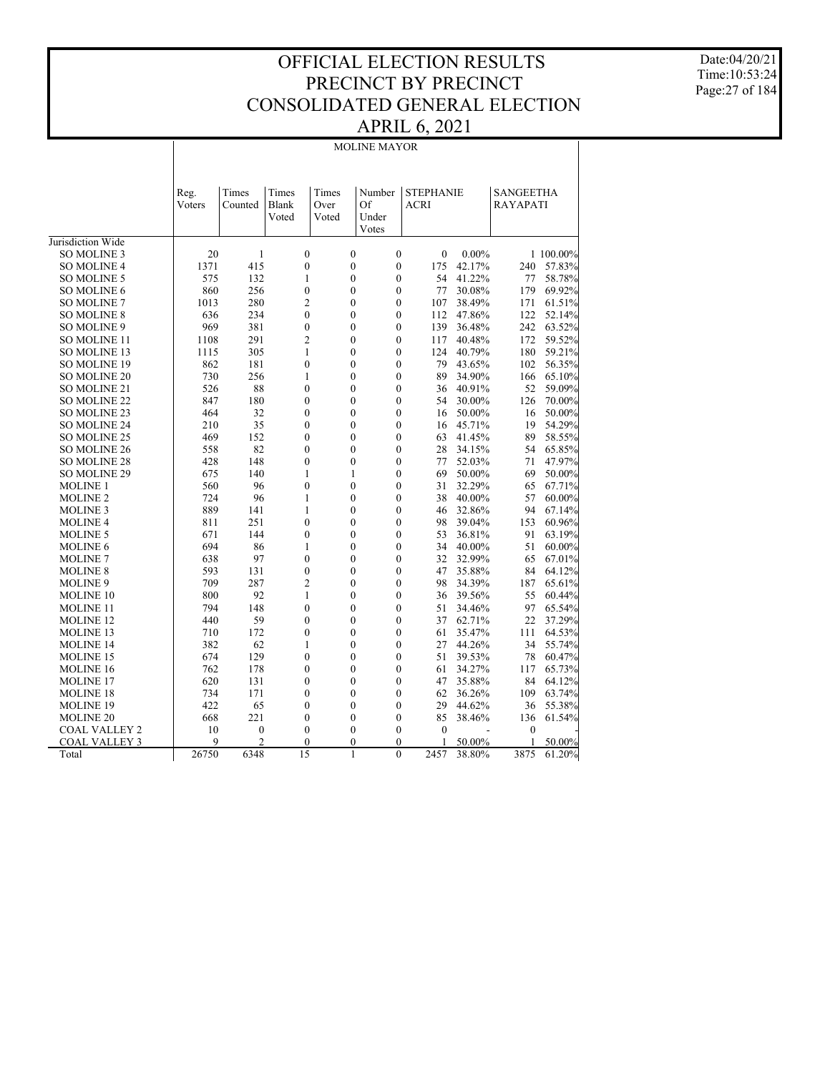Date:04/20/21 Time:10:53:24 Page:27 of 184

#### MOLINE MAYOR

|                      | Reg.<br>Voters | Times<br>Counted | Times<br>Blank<br>Voted | Times<br>Over<br>Voted |                | Number<br>Of<br>Under<br>Votes | <b>STEPHANIE</b><br>ACRI |          | <b>SANGEETHA</b><br><b>RAYAPATI</b> |           |
|----------------------|----------------|------------------|-------------------------|------------------------|----------------|--------------------------------|--------------------------|----------|-------------------------------------|-----------|
| Jurisdiction Wide    |                |                  |                         |                        |                |                                |                          |          |                                     |           |
| <b>SO MOLINE 3</b>   | 20             | 1                |                         | $\mathbf{0}$           | $\mathbf{0}$   | $\mathbf{0}$                   | $\theta$                 | $0.00\%$ |                                     | 1 100.00% |
| <b>SO MOLINE 4</b>   | 1371           | 415              |                         | $\mathbf{0}$           | $\mathbf{0}$   | $\mathbf{0}$                   | 175                      | 42.17%   | 240                                 | 57.83%    |
| SO MOLINE 5          | 575            | 132              |                         | 1                      | $\overline{0}$ | $\mathbf{0}$                   | 54                       | 41.22%   | 77                                  | 58.78%    |
| SO MOLINE 6          | 860            | 256              |                         | $\overline{0}$         | $\overline{0}$ | $\mathbf{0}$                   | 77                       | 30.08%   | 179                                 | 69.92%    |
| <b>SO MOLINE 7</b>   | 1013           | 280              |                         | $\overline{2}$         | $\overline{0}$ | $\mathbf{0}$                   | 107                      | 38.49%   | 171                                 | 61.51%    |
| <b>SO MOLINE 8</b>   | 636            | 234              |                         | $\theta$               | $\theta$       | $\theta$                       | 112                      | 47.86%   | 122                                 | 52.14%    |
| SO MOLINE 9          | 969            | 381              |                         | $\mathbf{0}$           | $\overline{0}$ | $\mathbf{0}$                   | 139                      | 36.48%   | 242                                 | 63.52%    |
| <b>SO MOLINE 11</b>  | 1108           | 291              |                         | $\overline{2}$         | $\overline{0}$ | $\overline{0}$                 | 117                      | 40.48%   | 172                                 | 59.52%    |
| SO MOLINE 13         | 1115           | 305              |                         | 1                      | $\overline{0}$ | $\mathbf{0}$                   | 124                      | 40.79%   | 180                                 | 59.21%    |
| <b>SO MOLINE 19</b>  | 862            | 181              |                         | $\mathbf{0}$           | $\theta$       | $\theta$                       | 79                       | 43.65%   | 102                                 | 56.35%    |
| SO MOLINE 20         | 730            | 256              | $\mathbf{1}$            |                        | $\mathbf{0}$   | $\mathbf{0}$                   | 89                       | 34.90%   | 166                                 | 65.10%    |
| <b>SO MOLINE 21</b>  | 526            | 88               |                         | $\mathbf{0}$           | $\overline{0}$ | $\mathbf{0}$                   | 36                       | 40.91%   | 52                                  | 59.09%    |
| <b>SO MOLINE 22</b>  | 847            | 180              |                         | $\mathbf{0}$           | $\overline{0}$ | $\mathbf{0}$                   | 54                       | 30.00%   | 126                                 | 70.00%    |
| SO MOLINE 23         | 464            | 32               |                         | $\mathbf{0}$           | $\overline{0}$ | $\mathbf{0}$                   | 16                       | 50.00%   | 16                                  | 50.00%    |
| <b>SO MOLINE 24</b>  | 210            | 35               |                         | $\mathbf{0}$           | $\overline{0}$ | $\mathbf{0}$                   | 16                       | 45.71%   | 19                                  | 54.29%    |
| <b>SO MOLINE 25</b>  | 469            | 152              |                         | $\mathbf{0}$           | $\overline{0}$ | $\mathbf{0}$                   | 63                       | 41.45%   | 89                                  | 58.55%    |
| <b>SO MOLINE 26</b>  | 558            | 82               |                         | $\theta$               | $\theta$       | $\theta$                       | 28                       | 34.15%   | 54                                  | 65.85%    |
| <b>SO MOLINE 28</b>  | 428            | 148              |                         | $\mathbf{0}$           | $\overline{0}$ | $\mathbf{0}$                   | 77                       | 52.03%   | 71                                  | 47.97%    |
| <b>SO MOLINE 29</b>  | 675            | 140              |                         | 1                      | 1              | $\overline{0}$                 | 69                       | 50.00%   | 69                                  | 50.00%    |
| <b>MOLINE 1</b>      | 560            | 96               |                         | $\mathbf{0}$           | $\mathbf{0}$   | $\mathbf{0}$                   | 31                       | 32.29%   | 65                                  | 67.71%    |
| <b>MOLINE 2</b>      | 724            | 96               |                         | 1                      | $\theta$       | $\theta$                       | 38                       | 40.00%   | 57                                  | 60.00%    |
| <b>MOLINE 3</b>      | 889            | 141              | 1                       |                        | $\mathbf{0}$   | $\mathbf{0}$                   | 46                       | 32.86%   | 94                                  | 67.14%    |
| <b>MOLINE 4</b>      | 811            | 251              |                         | $\mathbf{0}$           | $\overline{0}$ | $\mathbf{0}$                   | 98                       | 39.04%   | 153                                 | 60.96%    |
| <b>MOLINE 5</b>      | 671            | 144              |                         | $\mathbf{0}$           | $\overline{0}$ | $\mathbf{0}$                   | 53                       | 36.81%   | 91                                  | 63.19%    |
| <b>MOLINE 6</b>      | 694            | 86               |                         | 1                      | $\mathbf{0}$   | $\mathbf{0}$                   | 34                       | 40.00%   | 51                                  | 60.00%    |
| <b>MOLINE 7</b>      | 638            | 97               |                         | $\mathbf{0}$           | $\overline{0}$ | $\mathbf{0}$                   | 32                       | 32.99%   | 65                                  | 67.01%    |
| <b>MOLINE 8</b>      | 593            | 131              |                         | $\mathbf{0}$           | $\overline{0}$ | $\mathbf{0}$                   | 47                       | 35.88%   | 84                                  | 64.12%    |
| <b>MOLINE 9</b>      | 709            | 287              |                         | $\overline{2}$         | $\theta$       | $\theta$                       | 98                       | 34.39%   | 187                                 | 65.61%    |
| <b>MOLINE 10</b>     | 800            | 92               |                         | $\mathbf{1}$           | $\overline{0}$ | $\mathbf{0}$                   | 36                       | 39.56%   | 55                                  | 60.44%    |
| <b>MOLINE 11</b>     | 794            | 148              |                         | $\overline{0}$         | $\overline{0}$ | $\overline{0}$                 | 51                       | 34.46%   | 97                                  | 65.54%    |
| <b>MOLINE 12</b>     | 440            | 59               |                         | $\mathbf{0}$           | $\overline{0}$ | $\mathbf{0}$                   | 37                       | 62.71%   | 22                                  | 37.29%    |
| <b>MOLINE 13</b>     | 710            | 172              |                         | $\mathbf{0}$           | $\overline{0}$ | $\mathbf{0}$                   | 61                       | 35.47%   | 111                                 | 64.53%    |
| <b>MOLINE 14</b>     | 382            | 62               | 1                       |                        | $\theta$       | $\theta$                       | 27                       | 44.26%   | 34                                  | 55.74%    |
| <b>MOLINE 15</b>     | 674            | 129              |                         | $\mathbf{0}$           | $\overline{0}$ | $\mathbf{0}$                   | 51                       | 39.53%   | 78                                  | 60.47%    |
| <b>MOLINE 16</b>     | 762            | 178              |                         | $\mathbf{0}$           | $\overline{0}$ | $\mathbf{0}$                   | 61                       | 34.27%   | 117                                 | 65.73%    |
| <b>MOLINE 17</b>     | 620            | 131              |                         | $\mathbf{0}$           | $\mathbf{0}$   | $\mathbf{0}$                   | 47                       | 35.88%   | 84                                  | 64.12%    |
| <b>MOLINE 18</b>     | 734            | 171              |                         | $\theta$               | $\theta$       | $\mathbf{0}$                   | 62                       | 36.26%   | 109                                 | 63.74%    |
| <b>MOLINE 19</b>     | 422            | 65               |                         | $\mathbf{0}$           | $\overline{0}$ | $\mathbf{0}$                   | 29                       | 44.62%   | 36                                  | 55.38%    |
| <b>MOLINE 20</b>     | 668            | 221              |                         | $\theta$               | $\theta$       | $\mathbf{0}$                   | 85                       | 38.46%   | 136                                 | 61.54%    |
| <b>COAL VALLEY 2</b> | 10             | $\boldsymbol{0}$ |                         | $\mathbf{0}$           | $\theta$       | $\mathbf{0}$                   | $\theta$                 |          | 0                                   |           |
| <b>COAL VALLEY 3</b> | 9              | $\overline{2}$   |                         | $\theta$               | $\Omega$       | $\theta$                       |                          | 50.00%   | 1                                   | 50.00%    |
| Total                | 26750          | 6348             | 15                      |                        | $\mathbf{1}$   | $\overline{0}$                 | 2457                     | 38.80%   | 3875                                | 61.20%    |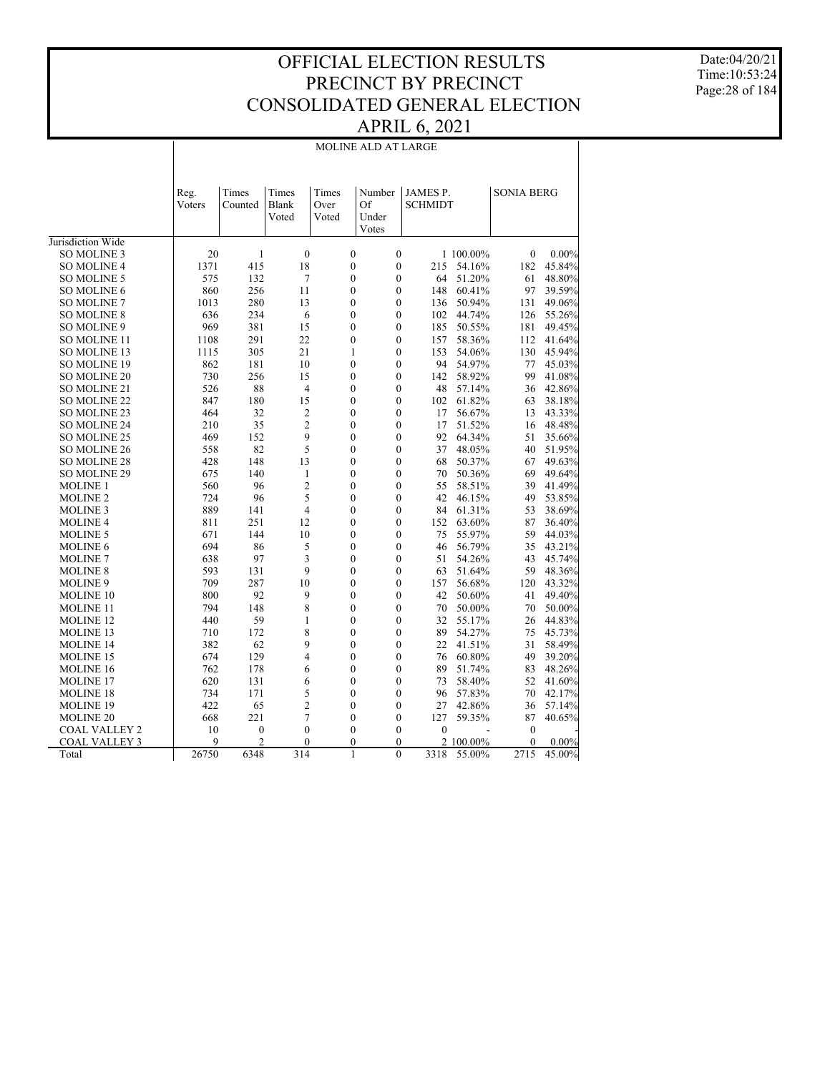Date:04/20/21 Time:10:53:24 Page:28 of 184

|                      |                |                  |                         |                        | MOLINE ALD AT LARGE            |                            |           |                   |          |
|----------------------|----------------|------------------|-------------------------|------------------------|--------------------------------|----------------------------|-----------|-------------------|----------|
|                      | Reg.<br>Voters | Times<br>Counted | Times<br>Blank<br>Voted | Times<br>Over<br>Voted | Number<br>Of<br>Under<br>Votes | JAMES P.<br><b>SCHMIDT</b> |           | <b>SONIA BERG</b> |          |
| Jurisdiction Wide    |                |                  |                         |                        |                                |                            |           |                   |          |
| <b>SO MOLINE 3</b>   | 20             | 1                | $\boldsymbol{0}$        | $\boldsymbol{0}$       | $\boldsymbol{0}$               |                            | 1 100.00% | $\boldsymbol{0}$  | $0.00\%$ |
| <b>SO MOLINE 4</b>   | 1371           | 415              | 18                      | $\mathbf{0}$           | $\theta$                       | 215                        | 54.16%    | 182               | 45.84%   |
| <b>SO MOLINE 5</b>   | 575            | 132              | 7                       | $\mathbf{0}$           | $\theta$                       | 64                         | 51.20%    | 61                | 48.80%   |
| <b>SO MOLINE 6</b>   | 860            | 256              | 11                      | $\mathbf{0}$           | $\mathbf{0}$                   | 148                        | 60.41%    | 97                | 39.59%   |
| <b>SO MOLINE 7</b>   | 1013           | 280              | 13                      | $\mathbf{0}$           | $\mathbf{0}$                   | 136                        | 50.94%    | 131               | 49.06%   |
| <b>SO MOLINE 8</b>   | 636            | 234              | 6                       | $\mathbf{0}$           | $\mathbf{0}$                   | 102                        | 44.74%    | 126               | 55.26%   |
| SO MOLINE 9          | 969            | 381              | 15                      | $\mathbf{0}$           | $\mathbf{0}$                   | 185                        | 50.55%    | 181               | 49.45%   |
| SO MOLINE 11         | 1108           | 291              | 22                      | $\overline{0}$         | $\overline{0}$                 | 157                        | 58.36%    | 112               | 41.64%   |
| SO MOLINE 13         | 1115           | 305              | 21                      | $\mathbf{1}$           | $\mathbf{0}$                   | 153                        | 54.06%    | 130               | 45.94%   |
| <b>SO MOLINE 19</b>  | 862            | 181              | 10                      | $\boldsymbol{0}$       | $\theta$                       | 94                         | 54.97%    | 77                | 45.03%   |
| <b>SO MOLINE 20</b>  | 730            | 256              | 15                      | $\mathbf{0}$           | $\mathbf{0}$                   | 142                        | 58.92%    | 99                | 41.08%   |
| SO MOLINE 21         | 526            | 88               | 4                       | $\mathbf{0}$           | $\theta$                       | 48                         | 57.14%    | 36                | 42.86%   |
| SO MOLINE 22         | 847            | 180              | 15                      | $\mathbf{0}$           | $\overline{0}$                 | 102                        | 61.82%    | 63                | 38.18%   |
| SO MOLINE 23         | 464            | 32               | $\overline{c}$          | $\mathbf{0}$           | $\mathbf{0}$                   | 17                         | 56.67%    | 13                | 43.33%   |
| <b>SO MOLINE 24</b>  | 210            | 35               | $\overline{2}$          | $\mathbf{0}$           | $\mathbf{0}$                   | 17                         | 51.52%    | 16                | 48.48%   |
| SO MOLINE 25         | 469            | 152              | 9                       | $\mathbf{0}$           | $\mathbf{0}$                   | 92                         | 64.34%    | 51                | 35.66%   |
| SO MOLINE 26         | 558            | 82               | 5                       | $\boldsymbol{0}$       | $\overline{0}$                 | 37                         | 48.05%    | 40                | 51.95%   |
| <b>SO MOLINE 28</b>  | 428            | 148              | 13                      | $\mathbf{0}$           | $\mathbf{0}$                   | 68                         | 50.37%    | 67                | 49.63%   |
| SO MOLINE 29         | 675            | 140              | $\mathbf{1}$            | $\theta$               | $\theta$                       | 70                         | 50.36%    | 69                | 49.64%   |
| <b>MOLINE 1</b>      | 560            | 96               | $\overline{2}$          | $\mathbf{0}$           | $\mathbf{0}$                   | 55                         | 58.51%    | 39                | 41.49%   |
| <b>MOLINE 2</b>      | 724            | 96               | 5                       | $\mathbf{0}$           | $\mathbf{0}$                   | 42                         | 46.15%    | 49                | 53.85%   |
| <b>MOLINE 3</b>      | 889            | 141              | $\overline{4}$          | $\boldsymbol{0}$       | $\overline{0}$                 | 84                         | 61.31%    | 53                | 38.69%   |
| <b>MOLINE 4</b>      | 811            | 251              | 12                      | $\mathbf{0}$           | $\mathbf{0}$                   | 152                        | 63.60%    | 87                | 36.40%   |
| <b>MOLINE 5</b>      | 671            | 144              | 10                      | $\mathbf{0}$           | $\theta$                       | 75                         | 55.97%    | 59                | 44.03%   |
| <b>MOLINE 6</b>      | 694            | 86               | 5                       | $\mathbf{0}$           | $\mathbf{0}$                   | 46                         | 56.79%    | 35                | 43.21%   |
| <b>MOLINE 7</b>      | 638            | 97               | 3                       | $\mathbf{0}$           | $\mathbf{0}$                   | 51                         | 54.26%    | 43                | 45.74%   |
| <b>MOLINE 8</b>      | 593            | 131              | 9                       | $\boldsymbol{0}$       | $\mathbf{0}$                   | 63                         | 51.64%    | 59                | 48.36%   |
| <b>MOLINE 9</b>      | 709            | 287              | 10                      | $\mathbf{0}$           | $\theta$                       | 157                        | 56.68%    | 120               | 43.32%   |
| <b>MOLINE 10</b>     | 800            | 92               | 9                       | $\mathbf{0}$           | $\theta$                       | 42                         | 50.60%    | 41                | 49.40%   |
| <b>MOLINE 11</b>     | 794            | 148              | 8                       | $\mathbf{0}$           | $\mathbf{0}$                   | 70                         | 50.00%    | 70                | 50.00%   |
| <b>MOLINE 12</b>     | 440            | 59               | $\mathbf{1}$            | $\boldsymbol{0}$       | $\mathbf{0}$                   | 32                         | 55.17%    | 26                | 44.83%   |
| <b>MOLINE 13</b>     | 710            | 172              | 8                       | $\boldsymbol{0}$       | $\mathbf{0}$                   | 89                         | 54.27%    | 75                | 45.73%   |
| <b>MOLINE 14</b>     | 382            | 62               | 9                       | $\mathbf{0}$           | $\theta$                       | 22                         | 41.51%    | 31                | 58.49%   |
| <b>MOLINE 15</b>     | 674            | 129              | 4                       | $\mathbf{0}$           | $\theta$                       | 76                         | 60.80%    | 49                | 39.20%   |
| <b>MOLINE 16</b>     | 762            | 178              | 6                       | $\mathbf{0}$           | $\mathbf{0}$                   | 89                         | 51.74%    | 83                | 48.26%   |
| <b>MOLINE 17</b>     | 620            | 131              | 6                       | $\boldsymbol{0}$       | $\mathbf{0}$                   | 73                         | 58.40%    | 52                | 41.60%   |
| <b>MOLINE 18</b>     | 734            | 171              | 5                       | $\mathbf{0}$           | $\mathbf{0}$                   | 96                         | 57.83%    | 70                | 42.17%   |
| MOLINE 19            | 422            | 65               | 2                       | $\mathbf{0}$           | $\mathbf{0}$                   | 27                         | 42.86%    | 36                | 57.14%   |
| <b>MOLINE 20</b>     | 668            | 221              | 7                       | $\mathbf{0}$           | $\mathbf{0}$                   | 127                        | 59.35%    | 87                | 40.65%   |
| <b>COAL VALLEY 2</b> | 10             | $\mathbf{0}$     | $\mathbf{0}$            | $\mathbf{0}$           | $\mathbf{0}$                   | $\overline{0}$             |           | $\mathbf{0}$      |          |
| <b>COAL VALLEY 3</b> | $\mathbf Q$    | $\overline{c}$   | $\theta$                | $\theta$               | $\theta$                       |                            | 2 100.00% | $\theta$          | $0.00\%$ |
| Total                | 26750          | 6348             | 314                     | $\mathbf{1}$           | $\theta$                       | 3318                       | 55.00%    | 2715              | 45.00%   |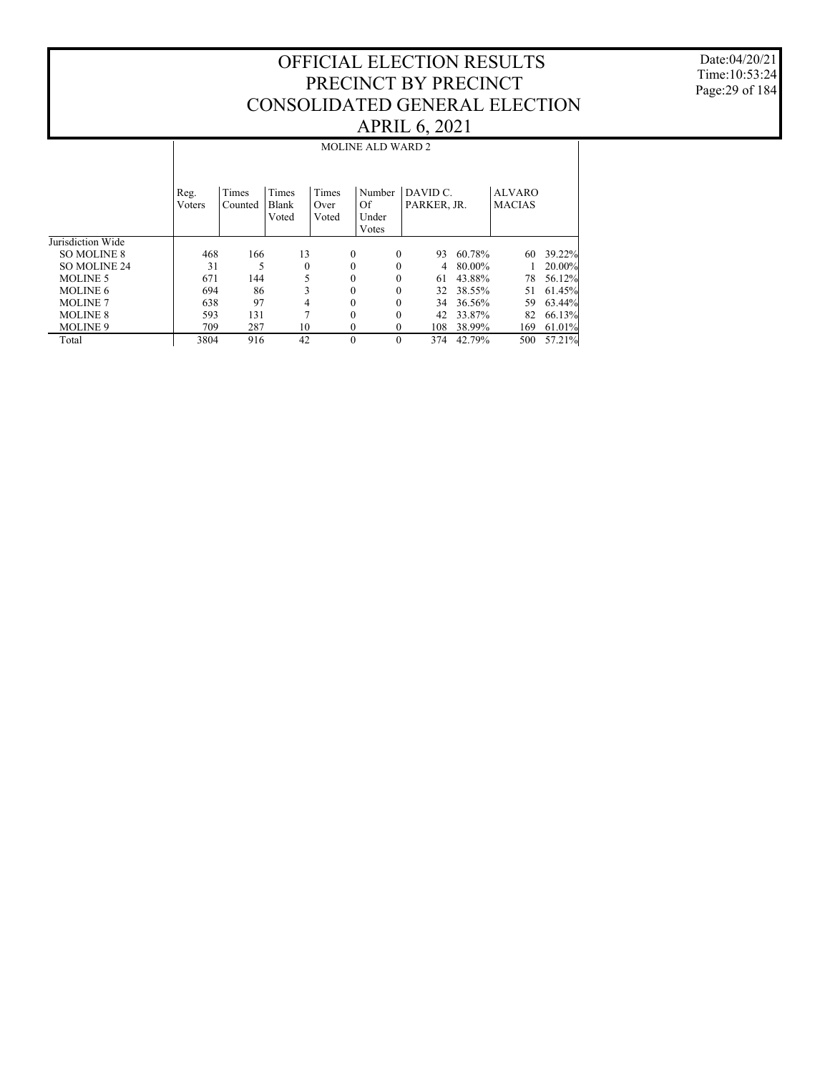Date:04/20/21 Time:10:53:24 Page:29 of 184

|                   |                |                  |                         |                        | <b>MOLINE ALD WARD 2</b>       |                                   |        |                                |        |
|-------------------|----------------|------------------|-------------------------|------------------------|--------------------------------|-----------------------------------|--------|--------------------------------|--------|
|                   | Reg.<br>Voters | Times<br>Counted | Times<br>Blank<br>Voted | Times<br>Over<br>Voted | Number<br>Of<br>Under<br>Votes | DAVID <sub>C</sub><br>PARKER, JR. |        | <b>ALVARO</b><br><b>MACIAS</b> |        |
| Jurisdiction Wide |                |                  |                         |                        |                                |                                   |        |                                |        |
| SO MOLINE 8       | 468            | 166              | 13                      |                        | $\Omega$<br>$\theta$           | 93                                | 60.78% | 60                             | 39.22% |
| SO MOLINE 24      | 31             | 5                | $\mathbf{0}$            |                        | $\Omega$<br>0                  | 4                                 | 80.00% |                                | 20.00% |
| <b>MOLINE 5</b>   | 671            | 144              | 5                       |                        | $\Omega$<br>0                  | 61                                | 43.88% | 78                             | 56.12% |
| MOLINE 6          | 694            | 86               | 3                       |                        | $\theta$<br>0                  | 32                                | 38.55% | 51                             | 61.45% |
| <b>MOLINE 7</b>   | 638            | 97               | 4                       |                        | $\Omega$<br>0                  | 34                                | 36.56% | 59                             | 63.44% |
| <b>MOLINE 8</b>   | 593            | 131              | 7                       |                        | $\Omega$<br>0                  | 42                                | 33.87% | 82                             | 66.13% |
| <b>MOLINE 9</b>   | 709            | 287              | 10                      |                        | $\mathbf{0}$<br>0              | 108                               | 38.99% | 169                            | 61.01% |
| Total             | 3804           | 916              | 42                      |                        | $\Omega$<br>$\theta$           | 374                               | 42.79% | 500                            | 57.21% |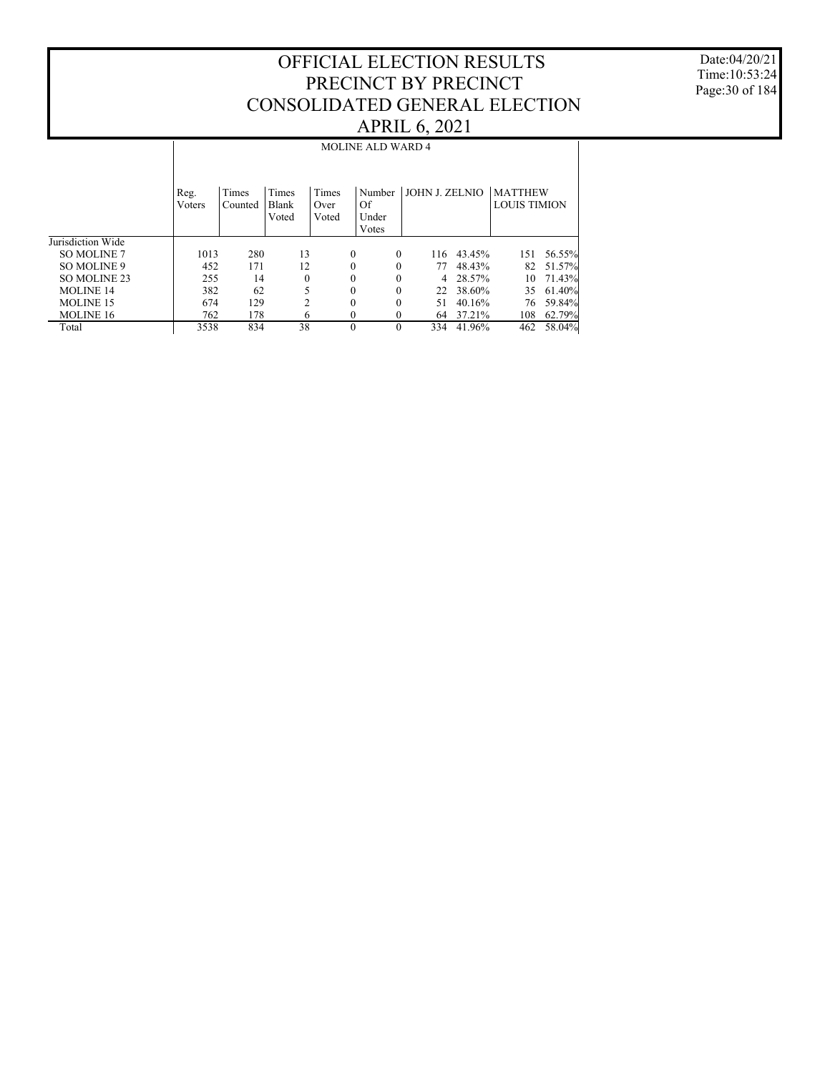Date:04/20/21 Time:10:53:24 Page:30 of 184

|                    |                |                  |                                |                        | <b>MOLINE ALD WARD 4</b>       |                |        |                                       |        |
|--------------------|----------------|------------------|--------------------------------|------------------------|--------------------------------|----------------|--------|---------------------------------------|--------|
|                    | Reg.<br>Voters | Times<br>Counted | <b>Times</b><br>Blank<br>Voted | Times<br>Over<br>Voted | Number<br>Of<br>Under<br>Votes | JOHN J. ZELNIO |        | <b>MATTHEW</b><br><b>LOUIS TIMION</b> |        |
| Jurisdiction Wide  |                |                  |                                |                        |                                |                |        |                                       |        |
| <b>SO MOLINE 7</b> | 1013           | 280              | 13                             | $\Omega$               | 0                              | 116            | 43.45% | 151                                   | 56.55% |
| SO MOLINE 9        | 452            | 171              | 12                             | $\theta$               | 0                              | 77             | 48.43% | 82                                    | 51.57% |
| SO MOLINE 23       | 255            | 14               | 0                              | $\theta$               | 0                              | 4              | 28.57% | 10                                    | 71.43% |
| <b>MOLINE 14</b>   | 382            | 62               | 5                              | $\theta$               | 0                              | 22             | 38.60% | 35                                    | 61.40% |
| <b>MOLINE 15</b>   | 674            | 129              | $\overline{c}$                 | $\theta$               | 0                              | 51             | 40.16% | 76                                    | 59.84% |
| <b>MOLINE 16</b>   | 762            | 178              | 6                              | $\mathbf{0}$           | 0                              | 64             | 37.21% | 108                                   | 62.79% |
| Total              | 3538           | 834              | 38                             | $\Omega$               | $\theta$                       | 334            | 41.96% | 462                                   | 58.04% |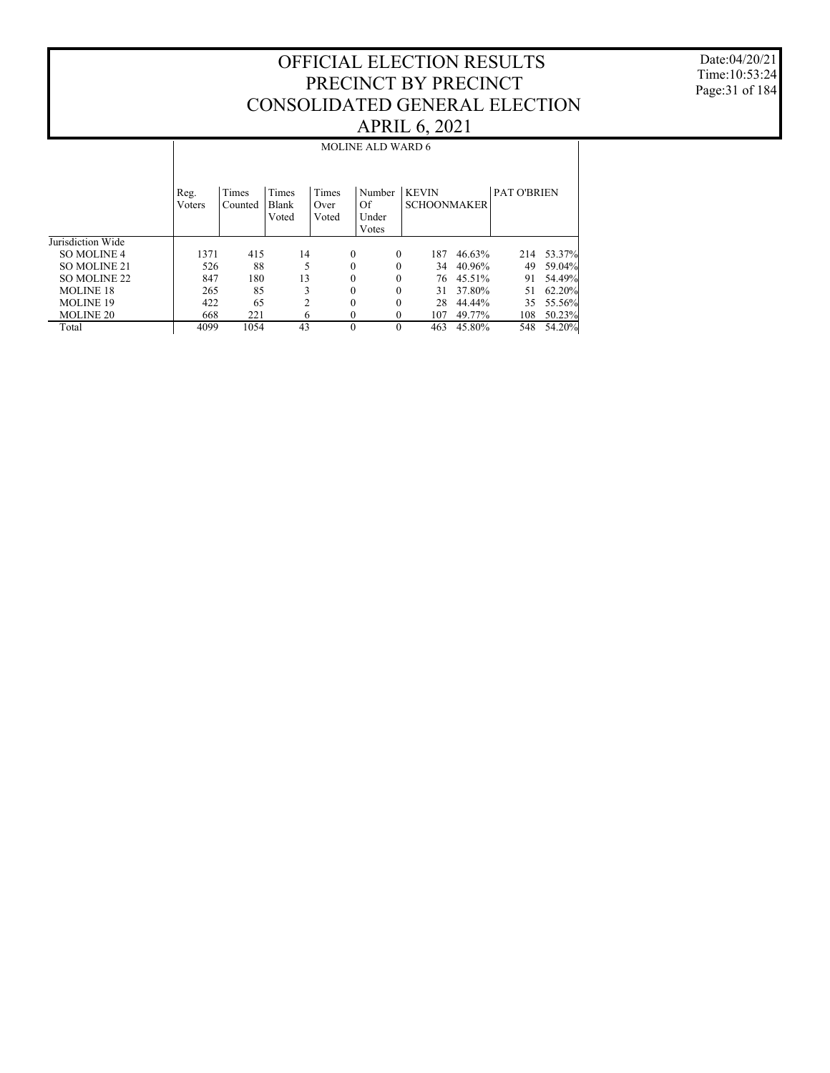Date:04/20/21 Time:10:53:24 Page:31 of 184

|                    |                |                  |                         |                        | <b>MOLINE ALD WARD 6</b>       |                                    |        |                    |        |
|--------------------|----------------|------------------|-------------------------|------------------------|--------------------------------|------------------------------------|--------|--------------------|--------|
|                    | Reg.<br>Voters | Times<br>Counted | Times<br>Blank<br>Voted | Times<br>Over<br>Voted | Number<br>Of<br>Under<br>Votes | <b>KEVIN</b><br><b>SCHOONMAKER</b> |        | <b>PAT O'BRIEN</b> |        |
| Jurisdiction Wide  |                |                  |                         |                        |                                |                                    |        |                    |        |
| <b>SO MOLINE 4</b> | 1371           | 415              | 14                      | $\theta$               | $\theta$                       | 187                                | 46.63% | 214                | 53.37% |
| SO MOLINE 21       | 526            | 88               | 5                       | $\theta$               | 0                              | 34                                 | 40.96% | 49                 | 59.04% |
| SO MOLINE 22       | 847            | 180              | 13                      | $\theta$               | 0                              | 76                                 | 45.51% | 91                 | 54.49% |
| <b>MOLINE 18</b>   | 265            | 85               | 3                       | $\theta$               | 0                              | 31                                 | 37.80% | 51                 | 62.20% |
| <b>MOLINE 19</b>   | 422            | 65               | $\overline{c}$          | $\theta$               | 0                              | 28                                 | 44.44% | 35                 | 55.56% |
| <b>MOLINE 20</b>   | 668            | 221              | 6                       | 0                      | $\Omega$                       | 107                                | 49.77% | 108                | 50.23% |
| Total              | 4099           | 1054             | 43                      | $\theta$               | $\Omega$                       | 463                                | 45.80% | 548                | 54.20% |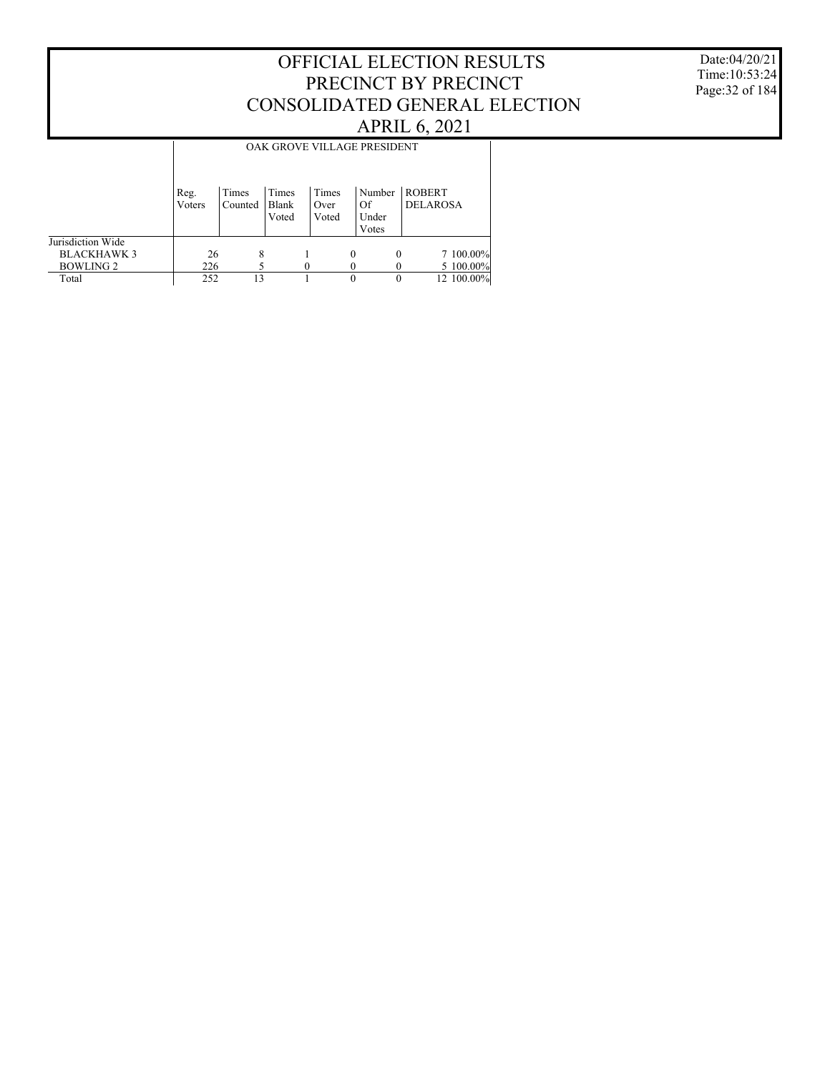Date:04/20/21 Time:10:53:24 Page:32 of 184

|                   |                |                  |                         |                        |   | OAK GROVE VILLAGE PRESIDENT    |                                  |            |  |
|-------------------|----------------|------------------|-------------------------|------------------------|---|--------------------------------|----------------------------------|------------|--|
|                   | Reg.<br>Voters | Times<br>Counted | Times<br>Blank<br>Voted | Times<br>Over<br>Voted |   | Number<br>Of<br>Under<br>Votes | <b>ROBERT</b><br><b>DELAROSA</b> |            |  |
| Jurisdiction Wide |                |                  |                         |                        |   |                                |                                  |            |  |
| <b>BLACKHAWK3</b> | 26             | 8                |                         |                        | 0 |                                |                                  | 7 100.00%  |  |
| <b>BOWLING 2</b>  | 226            |                  |                         |                        |   |                                |                                  | 5 100.00%  |  |
| Total             | 252            | 13               |                         |                        | 0 |                                |                                  | 12 100.00% |  |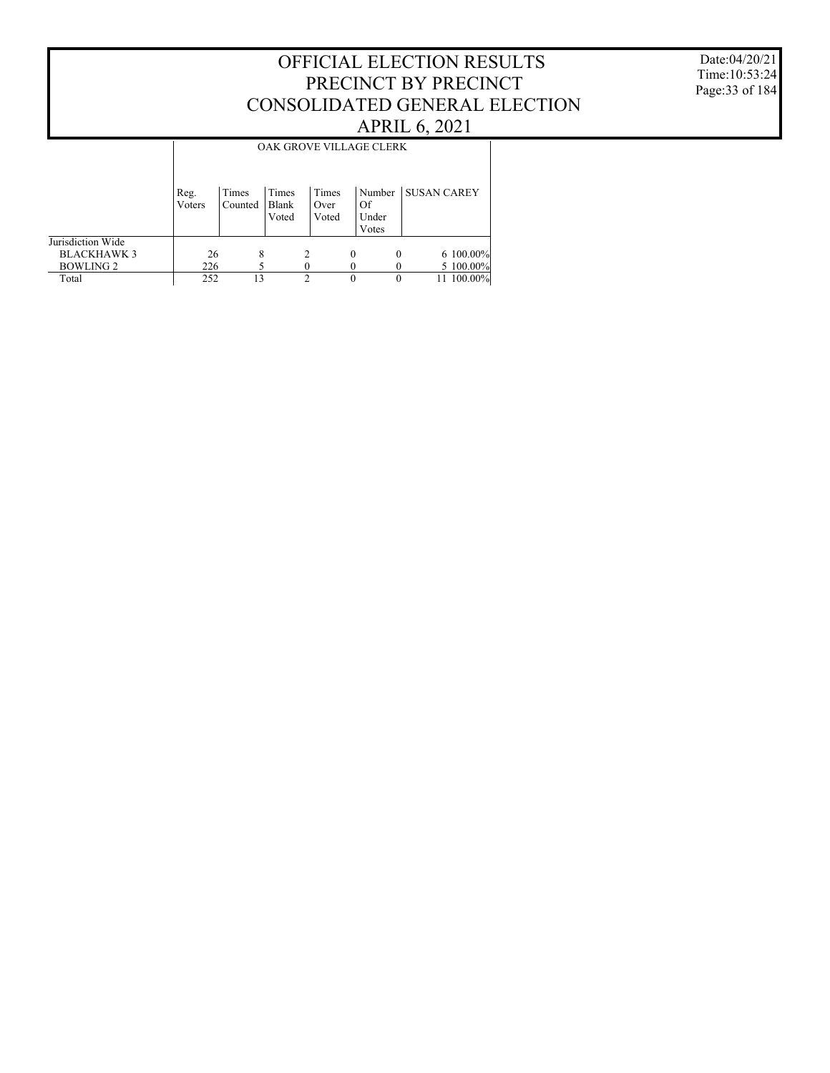Date:04/20/21 Time:10:53:24 Page:33 of 184

|                    |                |                  |                         |                        |   | OAK GROVE VILLAGE CLERK        |                    |            |
|--------------------|----------------|------------------|-------------------------|------------------------|---|--------------------------------|--------------------|------------|
|                    | Reg.<br>Voters | Times<br>Counted | Times<br>Blank<br>Voted | Times<br>Over<br>Voted |   | Number<br>Of<br>Under<br>Votes | <b>SUSAN CAREY</b> |            |
| Jurisdiction Wide  |                |                  |                         |                        |   |                                |                    |            |
| <b>BLACKHAWK 3</b> | 26             | 8                |                         |                        | 0 | $\theta$                       |                    | 6 100.00%  |
| <b>BOWLING 2</b>   | 226            |                  |                         |                        |   |                                |                    | 5 100.00%  |
| Total              | 252            | 13               |                         | C                      | 0 |                                |                    | 11 100.00% |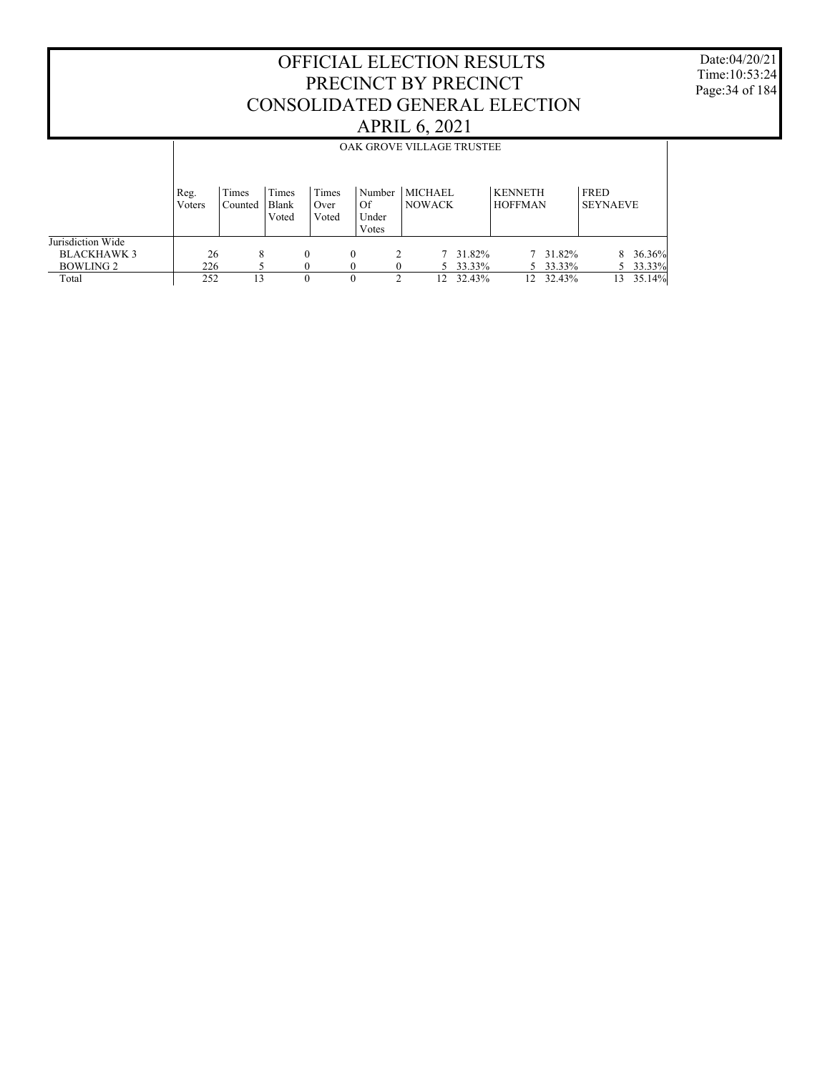Date:04/20/21 Time:10:53:24 Page:34 of 184

|                   |                | OAK GROVE VILLAGE TRUSTEE |                         |                        |          |                          |                                 |        |  |                                  |          |                         |        |
|-------------------|----------------|---------------------------|-------------------------|------------------------|----------|--------------------------|---------------------------------|--------|--|----------------------------------|----------|-------------------------|--------|
|                   | Reg.<br>Voters | Times<br>Counted          | Times<br>Blank<br>Voted | Times<br>Over<br>Voted | Of       | Number<br>Under<br>Votes | <b>MICHAEL</b><br><b>NOWACK</b> |        |  | <b>KENNETH</b><br><b>HOFFMAN</b> |          | FRED<br><b>SEYNAEVE</b> |        |
| Jurisdiction Wide |                |                           |                         |                        |          |                          |                                 |        |  |                                  |          |                         |        |
| <b>BLACKHAWK3</b> | 26             | 8                         |                         | $\Omega$               | $\theta$ |                          | 7                               | 31.82% |  |                                  | 7 31.82% | 8                       | 36.36% |
| BOWLING 2         | 226            |                           |                         |                        |          |                          | 5.                              | 33.33% |  |                                  | 5 33.33% |                         | 33.33% |
| Total             | 252            | 13                        |                         | $\theta$               | 0        | ↑                        | 12                              | 32.43% |  | 12                               | 32.43%   | 13                      | 35.14% |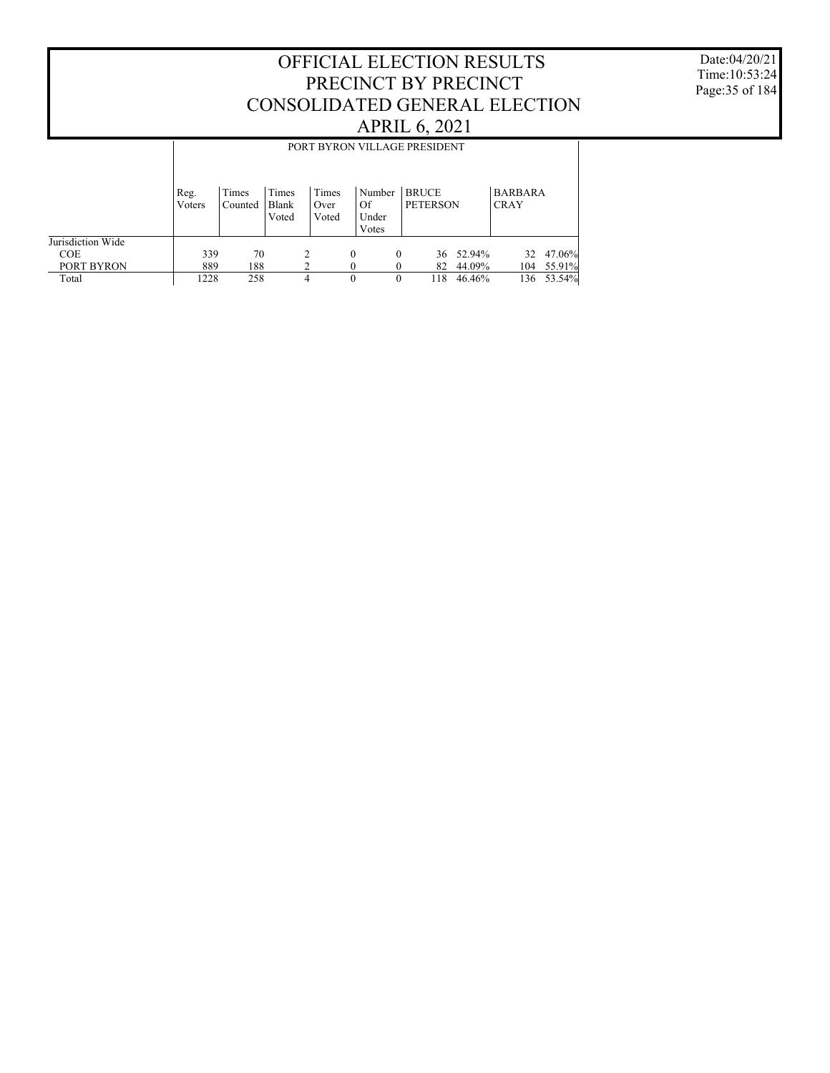Date:04/20/21 Time:10:53:24 Page:35 of 184

|                   |                |                  |                         |                        | PORT BYRON VILLAGE PRESIDENT   |                                 |     |        |                               |        |
|-------------------|----------------|------------------|-------------------------|------------------------|--------------------------------|---------------------------------|-----|--------|-------------------------------|--------|
|                   | Reg.<br>Voters | Times<br>Counted | Times<br>Blank<br>Voted | Times<br>Over<br>Voted | Number<br>Of<br>Under<br>Votes | <b>BRUCE</b><br><b>PETERSON</b> |     |        | <b>BARBARA</b><br><b>CRAY</b> |        |
| Jurisdiction Wide |                |                  |                         |                        |                                |                                 |     |        |                               |        |
| <b>COE</b>        | 339            | 70               |                         | 2                      | $\theta$                       | 0                               | 36  | 52.94% | 32                            | 47.06% |
| PORT BYRON        | 889            | 188              |                         |                        |                                |                                 | 82  | 44.09% | 104                           | 55.91% |
| Total             | 1228           | 258              |                         | 4                      | $\Omega$                       | 0                               | 118 | 46.46% | 136                           | 53.54% |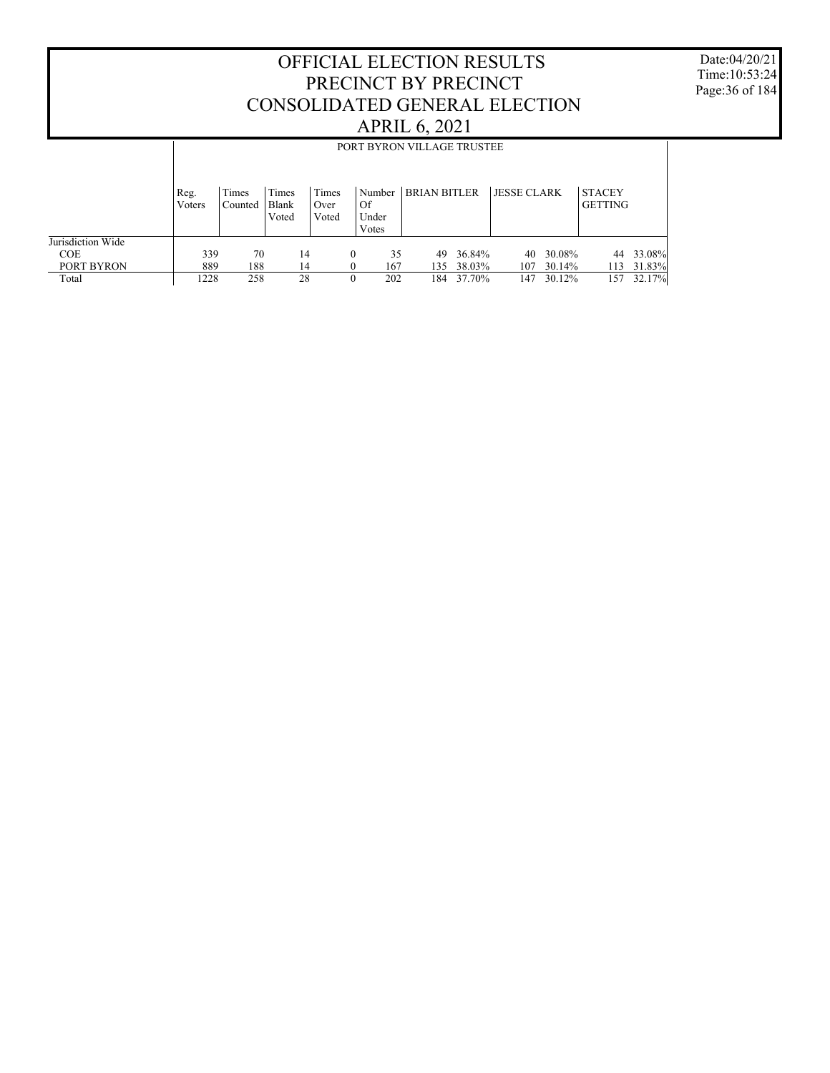Date:04/20/21 Time:10:53:24 Page:36 of 184

|                   |                | PORT BYRON VILLAGE TRUSTEE |                         |                        |          |                                |                     |        |                    |        |                                 |        |
|-------------------|----------------|----------------------------|-------------------------|------------------------|----------|--------------------------------|---------------------|--------|--------------------|--------|---------------------------------|--------|
|                   | Reg.<br>Voters | Times<br>Counted           | Times<br>Blank<br>Voted | Times<br>Over<br>Voted |          | Number<br>Of<br>Under<br>Votes | <b>BRIAN BITLER</b> |        | <b>JESSE CLARK</b> |        | <b>STACEY</b><br><b>GETTING</b> |        |
| Jurisdiction Wide |                |                            |                         |                        |          |                                |                     |        |                    |        |                                 |        |
| <b>COE</b>        | 339            | 70                         | 14                      |                        | $\theta$ | 35                             | 49                  | 36.84% | 40                 | 30.08% | 44                              | 33.08% |
| PORT BYRON        | 889            | 188                        | 14                      |                        | $\Omega$ | 167                            | 135                 | 38.03% | 107                | 30.14% | 113                             | 31.83% |
| Total             | 1228           | 258                        | 28                      |                        | 0        | 202                            | 184                 | 37.70% | 147                | 30.12% | 157                             | 32.17% |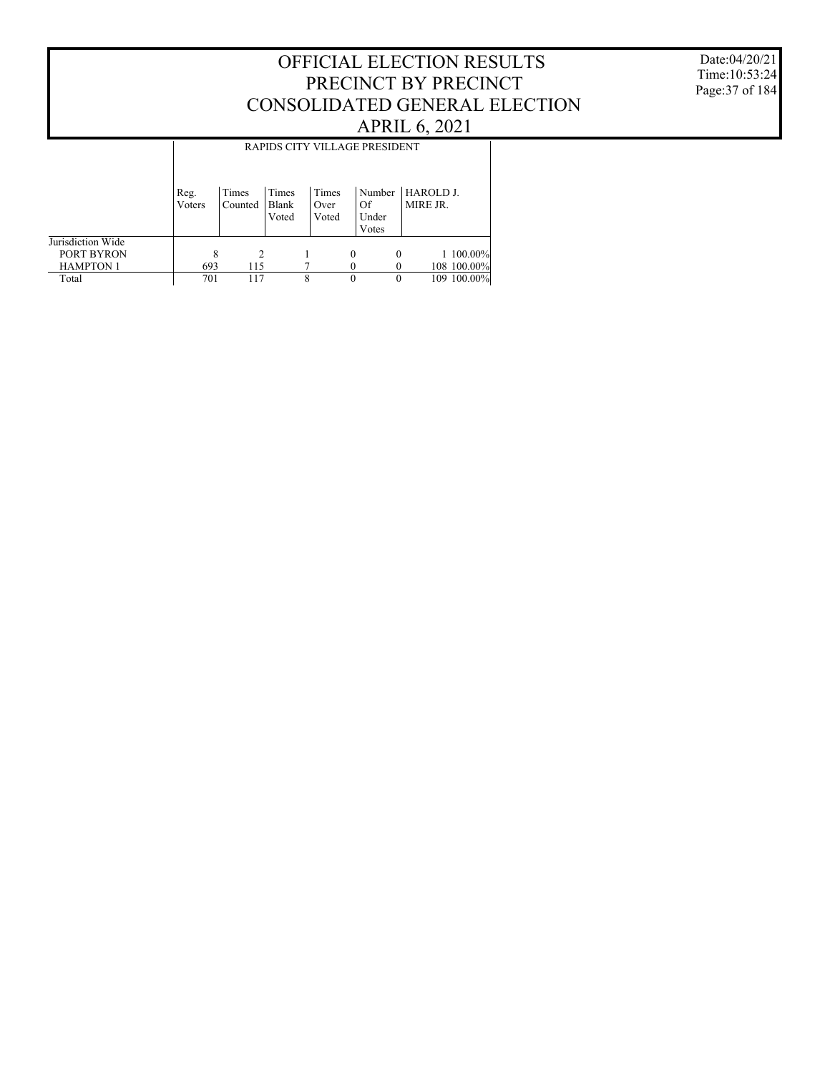Date:04/20/21 Time:10:53:24 Page:37 of 184

|                   | RAPIDS CITY VILLAGE PRESIDENT |                  |                         |                        |          |                                |                       |             |  |  |
|-------------------|-------------------------------|------------------|-------------------------|------------------------|----------|--------------------------------|-----------------------|-------------|--|--|
|                   | Reg.<br>Voters                | Times<br>Counted | Times<br>Blank<br>Voted | Times<br>Over<br>Voted |          | Number<br>Of<br>Under<br>Votes | HAROLD J.<br>MIRE JR. |             |  |  |
| Jurisdiction Wide |                               |                  |                         |                        |          |                                |                       |             |  |  |
| PORT BYRON        | 8                             | 2                |                         |                        | $\Omega$ | $\theta$                       |                       | 1 100.00%   |  |  |
| <b>HAMPTON 1</b>  | 693                           | 115              |                         |                        |          |                                |                       | 108 100.00% |  |  |
| Total             | 701                           | 117              |                         | 8                      | $\theta$ | $\Omega$                       |                       | 109 100.00% |  |  |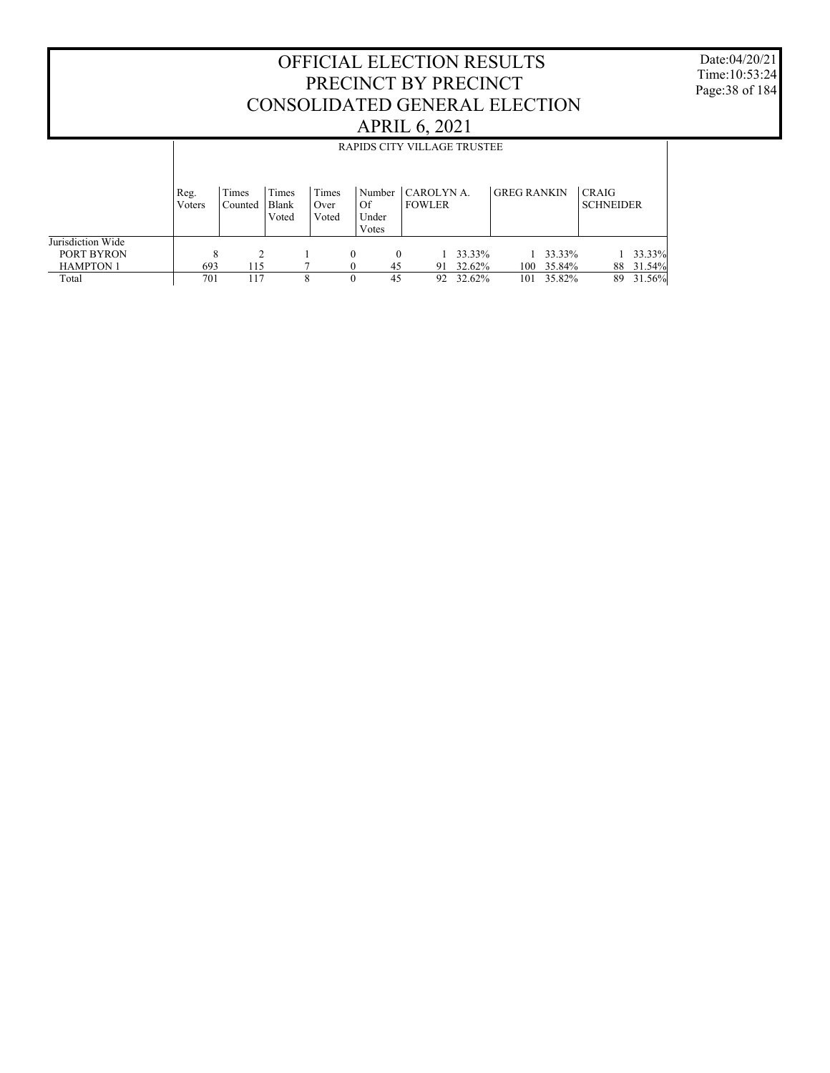Date:04/20/21 Time:10:53:24 Page:38 of 184

|                   |                | RAPIDS CITY VILLAGE TRUSTEE |                         |   |                        |                      |          |                             |  |        |                    |        |                                  |        |
|-------------------|----------------|-----------------------------|-------------------------|---|------------------------|----------------------|----------|-----------------------------|--|--------|--------------------|--------|----------------------------------|--------|
|                   | Reg.<br>Voters | Times<br>Counted            | Times<br>Blank<br>Voted |   | Times<br>Over<br>Voted | Of<br>Under<br>Votes | Number   | CAROLYN A.<br><b>FOWLER</b> |  |        | <b>GREG RANKIN</b> |        | <b>CRAIG</b><br><b>SCHNEIDER</b> |        |
| Jurisdiction Wide |                |                             |                         |   |                        |                      |          |                             |  |        |                    |        |                                  |        |
| PORT BYRON        | 8              | C                           |                         |   |                        | 0                    | $\Omega$ |                             |  | 33.33% |                    | 33.33% |                                  | 33.33% |
| <b>HAMPTON 1</b>  | 693            | 115                         |                         |   |                        |                      | 45       | 91                          |  | 32.62% | 100                | 35.84% | 88                               | 31.54% |
| Total             | 701            | 117                         |                         | 8 |                        | 0                    | 45       | 92                          |  | 32.62% | 101                | 35.82% | 89                               | 31.56% |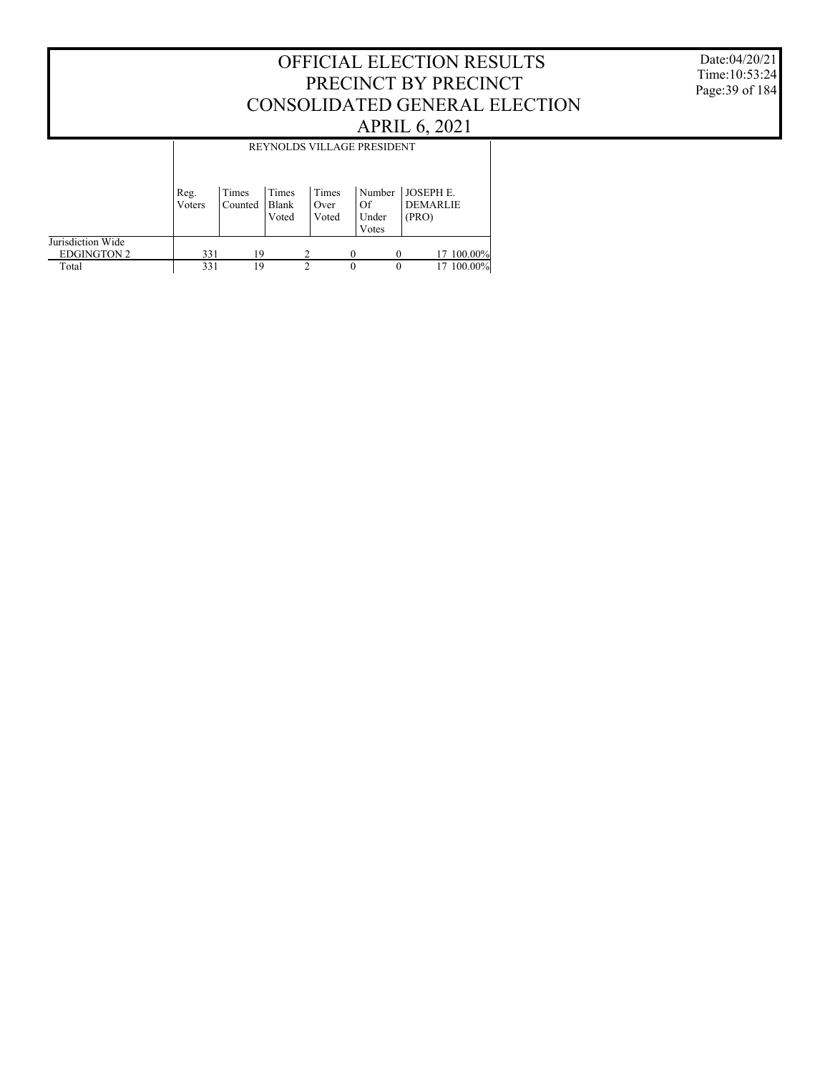Date:04/20/21 Time:10:53:24 Page:39 of 184

|                                         |                | REYNOLDS VILLAGE PRESIDENT |                         |                        |                                |                                             |  |  |  |  |  |
|-----------------------------------------|----------------|----------------------------|-------------------------|------------------------|--------------------------------|---------------------------------------------|--|--|--|--|--|
|                                         | Reg.<br>Voters | Times<br>Counted           | Times<br>Blank<br>Voted | Times<br>Over<br>Voted | Number<br>Of<br>Under<br>Votes | <b>JOSEPHE.</b><br><b>DEMARLIE</b><br>(PRO) |  |  |  |  |  |
| Jurisdiction Wide<br><b>EDGINGTON 2</b> | 331            | 19                         |                         | າ                      |                                | 17 100.00%                                  |  |  |  |  |  |
| Total                                   | 331            | 19                         |                         | 2                      | $\theta$                       | 17 100,00%<br>$\theta$                      |  |  |  |  |  |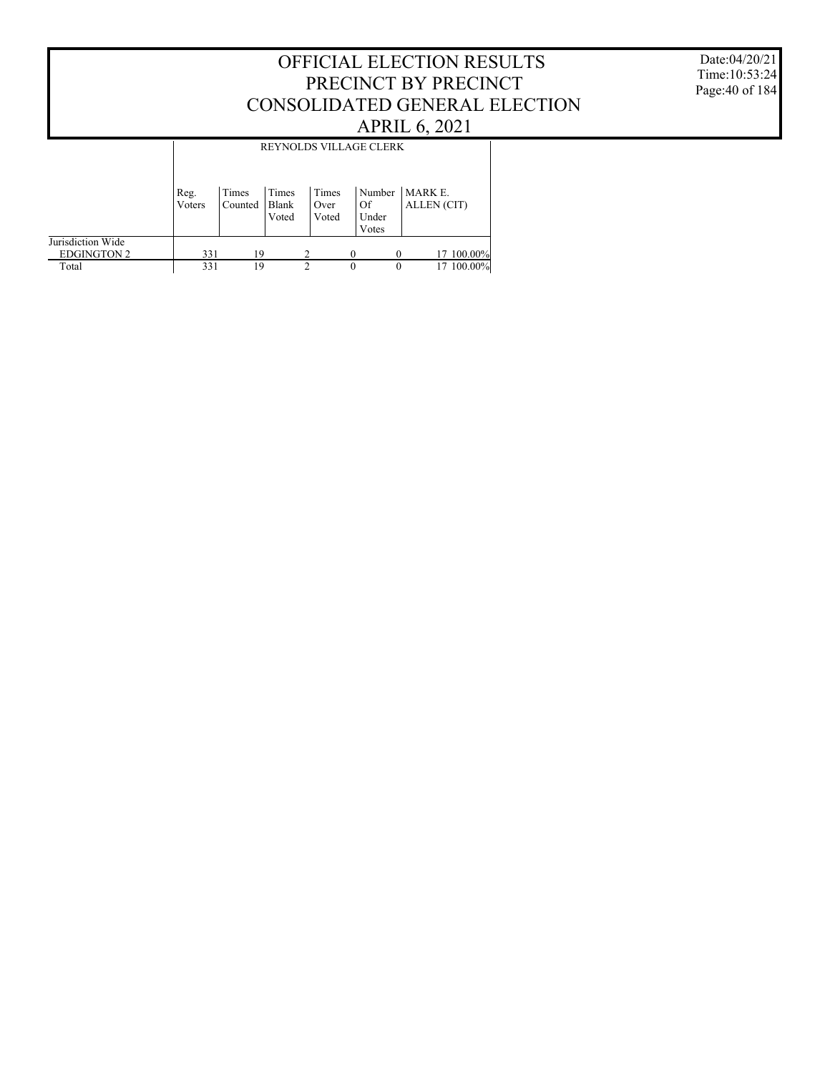#### Date:04/20/21 Time:10:53:24 Page:40 of 184

|                                         |                | REYNOLDS VILLAGE CLERK |                         |                        |                                |                               |  |  |  |  |
|-----------------------------------------|----------------|------------------------|-------------------------|------------------------|--------------------------------|-------------------------------|--|--|--|--|
|                                         | Reg.<br>Voters | Times<br>Counted       | Times<br>Blank<br>Voted | Times<br>Over<br>Voted | Number<br>Of<br>Under<br>Votes | MARK E.<br><b>ALLEN</b> (CIT) |  |  |  |  |
| Jurisdiction Wide<br><b>EDGINGTON 2</b> | 331            | 19                     |                         | 2                      |                                | 17 100.00%                    |  |  |  |  |
| Total                                   | 331            | 19                     |                         | 2                      | $\theta$                       | 100.00%<br>$\theta$           |  |  |  |  |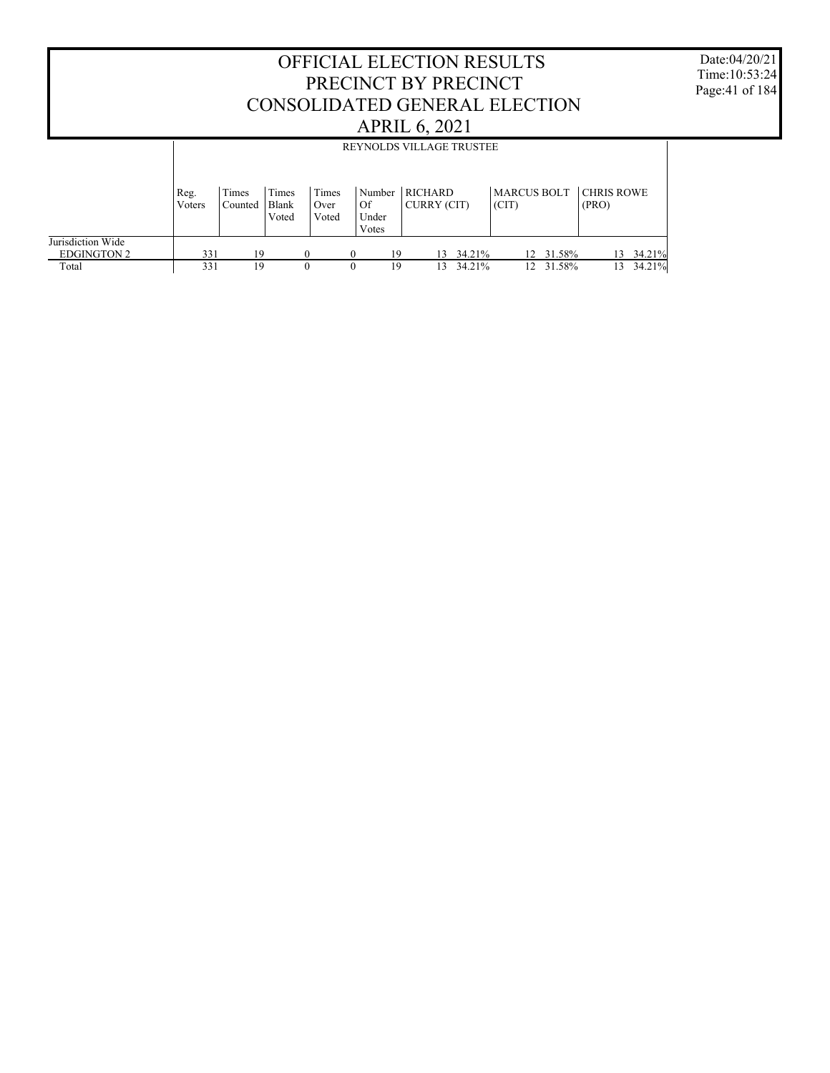#### OFFICIAL ELECTION RESULTS PRECINCT BY PRECINCT CONSOLIDATED GENERAL ELECTION APRIL 6, 2021 Jurisdiction Wide Reg. Voters Times Counted Times Blank Voted Times Over Voted Number RICHARD Of Under Votes CURRY (CIT) MARCUS BOLT CHRIS ROWE  $|_{\text{CIT}}|$ (PRO) REYNOLDS VILLAGE TRUSTEE

331 19 0 0 19 13 34.21% 12 31.58% 13 34.21%

 $12$  31.58%

 EDGINGTON 2 Total

Date:04/20/21 Time:10:53:24 Page:41 of 184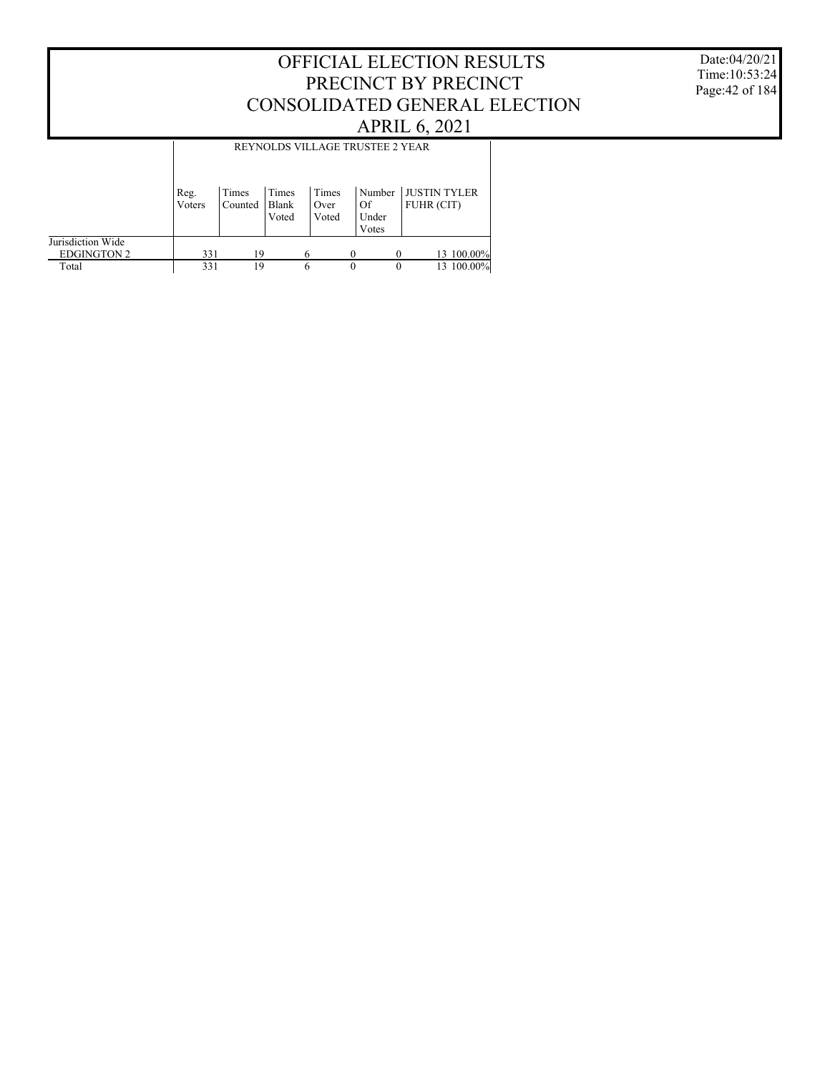Date:04/20/21 Time:10:53:24 Page:42 of 184

|                                         |                | REYNOLDS VILLAGE TRUSTEE 2 YEAR |                         |                        |                                |                            |  |  |  |  |
|-----------------------------------------|----------------|---------------------------------|-------------------------|------------------------|--------------------------------|----------------------------|--|--|--|--|
|                                         | Reg.<br>Voters | Times<br>Counted                | Times<br>Blank<br>Voted | Times<br>Over<br>Voted | Number<br>Of<br>Under<br>Votes | JUSTIN TYLER<br>FUHR (CIT) |  |  |  |  |
| Jurisdiction Wide<br><b>EDGINGTON 2</b> | 331            | 19                              |                         | 6                      |                                | 13 100.00%<br>$\theta$     |  |  |  |  |
| Total                                   | 331            | 19                              |                         | 6                      | $\theta$                       | 13 100,00%<br>$\theta$     |  |  |  |  |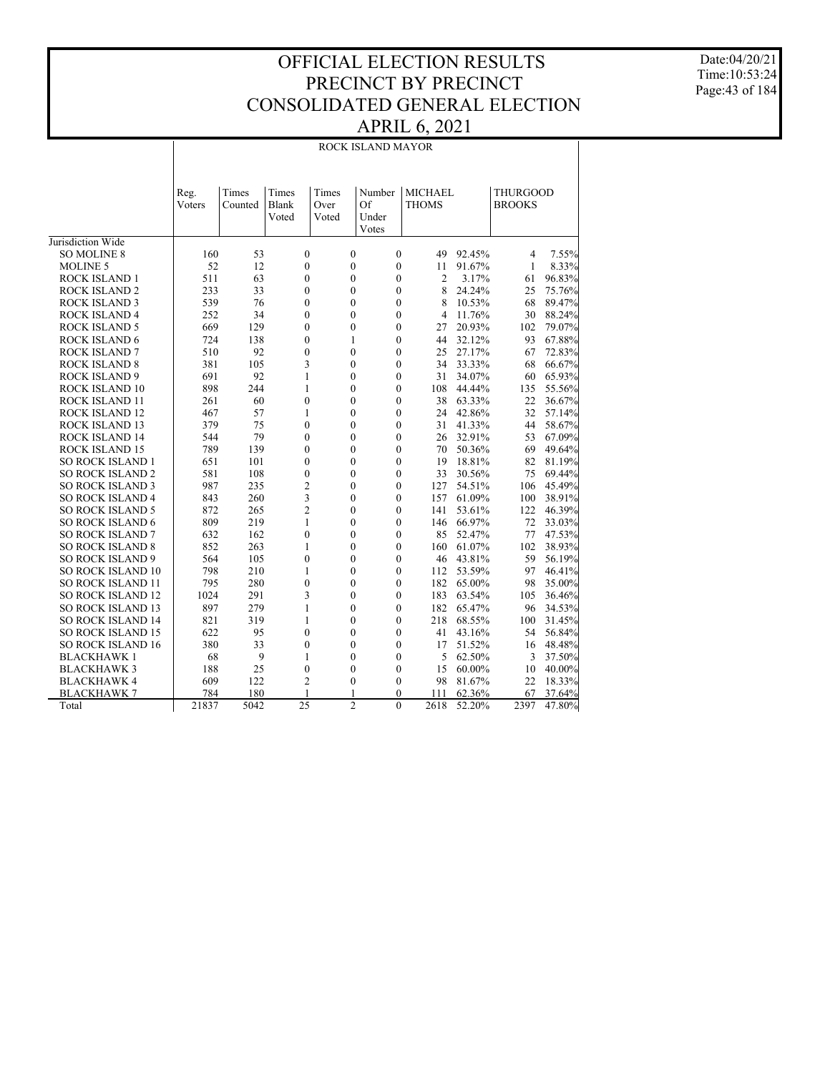Date:04/20/21 Time:10:53:24 Page:43 of 184

#### ROCK ISLAND 1 ROCK ISLAND 2 ROCK ISLAND 3 Reg. Voters Times Counted Times Blank Voted Times Over Voted Number MICHAEL Of Under Votes THOMS THURGOOD **BROOKS** ROCK ISLAND MAYOR 160 53 0 0 0 49 92.45% 4 7.55%  $52$  12 0 0 0 11 91.67%<br>511 63 0 0 0 2 3.17% 511 63 0 0 0 2 3.17% 61 96.83% 233 33 0 0 0 8 24.24% 25 75.76% 68 89.47% 252 34 0 0 0 4 11.76% 30 88.24%

Jurisdiction Wide SO MOLINE 8 MOLINE 5

| <b>ROCK ISLAND 4</b>     | 252   | 34   | $\theta$       | $\Omega$       | 0              | 4    | 11.76% | 30   | 88.24% |
|--------------------------|-------|------|----------------|----------------|----------------|------|--------|------|--------|
| <b>ROCK ISLAND 5</b>     | 669   | 129  | $\mathbf{0}$   | $\mathbf{0}$   | 0              | 27   | 20.93% | 102  | 79.07% |
| <b>ROCK ISLAND 6</b>     | 724   | 138  | $\mathbf{0}$   |                | $\theta$       | 44   | 32.12% | 93   | 67.88% |
| <b>ROCK ISLAND 7</b>     | 510   | 92   | $\theta$       | $\theta$       | $\Omega$       | 25   | 27.17% | 67   | 72.83% |
| <b>ROCK ISLAND 8</b>     | 381   | 105  | 3              | 0              | $\theta$       | 34   | 33.33% | 68   | 66.67% |
| <b>ROCK ISLAND 9</b>     | 691   | 92   |                | $\Omega$       | $\theta$       | 31   | 34.07% | 60   | 65.93% |
| <b>ROCK ISLAND 10</b>    | 898   | 244  |                | 0              | $\theta$       | 108  | 44.44% | 135  | 55.56% |
| <b>ROCK ISLAND 11</b>    | 261   | 60   | 0              | $\theta$       | $\theta$       | 38   | 63.33% | 22   | 36.67% |
| <b>ROCK ISLAND 12</b>    | 467   | 57   |                | 0              | $\overline{0}$ | 24   | 42.86% | 32   | 57.14% |
| <b>ROCK ISLAND 13</b>    | 379   | 75   | $\mathbf{0}$   | $\theta$       | $\theta$       | 31   | 41.33% | 44   | 58.67% |
| <b>ROCK ISLAND 14</b>    | 544   | 79   | $\mathbf{0}$   | 0              | $\theta$       | 26   | 32.91% | 53   | 67.09% |
| <b>ROCK ISLAND 15</b>    | 789   | 139  | $\mathbf{0}$   | 0              | $\theta$       | 70   | 50.36% | 69   | 49.64% |
| <b>SO ROCK ISLAND 1</b>  | 651   | 101  | $\mathbf{0}$   | $\Omega$       | $\theta$       | 19   | 18.81% | 82   | 81.19% |
| <b>SO ROCK ISLAND 2</b>  | 581   | 108  | $\theta$       | 0              | $\theta$       | 33   | 30.56% | 75   | 69.44% |
| <b>SO ROCK ISLAND 3</b>  | 987   | 235  | $\overline{c}$ | 0              | $\theta$       | 127  | 54.51% | 106  | 45.49% |
| <b>SO ROCK ISLAND 4</b>  | 843   | 260  | 3              | 0              | $\theta$       | 157  | 61.09% | 100  | 38.91% |
| <b>SO ROCK ISLAND 5</b>  | 872   | 265  | $\overline{2}$ | $\Omega$       | $\Omega$       | 141  | 53.61% | 122  | 46.39% |
| <b>SO ROCK ISLAND 6</b>  | 809   | 219  |                | 0              | $\theta$       | 146  | 66.97% | 72   | 33.03% |
| <b>SO ROCK ISLAND 7</b>  | 632   | 162  | $\mathbf{0}$   | $\theta$       | $\theta$       | 85   | 52.47% | 77   | 47.53% |
| <b>SO ROCK ISLAND 8</b>  | 852   | 263  | 1              | 0              | 0              | 160  | 61.07% | 102  | 38.93% |
| <b>SO ROCK ISLAND 9</b>  | 564   | 105  | $\mathbf{0}$   | 0              | $\theta$       | 46   | 43.81% | 59   | 56.19% |
| <b>SO ROCK ISLAND 10</b> | 798   | 210  | 1              | 0              | $\theta$       | 112  | 53.59% | 97   | 46.41% |
| <b>SO ROCK ISLAND 11</b> | 795   | 280  | $\mathbf{0}$   | $\theta$       | $\theta$       | 182  | 65.00% | 98   | 35.00% |
| <b>SO ROCK ISLAND 12</b> | 1024  | 291  | 3              | 0              | $\theta$       | 183  | 63.54% | 105  | 36.46% |
| <b>SO ROCK ISLAND 13</b> | 897   | 279  |                | 0              | $\theta$       | 182  | 65.47% | 96   | 34.53% |
| <b>SO ROCK ISLAND 14</b> | 821   | 319  | 1              | $\theta$       | $\theta$       | 218  | 68.55% | 100  | 31.45% |
| <b>SO ROCK ISLAND 15</b> | 622   | 95   | $\mathbf{0}$   | 0              | $\theta$       | 41   | 43.16% | 54   | 56.84% |
| <b>SO ROCK ISLAND 16</b> | 380   | 33   | 0              | 0              | $\theta$       | 17   | 51.52% | 16   | 48.48% |
| <b>BLACKHAWK1</b>        | 68    | 9    |                | 0              | 0              | 5    | 62.50% | 3    | 37.50% |
| <b>BLACKHAWK 3</b>       | 188   | 25   | $\mathbf{0}$   | $\theta$       | $\theta$       | 15   | 60.00% | 10   | 40.00% |
| <b>BLACKHAWK4</b>        | 609   | 122  | $\overline{2}$ | $\Omega$       | 0              | 98   | 81.67% | 22   | 18.33% |
| <b>BLACKHAWK7</b>        | 784   | 180  |                |                | 0              | 111  | 62.36% | 67   | 37.64% |
| Total                    | 21837 | 5042 | 25             | $\overline{2}$ | $\Omega$       | 2618 | 52.20% | 2397 | 47.80% |
|                          |       |      |                |                |                |      |        |      |        |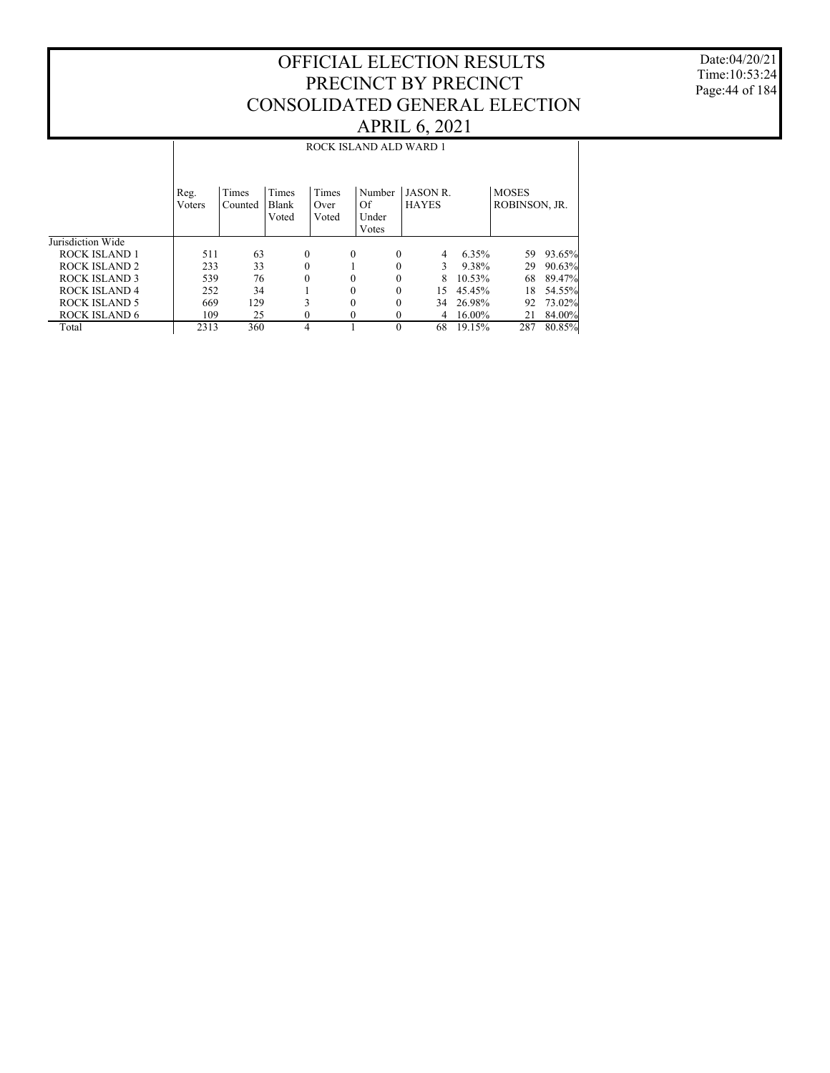Date:04/20/21 Time:10:53:24 Page:44 of 184

|                      | ROCK ISLAND ALD WARD 1 |                  |                         |                        |              |                                |                                |  |        |                               |        |
|----------------------|------------------------|------------------|-------------------------|------------------------|--------------|--------------------------------|--------------------------------|--|--------|-------------------------------|--------|
|                      | Reg.<br>Voters         | Times<br>Counted | Times<br>Blank<br>Voted | Times<br>Over<br>Voted |              | Number<br>Of<br>Under<br>Votes | <b>JASON R</b><br><b>HAYES</b> |  |        | <b>MOSES</b><br>ROBINSON, JR. |        |
| Jurisdiction Wide    |                        |                  |                         |                        |              |                                |                                |  |        |                               |        |
| <b>ROCK ISLAND 1</b> | 511                    | 63               |                         | $\mathbf{0}$           | $\mathbf{0}$ | $\theta$                       | 4                              |  | 6.35%  | 59                            | 93.65% |
| ROCK ISLAND 2        | 233                    | 33               |                         | $\theta$               |              | $\Omega$                       | 3                              |  | 9.38%  | 29                            | 90.63% |
| ROCK ISLAND 3        | 539                    | 76               |                         | $\mathbf{0}$           | $\theta$     | $\theta$                       | 8                              |  | 10.53% | 68                            | 89.47% |
| ROCK ISLAND 4        | 252                    | 34               |                         |                        | $\theta$     | $\theta$                       | 15                             |  | 45.45% | 18                            | 54.55% |
| <b>ROCK ISLAND 5</b> | 669                    | 129              |                         | 3                      | $\theta$     | $\theta$                       | 34                             |  | 26.98% | 92                            | 73.02% |
| <b>ROCK ISLAND 6</b> | 109                    | 25               |                         | $\mathbf{0}$           | $\Omega$     | $\Omega$                       | 4                              |  | 16.00% | 21                            | 84.00% |
| Total                | 2313                   | 360              |                         | $\overline{4}$         |              | $\Omega$                       | 68                             |  | 19.15% | 287                           | 80.85% |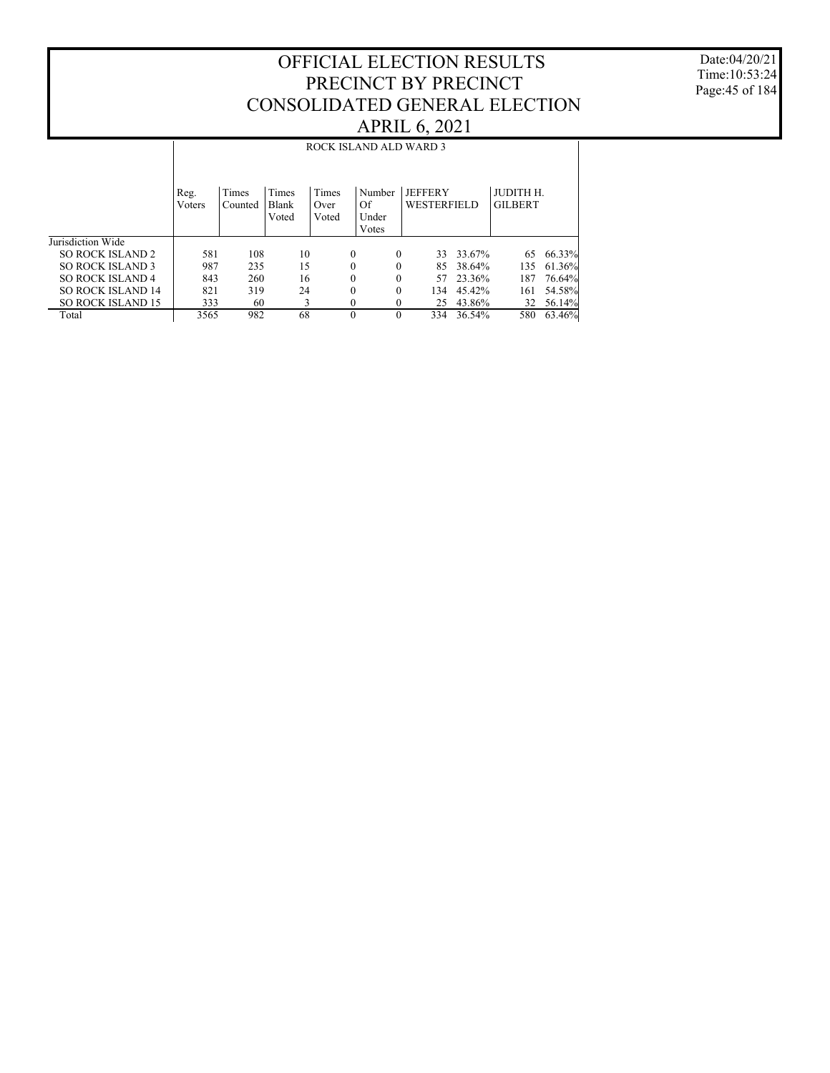Date:04/20/21 Time:10:53:24 Page:45 of 184

|                          | ROCK ISLAND ALD WARD 3 |                  |                         |                        |                                |                                      |        |                             |        |
|--------------------------|------------------------|------------------|-------------------------|------------------------|--------------------------------|--------------------------------------|--------|-----------------------------|--------|
|                          | Reg.<br>Voters         | Times<br>Counted | Times<br>Blank<br>Voted | Times<br>Over<br>Voted | Number<br>Of<br>Under<br>Votes | <b>JEFFERY</b><br><b>WESTERFIELD</b> |        | JUDITH H.<br><b>GILBERT</b> |        |
| Jurisdiction Wide        |                        |                  |                         |                        |                                |                                      |        |                             |        |
| <b>SO ROCK ISLAND 2</b>  | 581                    | 108              | 10                      |                        | $\Omega$<br>$\theta$           | 33                                   | 33.67% | 65                          | 66.33% |
| <b>SO ROCK ISLAND 3</b>  | 987                    | 235              | 15                      |                        | $\theta$                       | 85                                   | 38.64% | 135                         | 61.36% |
| <b>SO ROCK ISLAND 4</b>  | 843                    | 260              | 16                      |                        | $\Omega$<br>$\theta$           | 57                                   | 23.36% | 187                         | 76.64% |
| <b>SO ROCK ISLAND 14</b> | 821                    | 319              | 24                      |                        | $\theta$<br>$\Omega$           | 134                                  | 45.42% | 161                         | 54.58% |
| <b>SO ROCK ISLAND 15</b> | 333                    | 60               | 3                       |                        | 0                              | 25                                   | 43.86% | 32                          | 56.14% |
| Total                    | 3565                   | 982              | 68                      |                        | $\theta$<br>$\Omega$           | 334                                  | 36.54% | 580                         | 63.46% |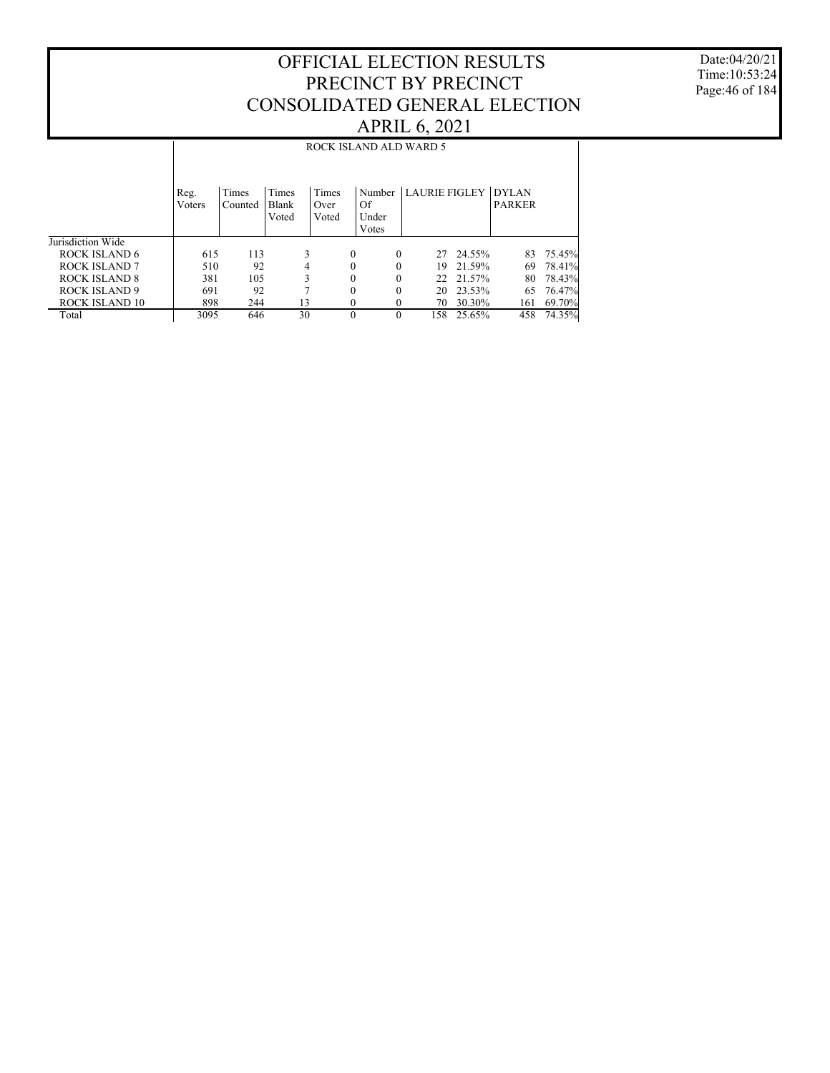Date:04/20/21 Time:10:53:24 Page:46 of 184

|                      | ROCK ISLAND ALD WARD 5 |                  |                         |                        |                      |                            |        |               |        |  |
|----------------------|------------------------|------------------|-------------------------|------------------------|----------------------|----------------------------|--------|---------------|--------|--|
|                      | Reg.<br>Voters         | Times<br>Counted | Times<br>Blank<br>Voted | Times<br>Over<br>Voted | Of<br>Under<br>Votes | Number LAURIE FIGLEY DYLAN |        | <b>PARKER</b> |        |  |
| Jurisdiction Wide    |                        |                  |                         |                        |                      |                            |        |               |        |  |
| ROCK ISLAND 6        | 615                    | 113              | 3                       | $\theta$               | $\theta$             | 27                         | 24.55% | 83            | 75.45% |  |
| ROCK ISLAND 7        | 510                    | 92               | 4                       | 0                      | 0                    | 19                         | 21.59% | 69            | 78.41% |  |
| ROCK ISLAND 8        | 381                    | 105              | 3                       | 0                      | 0                    | 22.                        | 21.57% | 80            | 78.43% |  |
| <b>ROCK ISLAND 9</b> | 691                    | 92               |                         | 0                      | $\Omega$             | 20                         | 23.53% | 65            | 76.47% |  |
| ROCK ISLAND 10       | 898                    | 244              | 13                      | 0                      |                      | 70                         | 30.30% | 161           | 69.70% |  |
| Total                | 3095                   | 646              | 30                      | $\theta$               |                      | 158.                       | 25.65% | 458           | 74.35% |  |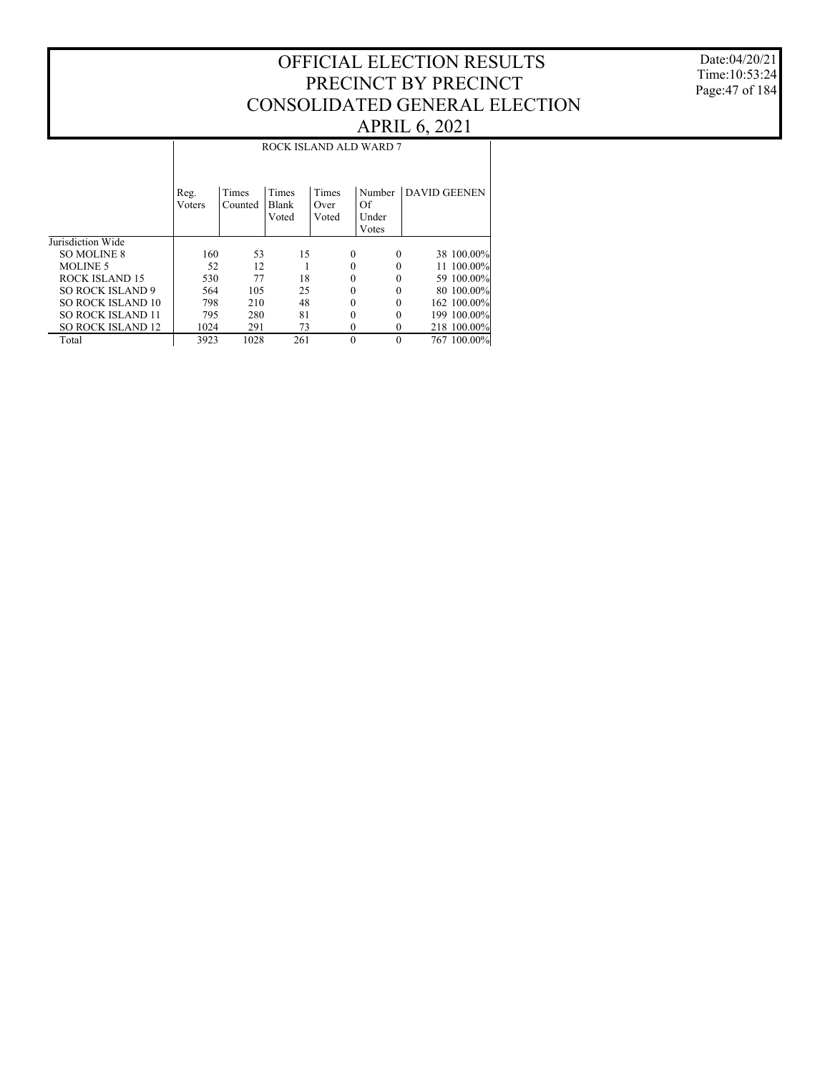Date:04/20/21 Time:10:53:24 Page:47 of 184

#### Jurisdiction Wide SO MOLINE 8 MOLINE 5 ROCK ISLAND 15 SO ROCK ISLAND 9 SO ROCK ISLAND 10 SO ROCK ISLAND 11 SO ROCK ISLAND 12 Total Reg. Voters Times Counted Times Blank Voted Times Over Voted Number DAVID GEENEN Of Under Votes ROCK ISLAND ALD WARD 7 160 53 15 0 0 38 100.00% 52 12 1 0 0 11 100.00%<br>530 77 18 0 0 59 100.00% 530 77 18 0 0 59 100.00% 564 105 25 0 0 80 100.00% 798 210 48 0 0 162 100.00% 795 280 81 0 0 199 100.00% 1024 291 73 0 0 218 100.00%<br>3923 1028 261 0 0 767 100.00% 767 100.00%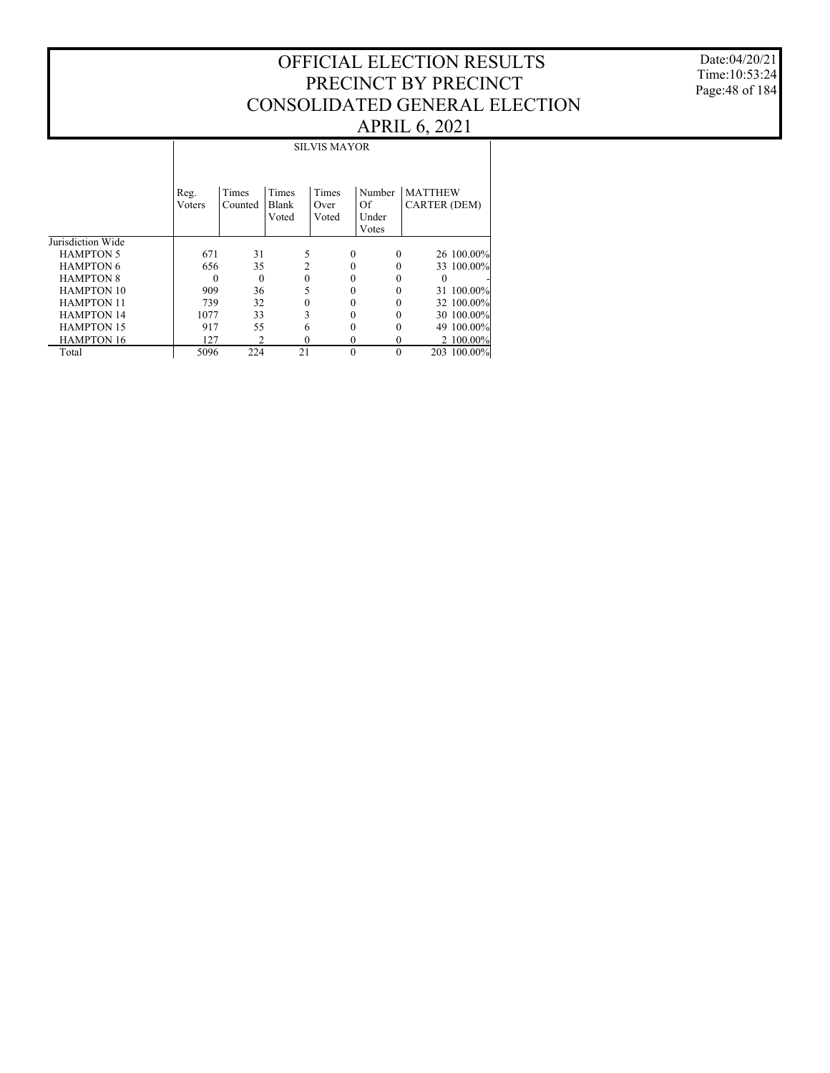Date:04/20/21 Time:10:53:24 Page:48 of 184

|                   | <b>SILVIS MAYOR</b> |                  |                         |                        |                                |                                       |  |  |  |
|-------------------|---------------------|------------------|-------------------------|------------------------|--------------------------------|---------------------------------------|--|--|--|
|                   | Reg.<br>Voters      | Times<br>Counted | Times<br>Blank<br>Voted | Times<br>Over<br>Voted | Number<br>Of<br>Under<br>Votes | <b>MATTHEW</b><br><b>CARTER (DEM)</b> |  |  |  |
| Jurisdiction Wide |                     |                  |                         |                        |                                |                                       |  |  |  |
| <b>HAMPTON 5</b>  | 671                 | 31               | 5                       | $\Omega$               | 0                              | 26 100.00%                            |  |  |  |
| <b>HAMPTON 6</b>  | 656                 | 35               | 2                       | 0                      | 0                              | 33 100.00%                            |  |  |  |
| <b>HAMPTON 8</b>  | $\Omega$            | $\theta$         | $\theta$                | 0                      |                                | $\Omega$                              |  |  |  |
| <b>HAMPTON 10</b> | 909                 | 36               | 5                       | 0                      |                                | 31 100.00%                            |  |  |  |
| <b>HAMPTON 11</b> | 739                 | 32               |                         | 0                      |                                | 32 100.00%                            |  |  |  |
| <b>HAMPTON 14</b> | 1077                | 33               | 3                       | 0                      |                                | 30 100.00%                            |  |  |  |
| <b>HAMPTON 15</b> | 917                 | 55               | 6                       | 0                      |                                | 49 100.00%                            |  |  |  |
| <b>HAMPTON 16</b> | 127                 | $\overline{c}$   | $\theta$                | $\theta$               | 0                              | 2 100.00%                             |  |  |  |
| Total             | 5096                | 224              | 21                      | $\theta$               | $\theta$                       | 203 100.00%                           |  |  |  |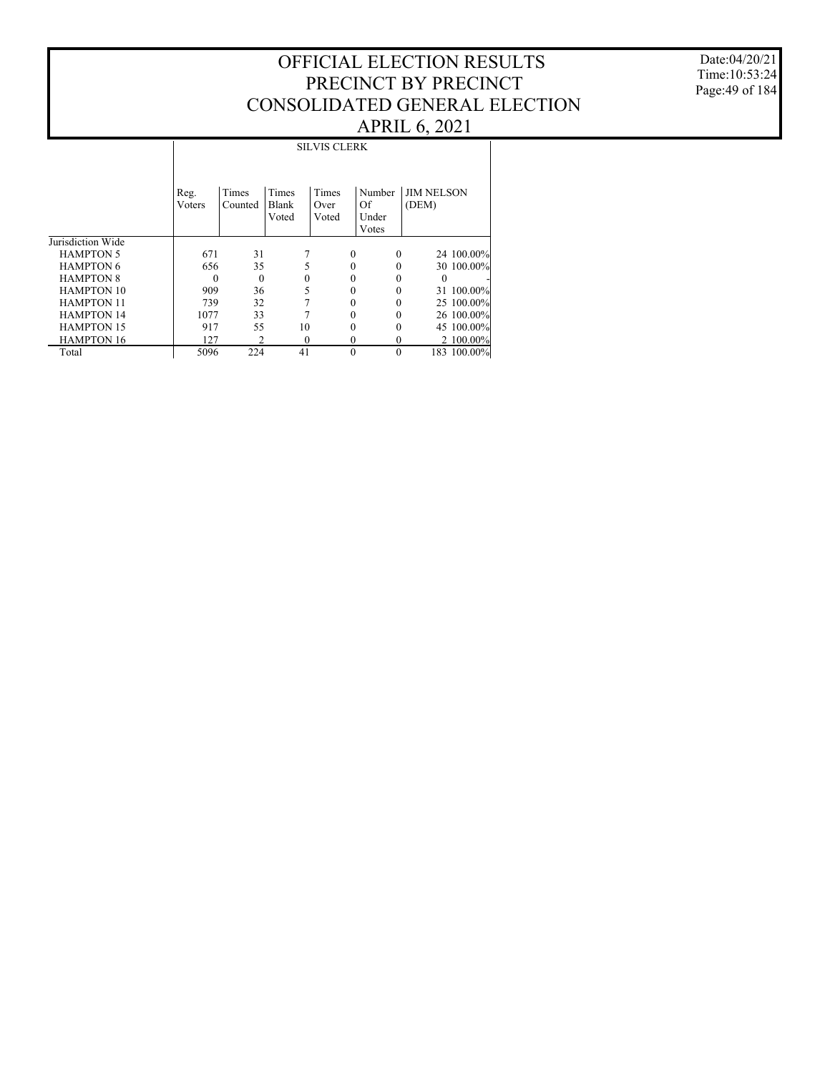Date:04/20/21 Time:10:53:24 Page:49 of 184

|                   |                | <b>SILVIS CLERK</b> |                         |                        |                                |                            |  |  |  |  |
|-------------------|----------------|---------------------|-------------------------|------------------------|--------------------------------|----------------------------|--|--|--|--|
|                   | Reg.<br>Voters | Times<br>Counted    | Times<br>Blank<br>Voted | Times<br>Over<br>Voted | Number<br>Of<br>Under<br>Votes | <b>JIM NELSON</b><br>(DEM) |  |  |  |  |
| Jurisdiction Wide |                |                     |                         |                        |                                |                            |  |  |  |  |
| <b>HAMPTON 5</b>  | 671            | 31                  |                         | $\Omega$               | $\Omega$                       | 24 100.00%                 |  |  |  |  |
| <b>HAMPTON 6</b>  | 656            | 35                  | 5                       | 0                      | 0                              | 30 100.00%                 |  |  |  |  |
| <b>HAMPTON 8</b>  | $\Omega$       | $\mathbf{0}$        | $\Omega$                |                        | 0                              | $\Omega$                   |  |  |  |  |
| <b>HAMPTON 10</b> | 909            | 36                  | 5                       | 0                      | 0                              | 31 100.00%                 |  |  |  |  |
| <b>HAMPTON 11</b> | 739            | 32                  |                         |                        |                                | 25 100.00%                 |  |  |  |  |
| <b>HAMPTON 14</b> | 1077           | 33                  |                         | 0                      |                                | 26 100.00%                 |  |  |  |  |
| <b>HAMPTON 15</b> | 917            | 55                  | 10                      | 0                      | 0                              | 45 100.00%                 |  |  |  |  |
| <b>HAMPTON 16</b> | 127            | $\overline{c}$      | $\Omega$                | $\theta$               | $\theta$                       | 2 100.00%                  |  |  |  |  |
| Total             | 5096           | 224                 | 41                      | $\theta$               | $\theta$                       | 183 100.00%                |  |  |  |  |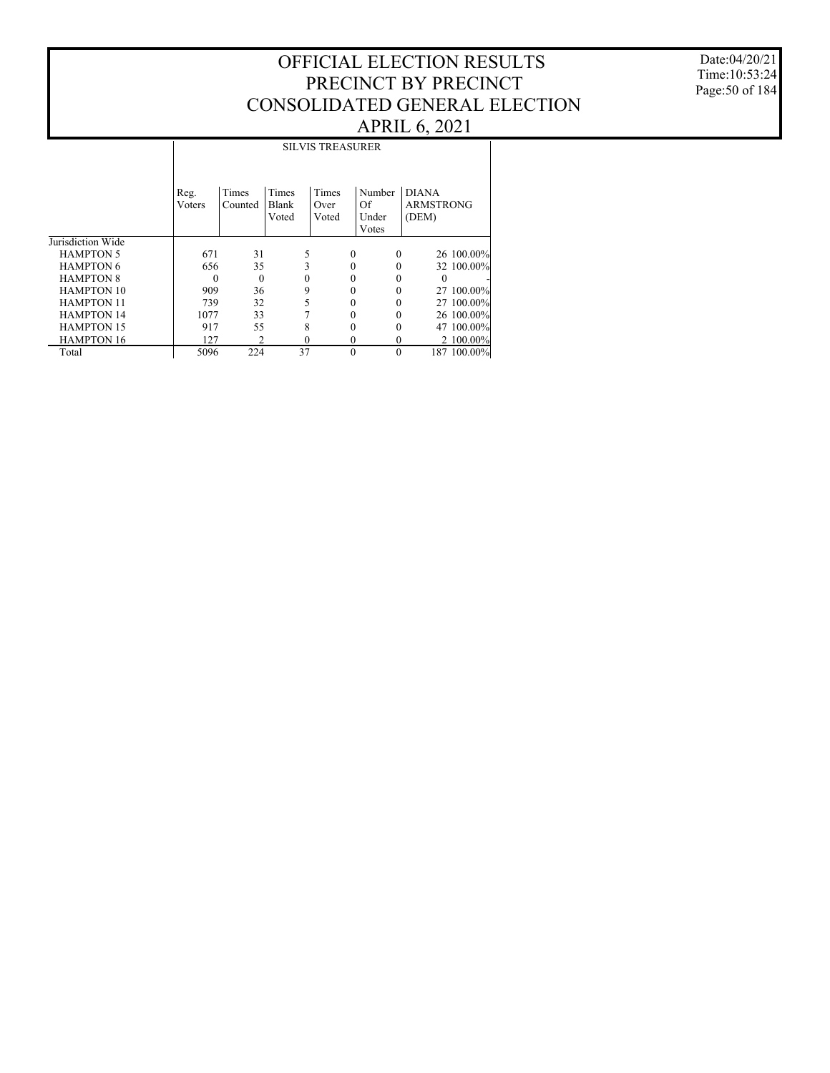Date:04/20/21 Time:10:53:24 Page:50 of 184

|                   | <b>SILVIS TREASURER</b> |              |                |               |             |                           |  |  |  |
|-------------------|-------------------------|--------------|----------------|---------------|-------------|---------------------------|--|--|--|
|                   | Reg.                    | Times        | Times          | Times         | Number      | <b>DIANA</b>              |  |  |  |
|                   | Voters                  | Counted      | Blank<br>Voted | Over<br>Voted | Of<br>Under | <b>ARMSTRONG</b><br>(DEM) |  |  |  |
|                   |                         |              |                |               | Votes       |                           |  |  |  |
| Jurisdiction Wide |                         |              |                |               |             |                           |  |  |  |
| <b>HAMPTON 5</b>  | 671                     | 31           |                | 0             | 0           | 26 100.00%                |  |  |  |
| <b>HAMPTON 6</b>  | 656                     | 35           | 3              | 0             | 0           | 32 100.00%                |  |  |  |
| <b>HAMPTON 8</b>  | $\Omega$                | $\mathbf{0}$ | $\Omega$       |               |             | 0                         |  |  |  |
| <b>HAMPTON 10</b> | 909                     | 36           | 9              |               | 0           | 27 100.00%                |  |  |  |
| <b>HAMPTON 11</b> | 739                     | 32           | 5              |               |             | 27 100,00%                |  |  |  |
| <b>HAMPTON 14</b> | 1077                    | 33           |                |               |             | 26 100.00%                |  |  |  |
| <b>HAMPTON 15</b> | 917                     | 55           | 8              | 0             | 0           | 47 100,00%                |  |  |  |
| <b>HAMPTON 16</b> | 127                     | 2            | $\theta$       | 0             | 0           | 2 100.00%                 |  |  |  |
| Total             | 5096                    | 224          | 37             | $\theta$      | $\theta$    | 187 100.00%               |  |  |  |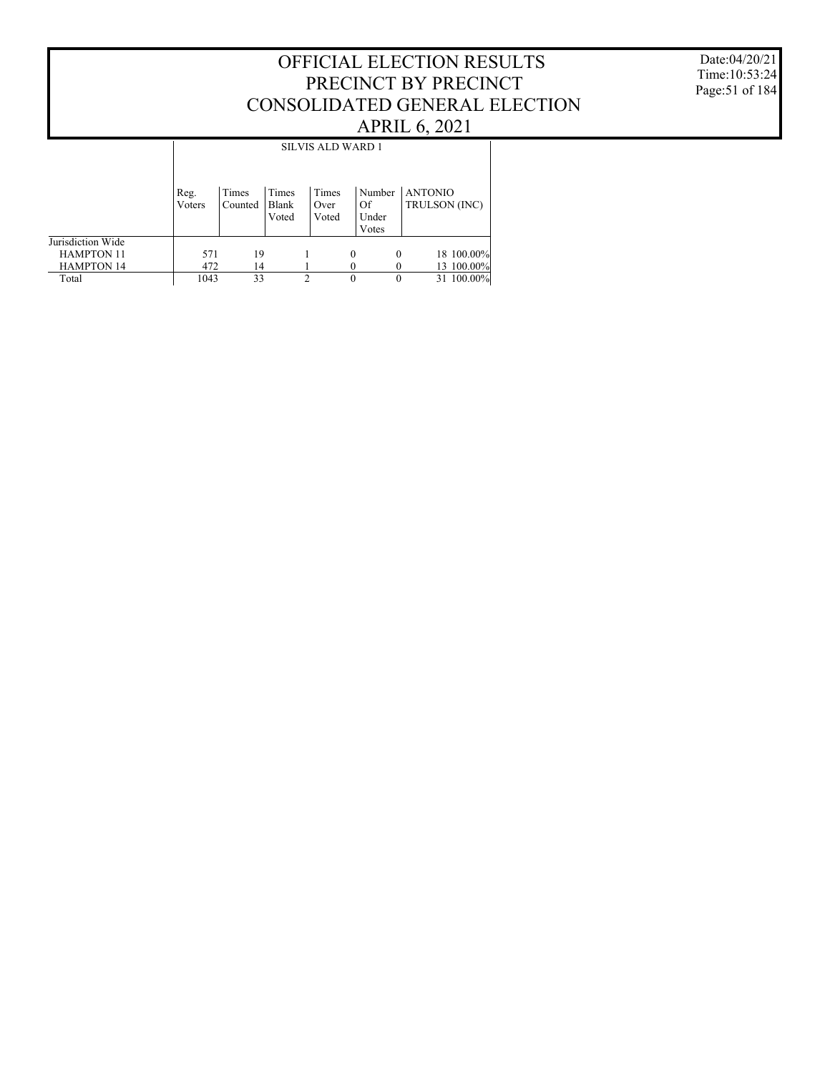#### Date:04/20/21 Time:10:53:24 Page:51 of 184

|                   |                |                  |                         |   | <b>SILVIS ALD WARD 1</b> |   |                                |                                 |  |            |  |
|-------------------|----------------|------------------|-------------------------|---|--------------------------|---|--------------------------------|---------------------------------|--|------------|--|
|                   | Reg.<br>Voters | Times<br>Counted | Times<br>Blank<br>Voted |   | Times<br>Over<br>Voted   |   | Number<br>Of<br>Under<br>Votes | <b>ANTONIO</b><br>TRULSON (INC) |  |            |  |
| Jurisdiction Wide |                |                  |                         |   |                          |   |                                |                                 |  |            |  |
| <b>HAMPTON 11</b> | 571            | 19               |                         |   |                          | 0 | $\Omega$                       |                                 |  | 18 100.00% |  |
| <b>HAMPTON 14</b> | 472            | 14               |                         |   |                          |   |                                |                                 |  | 13 100.00% |  |
| Total             | 1043           | 33               |                         | 2 |                          | 0 |                                |                                 |  | 31 100.00% |  |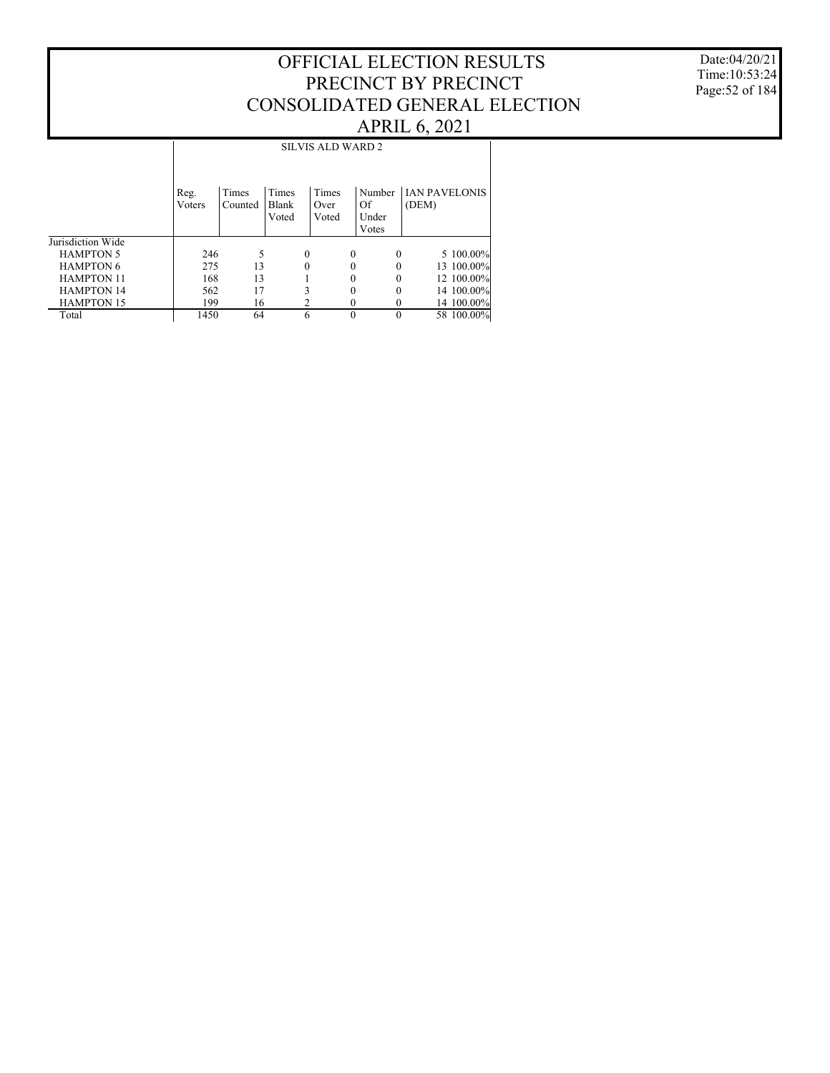Date:04/20/21 Time:10:53:24 Page:52 of 184

|                   |                | <b>SILVIS ALD WARD 2</b> |                         |   |                        |   |                                |                               |  |  |  |
|-------------------|----------------|--------------------------|-------------------------|---|------------------------|---|--------------------------------|-------------------------------|--|--|--|
|                   | Reg.<br>Voters | Times<br>Counted         | Times<br>Blank<br>Voted |   | Times<br>Over<br>Voted |   | Number<br>Of<br>Under<br>Votes | <b>IAN PAVELONIS</b><br>(DEM) |  |  |  |
| Jurisdiction Wide |                |                          |                         |   |                        |   |                                |                               |  |  |  |
| <b>HAMPTON 5</b>  | 246            | 5                        |                         | 0 |                        | 0 | 0                              | 5 100.00%                     |  |  |  |
| <b>HAMPTON 6</b>  | 275            | 13                       |                         | 0 |                        | 0 | 0                              | 13 100.00%                    |  |  |  |
| <b>HAMPTON 11</b> | 168            | 13                       |                         |   |                        |   | 0                              | 12 100.00%                    |  |  |  |
| <b>HAMPTON 14</b> | 562            | 17                       |                         |   |                        | 0 | 0                              | 14 100.00%                    |  |  |  |
| <b>HAMPTON 15</b> | 199            | 16                       |                         |   |                        | 0 | $\theta$                       | 14 100,00%                    |  |  |  |
| Total             | 1450           | 64                       |                         | 6 |                        | 0 | $\theta$                       | 58 100.00%                    |  |  |  |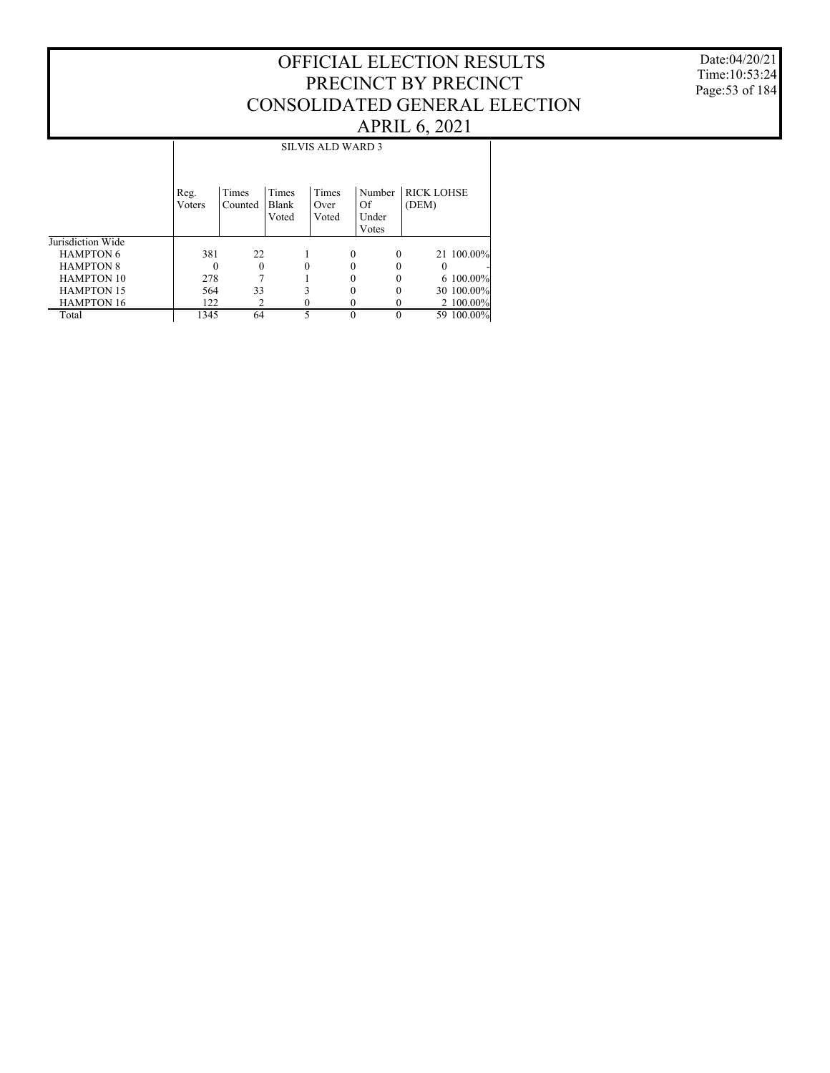Date:04/20/21 Time:10:53:24 Page:53 of 184

|                   |                | <b>SILVIS ALD WARD 3</b> |                         |                        |                                |                            |            |  |  |  |  |
|-------------------|----------------|--------------------------|-------------------------|------------------------|--------------------------------|----------------------------|------------|--|--|--|--|
|                   | Reg.<br>Voters | Times<br>Counted         | Times<br>Blank<br>Voted | Times<br>Over<br>Voted | Number<br>Of<br>Under<br>Votes | <b>RICK LOHSE</b><br>(DEM) |            |  |  |  |  |
| Jurisdiction Wide |                |                          |                         |                        |                                |                            |            |  |  |  |  |
| <b>HAMPTON 6</b>  | 381            | 22                       |                         |                        | $\Omega$                       | $\theta$                   | 21 100.00% |  |  |  |  |
| <b>HAMPTON 8</b>  | $\theta$       | $\Omega$                 | $\theta$                |                        | 0                              | $\Omega$                   | $\theta$   |  |  |  |  |
| <b>HAMPTON 10</b> | 278            |                          |                         |                        | 0                              |                            | 6 100.00%  |  |  |  |  |
| <b>HAMPTON 15</b> | 564            | 33                       | 3                       |                        | 0                              | 0                          | 30 100.00% |  |  |  |  |
| <b>HAMPTON 16</b> | 122            | 2                        | 0                       |                        |                                | 0                          | 2 100.00%  |  |  |  |  |
| Total             | 1345           | 64                       | 5                       |                        | $\Omega$                       | 0                          | 59 100.00% |  |  |  |  |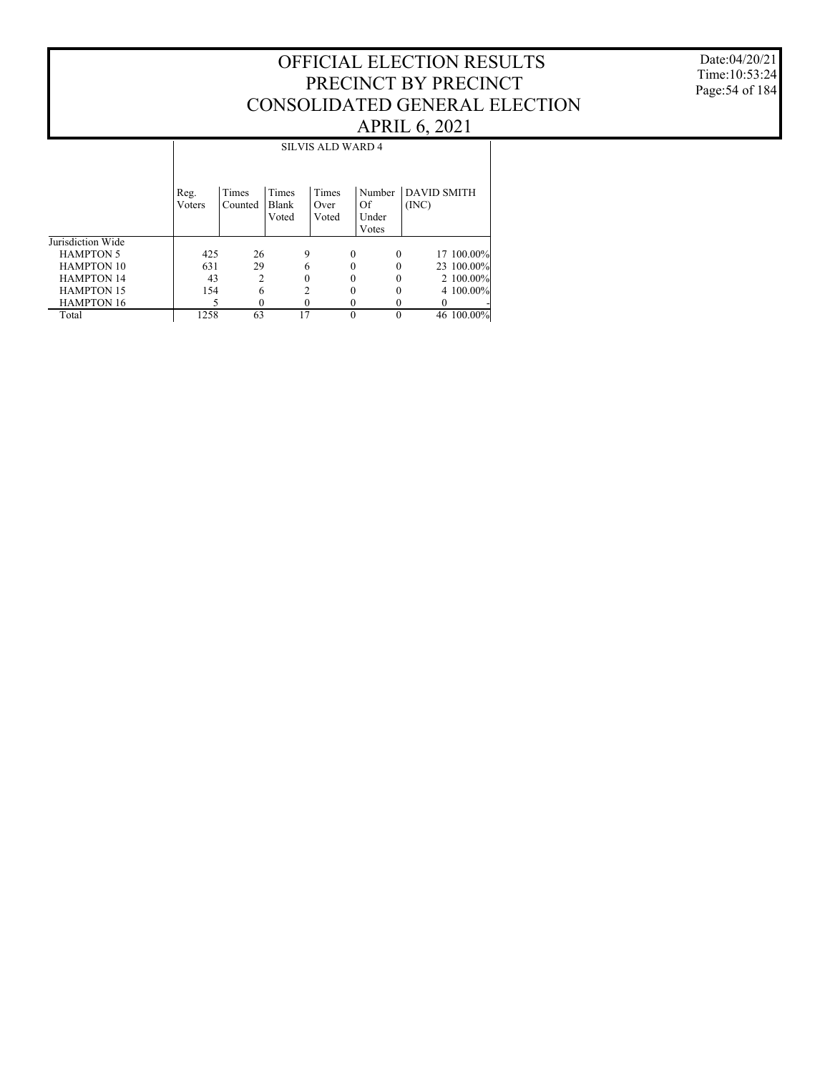Date:04/20/21 Time:10:53:24 Page:54 of 184

|                   |                | <b>SILVIS ALD WARD 4</b> |                         |                        |                                |                             |  |  |  |  |  |  |
|-------------------|----------------|--------------------------|-------------------------|------------------------|--------------------------------|-----------------------------|--|--|--|--|--|--|
|                   | Reg.<br>Voters | Times<br>Counted         | Times<br>Blank<br>Voted | Times<br>Over<br>Voted | Number<br>Of<br>Under<br>Votes | <b>DAVID SMITH</b><br>(INC) |  |  |  |  |  |  |
| Jurisdiction Wide |                |                          |                         |                        |                                |                             |  |  |  |  |  |  |
| <b>HAMPTON 5</b>  | 425            | 26                       | 9                       | $\Omega$               | $\Omega$                       | 17 100.00%                  |  |  |  |  |  |  |
| <b>HAMPTON 10</b> | 631            | 29                       | 6                       |                        |                                | 23 100.00%                  |  |  |  |  |  |  |
| <b>HAMPTON 14</b> | 43             | $\mathfrak{D}$           | 0                       |                        |                                | 2 100.00%                   |  |  |  |  |  |  |
| <b>HAMPTON 15</b> | 154            | 6                        |                         | 0                      | 0                              | 4 100,00%                   |  |  |  |  |  |  |
| <b>HAMPTON 16</b> |                |                          |                         |                        |                                |                             |  |  |  |  |  |  |
| Total             | 1258           | 63                       | 17                      | $\Omega$               | 0                              | 46 100.00%                  |  |  |  |  |  |  |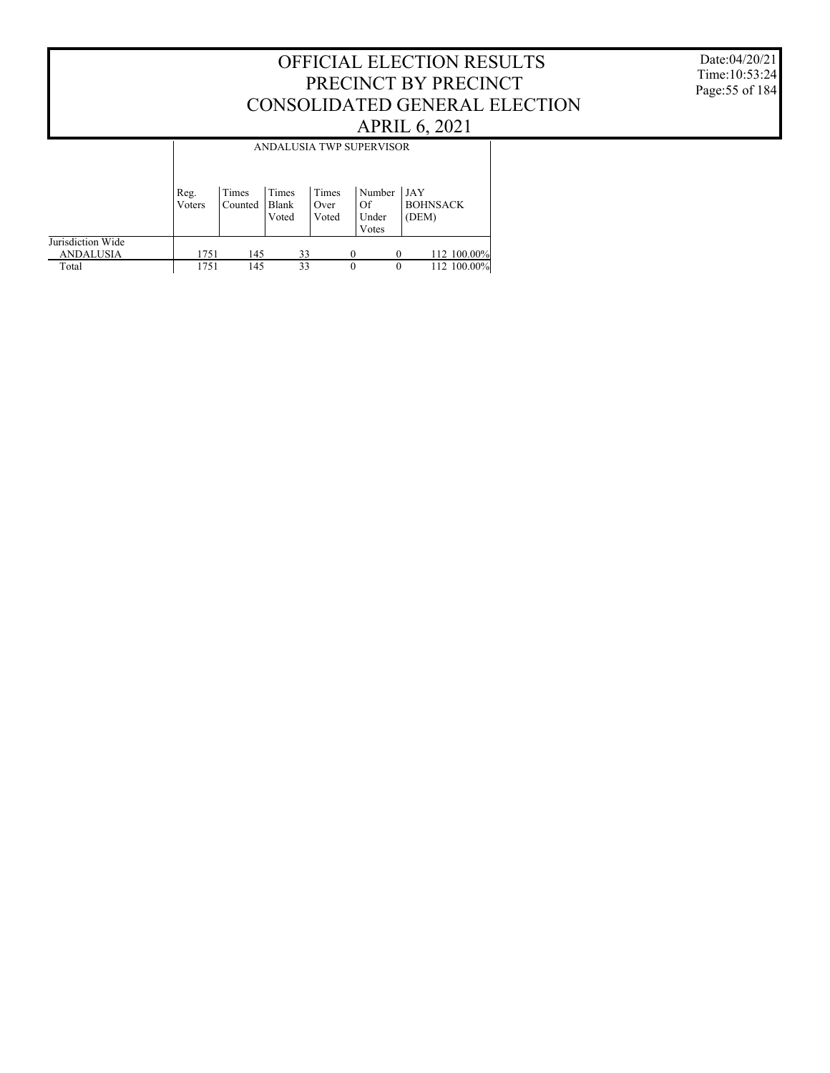Date:04/20/21 Time:10:53:24 Page:55 of 184

|                                       |                |                  |                         |                        | ANDALUSIA TWP SUPERVISOR       |                                 |
|---------------------------------------|----------------|------------------|-------------------------|------------------------|--------------------------------|---------------------------------|
|                                       | Reg.<br>Voters | Times<br>Counted | Times<br>Blank<br>Voted | Times<br>Over<br>Voted | Number<br>Of<br>Under<br>Votes | JAY<br><b>BOHNSACK</b><br>(DEM) |
| Jurisdiction Wide<br><b>ANDALUSIA</b> | 1751           | 145              | 33                      |                        |                                | 112 100.00%                     |
| Total                                 | 1751           | 145              | 33                      |                        | $\Omega$                       | 112 100.00%<br>$\theta$         |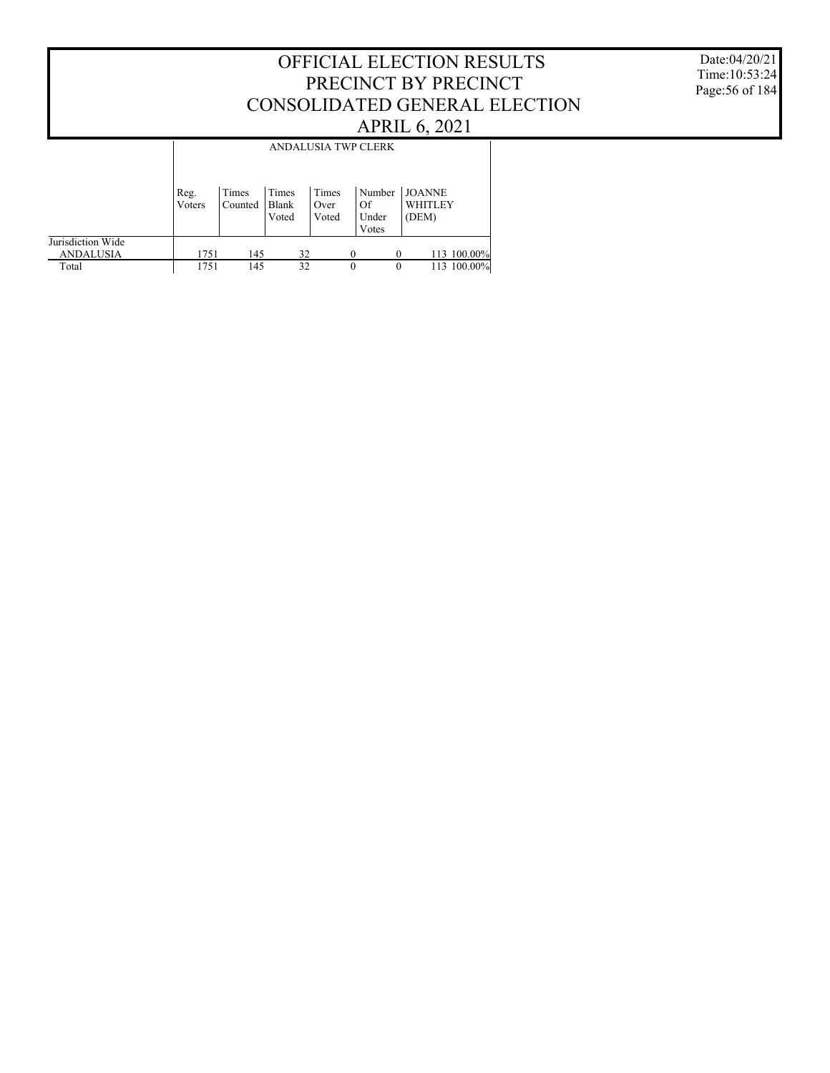Date:04/20/21 Time:10:53:24 Page:56 of 184

|                                       |                |                  |                         |                        | ANDALUSIA TWP CLERK            |                                   |
|---------------------------------------|----------------|------------------|-------------------------|------------------------|--------------------------------|-----------------------------------|
|                                       | Reg.<br>Voters | Times<br>Counted | Times<br>Blank<br>Voted | Times<br>Over<br>Voted | Number<br>Of<br>Under<br>Votes | <b>JOANNE</b><br>WHITLEY<br>(DEM) |
| Jurisdiction Wide<br><b>ANDALUSIA</b> | 1751           | 145              | 32                      |                        |                                | 113 100.00%<br>$\Omega$           |
| Total                                 | 1751           | 145              | 32                      |                        | $\Omega$                       | 113 100.00%<br>$\theta$           |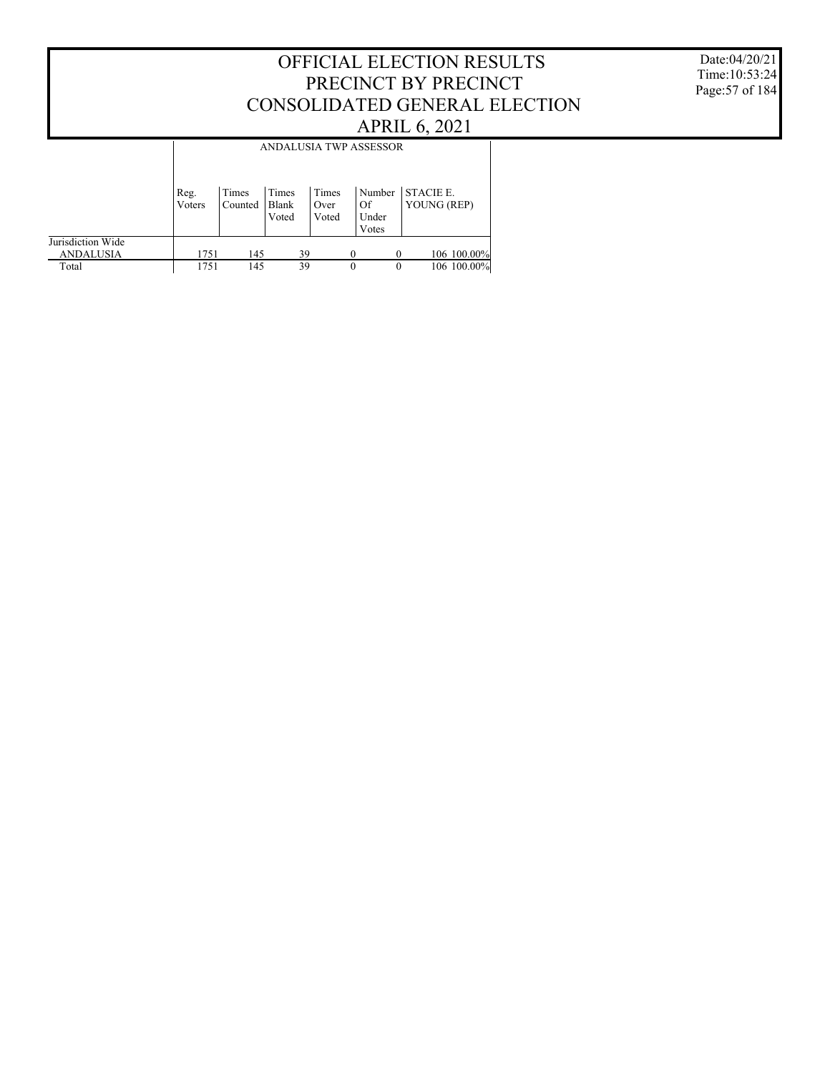#### Date:04/20/21 Time:10:53:24 Page:57 of 184

|                                       |                | <b>ANDALUSIA TWP ASSESSOR</b> |                         |                        |                                |                                 |  |  |  |  |  |
|---------------------------------------|----------------|-------------------------------|-------------------------|------------------------|--------------------------------|---------------------------------|--|--|--|--|--|
|                                       | Reg.<br>Voters | Times<br>Counted              | Times<br>Blank<br>Voted | Times<br>Over<br>Voted | Number<br>Of<br>Under<br>Votes | <b>STACIE E.</b><br>YOUNG (REP) |  |  |  |  |  |
| Jurisdiction Wide<br><b>ANDALUSIA</b> | 1751           | 145                           | 39                      |                        |                                | 106 100.00%<br>$\Omega$         |  |  |  |  |  |
| Total                                 | 1751           | 145                           | 39                      |                        | $\theta$                       | 106 100.00%<br>$\theta$         |  |  |  |  |  |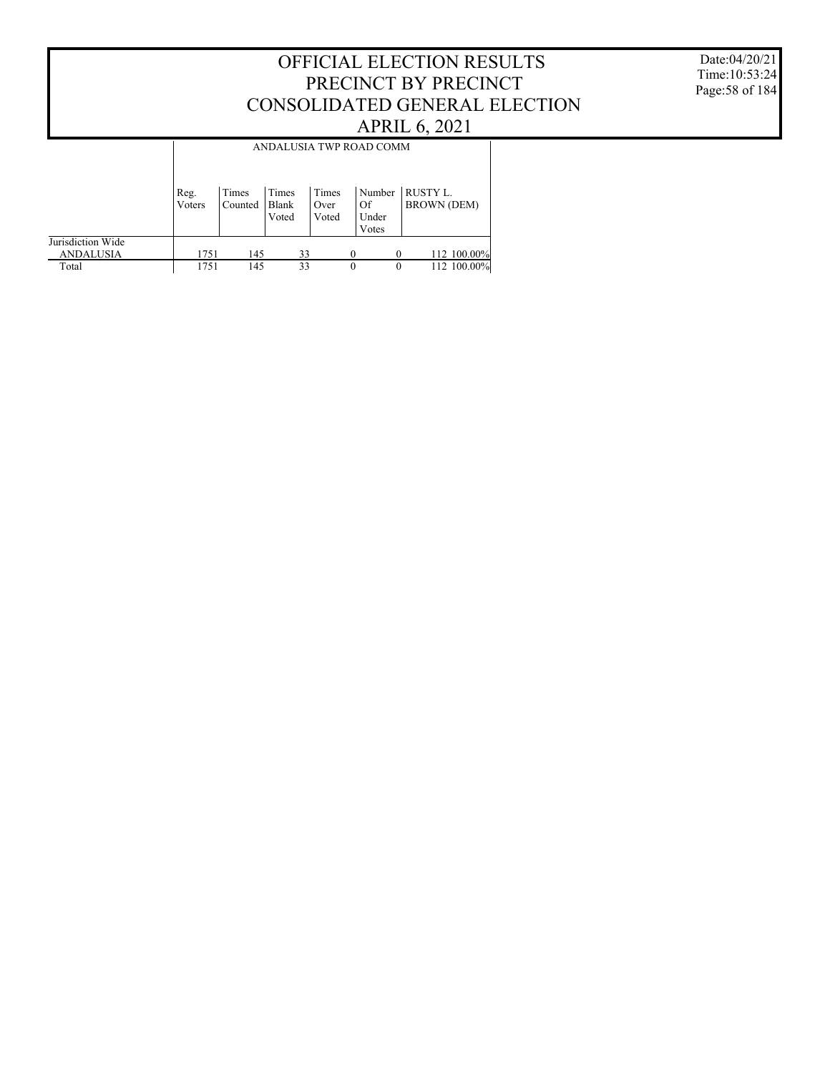Date:04/20/21 Time:10:53:24 Page:58 of 184

|                                       |                |                  |                         |                        | ANDALUSIA TWP ROAD COMM        |                                       |
|---------------------------------------|----------------|------------------|-------------------------|------------------------|--------------------------------|---------------------------------------|
|                                       |                |                  |                         |                        |                                |                                       |
|                                       | Reg.<br>Voters | Times<br>Counted | Times<br>Blank<br>Voted | Times<br>Over<br>Voted | Number<br>Of<br>Under<br>Votes | <b>RUSTY L.</b><br><b>BROWN (DEM)</b> |
| Jurisdiction Wide<br><b>ANDALUSIA</b> | 1751           | 145              | 33                      |                        | $\Omega$                       | 112 100.00%                           |
| Total                                 | 1751           | 145              | 33                      |                        | $\theta$                       | 112 100.00%<br>$\theta$               |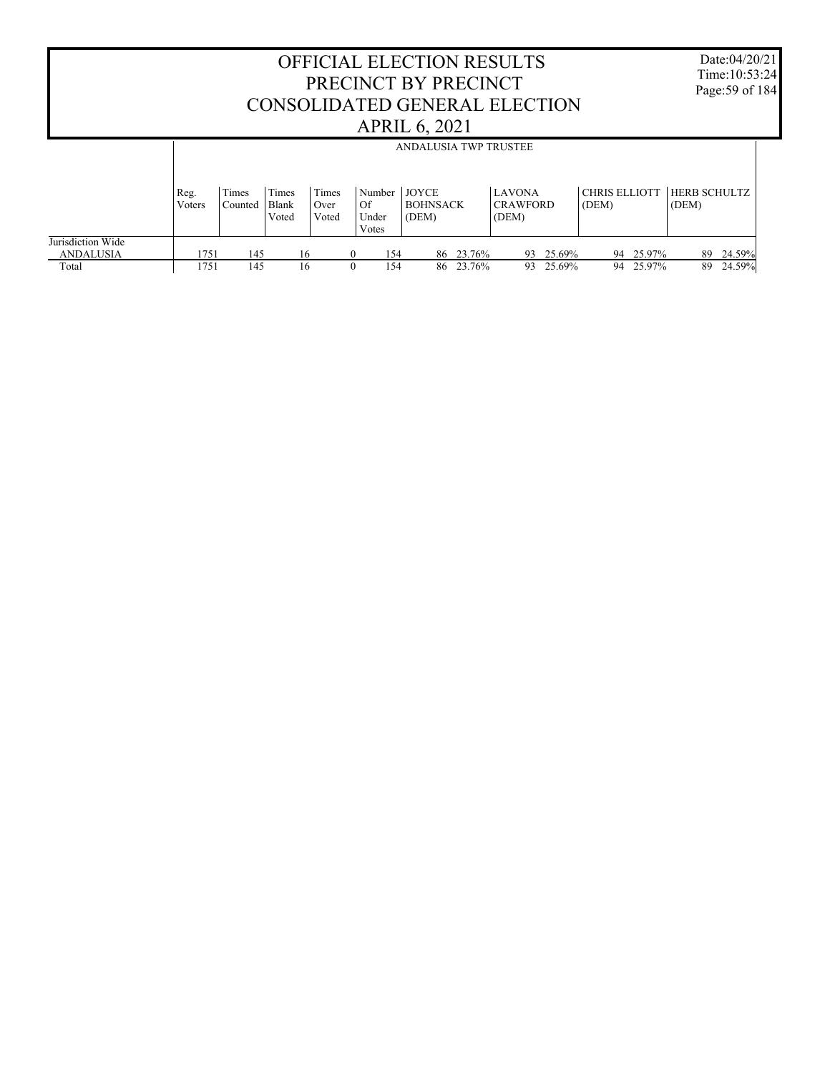OFFICIAL ELECTION RESULTS PRECINCT BY PRECINCT CONSOLIDATED GENERAL ELECTION APRIL 6, 2021 Date:04/20/21 Time:10:53:24 Page:59 of 184 Jurisdiction Wide ANDALUSIA Total Reg. Voters Times Counted Times Blank Voted Times Over Voted Number JOYCE Of Under Votes BOHNSACK (DEM) LAVONA CRAWFORD (DEM) CHRIS ELLIOTT HERB SCHULTZ (DEM) (DEM) ANDALUSIA TWP TRUSTEE 1751 145 16 0 154 86 23.76% 93 25.69% 94 25.97% 89 24.59% 1751 145 16 0 154 86 23.76% 93 25.69% 94 25.97% 89 24.59%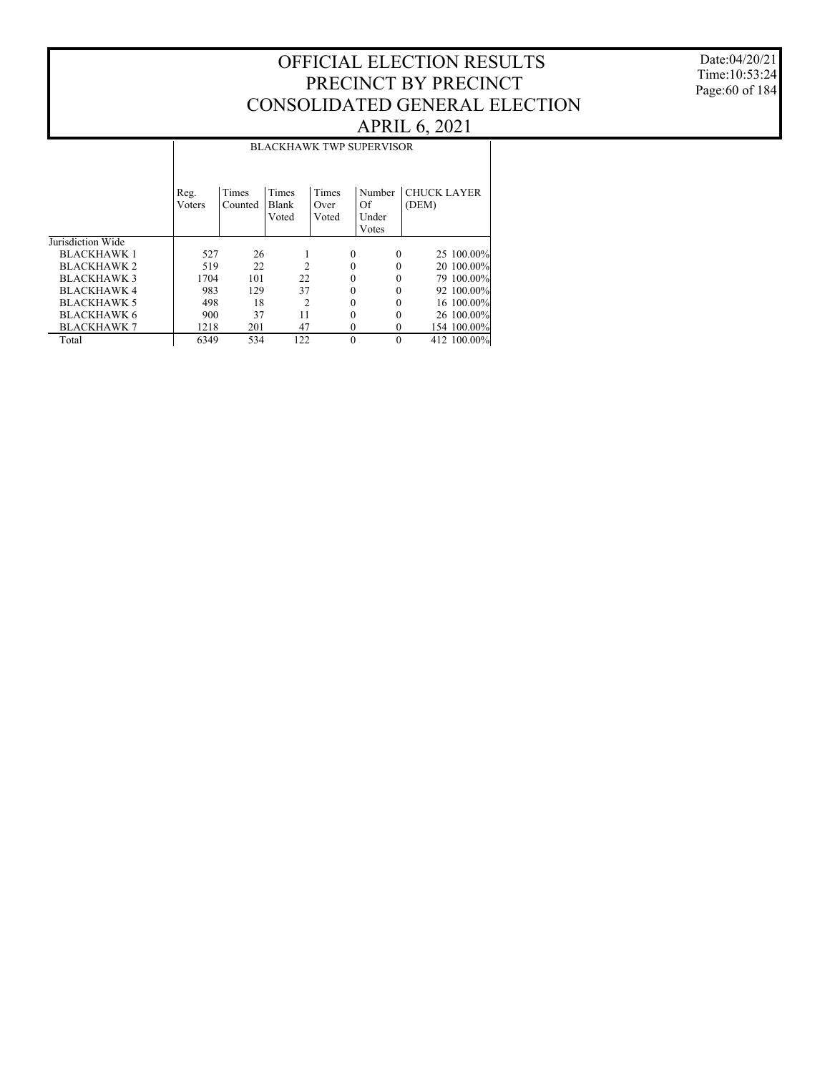Date:04/20/21 Time:10:53:24 Page:60 of 184

|                    |                |                  |                         |                        | <b>BLACKHAWK TWP SUPERVISOR</b> |                             |
|--------------------|----------------|------------------|-------------------------|------------------------|---------------------------------|-----------------------------|
|                    | Reg.<br>Voters | Times<br>Counted | Times<br>Blank<br>Voted | Times<br>Over<br>Voted | Number<br>Of<br>Under<br>Votes  | <b>CHUCK LAYER</b><br>(DEM) |
| Jurisdiction Wide  |                |                  |                         |                        |                                 |                             |
| <b>BLACKHAWK 1</b> | 527            | 26               |                         | $\theta$               | $\theta$                        | 25 100.00%                  |
| <b>BLACKHAWK 2</b> | 519            | 22               | $\mathfrak{D}$          | 0                      |                                 | 20 100.00%                  |
| <b>BLACKHAWK3</b>  | 1704           | 101              | 22                      | 0                      |                                 | 79 100.00%                  |
| <b>BLACKHAWK4</b>  | 983            | 129              | 37                      | 0                      | $\Omega$                        | 92 100.00%                  |
| <b>BLACKHAWK 5</b> | 498            | 18               | $\overline{c}$          | 0                      |                                 | 16 100.00%                  |
| <b>BLACKHAWK 6</b> | 900            | 37               | 11                      | 0                      |                                 | 26 100.00%                  |
| <b>BLACKHAWK 7</b> | 1218           | 201              | 47                      | 0                      | $\Omega$                        | 154 100.00%                 |
| Total              | 6349           | 534              | 122                     | $\theta$               | $\theta$                        | 412 100.00%                 |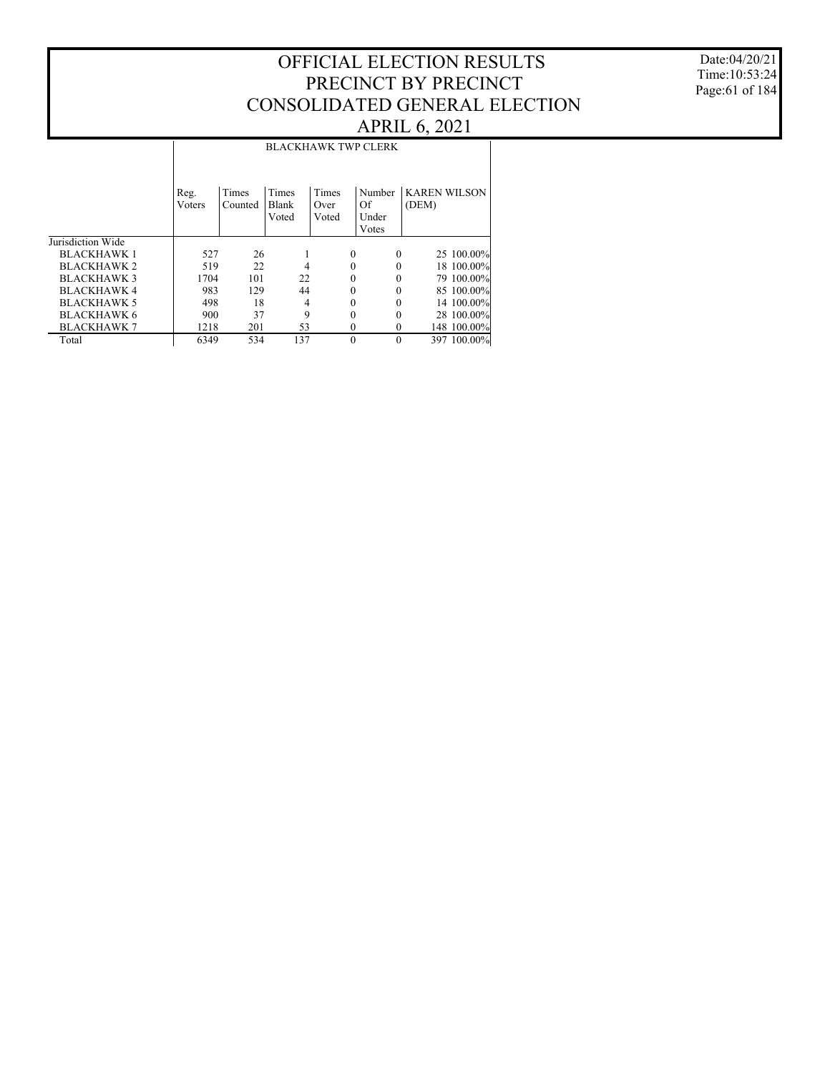Date:04/20/21 Time:10:53:24 Page:61 of 184

#### Jurisdiction Wide BLACKHAWK 1 BLACKHAWK 2 BLACKHAWK 3 BLACKHAWK 4 BLACKHAWK 5 BLACKHAWK 6 BLACKHAWK 7 Total Reg. Voters Times Counted Times Blank Voted Times Over Voted Number KAREN WILSON Of Under Votes (DEM) BLACKHAWK TWP CLERK 527 26 1 0 0 25 100.00% 519 22 4 0 0 18 100.00% 1704 101 22 0 0 79 100.00% 983 129 44 0 0 85 100.00% 498 18 4 0 0 14 100.00%<br>900 37 9 0 0 28 100.00% 900 37 9 0 0 28 100.00%<br>1218 201 53 0 0 148 100.00% 1218 201 53 0 0 148 100.00%<br>6349 534 137 0 0 397 100.00% 397 100.00%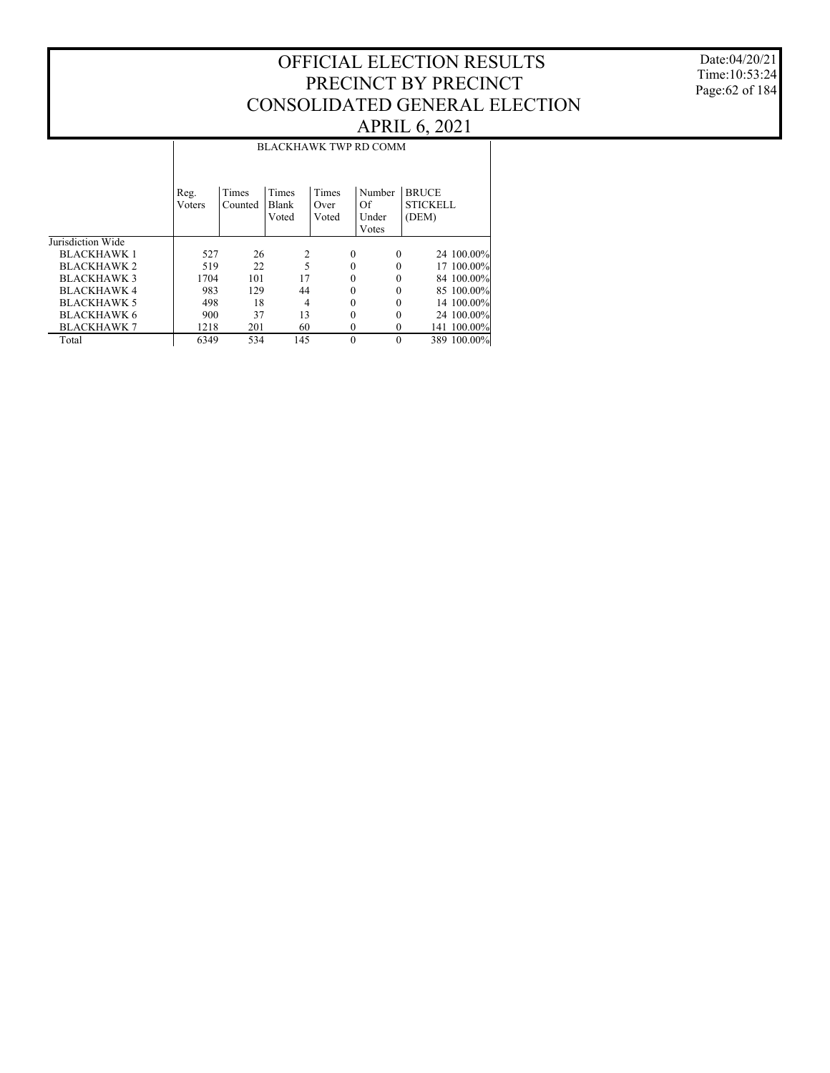Date:04/20/21 Time:10:53:24 Page:62 of 184

#### Jurisdiction Wide BLACKHAWK 1 BLACKHAWK 2 BLACKHAWK 3 BLACKHAWK 4 BLACKHAWK 5 BLACKHAWK 6 BLACKHAWK 7 Total Reg. Voters Times Counted Times Blank Voted Times Over Voted Number BRUCE Of Under Votes STICKELL (DEM) BLACKHAWK TWP RD COMM 527 26 2 0 0 24 100.00% 519 22 5 0 0 17 100.00% 1704 101 17 0 0 84 100.00% 983 129 44 0 0 85 100.00% 498 18 4 0 0 14 100.00%<br>900 37 13 0 0 24 100.00% 900 37 13 0 0 24 100.00%<br>1218 201 60 0 0 141 100.00% 1218 201 60 0 0 141 100.00%<br>6349 534 145 0 0 389 100.00% 389 100.00%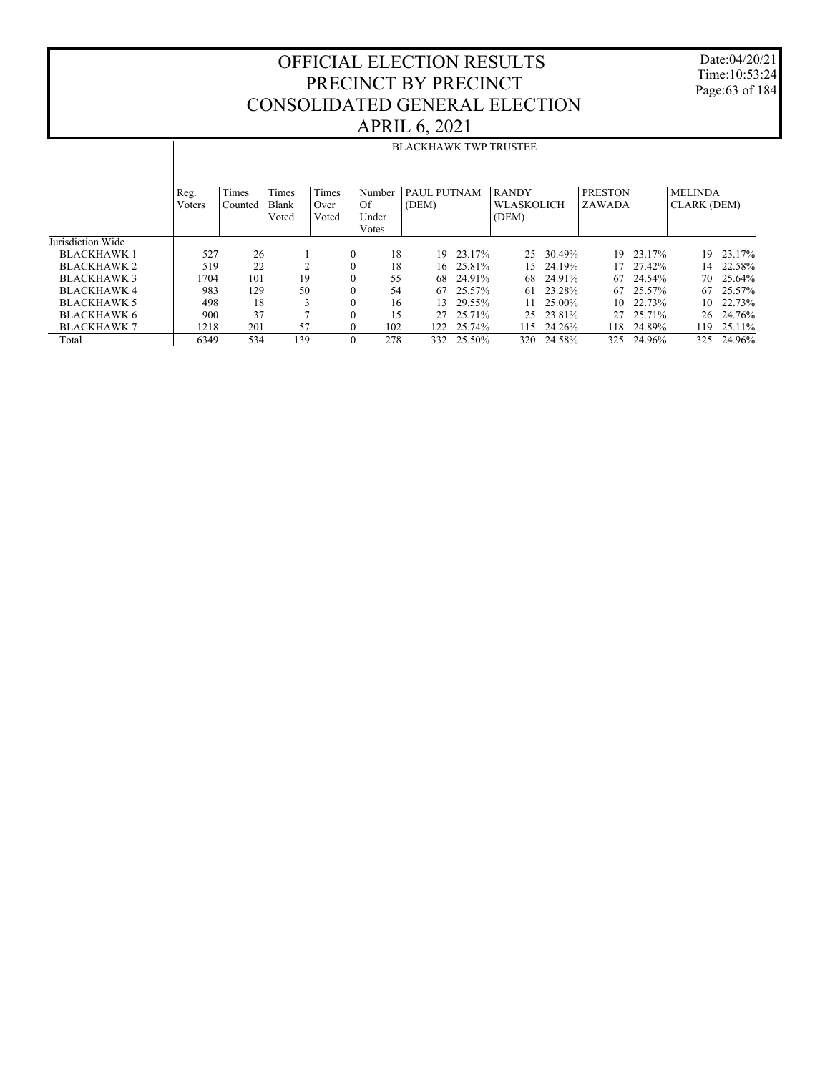Date:04/20/21 Time:10:53:24 Page:63 of 184

|                    |        |         |       |              |        | <b>BLACKHAWK TWP TRUSTEE</b> |            |                   |           |                |        |                    |        |
|--------------------|--------|---------|-------|--------------|--------|------------------------------|------------|-------------------|-----------|----------------|--------|--------------------|--------|
|                    |        |         |       |              |        |                              |            |                   |           |                |        |                    |        |
|                    |        |         |       |              |        |                              |            |                   |           |                |        |                    |        |
|                    | Reg.   | Times   | Times | Times        | Number | PAUL PUTNAM                  |            | <b>RANDY</b>      |           | <b>PRESTON</b> |        | <b>MELINDA</b>     |        |
|                    | Voters | Counted | Blank | Over         | Of     | (DEM)                        |            | <b>WLASKOLICH</b> |           | ZAWADA         |        | <b>CLARK (DEM)</b> |        |
|                    |        |         | Voted | Voted        | Under  |                              |            | (DEM)             |           |                |        |                    |        |
|                    |        |         |       |              | Votes  |                              |            |                   |           |                |        |                    |        |
| Jurisdiction Wide  |        |         |       |              |        |                              |            |                   |           |                |        |                    |        |
| <b>BLACKHAWK1</b>  | 527    | 26      |       | $\mathbf{0}$ | 18     | 19                           | 23.17%     | 25                | 30.49%    | 19             | 23.17% | 19                 | 23.17% |
| BLACKHAWK 2        | 519    | 22      | C     | $\Omega$     | 18     |                              | 16 25.81%  | 15                | 24.19%    | 17             | 27.42% | 14                 | 22.58% |
| <b>BLACKHAWK 3</b> | 1704   | 101     | 19    | $\mathbf{0}$ | 55     | 68                           | 24.91%     | 68                | 24.91%    | 67             | 24.54% | 70                 | 25.64% |
| <b>BLACKHAWK4</b>  | 983    | 129     | 50    | $\mathbf{0}$ | 54     | 67                           | 25.57%     | 61                | 23.28%    | 67             | 25.57% | 67                 | 25.57% |
| <b>BLACKHAWK 5</b> | 498    | 18      |       | $\mathbf{0}$ | 16     | 13                           | 29.55%     | 11.               | 25.00%    | 10             | 22.73% | 10                 | 22.73% |
| <b>BLACKHAWK 6</b> | 900    | 37      |       | $\theta$     | 15     | 27                           | 25.71%     |                   | 25 23.81% | 27             | 25.71% | 26                 | 24.76% |
| <b>BLACKHAWK 7</b> | 1218   | 201     | 57    | $\mathbf{0}$ | 102    | 122.                         | 25.74%     | 115               | 24.26%    | 118            | 24.89% | 119                | 25.11% |
| Total              | 6349   | 534     | 139   | $\Omega$     | 278    |                              | 332 25.50% | 320               | 24.58%    | 325            | 24.96% | 325                | 24.96% |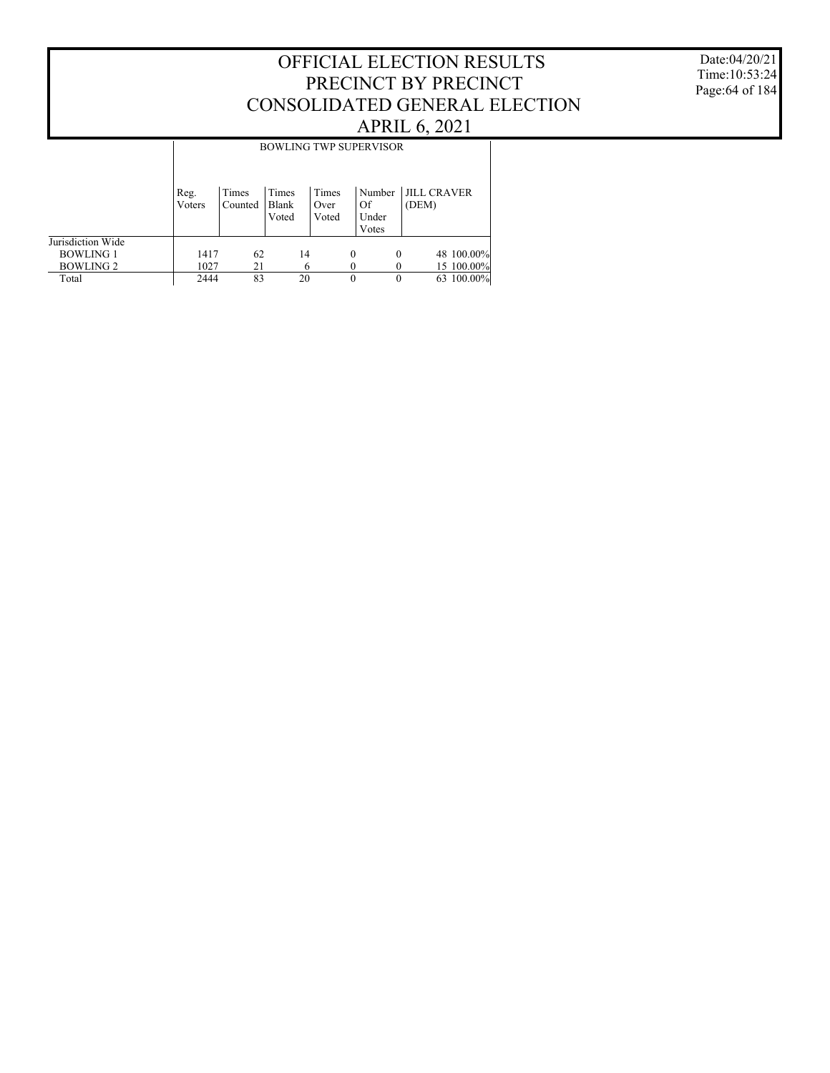#### Date:04/20/21 Time:10:53:24 Page:64 of 184

|                   |                |                  |                         |                        |          | <b>BOWLING TWP SUPERVISOR</b>  |                             |  |
|-------------------|----------------|------------------|-------------------------|------------------------|----------|--------------------------------|-----------------------------|--|
|                   | Reg.<br>Voters | Times<br>Counted | Times<br>Blank<br>Voted | Times<br>Over<br>Voted |          | Number<br>Of<br>Under<br>Votes | <b>JILL CRAVER</b><br>(DEM) |  |
| Jurisdiction Wide |                |                  |                         |                        |          |                                |                             |  |
| <b>BOWLING 1</b>  | 1417           | 62               | 14                      |                        | $\theta$ | $\theta$                       | 48 100.00%                  |  |
| <b>BOWLING 2</b>  | 1027           | 21               |                         | 6                      |          |                                | 15 100.00%                  |  |
| Total             | 2444           | 83               | 20                      |                        | $\theta$ | 0                              | 63 100.00%                  |  |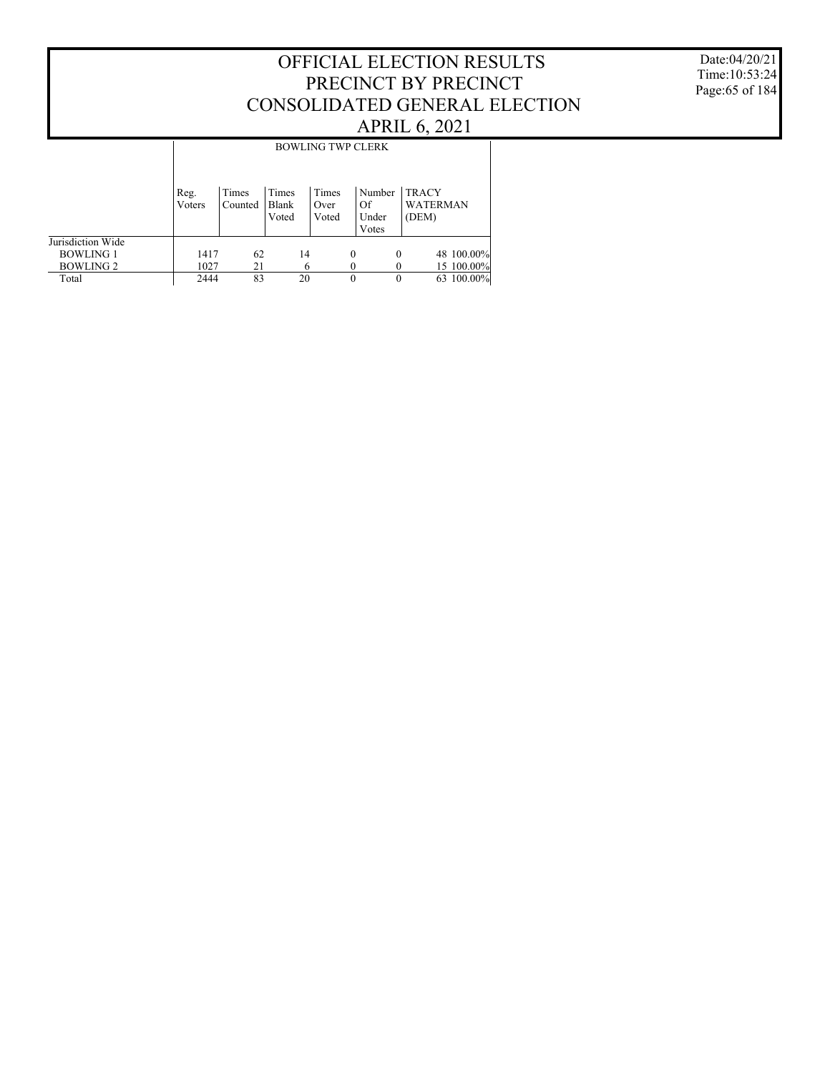#### Date:04/20/21 Time:10:53:24 Page:65 of 184

|                   |                |                  |                         | <b>BOWLING TWP CLERK</b> |          |                                |                                          |            |
|-------------------|----------------|------------------|-------------------------|--------------------------|----------|--------------------------------|------------------------------------------|------------|
|                   | Reg.<br>Voters | Times<br>Counted | Times<br>Blank<br>Voted | Times<br>Over<br>Voted   |          | Number<br>Of<br>Under<br>Votes | <b>TRACY</b><br><b>WATERMAN</b><br>(DEM) |            |
| Jurisdiction Wide |                |                  |                         |                          |          |                                |                                          |            |
| <b>BOWLING 1</b>  | 1417           | 62               | 14                      |                          | $\theta$ | $\theta$                       |                                          | 48 100.00% |
| <b>BOWLING 2</b>  | 1027           | 21               | 6                       |                          | 0        |                                |                                          | 15 100.00% |
| Total             | 2444           | 83               | 20                      |                          | 0        | $\theta$                       |                                          | 63 100.00% |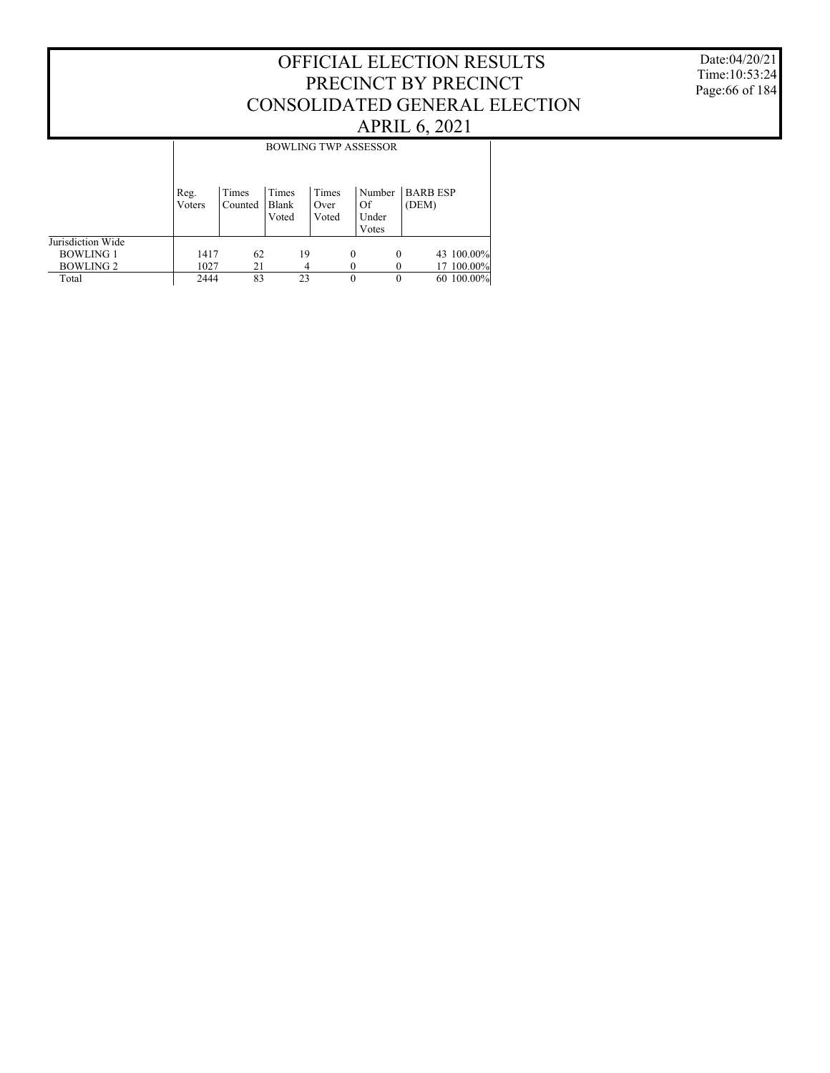#### Date:04/20/21 Time:10:53:24 Page:66 of 184

|                   | <b>BOWLING TWP ASSESSOR</b> |                  |                         |                        |          |                                |                          |            |  |  |  |
|-------------------|-----------------------------|------------------|-------------------------|------------------------|----------|--------------------------------|--------------------------|------------|--|--|--|
|                   | Reg.<br>Voters              | Times<br>Counted | Times<br>Blank<br>Voted | Times<br>Over<br>Voted |          | Number<br>Of<br>Under<br>Votes | <b>BARB ESP</b><br>(DEM) |            |  |  |  |
| Jurisdiction Wide |                             |                  |                         |                        |          |                                |                          |            |  |  |  |
| <b>BOWLING 1</b>  | 1417                        | 62               |                         | 19                     | $\theta$ | $\Omega$                       |                          | 43 100.00% |  |  |  |
| <b>BOWLING 2</b>  | 1027                        | 21               |                         | 4                      |          |                                |                          | 17 100.00% |  |  |  |
| Total             | 2444                        | 83               |                         | 23                     |          | $\theta$                       |                          | 60 100.00% |  |  |  |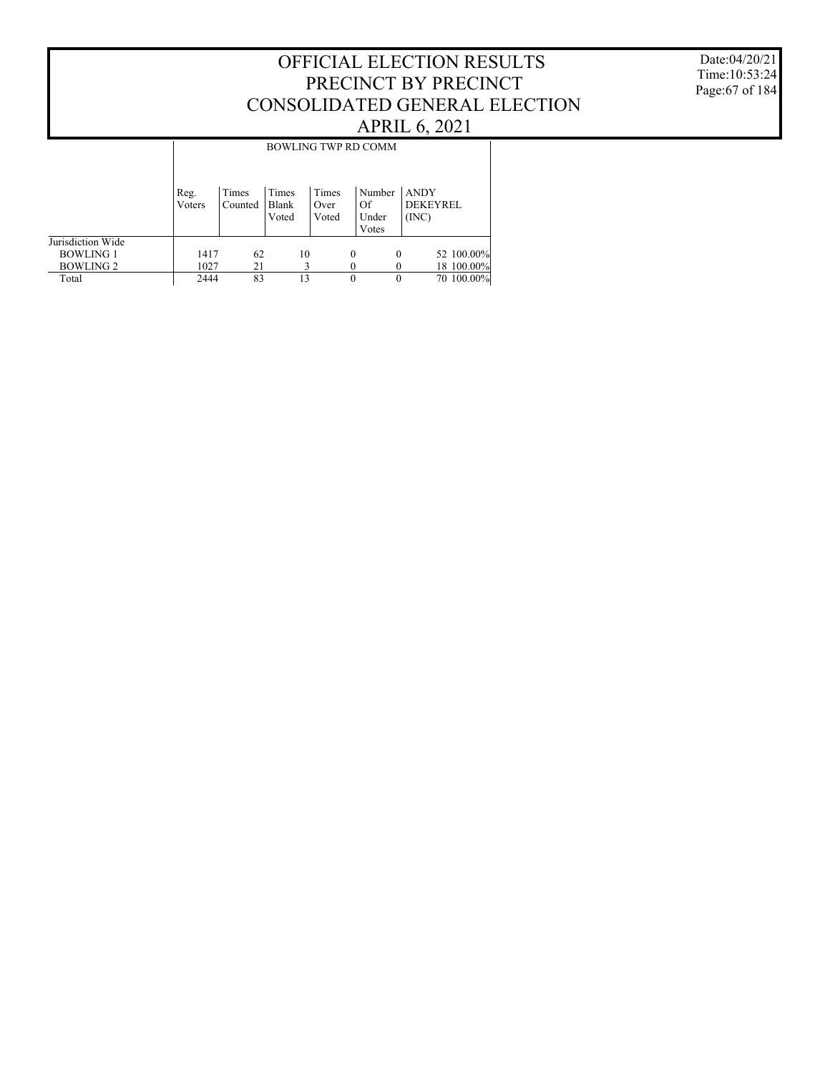#### Date:04/20/21 Time:10:53:24 Page:67 of 184

|                   | <b>BOWLING TWP RD COMM</b> |                  |                         |                        |          |                                |                                         |            |  |  |
|-------------------|----------------------------|------------------|-------------------------|------------------------|----------|--------------------------------|-----------------------------------------|------------|--|--|
|                   | Reg.<br>Voters             | Times<br>Counted | Times<br>Blank<br>Voted | Times<br>Over<br>Voted |          | Number<br>Of<br>Under<br>Votes | <b>ANDY</b><br><b>DEKEYREL</b><br>(INC) |            |  |  |
| Jurisdiction Wide |                            |                  |                         |                        |          |                                |                                         |            |  |  |
| <b>BOWLING 1</b>  | 1417                       | 62               |                         | 10                     | $\Omega$ | $\Omega$                       |                                         | 52 100.00% |  |  |
| <b>BOWLING 2</b>  | 1027                       | 21               |                         |                        |          |                                |                                         | 18 100.00% |  |  |
| Total             | 2444                       | 83               | 13                      |                        |          | $\theta$                       |                                         | 70 100.00% |  |  |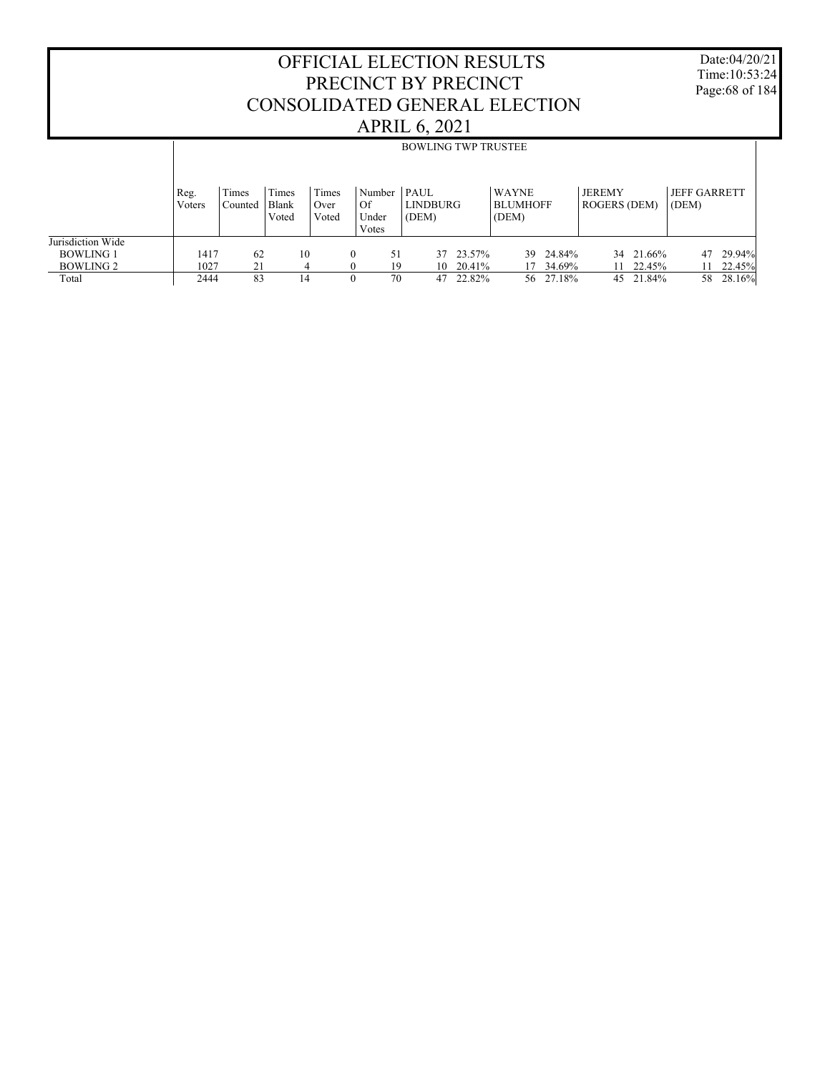Date:04/20/21 Time:10:53:24 Page:68 of 184

|                   | <b>BOWLING TWP TRUSTEE</b> |                  |                |               |                      |                      |        |                          |                                      |                              |  |  |
|-------------------|----------------------------|------------------|----------------|---------------|----------------------|----------------------|--------|--------------------------|--------------------------------------|------------------------------|--|--|
|                   |                            |                  |                |               |                      |                      |        |                          |                                      |                              |  |  |
|                   | Reg.<br>Voters             | Times<br>Counted | Times<br>Blank | Times<br>Over | Number<br>Of         | $ $ PAUL<br>LINDBURG |        | WAYNE<br><b>BLUMHOFF</b> | <b>JEREMY</b><br><b>ROGERS (DEM)</b> | <b>JEFF GARRETT</b><br>(DEM) |  |  |
|                   |                            |                  | Voted          | Voted         | Under<br>Votes       | (DEM)                |        | (DEM)                    |                                      |                              |  |  |
| Jurisdiction Wide |                            |                  |                |               |                      |                      |        |                          |                                      |                              |  |  |
| <b>BOWLING 1</b>  | 1417                       | 62               | 10             |               | 51<br>$\mathbf{0}$   | 37                   | 23.57% | 24.84%<br>39             | 34 21.66%                            | 29.94%<br>47                 |  |  |
| <b>BOWLING 2</b>  | 1027                       | 21               | 4              |               | 19<br>$\overline{0}$ | 10                   | 20.41% | 34.69%<br>17             | 22.45%<br>11                         | 22.45%<br>11                 |  |  |
| Total             | 2444                       | 83               | 14             |               | 70<br>$\mathbf{0}$   | 47                   | 22.82% | 56 27.18%                | 45 21.84%                            | 28.16%<br>58                 |  |  |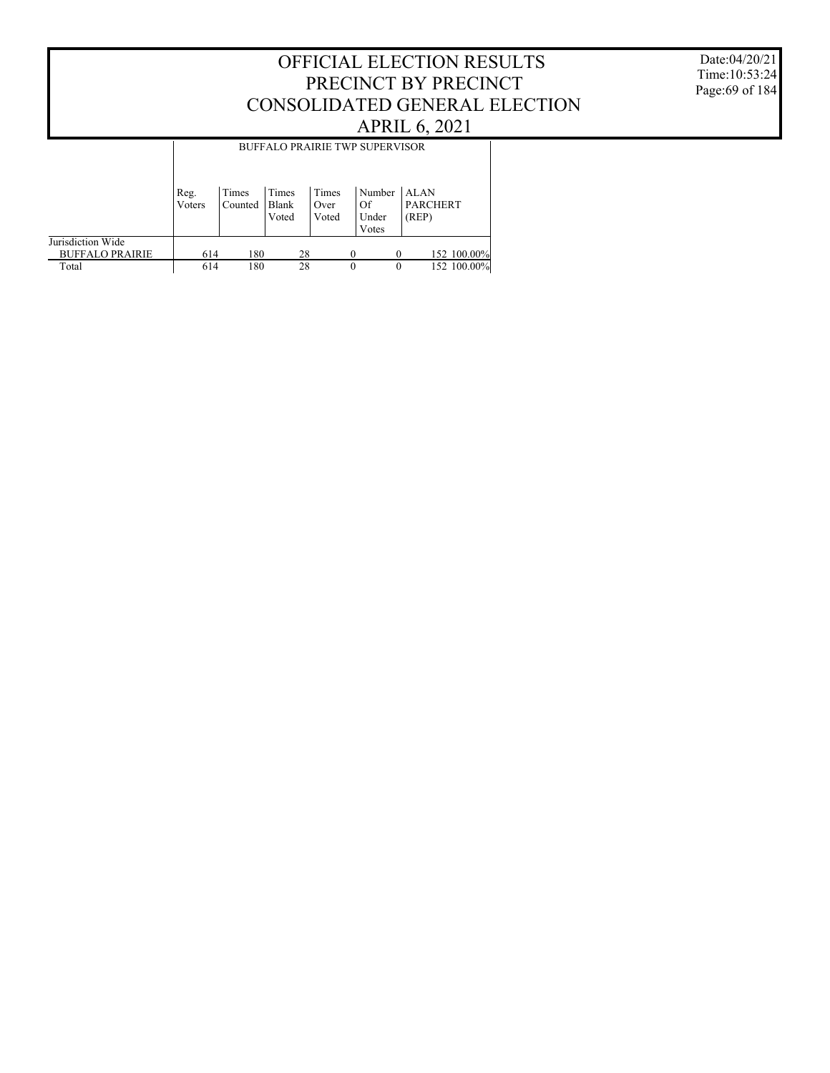Date:04/20/21 Time:10:53:24 Page:69 of 184

|                                             | <b>BUFFALO PRAIRIE TWP SUPERVISOR</b> |                  |                         |                        |                                |                                         |  |  |  |  |  |
|---------------------------------------------|---------------------------------------|------------------|-------------------------|------------------------|--------------------------------|-----------------------------------------|--|--|--|--|--|
|                                             | Reg.<br>Voters                        | Times<br>Counted | Times<br>Blank<br>Voted | Times<br>Over<br>Voted | Number<br>Of<br>Under<br>Votes | <b>ALAN</b><br><b>PARCHERT</b><br>(REP) |  |  |  |  |  |
| Jurisdiction Wide<br><b>BUFFALO PRAIRIE</b> | 614                                   | 180              | 28                      |                        | $\Omega$                       | 152 100.00%                             |  |  |  |  |  |
| Total                                       | 614                                   | 180              | 28                      |                        | $\theta$                       | 152 100.00%<br>$\theta$                 |  |  |  |  |  |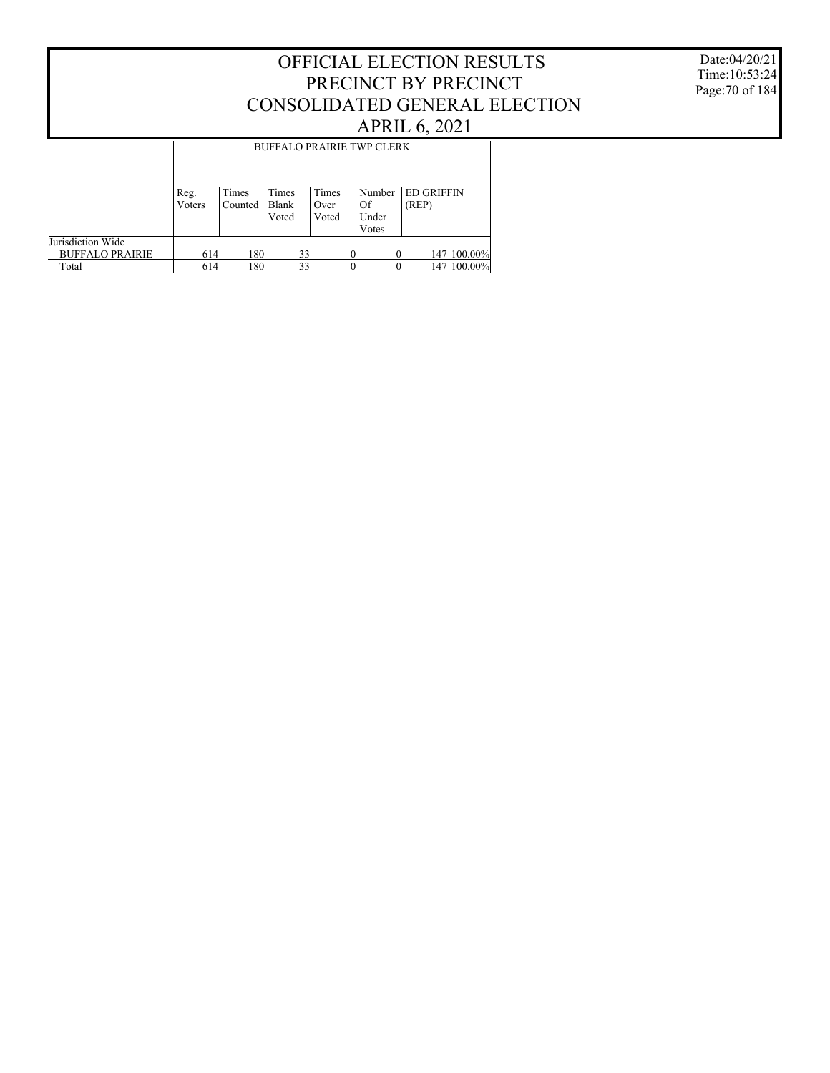#### Date:04/20/21 Time:10:53:24 Page:70 of 184

|                                             | <b>BUFFALO PRAIRIE TWP CLERK</b> |                  |                         |                        |                                |                            |  |  |  |  |  |
|---------------------------------------------|----------------------------------|------------------|-------------------------|------------------------|--------------------------------|----------------------------|--|--|--|--|--|
|                                             | Reg.<br>Voters                   | Times<br>Counted | Times<br>Blank<br>Voted | Times<br>Over<br>Voted | Number<br>Of<br>Under<br>Votes | <b>ED GRIFFIN</b><br>(REP) |  |  |  |  |  |
| Jurisdiction Wide<br><b>BUFFALO PRAIRIE</b> | 614                              | 180              | 33                      |                        | $\Omega$                       | 147 100.00%                |  |  |  |  |  |
| Total                                       | 614                              | 180              | 33                      |                        | $\theta$<br>$\theta$           | 147 100.00%                |  |  |  |  |  |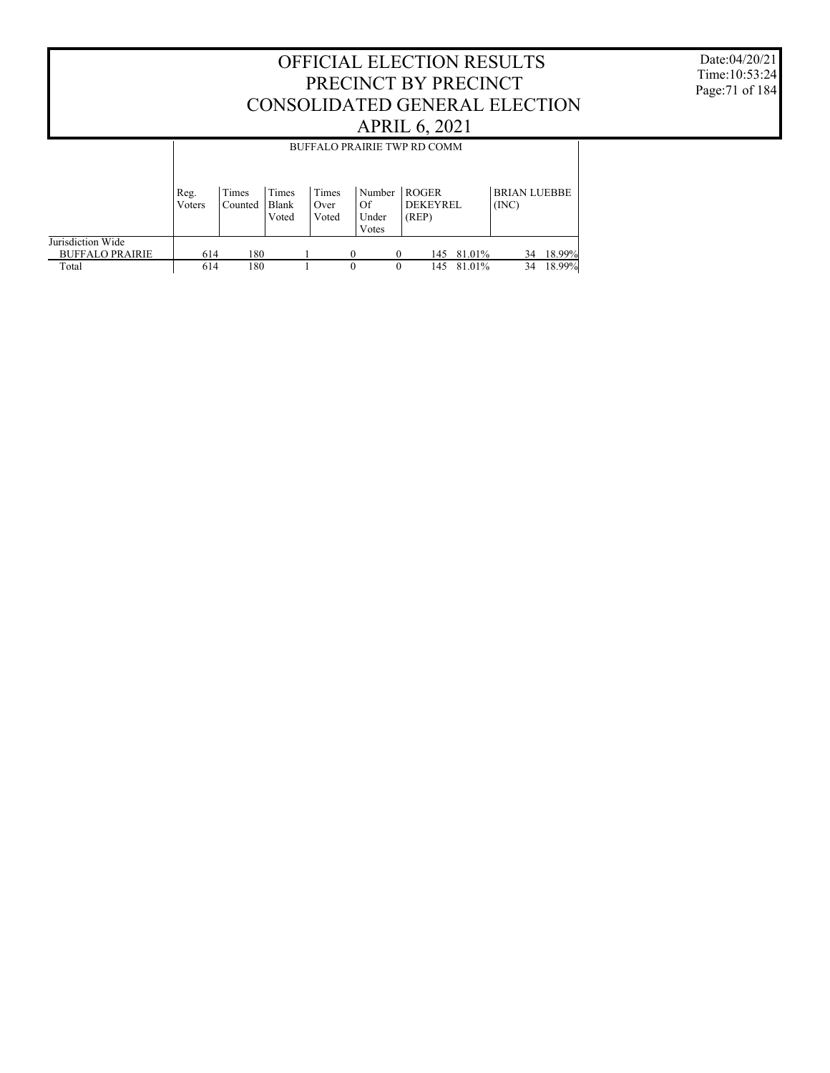Date:04/20/21 Time:10:53:24 Page:71 of 184

|                        | BUFFALO PRAIRIE TWP RD COMM                                                                                                                              |     |       |       |                |       |     |        |    |        |  |
|------------------------|----------------------------------------------------------------------------------------------------------------------------------------------------------|-----|-------|-------|----------------|-------|-----|--------|----|--------|--|
|                        | <b>ROGER</b><br><b>BRIAN LUEBBE</b><br>Times<br>Times<br>Times<br>Number<br>Reg.<br>Blank<br><b>DEKEYREL</b><br>(INC)<br>Of<br>Voters<br>Counted<br>Over |     |       |       |                |       |     |        |    |        |  |
|                        |                                                                                                                                                          |     | Voted | Voted | Under<br>Votes | (REP) |     |        |    |        |  |
| Jurisdiction Wide      |                                                                                                                                                          |     |       |       |                |       |     |        |    |        |  |
| <b>BUFFALO PRAIRIE</b> | 614                                                                                                                                                      | 180 |       |       |                |       | 145 | 81.01% | 34 | 18.99% |  |
| Total                  | 614                                                                                                                                                      | 180 |       |       | 0              | 0     | 145 | 81.01% | 34 | 18.99% |  |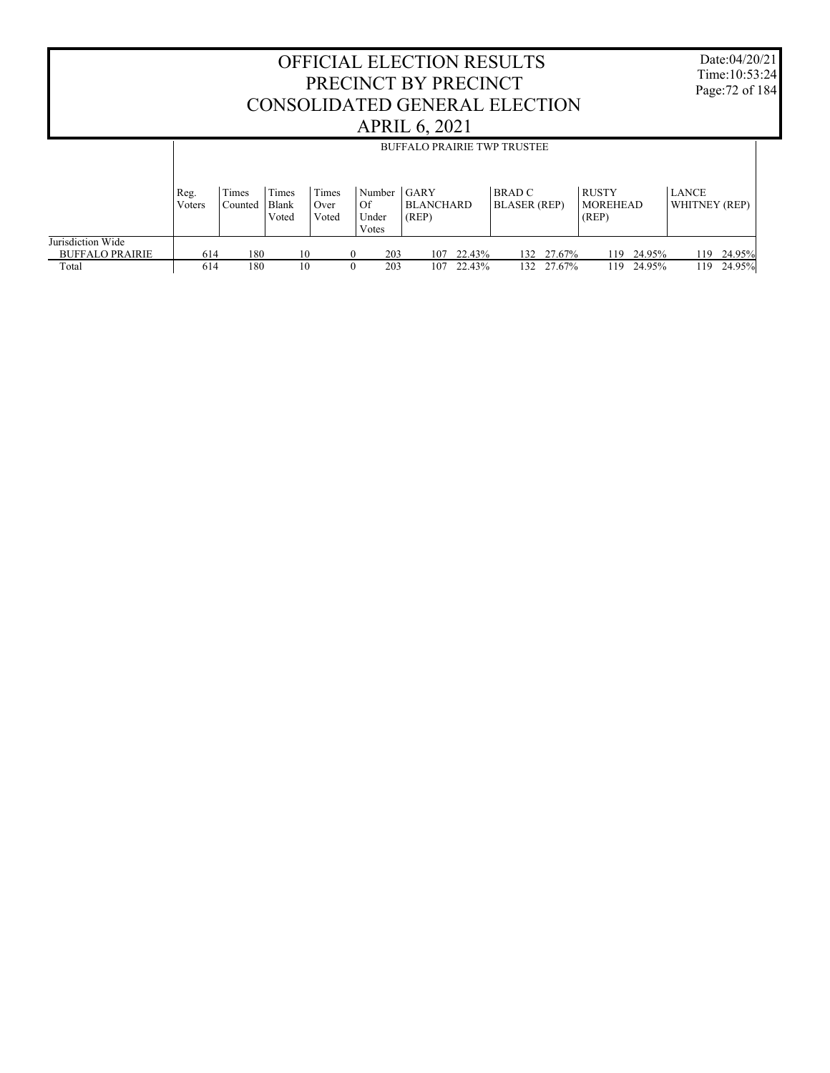OFFICIAL ELECTION RESULTS PRECINCT BY PRECINCT CONSOLIDATED GENERAL ELECTION APRIL 6, 2021 Time:10:53:24 Page:72 of 184 Jurisdiction Wide BUFFALO PRAIRIE Total Reg. Voters Times Counted Times Blank Voted Times Over Voted Number GARY Of Under Votes **BLANCHARD** (REP) BRAD C BLASER (REP) RUSTY MOREHEAD (REP) LANCE WHITNEY (REP) BUFFALO PRAIRIE TWP TRUSTEE  $\begin{array}{cccccccccccc} 614 & & 180 & & 10 & & 0 & & 203 & & 107 & 22.43\% & & 132 & 27.67\% & & 119 & 24.95\% & & 119 & 24.95\% \end{array}$ 132 27.67%

Date:04/20/21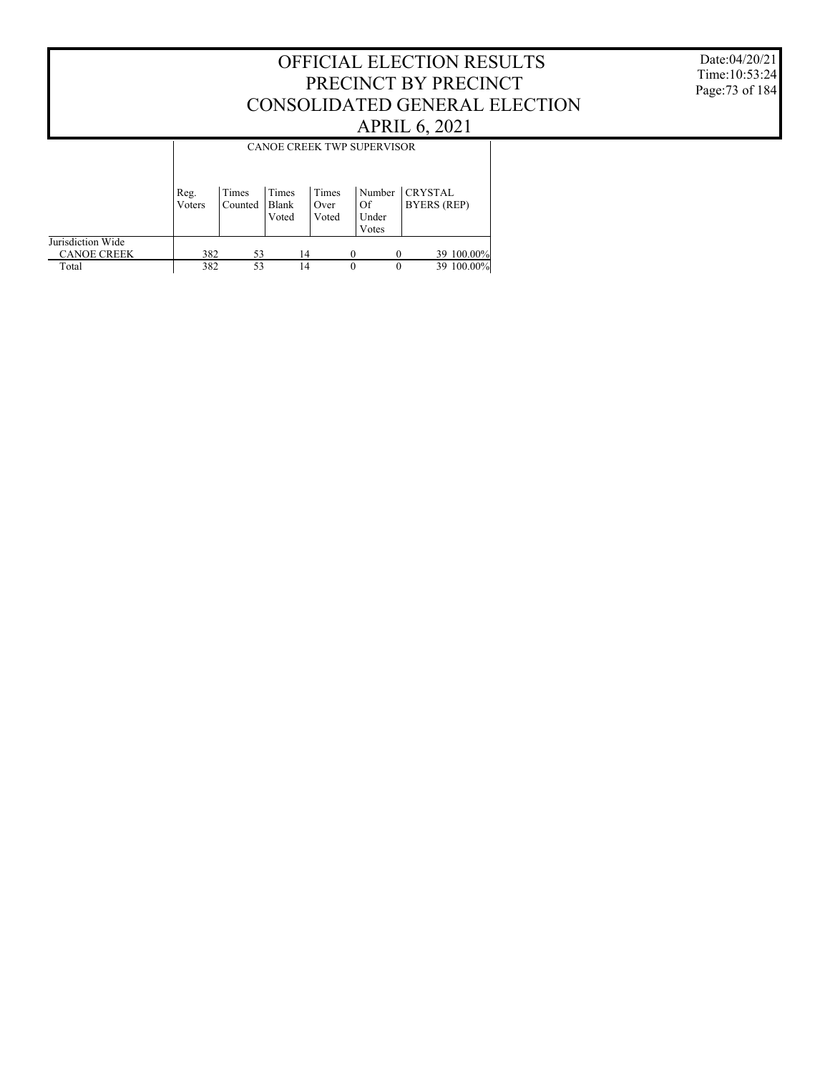Date:04/20/21 Time:10:53:24 Page:73 of 184

|                                         | <b>CANOE CREEK TWP SUPERVISOR</b> |                  |                         |                        |                                |          |                               |  |  |
|-----------------------------------------|-----------------------------------|------------------|-------------------------|------------------------|--------------------------------|----------|-------------------------------|--|--|
|                                         | Reg.<br>Voters                    | Times<br>Counted | Times<br>Blank<br>Voted | Times<br>Over<br>Voted | Number<br>Of<br>Under<br>Votes |          | <b>CRYSTAL</b><br>BYERS (REP) |  |  |
| Jurisdiction Wide<br><b>CANOE CREEK</b> | 382                               | 53               |                         | 14                     |                                |          | 39 100.00%                    |  |  |
| Total                                   | 382                               | 53               |                         | 14                     | $\theta$                       | $\theta$ | 39 100.00%                    |  |  |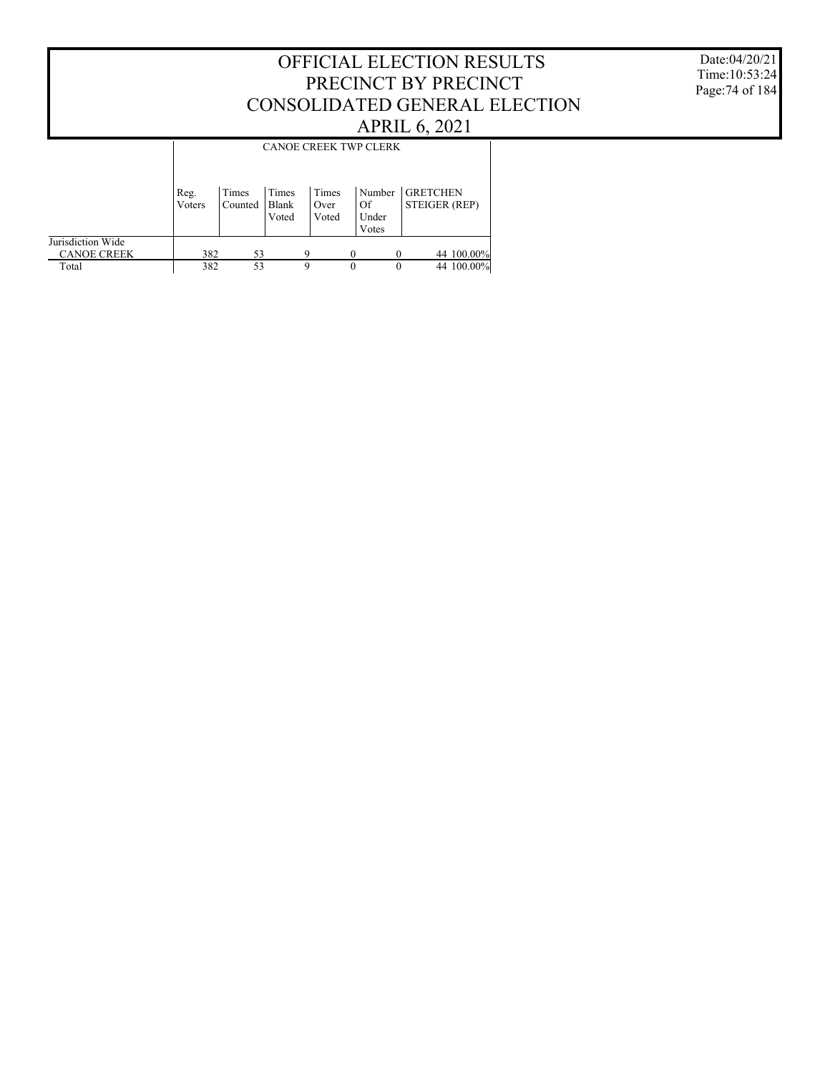#### Date:04/20/21 Time:10:53:24 Page:74 of 184

|                                         | <b>CANOE CREEK TWP CLERK</b> |                  |                         |                        |          |                                |                                  |  |  |
|-----------------------------------------|------------------------------|------------------|-------------------------|------------------------|----------|--------------------------------|----------------------------------|--|--|
|                                         | Reg.<br>Voters               | Times<br>Counted | Times<br>Blank<br>Voted | Times<br>Over<br>Voted |          | Number<br>Of<br>Under<br>Votes | <b>GRETCHEN</b><br>STEIGER (REP) |  |  |
| Jurisdiction Wide<br><b>CANOE CREEK</b> | 382                          | 53               |                         | Q                      |          |                                | 44 100.00%                       |  |  |
| Total                                   | 382                          | 53               |                         | 9                      | $\theta$ | 0                              | 44 100.00%                       |  |  |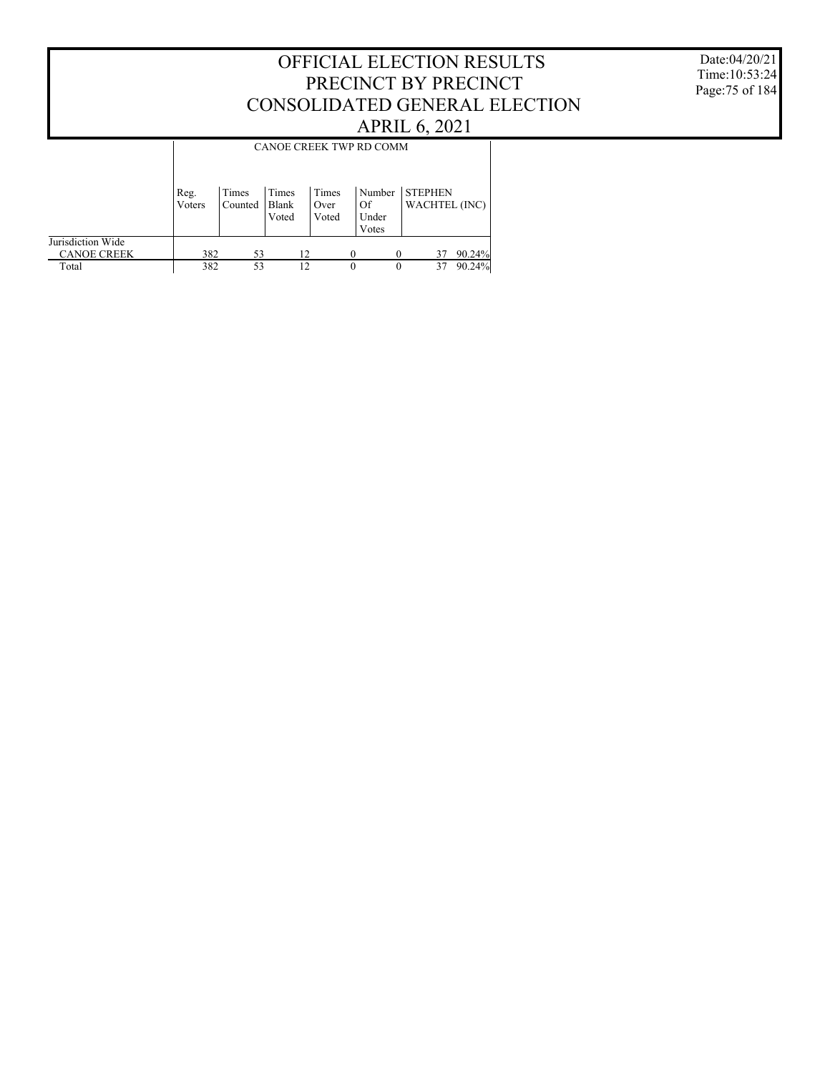#### Date:04/20/21 Time:10:53:24 Page:75 of 184

|                                         | CANOE CREEK TWP RD COMM |                  |                         |                        |                                |                |    |               |  |
|-----------------------------------------|-------------------------|------------------|-------------------------|------------------------|--------------------------------|----------------|----|---------------|--|
|                                         | Reg.<br>Voters          | Times<br>Counted | Times<br>Blank<br>Voted | Times<br>Over<br>Voted | Number<br>Of<br>Under<br>Votes | <b>STEPHEN</b> |    | WACHTEL (INC) |  |
| Jurisdiction Wide<br><b>CANOE CREEK</b> | 382                     | 53               | 12                      |                        | $\Omega$                       |                | 37 | 90.24%        |  |
| Total                                   | 382                     | 53               | 12                      |                        | $\Omega$                       |                | 37 | 90.24%        |  |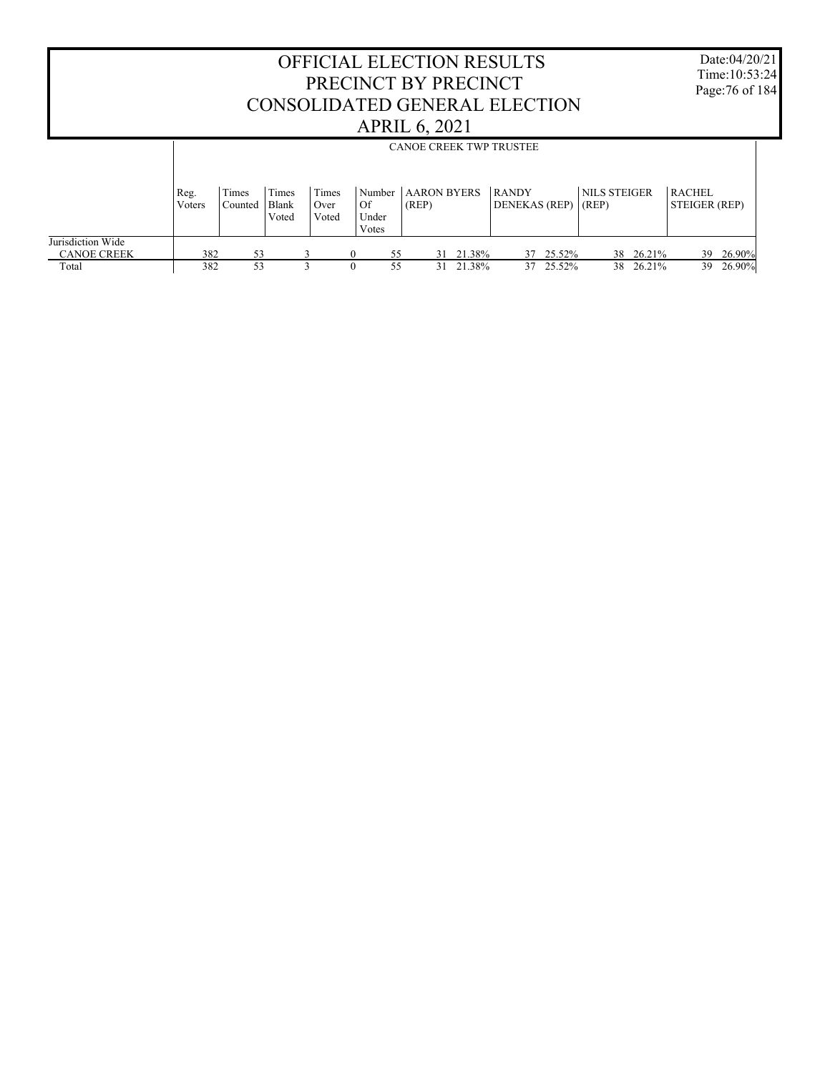| <b>OFFICIAL ELECTION RESULTS</b><br>PRECINCT BY PRECINCT<br>CONSOLIDATED GENERAL ELECTION<br><b>APRIL 6, 2021</b> |                |                  |                         |                        |                                |          |                              |                                |                        |                              |                     | Date:04/20/21<br>Time: 10:53:24<br>Page: 76 of 184 |                  |  |
|-------------------------------------------------------------------------------------------------------------------|----------------|------------------|-------------------------|------------------------|--------------------------------|----------|------------------------------|--------------------------------|------------------------|------------------------------|---------------------|----------------------------------------------------|------------------|--|
|                                                                                                                   |                |                  |                         |                        |                                |          |                              | <b>CANOE CREEK TWP TRUSTEE</b> |                        |                              |                     |                                                    |                  |  |
|                                                                                                                   | Reg.<br>Voters | Times<br>Counted | Times<br>Blank<br>Voted | Times<br>Over<br>Voted | Number<br>Of<br>Under<br>Votes | (REP)    | <b>AARON BYERS</b>           | <b>RANDY</b><br>DENEKAS (REP)  |                        | <b>NILS STEIGER</b><br>(REP) |                     | RACHEL<br>STEIGER (REP)                            |                  |  |
| Jurisdiction Wide<br><b>CANOE CREEK</b><br>Total                                                                  | 382<br>382     | 53<br>53         |                         | 3                      | $\Omega$                       | 55<br>55 | 21.38%<br>31<br>21.38%<br>31 |                                | 37 25.52%<br>37 25.52% | 38                           | 26.21%<br>38 26.21% | 39<br>39                                           | 26.90%<br>26.90% |  |

 $\Gamma$ 

Date:04/20/21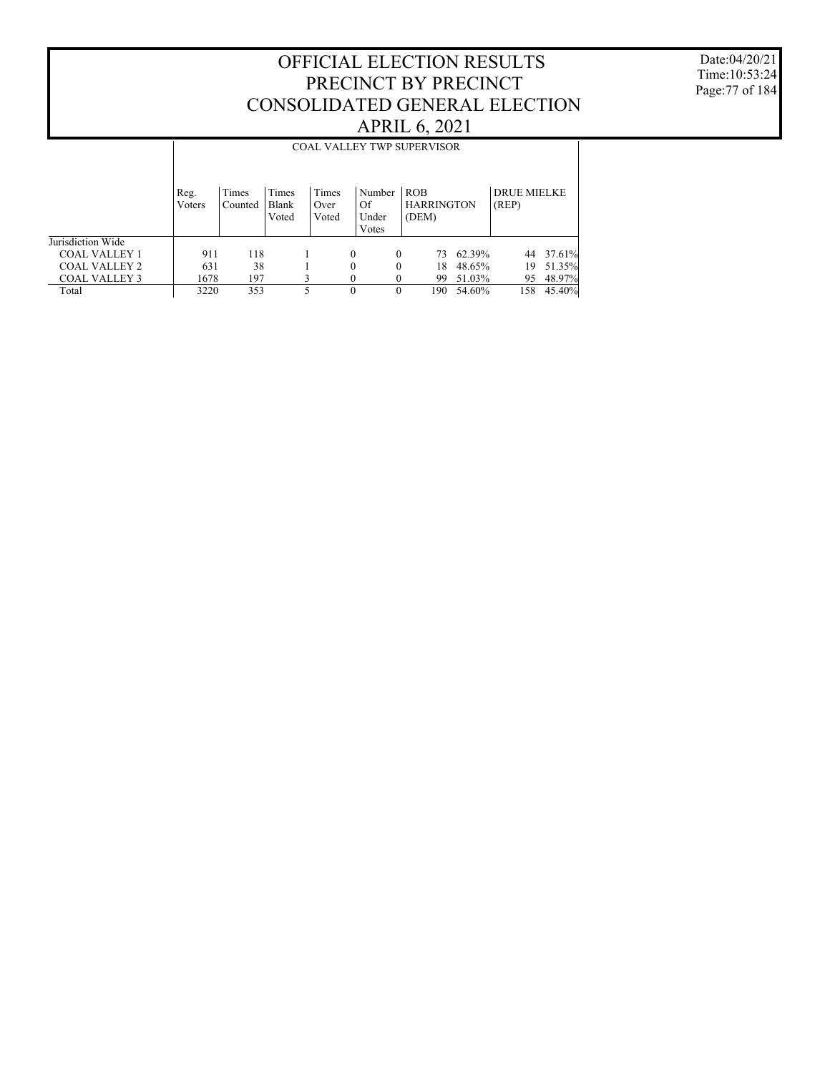Date:04/20/21 Time:10:53:24 Page:77 of 184

|                      | <b>COAL VALLEY TWP SUPERVISOR</b> |                  |                         |                        |                                |                                   |        |                             |        |  |
|----------------------|-----------------------------------|------------------|-------------------------|------------------------|--------------------------------|-----------------------------------|--------|-----------------------------|--------|--|
|                      | Reg.<br>Voters                    | Times<br>Counted | Times<br>Blank<br>Voted | Times<br>Over<br>Voted | Number<br>Of<br>Under<br>Votes | ROB<br><b>HARRINGTON</b><br>(DEM) |        | <b>DRUE MIELKE</b><br>(REP) |        |  |
| Jurisdiction Wide    |                                   |                  |                         |                        |                                |                                   |        |                             |        |  |
| <b>COAL VALLEY 1</b> | 911                               | 118              |                         |                        | $\Omega$                       | $\Omega$<br>73                    | 62.39% | 44                          | 37.61% |  |
| <b>COAL VALLEY 2</b> | 631                               | 38               |                         |                        | $\theta$                       | $\Omega$<br>18                    | 48.65% | 19                          | 51.35% |  |
| <b>COAL VALLEY 3</b> | 1678                              | 197              |                         | 3                      |                                | 99<br>$\theta$                    | 51.03% | 95                          | 48.97% |  |
| Total                | 3220                              | 353              |                         |                        | $\theta$                       | $\theta$<br>190                   | 54.60% | 158                         | 45.40% |  |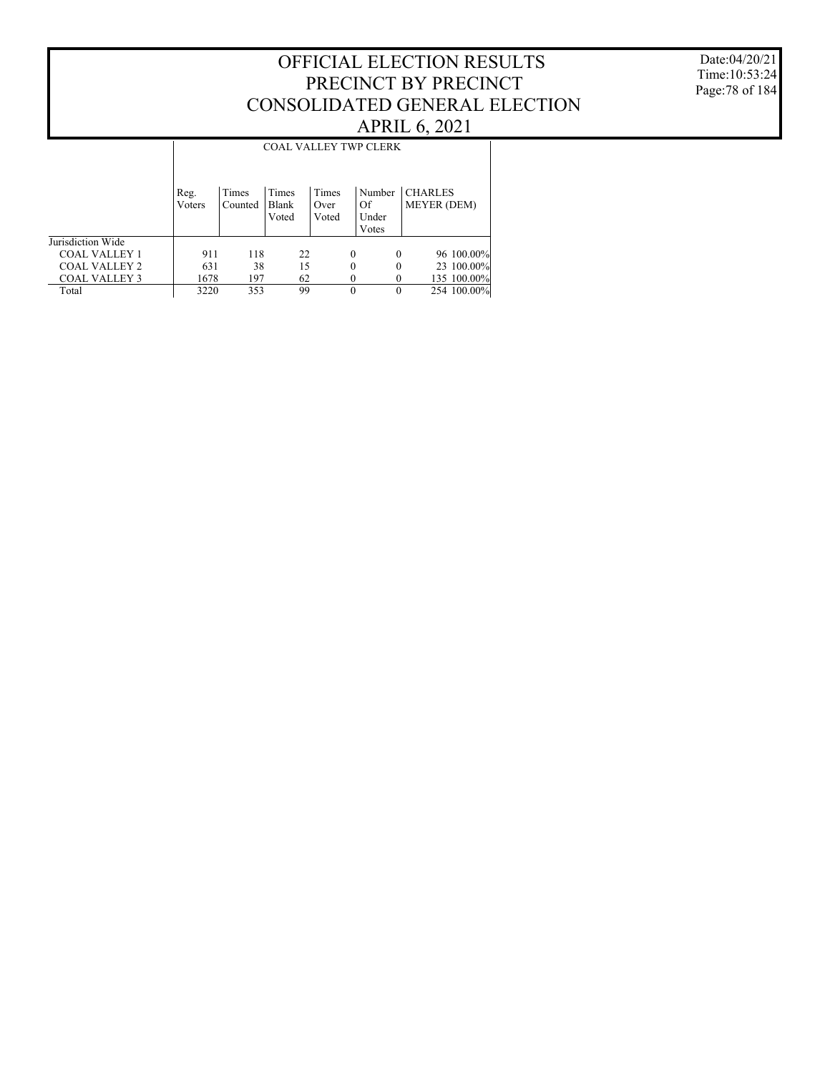#### Date:04/20/21 Time:10:53:24 Page:78 of 184

#### OFFICIAL ELECTION RESULTS PRECINCT BY PRECINCT CONSOLIDATED GENERAL ELECTION APRIL 6, 2021

#### COAL VALLEY TWP CLERK

|                      | Reg.<br>Voters | Times<br>Counted | Times<br>Blank<br>Voted | Times<br>Over<br>Voted | Number<br>Of<br>Under<br>Votes | <b>CHARLES</b><br><b>MEYER (DEM)</b> |
|----------------------|----------------|------------------|-------------------------|------------------------|--------------------------------|--------------------------------------|
| Jurisdiction Wide    |                |                  |                         |                        |                                |                                      |
| <b>COAL VALLEY 1</b> | 911            | 118              | 22                      | $\Omega$               | $\Omega$                       | 96 100.00%                           |
| <b>COAL VALLEY 2</b> | 631            | 38               | 15                      | 0                      | 0                              | 23 100.00%                           |
| <b>COAL VALLEY 3</b> | 1678           | 197              | 62                      |                        |                                | 135 100.00%                          |
| Total                | 3220           | 353              | 99                      |                        |                                | 254 100.00%                          |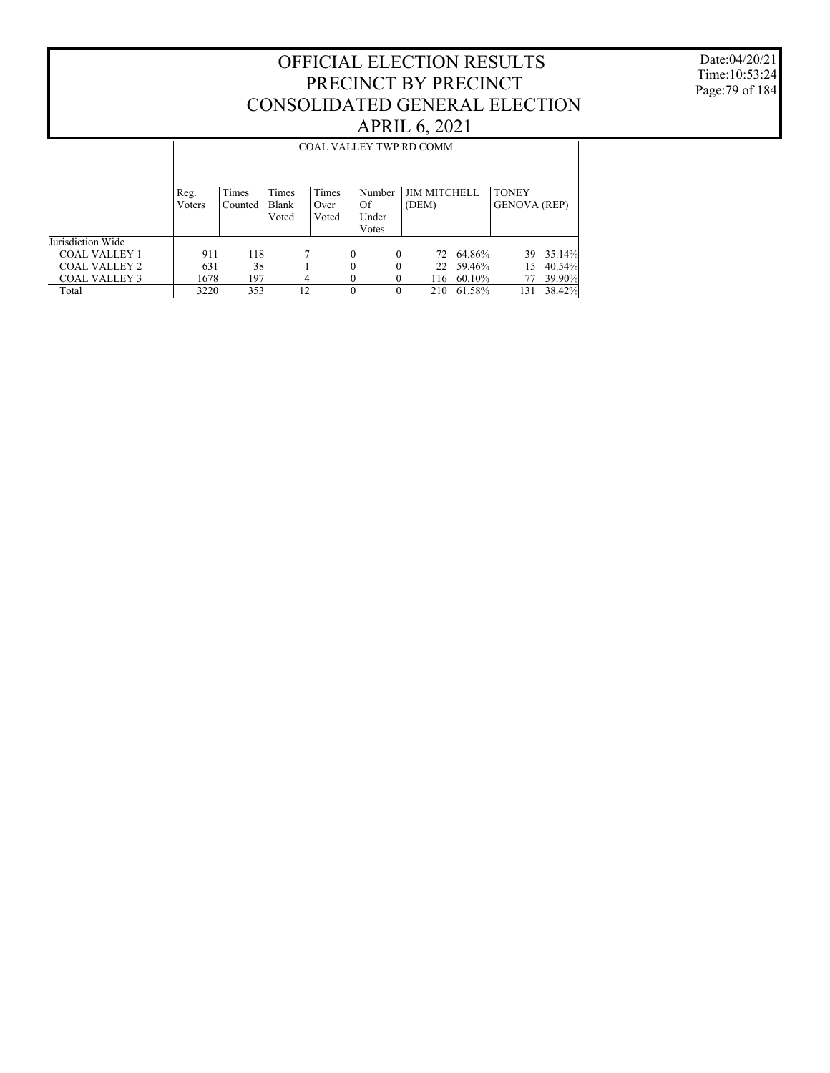Date:04/20/21 Time:10:53:24 Page:79 of 184

|                      | <b>COAL VALLEY TWP RD COMM</b> |                  |                         |                        |                                |                              |        |                                     |        |  |
|----------------------|--------------------------------|------------------|-------------------------|------------------------|--------------------------------|------------------------------|--------|-------------------------------------|--------|--|
|                      | Reg.<br>Voters                 | Times<br>Counted | Times<br>Blank<br>Voted | Times<br>Over<br>Voted | Number<br>Of<br>Under<br>Votes | <b>JIM MITCHELL</b><br>(DEM) |        | <b>TONEY</b><br><b>GENOVA</b> (REP) |        |  |
| Jurisdiction Wide    |                                |                  |                         |                        |                                |                              |        |                                     |        |  |
| <b>COAL VALLEY 1</b> | 911                            | 118              |                         |                        | $\theta$<br>$\Omega$           | 72                           | 64.86% | 39                                  | 35.14% |  |
| <b>COAL VALLEY 2</b> | 631                            | 38               |                         |                        | 0<br>0                         | 22                           | 59.46% | 15                                  | 40.54% |  |
| <b>COAL VALLEY 3</b> | 1678                           | 197              | 4                       |                        | 0                              | 116                          | 60.10% |                                     | 39.90% |  |
| Total                | 3220                           | 353              | 12                      |                        | $\theta$<br>$\Omega$           | 210                          | 61.58% | 131                                 | 38.42% |  |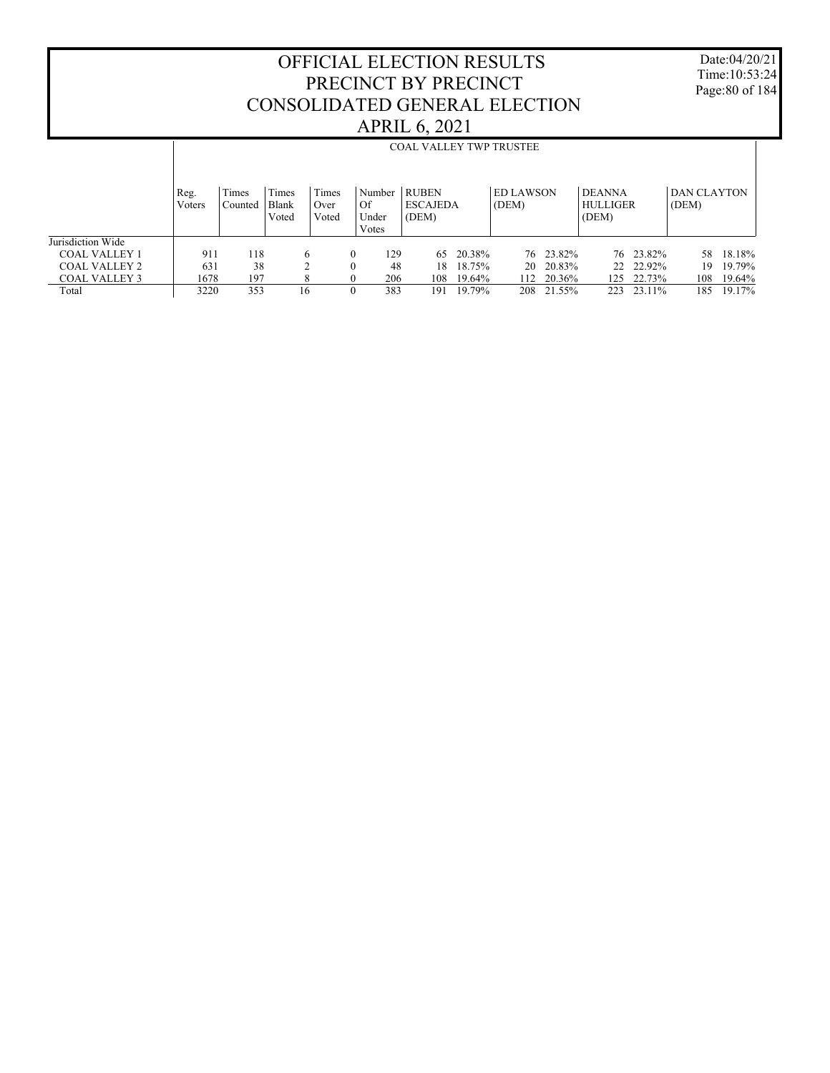Date:04/20/21 Time:10:53:24 Page:80 of 184

|                      |                | <b>COAL VALLEY TWP TRUSTEE</b> |                         |                        |                                  |                                          |        |                           |           |                                           |           |                      |        |
|----------------------|----------------|--------------------------------|-------------------------|------------------------|----------------------------------|------------------------------------------|--------|---------------------------|-----------|-------------------------------------------|-----------|----------------------|--------|
|                      |                |                                |                         |                        |                                  |                                          |        |                           |           |                                           |           |                      |        |
|                      | Reg.<br>Voters | Times<br>Counted               | Times<br>Blank<br>Voted | Times<br>Over<br>Voted | ⊥ Number<br>Of<br>Under<br>Votes | <b>RUBEN</b><br><b>ESCAJEDA</b><br>(DEM) |        | <b>ED LAWSON</b><br>(DEM) |           | <b>DEANNA</b><br><b>HULLIGER</b><br>(DEM) |           | DAN CLAYTON<br>(DEM) |        |
| Jurisdiction Wide    |                |                                |                         |                        |                                  |                                          |        |                           |           |                                           |           |                      |        |
| <b>COAL VALLEY 1</b> | 911            | 118                            | 6                       | 0                      | 129                              | 65                                       | 20.38% |                           | 76 23.82% |                                           | 76 23.82% | 58                   | 18.18% |
| <b>COAL VALLEY 2</b> | 631            | 38                             | ↑                       | $\theta$               | 48                               | 18                                       | 18.75% | 20                        | 20.83%    | 22                                        | 22.92%    | 19                   | 19.79% |
| <b>COAL VALLEY 3</b> | 1678           | 197                            | 8                       | $\Omega$               | 206                              | 108                                      | 19.64% | 112                       | 20.36%    | 125                                       | 22.73%    | 108                  | 19.64% |
| Total                | 3220           | 353                            | 16                      | $\Omega$               | 383                              | 191                                      | 19.79% | 208                       | 21.55%    | 223                                       | 23.11%    | 185                  | 19.17% |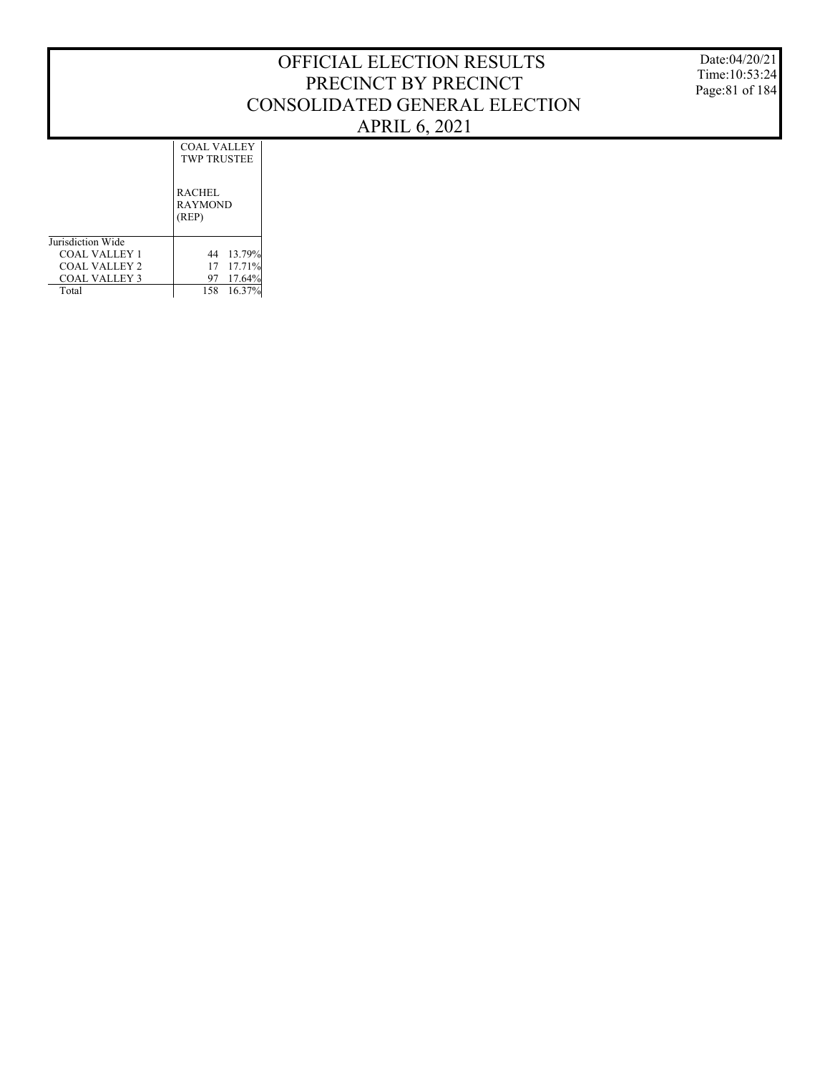Date:04/20/21 Time:10:53:24 Page:81 of 184

COAL VALLEY TWP TRUSTEE

|                      | <b>RACHEL</b><br><b>RAYMOND</b><br>(REP) |           |
|----------------------|------------------------------------------|-----------|
| Jurisdiction Wide    |                                          |           |
| <b>COAL VALLEY 1</b> |                                          | 44 13.79% |
| COAL VALLEY 2        |                                          | 17 17.71% |
| COAL VALLEY 3        | 97                                       | 17.64%    |
| Total                | 158                                      | 16.37%    |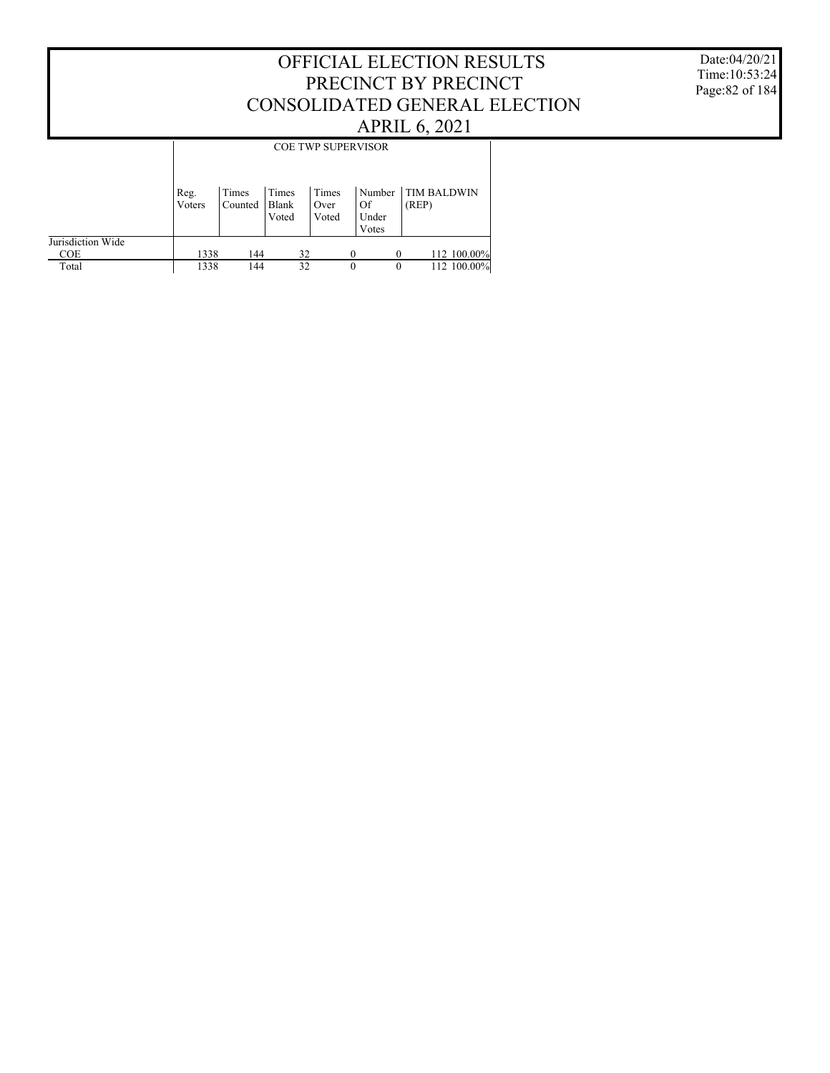#### Date:04/20/21 Time:10:53:24 Page:82 of 184

|                                 |                | <b>COE TWP SUPERVISOR</b> |                         |                        |                                |                             |  |  |  |  |
|---------------------------------|----------------|---------------------------|-------------------------|------------------------|--------------------------------|-----------------------------|--|--|--|--|
|                                 | Reg.<br>Voters | Times<br>Counted          | Times<br>Blank<br>Voted | Times<br>Over<br>Voted | Number<br>Of<br>Under<br>Votes | <b>TIM BALDWIN</b><br>(REP) |  |  |  |  |
| Jurisdiction Wide<br><b>COE</b> | 1338           | 144                       | 32                      |                        |                                | 112 100.00%                 |  |  |  |  |
| Total                           | 1338           | 144                       | 32                      |                        | $\theta$                       | 112 100.00%<br>$\theta$     |  |  |  |  |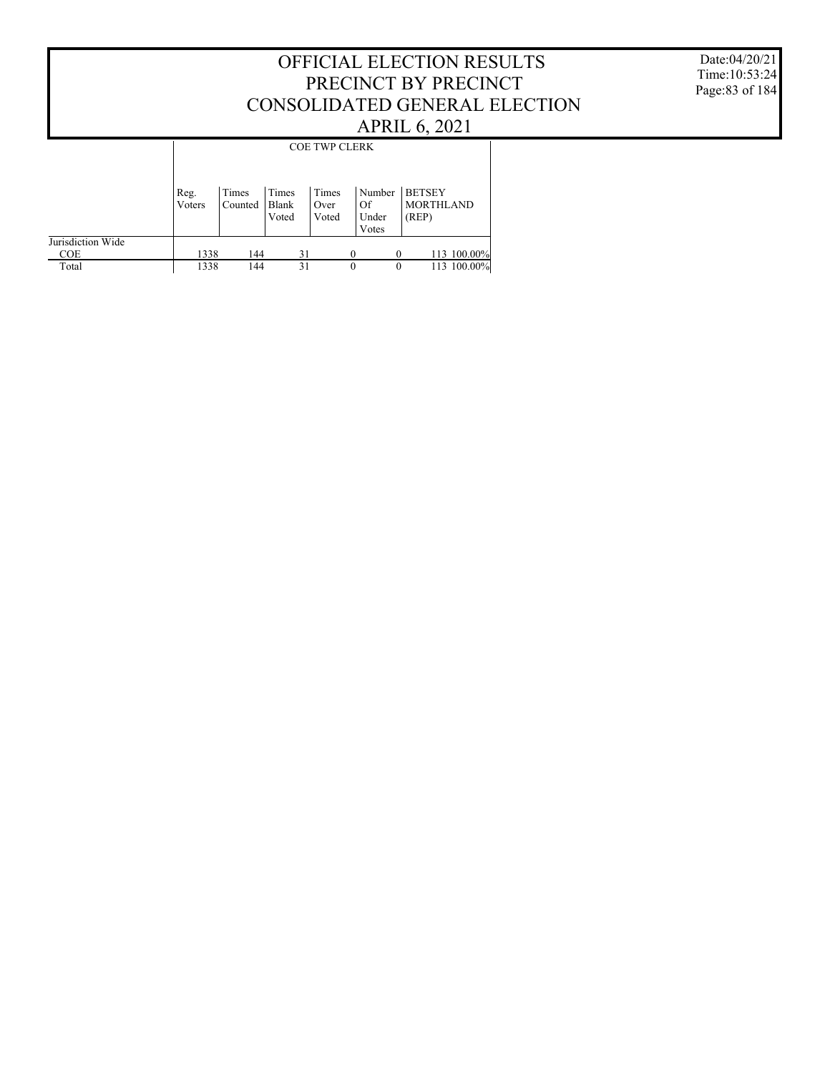Date:04/20/21 Time:10:53:24 Page:83 of 184

|                   |                | <b>COE TWP CLERK</b> |                         |                        |                                |                                            |  |  |  |  |
|-------------------|----------------|----------------------|-------------------------|------------------------|--------------------------------|--------------------------------------------|--|--|--|--|
|                   | Reg.<br>Voters | Times<br>Counted     | Times<br>Blank<br>Voted | Times<br>Over<br>Voted | Number<br>Of<br>Under<br>Votes | <b>BETSEY</b><br><b>MORTHLAND</b><br>(REP) |  |  |  |  |
| Jurisdiction Wide |                |                      |                         |                        |                                |                                            |  |  |  |  |
| <b>COE</b>        | 1338           | 44                   | 31                      |                        |                                | 113 100.00%                                |  |  |  |  |
| Total             | 1338           | 144                  | 31                      |                        | $\theta$                       | 113 100.00%<br>$\theta$                    |  |  |  |  |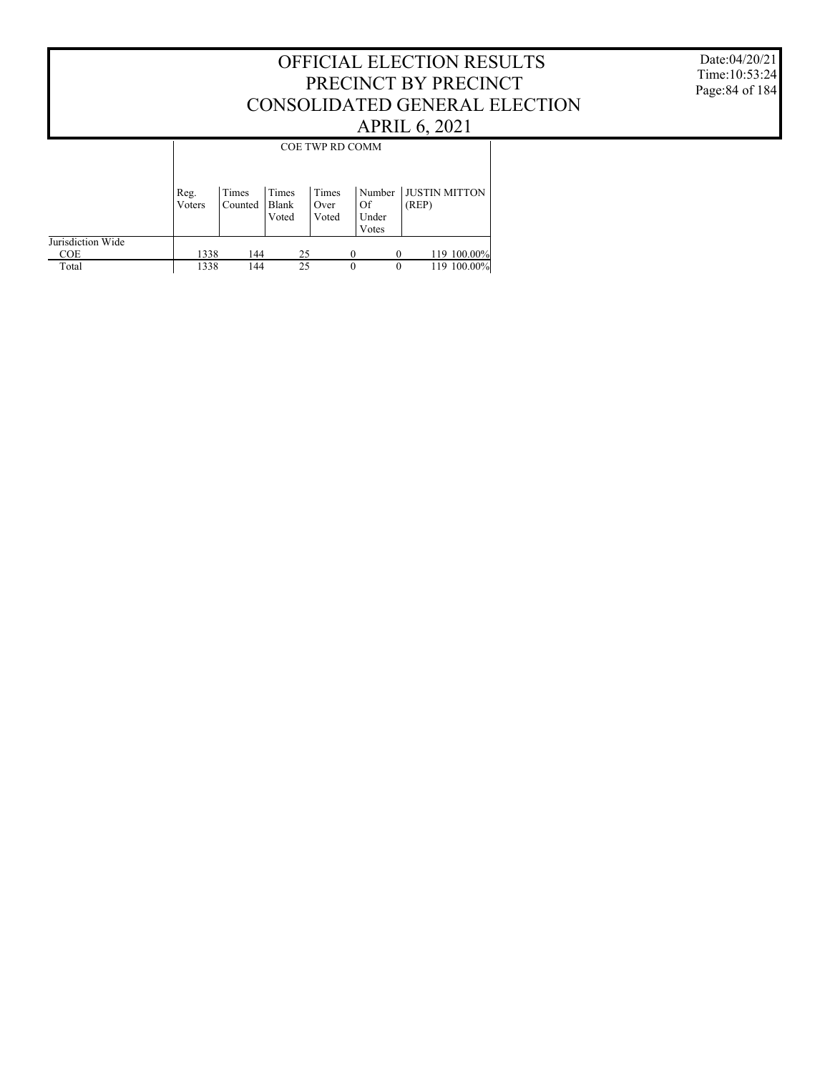#### Date:04/20/21 Time:10:53:24 Page:84 of 184

|                   |                |                  |                         | <b>COE TWP RD COMM</b> |                       |                               |
|-------------------|----------------|------------------|-------------------------|------------------------|-----------------------|-------------------------------|
|                   | Reg.<br>Voters | Times<br>Counted | Times<br>Blank<br>Voted | Times<br>Over<br>Voted | Number<br>Of<br>Under | <b>JUSTIN MITTON</b><br>(REP) |
|                   |                |                  |                         |                        | Votes                 |                               |
| Jurisdiction Wide |                |                  |                         |                        |                       |                               |
| <b>COE</b>        | 1338           | 144              | 25                      |                        | $\Omega$              | 119 100.00%                   |
| Total             | 1338           | 144              | 25                      |                        | $\Omega$              | 119 100.00%                   |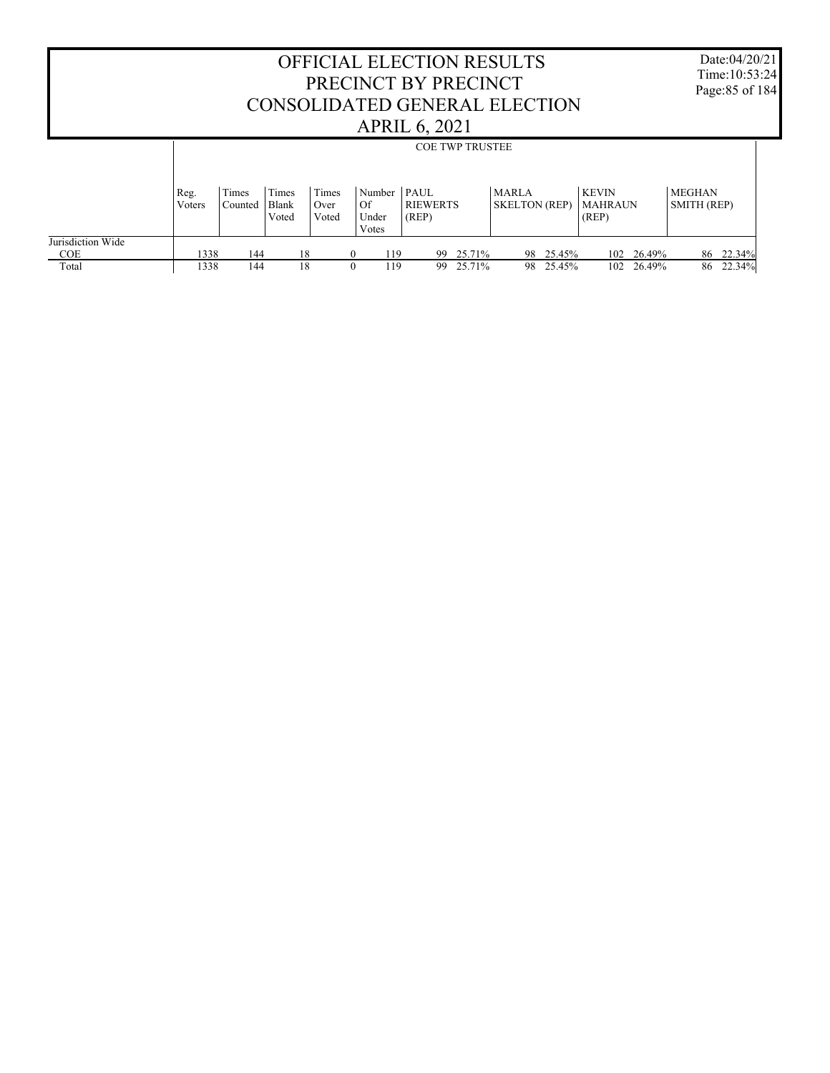|                                 |                |                        |                                |                        |                                | <b>OFFICIAL ELECTION RESULTS</b><br>PRECINCT BY PRECINCT<br>CONSOLIDATED GENERAL ELECTION<br><b>APRIL 6, 2021</b> |        |                                      |           |                                         |        | Date:04/20/21<br>Time: $10:53:24$<br>Page: 85 of 184 |           |  |
|---------------------------------|----------------|------------------------|--------------------------------|------------------------|--------------------------------|-------------------------------------------------------------------------------------------------------------------|--------|--------------------------------------|-----------|-----------------------------------------|--------|------------------------------------------------------|-----------|--|
|                                 |                | <b>COE TWP TRUSTEE</b> |                                |                        |                                |                                                                                                                   |        |                                      |           |                                         |        |                                                      |           |  |
|                                 | Reg.<br>Voters | Times<br>Counted       | Times<br><b>Blank</b><br>Voted | Times<br>Over<br>Voted | Number<br>Of<br>Under<br>Votes | $P_{\rm AUL}$<br><b>RIEWERTS</b><br>(REP)                                                                         |        | <b>MARLA</b><br><b>SKELTON</b> (REP) |           | <b>KEVIN</b><br><b>MAHRAUN</b><br>(REP) |        | <b>MEGHAN</b><br><b>SMITH (REP)</b>                  |           |  |
| Jurisdiction Wide<br><b>COE</b> | 1338           | 144                    | 18                             |                        | 119<br>$\Omega$                | 99                                                                                                                | 25.71% |                                      | 98 25.45% | 102                                     | 26.49% |                                                      | 86 22.34% |  |
| Total                           | 1338           | 144                    | 18                             |                        | 119                            | 99                                                                                                                | 25.71% |                                      | 98 25.45% | 102                                     | 26.49% |                                                      | 86 22.34% |  |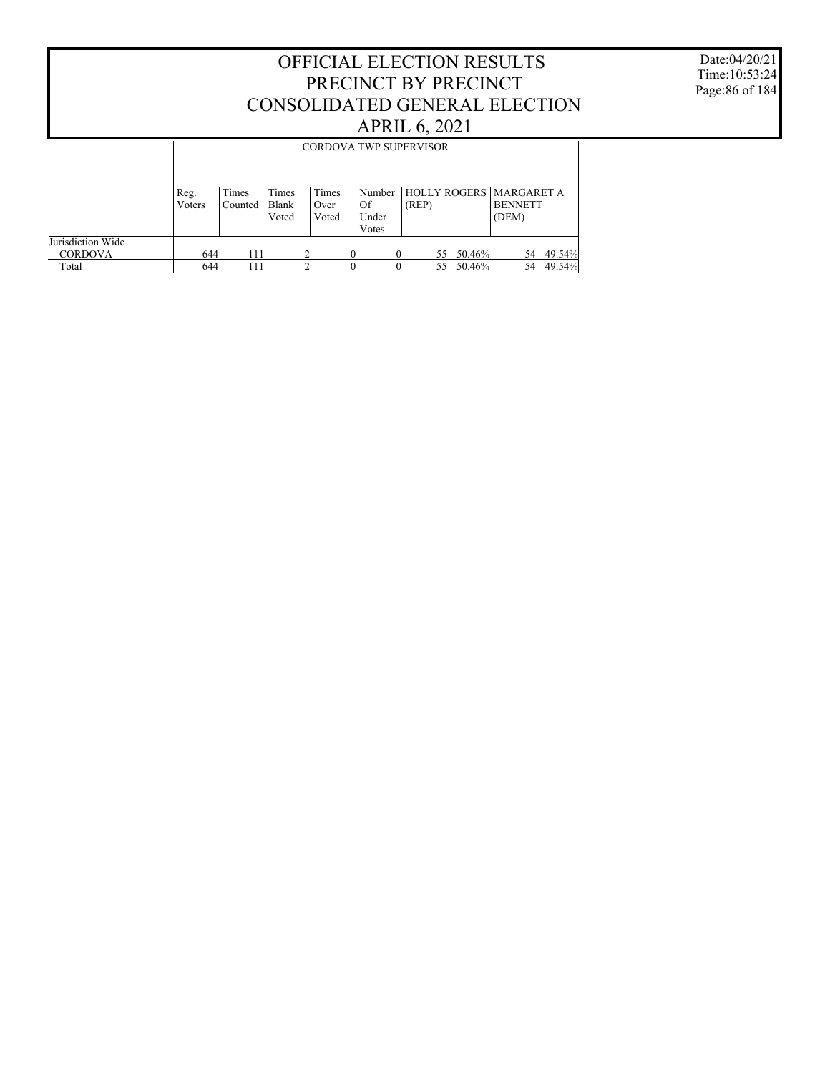Date:04/20/21 Time:10:53:24 Page:86 of 184

|                   |        |         |       |       | <b>CORDOVA TWP SUPERVISOR</b> |        |    |           |                                    |        |
|-------------------|--------|---------|-------|-------|-------------------------------|--------|----|-----------|------------------------------------|--------|
|                   |        |         |       |       |                               |        |    |           |                                    |        |
|                   | Reg.   | Times   | Times | Times |                               |        |    |           | Number   HOLLY ROGERS   MARGARET A |        |
|                   | Voters | Counted | Blank | Over  | Of                            | (REP)  |    |           | <b>BENNETT</b>                     |        |
|                   |        |         | Voted | Voted | Under                         |        |    |           | (DEM)                              |        |
|                   |        |         |       |       | Votes                         |        |    |           |                                    |        |
| Jurisdiction Wide |        |         |       |       |                               |        |    |           |                                    |        |
| <b>CORDOVA</b>    | 644    | 111     |       |       | 0                             |        |    | 55 50.46% | 54                                 | 49.54% |
| Total             | 644    | 111     |       |       | 0                             | $_{0}$ | 55 | 50.46%    | 54                                 | 49.54% |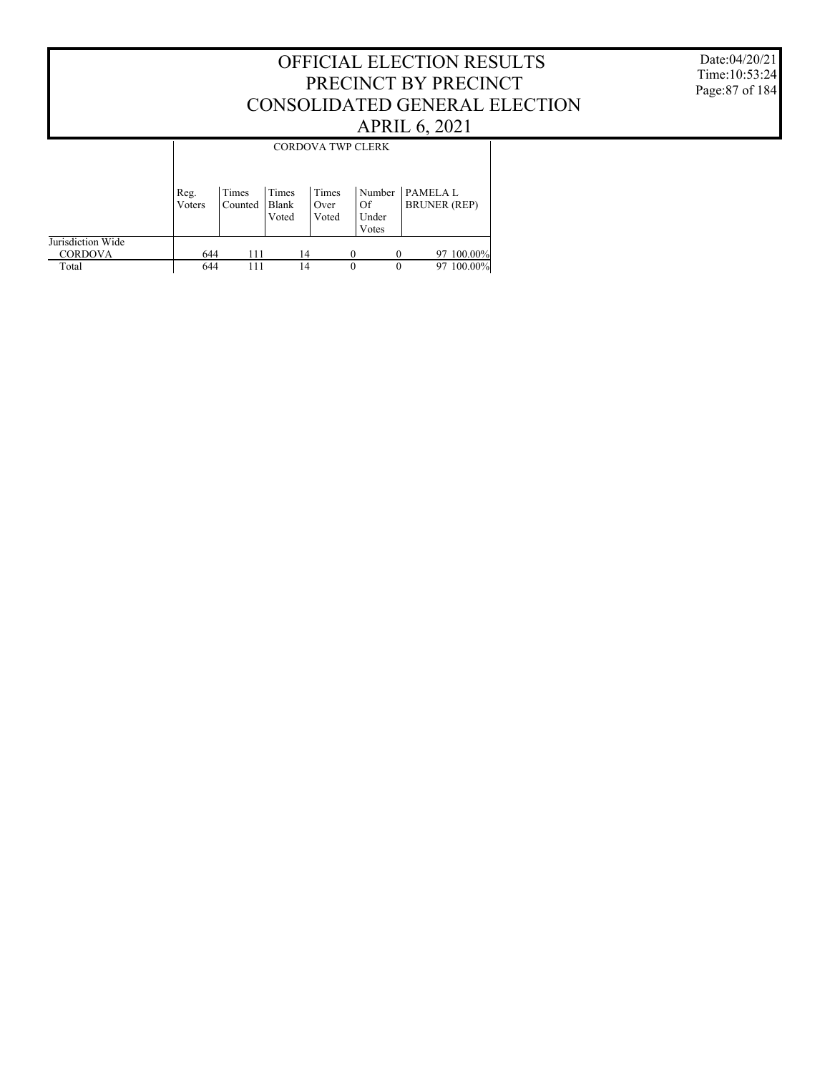Date:04/20/21 Time:10:53:24 Page:87 of 184

|                                     |                |                  |                         | <b>CORDOVA TWP CLERK</b> |   |                                |                                       |            |
|-------------------------------------|----------------|------------------|-------------------------|--------------------------|---|--------------------------------|---------------------------------------|------------|
|                                     | Reg.<br>Voters | Times<br>Counted | Times<br>Blank<br>Voted | Times<br>Over<br>Voted   |   | Number<br>Of<br>Under<br>Votes | <b>PAMELAL</b><br><b>BRUNER</b> (REP) |            |
| Jurisdiction Wide<br><b>CORDOVA</b> | 644            | 111              |                         | 14                       |   |                                |                                       | 97 100.00% |
| Total                               | 644            | 111              | 14                      |                          | 0 | 0                              | 97                                    | $100.00\%$ |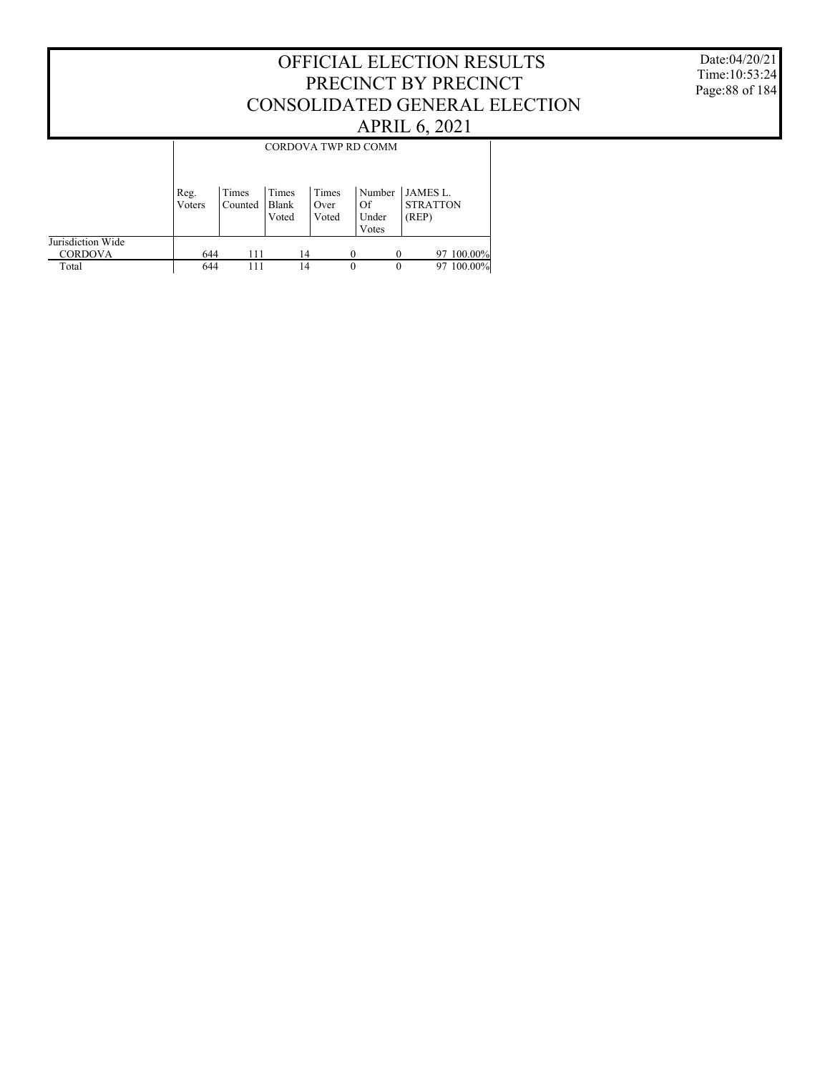#### Date:04/20/21 Time:10:53:24 Page:88 of 184

|                                     |                |                  |                         |                        | CORDOVA TWP RD COMM            |                                      |
|-------------------------------------|----------------|------------------|-------------------------|------------------------|--------------------------------|--------------------------------------|
|                                     | Reg.<br>Voters | Times<br>Counted | Times<br>Blank<br>Voted | Times<br>Over<br>Voted | Number<br>Of<br>Under<br>Votes | JAMES L.<br><b>STRATTON</b><br>(REP) |
| Jurisdiction Wide<br><b>CORDOVA</b> | 644            |                  | 14                      |                        |                                | 100.00%<br>97                        |
| Total                               | 644            | 111              | 14                      |                        | $\theta$                       | 100.00%<br>0<br>97                   |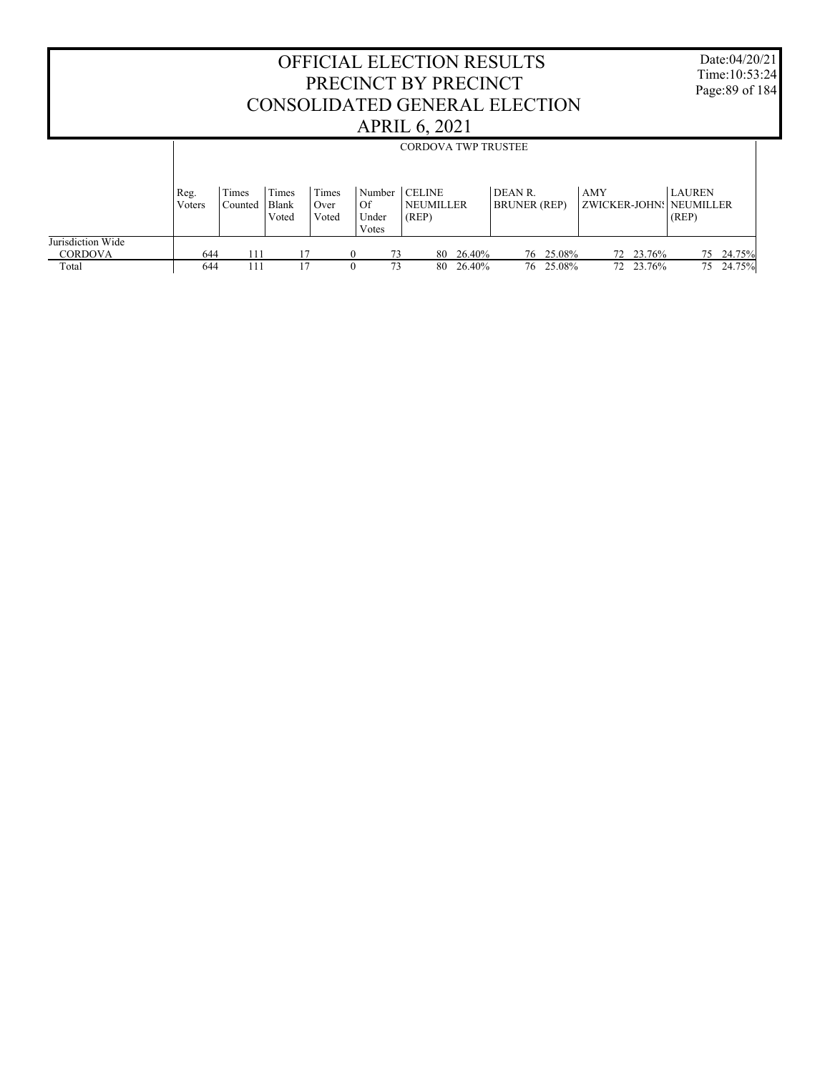|                                              | OFFICIAL ELECTION RESULTS<br>PRECINCT BY PRECINCT<br>CONSOLIDATED GENERAL ELECTION<br><b>APRIL 6, 2021</b><br><b>CORDOVA TWP TRUSTEE</b> |                  |                         |                        |                                |                                            |                                |                     |                                |                           |  |
|----------------------------------------------|------------------------------------------------------------------------------------------------------------------------------------------|------------------|-------------------------|------------------------|--------------------------------|--------------------------------------------|--------------------------------|---------------------|--------------------------------|---------------------------|--|
|                                              |                                                                                                                                          |                  |                         |                        |                                |                                            |                                |                     |                                |                           |  |
|                                              | Reg.<br>Voters                                                                                                                           | Times<br>Counted | Times<br>Blank<br>Voted | Times<br>Over<br>Voted | Number<br>Of<br>Under<br>Votes | <b>CELINE</b><br><b>NEUMILLER</b><br>(REP) | DEAN R.<br><b>BRUNER</b> (REP) |                     | AMY<br>ZWICKER-JOHN: NEUMILLER | <b>LAUREN</b><br>(REP)    |  |
| Jurisdiction Wide<br><b>CORDOVA</b><br>Total | 644<br>644                                                                                                                               | 111<br>111       | 17<br>17                | $\theta$<br>$\Omega$   | 73<br>73                       | 26.40%<br>80<br>26.40%<br>80               | 76                             | 25.08%<br>76 25.08% | 23.76%<br>72<br>72 23.76%      | 24.75%<br>75<br>75 24.75% |  |

Г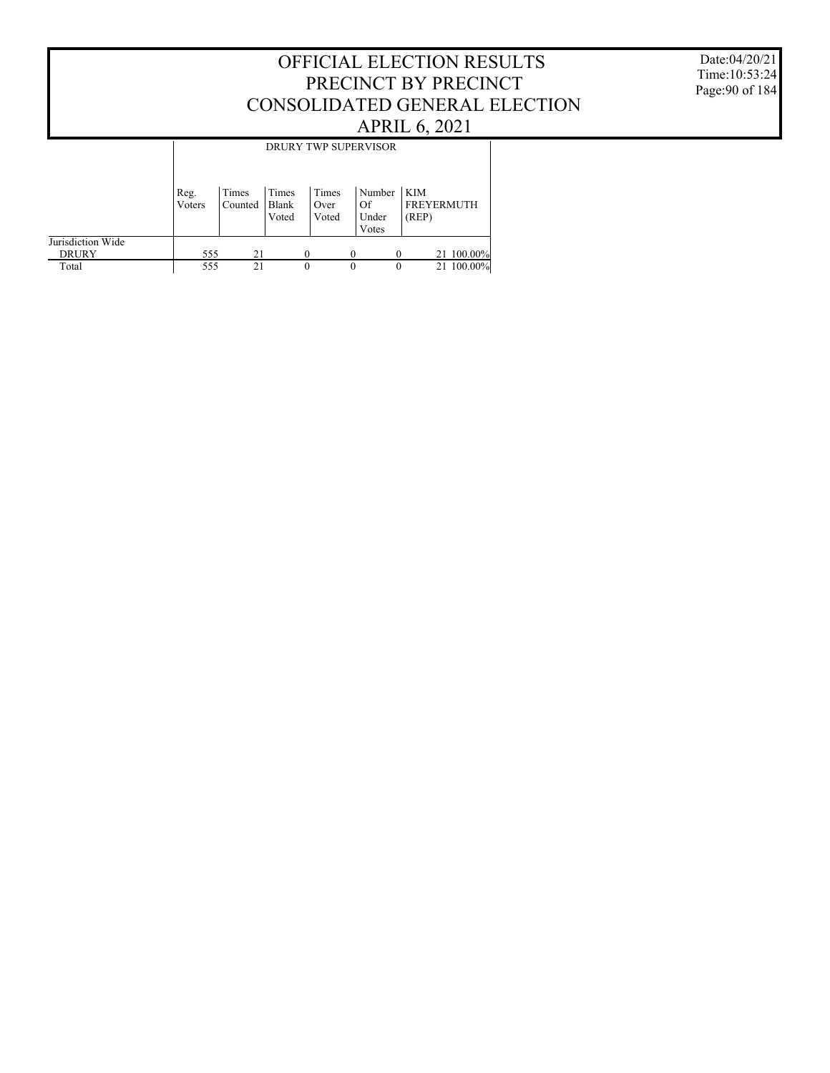#### Date:04/20/21 Time:10:53:24 Page:90 of 184

|                                   |                | DRURY TWP SUPERVISOR |                         |                        |                                |                                   |  |  |  |  |  |
|-----------------------------------|----------------|----------------------|-------------------------|------------------------|--------------------------------|-----------------------------------|--|--|--|--|--|
|                                   | Reg.<br>Voters | Times<br>Counted     | Times<br>Blank<br>Voted | Times<br>Over<br>Voted | Number<br>Of<br>Under<br>Votes | KIM<br><b>FREYERMUTH</b><br>(REP) |  |  |  |  |  |
| Jurisdiction Wide<br><b>DRURY</b> | 555            | 21                   |                         | 0                      |                                | 21 100.00%                        |  |  |  |  |  |
| Total                             | 555            | 21                   |                         | 0                      | $\Omega$                       | 21 100.00%<br>$\theta$            |  |  |  |  |  |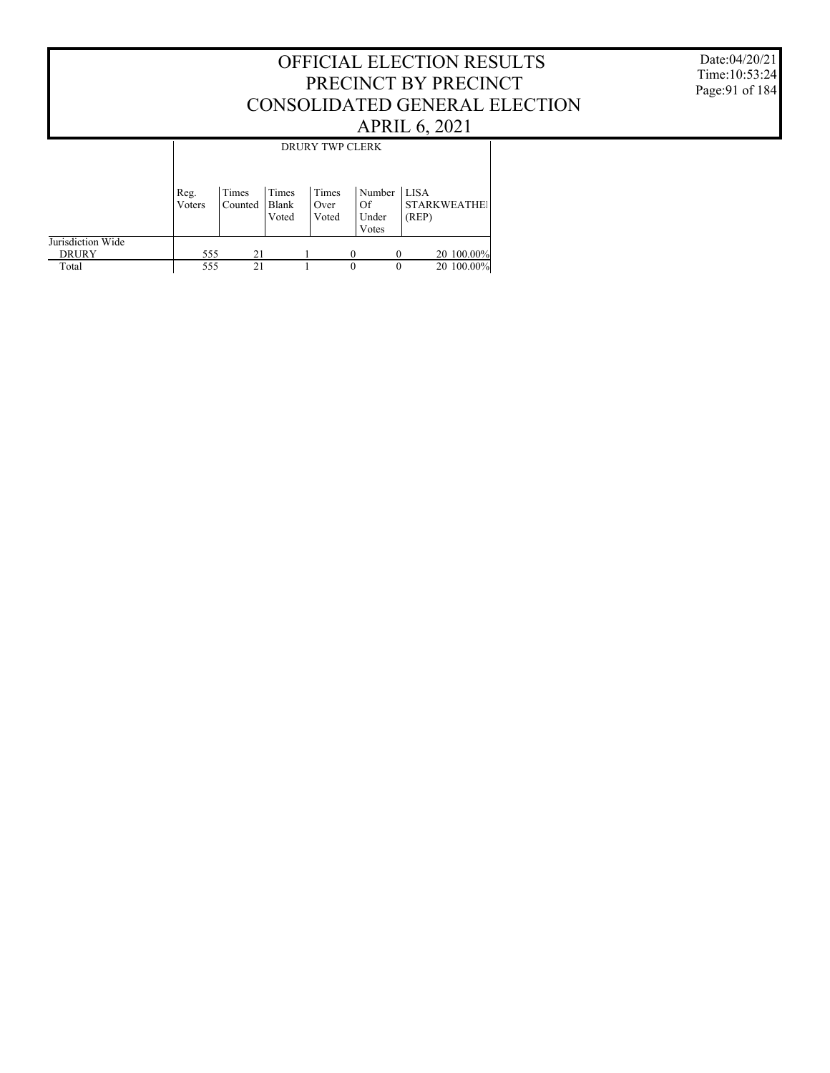#### Date:04/20/21 Time:10:53:24 Page:91 of 184

|                   |                |                  |                | DRURY TWP CLERK |              |       |                     |
|-------------------|----------------|------------------|----------------|-----------------|--------------|-------|---------------------|
|                   |                |                  |                |                 |              |       |                     |
|                   | Reg.<br>Voters | Times<br>Counted | Times<br>Blank | Times<br>Over   | Number<br>Of | LISA  | <b>STARKWEATHE!</b> |
|                   |                |                  | Voted          | Voted           | Under        | (REP) |                     |
|                   |                |                  |                |                 | Votes        |       |                     |
| Jurisdiction Wide |                |                  |                |                 |              |       |                     |
| <b>DRURY</b>      | 555            | 21               |                |                 | $\Omega$     |       | 20 100.00%          |
| Total             | 555            | 21               |                |                 | $\theta$     | 0     | 20 100.00%          |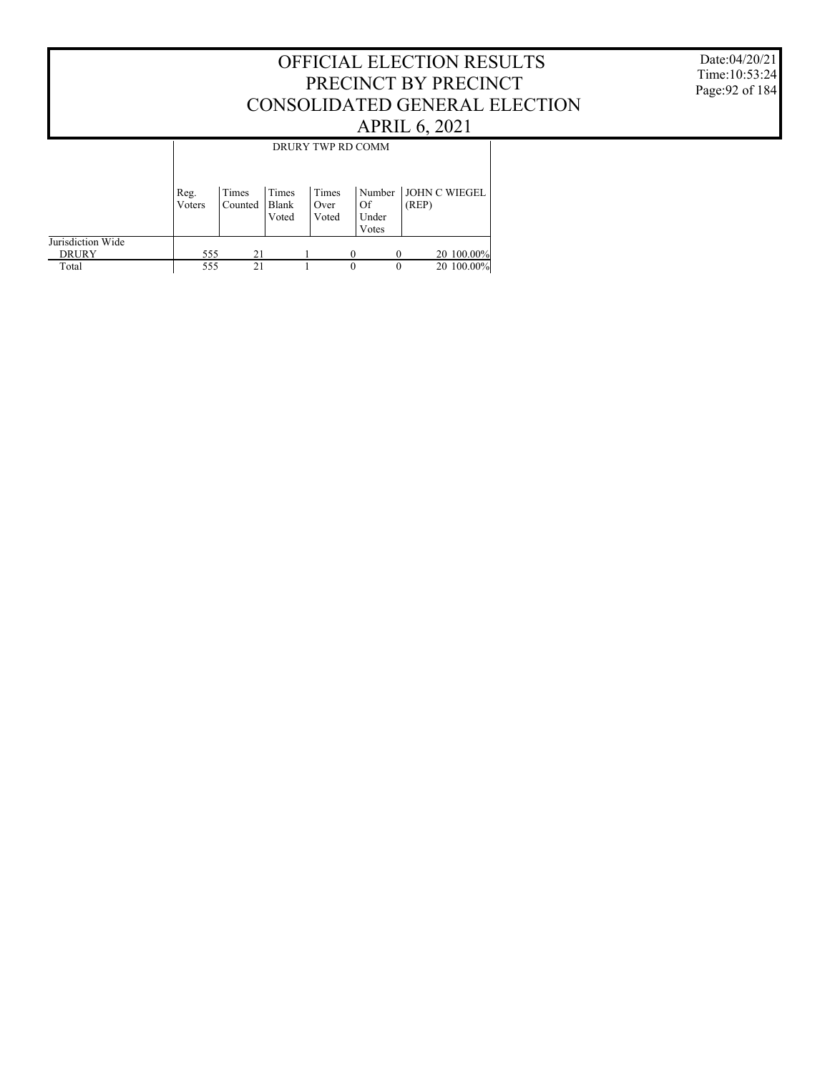#### Date:04/20/21 Time:10:53:24 Page:92 of 184

|                                   |                |                  |                         |                        | DRURY TWP RD COMM              |          |                               |
|-----------------------------------|----------------|------------------|-------------------------|------------------------|--------------------------------|----------|-------------------------------|
|                                   | Reg.<br>Voters | Times<br>Counted | Times<br>Blank<br>Voted | Times<br>Over<br>Voted | Number<br>Of<br>Under<br>Votes |          | <b>JOHN C WIEGEL</b><br>(REP) |
| Jurisdiction Wide<br><b>DRURY</b> | 555            | 21               |                         |                        | $\Omega$                       | $\Omega$ | 20 100.00%                    |
| Total                             | 555            | 21               |                         |                        | $\Omega$                       | $\Omega$ | 20 100.00%                    |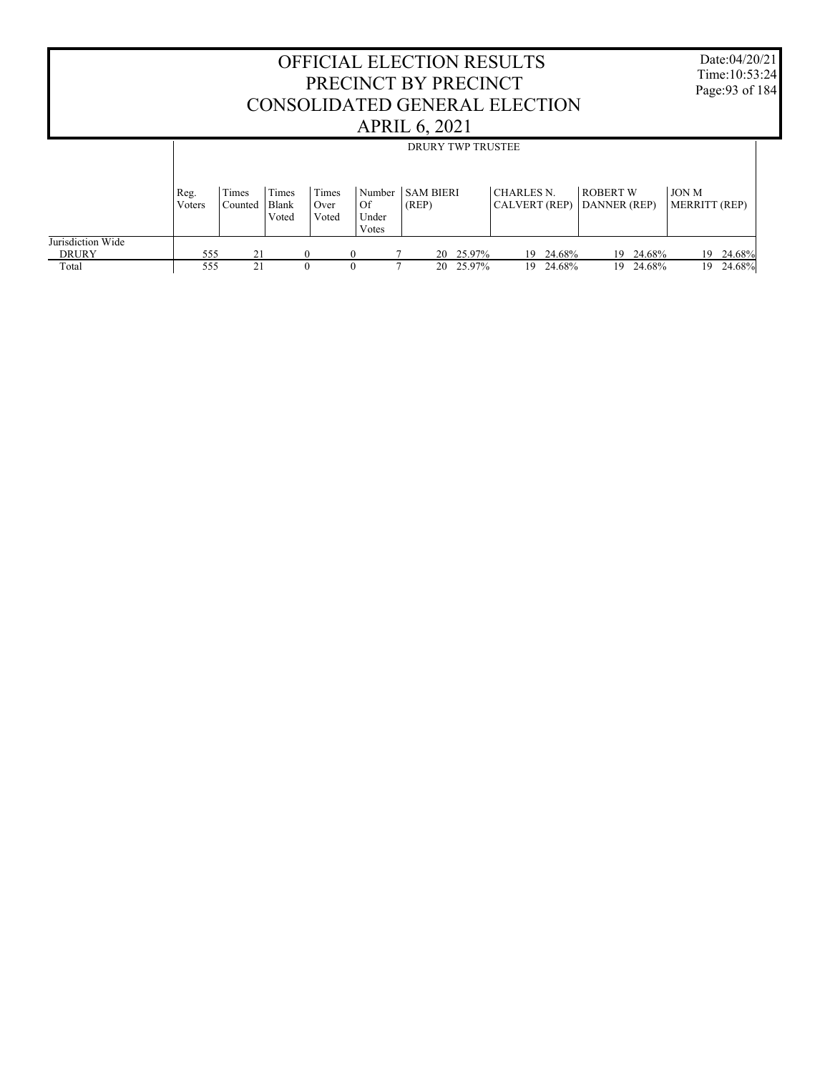|                                   |                |                  |                         |                        |                                | OFFICIAL ELECTION RESULTS<br>PRECINCT BY PRECINCT<br>CONSOLIDATED GENERAL ELECTION<br><b>APRIL 6, 2021</b> |           |                                    |           |                                 |           |                               | Date:04/20/21<br>Time: 10:53:24<br>Page: 93 of 184 |
|-----------------------------------|----------------|------------------|-------------------------|------------------------|--------------------------------|------------------------------------------------------------------------------------------------------------|-----------|------------------------------------|-----------|---------------------------------|-----------|-------------------------------|----------------------------------------------------|
|                                   |                |                  |                         |                        |                                | <b>DRURY TWP TRUSTEE</b>                                                                                   |           |                                    |           |                                 |           |                               |                                                    |
|                                   | Reg.<br>Voters | Times<br>Counted | Times<br>Blank<br>Voted | Times<br>Over<br>Voted | Number<br>Of<br>Under<br>Votes | <b>SAM BIERI</b><br>(REP)                                                                                  |           | <b>CHARLES N.</b><br>CALVERT (REP) |           | <b>ROBERT W</b><br>DANNER (REP) |           | <b>JON M</b><br>MERRITT (REP) |                                                    |
| Jurisdiction Wide<br><b>DRURY</b> | 555            | 21               |                         | $\theta$               |                                |                                                                                                            | 20 25.97% |                                    | 19 24.68% |                                 | 19 24.68% |                               | 19 24.68%                                          |
| Total                             | 555            | 2.1              |                         | $\Omega$               |                                | 20                                                                                                         | 25.97%    | 19.                                | 24.68%    |                                 | 19 24.68% |                               | 19 24.68%                                          |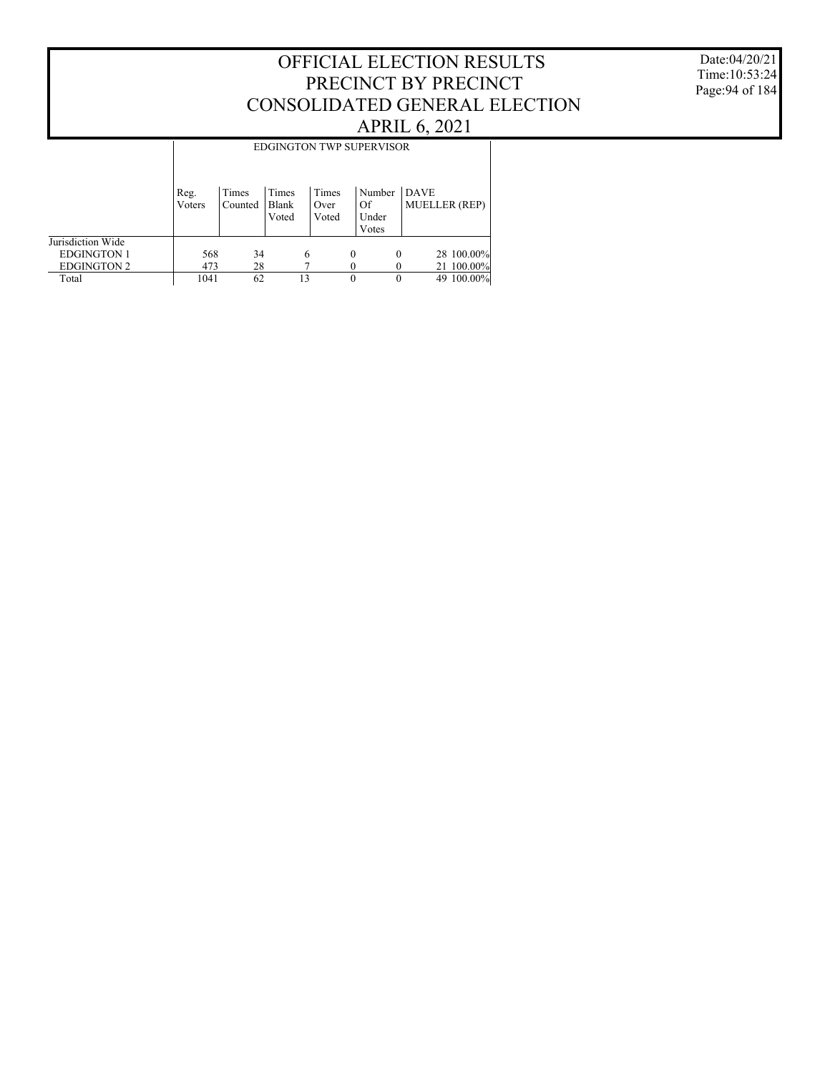Date:04/20/21 Time:10:53:24 Page:94 of 184

|                    |                |                  |                         |                        |   | <b>EDGINGTON TWP SUPERVISOR</b> |                                     |            |            |
|--------------------|----------------|------------------|-------------------------|------------------------|---|---------------------------------|-------------------------------------|------------|------------|
|                    | Reg.<br>Voters | Times<br>Counted | Times<br>Blank<br>Voted | Times<br>Over<br>Voted |   | Number<br>Of<br>Under<br>Votes  | <b>DAVE</b><br><b>MUELLER</b> (REP) |            |            |
| Jurisdiction Wide  |                |                  |                         |                        |   |                                 |                                     |            |            |
| <b>EDGINGTON 1</b> | 568            | 34               | 6                       |                        | 0 | $\Omega$                        |                                     |            | 28 100.00% |
| <b>EDGINGTON 2</b> | 473            | 28               |                         |                        |   |                                 |                                     | 21 100.00% |            |
| Total              | 1041           | 62               | 13                      |                        | 0 |                                 |                                     | 49 100.00% |            |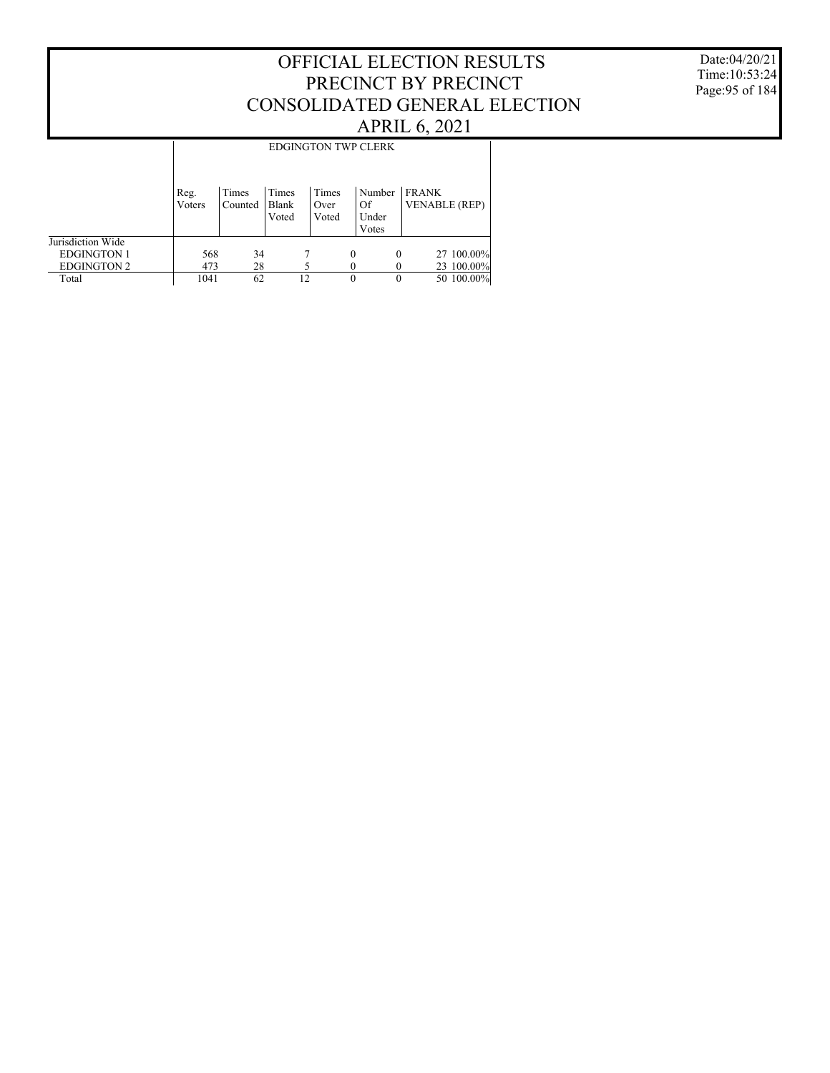#### Date:04/20/21 Time:10:53:24 Page:95 of 184

|                    |                |                  |                         |                        |   | <b>EDGINGTON TWP CLERK</b>     |                                      |
|--------------------|----------------|------------------|-------------------------|------------------------|---|--------------------------------|--------------------------------------|
|                    | Reg.<br>Voters | Times<br>Counted | Times<br>Blank<br>Voted | Times<br>Over<br>Voted |   | Number<br>Of<br>Under<br>Votes | <b>FRANK</b><br><b>VENABLE</b> (REP) |
| Jurisdiction Wide  |                |                  |                         |                        |   |                                |                                      |
| <b>EDGINGTON 1</b> | 568            | 34               |                         |                        | 0 | 0                              | 27 100.00%                           |
| <b>EDGINGTON 2</b> | 473            | 28               |                         |                        |   |                                | 23 100.00%                           |
| Total              | 1041           | 62               | 12                      |                        | 0 | 0                              | 50 100.00%                           |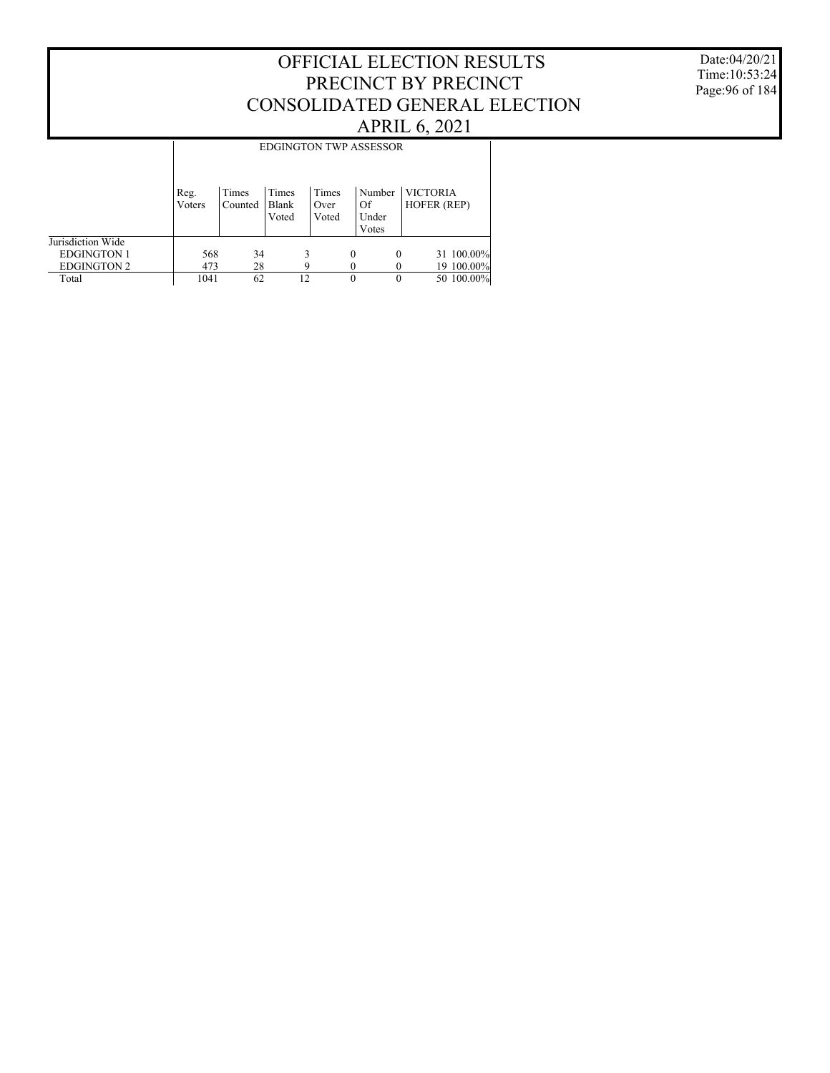Date:04/20/21 Time:10:53:24 Page:96 of 184

|                    |                | <b>EDGINGTON TWP ASSESSOR</b> |                         |                        |   |                                |                                |  |  |  |  |  |
|--------------------|----------------|-------------------------------|-------------------------|------------------------|---|--------------------------------|--------------------------------|--|--|--|--|--|
|                    | Reg.<br>Voters | Times<br>Counted              | Times<br>Blank<br>Voted | Times<br>Over<br>Voted |   | Number<br>Of<br>Under<br>Votes | <b>VICTORIA</b><br>HOFER (REP) |  |  |  |  |  |
| Jurisdiction Wide  |                |                               |                         |                        |   |                                |                                |  |  |  |  |  |
| <b>EDGINGTON 1</b> | 568            | 34                            |                         |                        | 0 | $\theta$                       | 31 100.00%                     |  |  |  |  |  |
| <b>EDGINGTON 2</b> | 473            | 28                            |                         |                        |   |                                | 19 100.00%                     |  |  |  |  |  |
| Total              | 1041           | 62                            | 12                      |                        | 0 | 0                              | 50 100.00%                     |  |  |  |  |  |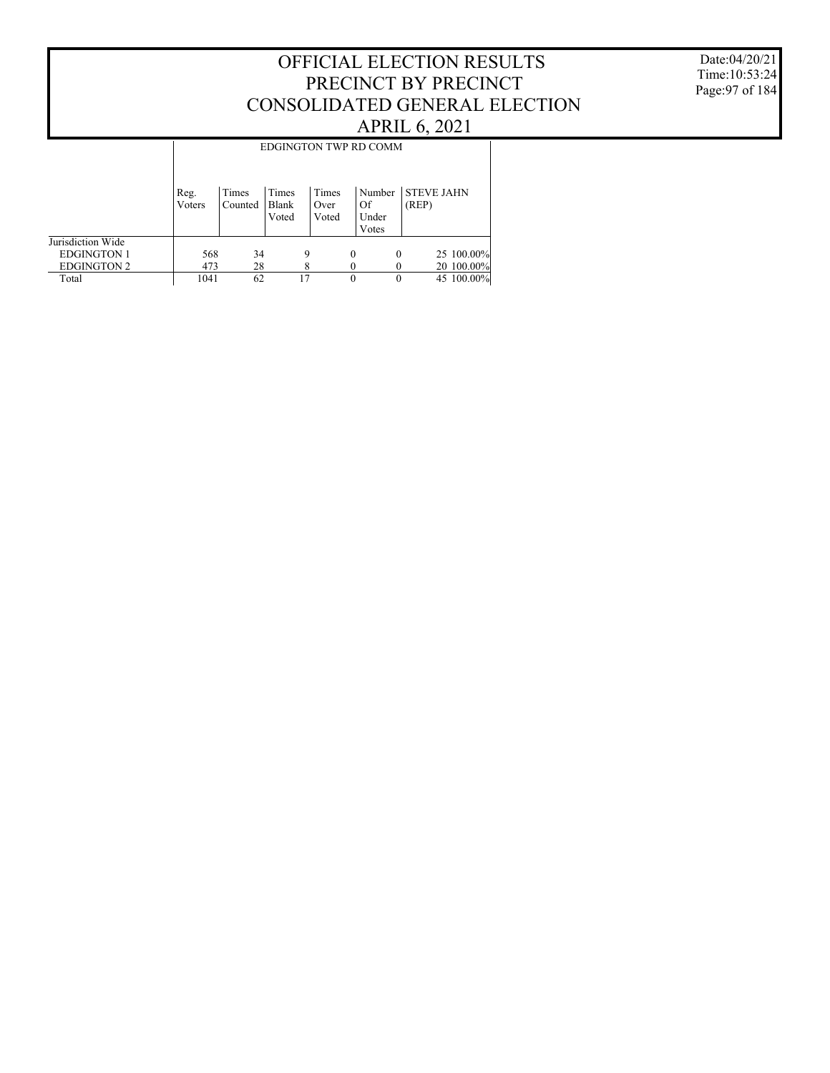Date:04/20/21 Time:10:53:24 Page:97 of 184

|                    |                | EDGINGTON TWP RD COMM |                         |                        |          |                                |                            |            |  |  |  |  |
|--------------------|----------------|-----------------------|-------------------------|------------------------|----------|--------------------------------|----------------------------|------------|--|--|--|--|
|                    | Reg.<br>Voters | Times<br>Counted      | Times<br>Blank<br>Voted | Times<br>Over<br>Voted |          | Number<br>Of<br>Under<br>Votes | <b>STEVE JAHN</b><br>(REP) |            |  |  |  |  |
| Jurisdiction Wide  |                |                       |                         |                        |          |                                |                            |            |  |  |  |  |
| <b>EDGINGTON 1</b> | 568            | 34                    | 9                       |                        | $\theta$ | $\theta$                       |                            | 25 100.00% |  |  |  |  |
| <b>EDGINGTON 2</b> | 473            | 28                    |                         |                        |          |                                |                            | 20 100.00% |  |  |  |  |
| Total              | 1041           | 62                    | 17                      |                        | $\theta$ | 0                              |                            | 45 100.00% |  |  |  |  |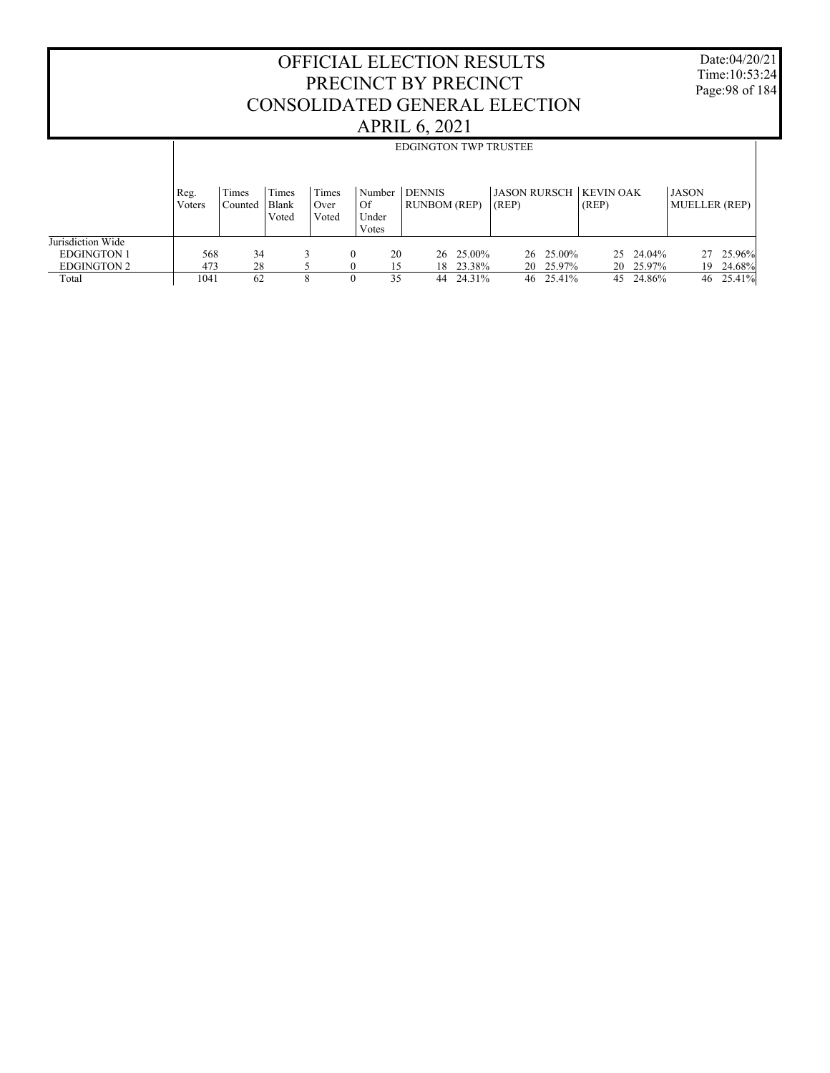Date:04/20/21 Time:10:53:24 Page:98 of 184

|                    |                | <b>EDGINGTON TWP TRUSTEE</b> |                         |                        |                       |                                      |           |                                        |              |                                      |  |
|--------------------|----------------|------------------------------|-------------------------|------------------------|-----------------------|--------------------------------------|-----------|----------------------------------------|--------------|--------------------------------------|--|
|                    | Reg.<br>Voters | Times<br>Counted             | Times<br>Blank<br>Voted | Times<br>Over<br>Voted | Number<br>Of<br>Under | <b>DENNIS</b><br><b>RUNBOM (REP)</b> |           | <b>JASON RURSCH KEVIN OAK</b><br>(REP) | (REP)        | <b>JASON</b><br><b>MUELLER</b> (REP) |  |
|                    |                |                              |                         |                        | Votes                 |                                      |           |                                        |              |                                      |  |
| Jurisdiction Wide  |                |                              |                         |                        |                       |                                      |           |                                        |              |                                      |  |
| <b>EDGINGTON 1</b> | 568            | 34                           |                         |                        | 20<br>$\Omega$        |                                      | 26 25.00% | 26 25.00%                              | 25 24.04%    | 25.96%<br>27                         |  |
| <b>EDGINGTON 2</b> | 473            | 28                           |                         |                        |                       |                                      | 18 23.38% | 20 25.97%                              | 20 25.97%    | 24.68%<br>19                         |  |
| Total              | 1041           | 62                           | 8                       |                        | 35<br>$\theta$        | 44                                   | 24.31%    | 46 25.41%                              | 24.86%<br>45 | 25.41%<br>46                         |  |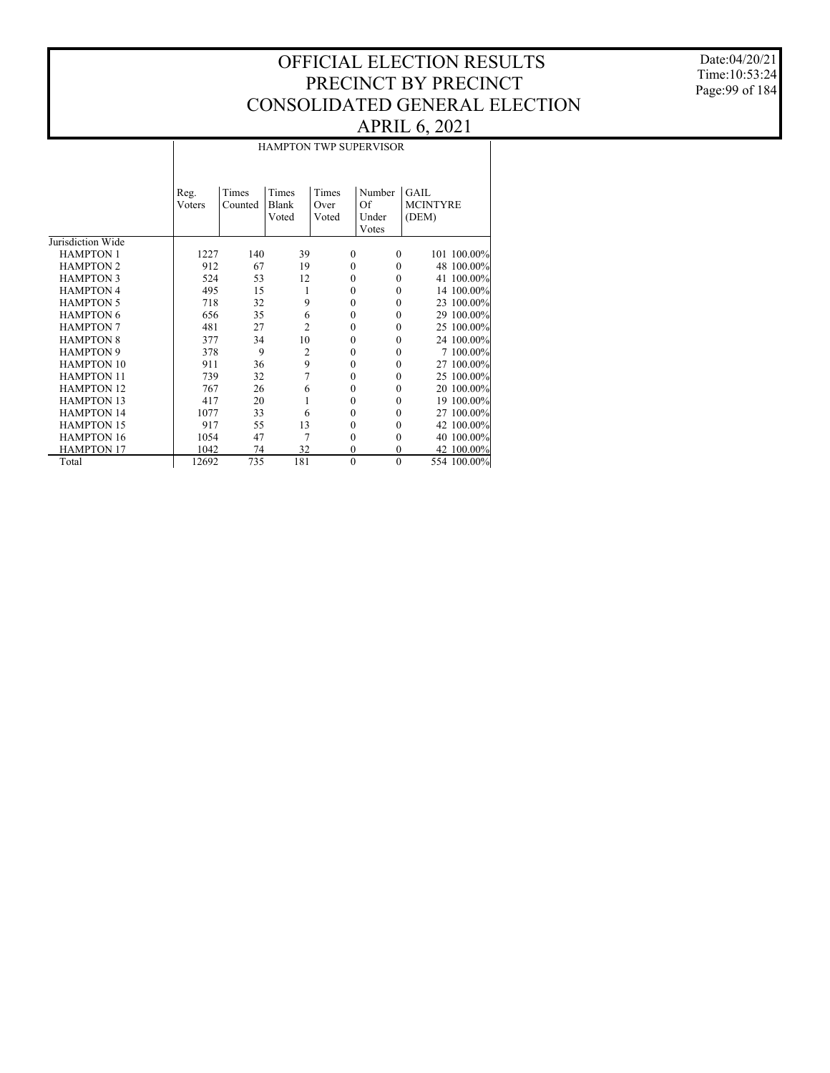Date:04/20/21 Time:10:53:24 Page:99 of 184

#### HAMPTON TWP SUPERVISOR

|                   | Reg.   | Times   | Times          | Times        | Number       | <b>GAIL</b>     |
|-------------------|--------|---------|----------------|--------------|--------------|-----------------|
|                   | Voters | Counted | Blank          | Over         | Of           | <b>MCINTYRE</b> |
|                   |        |         | Voted          | Voted        | Under        | (DEM)           |
|                   |        |         |                |              | Votes        |                 |
| Jurisdiction Wide |        |         |                |              |              |                 |
| <b>HAMPTON 1</b>  | 1227   | 140     | 39             | $\mathbf{0}$ | $\Omega$     | 101 100.00%     |
| <b>HAMPTON 2</b>  | 912    | 67      | 19             | $\mathbf{0}$ | 0            | 48 100.00%      |
| <b>HAMPTON 3</b>  | 524    | 53      | 12             | $\mathbf{0}$ | $\theta$     | 41 100.00%      |
| <b>HAMPTON 4</b>  | 495    | 15      | 1              | $\theta$     | $\theta$     | 14 100.00%      |
| <b>HAMPTON 5</b>  | 718    | 32      | 9              | $\theta$     | $\theta$     | 23 100.00%      |
| <b>HAMPTON 6</b>  | 656    | 35      | 6              | $\mathbf{0}$ | $\theta$     | 29 100.00%      |
| <b>HAMPTON 7</b>  | 481    | 27      | $\overline{2}$ | $\mathbf{0}$ | $\theta$     | 25 100.00%      |
| <b>HAMPTON 8</b>  | 377    | 34      | 10             | $\mathbf{0}$ | $\theta$     | 24 100.00%      |
| <b>HAMPTON 9</b>  | 378    | 9       | $\mathfrak{2}$ | $\mathbf{0}$ | $\mathbf{0}$ | 7 100.00%       |
| <b>HAMPTON 10</b> | 911    | 36      | 9              | $\mathbf{0}$ | $\theta$     | 27 100.00%      |
| <b>HAMPTON 11</b> | 739    | 32      | 7              | $\mathbf{0}$ | $\mathbf{0}$ | 25 100.00%      |
| <b>HAMPTON 12</b> | 767    | 26      | 6              | $\mathbf{0}$ | $\theta$     | 20 100.00%      |
| <b>HAMPTON 13</b> | 417    | 20      | 1              | $\mathbf{0}$ | $\theta$     | 19 100.00%      |
| <b>HAMPTON 14</b> | 1077   | 33      | 6              | $\mathbf{0}$ | $\theta$     | 27 100.00%      |
| <b>HAMPTON 15</b> | 917    | 55      | 13             | $\theta$     | $\theta$     | 42 100.00%      |
| <b>HAMPTON 16</b> | 1054   | 47      | 7              | $\theta$     | $\theta$     | 40 100,00%      |
| <b>HAMPTON 17</b> | 1042   | 74      | 32             | $\mathbf{0}$ | $\theta$     | 42 100.00%      |
| Total             | 12692  | 735     | 181            | $\mathbf{0}$ | $\mathbf{0}$ | 554 100.00%     |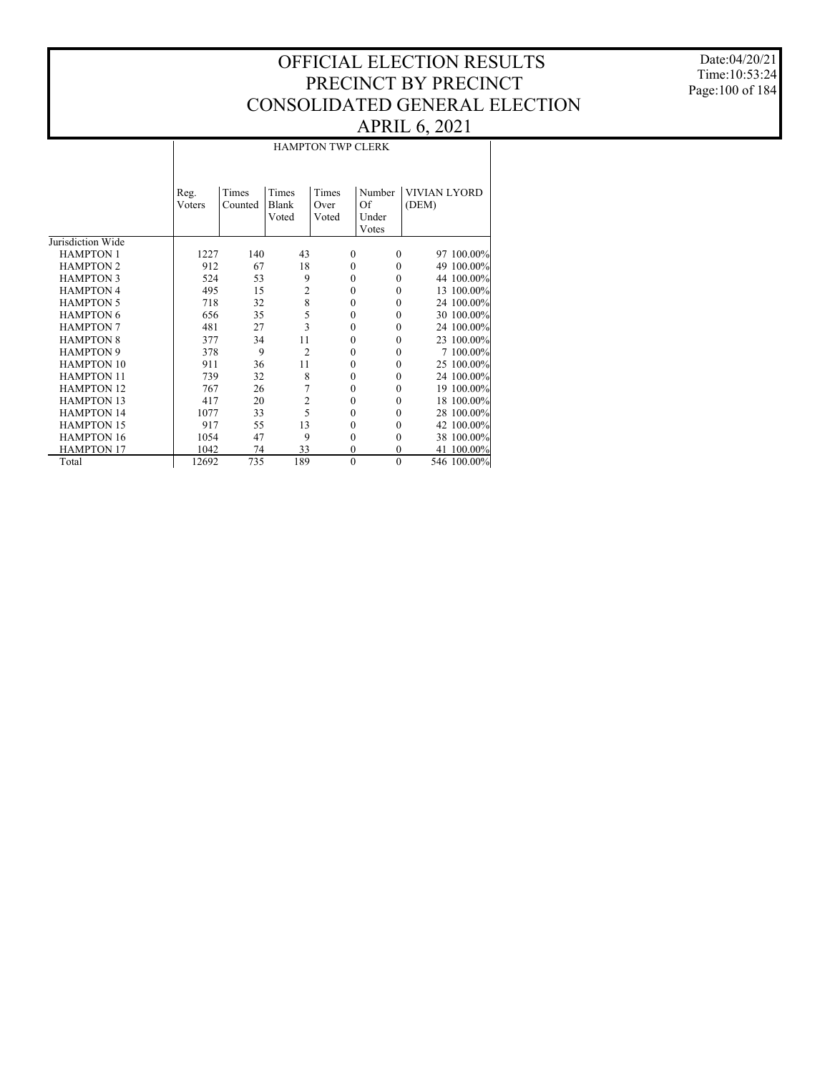Date:04/20/21 Time:10:53:24 Page:100 of 184

|                   |               |         |                | <b>HAMPTON TWP CLERK</b> |              |                     |
|-------------------|---------------|---------|----------------|--------------------------|--------------|---------------------|
|                   |               |         |                |                          |              |                     |
|                   |               |         |                |                          |              |                     |
|                   | Reg.          | Times   | Times          | Times                    | Number       | <b>VIVIAN LYORD</b> |
|                   | <b>Voters</b> | Counted | Blank          | Over                     | Of           | (DEM)               |
|                   |               |         | Voted          | Voted                    | Under        |                     |
|                   |               |         |                |                          | Votes        |                     |
| Jurisdiction Wide |               |         |                |                          |              |                     |
| <b>HAMPTON 1</b>  | 1227          | 140     | 43             | $\Omega$                 | $\Omega$     | 97 100.00%          |
| <b>HAMPTON 2</b>  | 912           | 67      | 18             | $\theta$                 | $\Omega$     | 49 100.00%          |
| <b>HAMPTON 3</b>  | 524           | 53      | 9              | $\theta$                 | $\Omega$     | 44 100.00%          |
| <b>HAMPTON 4</b>  | 495           | 15      | $\overline{2}$ | $\theta$                 | $\Omega$     | 13 100.00%          |
| <b>HAMPTON 5</b>  | 718           | 32      | 8              | $\mathbf{0}$             | $\Omega$     | 24 100.00%          |
| <b>HAMPTON 6</b>  | 656           | 35      | 5              | $\theta$                 | $\Omega$     | 30 100.00%          |
| <b>HAMPTON 7</b>  | 481           | 27      | 3              | $\theta$                 | $\Omega$     | 24 100.00%          |
| <b>HAMPTON 8</b>  | 377           | 34      | 11             | $\theta$                 | $\theta$     | 23 100.00%          |
| <b>HAMPTON 9</b>  | 378           | 9       | $\overline{2}$ | $\theta$                 | $\theta$     | 7 100.00%           |
| <b>HAMPTON 10</b> | 911           | 36      | 11             | $\mathbf{0}$             | $\Omega$     | 25 100.00%          |
| <b>HAMPTON 11</b> | 739           | 32      | 8              | $\theta$                 | $\theta$     | 24 100.00%          |
| <b>HAMPTON 12</b> | 767           | 26      | 7              | $\theta$                 | $\Omega$     | 19 100.00%          |
| <b>HAMPTON 13</b> | 417           | 20      | $\overline{2}$ | $\mathbf{0}$             | $\Omega$     | 18 100.00%          |
| <b>HAMPTON 14</b> | 1077          | 33      | 5              | $\theta$                 | $\Omega$     | 28 100.00%          |
| <b>HAMPTON 15</b> | 917           | 55      | 13             | $\theta$                 | $\theta$     | 42 100.00%          |
| <b>HAMPTON 16</b> | 1054          | 47      | 9              | $\theta$                 | $\theta$     | 38 100.00%          |
| <b>HAMPTON 17</b> | 1042          | 74      | 33             | $\mathbf{0}$             | $\theta$     | 41 100.00%          |
| Total             | 12692         | 735     | 189            | $\theta$                 | $\mathbf{0}$ | 546 100.00%         |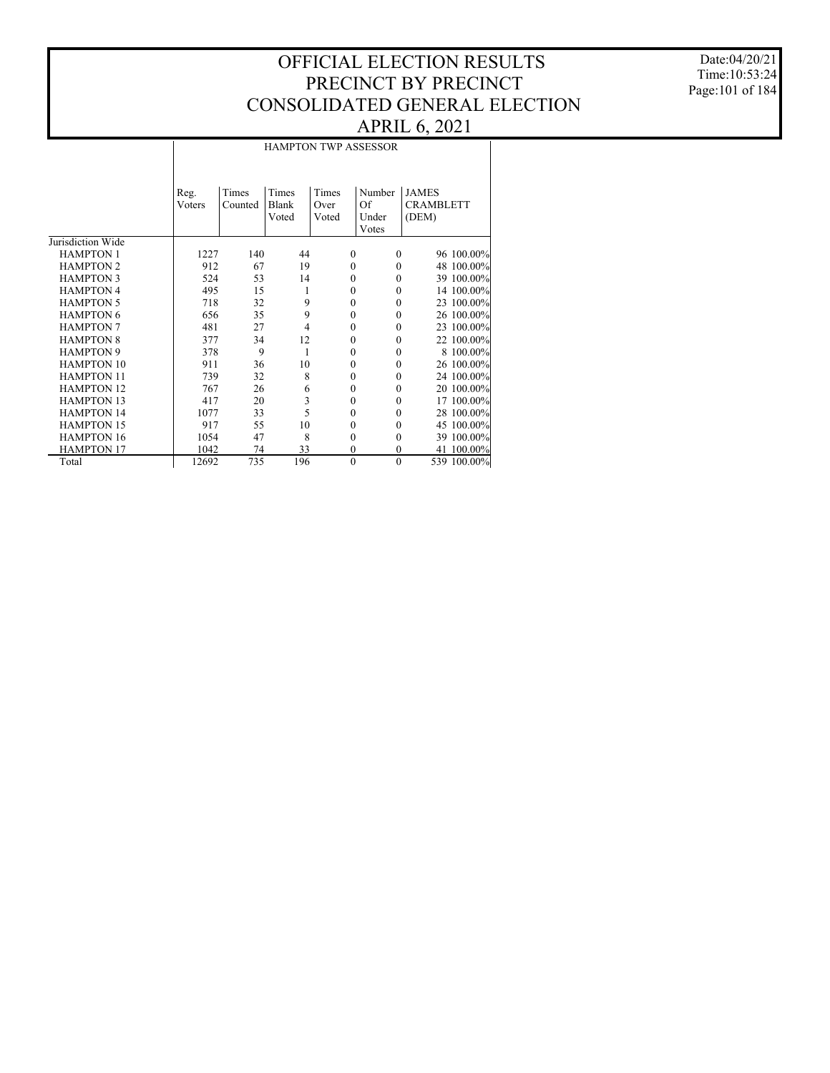Date:04/20/21 Time:10:53:24 Page:101 of 184

#### HAMPTON TWP ASSESSOR

|                   | Reg.<br>Voters | Times<br>Counted | Times<br>Blank<br>Voted | Times<br>Over<br>Voted | Number<br>Of<br>Under<br>Votes | <b>JAMES</b><br><b>CRAMBLETT</b><br>(DEM) |
|-------------------|----------------|------------------|-------------------------|------------------------|--------------------------------|-------------------------------------------|
| Jurisdiction Wide |                |                  |                         |                        |                                |                                           |
| <b>HAMPTON 1</b>  | 1227           | 140              | 44                      | $\Omega$               | $\Omega$                       | 96 100.00%                                |
| <b>HAMPTON 2</b>  | 912            | 67               | 19                      | $\Omega$               | $\theta$                       | 48 100.00%                                |
| <b>HAMPTON 3</b>  | 524            | 53               | 14                      | $\mathbf{0}$           | $\theta$                       | 39 100.00%                                |
| <b>HAMPTON 4</b>  | 495            | 15               | 1                       | $\theta$               | $\theta$                       | 14 100.00%                                |
| <b>HAMPTON 5</b>  | 718            | 32               | 9                       | $\theta$               | $\theta$                       | 23 100.00%                                |
| <b>HAMPTON 6</b>  | 656            | 35               | 9                       | $\theta$               | $\theta$                       | 26 100.00%                                |
| <b>HAMPTON 7</b>  | 481            | 27               | $\overline{4}$          | $\theta$               | $\theta$                       | 23 100.00%                                |
| <b>HAMPTON 8</b>  | 377            | 34               | 12                      | $\mathbf{0}$           | $\theta$                       | 22 100.00%                                |
| <b>HAMPTON 9</b>  | 378            | 9                | 1                       | $\theta$               | $\theta$                       | 8 100.00%                                 |
| <b>HAMPTON 10</b> | 911            | 36               | 10                      | $\mathbf{0}$           | $\Omega$                       | 26 100.00%                                |
| <b>HAMPTON 11</b> | 739            | 32               | 8                       | $\theta$               | $\theta$                       | 24 100.00%                                |
| <b>HAMPTON 12</b> | 767            | 26               | 6                       | $\mathbf{0}$           | $\theta$                       | 20 100.00%                                |
| <b>HAMPTON 13</b> | 417            | 20               | 3                       | $\mathbf{0}$           | $\theta$                       | 17 100.00%                                |
| <b>HAMPTON 14</b> | 1077           | 33               | 5                       | $\mathbf{0}$           | $\theta$                       | 28 100.00%                                |
| <b>HAMPTON 15</b> | 917            | 55               | 10                      | $\theta$               | $\theta$                       | 45 100.00%                                |
| <b>HAMPTON 16</b> | 1054           | 47               | 8                       | $\theta$               | $\theta$                       | 39 100.00%                                |
| <b>HAMPTON 17</b> | 1042           | 74               | 33                      | $\mathbf{0}$           | $\theta$                       | 100.00%<br>41                             |
| Total             | 12692          | 735              | 196                     | $\mathbf{0}$           | $\mathbf{0}$                   | 539 100.00%                               |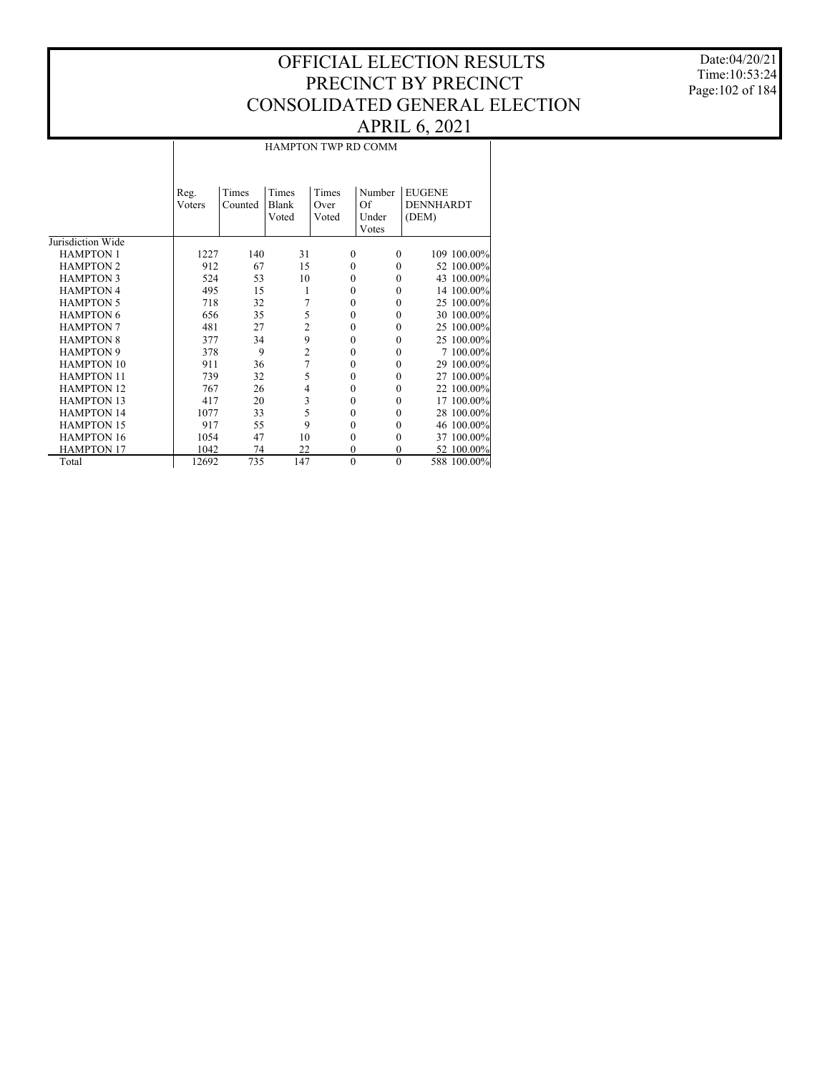Date:04/20/21 Time:10:53:24 Page:102 of 184

## HAMPTON TWP RD COMM

|                   | Reg.<br>Voters | Times<br>Counted | Times<br>Blank<br>Voted | Times<br>Over<br>Voted | Number<br>Of<br>Under<br>Votes | <b>EUGENE</b><br>DENNHARDT<br>(DEM) |
|-------------------|----------------|------------------|-------------------------|------------------------|--------------------------------|-------------------------------------|
| Jurisdiction Wide |                |                  |                         |                        |                                |                                     |
| <b>HAMPTON 1</b>  | 1227           | 140              | 31                      | $\mathbf{0}$           | $\Omega$                       | 109 100.00%                         |
| <b>HAMPTON 2</b>  | 912            | 67               | 15                      | $\mathbf{0}$           | $\theta$                       | 52 100.00%                          |
| <b>HAMPTON 3</b>  | 524            | 53               | 10                      | $\mathbf{0}$           | $\Omega$                       | 43 100.00%                          |
| <b>HAMPTON 4</b>  | 495            | 15               | 1                       | $\mathbf{0}$           | $\Omega$                       | 14 100.00%                          |
| <b>HAMPTON 5</b>  | 718            | 32               | 7                       | $\mathbf{0}$           | $\theta$                       | 25 100.00%                          |
| <b>HAMPTON 6</b>  | 656            | 35               | 5                       | $\mathbf{0}$           | $\theta$                       | 30 100.00%                          |
| <b>HAMPTON 7</b>  | 481            | 27               | $\overline{2}$          | $\mathbf{0}$           | $\theta$                       | 25 100.00%                          |
| <b>HAMPTON 8</b>  | 377            | 34               | 9                       | $\theta$               | $\theta$                       | 25 100.00%                          |
| <b>HAMPTON 9</b>  | 378            | 9                | $\overline{c}$          | $\theta$               | $\theta$                       | 7 100.00%                           |
| <b>HAMPTON 10</b> | 911            | 36               | $\overline{7}$          | $\mathbf{0}$           | $\theta$                       | 29 100.00%                          |
| <b>HAMPTON 11</b> | 739            | 32               | 5                       | $\theta$               | $\theta$                       | 27 100.00%                          |
| <b>HAMPTON 12</b> | 767            | 26               | $\overline{4}$          | $\theta$               | $\theta$                       | 22 100.00%                          |
| <b>HAMPTON 13</b> | 417            | 20               | 3                       | $\theta$               | $\theta$                       | 17 100.00%                          |
| <b>HAMPTON 14</b> | 1077           | 33               | 5                       | $\theta$               | $\Omega$                       | 28 100.00%                          |
| <b>HAMPTON 15</b> | 917            | 55               | 9                       | $\theta$               | $\theta$                       | 46 100.00%                          |
| <b>HAMPTON 16</b> | 1054           | 47               | 10                      | $\mathbf{0}$           | $\theta$                       | 37 100.00%                          |
| <b>HAMPTON 17</b> | 1042           | 74               | 22                      | $\mathbf{0}$           | $\Omega$                       | 52 100.00%                          |
| Total             | 12692          | 735              | 147                     | $\mathbf{0}$           | $\mathbf{0}$                   | 588 100.00%                         |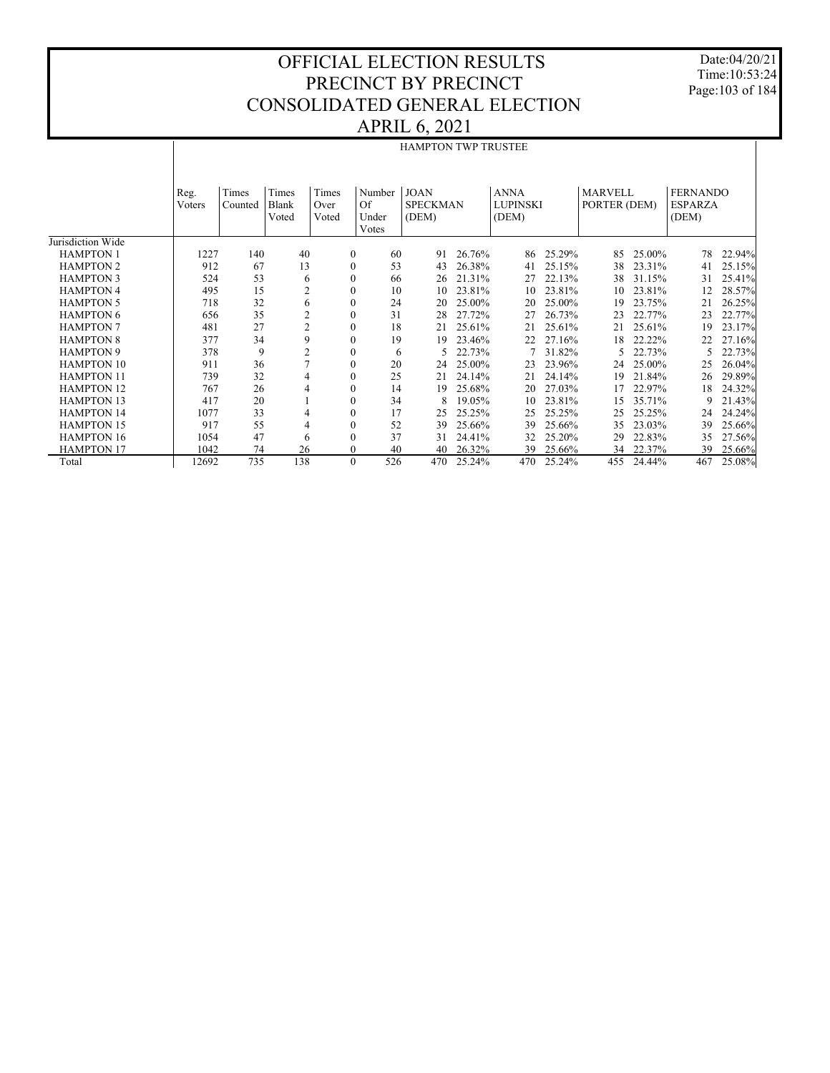Date:04/20/21 Time:10:53:24 Page:103 of 184

#### APRIL 6, 2021

|                   |                |                  |                         |                        |                                | <b>HAMPTON TWP TRUSTEE</b>              |        |                                         |        |                                |        |                                            |        |
|-------------------|----------------|------------------|-------------------------|------------------------|--------------------------------|-----------------------------------------|--------|-----------------------------------------|--------|--------------------------------|--------|--------------------------------------------|--------|
|                   | Reg.<br>Voters | Times<br>Counted | Times<br>Blank<br>Voted | Times<br>Over<br>Voted | Number<br>Of<br>Under<br>Votes | <b>JOAN</b><br><b>SPECKMAN</b><br>(DEM) |        | <b>ANNA</b><br><b>LUPINSKI</b><br>(DEM) |        | <b>MARVELL</b><br>PORTER (DEM) |        | <b>FERNANDO</b><br><b>ESPARZA</b><br>(DEM) |        |
| Jurisdiction Wide |                |                  |                         |                        |                                |                                         |        |                                         |        |                                |        |                                            |        |
| <b>HAMPTON 1</b>  | 1227           | 140              | 40                      | $\overline{0}$         | 60                             | 91                                      | 26.76% | 86                                      | 25.29% | 85                             | 25.00% | 78                                         | 22.94% |
| <b>HAMPTON 2</b>  | 912            | 67               | 13                      | $\mathbf{0}$           | 53                             | 43                                      | 26.38% | 41                                      | 25.15% | 38                             | 23.31% | 41                                         | 25.15% |
| <b>HAMPTON 3</b>  | 524            | 53               | 6                       | $\mathbf{0}$           | 66                             | 26                                      | 21.31% | 27                                      | 22.13% | 38                             | 31.15% | 31                                         | 25.41% |
| <b>HAMPTON 4</b>  | 495            | 15               | $\overline{2}$          | $\mathbf{0}$           | 10                             | 10                                      | 23.81% | 10                                      | 23.81% | 10                             | 23.81% | 12                                         | 28.57% |
| <b>HAMPTON 5</b>  | 718            | 32               | 6                       | $\boldsymbol{0}$       | 24                             | 20                                      | 25.00% | 20                                      | 25.00% | 19                             | 23.75% | 21                                         | 26.25% |
| <b>HAMPTON 6</b>  | 656            | 35               | $\overline{c}$          | $\mathbf{0}$           | 31                             | 28                                      | 27.72% | 27                                      | 26.73% | 23                             | 22.77% | 23                                         | 22.77% |
| <b>HAMPTON 7</b>  | 481            | 27               | $\overline{2}$          | $\mathbf{0}$           | 18                             | 21                                      | 25.61% | 21                                      | 25.61% | 21                             | 25.61% | 19                                         | 23.17% |
| <b>HAMPTON 8</b>  | 377            | 34               | 9                       | $\mathbf{0}$           | 19                             | 19                                      | 23.46% | 22                                      | 27.16% | 18                             | 22.22% | 22                                         | 27.16% |
| <b>HAMPTON 9</b>  | 378            | 9                | $\overline{c}$          | $\boldsymbol{0}$       | 6                              |                                         | 22.73% | 7                                       | 31.82% | 5                              | 22.73% |                                            | 22.73% |
| <b>HAMPTON 10</b> | 911            | 36               | $\overline{7}$          | $\boldsymbol{0}$       | 20                             | 24                                      | 25.00% | 23                                      | 23.96% | 24                             | 25.00% | 25                                         | 26.04% |
| <b>HAMPTON 11</b> | 739            | 32               | 4                       | $\boldsymbol{0}$       | 25                             | 21                                      | 24.14% | 21                                      | 24.14% | 19                             | 21.84% | 26                                         | 29.89% |
| <b>HAMPTON 12</b> | 767            | 26               | 4                       | $\mathbf{0}$           | 14                             | 19                                      | 25.68% | 20                                      | 27.03% | 17                             | 22.97% | 18                                         | 24.32% |
| <b>HAMPTON 13</b> | 417            | 20               |                         | $\boldsymbol{0}$       | 34                             | 8                                       | 19.05% | 10                                      | 23.81% | 15                             | 35.71% | 9                                          | 21.43% |
| <b>HAMPTON 14</b> | 1077           | 33               | 4                       | $\mathbf{0}$           | 17                             | 25                                      | 25.25% | 25                                      | 25.25% | 25                             | 25.25% | 24                                         | 24.24% |
| <b>HAMPTON 15</b> | 917            | 55               | 4                       | $\boldsymbol{0}$       | 52                             | 39                                      | 25.66% | 39                                      | 25.66% | 35                             | 23.03% | 39                                         | 25.66% |
| <b>HAMPTON 16</b> | 1054           | 47               | 6                       | $\mathbf{0}$           | 37                             | 31                                      | 24.41% | 32                                      | 25.20% | 29                             | 22.83% | 35                                         | 27.56% |
| <b>HAMPTON 17</b> | 1042           | 74               | 26                      | $\mathbf{0}$           | 40                             | 40                                      | 26.32% | 39                                      | 25.66% | 34                             | 22.37% | 39                                         | 25.66% |
| Total             | 12692          | 735              | 138                     | $\mathbf{0}$           | 526                            | 470                                     | 25.24% | 470                                     | 25.24% | 455                            | 24.44% | 467                                        | 25.08% |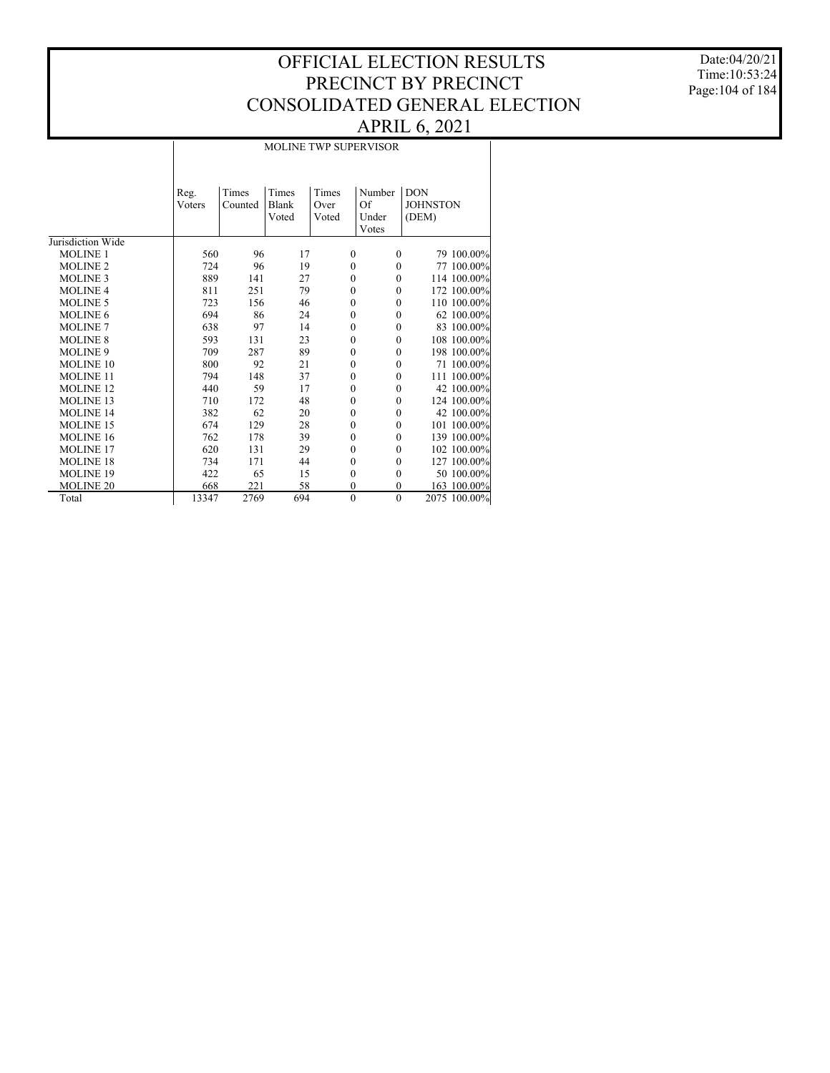Date:04/20/21 Time:10:53:24 Page:104 of 184

#### MOLINE TWP SUPERVISOR

|                   | Reg.   | Times   | Times | Times        | Number       | <b>DON</b>      |
|-------------------|--------|---------|-------|--------------|--------------|-----------------|
|                   | Voters | Counted | Blank | Over         | Of           | <b>JOHNSTON</b> |
|                   |        |         | Voted | Voted        | Under        | (DEM)           |
|                   |        |         |       |              | Votes        |                 |
| Jurisdiction Wide |        |         |       |              |              |                 |
| <b>MOLINE 1</b>   | 560    | 96      | 17    | $\mathbf{0}$ | $\Omega$     | 79 100.00%      |
| <b>MOLINE 2</b>   | 724    | 96      | 19    | $\mathbf{0}$ | $\mathbf{0}$ | 77 100.00%      |
| <b>MOLINE 3</b>   | 889    | 141     | 27    | $\mathbf{0}$ | $\Omega$     | 114 100.00%     |
| <b>MOLINE 4</b>   | 811    | 251     | 79    | $\mathbf{0}$ | $\Omega$     | 172 100.00%     |
| <b>MOLINE 5</b>   | 723    | 156     | 46    | $\mathbf{0}$ | $\mathbf{0}$ | 110 100.00%     |
| <b>MOLINE 6</b>   | 694    | 86      | 24    | $\mathbf{0}$ | $\mathbf{0}$ | 62 100.00%      |
| <b>MOLINE 7</b>   | 638    | 97      | 14    | $\mathbf{0}$ | $\Omega$     | 83 100.00%      |
| <b>MOLINE 8</b>   | 593    | 131     | 23    | $\mathbf{0}$ | $\Omega$     | 108 100.00%     |
| <b>MOLINE 9</b>   | 709    | 287     | 89    | $\mathbf{0}$ | $\Omega$     | 198 100.00%     |
| MOLINE 10         | 800    | 92      | 21    | $\mathbf{0}$ | $\Omega$     | 71 100.00%      |
| <b>MOLINE 11</b>  | 794    | 148     | 37    | $\mathbf{0}$ | $\mathbf{0}$ | 111 100.00%     |
| <b>MOLINE 12</b>  | 440    | 59      | 17    | $\mathbf{0}$ | $\mathbf{0}$ | 42 100.00%      |
| <b>MOLINE 13</b>  | 710    | 172     | 48    | $\mathbf{0}$ | $\mathbf{0}$ | 124 100.00%     |
| <b>MOLINE 14</b>  | 382    | 62      | 20    | $\mathbf{0}$ | $\mathbf{0}$ | 42 100.00%      |
| <b>MOLINE 15</b>  | 674    | 129     | 28    | $\mathbf{0}$ | $\theta$     | 101 100.00%     |
| <b>MOLINE 16</b>  | 762    | 178     | 39    | $\mathbf{0}$ | $\mathbf{0}$ | 139 100.00%     |
| <b>MOLINE 17</b>  | 620    | 131     | 29    | $\mathbf{0}$ | $\Omega$     | 102 100.00%     |
| <b>MOLINE 18</b>  | 734    | 171     | 44    | $\mathbf{0}$ | $\Omega$     | 127 100.00%     |
| <b>MOLINE 19</b>  | 422    | 65      | 15    | $\mathbf{0}$ | $\mathbf{0}$ | 50 100.00%      |
| <b>MOLINE 20</b>  | 668    | 221     | 58    | $\theta$     | $\theta$     | 163 100.00%     |
| Total             | 13347  | 2769    | 694   | $\mathbf{0}$ | $\mathbf{0}$ | 2075 100.00%    |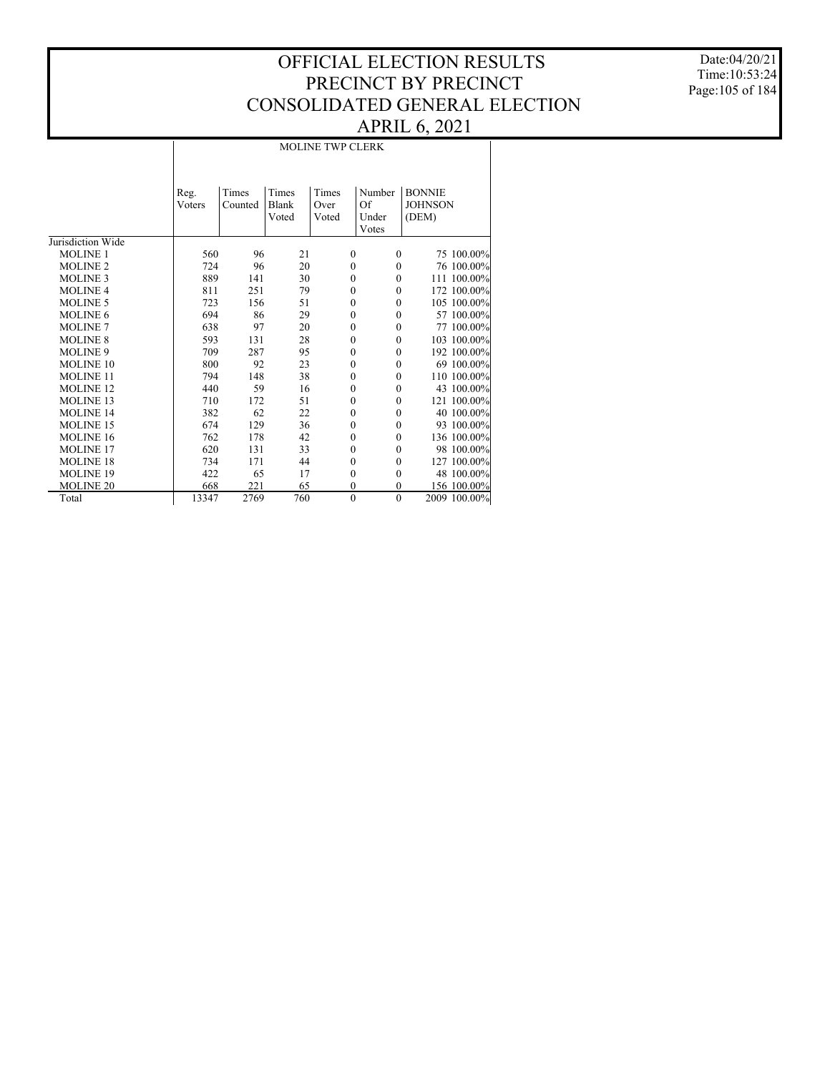Date:04/20/21 Time:10:53:24 Page:105 of 184

|                   |                |                  |                         | <b>MOLINE TWP CLERK</b> |                                |                                          |
|-------------------|----------------|------------------|-------------------------|-------------------------|--------------------------------|------------------------------------------|
|                   | Reg.<br>Voters | Times<br>Counted | Times<br>Blank<br>Voted | Times<br>Over<br>Voted  | Number<br>Of<br>Under<br>Votes | <b>BONNIE</b><br><b>JOHNSON</b><br>(DEM) |
| Jurisdiction Wide |                |                  |                         |                         |                                |                                          |
| <b>MOLINE 1</b>   | 560            | 96               | 21                      | $\mathbf{0}$            | $\Omega$                       | 75 100.00%                               |
| <b>MOLINE 2</b>   | 724            | 96               | 20                      | $\mathbf{0}$            | $\mathbf{0}$                   | 76 100.00%                               |
| <b>MOLINE 3</b>   | 889            | 141              | 30                      | $\mathbf{0}$            | $\mathbf{0}$                   | 111 100.00%                              |
| <b>MOLINE 4</b>   | 811            | 251              | 79                      | $\mathbf{0}$            | $\mathbf{0}$                   | 172 100.00%                              |
| <b>MOLINE 5</b>   | 723            | 156              | 51                      | $\mathbf{0}$            | $\theta$                       | 105 100.00%                              |
| <b>MOLINE 6</b>   | 694            | 86               | 29                      | $\mathbf{0}$            | $\mathbf{0}$                   | 57 100.00%                               |
| <b>MOLINE 7</b>   | 638            | 97               | 20                      | $\mathbf{0}$            | $\theta$                       | 77 100.00%                               |
| <b>MOLINE 8</b>   | 593            | 131              | 28                      | $\mathbf{0}$            | $\mathbf{0}$                   | 103 100.00%                              |
| <b>MOLINE 9</b>   | 709            | 287              | 95                      | $\mathbf{0}$            | $\mathbf{0}$                   | 192 100.00%                              |
| MOLINE 10         | 800            | 92               | 23                      | $\boldsymbol{0}$        | $\mathbf{0}$                   | 69 100.00%                               |
| <b>MOLINE 11</b>  | 794            | 148              | 38                      | $\mathbf{0}$            | $\theta$                       | 110 100.00%                              |
| <b>MOLINE 12</b>  | 440            | 59               | 16                      | $\mathbf{0}$            | $\mathbf{0}$                   | 43 100.00%                               |
| <b>MOLINE 13</b>  | 710            | 172              | 51                      | $\mathbf{0}$            | $\theta$                       | 121 100.00%                              |
| <b>MOLINE 14</b>  | 382            | 62               | 22                      | $\mathbf{0}$            | $\theta$                       | 40 100.00%                               |
| <b>MOLINE 15</b>  | 674            | 129              | 36                      | $\mathbf{0}$            | $\theta$                       | 93 100.00%                               |
| MOLINE 16         | 762            | 178              | 42                      | $\mathbf{0}$            | $\theta$                       | 136 100.00%                              |
| <b>MOLINE 17</b>  | 620            | 131              | 33                      | $\mathbf{0}$            | $\theta$                       | 98 100.00%                               |
| <b>MOLINE 18</b>  | 734            | 171              | 44                      | $\mathbf{0}$            | $\mathbf{0}$                   | 127 100.00%                              |
| <b>MOLINE 19</b>  | 422            | 65               | 17                      | $\mathbf{0}$            | $\theta$                       | 48 100.00%                               |
| <b>MOLINE 20</b>  | 668            | 221              | 65                      | $\mathbf{0}$            | $\theta$                       | 156 100.00%                              |
| Total             | 13347          | 2769             | 760                     | $\overline{0}$          | $\mathbf{0}$                   | 2009 100.00%                             |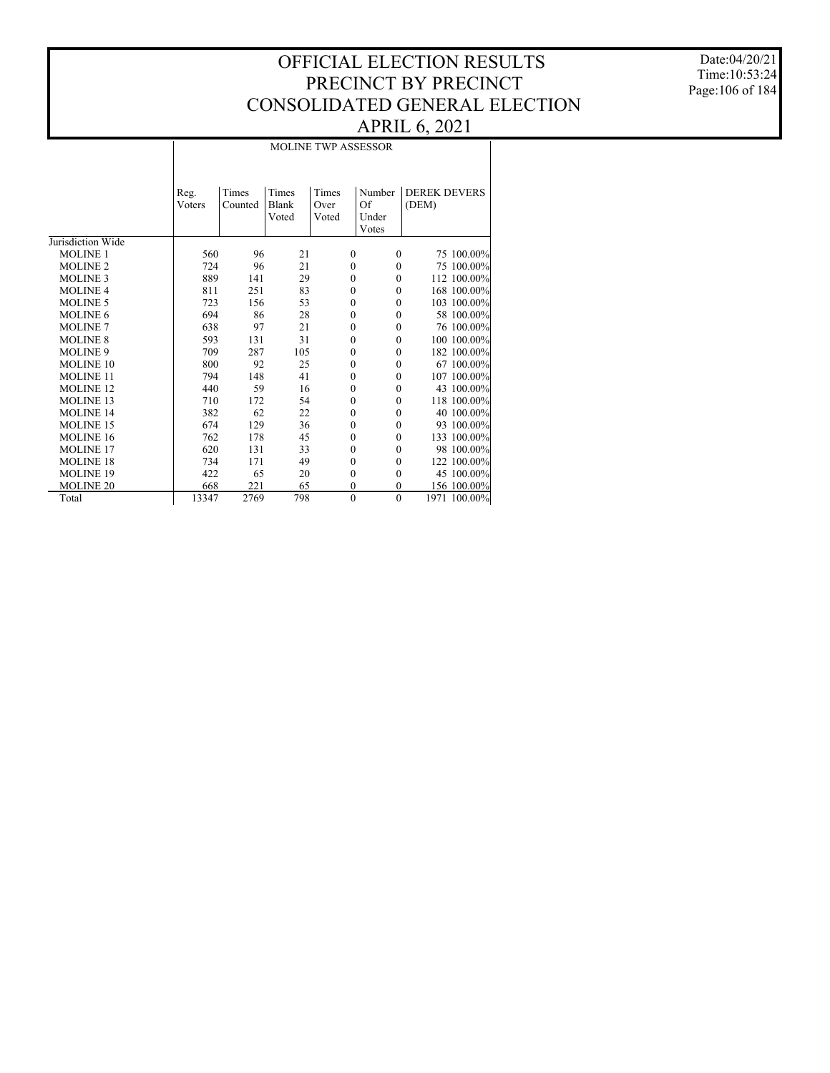Date:04/20/21 Time:10:53:24 Page:106 of 184

# MOLINE TWP ASSESSOR

|                   | Reg.<br>Voters | Times<br>Counted | Times<br>Blank<br>Voted | Times<br>Over<br>Voted | Number<br>Of<br>Under<br>Votes | <b>DEREK DEVERS</b><br>(DEM) |
|-------------------|----------------|------------------|-------------------------|------------------------|--------------------------------|------------------------------|
| Jurisdiction Wide |                |                  |                         |                        |                                |                              |
| <b>MOLINE 1</b>   | 560            | 96               | 21                      | $\mathbf{0}$           | $\mathbf{0}$                   | 75 100.00%                   |
| <b>MOLINE 2</b>   | 724            | 96               | 21                      | $\mathbf{0}$           | $\Omega$                       | 75 100.00%                   |
| <b>MOLINE 3</b>   | 889            | 141              | 29                      | $\mathbf{0}$           | $\Omega$                       | 112 100.00%                  |
| <b>MOLINE 4</b>   | 811            | 251              | 83                      | $\mathbf{0}$           | $\Omega$                       | 168 100.00%                  |
| <b>MOLINE 5</b>   | 723            | 156              | 53                      | $\mathbf{0}$           | $\Omega$                       | 103 100.00%                  |
| <b>MOLINE 6</b>   | 694            | 86               | 28                      | $\mathbf{0}$           | $\mathbf{0}$                   | 58 100.00%                   |
| <b>MOLINE 7</b>   | 638            | 97               | 21                      | $\boldsymbol{0}$       | $\mathbf{0}$                   | 76 100.00%                   |
| <b>MOLINE 8</b>   | 593            | 131              | 31                      | $\mathbf{0}$           | $\Omega$                       | 100 100.00%                  |
| <b>MOLINE 9</b>   | 709            | 287              | 105                     | $\mathbf{0}$           | $\Omega$                       | 182 100.00%                  |
| <b>MOLINE 10</b>  | 800            | 92               | 25                      | $\mathbf{0}$           | $\Omega$                       | 67 100.00%                   |
| <b>MOLINE 11</b>  | 794            | 148              | 41                      | $\mathbf{0}$           | $\mathbf{0}$                   | 107 100.00%                  |
| <b>MOLINE 12</b>  | 440            | 59               | 16                      | $\boldsymbol{0}$       | $\mathbf{0}$                   | 43 100.00%                   |
| <b>MOLINE 13</b>  | 710            | 172              | 54                      | $\mathbf{0}$           | $\Omega$                       | 118 100.00%                  |
| <b>MOLINE 14</b>  | 382            | 62               | 22                      | $\mathbf{0}$           | $\Omega$                       | 40 100.00%                   |
| <b>MOLINE 15</b>  | 674            | 129              | 36                      | $\mathbf{0}$           | $\Omega$                       | 93 100.00%                   |
| MOLINE 16         | 762            | 178              | 45                      | $\mathbf{0}$           | $\Omega$                       | 133 100.00%                  |
| <b>MOLINE 17</b>  | 620            | 131              | 33                      | $\mathbf{0}$           | $\mathbf{0}$                   | 98 100.00%                   |
| <b>MOLINE 18</b>  | 734            | 171              | 49                      | $\mathbf{0}$           | $\mathbf{0}$                   | 122 100.00%                  |
| <b>MOLINE 19</b>  | 422            | 65               | 20                      | $\mathbf{0}$           | $\theta$                       | 45 100.00%                   |
| <b>MOLINE 20</b>  | 668            | 221              | 65                      | $\mathbf{0}$           | 0                              | 156 100.00%                  |
| Total             | 13347          | 2769             | 798                     | $\mathbf{0}$           | $\mathbf{0}$                   | 1971 100.00%                 |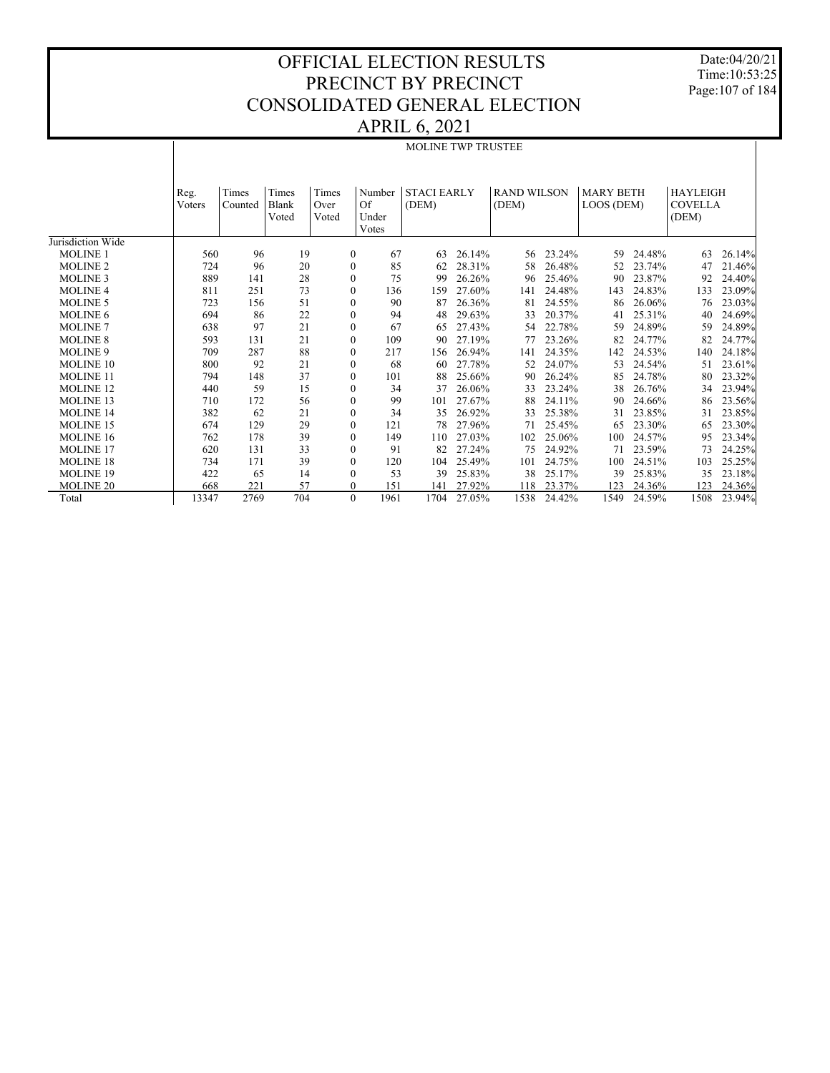Date:04/20/21 Time:10:53:25 Page:107 of 184

|                   |        |         |                |                  |                             | <b>MOLINE TWP TRUSTEE</b> |        |                    |        |                  |        |                         |        |
|-------------------|--------|---------|----------------|------------------|-----------------------------|---------------------------|--------|--------------------|--------|------------------|--------|-------------------------|--------|
|                   | Reg.   | Times   | Times          | Times            | Number                      | <b>STACI EARLY</b>        |        | <b>RAND WILSON</b> |        | <b>MARY BETH</b> |        | <b>HAYLEIGH</b>         |        |
|                   | Voters | Counted | Blank<br>Voted | Over<br>Voted    | <b>Of</b><br>Under<br>Votes | (DEM)                     |        | (DEM)              |        | LOOS (DEM)       |        | <b>COVELLA</b><br>(DEM) |        |
| Jurisdiction Wide |        |         |                |                  |                             |                           |        |                    |        |                  |        |                         |        |
| <b>MOLINE 1</b>   | 560    | 96      | 19             | $\boldsymbol{0}$ | 67                          | 63                        | 26.14% | 56                 | 23.24% | 59               | 24.48% | 63                      | 26.14% |
| <b>MOLINE 2</b>   | 724    | 96      | 20             | $\boldsymbol{0}$ | 85                          | 62                        | 28.31% | 58                 | 26.48% | 52               | 23.74% | 47                      | 21.46% |
| <b>MOLINE 3</b>   | 889    | 141     | 28             | $\boldsymbol{0}$ | 75                          | 99                        | 26.26% | 96                 | 25.46% | 90               | 23.87% | 92                      | 24.40% |
| <b>MOLINE 4</b>   | 811    | 251     | 73             | $\boldsymbol{0}$ | 136                         | 159                       | 27.60% | 141                | 24.48% | 143              | 24.83% | 133                     | 23.09% |
| <b>MOLINE 5</b>   | 723    | 156     | 51             | $\boldsymbol{0}$ | 90                          | 87                        | 26.36% | 81                 | 24.55% | 86               | 26.06% | 76                      | 23.03% |
| <b>MOLINE 6</b>   | 694    | 86      | 22             | $\boldsymbol{0}$ | 94                          | 48                        | 29.63% | 33                 | 20.37% | 41               | 25.31% | 40                      | 24.69% |
| <b>MOLINE 7</b>   | 638    | 97      | 21             | $\boldsymbol{0}$ | 67                          | 65                        | 27.43% | 54                 | 22.78% | 59               | 24.89% | 59                      | 24.89% |
| <b>MOLINE 8</b>   | 593    | 131     | 21             | $\boldsymbol{0}$ | 109                         | 90                        | 27.19% | 77                 | 23.26% | 82               | 24.77% | 82                      | 24.77% |
| <b>MOLINE 9</b>   | 709    | 287     | 88             | $\mathbf{0}$     | 217                         | 156                       | 26.94% | 141                | 24.35% | 142              | 24.53% | 140                     | 24.18% |
| MOLINE 10         | 800    | 92      | 21             | $\boldsymbol{0}$ | 68                          | 60                        | 27.78% | 52                 | 24.07% | 53               | 24.54% | 51                      | 23.61% |
| <b>MOLINE 11</b>  | 794    | 148     | 37             | $\boldsymbol{0}$ | 101                         | 88                        | 25.66% | 90                 | 26.24% | 85               | 24.78% | 80                      | 23.32% |
| <b>MOLINE 12</b>  | 440    | 59      | 15             | $\boldsymbol{0}$ | 34                          | 37                        | 26.06% | 33                 | 23.24% | 38               | 26.76% | 34                      | 23.94% |
| <b>MOLINE 13</b>  | 710    | 172     | 56             | $\boldsymbol{0}$ | 99                          | 101                       | 27.67% | 88                 | 24.11% | 90               | 24.66% | 86                      | 23.56% |
| <b>MOLINE 14</b>  | 382    | 62      | 21             | $\boldsymbol{0}$ | 34                          | 35                        | 26.92% | 33                 | 25.38% | 31               | 23.85% | 31                      | 23.85% |
| <b>MOLINE 15</b>  | 674    | 129     | 29             | $\boldsymbol{0}$ | 121                         | 78                        | 27.96% | 71                 | 25.45% | 65               | 23.30% | 65                      | 23.30% |
| <b>MOLINE 16</b>  | 762    | 178     | 39             | $\boldsymbol{0}$ | 149                         | 110                       | 27.03% | 102                | 25.06% | 100              | 24.57% | 95                      | 23.34% |
| <b>MOLINE 17</b>  | 620    | 131     | 33             | $\boldsymbol{0}$ | 91                          | 82                        | 27.24% | 75                 | 24.92% | 71               | 23.59% | 73                      | 24.25% |
| <b>MOLINE 18</b>  | 734    | 171     | 39             | $\boldsymbol{0}$ | 120                         | 104                       | 25.49% | 101                | 24.75% | 100              | 24.51% | 103                     | 25.25% |
| <b>MOLINE 19</b>  | 422    | 65      | 14             | $\mathbf{0}$     | 53                          | 39                        | 25.83% | 38                 | 25.17% | 39               | 25.83% | 35                      | 23.18% |
| <b>MOLINE 20</b>  | 668    | 221     | 57             | $\boldsymbol{0}$ | 151                         | 141                       | 27.92% | 118                | 23.37% | 123              | 24.36% | 123                     | 24.36% |
| Total             | 13347  | 2769    | 704            | $\mathbf{0}$     | 1961                        | 1704                      | 27.05% | 1538               | 24.42% | 1549             | 24.59% | 1508                    | 23.94% |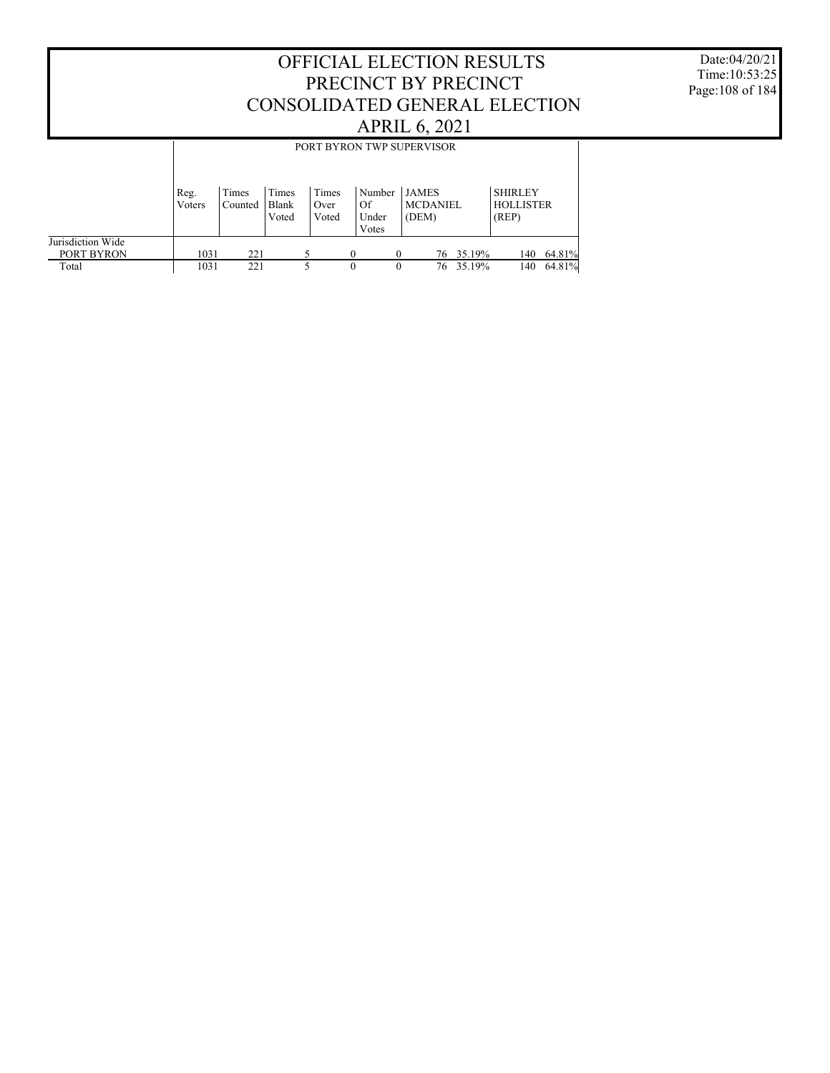Date:04/20/21 Time:10:53:25 Page:108 of 184

|                   | PORT BYRON TWP SUPERVISOR                                                                                                                                      |     |       |       |          |          |       |           |       |        |  |  |  |
|-------------------|----------------------------------------------------------------------------------------------------------------------------------------------------------------|-----|-------|-------|----------|----------|-------|-----------|-------|--------|--|--|--|
|                   |                                                                                                                                                                |     |       |       |          |          |       |           |       |        |  |  |  |
|                   | Times<br><b>SHIRLEY</b><br>Times<br>Number<br><b>JAMES</b><br>Times<br>Reg.<br><b>HOLLISTER</b><br><b>MCDANIEL</b><br>Blank<br>Of<br>Voters<br>Counted<br>Over |     |       |       |          |          |       |           |       |        |  |  |  |
|                   |                                                                                                                                                                |     | Voted | Voted | Under    |          | (DEM) |           | (REP) |        |  |  |  |
|                   |                                                                                                                                                                |     |       |       | Votes    |          |       |           |       |        |  |  |  |
| Jurisdiction Wide |                                                                                                                                                                |     |       |       |          |          |       |           |       |        |  |  |  |
| PORT BYRON        | 1031                                                                                                                                                           | 221 |       |       | $\Omega$ | $\Omega$ |       | 76 35.19% | 140   | 64.81% |  |  |  |
| Total             | 1031                                                                                                                                                           | 221 |       |       | 0        | $\theta$ |       | 76 35.19% | 140   | 64.81% |  |  |  |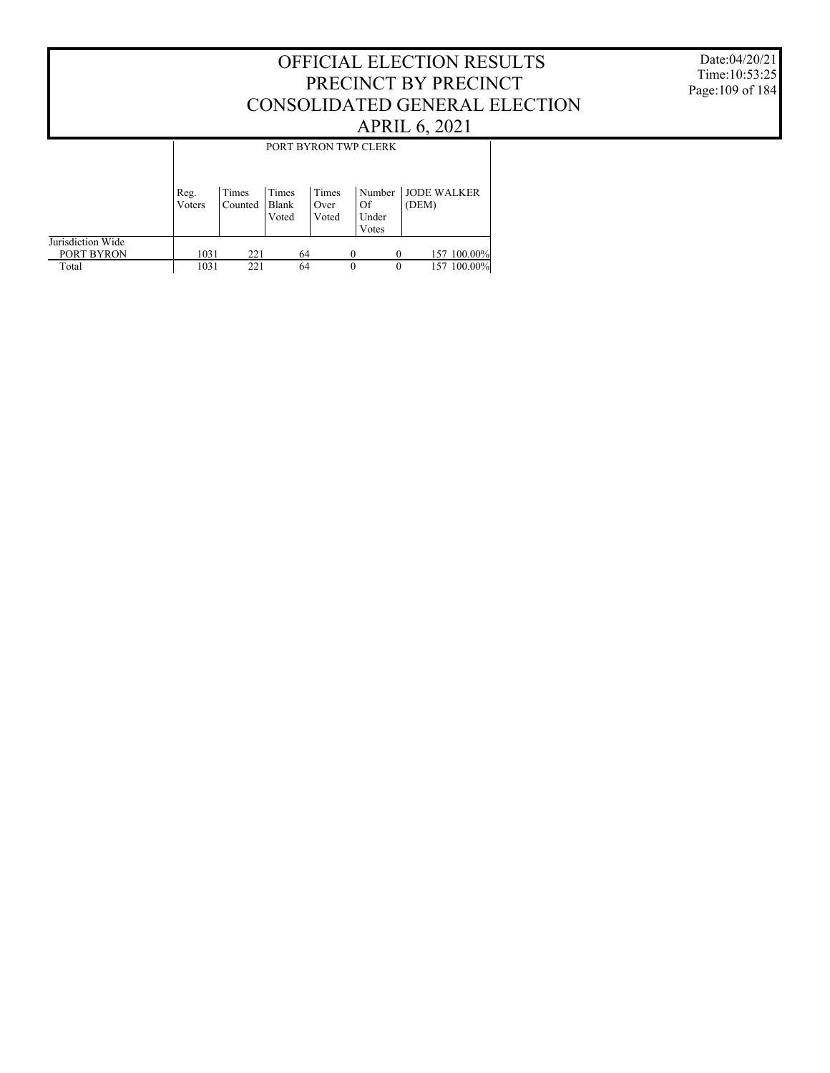#### Date:04/20/21 Time:10:53:25 Page:109 of 184

#### OFFICIAL ELECTION RESULTS PRECINCT BY PRECINCT CONSOLIDATED GENERAL ELECTION APRIL 6, 2021

|                                 |                |                  |                         |                        | PORT BYRON TWP CLERK           |                             |
|---------------------------------|----------------|------------------|-------------------------|------------------------|--------------------------------|-----------------------------|
|                                 | Reg.<br>Voters | Times<br>Counted | Times<br>Blank<br>Voted | Times<br>Over<br>Voted | Number<br>Of<br>Under<br>Votes | <b>JODE WALKER</b><br>(DEM) |
| Jurisdiction Wide<br>PORT BYRON | 1031           | 221              | 64                      |                        |                                | 157 100.00%                 |
| Total                           | 1031           | 221              | 64                      |                        | $\theta$                       | 100.00%<br>0<br>157         |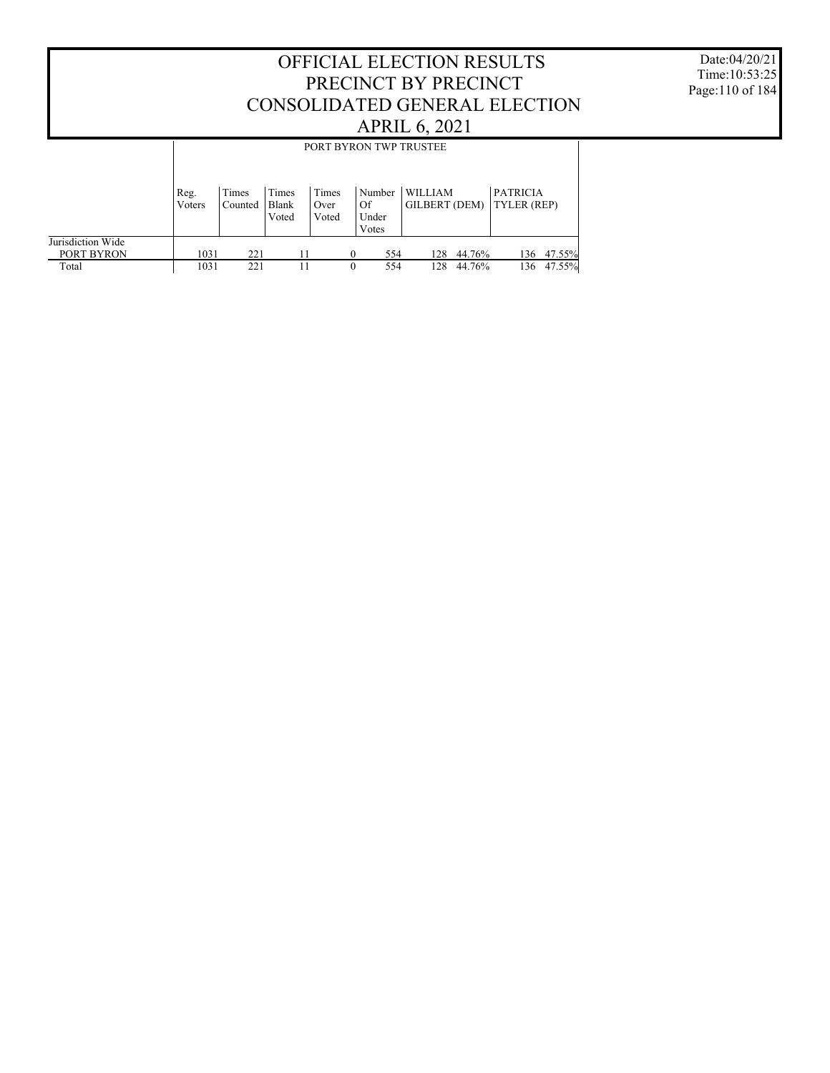Date:04/20/21 Time:10:53:25 Page:110 of 184

|                   |                |                  |                |               |                 | PORT BYRON TWP TRUSTEE          |        |                                       |        |
|-------------------|----------------|------------------|----------------|---------------|-----------------|---------------------------------|--------|---------------------------------------|--------|
|                   |                |                  |                |               |                 |                                 |        |                                       |        |
|                   | Reg.<br>Voters | Times<br>Counted | Times<br>Blank | Times<br>Over | Number<br>Of    | <b>WILLIAM</b><br>GILBERT (DEM) |        | <b>PATRICIA</b><br><b>TYLER (REP)</b> |        |
|                   |                |                  | Voted          | Voted         | Under           |                                 |        |                                       |        |
|                   |                |                  |                |               | Votes           |                                 |        |                                       |        |
| Jurisdiction Wide |                |                  |                |               |                 |                                 |        |                                       |        |
| PORT BYRON        | 1031           | 221              | 11             |               | 554             | 128                             | 44.76% | 136                                   | 47.55% |
| Total             | 1031           | 221              | 11             |               | 554<br>$\theta$ | 128                             | 44.76% | 136                                   | 47.55% |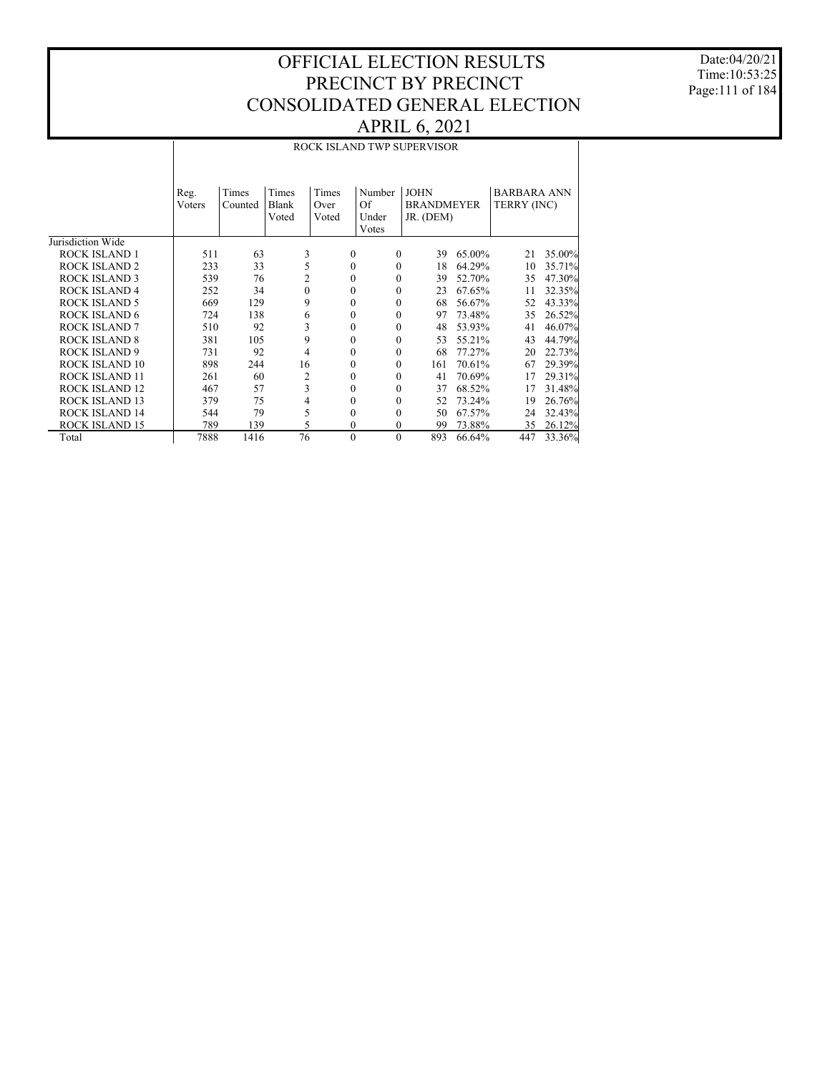Date:04/20/21 Time:10:53:25 Page:111 of 184

|                       |                   |       |              |          |                   | ROCK ISLAND TWP SUPERVISOR |             |                    |        |
|-----------------------|-------------------|-------|--------------|----------|-------------------|----------------------------|-------------|--------------------|--------|
|                       |                   |       |              |          |                   |                            |             |                    |        |
|                       | Reg.              | Times | Times        | Times    | Number            | <b>JOHN</b>                |             | <b>BARBARA ANN</b> |        |
|                       | Voters<br>Counted | Blank | Over         | Of       | <b>BRANDMEYER</b> |                            | TERRY (INC) |                    |        |
|                       |                   |       | Voted        | Voted    | Under             | JR. (DEM)                  |             |                    |        |
| Jurisdiction Wide     |                   |       |              |          | Votes             |                            |             |                    |        |
| <b>ROCK ISLAND 1</b>  |                   |       |              | $\Omega$ | $\mathbf{0}$      | 39                         |             |                    | 35.00% |
| <b>ROCK ISLAND 2</b>  | 511               | 63    | 3            |          | $\Omega$          |                            | 65.00%      | 21                 |        |
|                       | 233               | 33    | 5            | 0        |                   | 18                         | 64.29%      | 10                 | 35.71% |
| <b>ROCK ISLAND 3</b>  | 539               | 76    | 2            | 0        | $\Omega$          | 39                         | 52.70%      | 35                 | 47.30% |
| <b>ROCK ISLAND 4</b>  | 252               | 34    | $\mathbf{0}$ | 0        | $\Omega$          | 23                         | 67.65%      | 11                 | 32.35% |
| <b>ROCK ISLAND 5</b>  | 669               | 129   | 9            | 0        | $\Omega$          | 68                         | 56.67%      | 52                 | 43.33% |
| <b>ROCK ISLAND 6</b>  | 724               | 138   | 6            | 0        | $\Omega$          | 97                         | 73.48%      | 35                 | 26.52% |
| <b>ROCK ISLAND 7</b>  | 510               | 92    | 3            | 0        | $\Omega$          | 48                         | 53.93%      | 41                 | 46.07% |
| <b>ROCK ISLAND 8</b>  | 381               | 105   | 9            | 0        | $\Omega$          | 53                         | 55.21%      | 43                 | 44.79% |
| <b>ROCK ISLAND 9</b>  | 731               | 92    | 4            | 0        | $\mathbf{0}$      | 68                         | 77.27%      | 20                 | 22.73% |
| ROCK ISLAND 10        | 898               | 244   | 16           | 0        | $\Omega$          | 161                        | 70.61%      | 67                 | 29.39% |
| ROCK ISLAND 11        | 261               | 60    | 2            | 0        | $\Omega$          | 41                         | 70.69%      | 17                 | 29.31% |
| <b>ROCK ISLAND 12</b> | 467               | 57    | 3            | 0        | $\Omega$          | 37                         | 68.52%      | 17                 | 31.48% |
| <b>ROCK ISLAND 13</b> | 379               | 75    | 4            | 0        | $\Omega$          | 52                         | 73.24%      | 19                 | 26.76% |
| <b>ROCK ISLAND 14</b> | 544               | 79    | 5            | 0        | $\Omega$          | 50                         | 67.57%      | 24                 | 32.43% |
| <b>ROCK ISLAND 15</b> | 789               | 139   | 5            | 0        | $\mathbf{0}$      | 99                         | 73.88%      | 35                 | 26.12% |
| Total                 | 7888              | 1416  | 76           | $\theta$ | $\Omega$          | 893                        | 66.64%      | 447                | 33.36% |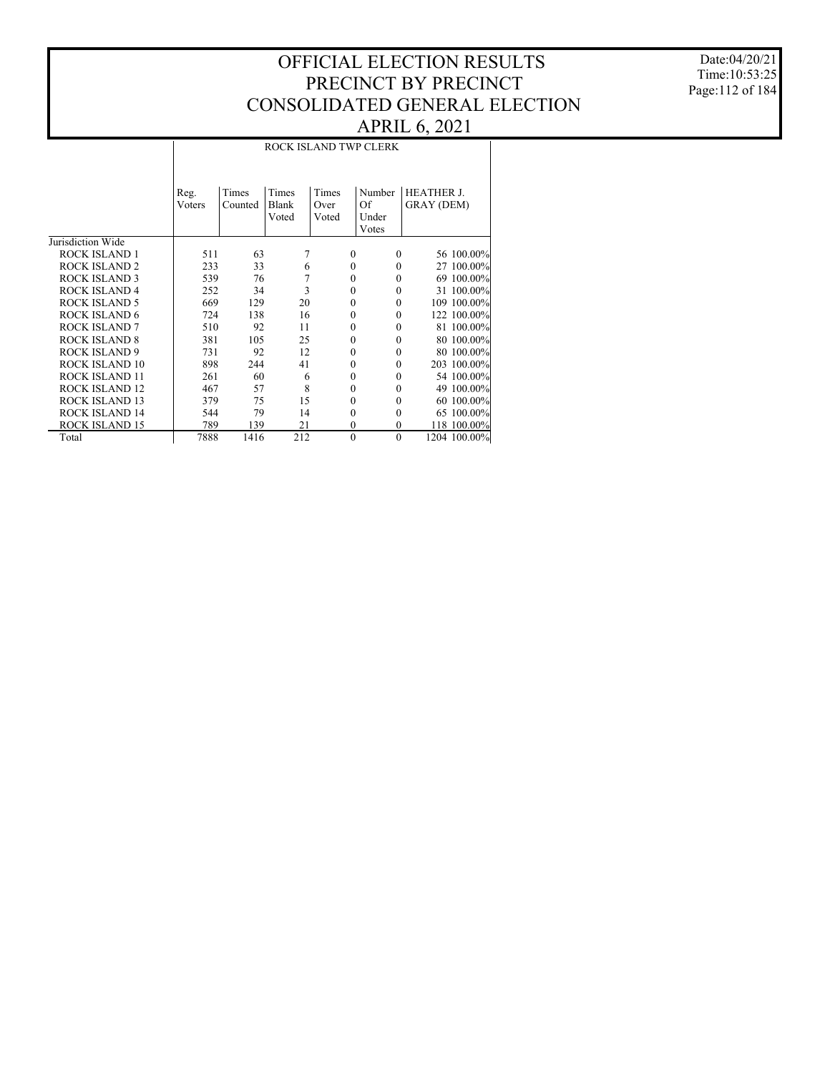Date:04/20/21 Time:10:53:25 Page:112 of 184

#### ROCK ISLAND TWP CLERK

|                       | Reg.<br>Voters | Times<br>Counted | Times<br>Blank<br>Voted | Times<br>Over<br>Voted | Number<br>Of<br>Under<br>Votes | <b>HEATHER J.</b><br><b>GRAY (DEM)</b> |
|-----------------------|----------------|------------------|-------------------------|------------------------|--------------------------------|----------------------------------------|
| Jurisdiction Wide     |                |                  |                         |                        |                                |                                        |
| ROCK ISLAND 1         | 511            | 63               | 7                       | $\Omega$               | $\theta$                       | 56 100.00%                             |
| <b>ROCK ISLAND 2</b>  | 233            | 33               | 6                       | $\mathbf{0}$           | $\mathbf{0}$                   | 27 100,00%                             |
| <b>ROCK ISLAND 3</b>  | 539            | 76               | 7                       | $\mathbf{0}$           | 0                              | 69 100.00%                             |
| <b>ROCK ISLAND 4</b>  | 252            | 34               | 3                       | $\Omega$               | $\Omega$                       | 31 100,00%                             |
| <b>ROCK ISLAND 5</b>  | 669            | 129              | 20                      | $\mathbf{0}$           | $\mathbf{0}$                   | 109 100,00%                            |
| <b>ROCK ISLAND 6</b>  | 724            | 138              | 16                      | $\mathbf{0}$           | $\Omega$                       | 122 100.00%                            |
| <b>ROCK ISLAND 7</b>  | 510            | 92               | 11                      | $\Omega$               | $\Omega$                       | 81 100.00%                             |
| <b>ROCK ISLAND 8</b>  | 381            | 105              | 25                      | $\mathbf{0}$           | $\mathbf{0}$                   | 80 100,00%                             |
| <b>ROCK ISLAND 9</b>  | 731            | 92               | 12                      | $\mathbf{0}$           | $\theta$                       | 80 100,00%                             |
| ROCK ISLAND 10        | 898            | 244              | 41                      | $\mathbf{0}$           | $\Omega$                       | 203 100.00%                            |
| <b>ROCK ISLAND 11</b> | 261            | 60               | 6                       | $\mathbf{0}$           | 0                              | 54 100,00%                             |
| <b>ROCK ISLAND 12</b> | 467            | 57               | 8                       | $\Omega$               | $\theta$                       | 49 100.00%                             |
| <b>ROCK ISLAND 13</b> | 379            | 75               | 15                      | $\mathbf{0}$           | $\Omega$                       | 60 100.00%                             |
| <b>ROCK ISLAND 14</b> | 544            | 79               | 14                      | $\mathbf{0}$           | 0                              | 100.00%<br>65                          |
| <b>ROCK ISLAND 15</b> | 789            | 139              | 21                      | $\mathbf{0}$           | $\Omega$                       | 118 100.00%                            |
| Total                 | 7888           | 1416             | 212                     | $\mathbf{0}$           | $\mathbf{0}$                   | 1204 100.00%                           |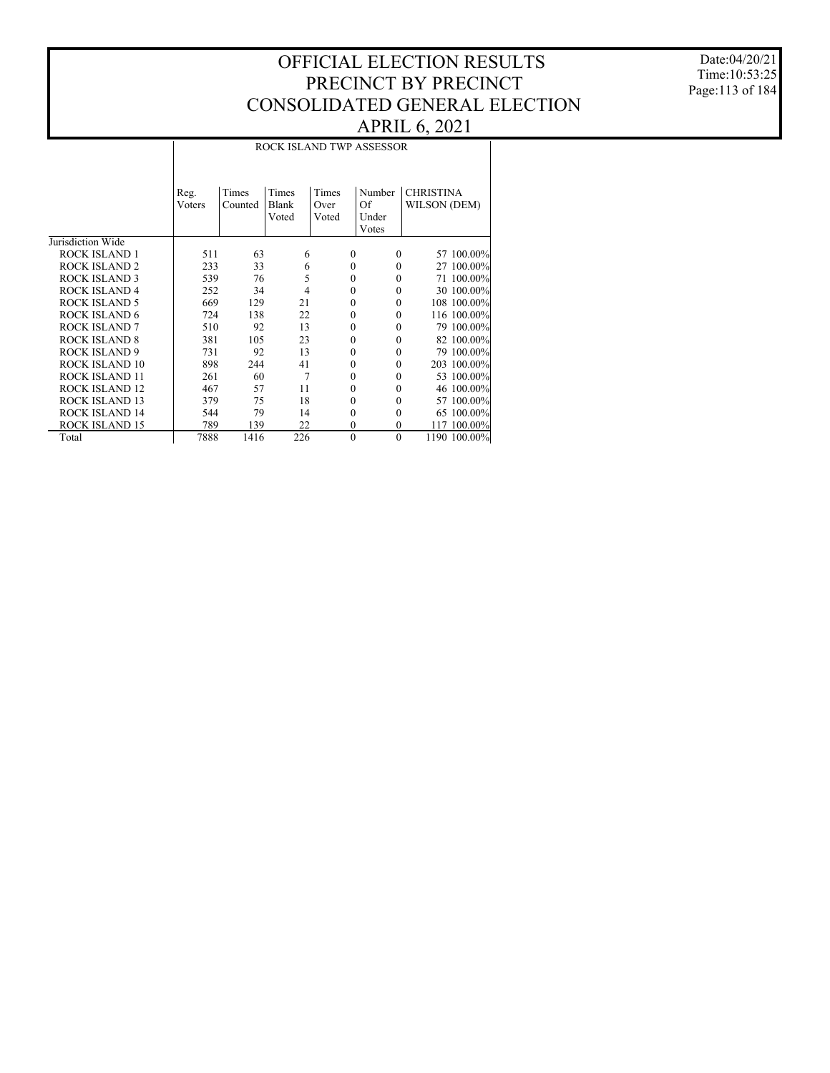Date:04/20/21 Time:10:53:25 Page:113 of 184

|                       |        |         |       |              | ROCK ISLAND TWP ASSESSOR |                  |              |
|-----------------------|--------|---------|-------|--------------|--------------------------|------------------|--------------|
|                       |        |         |       |              |                          |                  |              |
|                       | Reg.   | Times   | Times | Times        | Number                   | <b>CHRISTINA</b> |              |
|                       | Voters | Counted | Blank | Over         | Of                       | WILSON (DEM)     |              |
|                       |        |         | Voted | Voted        | Under                    |                  |              |
| Jurisdiction Wide     |        |         |       |              | Votes                    |                  |              |
| <b>ROCK ISLAND 1</b>  | 511    | 63      | 6     | $\theta$     | $\Omega$                 |                  | 57 100.00%   |
| <b>ROCK ISLAND 2</b>  | 233    | 33      | 6     | $\theta$     | 0                        |                  | 27 100.00%   |
| <b>ROCK ISLAND 3</b>  | 539    | 76      | 5     | $\theta$     | 0                        |                  | 71 100.00%   |
| <b>ROCK ISLAND 4</b>  | 252    | 34      | 4     | $\theta$     | $\Omega$                 |                  | 30 100.00%   |
| <b>ROCK ISLAND 5</b>  | 669    | 129     | 21    | $\theta$     | $\Omega$                 |                  | 108 100.00%  |
| <b>ROCK ISLAND 6</b>  | 724    | 138     | 22    | $\theta$     | $\Omega$                 |                  | 116 100.00%  |
| <b>ROCK ISLAND 7</b>  | 510    | 92      | 13    | $\theta$     | $\theta$                 |                  | 79 100.00%   |
| <b>ROCK ISLAND 8</b>  | 381    | 105     | 23    | $\theta$     | $\theta$                 |                  | 82 100.00%   |
| <b>ROCK ISLAND 9</b>  | 731    | 92      | 13    | $\theta$     | $\theta$                 |                  | 79 100.00%   |
| ROCK ISLAND 10        | 898    | 244     | 41    | $\theta$     | $\theta$                 |                  | 203 100.00%  |
| <b>ROCK ISLAND 11</b> | 261    | 60      | 7     | $\theta$     | $\Omega$                 |                  | 53 100.00%   |
| <b>ROCK ISLAND 12</b> | 467    | 57      | 11    | $\theta$     | $\theta$                 |                  | 46 100.00%   |
| <b>ROCK ISLAND 13</b> | 379    | 75      | 18    | $\theta$     | 0                        |                  | 57 100.00%   |
| <b>ROCK ISLAND 14</b> | 544    | 79      | 14    | $\theta$     | $\theta$                 |                  | 65 100.00%   |
| <b>ROCK ISLAND 15</b> | 789    | 139     | 22    | $\mathbf{0}$ | $\Omega$                 |                  | 117 100.00%  |
| Total                 | 7888   | 1416    | 226   | $\theta$     | $\theta$                 |                  | 1190 100.00% |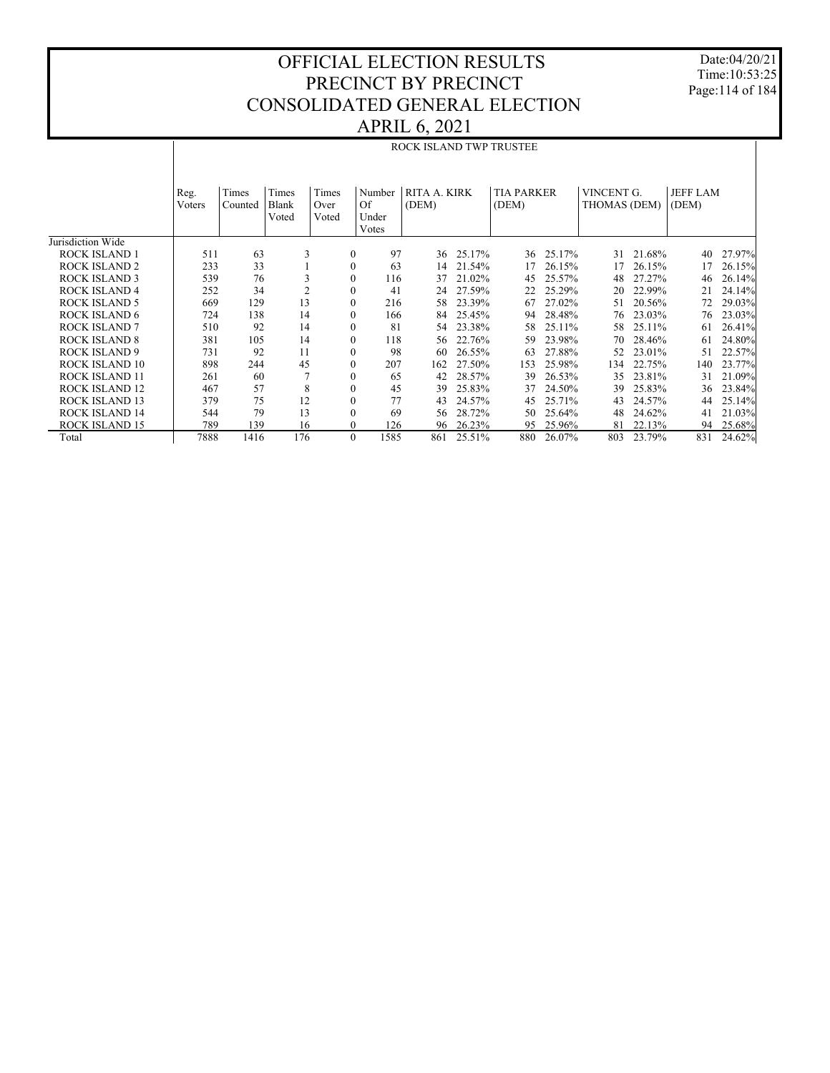Date:04/20/21 Time:10:53:25 Page:114 of 184

## OFFICIAL ELECTION RESULTS PRECINCT BY PRECINCT CONSOLIDATED GENERAL ELECTION APRIL 6, 2021

|                       |                |                  |                         |                        |                                |                       |        | ROCK ISLAND TWP TRUSTEE    |        |                            |        |                          |        |
|-----------------------|----------------|------------------|-------------------------|------------------------|--------------------------------|-----------------------|--------|----------------------------|--------|----------------------------|--------|--------------------------|--------|
|                       |                |                  |                         |                        |                                |                       |        |                            |        |                            |        |                          |        |
|                       | Reg.<br>Voters | Times<br>Counted | Times<br>Blank<br>Voted | Times<br>Over<br>Voted | Number<br>Of<br>Under<br>Votes | RITA A. KIRK<br>(DEM) |        | <b>TIA PARKER</b><br>(DEM) |        | VINCENT G.<br>THOMAS (DEM) |        | <b>JEFF LAM</b><br>(DEM) |        |
| Jurisdiction Wide     |                |                  |                         |                        |                                |                       |        |                            |        |                            |        |                          |        |
| <b>ROCK ISLAND 1</b>  | 511            | 63               | 3                       | $\mathbf{0}$           | 97                             | 36                    | 25.17% | 36                         | 25.17% | 31                         | 21.68% | 40                       | 27.97% |
| <b>ROCK ISLAND 2</b>  | 233            | 33               |                         | $\mathbf{0}$           | 63                             | 14                    | 21.54% | 17                         | 26.15% | 17                         | 26.15% | 17                       | 26.15% |
| <b>ROCK ISLAND 3</b>  | 539            | 76               | 3                       | $\mathbf{0}$           | 116                            | 37                    | 21.02% | 45                         | 25.57% | 48                         | 27.27% | 46                       | 26.14% |
| <b>ROCK ISLAND 4</b>  | 252            | 34               | $\overline{c}$          | $\mathbf{0}$           | 41                             | 24                    | 27.59% | 22                         | 25.29% | 20                         | 22.99% | 21                       | 24.14% |
| <b>ROCK ISLAND 5</b>  | 669            | 129              | 13                      | $\mathbf{0}$           | 216                            | 58                    | 23.39% | 67                         | 27.02% | 51                         | 20.56% | 72                       | 29.03% |
| <b>ROCK ISLAND 6</b>  | 724            | 138              | 14                      | $\mathbf{0}$           | 166                            | 84                    | 25.45% | 94                         | 28.48% | 76                         | 23.03% | 76                       | 23.03% |
| <b>ROCK ISLAND 7</b>  | 510            | 92               | 14                      | $\mathbf{0}$           | 81                             | 54                    | 23.38% | 58                         | 25.11% | 58                         | 25.11% | 61                       | 26.41% |
| <b>ROCK ISLAND 8</b>  | 381            | 105              | 14                      | $\mathbf{0}$           | 118                            | 56                    | 22.76% | 59                         | 23.98% | 70                         | 28.46% | 61                       | 24.80% |
| <b>ROCK ISLAND 9</b>  | 731            | 92               | 11                      | $\mathbf{0}$           | 98                             | 60                    | 26.55% | 63                         | 27.88% | 52                         | 23.01% | 51                       | 22.57% |
| ROCK ISLAND 10        | 898            | 244              | 45                      | $\mathbf{0}$           | 207                            | 162                   | 27.50% | 153                        | 25.98% | 134                        | 22.75% | 140                      | 23.77% |
| <b>ROCK ISLAND 11</b> | 261            | 60               |                         | $\mathbf{0}$           | 65                             | 42                    | 28.57% | 39                         | 26.53% | 35                         | 23.81% | 31                       | 21.09% |
| <b>ROCK ISLAND 12</b> | 467            | 57               | 8                       | $\mathbf{0}$           | 45                             | 39                    | 25.83% | 37                         | 24.50% | 39                         | 25.83% | 36                       | 23.84% |
| <b>ROCK ISLAND 13</b> | 379            | 75               | 12                      | $\mathbf{0}$           | 77                             | 43                    | 24.57% | 45                         | 25.71% | 43                         | 24.57% | 44                       | 25.14% |
| <b>ROCK ISLAND 14</b> | 544            | 79               | 13                      | $\mathbf{0}$           | 69                             | 56                    | 28.72% | 50                         | 25.64% | 48                         | 24.62% | 41                       | 21.03% |
| <b>ROCK ISLAND 15</b> | 789            | 139              | 16                      | $\mathbf{0}$           | 126                            | 96                    | 26.23% | 95                         | 25.96% | 81                         | 22.13% | 94                       | 25.68% |
| Total                 | 7888           | 1416             | 176                     | $\Omega$               | 1585                           | 861                   | 25.51% | 880                        | 26.07% | 803                        | 23.79% | 831                      | 24.62% |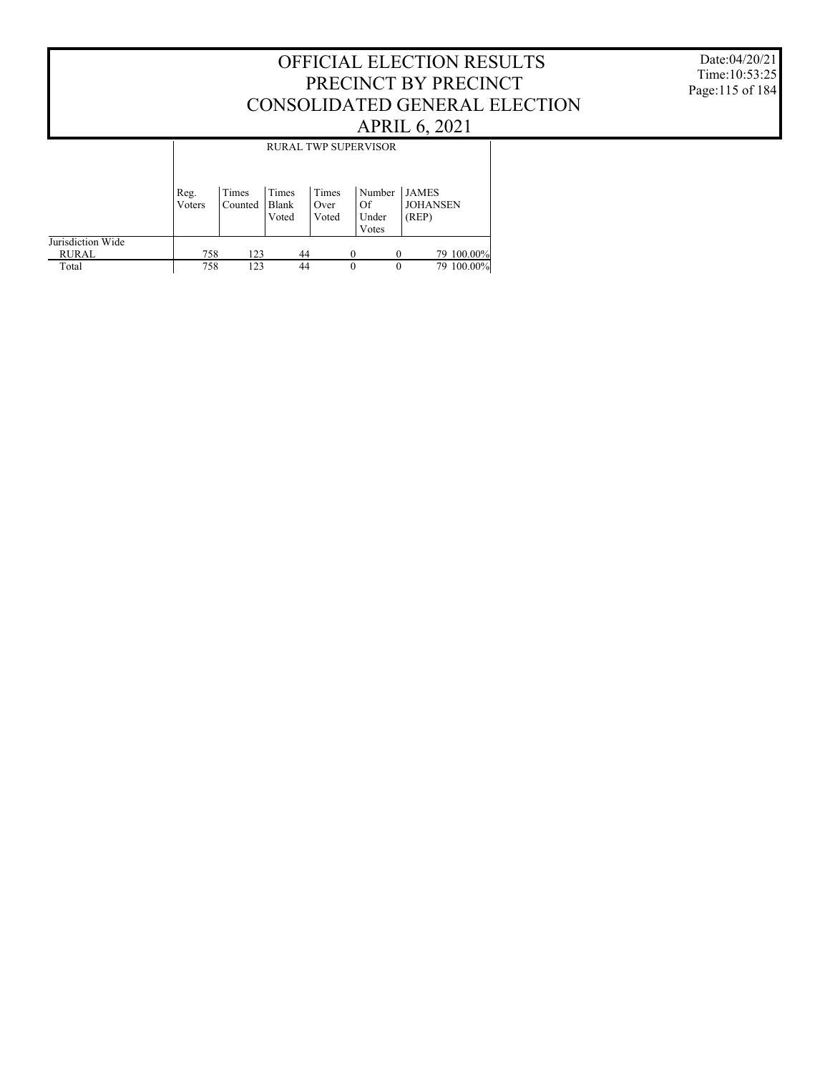#### Date:04/20/21 Time:10:53:25 Page:115 of 184

## OFFICIAL ELECTION RESULTS PRECINCT BY PRECINCT CONSOLIDATED GENERAL ELECTION APRIL 6, 2021

|                                   |                | <b>RURAL TWP SUPERVISOR</b> |                         |                        |                                |                                          |  |  |  |  |
|-----------------------------------|----------------|-----------------------------|-------------------------|------------------------|--------------------------------|------------------------------------------|--|--|--|--|
|                                   | Reg.<br>Voters | Times<br>Counted            | Times<br>Blank<br>Voted | Times<br>Over<br>Voted | Number<br>Of<br>Under<br>Votes | <b>JAMES</b><br><b>JOHANSEN</b><br>(REP) |  |  |  |  |
| Jurisdiction Wide<br><b>RURAL</b> | 758            | 123                         | 44                      |                        | $\Omega$<br>$\theta$           | 79 100.00%                               |  |  |  |  |
| Total                             | 758            | 123                         | 44                      |                        | $\theta$<br>$\theta$           | 79 100,00%                               |  |  |  |  |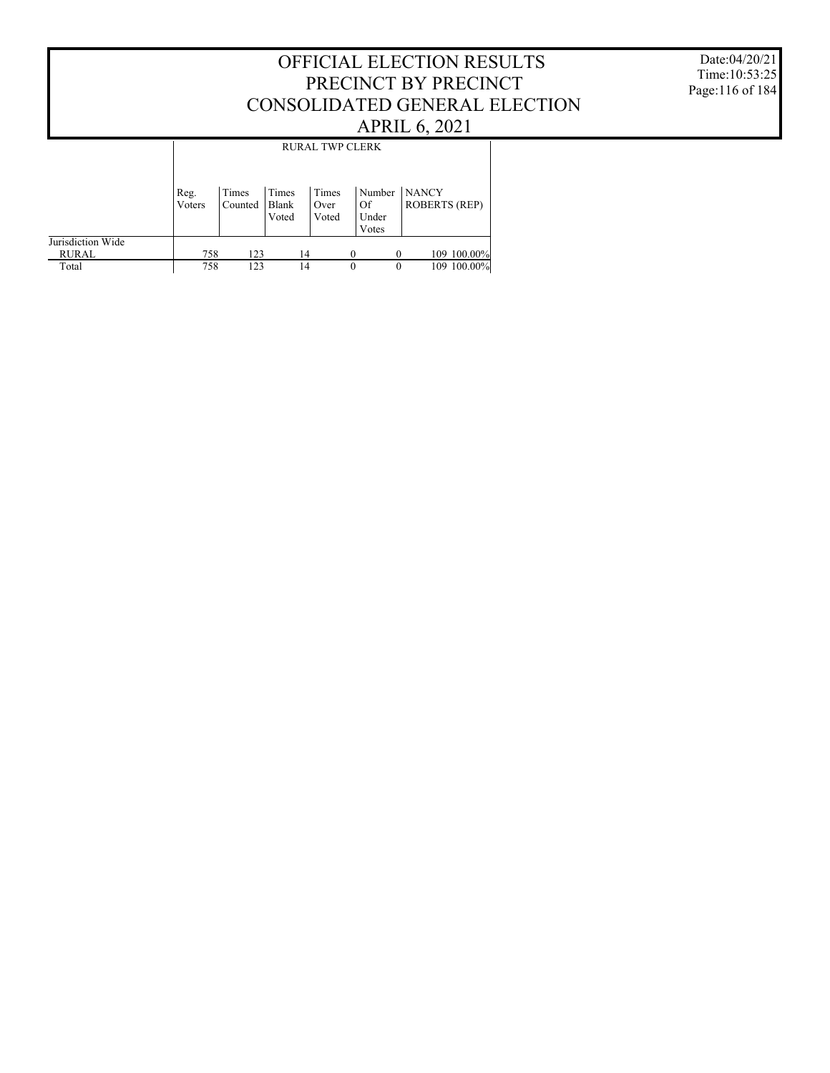Date:04/20/21 Time:10:53:25 Page:116 of 184

|                            |                | <b>RURAL TWP CLERK</b> |                         |                        |          |                                |                                      |  |  |  |  |
|----------------------------|----------------|------------------------|-------------------------|------------------------|----------|--------------------------------|--------------------------------------|--|--|--|--|
|                            | Reg.<br>Voters | Times<br>Counted       | Times<br>Blank<br>Voted | Times<br>Over<br>Voted |          | Number<br>Of<br>Under<br>Votes | <b>NANCY</b><br><b>ROBERTS (REP)</b> |  |  |  |  |
| Jurisdiction Wide<br>RURAL | 758            | 123                    | 14                      |                        |          |                                | 109 100.00%                          |  |  |  |  |
| Total                      | 758            | 123                    | 14                      |                        | $\theta$ | 0                              | 109 100.00%                          |  |  |  |  |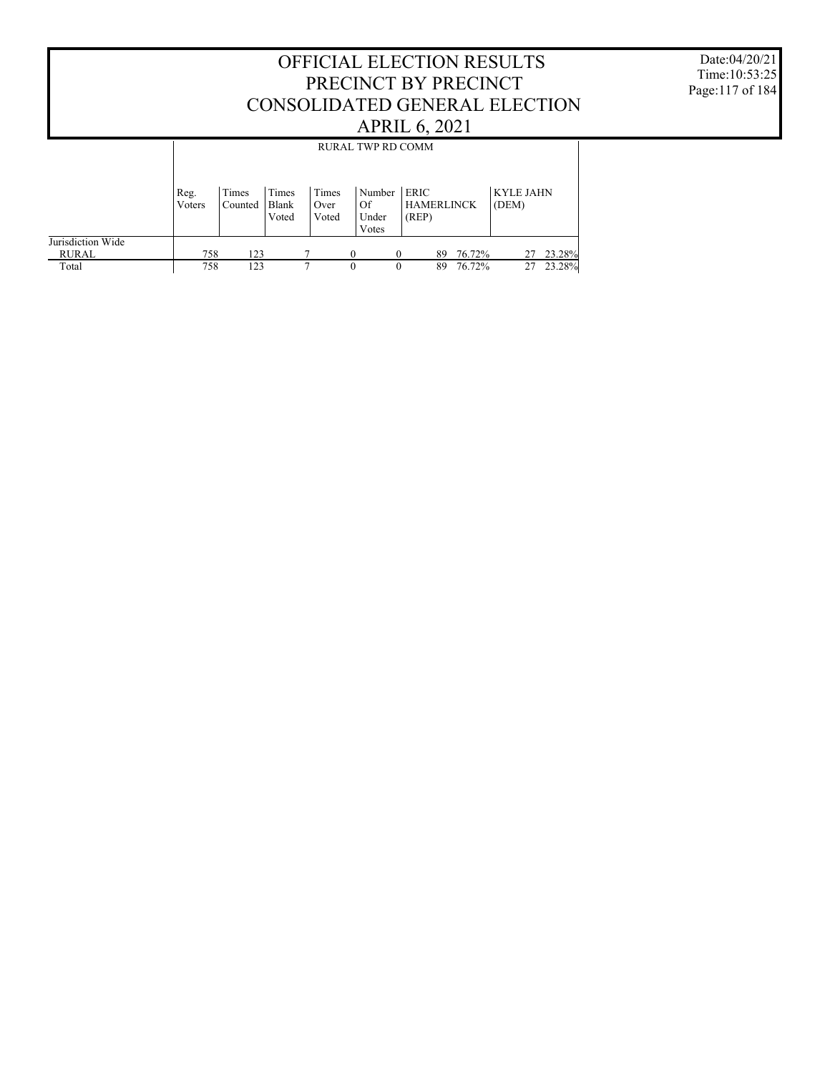Date:04/20/21 Time:10:53:25 Page:117 of 184

|                                   |                |                  |                         |                        | RURAL TWP RD COMM              |          |                                           |        |                           |        |  |
|-----------------------------------|----------------|------------------|-------------------------|------------------------|--------------------------------|----------|-------------------------------------------|--------|---------------------------|--------|--|
|                                   |                |                  |                         |                        |                                |          |                                           |        |                           |        |  |
|                                   | Reg.<br>Voters | Times<br>Counted | Times<br>Blank<br>Voted | Times<br>Over<br>Voted | Number<br>Of<br>Under<br>Votes |          | <b>ERIC</b><br><b>HAMERLINCK</b><br>(REP) |        | <b>KYLE JAHN</b><br>(DEM) |        |  |
| Jurisdiction Wide<br><b>RURAL</b> | 758            | 123              |                         |                        |                                | 0        | 89                                        | 76.72% | 27                        | 23.28% |  |
| Total                             | 758            | 123              |                         | ┑                      | 0                              | $\theta$ | 89                                        | 76.72% | 27                        | 23.28% |  |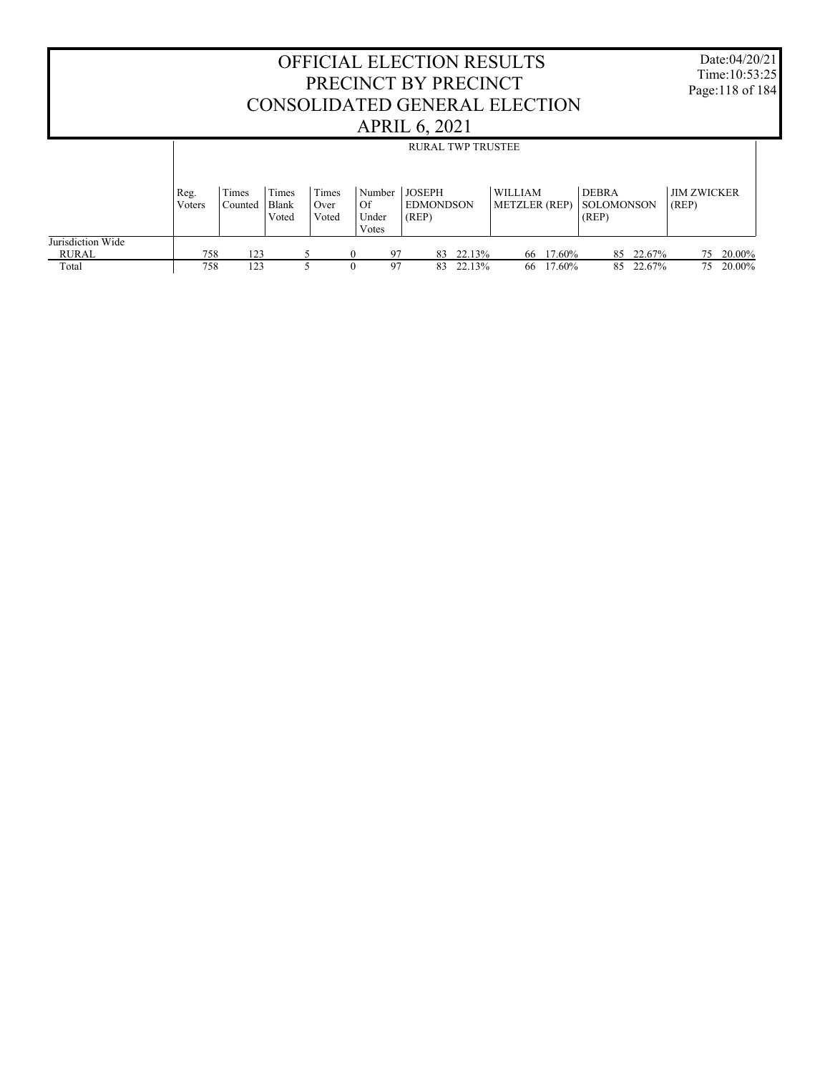|                                   |                |                  |                         |                        |                                | <b>OFFICIAL ELECTION RESULTS</b><br>PRECINCT BY PRECINCT<br>CONSOLIDATED GENERAL ELECTION<br><b>APRIL 6, 2021</b> |                                        |                                            | Date:04/20/21<br>Time:10:53:25<br>Page:118 of 184 |  |
|-----------------------------------|----------------|------------------|-------------------------|------------------------|--------------------------------|-------------------------------------------------------------------------------------------------------------------|----------------------------------------|--------------------------------------------|---------------------------------------------------|--|
|                                   |                |                  |                         |                        |                                | <b>RURAL TWP TRUSTEE</b>                                                                                          |                                        |                                            |                                                   |  |
|                                   | Reg.<br>Voters | Times<br>Counted | Times<br>Blank<br>Voted | Times<br>Over<br>Voted | Number<br>Of<br>Under<br>Votes | <b>JOSEPH</b><br><b>EDMONDSON</b><br>(REP)                                                                        | <b>WILLIAM</b><br><b>METZLER</b> (REP) | <b>DEBRA</b><br><b>SOLOMONSON</b><br>(REP) | <b>JIM ZWICKER</b><br>(REP)                       |  |
| Jurisdiction Wide<br><b>RURAL</b> | 758            | 123              |                         | 5                      | $\Omega$                       | 22.13%<br>97<br>83                                                                                                | 66 17.60%                              | 22.67%<br>85                               | 20.00%<br>75                                      |  |
| Total                             | 758            | 123              |                         |                        |                                | 97<br>22.13%<br>83.                                                                                               | 66 17.60%                              | 85 22.67%                                  | 75 20.00%                                         |  |

Г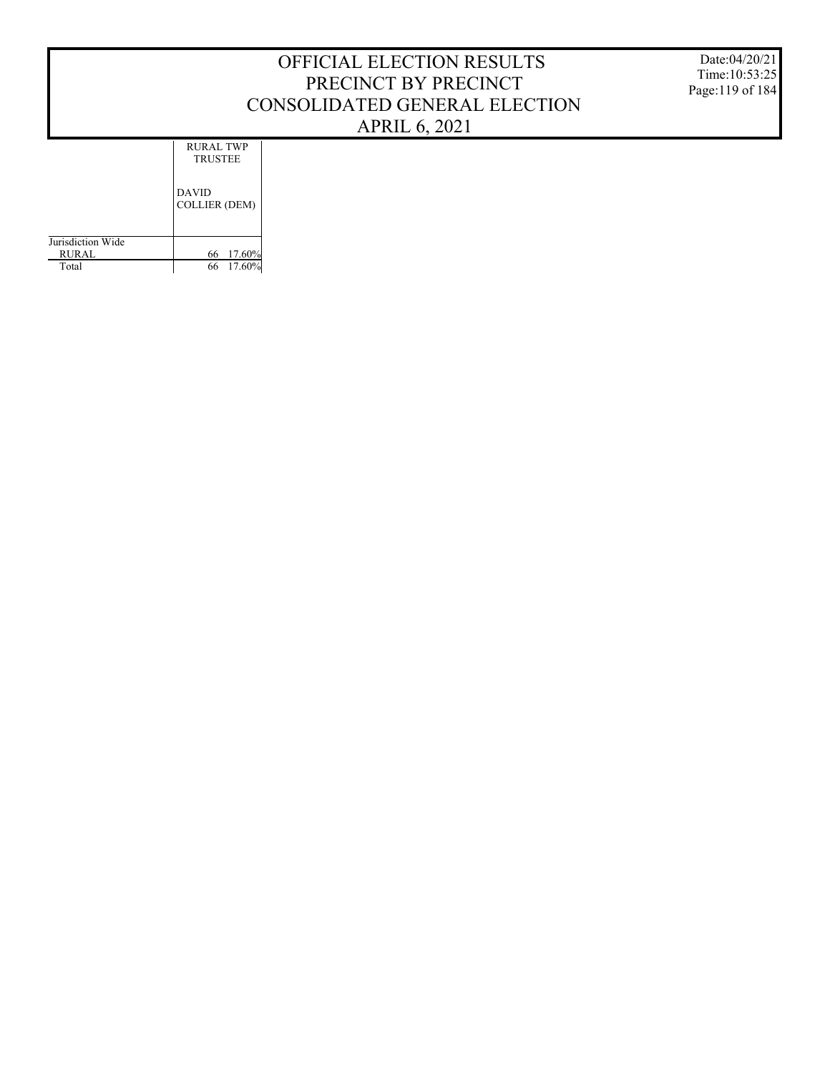Date:04/20/21 Time:10:53:25 Page:119 of 184

DAVID  $C$ OLLIER (DEM) RURAL TWP TRUSTEE

|                   | COLLIER (DEM) |
|-------------------|---------------|
| Jurisdiction Wide |               |
| <b>RURAL</b>      | 66 17.60%     |
| Total             | 66 17.60%     |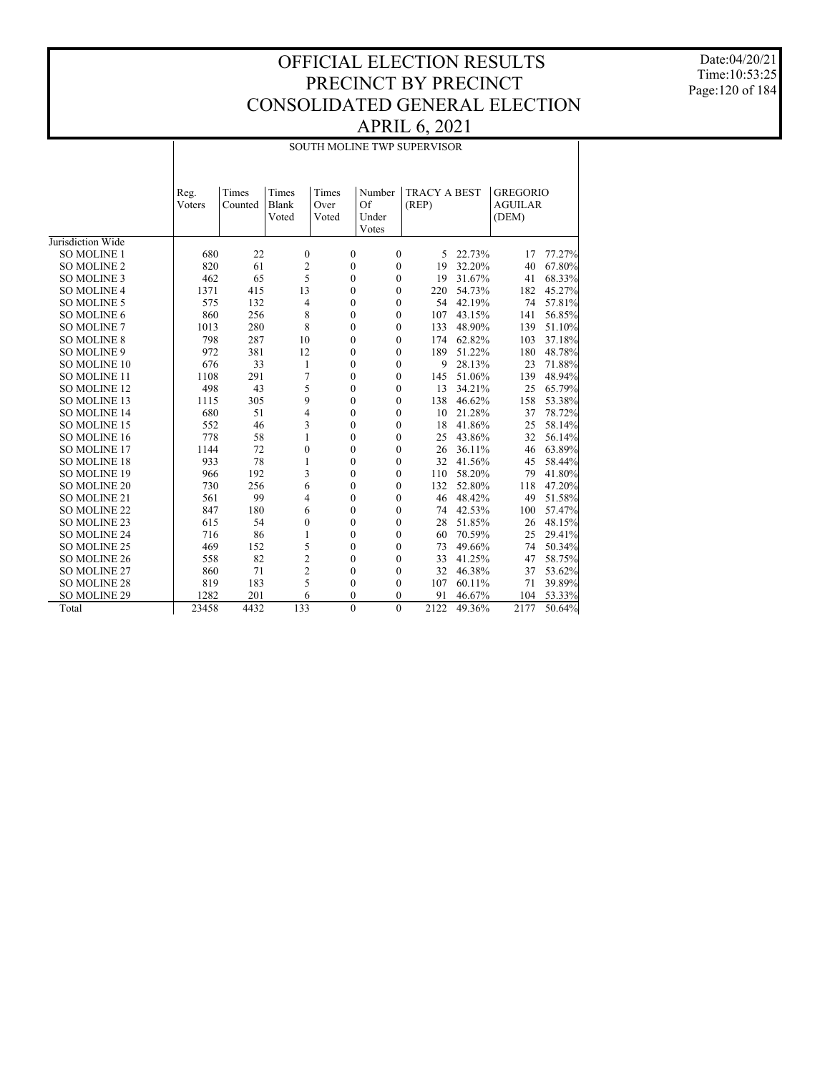Date:04/20/21 Time:10:53:25 Page:120 of 184

#### SOUTH MOLINE TWP SUPERVISOR

|                     | Reg.        | Times     | Times          | Times | Number                           | <b>TRACY A BEST</b> |        | <b>GREGORIO</b> |        |
|---------------------|-------------|-----------|----------------|-------|----------------------------------|---------------------|--------|-----------------|--------|
|                     | Voters      | Counted   | <b>Blank</b>   | Over  | Of                               | (REP)               |        | <b>AGUILAR</b>  |        |
|                     |             |           | Voted          | Voted | Under                            |                     |        | (DEM)           |        |
| Jurisdiction Wide   |             |           |                |       | Votes                            |                     |        |                 |        |
| <b>SO MOLINE 1</b>  | 680         | 22        | $\mathbf{0}$   |       | $\mathbf{0}$<br>$\mathbf{0}$     | 5                   | 22.73% | 17              | 77.27% |
| <b>SO MOLINE 2</b>  | 820         | 61        | $\overline{c}$ |       | $\mathbf{0}$<br>$\mathbf{0}$     | 19                  | 32.20% | 40              | 67.80% |
| <b>SO MOLINE 3</b>  | 462         | 65        | 5              |       | $\Omega$<br>$\Omega$             | 19                  | 31.67% | 41              | 68.33% |
| <b>SO MOLINE 4</b>  | 1371        | 415       | 13             |       | $\Omega$<br>$\mathbf{0}$         | 220                 | 54.73% | 182             | 45.27% |
| <b>SO MOLINE 5</b>  | 575         | 132       |                |       | $\mathbf{0}$                     | 54                  | 42.19% |                 |        |
|                     |             |           | 4              |       | $\mathbf{0}$<br>$\Omega$         |                     |        | 74              | 57.81% |
| SO MOLINE 6         | 860<br>1013 | 256       | 8<br>8         |       | $\mathbf{0}$<br>$\mathbf{0}$     | 107                 | 43.15% | 141             | 56.85% |
| <b>SO MOLINE 7</b>  |             | 280       |                |       | $\mathbf{0}$                     | 133                 | 48.90% | 139             | 51.10% |
| <b>SO MOLINE 8</b>  | 798<br>972  | 287       | 10             |       | $\theta$<br>$\theta$             | 174                 | 62.82% | 103             | 37.18% |
| SO MOLINE 9         |             | 381       | 12             |       | $\mathbf{0}$<br>$\theta$         | 189                 | 51.22% | 180             | 48.78% |
| <b>SO MOLINE 10</b> | 676         | 33        | 1              |       | $\theta$<br>$\theta$<br>$\theta$ | 9                   | 28.13% | 23              | 71.88% |
| SO MOLINE 11        | 1108<br>498 | 291<br>43 | 7              |       | $\mathbf{0}$                     | 145                 | 51.06% | 139             | 48.94% |
| <b>SO MOLINE 12</b> |             |           | 5              |       | 0<br>$\mathbf{0}$                | 13                  | 34.21% | 25              | 65.79% |
| SO MOLINE 13        | 1115        | 305       | 9              |       | $\overline{0}$<br>$\mathbf{0}$   | 138                 | 46.62% | 158             | 53.38% |
| <b>SO MOLINE 14</b> | 680         | 51        | 4              |       | 0<br>$\mathbf{0}$                | 10                  | 21.28% | 37              | 78.72% |
| SO MOLINE 15        | 552         | 46        | 3              |       | $\theta$<br>$\mathbf{0}$         | 18                  | 41.86% | 25              | 58.14% |
| SO MOLINE 16        | 778         | 58        | 1              |       | $\mathbf{0}$<br>0                | 25                  | 43.86% | 32              | 56.14% |
| SO MOLINE 17        | 1144        | 72        | $\theta$       |       | $\theta$<br>$\theta$             | 26                  | 36.11% | 46              | 63.89% |
| SO MOLINE 18        | 933         | 78        | 1              |       | $\overline{0}$<br>$\mathbf{0}$   | 32                  | 41.56% | 45              | 58.44% |
| <b>SO MOLINE 19</b> | 966         | 192       | 3              |       | 0<br>$\mathbf{0}$                | 110                 | 58.20% | 79              | 41.80% |
| SO MOLINE 20        | 730         | 256       | 6              |       | $\overline{0}$<br>$\mathbf{0}$   | 132                 | 52.80% | 118             | 47.20% |
| SO MOLINE 21        | 561         | 99        | 4              |       | $\overline{0}$<br>$\mathbf{0}$   | 46                  | 48.42% | 49              | 51.58% |
| <b>SO MOLINE 22</b> | 847         | 180       | 6              |       | 0<br>$\boldsymbol{0}$            | 74                  | 42.53% | 100             | 57.47% |
| SO MOLINE 23        | 615         | 54        | $\mathbf{0}$   |       | $\mathbf{0}$<br>$\mathbf{0}$     | 28                  | 51.85% | 26              | 48.15% |
| <b>SO MOLINE 24</b> | 716         | 86        | 1              |       | $\mathbf{0}$<br>$\mathbf{0}$     | 60                  | 70.59% | 25              | 29.41% |
| SO MOLINE 25        | 469         | 152       | 5              |       | $\mathbf{0}$<br>$\boldsymbol{0}$ | 73                  | 49.66% | 74              | 50.34% |
| <b>SO MOLINE 26</b> | 558         | 82        | $\mathfrak{2}$ |       | $\mathbf{0}$<br>$\mathbf{0}$     | 33                  | 41.25% | 47              | 58.75% |
| SO MOLINE 27        | 860         | 71        | $\overline{c}$ |       | $\mathbf{0}$<br>$\mathbf{0}$     | 32                  | 46.38% | 37              | 53.62% |
| <b>SO MOLINE 28</b> | 819         | 183       | 5              |       | $\mathbf{0}$<br>$\mathbf{0}$     | 107                 | 60.11% | 71              | 39.89% |
| SO MOLINE 29        | 1282        | 201       | 6              |       | $\overline{0}$<br>$\mathbf{0}$   | 91                  | 46.67% | 104             | 53.33% |
| Total               | 23458       | 4432      | 133            |       | $\theta$<br>$\Omega$             | 2122                | 49.36% | 2177            | 50.64% |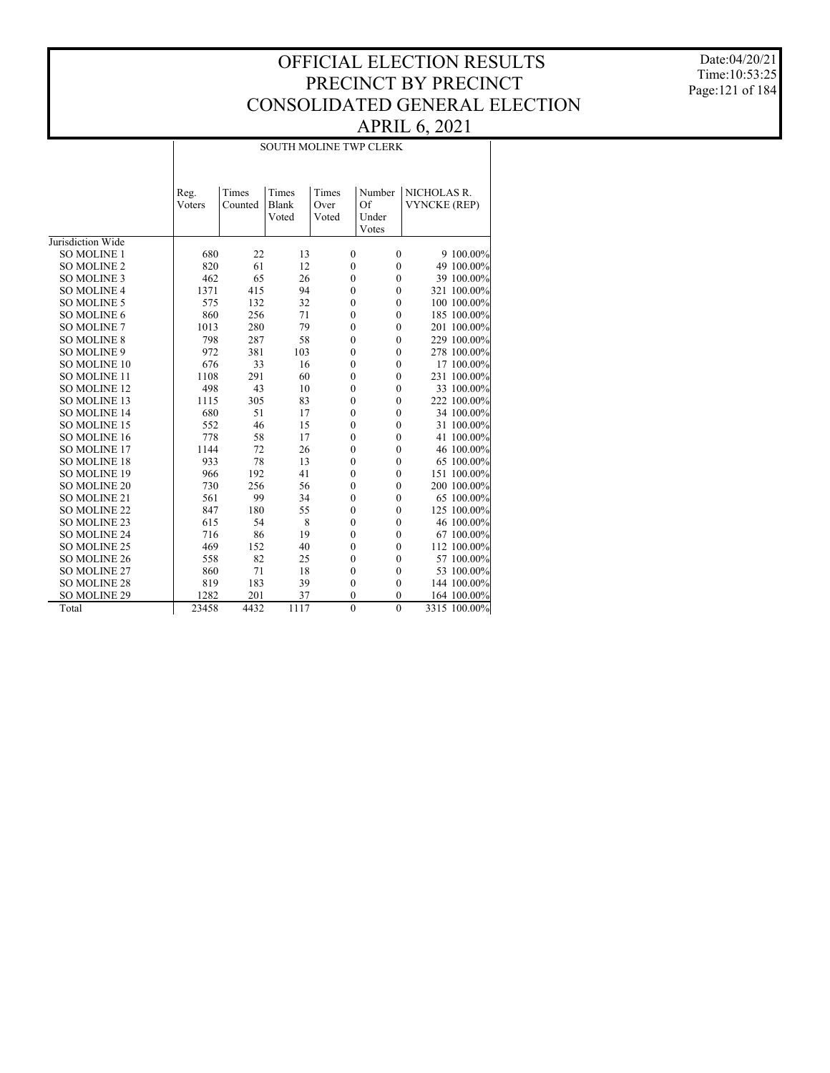Date:04/20/21 Time:10:53:25 Page:121 of 184

#### SOUTH MOLINE TWP CLERK

|                     | Reg.   | Times   | Times | Times            | Number           | NICHOLAS R.         |              |
|---------------------|--------|---------|-------|------------------|------------------|---------------------|--------------|
|                     | Voters | Counted | Blank | Over             | Of               | <b>VYNCKE (REP)</b> |              |
|                     |        |         | Voted | Voted            | Under            |                     |              |
|                     |        |         |       |                  | Votes            |                     |              |
| Jurisdiction Wide   |        |         |       |                  |                  |                     |              |
| <b>SO MOLINE 1</b>  | 680    | 22      | 13    | $\mathbf{0}$     | $\boldsymbol{0}$ |                     | 9 100.00%    |
| <b>SO MOLINE 2</b>  | 820    | 61      | 12    | $\boldsymbol{0}$ | $\boldsymbol{0}$ |                     | 49 100.00%   |
| <b>SO MOLINE 3</b>  | 462    | 65      | 26    | $\boldsymbol{0}$ | $\mathbf{0}$     |                     | 39 100.00%   |
| <b>SO MOLINE 4</b>  | 1371   | 415     | 94    | $\mathbf{0}$     | $\mathbf{0}$     |                     | 321 100.00%  |
| <b>SO MOLINE 5</b>  | 575    | 132     | 32    | $\mathbf{0}$     | $\mathbf{0}$     |                     | 100 100.00%  |
| SO MOLINE 6         | 860    | 256     | 71    | $\mathbf{0}$     | $\mathbf{0}$     |                     | 185 100.00%  |
| <b>SO MOLINE 7</b>  | 1013   | 280     | 79    | $\mathbf{0}$     | $\boldsymbol{0}$ |                     | 201 100.00%  |
| <b>SO MOLINE 8</b>  | 798    | 287     | 58    | $\mathbf{0}$     | $\mathbf{0}$     |                     | 229 100.00%  |
| SO MOLINE 9         | 972    | 381     | 103   | $\mathbf{0}$     | $\mathbf{0}$     |                     | 278 100.00%  |
| SO MOLINE 10        | 676    | 33      | 16    | $\mathbf{0}$     | $\mathbf{0}$     |                     | 17 100.00%   |
| <b>SO MOLINE 11</b> | 1108   | 291     | 60    | $\mathbf{0}$     | $\mathbf{0}$     |                     | 231 100.00%  |
| <b>SO MOLINE 12</b> | 498    | 43      | 10    | $\mathbf{0}$     | $\mathbf{0}$     |                     | 33 100.00%   |
| <b>SO MOLINE 13</b> | 1115   | 305     | 83    | $\mathbf{0}$     | $\mathbf{0}$     |                     | 222 100.00%  |
| <b>SO MOLINE 14</b> | 680    | 51      | 17    | $\mathbf{0}$     | $\mathbf{0}$     |                     | 34 100.00%   |
| SO MOLINE 15        | 552    | 46      | 15    | $\boldsymbol{0}$ | $\boldsymbol{0}$ |                     | 31 100.00%   |
| SO MOLINE 16        | 778    | 58      | 17    | $\boldsymbol{0}$ | $\boldsymbol{0}$ |                     | 41 100.00%   |
| SO MOLINE 17        | 1144   | 72      | 26    | $\boldsymbol{0}$ | $\mathbf{0}$     |                     | 46 100.00%   |
| <b>SO MOLINE 18</b> | 933    | 78      | 13    | $\boldsymbol{0}$ | $\mathbf{0}$     |                     | 65 100.00%   |
| SO MOLINE 19        | 966    | 192     | 41    | $\mathbf{0}$     | $\boldsymbol{0}$ |                     | 151 100.00%  |
| <b>SO MOLINE 20</b> | 730    | 256     | 56    | $\boldsymbol{0}$ | $\mathbf{0}$     |                     | 200 100.00%  |
| SO MOLINE 21        | 561    | 99      | 34    | $\mathbf{0}$     | $\mathbf{0}$     |                     | 65 100.00%   |
| <b>SO MOLINE 22</b> | 847    | 180     | 55    | $\mathbf{0}$     | $\mathbf{0}$     |                     | 125 100.00%  |
| SO MOLINE 23        | 615    | 54      | 8     | $\mathbf{0}$     | $\boldsymbol{0}$ |                     | 46 100.00%   |
| <b>SO MOLINE 24</b> | 716    | 86      | 19    | $\mathbf{0}$     | $\mathbf{0}$     |                     | 67 100.00%   |
| SO MOLINE 25        | 469    | 152     | 40    | $\mathbf{0}$     | $\mathbf{0}$     |                     | 112 100.00%  |
| SO MOLINE 26        | 558    | 82      | 25    | $\mathbf{0}$     | $\mathbf{0}$     |                     | 57 100.00%   |
| SO MOLINE 27        | 860    | 71      | 18    | $\mathbf{0}$     | $\mathbf{0}$     |                     | 53 100.00%   |
| <b>SO MOLINE 28</b> | 819    | 183     | 39    | $\mathbf{0}$     | $\mathbf{0}$     |                     | 144 100.00%  |
| SO MOLINE 29        | 1282   | 201     | 37    | $\mathbf{0}$     | $\mathbf{0}$     |                     | 164 100.00%  |
| Total               | 23458  | 4432    | 1117  | $\mathbf{0}$     | $\mathbf{0}$     |                     | 3315 100.00% |
|                     |        |         |       |                  |                  |                     |              |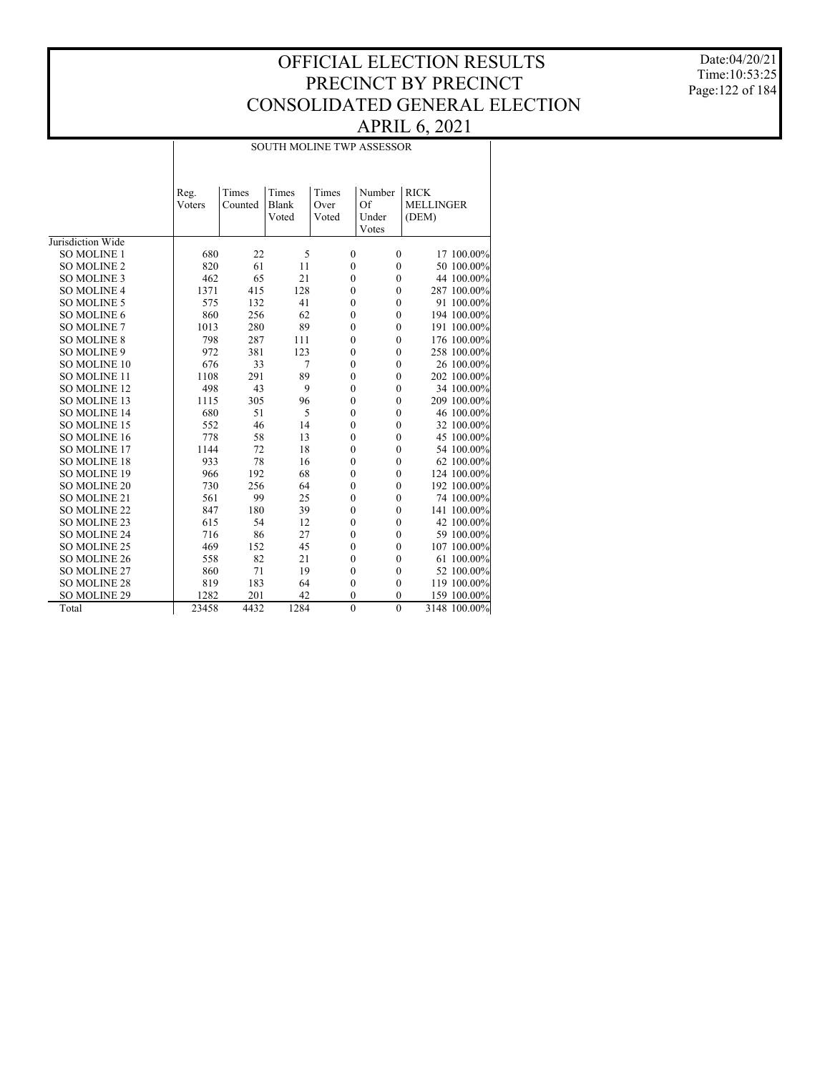Date:04/20/21 Time:10:53:25 Page:122 of 184

#### SOUTH MOLINE TWP ASSESSOR

|                     | Reg.   | Times   | Times | Times            | Number           | <b>RICK</b>      |              |
|---------------------|--------|---------|-------|------------------|------------------|------------------|--------------|
|                     | Voters | Counted | Blank | Over             | Of               | <b>MELLINGER</b> |              |
|                     |        |         | Voted | Voted            | Under            | (DEM)            |              |
|                     |        |         |       |                  | Votes            |                  |              |
| Jurisdiction Wide   |        |         |       |                  |                  |                  |              |
| <b>SO MOLINE 1</b>  | 680    | 22      | 5     | $\boldsymbol{0}$ | $\mathbf{0}$     |                  | 17 100.00%   |
| <b>SO MOLINE 2</b>  | 820    | 61      | 11    | $\boldsymbol{0}$ | $\boldsymbol{0}$ |                  | 50 100.00%   |
| SO MOLINE 3         | 462    | 65      | 21    | $\boldsymbol{0}$ | $\mathbf{0}$     |                  | 44 100.00%   |
| <b>SO MOLINE 4</b>  | 1371   | 415     | 128   | $\boldsymbol{0}$ | $\boldsymbol{0}$ |                  | 287 100.00%  |
| <b>SO MOLINE 5</b>  | 575    | 132     | 41    | $\boldsymbol{0}$ | $\mathbf{0}$     |                  | 91 100.00%   |
| SO MOLINE 6         | 860    | 256     | 62    | $\boldsymbol{0}$ | $\boldsymbol{0}$ |                  | 194 100.00%  |
| <b>SO MOLINE 7</b>  | 1013   | 280     | 89    | $\boldsymbol{0}$ | $\boldsymbol{0}$ |                  | 191 100.00%  |
| <b>SO MOLINE 8</b>  | 798    | 287     | 111   | $\mathbf{0}$     | $\mathbf{0}$     |                  | 176 100.00%  |
| <b>SO MOLINE 9</b>  | 972    | 381     | 123   | $\mathbf{0}$     | $\mathbf{0}$     |                  | 258 100.00%  |
| SO MOLINE 10        | 676    | 33      | 7     | $\boldsymbol{0}$ | $\mathbf{0}$     |                  | 26 100.00%   |
| SO MOLINE 11        | 1108   | 291     | 89    | $\boldsymbol{0}$ | $\boldsymbol{0}$ |                  | 202 100.00%  |
| SO MOLINE 12        | 498    | 43      | 9     | $\mathbf{0}$     | $\boldsymbol{0}$ |                  | 34 100.00%   |
| SO MOLINE 13        | 1115   | 305     | 96    | $\mathbf{0}$     | $\mathbf{0}$     |                  | 209 100.00%  |
| SO MOLINE 14        | 680    | 51      | 5     | $\mathbf{0}$     | $\mathbf{0}$     |                  | 46 100.00%   |
| SO MOLINE 15        | 552    | 46      | 14    | $\mathbf{0}$     | $\mathbf{0}$     |                  | 32 100.00%   |
| SO MOLINE 16        | 778    | 58      | 13    | $\mathbf{0}$     | $\mathbf{0}$     |                  | 45 100.00%   |
| SO MOLINE 17        | 1144   | 72      | 18    | $\mathbf{0}$     | $\mathbf{0}$     |                  | 54 100.00%   |
| <b>SO MOLINE 18</b> | 933    | 78      | 16    | $\mathbf{0}$     | $\mathbf{0}$     |                  | 62 100.00%   |
| <b>SO MOLINE 19</b> | 966    | 192     | 68    | $\mathbf{0}$     | $\mathbf{0}$     |                  | 124 100.00%  |
| <b>SO MOLINE 20</b> | 730    | 256     | 64    | $\boldsymbol{0}$ | $\boldsymbol{0}$ |                  | 192 100.00%  |
| SO MOLINE 21        | 561    | 99      | 25    | $\boldsymbol{0}$ | $\mathbf{0}$     |                  | 74 100.00%   |
| <b>SO MOLINE 22</b> | 847    | 180     | 39    | $\boldsymbol{0}$ | $\boldsymbol{0}$ |                  | 141 100.00%  |
| <b>SO MOLINE 23</b> | 615    | 54      | 12    | $\boldsymbol{0}$ | $\boldsymbol{0}$ |                  | 42 100.00%   |
| SO MOLINE 24        | 716    | 86      | 27    | $\boldsymbol{0}$ | $\boldsymbol{0}$ |                  | 59 100.00%   |
| SO MOLINE 25        | 469    | 152     | 45    | $\boldsymbol{0}$ | $\boldsymbol{0}$ |                  | 107 100.00%  |
| SO MOLINE 26        | 558    | 82      | 21    | $\mathbf{0}$     | $\mathbf{0}$     |                  | 61 100.00%   |
| SO MOLINE 27        | 860    | 71      | 19    | $\mathbf{0}$     | $\mathbf{0}$     |                  | 52 100.00%   |
| <b>SO MOLINE 28</b> | 819    | 183     | 64    | $\boldsymbol{0}$ | $\mathbf{0}$     |                  | 119 100.00%  |
| SO MOLINE 29        | 1282   | 201     | 42    | $\mathbf{0}$     | $\mathbf{0}$     |                  | 159 100.00%  |
| Total               | 23458  | 4432    | 1284  | $\mathbf{0}$     | $\mathbf{0}$     |                  | 3148 100.00% |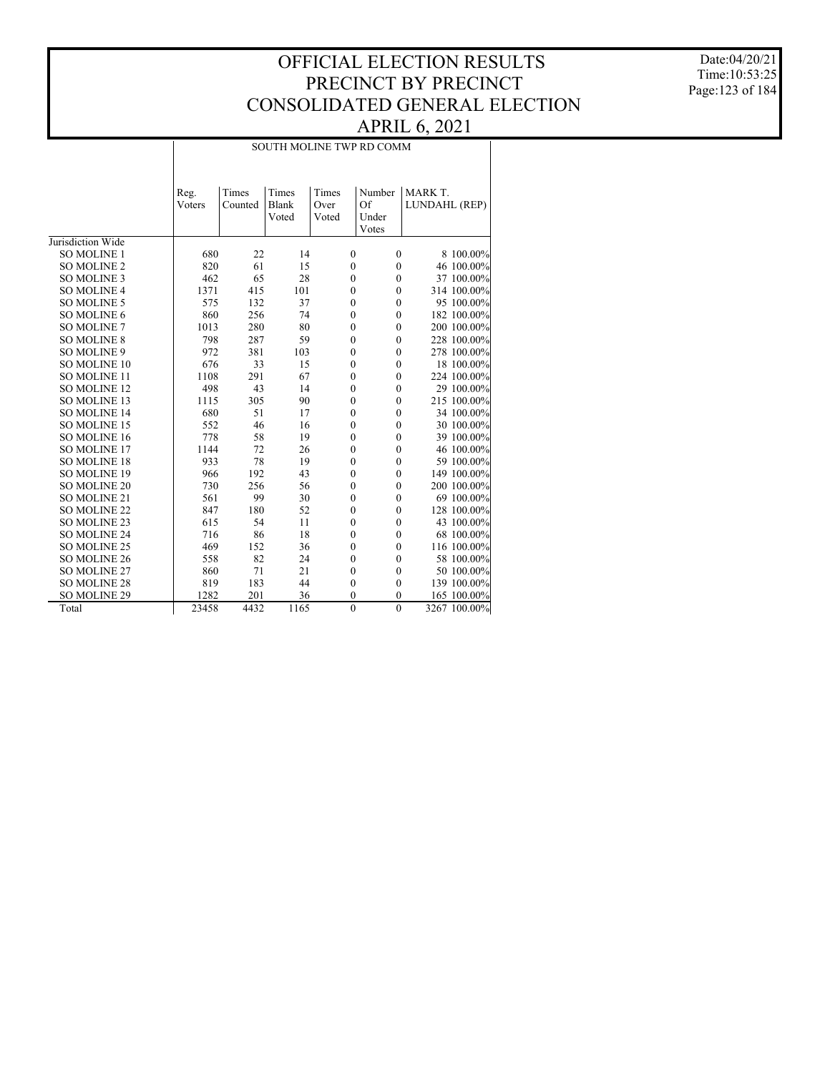Date:04/20/21 Time:10:53:25 Page:123 of 184

#### SOUTH MOLINE TWP RD COMM

|                     | Reg.<br>Voters | Times<br>Counted | Times<br>Blank<br>Voted | Times<br>Over<br>Voted | Number<br>Of<br>Under<br>Votes | MARK T.<br>LUNDAHL (REP) |              |
|---------------------|----------------|------------------|-------------------------|------------------------|--------------------------------|--------------------------|--------------|
| Jurisdiction Wide   |                |                  |                         |                        |                                |                          |              |
| <b>SO MOLINE 1</b>  | 680            | 22               | 14                      | $\mathbf{0}$           | $\boldsymbol{0}$               |                          | 8 100.00%    |
| <b>SO MOLINE 2</b>  | 820            | 61               | 15                      | $\boldsymbol{0}$       | $\boldsymbol{0}$               |                          | 46 100.00%   |
| <b>SO MOLINE 3</b>  | 462            | 65               | 28                      | $\mathbf{0}$           | $\mathbf{0}$                   |                          | 37 100.00%   |
| <b>SO MOLINE 4</b>  | 1371           | 415              | 101                     | $\mathbf{0}$           | $\mathbf{0}$                   |                          | 314 100.00%  |
| <b>SO MOLINE 5</b>  | 575            | 132              | 37                      | $\mathbf{0}$           | $\mathbf{0}$                   |                          | 95 100.00%   |
| SO MOLINE 6         | 860            | 256              | 74                      | $\boldsymbol{0}$       | $\mathbf{0}$                   |                          | 182 100.00%  |
| SO MOLINE 7         | 1013           | 280              | 80                      | $\mathbf{0}$           | $\boldsymbol{0}$               |                          | 200 100.00%  |
| <b>SO MOLINE 8</b>  | 798            | 287              | 59                      | $\mathbf{0}$           | $\boldsymbol{0}$               |                          | 228 100.00%  |
| SO MOLINE 9         | 972            | 381              | 103                     | $\mathbf{0}$           | $\boldsymbol{0}$               |                          | 278 100.00%  |
| <b>SO MOLINE 10</b> | 676            | 33               | 15                      | $\mathbf{0}$           | $\mathbf{0}$                   |                          | 18 100.00%   |
| <b>SO MOLINE 11</b> | 1108           | 291              | 67                      | $\mathbf{0}$           | $\mathbf{0}$                   |                          | 224 100.00%  |
| <b>SO MOLINE 12</b> | 498            | 43               | 14                      | $\mathbf{0}$           | $\mathbf{0}$                   |                          | 29 100.00%   |
| SO MOLINE 13        | 1115           | 305              | 90                      | $\mathbf{0}$           | $\mathbf{0}$                   |                          | 215 100.00%  |
| SO MOLINE 14        | 680            | 51               | 17                      | $\mathbf{0}$           | $\mathbf{0}$                   |                          | 34 100.00%   |
| SO MOLINE 15        | 552            | 46               | 16                      | $\mathbf{0}$           | $\boldsymbol{0}$               |                          | 30 100.00%   |
| SO MOLINE 16        | 778            | 58               | 19                      | $\mathbf{0}$           | $\boldsymbol{0}$               |                          | 39 100.00%   |
| <b>SO MOLINE 17</b> | 1144           | 72               | 26                      | $\mathbf{0}$           | $\mathbf{0}$                   |                          | 46 100.00%   |
| <b>SO MOLINE 18</b> | 933            | 78               | 19                      | $\mathbf{0}$           | $\mathbf{0}$                   |                          | 59 100.00%   |
| <b>SO MOLINE 19</b> | 966            | 192              | 43                      | $\mathbf{0}$           | $\mathbf{0}$                   |                          | 149 100.00%  |
| <b>SO MOLINE 20</b> | 730            | 256              | 56                      | $\mathbf{0}$           | $\boldsymbol{0}$               |                          | 200 100.00%  |
| SO MOLINE 21        | 561            | 99               | 30                      | $\mathbf{0}$           | $\boldsymbol{0}$               |                          | 69 100.00%   |
| <b>SO MOLINE 22</b> | 847            | 180              | 52                      | $\mathbf{0}$           | $\boldsymbol{0}$               |                          | 128 100.00%  |
| SO MOLINE 23        | 615            | 54               | 11                      | $\mathbf{0}$           | $\boldsymbol{0}$               |                          | 43 100.00%   |
| <b>SO MOLINE 24</b> | 716            | 86               | 18                      | $\mathbf{0}$           | $\mathbf{0}$                   |                          | 68 100.00%   |
| <b>SO MOLINE 25</b> | 469            | 152              | 36                      | $\mathbf{0}$           | $\mathbf{0}$                   |                          | 116 100.00%  |
| <b>SO MOLINE 26</b> | 558            | 82               | 24                      | $\mathbf{0}$           | $\theta$                       |                          | 58 100.00%   |
| SO MOLINE 27        | 860            | 71               | 21                      | $\mathbf{0}$           | $\mathbf{0}$                   |                          | 50 100.00%   |
| <b>SO MOLINE 28</b> | 819            | 183              | 44                      | $\mathbf{0}$           | $\mathbf{0}$                   |                          | 139 100.00%  |
| SO MOLINE 29        | 1282           | 201              | 36                      | $\mathbf{0}$           | $\theta$                       |                          | 165 100.00%  |
| Total               | 23458          | 4432             | 1165                    | $\boldsymbol{0}$       | $\mathbf{0}$                   |                          | 3267 100.00% |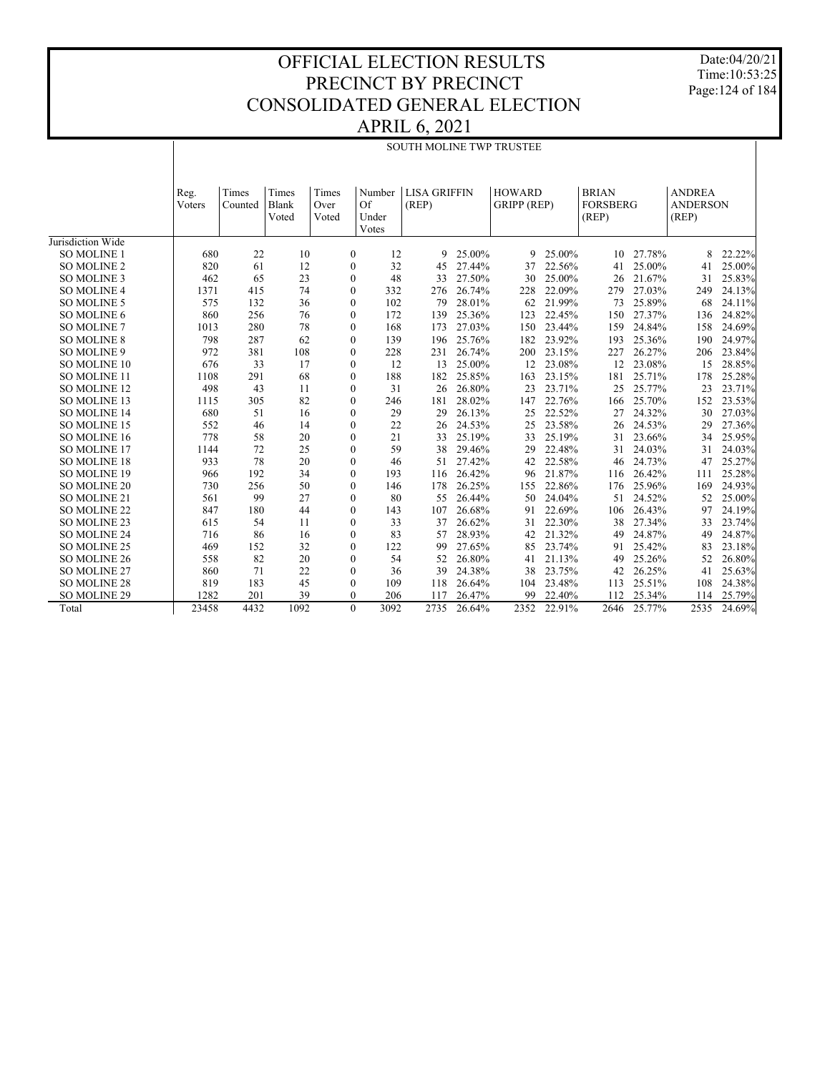Date:04/20/21 Time:10:53:25 Page:124 of 184

#### OFFICIAL ELECTION RESULTS PRECINCT BY PRECINCT CONSOLIDATED GENERAL ELECTION APRIL 6, 2021

# SOUTH MOLINE TWP TRUSTEE

|                     | Reg.           | Times   | Times        | Times            | Number | <b>LISA GRIFFIN</b> |        | <b>HOWARD</b> |        | <b>BRIAN</b>    |        | <b>ANDREA</b>   |        |
|---------------------|----------------|---------|--------------|------------------|--------|---------------------|--------|---------------|--------|-----------------|--------|-----------------|--------|
|                     | <b>V</b> oters | Counted | <b>Blank</b> | Over             | Of     | (REP)               |        | GRIPP (REP)   |        | <b>FORSBERG</b> |        | <b>ANDERSON</b> |        |
|                     |                |         | Voted        | Voted            | Under  |                     |        |               |        | (REP)           |        | (REP)           |        |
|                     |                |         |              |                  | Votes  |                     |        |               |        |                 |        |                 |        |
| Jurisdiction Wide   |                |         |              |                  |        |                     |        |               |        |                 |        |                 |        |
| SO MOLINE 1         | 680            | 22      | 10           | $\mathbf{0}$     | 12     | 9                   | 25.00% | 9             | 25.00% | 10              | 27.78% | 8               | 22.22% |
| <b>SO MOLINE 2</b>  | 820            | 61      | 12           | $\boldsymbol{0}$ | 32     | 45                  | 27.44% | 37            | 22.56% | 41              | 25.00% | 41              | 25.00% |
| <b>SO MOLINE 3</b>  | 462            | 65      | 23           | $\boldsymbol{0}$ | 48     | 33                  | 27.50% | 30            | 25.00% | 26              | 21.67% | 31              | 25.83% |
| <b>SO MOLINE 4</b>  | 1371           | 415     | 74           | $\boldsymbol{0}$ | 332    | 276                 | 26.74% | 228           | 22.09% | 279             | 27.03% | 249             | 24.13% |
| SO MOLINE 5         | 575            | 132     | 36           | $\boldsymbol{0}$ | 102    | 79                  | 28.01% | 62            | 21.99% | 73              | 25.89% | 68              | 24.11% |
| SO MOLINE 6         | 860            | 256     | 76           | $\boldsymbol{0}$ | 172    | 139                 | 25.36% | 123           | 22.45% | 150             | 27.37% | 136             | 24.82% |
| SO MOLINE 7         | 1013           | 280     | 78           | $\mathbf{0}$     | 168    | 173                 | 27.03% | 150           | 23.44% | 159             | 24.84% | 158             | 24.69% |
| <b>SO MOLINE 8</b>  | 798            | 287     | 62           | $\boldsymbol{0}$ | 139    | 196                 | 25.76% | 182           | 23.92% | 193             | 25.36% | 190             | 24.97% |
| SO MOLINE 9         | 972            | 381     | 108          | $\boldsymbol{0}$ | 228    | 231                 | 26.74% | 200           | 23.15% | 227             | 26.27% | 206             | 23.84% |
| SO MOLINE 10        | 676            | 33      | 17           | $\boldsymbol{0}$ | 12     | 13                  | 25.00% | 12            | 23.08% | 12              | 23.08% | 15              | 28.85% |
| SO MOLINE 11        | 1108           | 291     | 68           | $\boldsymbol{0}$ | 188    | 182                 | 25.85% | 163           | 23.15% | 181             | 25.71% | 178             | 25.28% |
| SO MOLINE 12        | 498            | 43      | 11           | $\mathbf{0}$     | 31     | 26                  | 26.80% | 23            | 23.71% | 25              | 25.77% | 23              | 23.71% |
| SO MOLINE 13        | 1115           | 305     | 82           | $\boldsymbol{0}$ | 246    | 181                 | 28.02% | 147           | 22.76% | 166             | 25.70% | 152             | 23.53% |
| SO MOLINE 14        | 680            | 51      | 16           | $\mathbf{0}$     | 29     | 29                  | 26.13% | 25            | 22.52% | 27              | 24.32% | 30              | 27.03% |
| SO MOLINE 15        | 552            | 46      | 14           | $\boldsymbol{0}$ | 22     | 26                  | 24.53% | 25            | 23.58% | 26              | 24.53% | 29              | 27.36% |
| SO MOLINE 16        | 778            | 58      | 20           | $\boldsymbol{0}$ | 21     | 33                  | 25.19% | 33            | 25.19% | 31              | 23.66% | 34              | 25.95% |
| SO MOLINE 17        | 1144           | 72      | 25           | $\boldsymbol{0}$ | 59     | 38                  | 29.46% | 29            | 22.48% | 31              | 24.03% | 31              | 24.03% |
| <b>SO MOLINE 18</b> | 933            | 78      | 20           | $\boldsymbol{0}$ | 46     | 51                  | 27.42% | 42            | 22.58% | 46              | 24.73% | 47              | 25.27% |
| SO MOLINE 19        | 966            | 192     | 34           | $\boldsymbol{0}$ | 193    | 116                 | 26.42% | 96            | 21.87% | 116             | 26.42% | 111             | 25.28% |
| SO MOLINE 20        | 730            | 256     | 50           | $\boldsymbol{0}$ | 146    | 178                 | 26.25% | 155           | 22.86% | 176             | 25.96% | 169             | 24.93% |
| SO MOLINE 21        | 561            | 99      | 27           | $\boldsymbol{0}$ | 80     | 55                  | 26.44% | 50            | 24.04% | 51              | 24.52% | 52              | 25.00% |
| SO MOLINE 22        | 847            | 180     | 44           | $\mathbf{0}$     | 143    | 107                 | 26.68% | 91            | 22.69% | 106             | 26.43% | 97              | 24.19% |
| SO MOLINE 23        | 615            | 54      | 11           | $\mathbf{0}$     | 33     | 37                  | 26.62% | 31            | 22.30% | 38              | 27.34% | 33              | 23.74% |
| SO MOLINE 24        | 716            | 86      | 16           | $\mathbf{0}$     | 83     | 57                  | 28.93% | 42            | 21.32% | 49              | 24.87% | 49              | 24.87% |
| SO MOLINE 25        | 469            | 152     | 32           | $\mathbf{0}$     | 122    | 99                  | 27.65% | 85            | 23.74% | 91              | 25.42% | 83              | 23.18% |
| SO MOLINE 26        | 558            | 82      | 20           | $\mathbf{0}$     | 54     | 52                  | 26.80% | 41            | 21.13% | 49              | 25.26% | 52              | 26.80% |
| SO MOLINE 27        | 860            | 71      | 22           | $\mathbf{0}$     | 36     | 39                  | 24.38% | 38            | 23.75% | 42              | 26.25% | 41              | 25.63% |
| <b>SO MOLINE 28</b> | 819            | 183     | 45           | $\mathbf{0}$     | 109    | 118                 | 26.64% | 104           | 23.48% | 113             | 25.51% | 108             | 24.38% |
| SO MOLINE 29        | 1282           | 201     | 39           | $\Omega$         | 206    | 117                 | 26.47% | 99            | 22.40% | 112             | 25.34% | 114             | 25.79% |
| Total               | 23458          | 4432    | 1092         | $\theta$         | 3092   | 2735                | 26.64% | 2352          | 22.91% | 2646            | 25.77% | 2535            | 24.69% |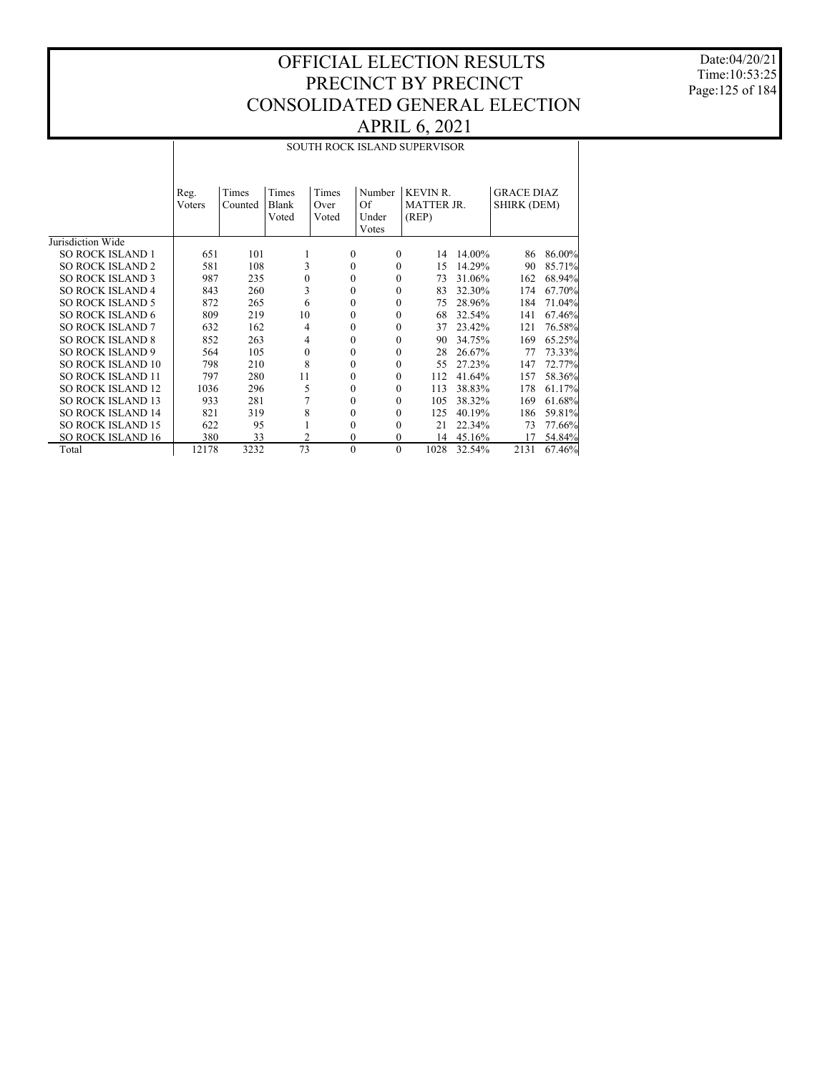Date:04/20/21 Time:10:53:25 Page:125 of 184

|                          |        | SOUTH ROCK ISLAND SUPERVISOR |                  |       |                      |                   |        |                   |        |  |  |  |
|--------------------------|--------|------------------------------|------------------|-------|----------------------|-------------------|--------|-------------------|--------|--|--|--|
|                          |        |                              |                  |       |                      |                   |        |                   |        |  |  |  |
|                          | Reg.   | Times                        | Times            | Times | Number               | <b>KEVIN R</b>    |        | <b>GRACE DIAZ</b> |        |  |  |  |
|                          | Voters | Counted                      | Blank            | Over  | Of                   | <b>MATTER JR.</b> |        | SHIRK (DEM)       |        |  |  |  |
|                          |        |                              | Voted            | Voted | Under                | (REP)             |        |                   |        |  |  |  |
|                          |        |                              |                  |       | Votes                |                   |        |                   |        |  |  |  |
| Jurisdiction Wide        |        |                              |                  |       |                      |                   |        |                   |        |  |  |  |
| <b>SO ROCK ISLAND 1</b>  | 651    | 101                          | 1                |       | $\mathbf{0}$<br>0    | 14                | 14.00% | 86                | 86.00% |  |  |  |
| <b>SO ROCK ISLAND 2</b>  | 581    | 108                          | 3                |       | $\Omega$<br>$\Omega$ | 15                | 14.29% | 90                | 85.71% |  |  |  |
| <b>SO ROCK ISLAND 3</b>  | 987    | 235                          | $\mathbf{0}$     |       | $\Omega$<br>0        | 73                | 31.06% | 162               | 68.94% |  |  |  |
| <b>SO ROCK ISLAND 4</b>  | 843    | 260                          | 3                |       | $\Omega$<br>0        | 83                | 32.30% | 174               | 67.70% |  |  |  |
| <b>SO ROCK ISLAND 5</b>  | 872    | 265                          | 6                |       | $\Omega$<br>$\theta$ | 75                | 28.96% | 184               | 71.04% |  |  |  |
| <b>SO ROCK ISLAND 6</b>  | 809    | 219                          | 10               |       | $\Omega$<br>0        | 68                | 32.54% | 141               | 67.46% |  |  |  |
| <b>SO ROCK ISLAND 7</b>  | 632    | 162                          | 4                |       | $\mathbf{0}$<br>0    | 37                | 23.42% | 121               | 76.58% |  |  |  |
| <b>SO ROCK ISLAND 8</b>  | 852    | 263                          | 4                |       | $\Omega$<br>$\theta$ | 90                | 34.75% | 169               | 65.25% |  |  |  |
| <b>SO ROCK ISLAND 9</b>  | 564    | 105                          | $\boldsymbol{0}$ |       | $\mathbf{0}$<br>0    | 28                | 26.67% | 77                | 73.33% |  |  |  |
| SO ROCK ISLAND 10        | 798    | 210                          | 8                |       | $\Omega$<br>0        | 55                | 27.23% | 147               | 72.77% |  |  |  |
| <b>SO ROCK ISLAND 11</b> | 797    | 280                          | 11               |       | $\Omega$<br>0        | 112               | 41.64% | 157               | 58.36% |  |  |  |
| <b>SO ROCK ISLAND 12</b> | 1036   | 296                          | 5                |       | $\Omega$<br>0        | 113               | 38.83% | 178               | 61.17% |  |  |  |
| <b>SO ROCK ISLAND 13</b> | 933    | 281                          |                  |       | $\Omega$<br>$\Omega$ | 105               | 38.32% | 169               | 61.68% |  |  |  |
| <b>SO ROCK ISLAND 14</b> | 821    | 319                          | 8                |       | $\Omega$<br>0        | 125               | 40.19% | 186               | 59.81% |  |  |  |
| <b>SO ROCK ISLAND 15</b> | 622    | 95                           | 1                |       | $\Omega$<br>0        | 21                | 22.34% | 73                | 77.66% |  |  |  |
| <b>SO ROCK ISLAND 16</b> | 380    | 33                           | $\overline{2}$   |       | $\mathbf{0}$<br>0    | 14                | 45.16% | 17                | 54.84% |  |  |  |
| Total                    | 12178  | 3232                         | 73               |       | $\Omega$<br>$\theta$ | 1028              | 32.54% | 2131              | 67.46% |  |  |  |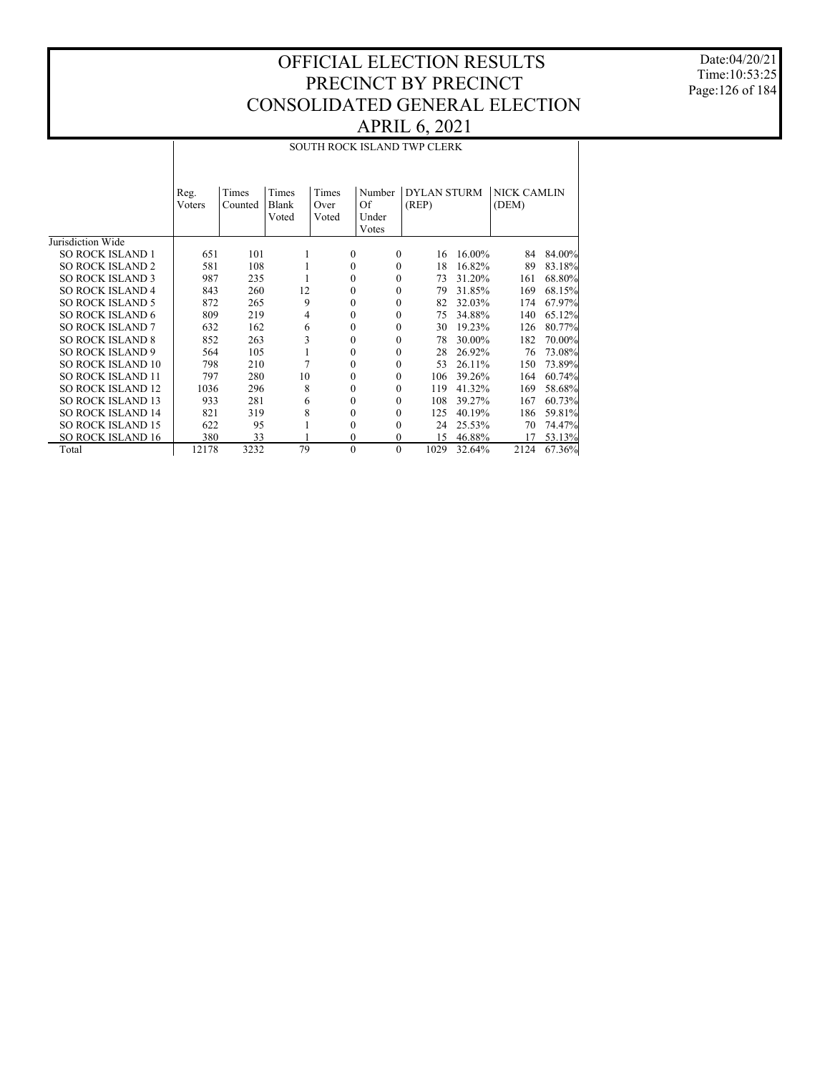Date:04/20/21 Time:10:53:25 Page:126 of 184

|                          |                |                  |                         |                        |                                | <b>SOUTH ROCK ISLAND TWP CLERK</b> |        |                      |        |
|--------------------------|----------------|------------------|-------------------------|------------------------|--------------------------------|------------------------------------|--------|----------------------|--------|
|                          | Reg.<br>Voters | Times<br>Counted | Times<br>Blank<br>Voted | Times<br>Over<br>Voted | Number<br>Of<br>Under<br>Votes | <b>DYLAN STURM</b><br>(REP)        |        | NICK CAMLIN<br>(DEM) |        |
| Jurisdiction Wide        |                |                  |                         |                        |                                |                                    |        |                      |        |
| <b>SO ROCK ISLAND 1</b>  | 651            | 101              | 1                       | $\theta$               | $\Omega$                       | 16                                 | 16.00% | 84                   | 84.00% |
| <b>SO ROCK ISLAND 2</b>  | 581            | 108              | 1                       | $\theta$               | $\mathbf{0}$                   | 18                                 | 16.82% | 89                   | 83.18% |
| <b>SO ROCK ISLAND 3</b>  | 987            | 235              |                         | $\theta$               | $\Omega$                       | 73                                 | 31.20% | 161                  | 68.80% |
| <b>SO ROCK ISLAND 4</b>  | 843            | 260              | 12                      | $\theta$               | $\Omega$                       | 79                                 | 31.85% | 169                  | 68.15% |
| <b>SO ROCK ISLAND 5</b>  | 872            | 265              | 9                       | $\theta$               | $\Omega$                       | 82                                 | 32.03% | 174                  | 67.97% |
| <b>SO ROCK ISLAND 6</b>  | 809            | 219              | 4                       | $\theta$               | $\Omega$                       | 75                                 | 34.88% | 140                  | 65.12% |
| <b>SO ROCK ISLAND 7</b>  | 632            | 162              | 6                       | $\theta$               | $\mathbf{0}$                   | 30                                 | 19.23% | 126                  | 80.77% |
| <b>SO ROCK ISLAND 8</b>  | 852            | 263              | 3                       | $\theta$               | $\Omega$                       | 78                                 | 30.00% | 182                  | 70.00% |
| <b>SO ROCK ISLAND 9</b>  | 564            | 105              |                         | $\Omega$               | $\Omega$                       | 28                                 | 26.92% | 76                   | 73.08% |
| <b>SO ROCK ISLAND 10</b> | 798            | 210              | 7                       | $\theta$               | $\Omega$                       | 53                                 | 26.11% | 150                  | 73.89% |
| <b>SO ROCK ISLAND 11</b> | 797            | 280              | 10                      | $\theta$               | $\Omega$                       | 106                                | 39.26% | 164                  | 60.74% |
| <b>SO ROCK ISLAND 12</b> | 1036           | 296              | 8                       | $\theta$               | $\Omega$                       | 119                                | 41.32% | 169                  | 58.68% |
| <b>SO ROCK ISLAND 13</b> | 933            | 281              | 6                       | $\theta$               | $\Omega$                       | 108                                | 39.27% | 167                  | 60.73% |
| <b>SO ROCK ISLAND 14</b> | 821            | 319              | 8                       | 0                      | $\Omega$                       | 125                                | 40.19% | 186                  | 59.81% |
| <b>SO ROCK ISLAND 15</b> | 622            | 95               | 1                       | $\Omega$               | $\Omega$                       | 24                                 | 25.53% | 70                   | 74.47% |
| <b>SO ROCK ISLAND 16</b> | 380            | 33               |                         | $\theta$               | $\mathbf{0}$                   | 15                                 | 46.88% | 17                   | 53.13% |
| Total                    | 12178          | 3232             | 79                      | $\theta$               | $\Omega$                       | 1029                               | 32.64% | 2124                 | 67.36% |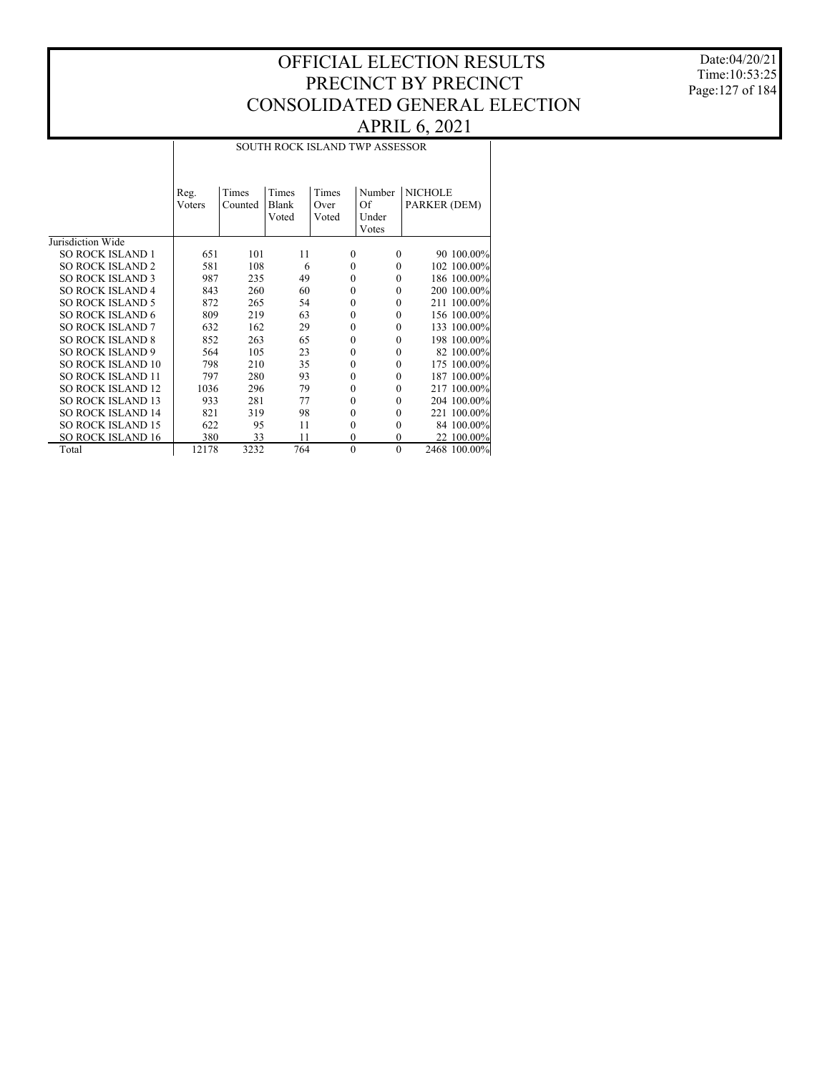Date:04/20/21 Time:10:53:25 Page:127 of 184

|                          | Reg.<br>Voters | Times<br>Counted | Times<br>Blank<br>Voted | Times<br>Over<br>Voted | Number<br>Of<br>Under<br>Votes | <b>NICHOLE</b><br>PARKER (DEM) |
|--------------------------|----------------|------------------|-------------------------|------------------------|--------------------------------|--------------------------------|
| Jurisdiction Wide        |                |                  |                         |                        |                                |                                |
| <b>SO ROCK ISLAND 1</b>  | 651            | 101              | 11                      | $\theta$               | $\mathbf{0}$                   | 90 100.00%                     |
| <b>SO ROCK ISLAND 2</b>  | 581            | 108              | 6                       | $\theta$               | $\mathbf{0}$                   | 102 100.00%                    |
| <b>SO ROCK ISLAND 3</b>  | 987            | 235              | 49                      | $\theta$               | $\mathbf{0}$                   | 186 100.00%                    |
| <b>SO ROCK ISLAND 4</b>  | 843            | 260              | 60                      | $\theta$               | $\mathbf{0}$                   | 200 100.00%                    |
| <b>SO ROCK ISLAND 5</b>  | 872            | 265              | 54                      | $\theta$               | $\mathbf{0}$                   | 211 100.00%                    |
| <b>SO ROCK ISLAND 6</b>  | 809            | 219              | 63                      | $\theta$               | $\mathbf{0}$                   | 156 100.00%                    |
| <b>SO ROCK ISLAND 7</b>  | 632            | 162              | 29                      | $\theta$               | $\mathbf{0}$                   | 133 100.00%                    |
| <b>SO ROCK ISLAND 8</b>  | 852            | 263              | 65                      | $\theta$               | $\theta$                       | 198 100.00%                    |
| <b>SO ROCK ISLAND 9</b>  | 564            | 105              | 23                      | $\theta$               | $\theta$                       | 82 100.00%                     |
| <b>SO ROCK ISLAND 10</b> | 798            | 210              | 35                      | $\theta$               | $\theta$                       | 175 100.00%                    |
| <b>SO ROCK ISLAND 11</b> | 797            | 280              | 93                      | $\theta$               | $\theta$                       | 187 100.00%                    |
| <b>SO ROCK ISLAND 12</b> | 1036           | 296              | 79                      | $\Omega$               | $\theta$                       | 217 100.00%                    |
| SO ROCK ISLAND 13        | 933            | 281              | 77                      | $\Omega$               | $\theta$                       | 204 100.00%                    |
| <b>SO ROCK ISLAND 14</b> | 821            | 319              | 98                      | $\theta$               | $\theta$                       | 221 100.00%                    |
| <b>SO ROCK ISLAND 15</b> | 622            | 95               | 11                      | $\theta$               | $\mathbf{0}$                   | 84 100.00%                     |
| <b>SO ROCK ISLAND 16</b> | 380            | 33               | 11                      | $\Omega$               | $\mathbf{0}$                   | 22 100.00%                     |
| Total                    | 12178          | 3232             | 764                     | $\mathbf{0}$           | $\mathbf{0}$                   | 2468 100.00%                   |

 $\overline{\phantom{a}}$ 

SOUTH ROCK ISLAND TWP ASSESSOR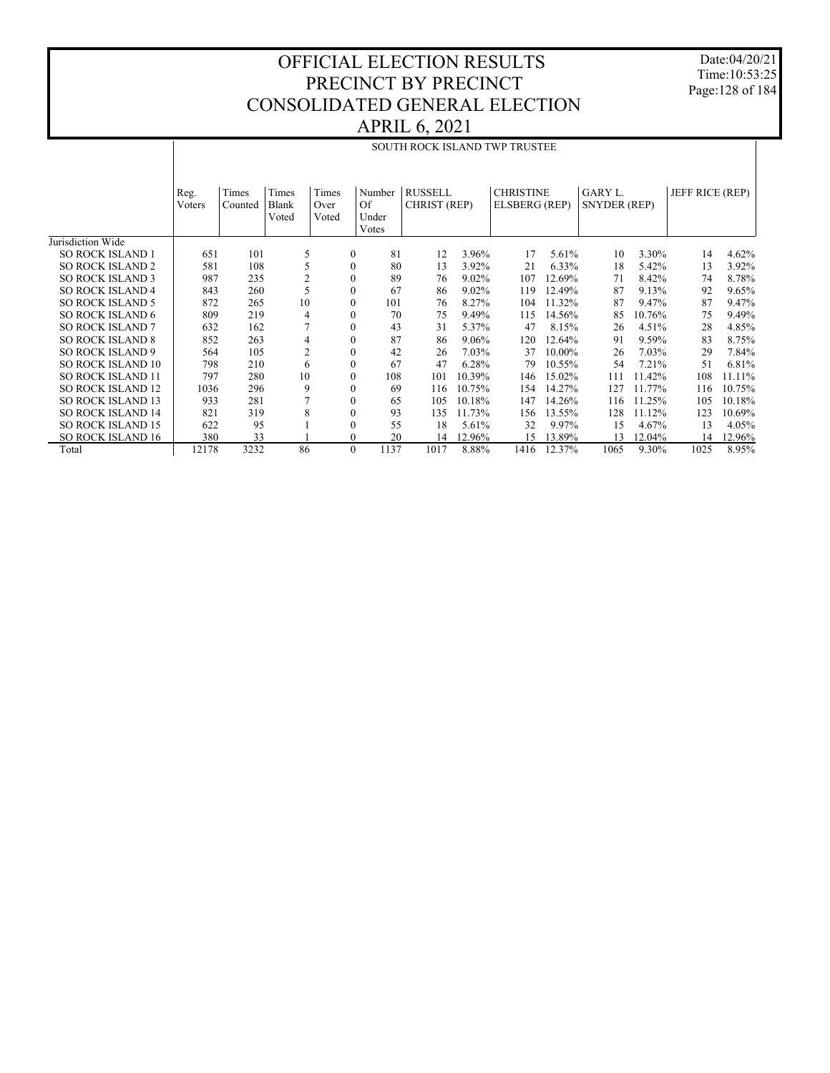Date:04/20/21 Time:10:53:25 Page:128 of 184

|                          |                |                  |                         |                        |                                |                                |          | SOUTH ROCK ISLAND TWP TRUSTEE     |        |                                |        |                 |        |
|--------------------------|----------------|------------------|-------------------------|------------------------|--------------------------------|--------------------------------|----------|-----------------------------------|--------|--------------------------------|--------|-----------------|--------|
|                          |                |                  |                         |                        |                                |                                |          |                                   |        |                                |        |                 |        |
|                          | Reg.<br>Voters | Times<br>Counted | Times<br>Blank<br>Voted | Times<br>Over<br>Voted | Number<br>Of<br>Under<br>Votes | <b>RUSSELL</b><br>CHRIST (REP) |          | <b>CHRISTINE</b><br>ELSBERG (REP) |        | GARY L.<br><b>SNYDER (REP)</b> |        | JEFF RICE (REP) |        |
| Jurisdiction Wide        |                |                  |                         |                        |                                |                                |          |                                   |        |                                |        |                 |        |
| <b>SO ROCK ISLAND 1</b>  | 651            | 101              | 5                       | $\mathbf{0}$           | 81                             | 12                             | 3.96%    | 17                                | 5.61%  | 10                             | 3.30%  | 14              | 4.62%  |
| <b>SO ROCK ISLAND 2</b>  | 581            | 108              | 5                       | $\mathbf{0}$           | 80                             | 13                             | 3.92%    | 21                                | 6.33%  | 18                             | 5.42%  | 13              | 3.92%  |
| <b>SO ROCK ISLAND 3</b>  | 987            | 235              | $\overline{c}$          | $\Omega$               | 89                             | 76                             | 9.02%    | 107                               | 12.69% | 71                             | 8.42%  | 74              | 8.78%  |
| <b>SO ROCK ISLAND 4</b>  | 843            | 260              | 5                       | $\mathbf{0}$           | 67                             | 86                             | $9.02\%$ | 119                               | 12.49% | 87                             | 9.13%  | 92              | 9.65%  |
| <b>SO ROCK ISLAND 5</b>  | 872            | 265              | 10                      | $\mathbf{0}$           | 101                            | 76                             | 8.27%    | 104                               | 11.32% | 87                             | 9.47%  | 87              | 9.47%  |
| <b>SO ROCK ISLAND 6</b>  | 809            | 219              | 4                       | $\mathbf{0}$           | 70                             | 75                             | 9.49%    | 115                               | 14.56% | 85                             | 10.76% | 75              | 9.49%  |
| <b>SO ROCK ISLAND 7</b>  | 632            | 162              |                         | $\mathbf{0}$           | 43                             | 31                             | 5.37%    | 47                                | 8.15%  | 26                             | 4.51%  | 28              | 4.85%  |
| <b>SO ROCK ISLAND 8</b>  | 852            | 263              | $\overline{4}$          | $\mathbf{0}$           | 87                             | 86                             | $9.06\%$ | 120                               | 12.64% | 91                             | 9.59%  | 83              | 8.75%  |
| <b>SO ROCK ISLAND 9</b>  | 564            | 105              | 2                       | $\mathbf{0}$           | 42                             | 26                             | 7.03%    | 37                                | 10.00% | 26                             | 7.03%  | 29              | 7.84%  |
| <b>SO ROCK ISLAND 10</b> | 798            | 210              | 6                       | $\mathbf{0}$           | 67                             | 47                             | 6.28%    | 79                                | 10.55% | 54                             | 7.21%  | 51              | 6.81%  |
| <b>SO ROCK ISLAND 11</b> | 797            | 280              | 10                      | $\mathbf{0}$           | 108                            | 101                            | 10.39%   | 146                               | 15.02% | 111                            | 11.42% | 108             | 11.11% |
| <b>SO ROCK ISLAND 12</b> | 1036           | 296              | 9                       | $\Omega$               | 69                             | 116                            | 10.75%   | 154                               | 14.27% | 127                            | 11.77% | 116             | 10.75% |
| <b>SO ROCK ISLAND 13</b> | 933            | 281              |                         | $\mathbf{0}$           | 65                             | 105                            | 10.18%   | 147                               | 14.26% | 116                            | 11.25% | 105             | 10.18% |
| <b>SO ROCK ISLAND 14</b> | 821            | 319              | 8                       | $\mathbf{0}$           | 93                             | 135                            | 11.73%   | 156                               | 13.55% | 128                            | 11.12% | 123             | 10.69% |
| <b>SO ROCK ISLAND 15</b> | 622            | 95               |                         | $\mathbf{0}$           | 55                             | 18                             | 5.61%    | 32                                | 9.97%  | 15                             | 4.67%  | 13              | 4.05%  |
| <b>SO ROCK ISLAND 16</b> | 380            | 33               |                         | $\mathbf{0}$           | 20                             | 14                             | 12.96%   | 15                                | 13.89% | 13                             | 12.04% | 14              | 12.96% |
| Total                    | 12178          | 3232             | 86                      | $\mathbf{0}$           | 1137                           | 1017                           | 8.88%    | 1416                              | 12.37% | 1065                           | 9.30%  | 1025            | 8.95%  |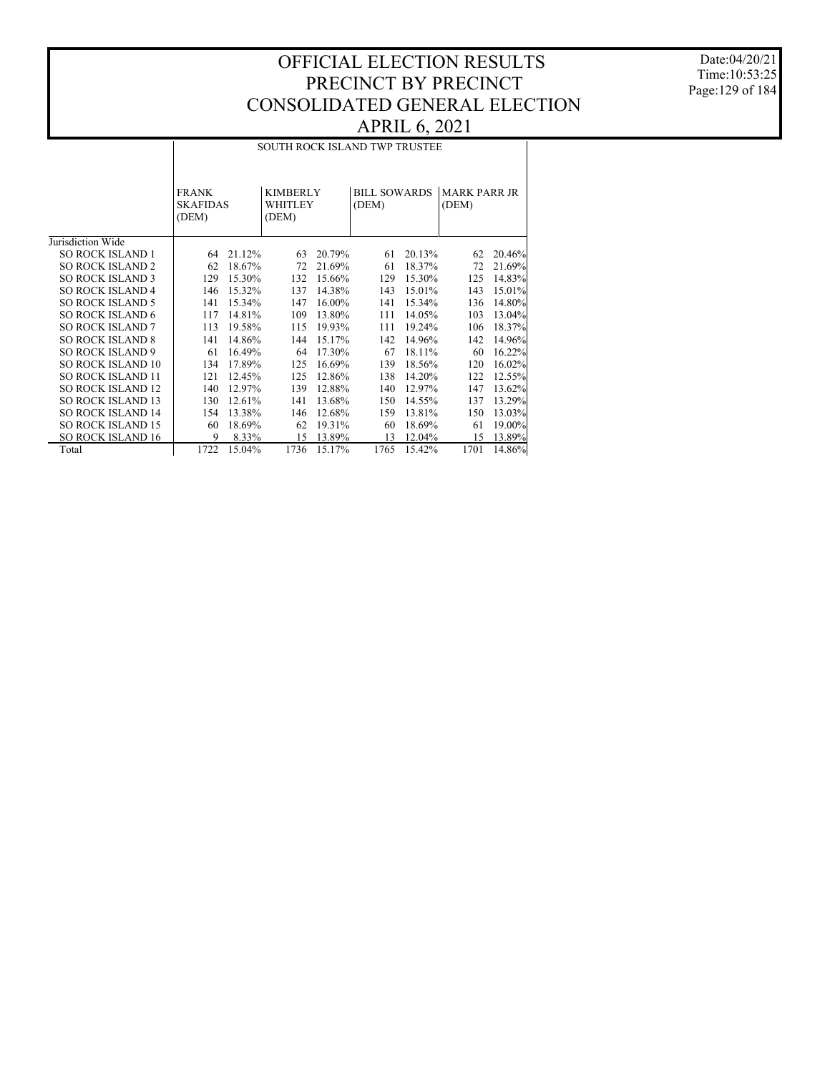Date:04/20/21 Time:10:53:25 Page:129 of 184

#### SOUTH ROCK ISLAND TWP TRUSTEE

|                          | <b>FRANK</b><br><b>SKAFIDAS</b><br>(DEM) |        | <b>KIMBERLY</b><br><b>WHITLEY</b><br>(DEM) |        | <b>BILL SOWARDS</b><br>(DEM) |        | <b>MARK PARR JR</b><br>(DEM) |        |
|--------------------------|------------------------------------------|--------|--------------------------------------------|--------|------------------------------|--------|------------------------------|--------|
| Jurisdiction Wide        |                                          |        |                                            |        |                              |        |                              |        |
| <b>SO ROCK ISLAND 1</b>  | 64                                       | 21.12% | 63                                         | 20.79% | 61                           | 20.13% | 62                           | 20.46% |
| <b>SO ROCK ISLAND 2</b>  | 62                                       | 18.67% | 72                                         | 21.69% | 61                           | 18.37% | 72                           | 21.69% |
| <b>SO ROCK ISLAND 3</b>  | 129                                      | 15.30% | 132                                        | 15.66% | 129                          | 15.30% | 125                          | 14.83% |
| <b>SO ROCK ISLAND 4</b>  | 146                                      | 15.32% | 137                                        | 14.38% | 143                          | 15.01% | 143                          | 15.01% |
| <b>SO ROCK ISLAND 5</b>  | 141                                      | 15.34% | 147                                        | 16.00% | 141                          | 15.34% | 136                          | 14.80% |
| <b>SO ROCK ISLAND 6</b>  | 117                                      | 14.81% | 109                                        | 13.80% | 111                          | 14.05% | 103                          | 13.04% |
| <b>SO ROCK ISLAND 7</b>  | 113                                      | 19.58% | 115                                        | 19.93% | 111                          | 19.24% | 106                          | 18.37% |
| <b>SO ROCK ISLAND 8</b>  | 141                                      | 14.86% | 144                                        | 15.17% | 142                          | 14.96% | 142                          | 14.96% |
| <b>SO ROCK ISLAND 9</b>  | 61                                       | 16.49% | 64                                         | 17.30% | 67                           | 18.11% | 60                           | 16.22% |
| <b>SO ROCK ISLAND 10</b> | 134                                      | 17.89% | 125                                        | 16.69% | 139                          | 18.56% | 120                          | 16.02% |
| <b>SO ROCK ISLAND 11</b> | 121                                      | 12.45% | 125                                        | 12.86% | 138                          | 14.20% | 122                          | 12.55% |
| <b>SO ROCK ISLAND 12</b> | 140                                      | 12.97% | 139                                        | 12.88% | 140                          | 12.97% | 147                          | 13.62% |
| <b>SO ROCK ISLAND 13</b> | 130                                      | 12.61% | 141                                        | 13.68% | 150                          | 14.55% | 137                          | 13.29% |
| <b>SO ROCK ISLAND 14</b> | 154                                      | 13.38% | 146                                        | 12.68% | 159                          | 13.81% | 150                          | 13.03% |
| <b>SO ROCK ISLAND 15</b> | 60                                       | 18.69% | 62                                         | 19.31% | 60                           | 18.69% | 61                           | 19.00% |
| <b>SO ROCK ISLAND 16</b> | 9                                        | 8.33%  | 15                                         | 13.89% | 13                           | 12.04% | 15                           | 13.89% |
| Total                    | 1722                                     | 15.04% | 1736                                       | 15.17% | 1765                         | 15.42% | 1701                         | 14.86% |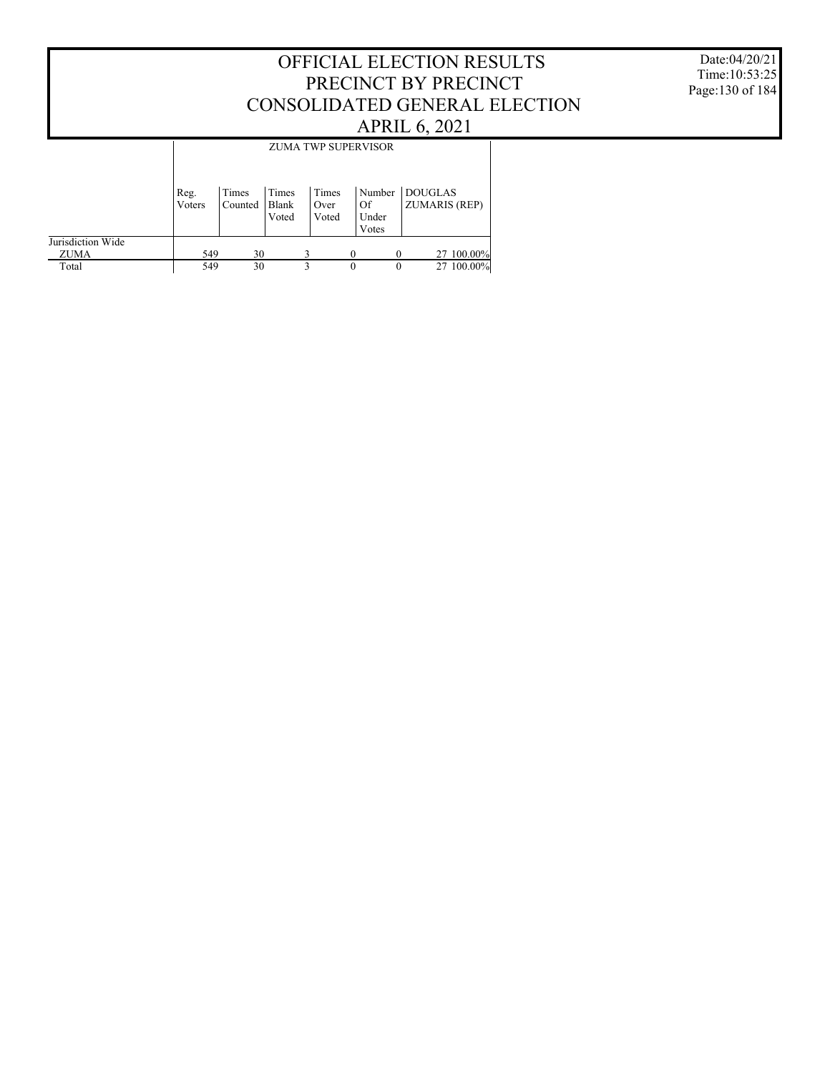Date:04/20/21 Time:10:53:25 Page:130 of 184

|                   |        |         |                | <b>ZUMA TWP SUPERVISOR</b> |          |             |                      |
|-------------------|--------|---------|----------------|----------------------------|----------|-------------|----------------------|
|                   |        |         |                |                            |          |             |                      |
|                   | Reg.   | Times   | Times          | Times                      |          | Number      | DOUGLAS              |
|                   | Voters | Counted | Blank<br>Voted | Over<br>Voted              |          | Of<br>Under | <b>ZUMARIS (REP)</b> |
|                   |        |         |                |                            |          | Votes       |                      |
| Jurisdiction Wide |        |         |                |                            |          |             |                      |
| <b>ZUMA</b>       | 549    | 30      |                |                            | $\Omega$ |             | 27 100.00%           |
| Total             | 549    | 30      |                | ٩                          | $\theta$ | $\theta$    | 27 100.00%           |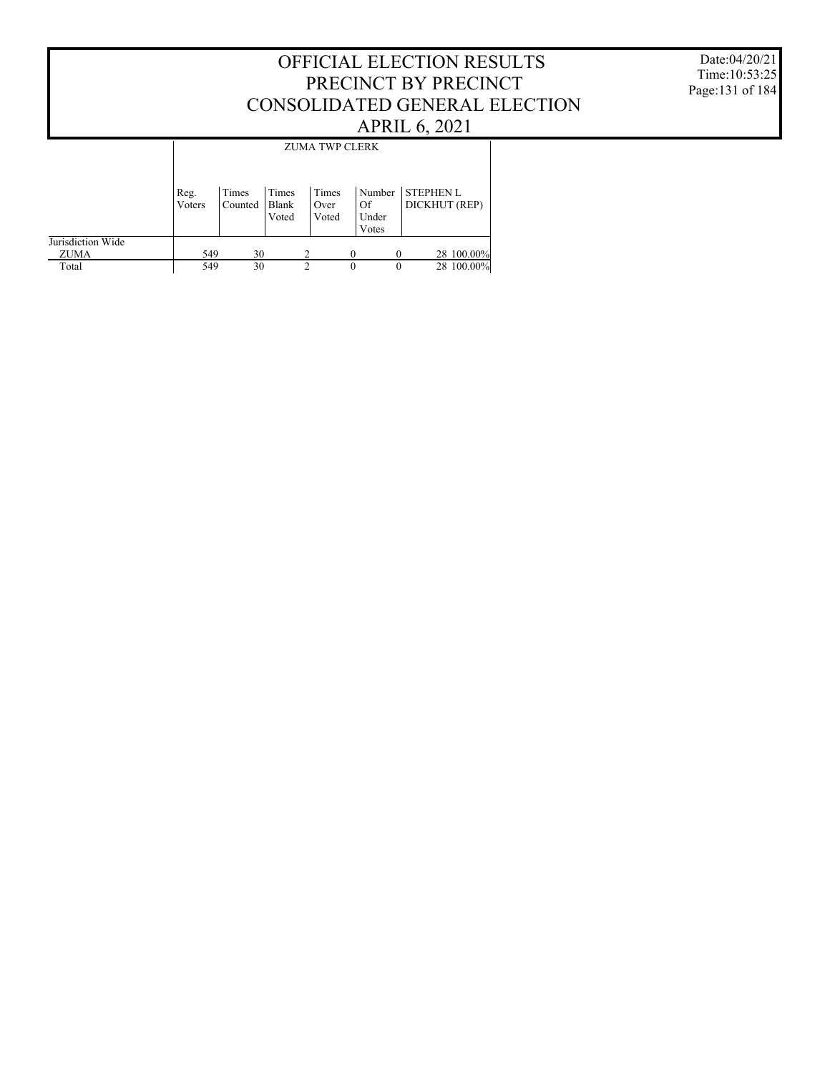#### OFFICIAL ELECTION RESULTS PRECINCT BY PRECINCT CONSOLIDATED GENERAL ELECTION APRIL 6, 2021 Jurisdiction Wide ZUMA Total Reg. Voters Times Counted Times Blank Voted Times Over Voted Number STEPHEN L Of Under Votes DICKHUT (REP) ZUMA TWP CLERK  $\frac{549}{549}$   $\frac{30}{30}$   $\frac{2}{2}$   $\frac{0}{0}$   $\frac{0}{28}$   $\frac{28100.00\%}{100.00\%}$  $28\ 100.00\%$

Date:04/20/21 Time:10:53:25 Page:131 of 184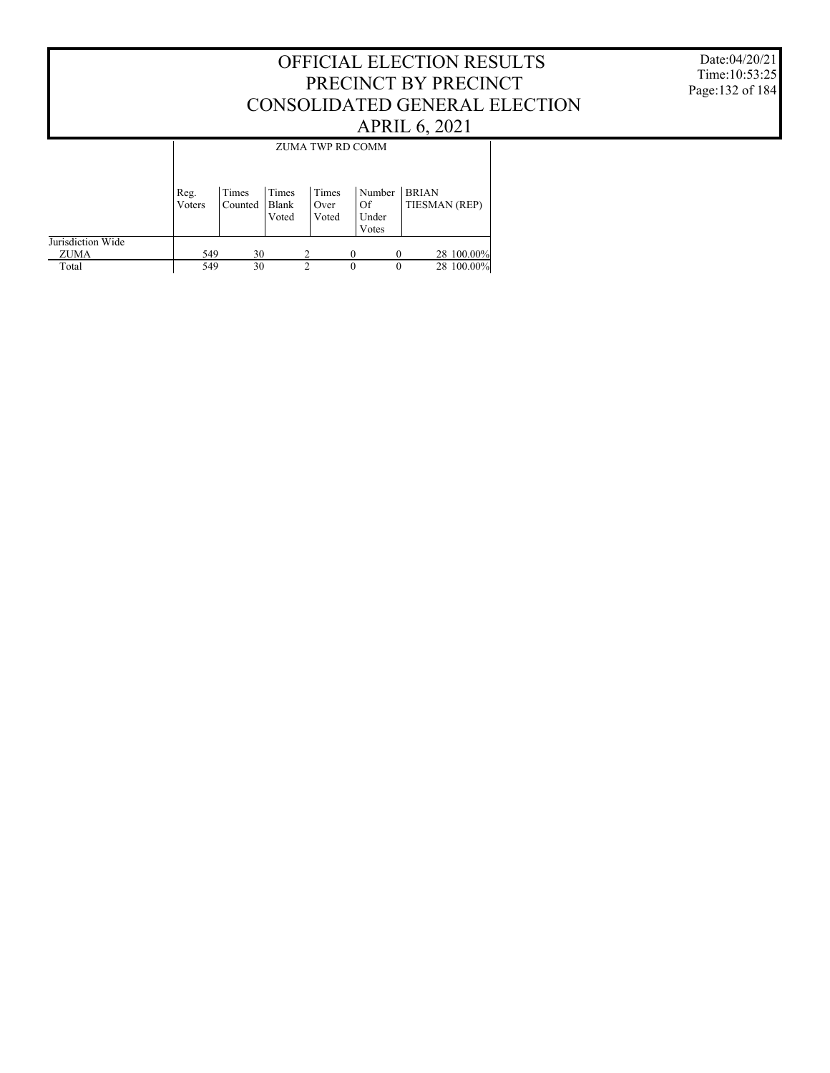Date:04/20/21 Time:10:53:25 Page:132 of 184

|                   |        |         |                       | ZUMA TWP RD COMM |          |             |               |            |
|-------------------|--------|---------|-----------------------|------------------|----------|-------------|---------------|------------|
|                   | Reg.   | Times   | Times                 | Times            |          | Number      | <b>BRIAN</b>  |            |
|                   | Voters | Counted | <b>Blank</b><br>Voted | Over<br>Voted    |          | Of<br>Under | TIESMAN (REP) |            |
|                   |        |         |                       |                  |          | Votes       |               |            |
| Jurisdiction Wide |        |         |                       |                  |          |             |               |            |
| <b>ZUMA</b>       | 549    | 30      |                       |                  |          |             |               | 28 100.00% |
| Total             | 549    | 30      |                       | 2                | $\Omega$ | $\Omega$    |               | 28 100.00% |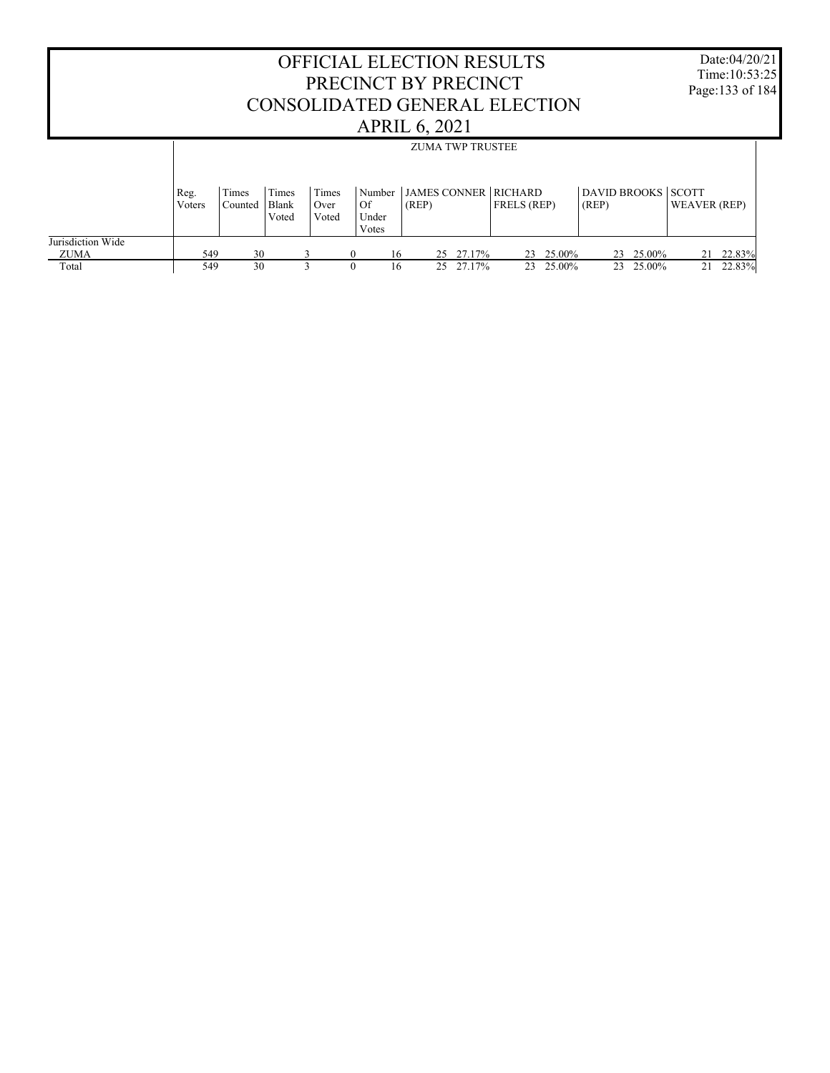|                           |                |                  |                         |                        | PRECINCT BY PRECINCT           | <b>APRIL 6, 2021</b>    |           | <b>OFFICIAL ELECTION RESULTS</b><br>CONSOLIDATED GENERAL ELECTION |           |                             |           |                     | Date:04/20/21<br>Time: 10:53:25<br>Page: 133 of 184 |
|---------------------------|----------------|------------------|-------------------------|------------------------|--------------------------------|-------------------------|-----------|-------------------------------------------------------------------|-----------|-----------------------------|-----------|---------------------|-----------------------------------------------------|
|                           |                |                  |                         |                        |                                | <b>ZUMA TWP TRUSTEE</b> |           |                                                                   |           |                             |           |                     |                                                     |
|                           | Reg.<br>Voters | Times<br>Counted | Times<br>Blank<br>Voted | Times<br>Over<br>Voted | Number<br>Of<br>Under<br>Votes | (REP)                   |           | <b>JAMES CONNER RICHARD</b><br><b>FRELS</b> (REP)                 |           | DAVID BROOKS SCOTT<br>(REP) |           | <b>WEAVER (REP)</b> |                                                     |
| Jurisdiction Wide<br>ZUMA | 549            | 30               |                         | 3                      | 16<br>$\Omega$                 | 25                      | 27.17%    |                                                                   | 23 25.00% |                             | 23 25.00% |                     | 21 22.83%                                           |
| Total                     | 549            | 30               |                         | $\mathbf{3}$           | $\Omega$<br>16                 |                         | 25 27 17% |                                                                   | 23 25.00% |                             | 23 25.00% |                     | 21 22.83%                                           |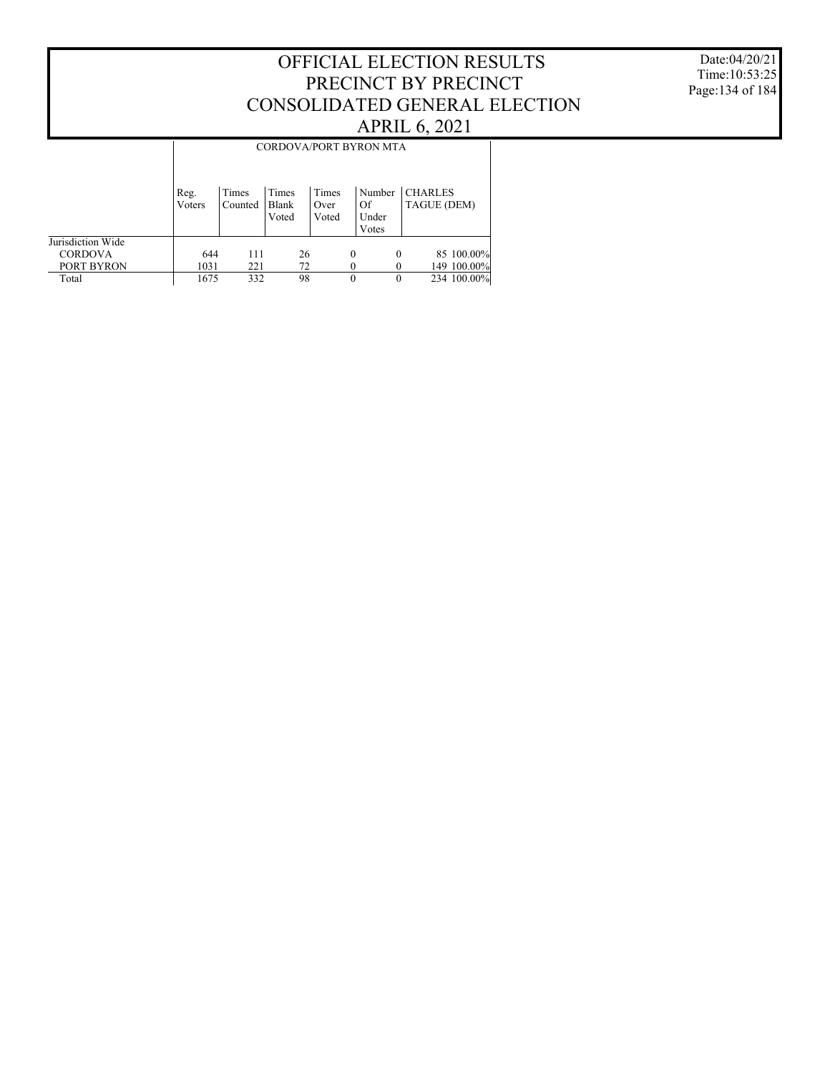#### Date:04/20/21 Time:10:53:25 Page:134 of 184

## OFFICIAL ELECTION RESULTS PRECINCT BY PRECINCT CONSOLIDATED GENERAL ELECTION APRIL 6, 2021

|                   | CORDOVA/PORT BYRON MTA |                  |                         |                        |          |                                |                               |             |  |  |  |
|-------------------|------------------------|------------------|-------------------------|------------------------|----------|--------------------------------|-------------------------------|-------------|--|--|--|
|                   | Reg.<br>Voters         | Times<br>Counted | Times<br>Blank<br>Voted | Times<br>Over<br>Voted |          | Number<br>Of<br>Under<br>Votes | <b>CHARLES</b><br>TAGUE (DEM) |             |  |  |  |
| Jurisdiction Wide |                        |                  |                         |                        |          |                                |                               |             |  |  |  |
| <b>CORDOVA</b>    | 644                    | 111              | 26                      |                        | $\theta$ | $\theta$                       |                               | 85 100.00%  |  |  |  |
| PORT BYRON        | 1031                   | 221              | 72                      |                        |          |                                |                               | 149 100.00% |  |  |  |
| Total             | 1675                   | 332              | 98                      |                        |          | $\Omega$                       |                               | 234 100.00% |  |  |  |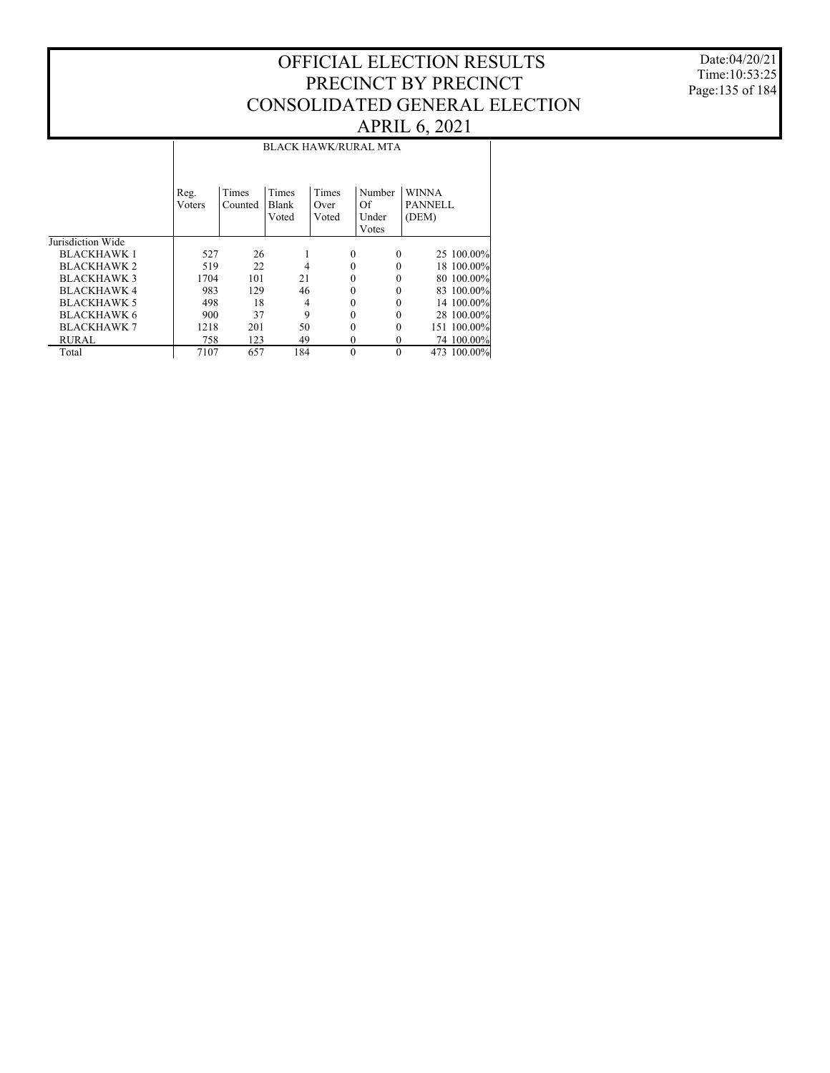Date:04/20/21 Time:10:53:25 Page:135 of 184

#### Jurisdiction Wide BLACKHAWK 1 BLACKHAWK 2 BLACKHAWK 3 BLACKHAWK 4 BLACKHAWK 5 BLACKHAWK 6 BLACKHAWK 7 RURAL Total Reg. Voters Times Counted Times Blank Voted Times Over Voted Number WINNA Of Under Votes PANNELL (DEM) BLACK HAWK/RURAL MTA 527 26 1 0 0 25 100.00%<br>519 22 4 0 0 18 100.00% 519 22 4 0 0 18 100.00% 1704 101 21 0 0 80 100.00% 983 129 46 0 0 83 100.00% 498 18 4 0 0 14 100.00%<br>900 37 9 0 0 28 100.00% 900 37 9 0 0 28 100.00% 1218 201 50 0 0 151 100.00%<br>
123 49 0 0 74 100.00% 7107 657 184 0 0 74 100.00%<br>7107 657 184 0 0 473 100.00% 473 100.00%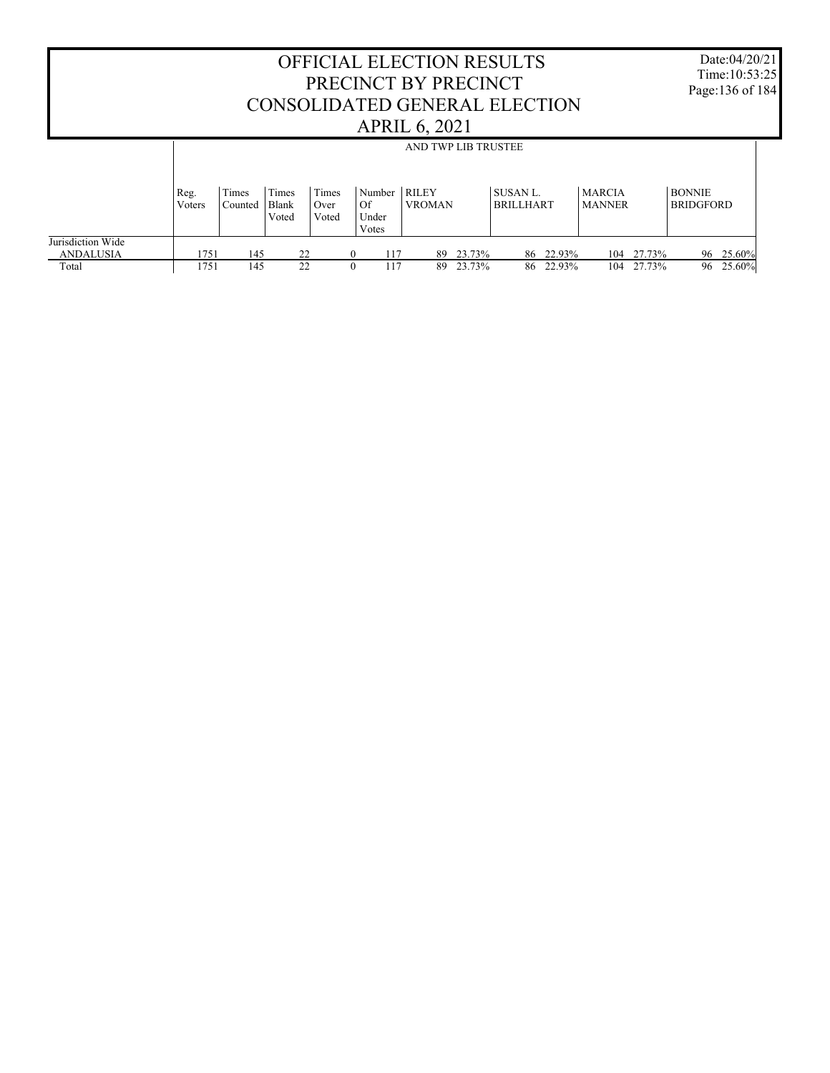#### OFFICIAL ELECTION RESULTS PRECINCT BY PRECINCT CONSOLIDATED GENERAL ELECTION APRIL 6, 2021 Date:04/20/21 Time:10:53:25 Page:136 of 184 Jurisdiction Wide ANDALUSIA Total Reg. Voters Times Counted Times Blank Voted Times Over Voted Number RILEY Of Under Votes VROMAN SUSAN L. BRILLHART MARCIA MANNER BONNIE BRIDGFORD AND TWP LIB TRUSTEE 1751 145 22 0 117 89 23.73% 86 22.93% 104 27.73% 96 25.60% 104 27.73%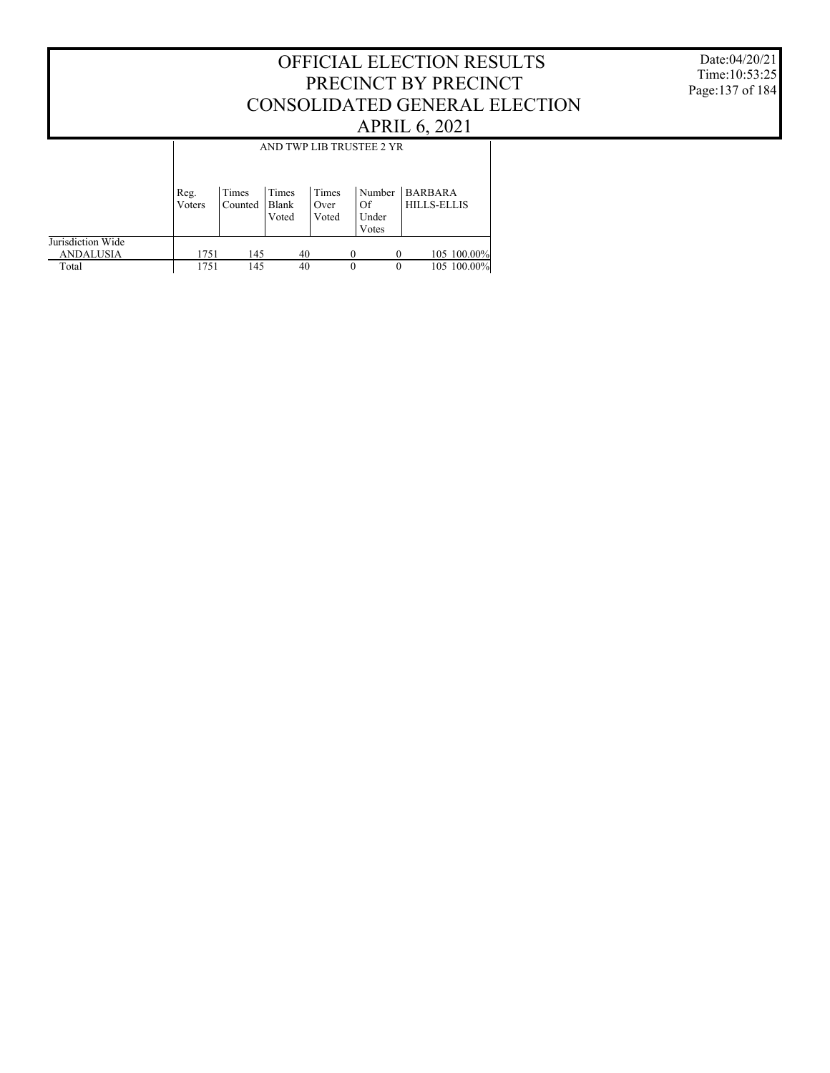#### Date:04/20/21 Time:10:53:25 Page:137 of 184

## OFFICIAL ELECTION RESULTS PRECINCT BY PRECINCT CONSOLIDATED GENERAL ELECTION APRIL 6, 2021

|                                       |                | AND TWP LIB TRUSTEE 2 YR |                         |                        |                                |                                      |  |  |  |  |  |
|---------------------------------------|----------------|--------------------------|-------------------------|------------------------|--------------------------------|--------------------------------------|--|--|--|--|--|
|                                       | Reg.<br>Voters | Times<br>Counted         | Times<br>Blank<br>Voted | Times<br>Over<br>Voted | Number<br>Of<br>Under<br>Votes | <b>BARBARA</b><br><b>HILLS-ELLIS</b> |  |  |  |  |  |
| Jurisdiction Wide<br><b>ANDALUSIA</b> | 1751           | 145                      | 40                      |                        |                                | 105 100.00%<br>$\Omega$              |  |  |  |  |  |
| Total                                 | 1751           | 145                      | 40                      |                        | $\theta$                       | 105 100.00%<br>$\theta$              |  |  |  |  |  |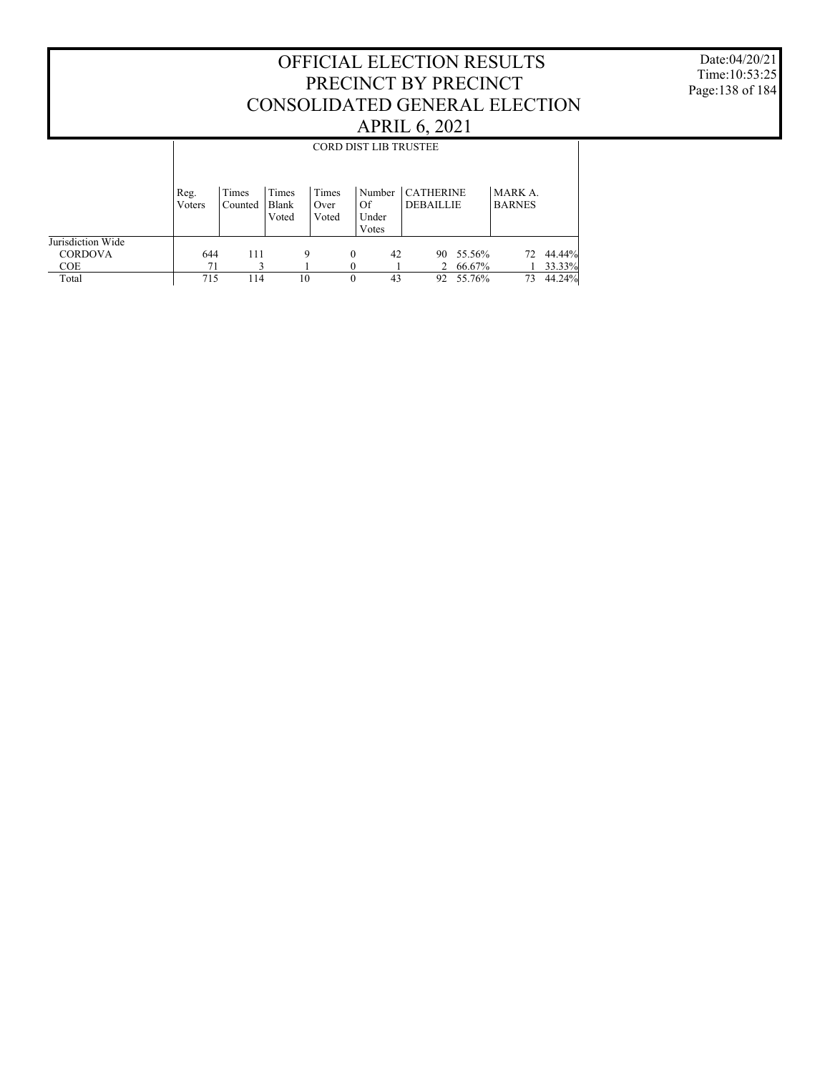Date:04/20/21 Time:10:53:25 Page:138 of 184

|                                     |                | <b>CORD DIST LIB TRUSTEE</b> |                         |                        |                                |                                      |        |                          |        |  |  |  |  |
|-------------------------------------|----------------|------------------------------|-------------------------|------------------------|--------------------------------|--------------------------------------|--------|--------------------------|--------|--|--|--|--|
|                                     | Reg.<br>Voters | Times<br>Counted             | Times<br>Blank<br>Voted | Times<br>Over<br>Voted | Number<br>Of<br>Under<br>Votes | <b>CATHERINE</b><br><b>DEBAILLIE</b> |        | MARK A.<br><b>BARNES</b> |        |  |  |  |  |
| Jurisdiction Wide<br><b>CORDOVA</b> | 644            | 111                          | 9                       | $\theta$               | 42                             | 90.                                  | 55.56% | 72                       | 44.44% |  |  |  |  |
| COE                                 | 71             |                              |                         |                        |                                | 2                                    | 66.67% |                          | 33.33% |  |  |  |  |
| Total                               | 715            | 114                          | 10                      | $\theta$               | 43                             | 92                                   | 55.76% | 73                       | 44.24% |  |  |  |  |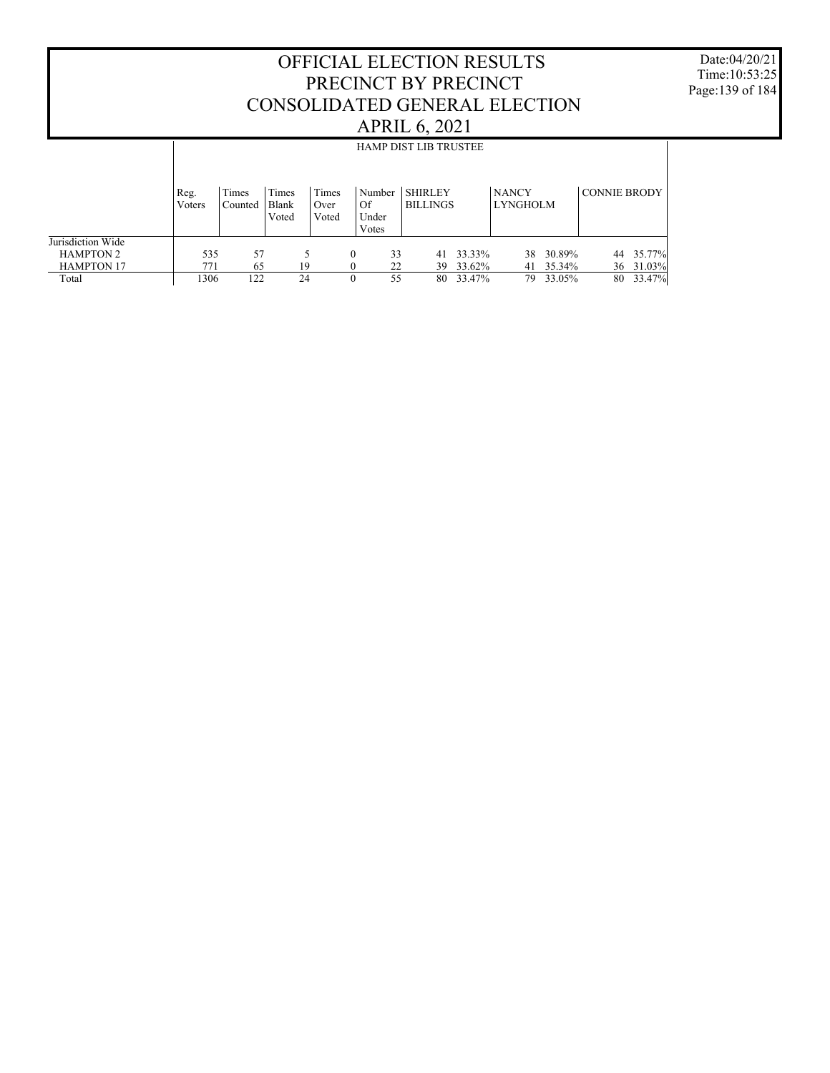Date:04/20/21 Time:10:53:25 Page:139 of 184

| <b>HAMP DIST LIB TRUSTEE</b> |                  |                         |                        |                      |              |                          |                                         |              |                                  |                 |                                                         |
|------------------------------|------------------|-------------------------|------------------------|----------------------|--------------|--------------------------|-----------------------------------------|--------------|----------------------------------|-----------------|---------------------------------------------------------|
|                              |                  |                         |                        |                      |              |                          |                                         |              |                                  |                 |                                                         |
| Reg.<br>Voters               | Times<br>Counted | Times<br>Blank<br>Voted | Times<br>Over<br>Voted | Of<br>Under<br>Votes |              |                          |                                         | <b>NANCY</b> |                                  |                 |                                                         |
| 535                          | 57               |                         |                        | $\Omega$             |              | 41                       |                                         | 38           |                                  | 44              | 35.77%                                                  |
| 771                          | 65               |                         |                        | $\Omega$             |              | 39                       |                                         | 41           |                                  |                 | 36 31.03%<br>33.47%                                     |
|                              | 1306             |                         | 19<br>122<br>24        |                      | $\mathbf{0}$ | Number<br>33<br>22<br>55 | <b>SHIRLEY</b><br><b>BILLINGS</b><br>80 |              | 33.33%<br>33.62%<br>33.47%<br>79 | <b>LYNGHOLM</b> | <b>CONNIE BRODY</b><br>30.89%<br>35.34%<br>33.05%<br>80 |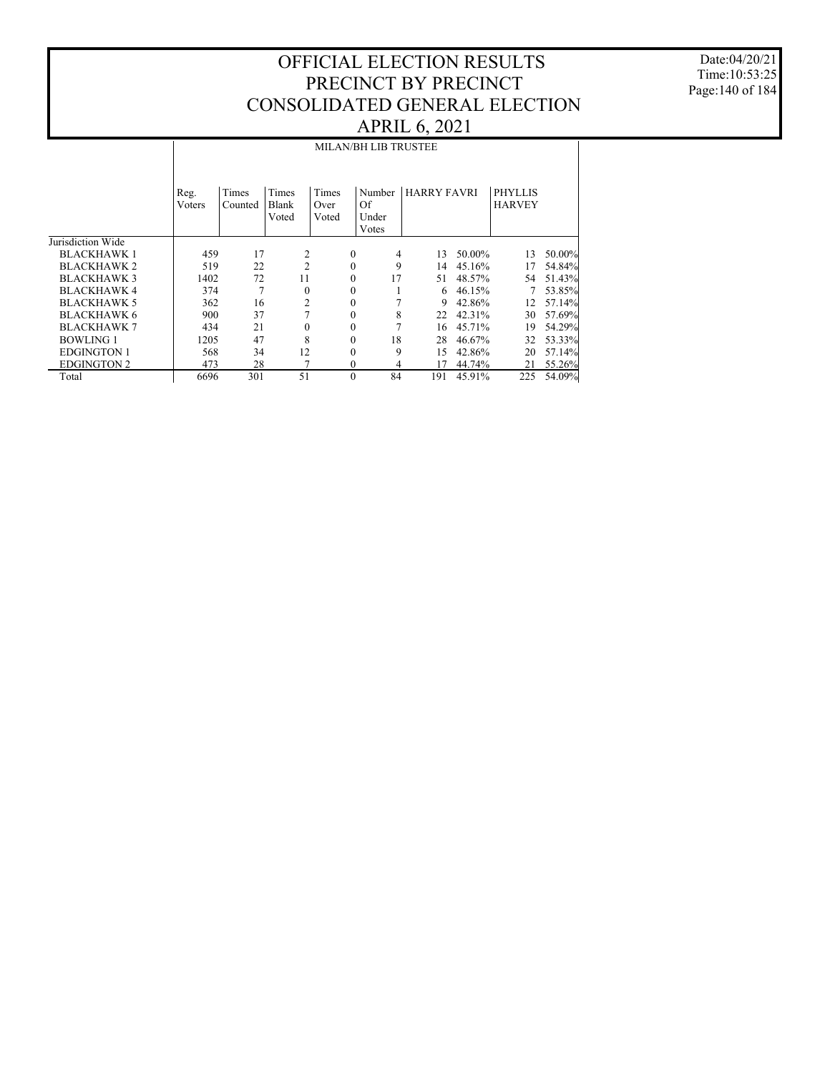Date:04/20/21 Time:10:53:25 Page:140 of 184

|                    | <b>MILAN/BH LIB TRUSTEE</b> |                  |                         |                        |          |                                |                    |        |                                 |        |  |  |
|--------------------|-----------------------------|------------------|-------------------------|------------------------|----------|--------------------------------|--------------------|--------|---------------------------------|--------|--|--|
|                    | Reg.<br>Voters              | Times<br>Counted | Times<br>Blank<br>Voted | Times<br>Over<br>Voted |          | Number<br>Of<br>Under<br>Votes | <b>HARRY FAVRI</b> |        | <b>PHYLLIS</b><br><b>HARVEY</b> |        |  |  |
| Jurisdiction Wide  |                             |                  |                         |                        |          |                                |                    |        |                                 |        |  |  |
| <b>BLACKHAWK1</b>  | 459                         | 17               | 2                       |                        | $\Omega$ | 4                              | 13                 | 50.00% | 13                              | 50.00% |  |  |
| <b>BLACKHAWK 2</b> | 519                         | 22               | $\overline{2}$          |                        | $\Omega$ | 9                              | 14                 | 45.16% | 17                              | 54.84% |  |  |
| <b>BLACKHAWK3</b>  | 1402                        | 72               | 11                      |                        | $\Omega$ | 17                             | 51                 | 48.57% | 54                              | 51.43% |  |  |
| <b>BLACKHAWK 4</b> | 374                         | 7                | $\mathbf{0}$            |                        | $\Omega$ |                                | 6                  | 46.15% |                                 | 53.85% |  |  |
| <b>BLACKHAWK 5</b> | 362                         | 16               | 2                       |                        | $\Omega$ |                                | 9                  | 42.86% | 12                              | 57.14% |  |  |
| <b>BLACKHAWK 6</b> | 900                         | 37               | 7                       |                        | $\Omega$ | 8                              | 22                 | 42.31% | 30                              | 57.69% |  |  |
| <b>BLACKHAWK 7</b> | 434                         | 21               | $\mathbf{0}$            |                        | $\Omega$ |                                | 16                 | 45.71% | 19                              | 54.29% |  |  |
| <b>BOWLING 1</b>   | 1205                        | 47               | 8                       |                        | $\Omega$ | 18                             | 28                 | 46.67% | 32                              | 53.33% |  |  |
| <b>EDGINGTON 1</b> | 568                         | 34               | 12                      |                        | $\Omega$ | 9                              | 15                 | 42.86% | 20                              | 57.14% |  |  |
| <b>EDGINGTON 2</b> | 473                         | 28               | 7                       |                        | $\Omega$ | 4                              | 17                 | 44.74% | 21                              | 55.26% |  |  |
| Total              | 6696                        | 301              | 51                      |                        | $\Omega$ | 84                             | 191                | 45.91% | 225                             | 54.09% |  |  |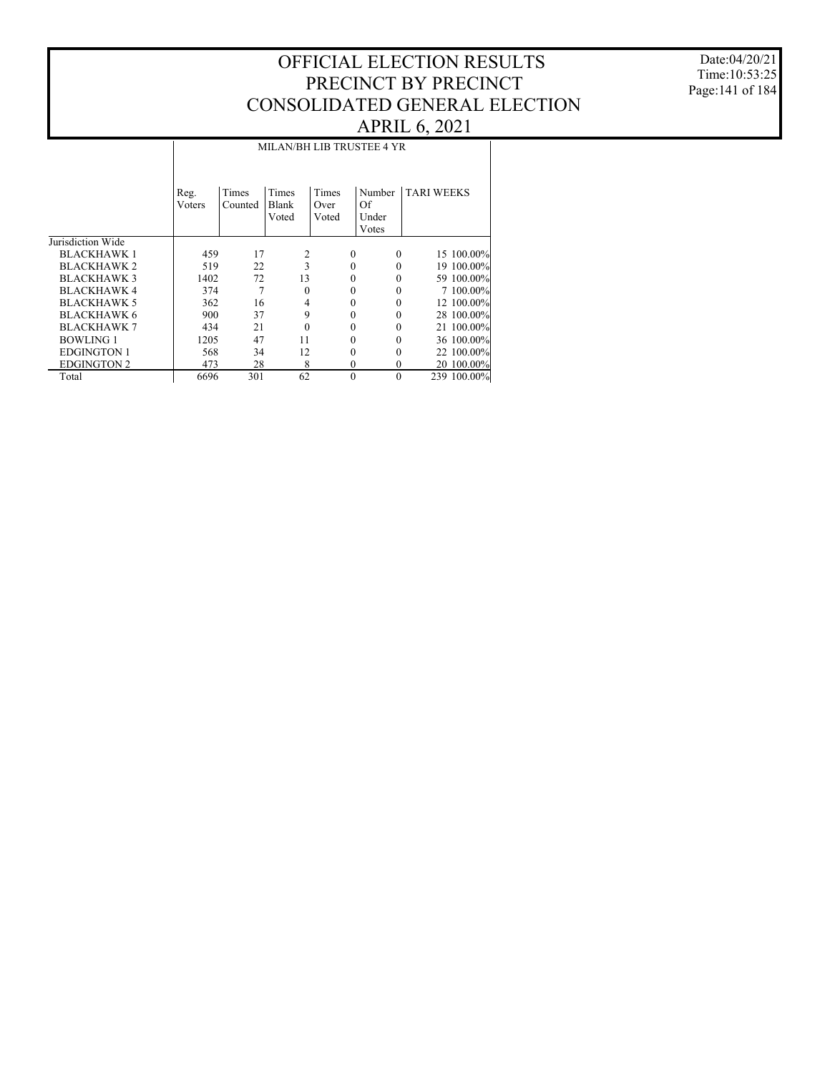Date:04/20/21 Time:10:53:25 Page:141 of 184

#### Jurisdiction Wide BLACKHAWK 1 BLACKHAWK 2 BLACKHAWK 3 BLACKHAWK 4 BLACKHAWK 5 BLACKHAWK 6 BLACKHAWK 7 BOWLING 1 EDGINGTON 1 EDGINGTON 2 Total Reg. Voters Times Counted Times Blank Voted Times Over Voted Number TARI WEEKS Of Under Votes MILAN/BH LIB TRUSTEE 4 YR 459 17 2 0 0 15 100.00%<br>519 22 3 0 0 19 100.00% 519 22 3 0 0 19 100.00% 1402 72 13 0 0 59 100.00%<br>374 7 0 0 0 7 100.00%  $\begin{array}{ccccccccc} 374 && 7 && 0 && 0 && 0 && 7 & 100.00\% \\ 362 && 16 && 4 && 0 && 0 && 12 & 100.00\% \end{array}$ 362 16 4 0 0 12 100.00%<br>900 37 9 0 0 28 100.00% 900 37 9 0 0 28 100.00% 434 21 0 0 0 21 100.00%<br>1205 47 11 0 0 36 100.00% 1205 47 11 0 0 36 100.00%<br>568 34 12 0 0 22 100.00% 568 34 12 0 0 22 100.00% 473 28 8 0 0 20 100.00%<br>6696 301 62 0 0 239 100.00% 239 100.00%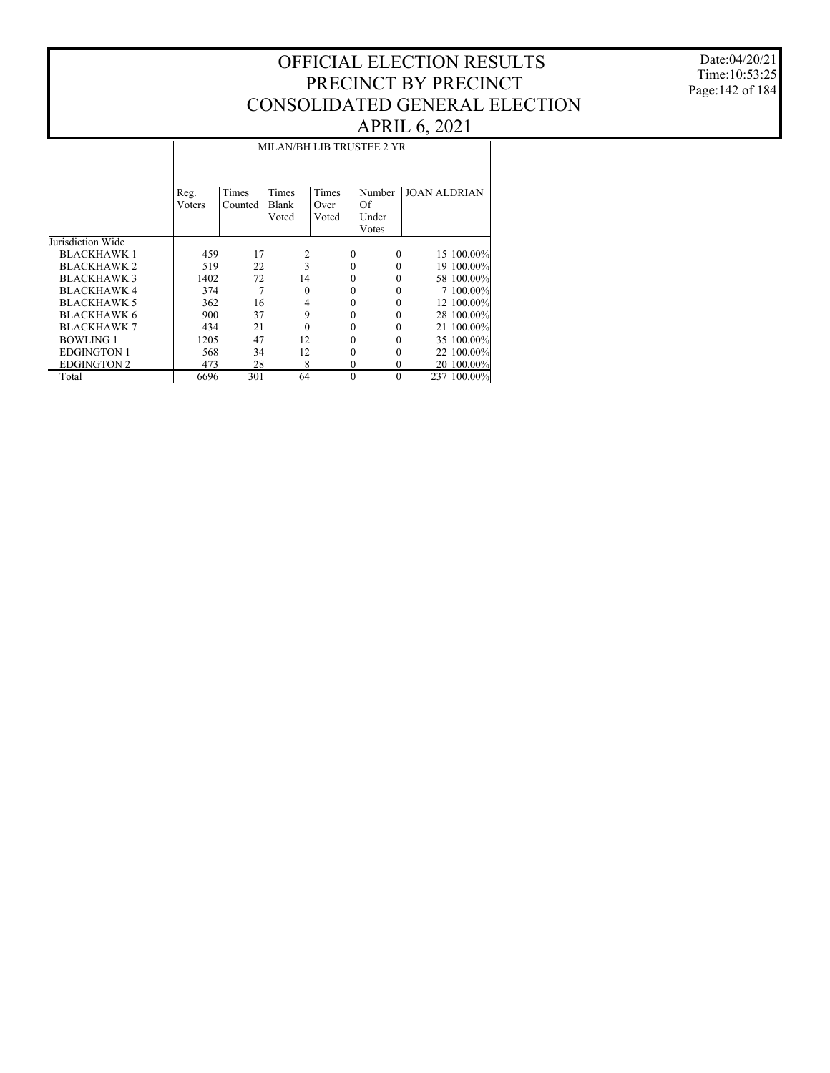Date:04/20/21 Time:10:53:25 Page:142 of 184

#### Jurisdiction Wide BLACKHAWK 1 BLACKHAWK 2 BLACKHAWK 3 BLACKHAWK 4 BLACKHAWK 5 BLACKHAWK 6 BLACKHAWK 7 BOWLING 1 EDGINGTON 1 EDGINGTON 2 Total Reg. Voters Times Counted Times Blank Voted Times Over Voted Number JOAN ALDRIAN Of Under Votes MILAN/BH LIB TRUSTEE 2 YR 459 17 2 0 0 15 100.00% 519 22 3 0 0 19 100.00% 1402 72 14 0 0 58 100.00%<br>374 7 0 0 0 7 100.00%  $\begin{array}{ccccccccc} 374 && 7 && 0 && 0 && 0 && 7 & 100.00\% \\ 362 && 16 && 4 && 0 && 0 && 12 & 100.00\% \end{array}$ 362 16 4 0 0 12 100.00%<br>900 37 9 0 0 28 100.00% 900 37 9 0 0 28 100.00% 434 21 0 0 0 21 100.00%<br>1205 47 12 0 0 35 100.00% 1205 47 12 0 0 35 100.00%<br>568 34 12 0 0 22 100.00% 568 34 12 0 0 22 100.00% 473 28 8 0 0 20 100.00%<br>6696 301 64 0 0 237 100.00% 237 100.00%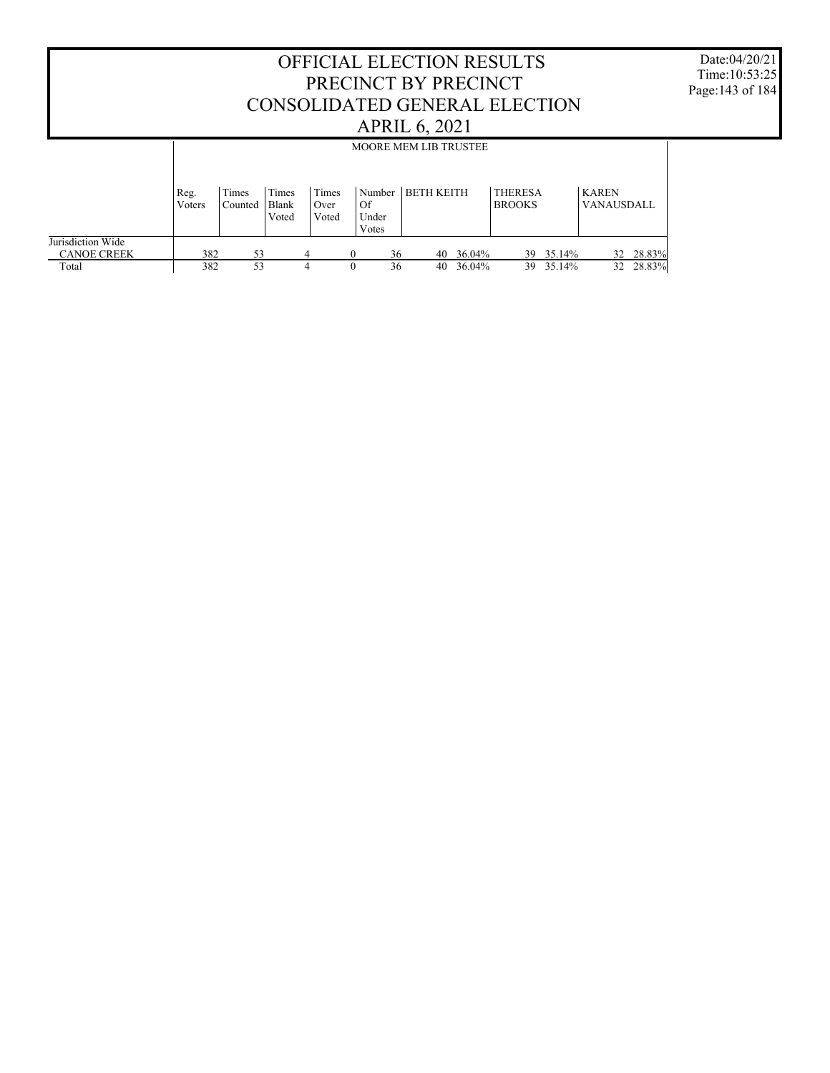| <b>OFFICIAL ELECTION RESULTS</b><br>PRECINCT BY PRECINCT<br>CONSOLIDATED GENERAL ELECTION<br><b>APRIL 6, 2021</b> |                |                  |                                |                        |                                |                              |           |                                 | Date:04/20/21<br>Time: $10:53:25$<br>Page: 143 of 184 |                            |           |  |
|-------------------------------------------------------------------------------------------------------------------|----------------|------------------|--------------------------------|------------------------|--------------------------------|------------------------------|-----------|---------------------------------|-------------------------------------------------------|----------------------------|-----------|--|
|                                                                                                                   |                |                  |                                |                        |                                | <b>MOORE MEM LIB TRUSTEE</b> |           |                                 |                                                       |                            |           |  |
|                                                                                                                   | Reg.<br>Voters | Times<br>Counted | Times<br><b>Blank</b><br>Voted | Times<br>Over<br>Voted | Number<br>Of<br>Under<br>Votes | <b>BETH KEITH</b>            |           | <b>THERESA</b><br><b>BROOKS</b> |                                                       | <b>KAREN</b><br>VANAUSDALL |           |  |
| Jurisdiction Wide<br><b>CANOE CREEK</b>                                                                           | 382            | 53               |                                |                        | 36<br>$\Omega$                 |                              | 40 36.04% |                                 | 39 35.14%                                             |                            | 32 28.83% |  |
| Total                                                                                                             | 382            | 53               |                                | 4                      | 36<br>$\theta$                 | 40                           | 36.04%    |                                 | 39 35.14%                                             | 32                         | 28.83%    |  |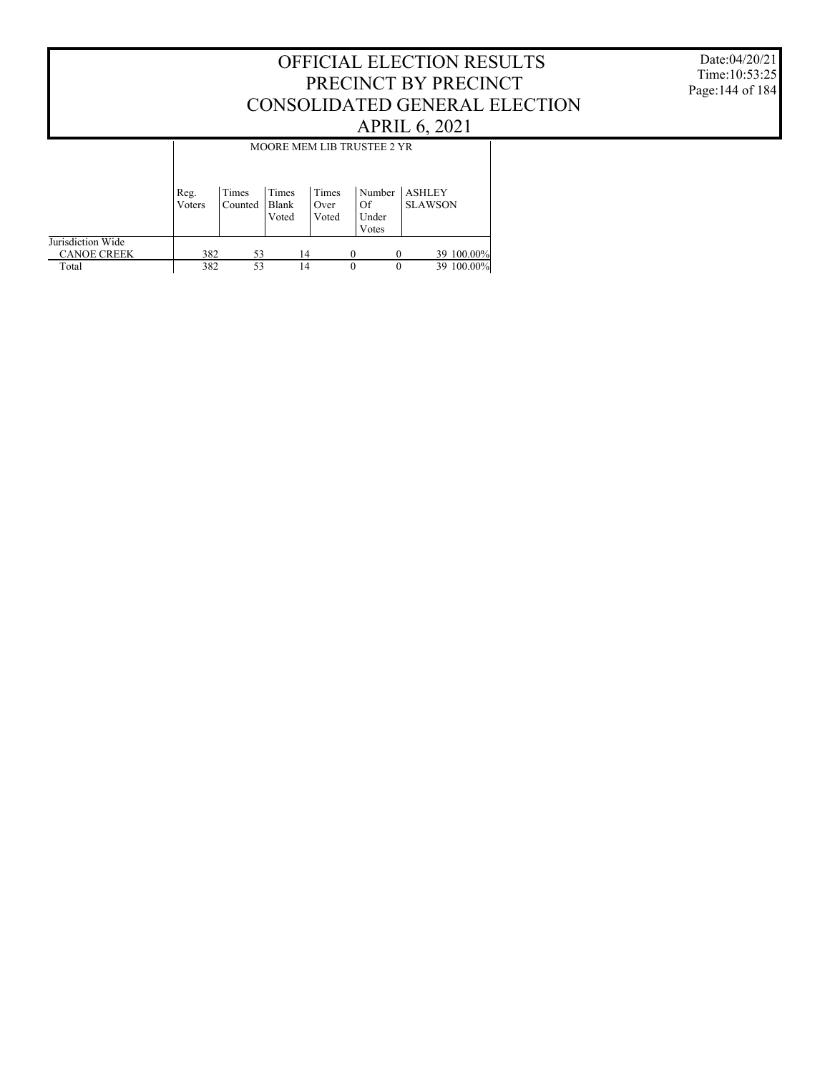#### Date:04/20/21 Time:10:53:25 Page:144 of 184

## OFFICIAL ELECTION RESULTS PRECINCT BY PRECINCT CONSOLIDATED GENERAL ELECTION APRIL 6, 2021

|                                         | MOORE MEM LIB TRUSTEE 2 YR |                  |                         |                        |                                |                                 |  |  |  |  |
|-----------------------------------------|----------------------------|------------------|-------------------------|------------------------|--------------------------------|---------------------------------|--|--|--|--|
|                                         | Reg.<br>Voters             | Times<br>Counted | Times<br>Blank<br>Voted | Times<br>Over<br>Voted | Number<br>Of<br>Under<br>Votes | <b>ASHLEY</b><br><b>SLAWSON</b> |  |  |  |  |
| Jurisdiction Wide<br><b>CANOE CREEK</b> | 382                        | 53               | 14                      |                        |                                | 39 100.00%                      |  |  |  |  |
| Total                                   | 382                        | 53               | 14                      |                        | $\theta$<br>$\theta$           | 39 100.00%                      |  |  |  |  |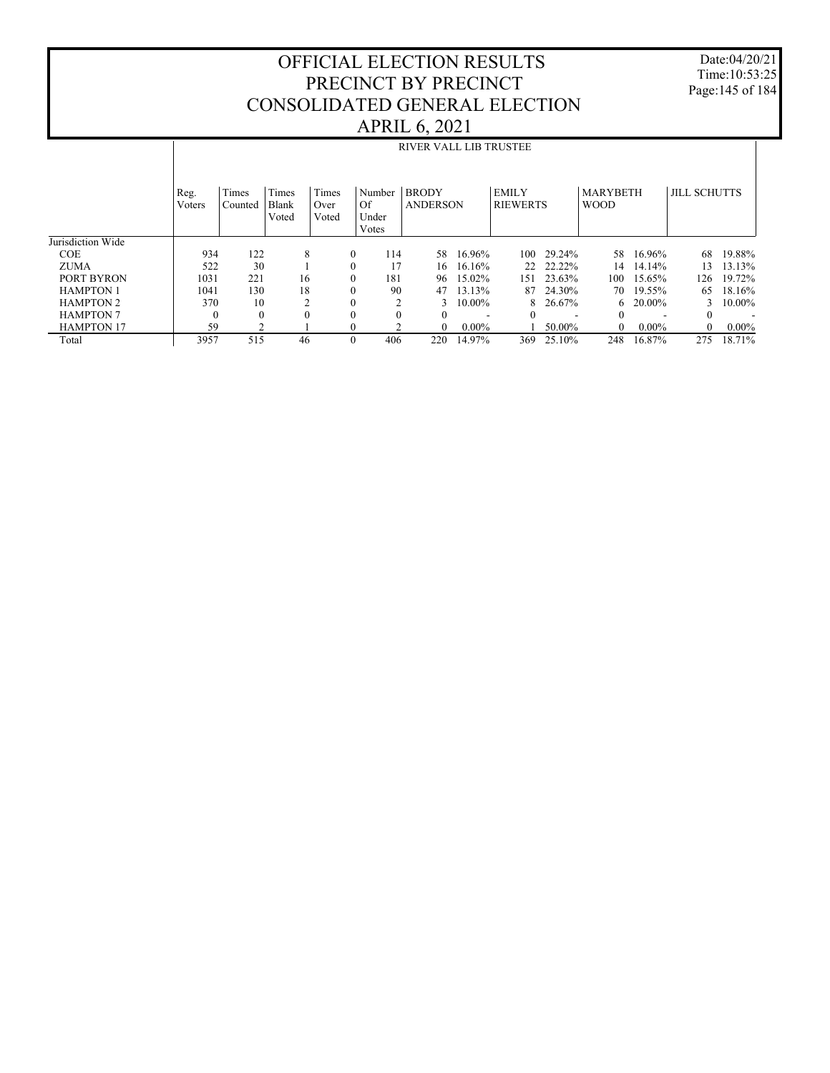Date:04/20/21 Time:10:53:25 Page:145 of 184

|                   |                |                  |                         |                        |                                | <b>RIVER VALL LIB TRUSTEE</b>   |                          |                                 |                          |                                |          |                     |          |
|-------------------|----------------|------------------|-------------------------|------------------------|--------------------------------|---------------------------------|--------------------------|---------------------------------|--------------------------|--------------------------------|----------|---------------------|----------|
|                   | Reg.<br>Voters | Times<br>Counted | Times<br>Blank<br>Voted | Times<br>Over<br>Voted | Number<br>Of<br>Under<br>Votes | <b>BRODY</b><br><b>ANDERSON</b> |                          | <b>EMILY</b><br><b>RIEWERTS</b> |                          | <b>MARYBETH</b><br><b>WOOD</b> |          | <b>JILL SCHUTTS</b> |          |
| Jurisdiction Wide |                |                  |                         |                        |                                |                                 |                          |                                 |                          |                                |          |                     |          |
| <b>COE</b>        | 934            | 122              | 8                       | $\mathbf{0}$           | 114                            | 58                              | 16.96%                   | 100                             | 29.24%                   | 58                             | 16.96%   | 68                  | 19.88%   |
| <b>ZUMA</b>       | 522            | 30               |                         | $\Omega$               | 17                             | 16                              | 16.16%                   |                                 | 22 22.22%                | 14                             | 14.14%   | 13                  | 13.13%   |
| PORT BYRON        | 1031           | 221              | 16                      | $\Omega$               | 181                            | 96                              | 15.02%                   | 151                             | 23.63%                   | 100                            | 15.65%   | 126                 | 19.72%   |
| <b>HAMPTON 1</b>  | 1041           | 130              | 18                      | $\mathbf{0}$           | 90                             | 47                              | 13.13%                   | 87                              | 24.30%                   | 70                             | 19.55%   | 65                  | 18.16%   |
| <b>HAMPTON 2</b>  | 370            | 10               |                         | $\mathbf{0}$           | ↑                              | 3                               | $10.00\%$                |                                 | 8 26.67%                 | 6                              | 20.00%   | 3                   | 10.00%   |
| <b>HAMPTON 7</b>  | $\Omega$       | $\mathbf{0}$     | $\Omega$                | $\Omega$               | $\Omega$                       | $\theta$                        | $\overline{\phantom{a}}$ | $\Omega$                        | $\overline{\phantom{a}}$ | $\Omega$                       |          | $\theta$            |          |
| <b>HAMPTON 17</b> | 59             | $\mathfrak{D}$   |                         | $\mathbf{0}$           |                                | $\Omega$                        | $0.00\%$                 |                                 | 50.00%                   | $\Omega$                       | $0.00\%$ | $\Omega$            | $0.00\%$ |
| Total             | 3957           | 515              | 46                      | $\mathbf{0}$           | 406                            | 220                             | 14.97%                   | 369                             | 25.10%                   | 248                            | 16.87%   | 275                 | 18.71%   |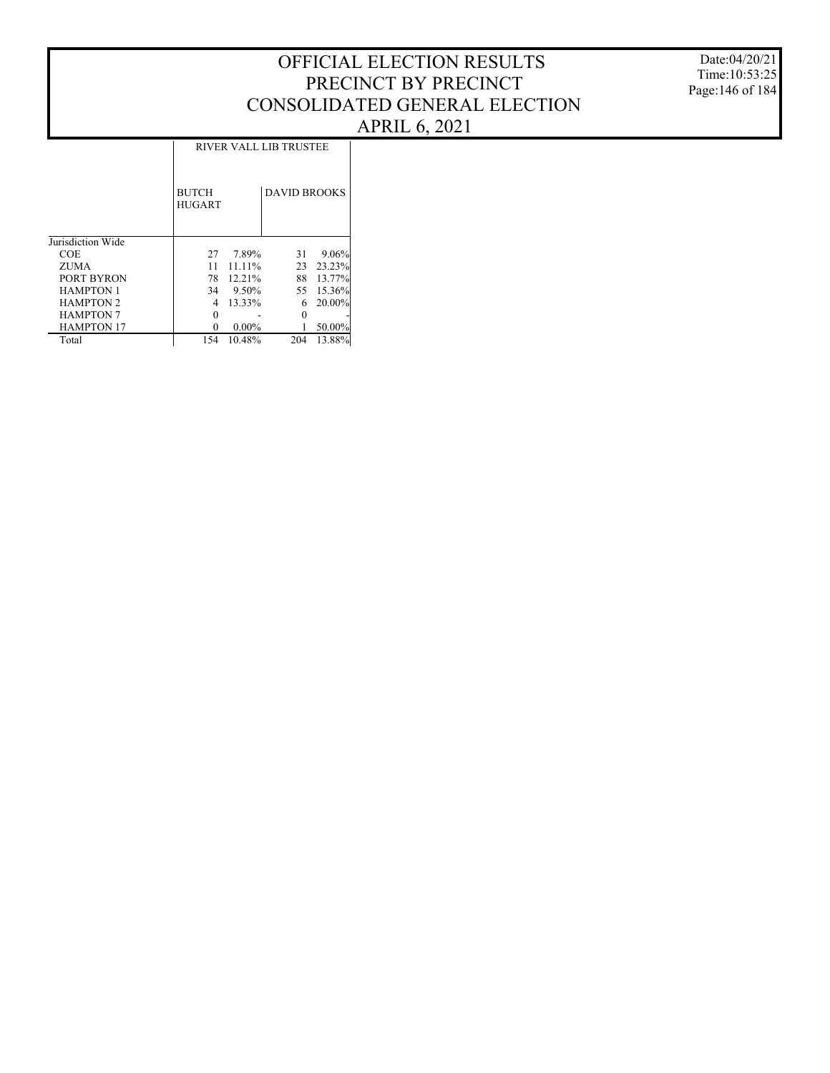Date:04/20/21 Time:10:53:25 Page:146 of 184

### RIVER VALL LIB TRUSTEE

|                   | <b>BUTCH</b><br><b>HUGART</b> |          | <b>DAVID BROOKS</b> |           |
|-------------------|-------------------------------|----------|---------------------|-----------|
| Jurisdiction Wide |                               |          |                     |           |
| <b>COE</b>        | 27                            | 7.89%    | 31                  | 9.06%     |
| ZUMA              | 11                            | 11.11%   | 23                  | 23.23%    |
| PORT BYRON        | 78                            | 12.21%   | 88                  | 13.77%    |
| <b>HAMPTON 1</b>  | 34                            | $9.50\%$ | 55                  | 15.36%    |
| <b>HAMPTON 2</b>  | 4                             | 13.33%   | 6                   | $20.00\%$ |
| <b>HAMPTON 7</b>  |                               |          |                     |           |
| <b>HAMPTON 17</b> | $_{0}$                        | $0.00\%$ |                     | 50.00%    |
| Total             | 154                           | 10.48%   | 204                 | 13.88%    |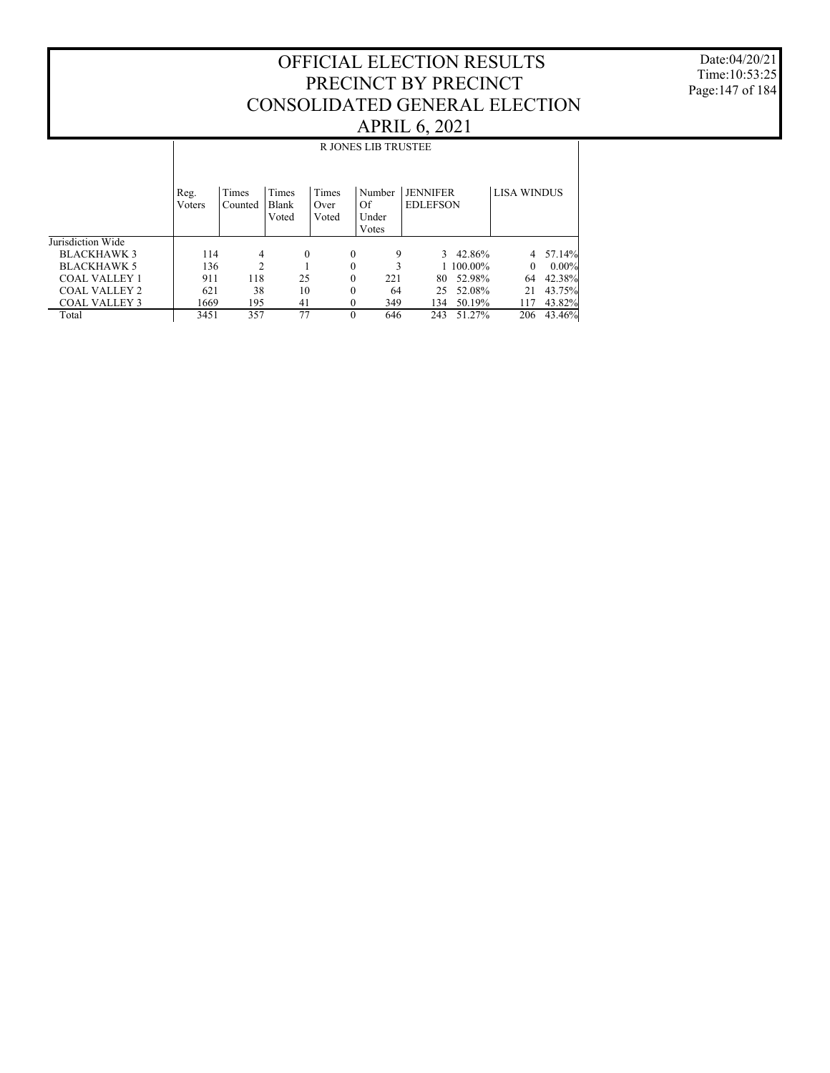Date:04/20/21 Time:10:53:25 Page:147 of 184

|                      |        |                |              |          | <b>R JONES LIB TRUSTEE</b> |                 |           |                    |          |
|----------------------|--------|----------------|--------------|----------|----------------------------|-----------------|-----------|--------------------|----------|
|                      |        |                |              |          |                            |                 |           |                    |          |
|                      |        |                |              |          |                            |                 |           |                    |          |
|                      | Reg.   | Times          | Times        | Times    | Number                     | <b>JENNIFER</b> |           | <b>LISA WINDUS</b> |          |
|                      | Voters | Counted        | <b>Blank</b> | Over     | Of                         | <b>EDLEFSON</b> |           |                    |          |
|                      |        |                | Voted        | Voted    | Under                      |                 |           |                    |          |
|                      |        |                |              |          | Votes                      |                 |           |                    |          |
| Jurisdiction Wide    |        |                |              |          |                            |                 |           |                    |          |
| <b>BLACKHAWK 3</b>   | 114    | 4              | $\mathbf{0}$ | $\theta$ | 9                          | 3               | 42.86%    | 4                  | 57.14%   |
| <b>BLACKHAWK 5</b>   | 136    | $\mathfrak{D}$ |              | $\theta$ |                            |                 | 1 100,00% | $\Omega$           | $0.00\%$ |
| <b>COAL VALLEY 1</b> | 911    | 118            | 25           | $\theta$ | 221                        | 80              | 52.98%    | 64                 | 42.38%   |
| COAL VALLEY 2        | 621    | 38             | 10           | $\theta$ | 64                         | 25              | 52.08%    | 21                 | 43.75%   |
| <b>COAL VALLEY 3</b> | 1669   | 195            | 41           | $\theta$ | 349                        | 134             | 50.19%    | 117                | 43.82%   |
| Total                | 3451   | 357            | 77           | $\Omega$ | 646                        | 243             | 51.27%    | 206                | 43.46%   |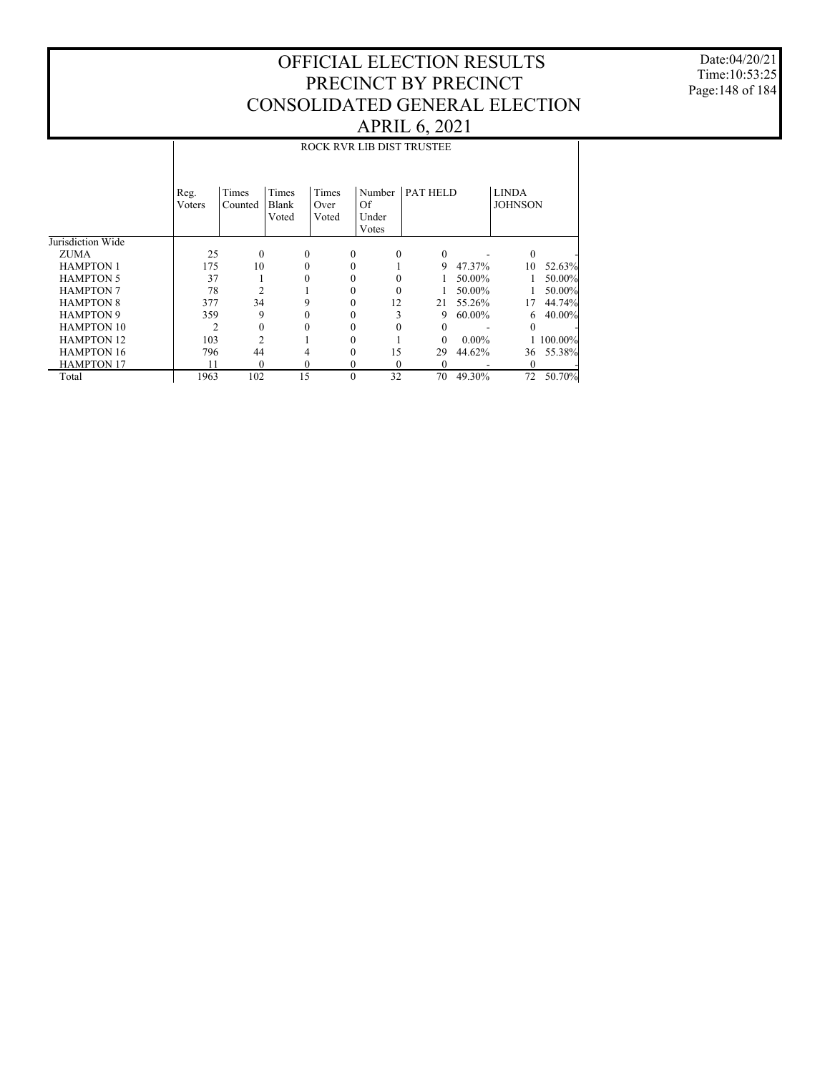Date:04/20/21 Time:10:53:25 Page:148 of 184

|                   |                |                  |                         |                        | ROCK RVR LIB DIST TRUSTEE      |          |          |          |                                |           |
|-------------------|----------------|------------------|-------------------------|------------------------|--------------------------------|----------|----------|----------|--------------------------------|-----------|
|                   | Reg.<br>Voters | Times<br>Counted | Times<br>Blank<br>Voted | Times<br>Over<br>Voted | Number<br>Of<br>Under<br>Votes | PAT HELD |          |          | <b>LINDA</b><br><b>JOHNSON</b> |           |
| Jurisdiction Wide |                |                  |                         |                        |                                |          |          |          |                                |           |
| <b>ZUMA</b>       | 25             | $\mathbf{0}$     | $\Omega$                |                        | $\Omega$                       | $\Omega$ | $\Omega$ |          | $\theta$                       |           |
| <b>HAMPTON 1</b>  | 175            | 10               | 0                       |                        | $\theta$                       |          | 9        | 47.37%   | 10                             | 52.63%    |
| <b>HAMPTON 5</b>  | 37             | 1                | 0                       |                        | 0                              |          |          | 50.00%   |                                | 50.00%    |
| <b>HAMPTON 7</b>  | 78             | $\overline{2}$   |                         |                        | 0                              | $\Omega$ |          | 50.00%   |                                | 50.00%    |
| <b>HAMPTON 8</b>  | 377            | 34               | 9                       |                        | 0                              | 12       | 21       | 55.26%   | 17                             | 44.74%    |
| <b>HAMPTON 9</b>  | 359            | 9                | 0                       |                        | 0                              | 3        | 9        | 60.00%   | 6.                             | 40.00%    |
| <b>HAMPTON 10</b> | 2              | $\mathbf{0}$     |                         |                        |                                |          | 0        |          | 0                              |           |
| <b>HAMPTON 12</b> | 103            | $\overline{c}$   |                         |                        |                                |          | $\Omega$ | $0.00\%$ |                                | 1 100.00% |
| <b>HAMPTON 16</b> | 796            | 44               |                         |                        | 0                              | 15       | 29       | 44.62%   | 36                             | 55.38%    |
| <b>HAMPTON 17</b> | 11             | $\theta$         | $\theta$                |                        | 0                              | $\theta$ | $\theta$ |          | 0                              |           |
| Total             | 1963           | 102              | 15                      |                        | $\theta$<br>32                 |          | 70       | 49.30%   | 72                             | 50.70%    |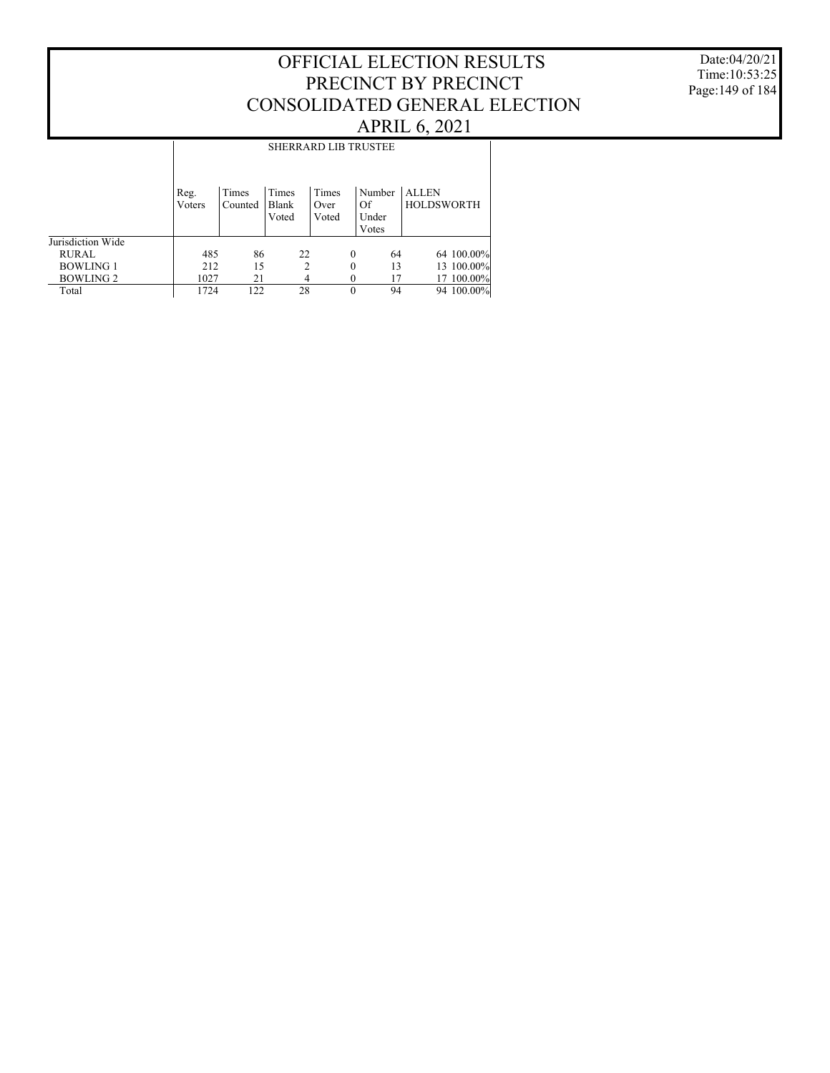Date:04/20/21 Time:10:53:25 Page:149 of 184

|                   |                |                  |                         | <b>SHERRARD LIB TRUSTEE</b> |                                |                                   |
|-------------------|----------------|------------------|-------------------------|-----------------------------|--------------------------------|-----------------------------------|
|                   | Reg.<br>Voters | Times<br>Counted | Times<br>Blank<br>Voted | Times<br>Over<br>Voted      | Number<br>Of<br>Under<br>Votes | <b>ALLEN</b><br><b>HOLDSWORTH</b> |
| Jurisdiction Wide |                |                  |                         |                             |                                |                                   |
| <b>RURAL</b>      | 485            | 86               | 22                      | $\Omega$                    | 64                             | 64 100.00%                        |
| <b>BOWLING 1</b>  | 212            | 15               | 2                       | 0                           | 13                             | 13 100.00%                        |
| <b>BOWLING 2</b>  | 1027           | 21               | 4                       |                             |                                | 17 100.00%                        |
| Total             | 1724           | 122              | 28                      | 0                           | 94                             | 94 100.00%                        |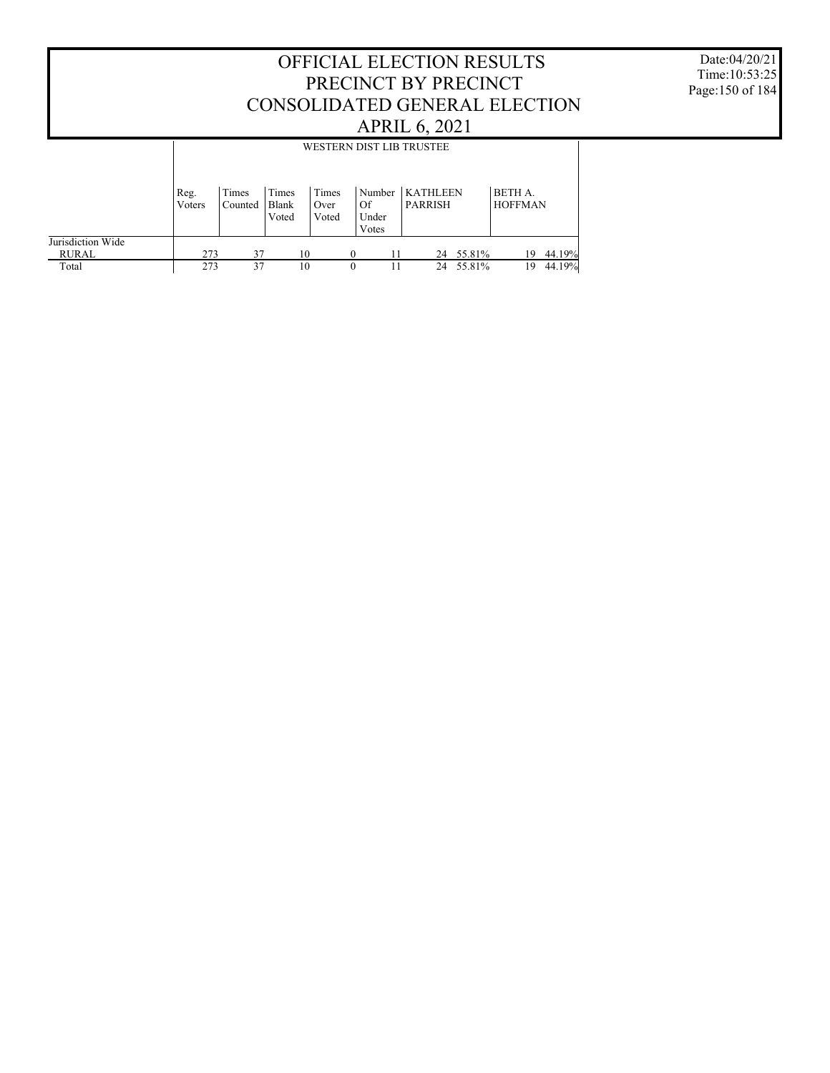Date:04/20/21 Time:10:53:25 Page:150 of 184

|                   |                |                  |                         |                        |                                | WESTERN DIST LIB TRUSTEE          |           |                           |        |
|-------------------|----------------|------------------|-------------------------|------------------------|--------------------------------|-----------------------------------|-----------|---------------------------|--------|
|                   | Reg.<br>Voters | Times<br>Counted | Times<br>Blank<br>Voted | Times<br>Over<br>Voted | Number<br>Of<br>Under<br>Votes | <b>KATHLEEN</b><br><b>PARRISH</b> |           | BETH A.<br><b>HOFFMAN</b> |        |
| Jurisdiction Wide |                |                  |                         |                        |                                |                                   |           |                           |        |
|                   |                |                  |                         |                        |                                |                                   |           |                           |        |
| RURAL             | 273            | 37               | 10                      |                        | 11                             |                                   | 24 55.81% | 19                        | 44.19% |
| Total             | 273            | 37               | 10                      | $\theta$               |                                | 24                                | 55.81%    | 19                        | 44.19% |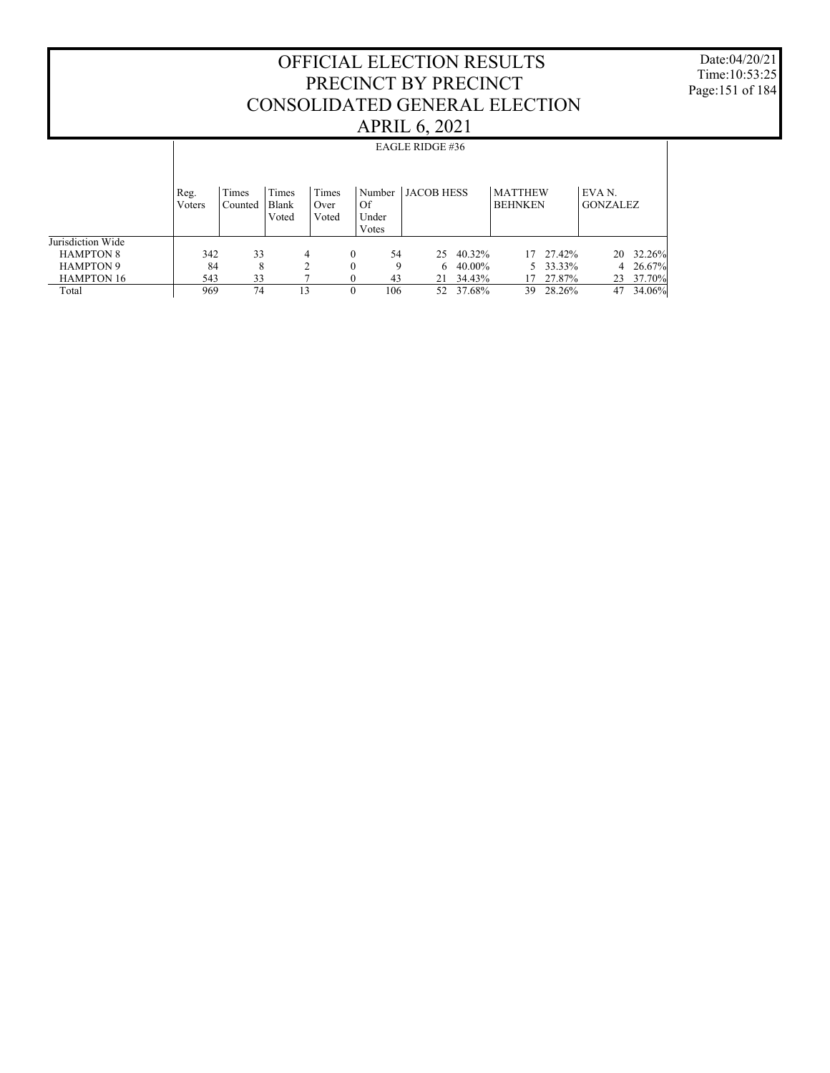Date:04/20/21 Time:10:53:25 Page:151 of 184

|                   |                |                  |                         |                        |              |                          | EAGLE RIDGE #36   |        |                                  |          |                           |        |
|-------------------|----------------|------------------|-------------------------|------------------------|--------------|--------------------------|-------------------|--------|----------------------------------|----------|---------------------------|--------|
|                   | Reg.<br>Voters | Times<br>Counted | Times<br>Blank<br>Voted | Times<br>Over<br>Voted | Of           | Number<br>Under<br>Votes | <b>JACOB HESS</b> |        | <b>MATTHEW</b><br><b>BEHNKEN</b> |          | EVA N.<br><b>GONZALEZ</b> |        |
| Jurisdiction Wide |                |                  |                         |                        |              |                          |                   |        |                                  |          |                           |        |
| <b>HAMPTON 8</b>  | 342            | 33               |                         | 4                      | $\mathbf{0}$ | 54                       | 25                | 40.32% | 17                               | 27.42%   | 20                        | 32.26% |
| <b>HAMPTON 9</b>  | 84             | 8                |                         | 2                      | $\mathbf{0}$ | 9                        | 6                 | 40.00% |                                  | 5 33.33% | 4                         | 26.67% |
| <b>HAMPTON 16</b> | 543            | 33               |                         |                        | $\mathbf{0}$ | 43                       | 21                | 34.43% | 17                               | 27.87%   | 23                        | 37.70% |
| Total             | 969            | 74               | 13                      |                        | $\Omega$     | 106                      | 52                | 37.68% | 39.                              | 28.26%   | 47                        | 34.06% |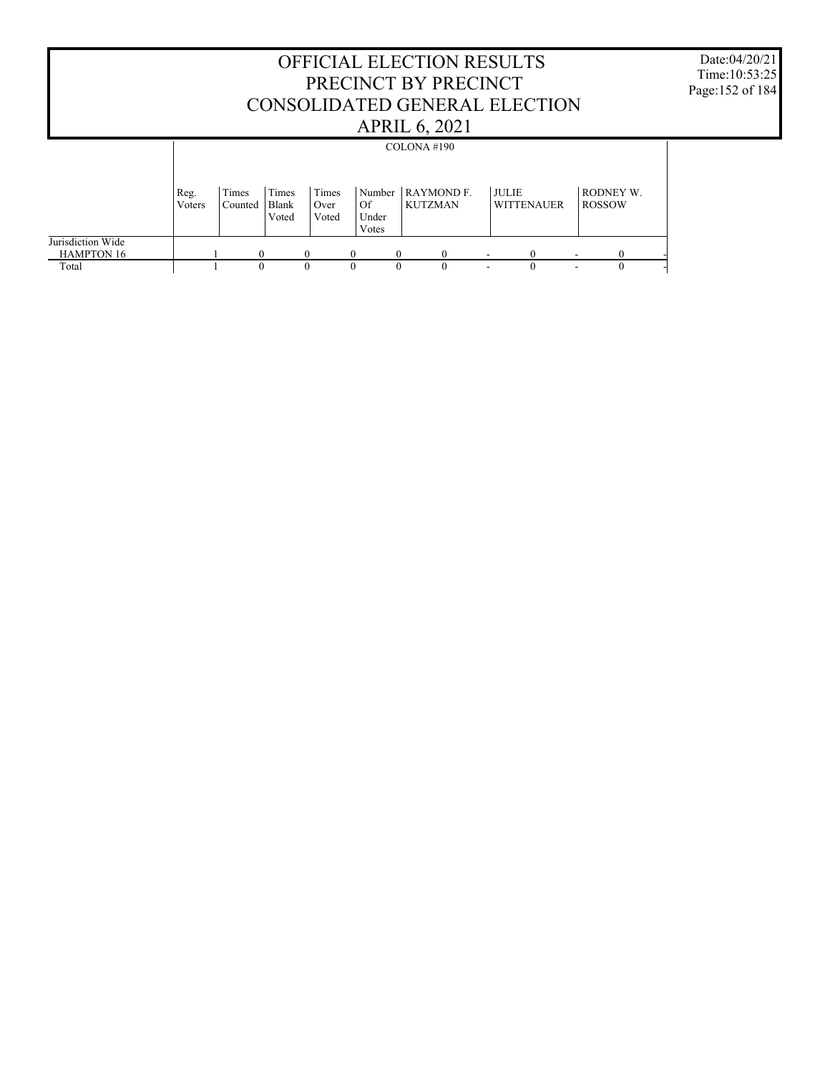#### OFFICIAL ELECTION RESULTS PRECINCT BY PRECINCT CONSOLIDATED GENERAL ELECTION APRIL 6, 2021 Date:04/20/21 Time:10:53:25 Page:152 of 184 Jurisdiction Wide HAMPTON 16 Total Reg. Voters Times Counted Times Blank Voted Times Over Voted Number RAYMOND F. Of Under Votes KUTZMAN JULIE WITTENAUER RODNEY W. ROSSOW COLONA #190 1 0 0 0 0 0 0 - 0 - 0 -1 0 0 0 0 0 0 - 0 - 0 -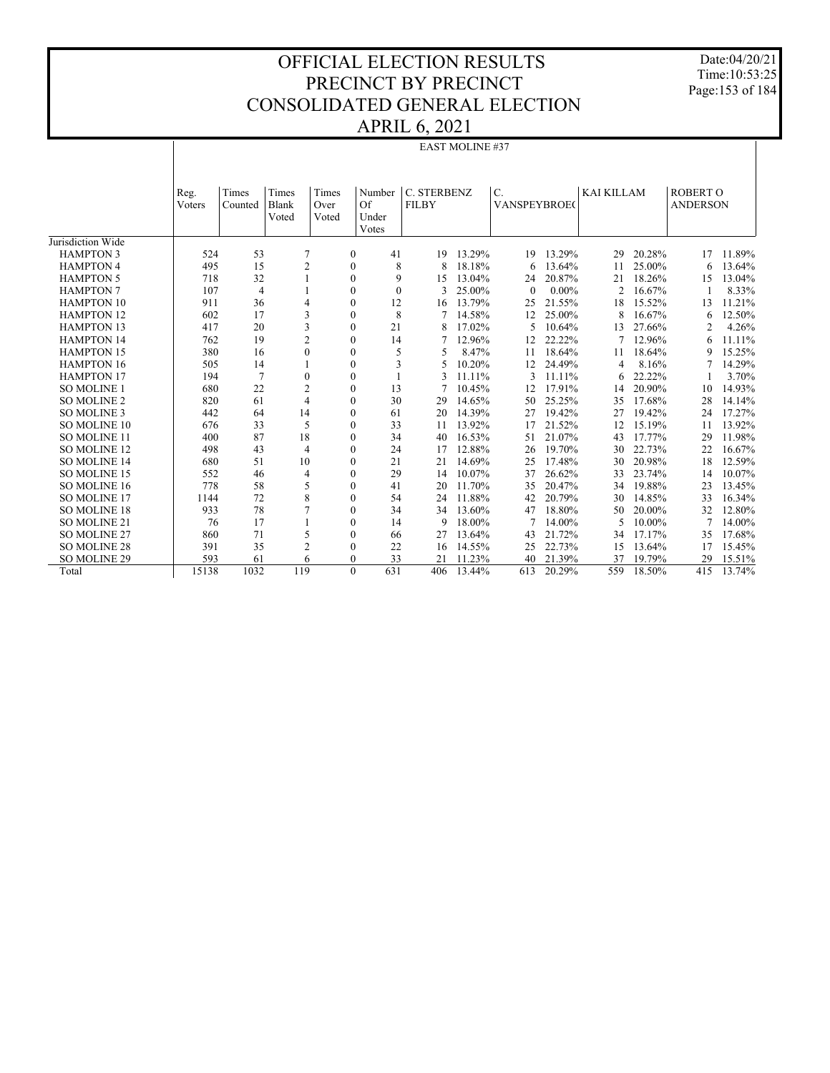Date:04/20/21 Time:10:53:25 Page:153 of 184

|                     |                |                  |                         |                        |                              |                             | EAST MOLINE #37 |                              |          |                   |        |                                    |        |
|---------------------|----------------|------------------|-------------------------|------------------------|------------------------------|-----------------------------|-----------------|------------------------------|----------|-------------------|--------|------------------------------------|--------|
|                     |                |                  |                         |                        |                              |                             |                 |                              |          |                   |        |                                    |        |
|                     | Reg.<br>Voters | Times<br>Counted | Times<br>Blank<br>Voted | Times<br>Over<br>Voted | Number<br>Of<br>Under        | C. STERBENZ<br><b>FILBY</b> |                 | $C$ .<br><b>VANSPEYBROEC</b> |          | <b>KAI KILLAM</b> |        | <b>ROBERT O</b><br><b>ANDERSON</b> |        |
|                     |                |                  |                         |                        | Votes                        |                             |                 |                              |          |                   |        |                                    |        |
| Jurisdiction Wide   |                |                  |                         |                        |                              |                             |                 |                              |          |                   |        |                                    |        |
| <b>HAMPTON 3</b>    | 524            | 53               | 7                       |                        | 41<br>$\mathbf{0}$           | 19                          | 13.29%          | 19                           | 13.29%   | 29                | 20.28% | 17                                 | 11.89% |
| <b>HAMPTON 4</b>    | 495            | 15               | $\mathfrak{2}$          |                        | $\mathbf{0}$                 | 8<br>8                      | 18.18%          | 6                            | 13.64%   | 11                | 25.00% | 6                                  | 13.64% |
| <b>HAMPTON 5</b>    | 718            | 32               |                         |                        | $\mathbf{0}$                 | 9<br>15                     | 13.04%          | 24                           | 20.87%   | 21                | 18.26% | 15                                 | 13.04% |
| <b>HAMPTON 7</b>    | 107            | $\overline{4}$   |                         |                        | $\mathbf{0}$                 | $\mathbf{0}$<br>3           | 25.00%          | $\mathbf{0}$                 | $0.00\%$ | $\overline{2}$    | 16.67% |                                    | 8.33%  |
| <b>HAMPTON 10</b>   | 911            | 36               | 4                       |                        | $\mathbf{0}$<br>12           | 16                          | 13.79%          | 25                           | 21.55%   | 18                | 15.52% | 13                                 | 11.21% |
| <b>HAMPTON 12</b>   | 602            | 17               | 3                       |                        | 8<br>$\mathbf{0}$            |                             | 14.58%          | 12                           | 25.00%   | 8                 | 16.67% | 6                                  | 12.50% |
| <b>HAMPTON 13</b>   | 417            | 20               | 3                       |                        | $\mathbf{0}$<br>21           |                             | 17.02%          | 5                            | 10.64%   | 13                | 27.66% | $\overline{c}$                     | 4.26%  |
| <b>HAMPTON 14</b>   | 762            | 19               | $\overline{c}$          |                        | $\mathbf{0}$<br>14           | 7                           | 12.96%          | 12                           | 22.22%   |                   | 12.96% | 6                                  | 11.11% |
| <b>HAMPTON 15</b>   | 380            | 16               | $\theta$                |                        | $\mathbf{0}$                 | 5<br>5                      | 8.47%           | 11                           | 18.64%   | 11                | 18.64% | 9                                  | 15.25% |
| <b>HAMPTON 16</b>   | 505            | 14               |                         |                        | $\mathbf{0}$                 | 3<br>5                      | 10.20%          | 12                           | 24.49%   | 4                 | 8.16%  |                                    | 14.29% |
| <b>HAMPTON 17</b>   | 194            | $\overline{7}$   | $\mathbf{0}$            |                        | $\mathbf{0}$<br>$\mathbf{1}$ | 3                           | 11.11%          | 3                            | 11.11%   | 6                 | 22.22% |                                    | 3.70%  |
| <b>SO MOLINE 1</b>  | 680            | 22               | $\mathfrak{2}$          |                        | $\mathbf{0}$<br>13           |                             | 10.45%          | 12                           | 17.91%   | 14                | 20.90% | 10                                 | 14.93% |
| <b>SO MOLINE 2</b>  | 820            | 61               | $\overline{4}$          |                        | $\mathbf{0}$<br>30           | 29                          | 14.65%          | 50                           | 25.25%   | 35                | 17.68% | 28                                 | 14.14% |
| SO MOLINE 3         | 442            | 64               | 14                      |                        | $\mathbf{0}$<br>61           | 20                          | 14.39%          | 27                           | 19.42%   | 27                | 19.42% | 24                                 | 17.27% |
| SO MOLINE 10        | 676            | 33               | 5                       |                        | $\mathbf{0}$<br>33           | 11                          | 13.92%          | 17                           | 21.52%   | 12                | 15.19% | 11                                 | 13.92% |
| <b>SO MOLINE 11</b> | 400            | 87               | 18                      |                        | $\mathbf{0}$<br>34           | 40                          | 16.53%          | 51                           | 21.07%   | 43                | 17.77% | 29                                 | 11.98% |
| SO MOLINE 12        | 498            | 43               | $\overline{4}$          |                        | $\mathbf{0}$<br>24           | 17                          | 12.88%          | 26                           | 19.70%   | 30                | 22.73% | 22                                 | 16.67% |
| SO MOLINE 14        | 680            | 51               | 10                      |                        | $\mathbf{0}$<br>21           | 21                          | 14.69%          | 25                           | 17.48%   | 30                | 20.98% | 18                                 | 12.59% |
| SO MOLINE 15        | 552            | 46               | $\overline{4}$          |                        | $\mathbf{0}$<br>29           | 14                          | 10.07%          | 37                           | 26.62%   | 33                | 23.74% | 14                                 | 10.07% |
| SO MOLINE 16        | 778            | 58               | 5                       |                        | $\mathbf{0}$<br>41           | 20                          | 11.70%          | 35                           | 20.47%   | 34                | 19.88% | 23                                 | 13.45% |
| SO MOLINE 17        | 1144           | 72               | 8                       |                        | $\mathbf{0}$<br>54           | 24                          | 11.88%          | 42                           | 20.79%   | 30                | 14.85% | 33                                 | 16.34% |
| <b>SO MOLINE 18</b> | 933            | 78               | $\overline{7}$          |                        | $\mathbf{0}$<br>34           | 34                          | 13.60%          | 47                           | 18.80%   | 50                | 20.00% | 32                                 | 12.80% |
| SO MOLINE 21        | 76             | 17               |                         |                        | $\mathbf{0}$<br>14           | 9                           | 18.00%          |                              | 14.00%   | 5                 | 10.00% |                                    | 14.00% |
| SO MOLINE 27        | 860            | 71               | 5                       |                        | $\mathbf{0}$<br>66           | 27                          | 13.64%          | 43                           | 21.72%   | 34                | 17.17% | 35                                 | 17.68% |
| <b>SO MOLINE 28</b> | 391            | 35               | $\overline{c}$          |                        | $\mathbf{0}$<br>22           | 16                          | 14.55%          | 25                           | 22.73%   | 15                | 13.64% | 17                                 | 15.45% |
| SO MOLINE 29        | 593            | 61               | 6                       |                        | $\mathbf{0}$<br>33           | 21                          | 11.23%          | 40                           | 21.39%   | 37                | 19.79% | 29                                 | 15.51% |
| Total               | 15138          | 1032             | 119                     |                        | $\mathbf{0}$<br>631          | 406                         | 13.44%          | 613                          | 20.29%   | 559               | 18.50% | 415                                | 13.74% |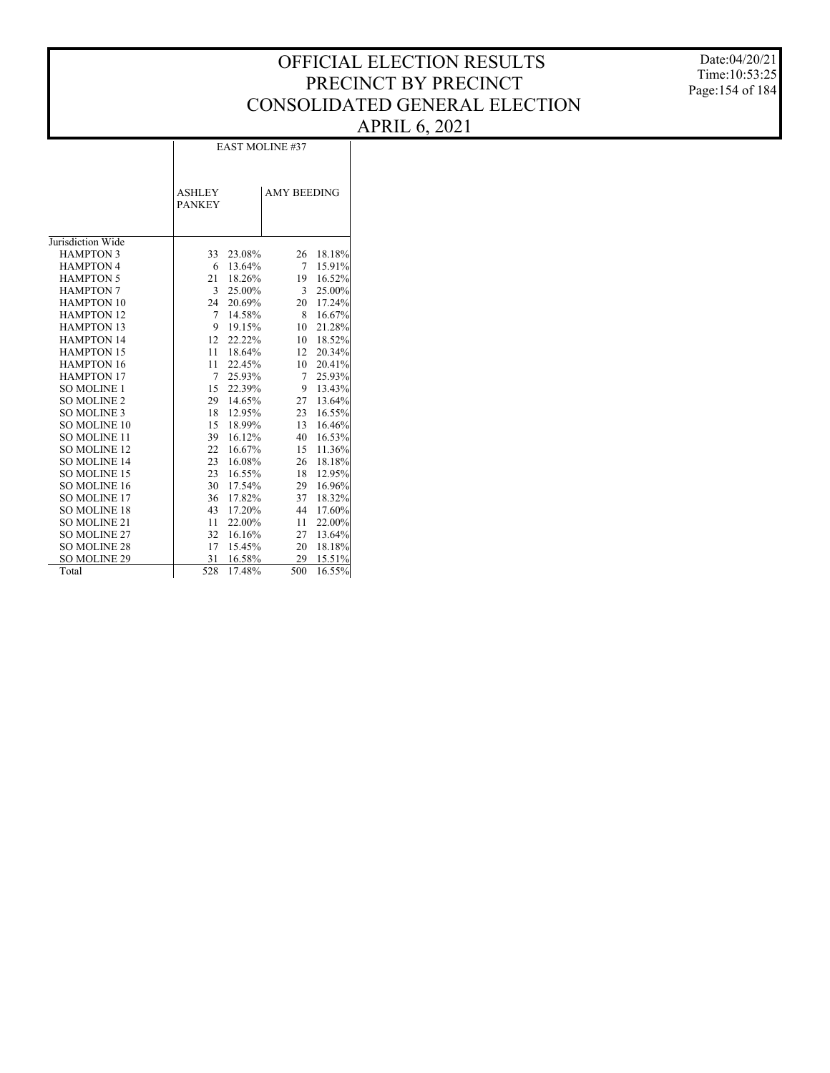Date:04/20/21 Time:10:53:25 Page:154 of 184

|                     |                                |        | <b>EAST MOLINE #37</b> |        |
|---------------------|--------------------------------|--------|------------------------|--------|
|                     | <b>ASHLEY</b><br><b>PANKEY</b> |        | <b>AMY BEEDING</b>     |        |
| Jurisdiction Wide   |                                |        |                        |        |
| <b>HAMPTON 3</b>    | 33                             | 23.08% | 26                     | 18.18% |
| <b>HAMPTON 4</b>    | 6                              | 13.64% | 7                      | 15.91% |
| <b>HAMPTON 5</b>    | 21                             | 18.26% | 19                     | 16.52% |
| <b>HAMPTON 7</b>    | 3                              | 25.00% | 3                      | 25.00% |
| <b>HAMPTON 10</b>   | 24                             | 20.69% | 20                     | 17.24% |
| <b>HAMPTON 12</b>   | 7                              | 14.58% | 8                      | 16.67% |
| <b>HAMPTON 13</b>   | 9                              | 19.15% | 10                     | 21.28% |
| <b>HAMPTON 14</b>   | 12                             | 22.22% | 10                     | 18.52% |
| <b>HAMPTON 15</b>   | 11                             | 18.64% | 12                     | 20.34% |
| <b>HAMPTON 16</b>   | 11                             | 22.45% | 10                     | 20.41% |
| <b>HAMPTON 17</b>   | 7                              | 25.93% | 7                      | 25.93% |
| <b>SO MOLINE 1</b>  | 15                             | 22.39% | 9                      | 13.43% |
| <b>SO MOLINE 2</b>  | 29                             | 14.65% | 27                     | 13.64% |
| SO MOLINE 3         | 18                             | 12.95% | 23                     | 16.55% |
| <b>SO MOLINE 10</b> | 15                             | 18.99% | 13                     | 16.46% |
| <b>SO MOLINE 11</b> | 39                             | 16.12% | 40                     | 16.53% |
| <b>SO MOLINE 12</b> | 22                             | 16.67% | 15                     | 11.36% |
| <b>SO MOLINE 14</b> | 23                             | 16.08% | 26                     | 18.18% |
| SO MOLINE 15        | 23                             | 16.55% | 18                     | 12.95% |
| SO MOLINE 16        | 30                             | 17.54% | 29                     | 16.96% |
| <b>SO MOLINE 17</b> | 36                             | 17.82% | 37                     | 18.32% |
| <b>SO MOLINE 18</b> | 43                             | 17.20% | 44                     | 17.60% |
| SO MOLINE 21        | 11                             | 22.00% | 11                     | 22.00% |
| <b>SO MOLINE 27</b> | 32                             | 16.16% | 27                     | 13.64% |
| <b>SO MOLINE 28</b> | 17                             | 15.45% | 20                     | 18.18% |
| <b>SO MOLINE 29</b> | 31                             | 16.58% | 29                     | 15.51% |
| Total               | 528                            | 17.48% | 500                    | 16.55% |

 $\overline{\phantom{a}}$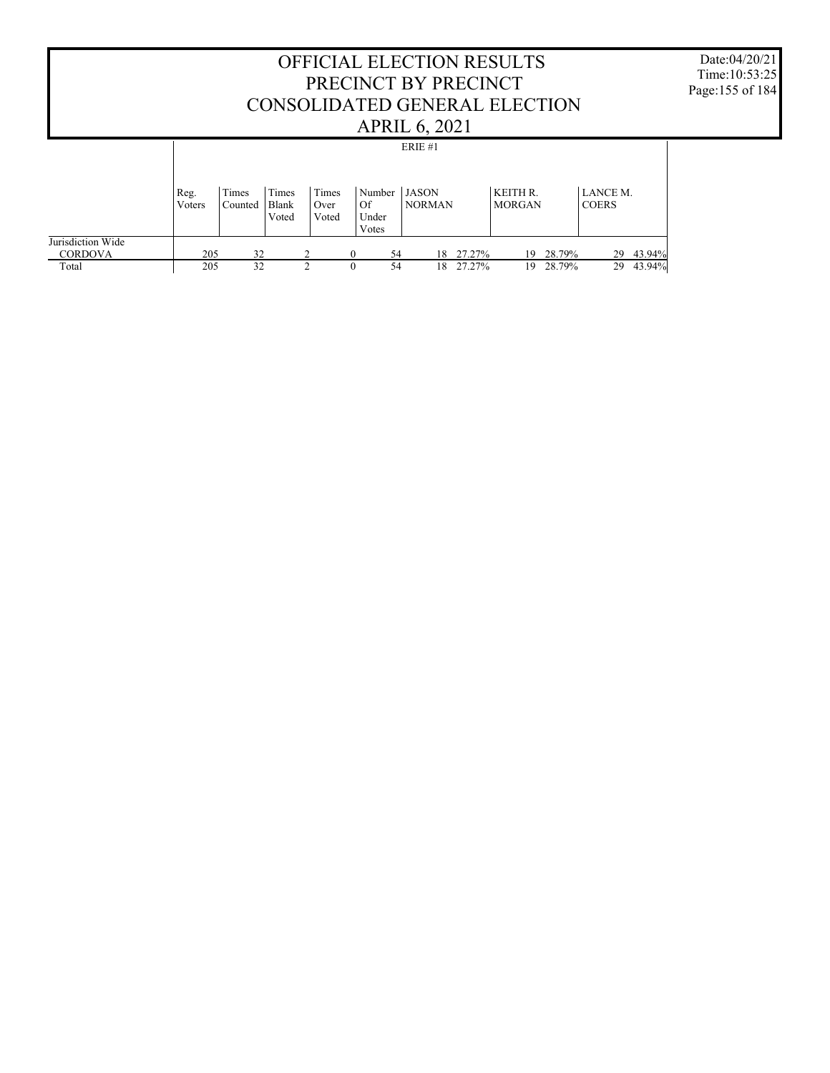#### OFFICIAL ELECTION RESULTS PRECINCT BY PRECINCT CONSOLIDATED GENERAL ELECTION APRIL 6, 2021 Date:04/20/21 Time:10:53:25 Page:155 of 184 Jurisdiction Wide **CORDOVA**  Total Reg. Voters Times Counted Times Blank Voted Times Over Voted Number JASON Of Under Votes NORMAN KEITH R. MORGAN LANCE M. COERS ERIE #1 205 32 2 0 54 18 27.27% 19 28.79% 29 43.94% 19 28.79%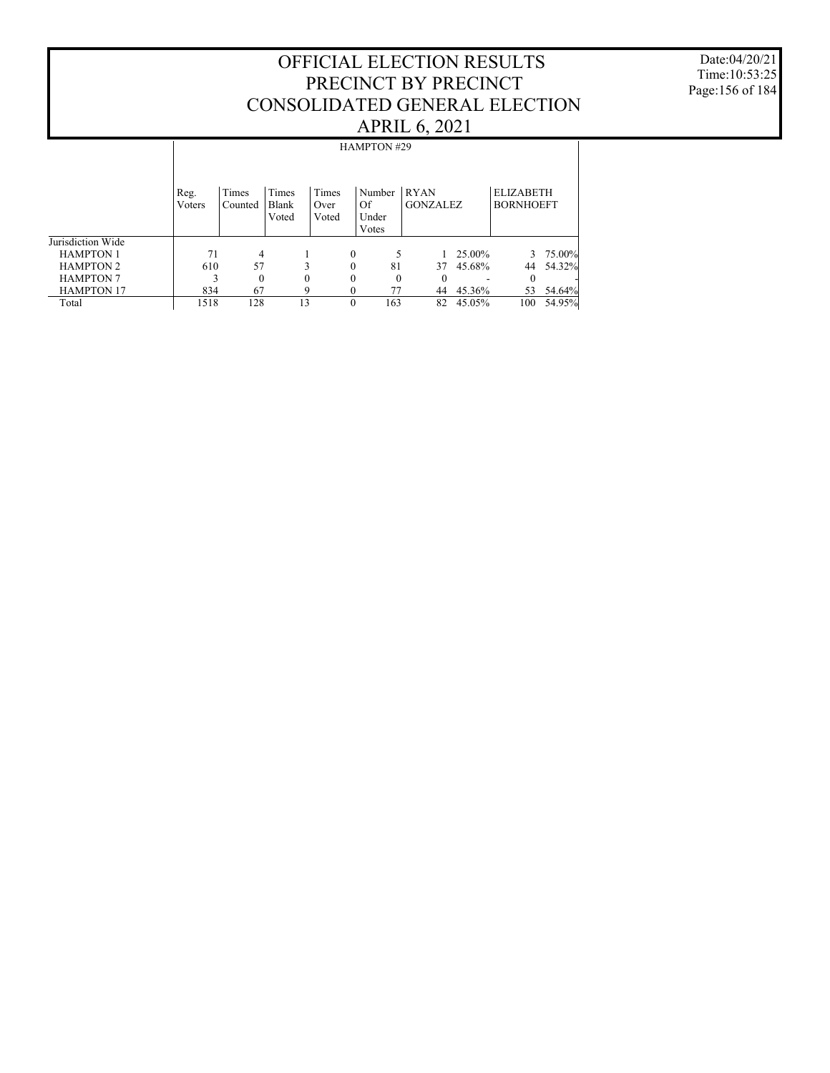Date:04/20/21 Time:10:53:25 Page:156 of 184

|                   |                |                  |                         |                        | <b>HAMPTON #29</b>             |                                |        |                                      |        |
|-------------------|----------------|------------------|-------------------------|------------------------|--------------------------------|--------------------------------|--------|--------------------------------------|--------|
|                   | Reg.<br>Voters | Times<br>Counted | Times<br>Blank<br>Voted | Times<br>Over<br>Voted | Number<br>Of<br>Under<br>Votes | <b>RYAN</b><br><b>GONZALEZ</b> |        | <b>ELIZABETH</b><br><b>BORNHOEFT</b> |        |
| Jurisdiction Wide |                |                  |                         |                        |                                |                                |        |                                      |        |
| <b>HAMPTON 1</b>  | 71             | 4                |                         | $\theta$               |                                |                                | 25.00% | 3                                    | 75.00% |
|                   |                |                  |                         |                        |                                |                                |        |                                      |        |
| <b>HAMPTON 2</b>  | 610            | 57               | 3                       | $\theta$               | 81                             | 37                             | 45.68% | 44                                   | 54.32% |
| <b>HAMPTON 7</b>  |                | $\Omega$         | $\theta$                | $\theta$               | $\Omega$                       | $\Omega$                       |        | 0                                    |        |
| <b>HAMPTON 17</b> | 834            | 67               | 9                       | $\Omega$               | 77                             | 44                             | 45.36% | 53                                   | 54.64% |
| Total             | 1518           | 128              | 13                      | $\theta$               | 163                            | 82                             | 45.05% | 100                                  | 54.95% |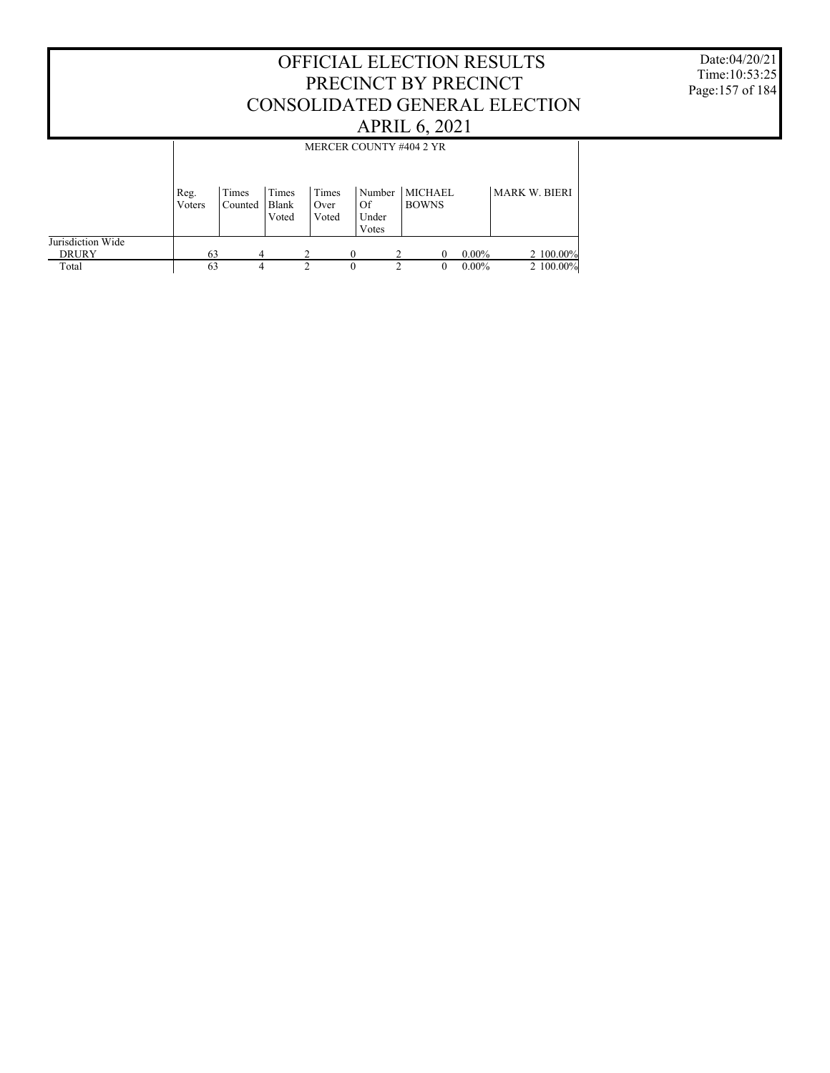#### OFFICIAL ELECTION RESULTS PRECINCT BY PRECINCT CONSOLIDATED GENERAL ELECTION APRIL 6, 2021 Jurisdiction Wide **DRURY**  Total Reg. Voters Times Counted Times Blank Voted Times Over Voted Number MICHAEL Of Under Votes BOWNS MARK W. BIERI MERCER COUNTY #404 2 YR  $\begin{array}{cccccccc} 63 & 4 & 2 & 0 & 2 & 0 & 0.00\% \\ 63 & 4 & 2 & 0 & 2 & 0 & 0.00\% \\ \end{array} \hspace{1cm} \begin{array}{c} 2 & 100.00\% & 2 & 100.00\% \\ 2 & 0 & 0.00\% & 2 & 100.00\% \end{array}$ 2 100.00%

Date:04/20/21 Time:10:53:25 Page:157 of 184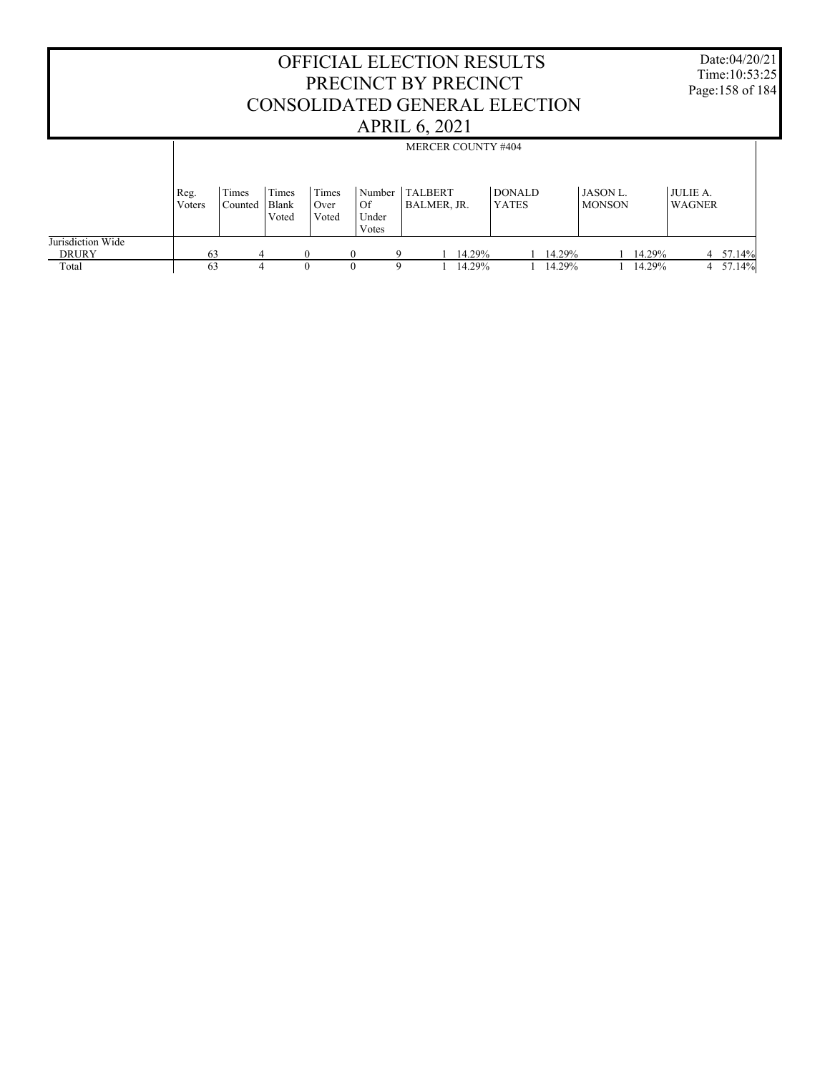|                                   |                |                  |                                |                        |                                | <b>OFFICIAL ELECTION RESULTS</b><br>PRECINCT BY PRECINCT<br>CONSOLIDATED GENERAL ELECTION<br><b>APRIL 6, 2021</b> |        |                               |        |                                 |        |                                  | Date:04/20/21<br>Time: 10:53:25<br>Page:158 of 184 |
|-----------------------------------|----------------|------------------|--------------------------------|------------------------|--------------------------------|-------------------------------------------------------------------------------------------------------------------|--------|-------------------------------|--------|---------------------------------|--------|----------------------------------|----------------------------------------------------|
|                                   |                |                  |                                |                        |                                | <b>MERCER COUNTY #404</b>                                                                                         |        |                               |        |                                 |        |                                  |                                                    |
|                                   | Reg.<br>Voters | Times<br>Counted | Times<br><b>Blank</b><br>Voted | Times<br>Over<br>Voted | Number<br>Of<br>Under<br>Votes | <b>TALBERT</b><br>BALMER, JR.                                                                                     |        | <b>DONALD</b><br><b>YATES</b> |        | <b>JASON L</b><br><b>MONSON</b> |        | <b>JULIE A.</b><br><b>WAGNER</b> |                                                    |
| Jurisdiction Wide<br><b>DRURY</b> | 63             |                  |                                | $\mathbf{0}$           | $\Omega$                       |                                                                                                                   | 14.29% |                               | 14.29% |                                 | 14.29% |                                  | 4 57.14%                                           |
| Total                             | 63             |                  |                                | $\Omega$               |                                | q                                                                                                                 | 14.29% |                               | 14.29% |                                 | 14.29% |                                  | 4 57.14%                                           |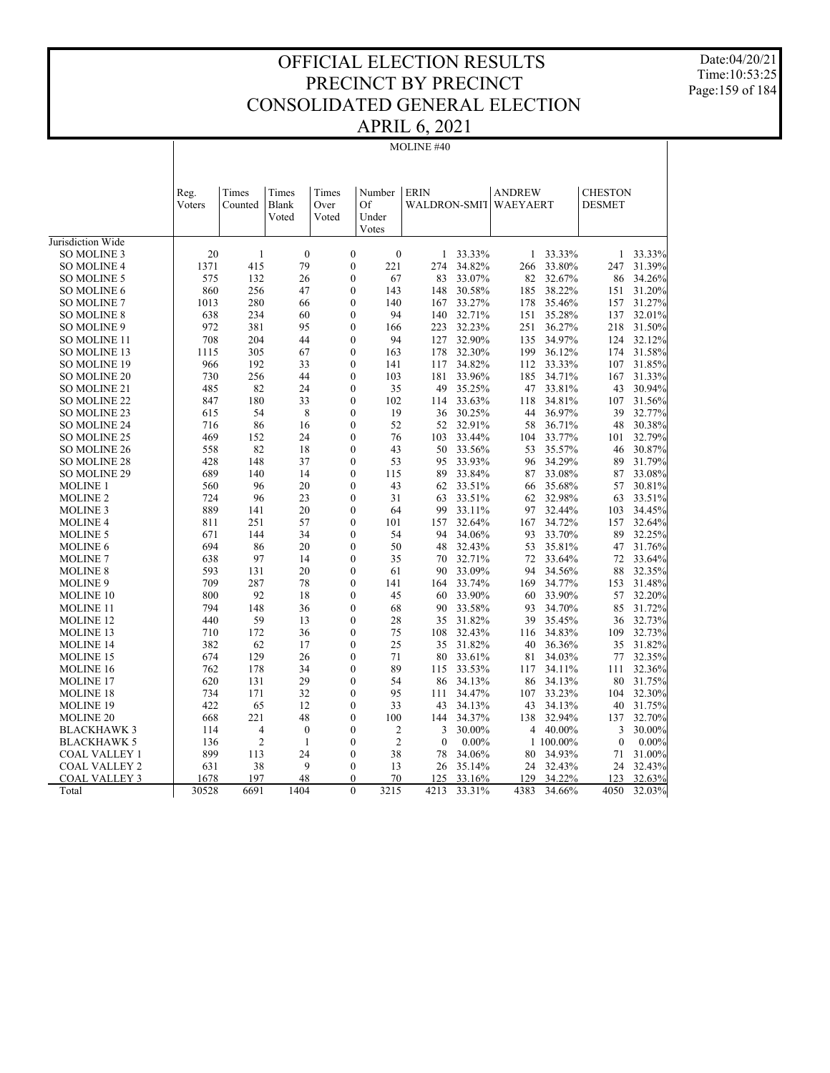Date:04/20/21 Time:10:53:25 Page:159 of 184

# APRIL 6, 2021

| 20<br>$\mathbf{1}$<br>$\mathbf{0}$<br>$\boldsymbol{0}$<br>$\boldsymbol{0}$<br>33.33%<br>33.33%<br>33.33%<br>SO MOLINE 3<br>$\mathbf{1}$<br>$\mathbf{1}$<br>1<br>1371<br>415<br>79<br>$\boldsymbol{0}$<br>221<br>34.82%<br>33.80%<br>31.39%<br><b>SO MOLINE 4</b><br>274<br>266<br>247<br>32.67%<br>575<br>132<br>26<br>$\overline{0}$<br>67<br>83<br>33.07%<br>82<br>86<br>34.26%<br><b>SO MOLINE 5</b><br>860<br>256<br>$\mathbf{0}$<br>38.22%<br>31.20%<br>SO MOLINE 6<br>47<br>143<br>148<br>30.58%<br>185<br>151<br>280<br>$\boldsymbol{0}$<br>33.27%<br>35.46%<br>31.27%<br><b>SO MOLINE 7</b><br>1013<br>66<br>140<br>167<br>178<br>157<br>234<br>$\overline{0}$<br>32.71%<br><b>SO MOLINE 8</b><br>638<br>60<br>94<br>140<br>151<br>35.28%<br>137<br>32.01%<br>972<br>381<br>95<br>$\overline{0}$<br>223<br>32.23%<br>251<br>36.27%<br>218<br>31.50%<br>SO MOLINE 9<br>166<br>204<br>44<br>34.97%<br><b>SO MOLINE 11</b><br>708<br>$\overline{0}$<br>94<br>127<br>32.90%<br>135<br>124<br>32.12%<br>305<br>67<br>32.30%<br>199<br>36.12%<br>31.58%<br>SO MOLINE 13<br>1115<br>0<br>163<br>178<br>174<br>192<br>33<br>SO MOLINE 19<br>966<br>$\boldsymbol{0}$<br>141<br>117<br>34.82%<br>112<br>33.33%<br>107<br>31.85%<br>730<br>256<br>44<br>$\overline{0}$<br>103<br>33.96%<br>34.71%<br>31.33%<br><b>SO MOLINE 20</b><br>181<br>185<br>167<br>485<br>82<br>24<br>$\boldsymbol{0}$<br>35<br>49<br>35.25%<br>33.81%<br>43<br>30.94%<br>47<br>SO MOLINE 21<br>847<br>180<br>33<br>$\boldsymbol{0}$<br>102<br>33.63%<br>34.81%<br>31.56%<br>118<br>107<br><b>SO MOLINE 22</b><br>114<br>8<br>19<br>36.97%<br>615<br>54<br>$\overline{0}$<br>36<br>30.25%<br>44<br>39<br>32.77%<br>SO MOLINE 23<br>716<br>86<br>16<br>$\boldsymbol{0}$<br>52<br>32.91%<br>36.71%<br>48<br>30.38%<br><b>SO MOLINE 24</b><br>52<br>58<br>$\boldsymbol{0}$<br>33.44%<br>33.77%<br>32.79%<br>SO MOLINE 25<br>469<br>152<br>24<br>76<br>103<br>104<br>101<br>82<br>$\overline{0}$<br>35.57%<br>558<br>18<br>50<br>33.56%<br>53<br>46<br>30.87%<br><b>SO MOLINE 26</b><br>43<br>34.29%<br>31.79%<br>148<br>37<br>$\overline{0}$<br>53<br>95<br>33.93%<br>89<br><b>SO MOLINE 28</b><br>428<br>96<br>689<br>140<br>14<br>$\boldsymbol{0}$<br>33.08%<br>33.08%<br>SO MOLINE 29<br>115<br>89<br>33.84%<br>87<br>87<br>560<br>96<br>20<br>$\overline{0}$<br>43<br>62<br>33.51%<br>35.68%<br>57<br>30.81%<br><b>MOLINE 1</b><br>66<br>96<br>23<br>$\boldsymbol{0}$<br>33.51%<br>32.98%<br>33.51%<br><b>MOLINE 2</b><br>724<br>31<br>63<br>62<br>63<br>32.44%<br>889<br>141<br>20<br>$\overline{0}$<br>64<br>99<br>33.11%<br>97<br>103<br>34.45%<br><b>MOLINE 3</b><br>57<br>$\boldsymbol{0}$<br>34.72%<br>32.64%<br><b>MOLINE 4</b><br>811<br>251<br>101<br>157<br>32.64%<br>167<br>157<br>671<br>34<br>33.70%<br>89<br>32.25%<br>144<br>$\boldsymbol{0}$<br>54<br>94<br>34.06%<br>93<br><b>MOLINE 5</b><br>86<br>20<br>35.81%<br>694<br>$\overline{0}$<br>50<br>48<br>32.43%<br>53<br>47<br>31.76%<br><b>MOLINE 6</b><br>638<br>97<br>14<br>$\mathbf{0}$<br>35<br>32.71%<br>72<br>33.64%<br>72<br>33.64%<br><b>MOLINE 7</b><br>70<br>593<br>131<br>20<br>$\overline{0}$<br>33.09%<br>94<br>34.56%<br>88<br>32.35%<br>61<br>90<br><b>MOLINE 8</b><br>287<br>34.77%<br>31.48%<br>709<br>78<br>$\overline{0}$<br>141<br>33.74%<br>169<br>153<br><b>MOLINE 9</b><br>164<br>33.90%<br>92<br>18<br>$\overline{0}$<br>33.90%<br>32.20%<br><b>MOLINE 10</b><br>800<br>45<br>60<br>60<br>57<br>148<br>36<br>$\boldsymbol{0}$<br>33.58%<br>34.70%<br>31.72%<br><b>MOLINE 11</b><br>794<br>68<br>90<br>93<br>85<br>59<br>35.45%<br>MOLINE <sub>12</sub><br>440<br>13<br>$\overline{0}$<br>28<br>35<br>31.82%<br>39<br>32.73%<br>36<br>710<br>172<br>36<br>$\overline{0}$<br>75<br>108<br>32.43%<br>34.83%<br>109<br>32.73%<br><b>MOLINE 13</b><br>116<br>382<br>36.36%<br>35<br>31.82%<br><b>MOLINE 14</b><br>62<br>17<br>$\boldsymbol{0}$<br>25<br>35<br>31.82%<br>40<br>674<br>129<br>26<br>$\overline{0}$<br>71<br>33.61%<br>34.03%<br>77<br>32.35%<br><b>MOLINE 15</b><br>80<br>81<br>89<br>762<br>178<br>34<br>$\boldsymbol{0}$<br>115<br>33.53%<br>34.11%<br>111<br>32.36%<br><b>MOLINE 16</b><br>117<br>29<br>620<br>131<br>$\overline{0}$<br>54<br>86<br>34.13%<br>34.13%<br>80<br>31.75%<br><b>MOLINE 17</b><br>86<br>734<br>171<br>32<br>$\boldsymbol{0}$<br>95<br>34.47%<br>33.23%<br>32.30%<br>111<br>107<br>104<br>MOLINE 18<br>422<br>65<br>12<br>$\mathbf{0}$<br>33<br>34.13%<br>40<br>31.75%<br><b>MOLINE 19</b><br>43<br>34.13%<br>43<br>48<br>100<br>32.94%<br>668<br>221<br>$\mathbf{0}$<br>34.37%<br>138<br>137<br>32.70%<br><b>MOLINE 20</b><br>144<br>$\overline{4}$<br>$\mathbf{0}$<br>$\overline{0}$<br>30.00%<br>4 40.00%<br>30.00%<br><b>BLACKHAWK3</b><br>114<br>2<br>3<br>3<br>$\overline{c}$<br>$\boldsymbol{0}$<br>$\overline{c}$<br>136<br>$\mathbf{1}$<br>$\mathbf{0}$<br>$0.00\%$<br>1 100.00%<br>$\mathbf{0}$<br>$0.00\%$<br><b>BLACKHAWK 5</b><br>899<br>113<br>24<br>$\overline{0}$<br>38<br>34.06%<br>34.93%<br>31.00%<br><b>COAL VALLEY 1</b><br>78<br>80<br>71<br>38<br>9<br>$\mathbf{0}$<br>35.14%<br>32.43%<br>24<br>32.43%<br><b>COAL VALLEY 2</b><br>631<br>13<br>26<br>24<br>197<br>48<br>33.16%<br>34.22%<br><b>COAL VALLEY 3</b><br>1678<br>$\theta$<br>70<br>125<br>129<br>123<br>32.63% |                   | Reg.<br>Voters | Times<br>Counted | Times<br>Blank<br>Voted | Times<br>Over<br>Voted | Number<br>Of<br>Under<br>Votes | <b>ERIN</b><br>WALDRON-SMIT |        | <b>ANDREW</b><br>WAEYAERT |        | <b>CHESTON</b><br><b>DESMET</b> |        |
|--------------------------------------------------------------------------------------------------------------------------------------------------------------------------------------------------------------------------------------------------------------------------------------------------------------------------------------------------------------------------------------------------------------------------------------------------------------------------------------------------------------------------------------------------------------------------------------------------------------------------------------------------------------------------------------------------------------------------------------------------------------------------------------------------------------------------------------------------------------------------------------------------------------------------------------------------------------------------------------------------------------------------------------------------------------------------------------------------------------------------------------------------------------------------------------------------------------------------------------------------------------------------------------------------------------------------------------------------------------------------------------------------------------------------------------------------------------------------------------------------------------------------------------------------------------------------------------------------------------------------------------------------------------------------------------------------------------------------------------------------------------------------------------------------------------------------------------------------------------------------------------------------------------------------------------------------------------------------------------------------------------------------------------------------------------------------------------------------------------------------------------------------------------------------------------------------------------------------------------------------------------------------------------------------------------------------------------------------------------------------------------------------------------------------------------------------------------------------------------------------------------------------------------------------------------------------------------------------------------------------------------------------------------------------------------------------------------------------------------------------------------------------------------------------------------------------------------------------------------------------------------------------------------------------------------------------------------------------------------------------------------------------------------------------------------------------------------------------------------------------------------------------------------------------------------------------------------------------------------------------------------------------------------------------------------------------------------------------------------------------------------------------------------------------------------------------------------------------------------------------------------------------------------------------------------------------------------------------------------------------------------------------------------------------------------------------------------------------------------------------------------------------------------------------------------------------------------------------------------------------------------------------------------------------------------------------------------------------------------------------------------------------------------------------------------------------------------------------------------------------------------------------------------------------------------------------------------------------------------------------------------------------------------------------------------------------------------------------------------------------------------------------------------------------------------------------------------------------------------------------------------------------------------------------------------------------------------------------------------------------------------------------------------------------------------------------------------------------------------------------------------------------------------------------------------------------------------------------------------------------------------------------------------------------------------------------------------------------------------------------------------------------------------------------------------------------------------------------------------------------------------------------------------------------------------------------------------------------------------------------------------------------------------------------------|-------------------|----------------|------------------|-------------------------|------------------------|--------------------------------|-----------------------------|--------|---------------------------|--------|---------------------------------|--------|
|                                                                                                                                                                                                                                                                                                                                                                                                                                                                                                                                                                                                                                                                                                                                                                                                                                                                                                                                                                                                                                                                                                                                                                                                                                                                                                                                                                                                                                                                                                                                                                                                                                                                                                                                                                                                                                                                                                                                                                                                                                                                                                                                                                                                                                                                                                                                                                                                                                                                                                                                                                                                                                                                                                                                                                                                                                                                                                                                                                                                                                                                                                                                                                                                                                                                                                                                                                                                                                                                                                                                                                                                                                                                                                                                                                                                                                                                                                                                                                                                                                                                                                                                                                                                                                                                                                                                                                                                                                                                                                                                                                                                                                                                                                                                                                                                                                                                                                                                                                                                                                                                                                                                                                                                                                                                                                        | Jurisdiction Wide |                |                  |                         |                        |                                |                             |        |                           |        |                                 |        |
|                                                                                                                                                                                                                                                                                                                                                                                                                                                                                                                                                                                                                                                                                                                                                                                                                                                                                                                                                                                                                                                                                                                                                                                                                                                                                                                                                                                                                                                                                                                                                                                                                                                                                                                                                                                                                                                                                                                                                                                                                                                                                                                                                                                                                                                                                                                                                                                                                                                                                                                                                                                                                                                                                                                                                                                                                                                                                                                                                                                                                                                                                                                                                                                                                                                                                                                                                                                                                                                                                                                                                                                                                                                                                                                                                                                                                                                                                                                                                                                                                                                                                                                                                                                                                                                                                                                                                                                                                                                                                                                                                                                                                                                                                                                                                                                                                                                                                                                                                                                                                                                                                                                                                                                                                                                                                                        |                   |                |                  |                         |                        |                                |                             |        |                           |        |                                 |        |
|                                                                                                                                                                                                                                                                                                                                                                                                                                                                                                                                                                                                                                                                                                                                                                                                                                                                                                                                                                                                                                                                                                                                                                                                                                                                                                                                                                                                                                                                                                                                                                                                                                                                                                                                                                                                                                                                                                                                                                                                                                                                                                                                                                                                                                                                                                                                                                                                                                                                                                                                                                                                                                                                                                                                                                                                                                                                                                                                                                                                                                                                                                                                                                                                                                                                                                                                                                                                                                                                                                                                                                                                                                                                                                                                                                                                                                                                                                                                                                                                                                                                                                                                                                                                                                                                                                                                                                                                                                                                                                                                                                                                                                                                                                                                                                                                                                                                                                                                                                                                                                                                                                                                                                                                                                                                                                        |                   |                |                  |                         |                        |                                |                             |        |                           |        |                                 |        |
|                                                                                                                                                                                                                                                                                                                                                                                                                                                                                                                                                                                                                                                                                                                                                                                                                                                                                                                                                                                                                                                                                                                                                                                                                                                                                                                                                                                                                                                                                                                                                                                                                                                                                                                                                                                                                                                                                                                                                                                                                                                                                                                                                                                                                                                                                                                                                                                                                                                                                                                                                                                                                                                                                                                                                                                                                                                                                                                                                                                                                                                                                                                                                                                                                                                                                                                                                                                                                                                                                                                                                                                                                                                                                                                                                                                                                                                                                                                                                                                                                                                                                                                                                                                                                                                                                                                                                                                                                                                                                                                                                                                                                                                                                                                                                                                                                                                                                                                                                                                                                                                                                                                                                                                                                                                                                                        |                   |                |                  |                         |                        |                                |                             |        |                           |        |                                 |        |
|                                                                                                                                                                                                                                                                                                                                                                                                                                                                                                                                                                                                                                                                                                                                                                                                                                                                                                                                                                                                                                                                                                                                                                                                                                                                                                                                                                                                                                                                                                                                                                                                                                                                                                                                                                                                                                                                                                                                                                                                                                                                                                                                                                                                                                                                                                                                                                                                                                                                                                                                                                                                                                                                                                                                                                                                                                                                                                                                                                                                                                                                                                                                                                                                                                                                                                                                                                                                                                                                                                                                                                                                                                                                                                                                                                                                                                                                                                                                                                                                                                                                                                                                                                                                                                                                                                                                                                                                                                                                                                                                                                                                                                                                                                                                                                                                                                                                                                                                                                                                                                                                                                                                                                                                                                                                                                        |                   |                |                  |                         |                        |                                |                             |        |                           |        |                                 |        |
|                                                                                                                                                                                                                                                                                                                                                                                                                                                                                                                                                                                                                                                                                                                                                                                                                                                                                                                                                                                                                                                                                                                                                                                                                                                                                                                                                                                                                                                                                                                                                                                                                                                                                                                                                                                                                                                                                                                                                                                                                                                                                                                                                                                                                                                                                                                                                                                                                                                                                                                                                                                                                                                                                                                                                                                                                                                                                                                                                                                                                                                                                                                                                                                                                                                                                                                                                                                                                                                                                                                                                                                                                                                                                                                                                                                                                                                                                                                                                                                                                                                                                                                                                                                                                                                                                                                                                                                                                                                                                                                                                                                                                                                                                                                                                                                                                                                                                                                                                                                                                                                                                                                                                                                                                                                                                                        |                   |                |                  |                         |                        |                                |                             |        |                           |        |                                 |        |
|                                                                                                                                                                                                                                                                                                                                                                                                                                                                                                                                                                                                                                                                                                                                                                                                                                                                                                                                                                                                                                                                                                                                                                                                                                                                                                                                                                                                                                                                                                                                                                                                                                                                                                                                                                                                                                                                                                                                                                                                                                                                                                                                                                                                                                                                                                                                                                                                                                                                                                                                                                                                                                                                                                                                                                                                                                                                                                                                                                                                                                                                                                                                                                                                                                                                                                                                                                                                                                                                                                                                                                                                                                                                                                                                                                                                                                                                                                                                                                                                                                                                                                                                                                                                                                                                                                                                                                                                                                                                                                                                                                                                                                                                                                                                                                                                                                                                                                                                                                                                                                                                                                                                                                                                                                                                                                        |                   |                |                  |                         |                        |                                |                             |        |                           |        |                                 |        |
|                                                                                                                                                                                                                                                                                                                                                                                                                                                                                                                                                                                                                                                                                                                                                                                                                                                                                                                                                                                                                                                                                                                                                                                                                                                                                                                                                                                                                                                                                                                                                                                                                                                                                                                                                                                                                                                                                                                                                                                                                                                                                                                                                                                                                                                                                                                                                                                                                                                                                                                                                                                                                                                                                                                                                                                                                                                                                                                                                                                                                                                                                                                                                                                                                                                                                                                                                                                                                                                                                                                                                                                                                                                                                                                                                                                                                                                                                                                                                                                                                                                                                                                                                                                                                                                                                                                                                                                                                                                                                                                                                                                                                                                                                                                                                                                                                                                                                                                                                                                                                                                                                                                                                                                                                                                                                                        |                   |                |                  |                         |                        |                                |                             |        |                           |        |                                 |        |
|                                                                                                                                                                                                                                                                                                                                                                                                                                                                                                                                                                                                                                                                                                                                                                                                                                                                                                                                                                                                                                                                                                                                                                                                                                                                                                                                                                                                                                                                                                                                                                                                                                                                                                                                                                                                                                                                                                                                                                                                                                                                                                                                                                                                                                                                                                                                                                                                                                                                                                                                                                                                                                                                                                                                                                                                                                                                                                                                                                                                                                                                                                                                                                                                                                                                                                                                                                                                                                                                                                                                                                                                                                                                                                                                                                                                                                                                                                                                                                                                                                                                                                                                                                                                                                                                                                                                                                                                                                                                                                                                                                                                                                                                                                                                                                                                                                                                                                                                                                                                                                                                                                                                                                                                                                                                                                        |                   |                |                  |                         |                        |                                |                             |        |                           |        |                                 |        |
|                                                                                                                                                                                                                                                                                                                                                                                                                                                                                                                                                                                                                                                                                                                                                                                                                                                                                                                                                                                                                                                                                                                                                                                                                                                                                                                                                                                                                                                                                                                                                                                                                                                                                                                                                                                                                                                                                                                                                                                                                                                                                                                                                                                                                                                                                                                                                                                                                                                                                                                                                                                                                                                                                                                                                                                                                                                                                                                                                                                                                                                                                                                                                                                                                                                                                                                                                                                                                                                                                                                                                                                                                                                                                                                                                                                                                                                                                                                                                                                                                                                                                                                                                                                                                                                                                                                                                                                                                                                                                                                                                                                                                                                                                                                                                                                                                                                                                                                                                                                                                                                                                                                                                                                                                                                                                                        |                   |                |                  |                         |                        |                                |                             |        |                           |        |                                 |        |
|                                                                                                                                                                                                                                                                                                                                                                                                                                                                                                                                                                                                                                                                                                                                                                                                                                                                                                                                                                                                                                                                                                                                                                                                                                                                                                                                                                                                                                                                                                                                                                                                                                                                                                                                                                                                                                                                                                                                                                                                                                                                                                                                                                                                                                                                                                                                                                                                                                                                                                                                                                                                                                                                                                                                                                                                                                                                                                                                                                                                                                                                                                                                                                                                                                                                                                                                                                                                                                                                                                                                                                                                                                                                                                                                                                                                                                                                                                                                                                                                                                                                                                                                                                                                                                                                                                                                                                                                                                                                                                                                                                                                                                                                                                                                                                                                                                                                                                                                                                                                                                                                                                                                                                                                                                                                                                        |                   |                |                  |                         |                        |                                |                             |        |                           |        |                                 |        |
|                                                                                                                                                                                                                                                                                                                                                                                                                                                                                                                                                                                                                                                                                                                                                                                                                                                                                                                                                                                                                                                                                                                                                                                                                                                                                                                                                                                                                                                                                                                                                                                                                                                                                                                                                                                                                                                                                                                                                                                                                                                                                                                                                                                                                                                                                                                                                                                                                                                                                                                                                                                                                                                                                                                                                                                                                                                                                                                                                                                                                                                                                                                                                                                                                                                                                                                                                                                                                                                                                                                                                                                                                                                                                                                                                                                                                                                                                                                                                                                                                                                                                                                                                                                                                                                                                                                                                                                                                                                                                                                                                                                                                                                                                                                                                                                                                                                                                                                                                                                                                                                                                                                                                                                                                                                                                                        |                   |                |                  |                         |                        |                                |                             |        |                           |        |                                 |        |
|                                                                                                                                                                                                                                                                                                                                                                                                                                                                                                                                                                                                                                                                                                                                                                                                                                                                                                                                                                                                                                                                                                                                                                                                                                                                                                                                                                                                                                                                                                                                                                                                                                                                                                                                                                                                                                                                                                                                                                                                                                                                                                                                                                                                                                                                                                                                                                                                                                                                                                                                                                                                                                                                                                                                                                                                                                                                                                                                                                                                                                                                                                                                                                                                                                                                                                                                                                                                                                                                                                                                                                                                                                                                                                                                                                                                                                                                                                                                                                                                                                                                                                                                                                                                                                                                                                                                                                                                                                                                                                                                                                                                                                                                                                                                                                                                                                                                                                                                                                                                                                                                                                                                                                                                                                                                                                        |                   |                |                  |                         |                        |                                |                             |        |                           |        |                                 |        |
|                                                                                                                                                                                                                                                                                                                                                                                                                                                                                                                                                                                                                                                                                                                                                                                                                                                                                                                                                                                                                                                                                                                                                                                                                                                                                                                                                                                                                                                                                                                                                                                                                                                                                                                                                                                                                                                                                                                                                                                                                                                                                                                                                                                                                                                                                                                                                                                                                                                                                                                                                                                                                                                                                                                                                                                                                                                                                                                                                                                                                                                                                                                                                                                                                                                                                                                                                                                                                                                                                                                                                                                                                                                                                                                                                                                                                                                                                                                                                                                                                                                                                                                                                                                                                                                                                                                                                                                                                                                                                                                                                                                                                                                                                                                                                                                                                                                                                                                                                                                                                                                                                                                                                                                                                                                                                                        |                   |                |                  |                         |                        |                                |                             |        |                           |        |                                 |        |
|                                                                                                                                                                                                                                                                                                                                                                                                                                                                                                                                                                                                                                                                                                                                                                                                                                                                                                                                                                                                                                                                                                                                                                                                                                                                                                                                                                                                                                                                                                                                                                                                                                                                                                                                                                                                                                                                                                                                                                                                                                                                                                                                                                                                                                                                                                                                                                                                                                                                                                                                                                                                                                                                                                                                                                                                                                                                                                                                                                                                                                                                                                                                                                                                                                                                                                                                                                                                                                                                                                                                                                                                                                                                                                                                                                                                                                                                                                                                                                                                                                                                                                                                                                                                                                                                                                                                                                                                                                                                                                                                                                                                                                                                                                                                                                                                                                                                                                                                                                                                                                                                                                                                                                                                                                                                                                        |                   |                |                  |                         |                        |                                |                             |        |                           |        |                                 |        |
|                                                                                                                                                                                                                                                                                                                                                                                                                                                                                                                                                                                                                                                                                                                                                                                                                                                                                                                                                                                                                                                                                                                                                                                                                                                                                                                                                                                                                                                                                                                                                                                                                                                                                                                                                                                                                                                                                                                                                                                                                                                                                                                                                                                                                                                                                                                                                                                                                                                                                                                                                                                                                                                                                                                                                                                                                                                                                                                                                                                                                                                                                                                                                                                                                                                                                                                                                                                                                                                                                                                                                                                                                                                                                                                                                                                                                                                                                                                                                                                                                                                                                                                                                                                                                                                                                                                                                                                                                                                                                                                                                                                                                                                                                                                                                                                                                                                                                                                                                                                                                                                                                                                                                                                                                                                                                                        |                   |                |                  |                         |                        |                                |                             |        |                           |        |                                 |        |
|                                                                                                                                                                                                                                                                                                                                                                                                                                                                                                                                                                                                                                                                                                                                                                                                                                                                                                                                                                                                                                                                                                                                                                                                                                                                                                                                                                                                                                                                                                                                                                                                                                                                                                                                                                                                                                                                                                                                                                                                                                                                                                                                                                                                                                                                                                                                                                                                                                                                                                                                                                                                                                                                                                                                                                                                                                                                                                                                                                                                                                                                                                                                                                                                                                                                                                                                                                                                                                                                                                                                                                                                                                                                                                                                                                                                                                                                                                                                                                                                                                                                                                                                                                                                                                                                                                                                                                                                                                                                                                                                                                                                                                                                                                                                                                                                                                                                                                                                                                                                                                                                                                                                                                                                                                                                                                        |                   |                |                  |                         |                        |                                |                             |        |                           |        |                                 |        |
|                                                                                                                                                                                                                                                                                                                                                                                                                                                                                                                                                                                                                                                                                                                                                                                                                                                                                                                                                                                                                                                                                                                                                                                                                                                                                                                                                                                                                                                                                                                                                                                                                                                                                                                                                                                                                                                                                                                                                                                                                                                                                                                                                                                                                                                                                                                                                                                                                                                                                                                                                                                                                                                                                                                                                                                                                                                                                                                                                                                                                                                                                                                                                                                                                                                                                                                                                                                                                                                                                                                                                                                                                                                                                                                                                                                                                                                                                                                                                                                                                                                                                                                                                                                                                                                                                                                                                                                                                                                                                                                                                                                                                                                                                                                                                                                                                                                                                                                                                                                                                                                                                                                                                                                                                                                                                                        |                   |                |                  |                         |                        |                                |                             |        |                           |        |                                 |        |
|                                                                                                                                                                                                                                                                                                                                                                                                                                                                                                                                                                                                                                                                                                                                                                                                                                                                                                                                                                                                                                                                                                                                                                                                                                                                                                                                                                                                                                                                                                                                                                                                                                                                                                                                                                                                                                                                                                                                                                                                                                                                                                                                                                                                                                                                                                                                                                                                                                                                                                                                                                                                                                                                                                                                                                                                                                                                                                                                                                                                                                                                                                                                                                                                                                                                                                                                                                                                                                                                                                                                                                                                                                                                                                                                                                                                                                                                                                                                                                                                                                                                                                                                                                                                                                                                                                                                                                                                                                                                                                                                                                                                                                                                                                                                                                                                                                                                                                                                                                                                                                                                                                                                                                                                                                                                                                        |                   |                |                  |                         |                        |                                |                             |        |                           |        |                                 |        |
|                                                                                                                                                                                                                                                                                                                                                                                                                                                                                                                                                                                                                                                                                                                                                                                                                                                                                                                                                                                                                                                                                                                                                                                                                                                                                                                                                                                                                                                                                                                                                                                                                                                                                                                                                                                                                                                                                                                                                                                                                                                                                                                                                                                                                                                                                                                                                                                                                                                                                                                                                                                                                                                                                                                                                                                                                                                                                                                                                                                                                                                                                                                                                                                                                                                                                                                                                                                                                                                                                                                                                                                                                                                                                                                                                                                                                                                                                                                                                                                                                                                                                                                                                                                                                                                                                                                                                                                                                                                                                                                                                                                                                                                                                                                                                                                                                                                                                                                                                                                                                                                                                                                                                                                                                                                                                                        |                   |                |                  |                         |                        |                                |                             |        |                           |        |                                 |        |
|                                                                                                                                                                                                                                                                                                                                                                                                                                                                                                                                                                                                                                                                                                                                                                                                                                                                                                                                                                                                                                                                                                                                                                                                                                                                                                                                                                                                                                                                                                                                                                                                                                                                                                                                                                                                                                                                                                                                                                                                                                                                                                                                                                                                                                                                                                                                                                                                                                                                                                                                                                                                                                                                                                                                                                                                                                                                                                                                                                                                                                                                                                                                                                                                                                                                                                                                                                                                                                                                                                                                                                                                                                                                                                                                                                                                                                                                                                                                                                                                                                                                                                                                                                                                                                                                                                                                                                                                                                                                                                                                                                                                                                                                                                                                                                                                                                                                                                                                                                                                                                                                                                                                                                                                                                                                                                        |                   |                |                  |                         |                        |                                |                             |        |                           |        |                                 |        |
|                                                                                                                                                                                                                                                                                                                                                                                                                                                                                                                                                                                                                                                                                                                                                                                                                                                                                                                                                                                                                                                                                                                                                                                                                                                                                                                                                                                                                                                                                                                                                                                                                                                                                                                                                                                                                                                                                                                                                                                                                                                                                                                                                                                                                                                                                                                                                                                                                                                                                                                                                                                                                                                                                                                                                                                                                                                                                                                                                                                                                                                                                                                                                                                                                                                                                                                                                                                                                                                                                                                                                                                                                                                                                                                                                                                                                                                                                                                                                                                                                                                                                                                                                                                                                                                                                                                                                                                                                                                                                                                                                                                                                                                                                                                                                                                                                                                                                                                                                                                                                                                                                                                                                                                                                                                                                                        |                   |                |                  |                         |                        |                                |                             |        |                           |        |                                 |        |
|                                                                                                                                                                                                                                                                                                                                                                                                                                                                                                                                                                                                                                                                                                                                                                                                                                                                                                                                                                                                                                                                                                                                                                                                                                                                                                                                                                                                                                                                                                                                                                                                                                                                                                                                                                                                                                                                                                                                                                                                                                                                                                                                                                                                                                                                                                                                                                                                                                                                                                                                                                                                                                                                                                                                                                                                                                                                                                                                                                                                                                                                                                                                                                                                                                                                                                                                                                                                                                                                                                                                                                                                                                                                                                                                                                                                                                                                                                                                                                                                                                                                                                                                                                                                                                                                                                                                                                                                                                                                                                                                                                                                                                                                                                                                                                                                                                                                                                                                                                                                                                                                                                                                                                                                                                                                                                        |                   |                |                  |                         |                        |                                |                             |        |                           |        |                                 |        |
|                                                                                                                                                                                                                                                                                                                                                                                                                                                                                                                                                                                                                                                                                                                                                                                                                                                                                                                                                                                                                                                                                                                                                                                                                                                                                                                                                                                                                                                                                                                                                                                                                                                                                                                                                                                                                                                                                                                                                                                                                                                                                                                                                                                                                                                                                                                                                                                                                                                                                                                                                                                                                                                                                                                                                                                                                                                                                                                                                                                                                                                                                                                                                                                                                                                                                                                                                                                                                                                                                                                                                                                                                                                                                                                                                                                                                                                                                                                                                                                                                                                                                                                                                                                                                                                                                                                                                                                                                                                                                                                                                                                                                                                                                                                                                                                                                                                                                                                                                                                                                                                                                                                                                                                                                                                                                                        |                   |                |                  |                         |                        |                                |                             |        |                           |        |                                 |        |
|                                                                                                                                                                                                                                                                                                                                                                                                                                                                                                                                                                                                                                                                                                                                                                                                                                                                                                                                                                                                                                                                                                                                                                                                                                                                                                                                                                                                                                                                                                                                                                                                                                                                                                                                                                                                                                                                                                                                                                                                                                                                                                                                                                                                                                                                                                                                                                                                                                                                                                                                                                                                                                                                                                                                                                                                                                                                                                                                                                                                                                                                                                                                                                                                                                                                                                                                                                                                                                                                                                                                                                                                                                                                                                                                                                                                                                                                                                                                                                                                                                                                                                                                                                                                                                                                                                                                                                                                                                                                                                                                                                                                                                                                                                                                                                                                                                                                                                                                                                                                                                                                                                                                                                                                                                                                                                        |                   |                |                  |                         |                        |                                |                             |        |                           |        |                                 |        |
|                                                                                                                                                                                                                                                                                                                                                                                                                                                                                                                                                                                                                                                                                                                                                                                                                                                                                                                                                                                                                                                                                                                                                                                                                                                                                                                                                                                                                                                                                                                                                                                                                                                                                                                                                                                                                                                                                                                                                                                                                                                                                                                                                                                                                                                                                                                                                                                                                                                                                                                                                                                                                                                                                                                                                                                                                                                                                                                                                                                                                                                                                                                                                                                                                                                                                                                                                                                                                                                                                                                                                                                                                                                                                                                                                                                                                                                                                                                                                                                                                                                                                                                                                                                                                                                                                                                                                                                                                                                                                                                                                                                                                                                                                                                                                                                                                                                                                                                                                                                                                                                                                                                                                                                                                                                                                                        |                   |                |                  |                         |                        |                                |                             |        |                           |        |                                 |        |
|                                                                                                                                                                                                                                                                                                                                                                                                                                                                                                                                                                                                                                                                                                                                                                                                                                                                                                                                                                                                                                                                                                                                                                                                                                                                                                                                                                                                                                                                                                                                                                                                                                                                                                                                                                                                                                                                                                                                                                                                                                                                                                                                                                                                                                                                                                                                                                                                                                                                                                                                                                                                                                                                                                                                                                                                                                                                                                                                                                                                                                                                                                                                                                                                                                                                                                                                                                                                                                                                                                                                                                                                                                                                                                                                                                                                                                                                                                                                                                                                                                                                                                                                                                                                                                                                                                                                                                                                                                                                                                                                                                                                                                                                                                                                                                                                                                                                                                                                                                                                                                                                                                                                                                                                                                                                                                        |                   |                |                  |                         |                        |                                |                             |        |                           |        |                                 |        |
|                                                                                                                                                                                                                                                                                                                                                                                                                                                                                                                                                                                                                                                                                                                                                                                                                                                                                                                                                                                                                                                                                                                                                                                                                                                                                                                                                                                                                                                                                                                                                                                                                                                                                                                                                                                                                                                                                                                                                                                                                                                                                                                                                                                                                                                                                                                                                                                                                                                                                                                                                                                                                                                                                                                                                                                                                                                                                                                                                                                                                                                                                                                                                                                                                                                                                                                                                                                                                                                                                                                                                                                                                                                                                                                                                                                                                                                                                                                                                                                                                                                                                                                                                                                                                                                                                                                                                                                                                                                                                                                                                                                                                                                                                                                                                                                                                                                                                                                                                                                                                                                                                                                                                                                                                                                                                                        |                   |                |                  |                         |                        |                                |                             |        |                           |        |                                 |        |
|                                                                                                                                                                                                                                                                                                                                                                                                                                                                                                                                                                                                                                                                                                                                                                                                                                                                                                                                                                                                                                                                                                                                                                                                                                                                                                                                                                                                                                                                                                                                                                                                                                                                                                                                                                                                                                                                                                                                                                                                                                                                                                                                                                                                                                                                                                                                                                                                                                                                                                                                                                                                                                                                                                                                                                                                                                                                                                                                                                                                                                                                                                                                                                                                                                                                                                                                                                                                                                                                                                                                                                                                                                                                                                                                                                                                                                                                                                                                                                                                                                                                                                                                                                                                                                                                                                                                                                                                                                                                                                                                                                                                                                                                                                                                                                                                                                                                                                                                                                                                                                                                                                                                                                                                                                                                                                        |                   |                |                  |                         |                        |                                |                             |        |                           |        |                                 |        |
|                                                                                                                                                                                                                                                                                                                                                                                                                                                                                                                                                                                                                                                                                                                                                                                                                                                                                                                                                                                                                                                                                                                                                                                                                                                                                                                                                                                                                                                                                                                                                                                                                                                                                                                                                                                                                                                                                                                                                                                                                                                                                                                                                                                                                                                                                                                                                                                                                                                                                                                                                                                                                                                                                                                                                                                                                                                                                                                                                                                                                                                                                                                                                                                                                                                                                                                                                                                                                                                                                                                                                                                                                                                                                                                                                                                                                                                                                                                                                                                                                                                                                                                                                                                                                                                                                                                                                                                                                                                                                                                                                                                                                                                                                                                                                                                                                                                                                                                                                                                                                                                                                                                                                                                                                                                                                                        |                   |                |                  |                         |                        |                                |                             |        |                           |        |                                 |        |
|                                                                                                                                                                                                                                                                                                                                                                                                                                                                                                                                                                                                                                                                                                                                                                                                                                                                                                                                                                                                                                                                                                                                                                                                                                                                                                                                                                                                                                                                                                                                                                                                                                                                                                                                                                                                                                                                                                                                                                                                                                                                                                                                                                                                                                                                                                                                                                                                                                                                                                                                                                                                                                                                                                                                                                                                                                                                                                                                                                                                                                                                                                                                                                                                                                                                                                                                                                                                                                                                                                                                                                                                                                                                                                                                                                                                                                                                                                                                                                                                                                                                                                                                                                                                                                                                                                                                                                                                                                                                                                                                                                                                                                                                                                                                                                                                                                                                                                                                                                                                                                                                                                                                                                                                                                                                                                        |                   |                |                  |                         |                        |                                |                             |        |                           |        |                                 |        |
|                                                                                                                                                                                                                                                                                                                                                                                                                                                                                                                                                                                                                                                                                                                                                                                                                                                                                                                                                                                                                                                                                                                                                                                                                                                                                                                                                                                                                                                                                                                                                                                                                                                                                                                                                                                                                                                                                                                                                                                                                                                                                                                                                                                                                                                                                                                                                                                                                                                                                                                                                                                                                                                                                                                                                                                                                                                                                                                                                                                                                                                                                                                                                                                                                                                                                                                                                                                                                                                                                                                                                                                                                                                                                                                                                                                                                                                                                                                                                                                                                                                                                                                                                                                                                                                                                                                                                                                                                                                                                                                                                                                                                                                                                                                                                                                                                                                                                                                                                                                                                                                                                                                                                                                                                                                                                                        |                   |                |                  |                         |                        |                                |                             |        |                           |        |                                 |        |
|                                                                                                                                                                                                                                                                                                                                                                                                                                                                                                                                                                                                                                                                                                                                                                                                                                                                                                                                                                                                                                                                                                                                                                                                                                                                                                                                                                                                                                                                                                                                                                                                                                                                                                                                                                                                                                                                                                                                                                                                                                                                                                                                                                                                                                                                                                                                                                                                                                                                                                                                                                                                                                                                                                                                                                                                                                                                                                                                                                                                                                                                                                                                                                                                                                                                                                                                                                                                                                                                                                                                                                                                                                                                                                                                                                                                                                                                                                                                                                                                                                                                                                                                                                                                                                                                                                                                                                                                                                                                                                                                                                                                                                                                                                                                                                                                                                                                                                                                                                                                                                                                                                                                                                                                                                                                                                        |                   |                |                  |                         |                        |                                |                             |        |                           |        |                                 |        |
|                                                                                                                                                                                                                                                                                                                                                                                                                                                                                                                                                                                                                                                                                                                                                                                                                                                                                                                                                                                                                                                                                                                                                                                                                                                                                                                                                                                                                                                                                                                                                                                                                                                                                                                                                                                                                                                                                                                                                                                                                                                                                                                                                                                                                                                                                                                                                                                                                                                                                                                                                                                                                                                                                                                                                                                                                                                                                                                                                                                                                                                                                                                                                                                                                                                                                                                                                                                                                                                                                                                                                                                                                                                                                                                                                                                                                                                                                                                                                                                                                                                                                                                                                                                                                                                                                                                                                                                                                                                                                                                                                                                                                                                                                                                                                                                                                                                                                                                                                                                                                                                                                                                                                                                                                                                                                                        |                   |                |                  |                         |                        |                                |                             |        |                           |        |                                 |        |
|                                                                                                                                                                                                                                                                                                                                                                                                                                                                                                                                                                                                                                                                                                                                                                                                                                                                                                                                                                                                                                                                                                                                                                                                                                                                                                                                                                                                                                                                                                                                                                                                                                                                                                                                                                                                                                                                                                                                                                                                                                                                                                                                                                                                                                                                                                                                                                                                                                                                                                                                                                                                                                                                                                                                                                                                                                                                                                                                                                                                                                                                                                                                                                                                                                                                                                                                                                                                                                                                                                                                                                                                                                                                                                                                                                                                                                                                                                                                                                                                                                                                                                                                                                                                                                                                                                                                                                                                                                                                                                                                                                                                                                                                                                                                                                                                                                                                                                                                                                                                                                                                                                                                                                                                                                                                                                        |                   |                |                  |                         |                        |                                |                             |        |                           |        |                                 |        |
|                                                                                                                                                                                                                                                                                                                                                                                                                                                                                                                                                                                                                                                                                                                                                                                                                                                                                                                                                                                                                                                                                                                                                                                                                                                                                                                                                                                                                                                                                                                                                                                                                                                                                                                                                                                                                                                                                                                                                                                                                                                                                                                                                                                                                                                                                                                                                                                                                                                                                                                                                                                                                                                                                                                                                                                                                                                                                                                                                                                                                                                                                                                                                                                                                                                                                                                                                                                                                                                                                                                                                                                                                                                                                                                                                                                                                                                                                                                                                                                                                                                                                                                                                                                                                                                                                                                                                                                                                                                                                                                                                                                                                                                                                                                                                                                                                                                                                                                                                                                                                                                                                                                                                                                                                                                                                                        |                   |                |                  |                         |                        |                                |                             |        |                           |        |                                 |        |
|                                                                                                                                                                                                                                                                                                                                                                                                                                                                                                                                                                                                                                                                                                                                                                                                                                                                                                                                                                                                                                                                                                                                                                                                                                                                                                                                                                                                                                                                                                                                                                                                                                                                                                                                                                                                                                                                                                                                                                                                                                                                                                                                                                                                                                                                                                                                                                                                                                                                                                                                                                                                                                                                                                                                                                                                                                                                                                                                                                                                                                                                                                                                                                                                                                                                                                                                                                                                                                                                                                                                                                                                                                                                                                                                                                                                                                                                                                                                                                                                                                                                                                                                                                                                                                                                                                                                                                                                                                                                                                                                                                                                                                                                                                                                                                                                                                                                                                                                                                                                                                                                                                                                                                                                                                                                                                        |                   |                |                  |                         |                        |                                |                             |        |                           |        |                                 |        |
|                                                                                                                                                                                                                                                                                                                                                                                                                                                                                                                                                                                                                                                                                                                                                                                                                                                                                                                                                                                                                                                                                                                                                                                                                                                                                                                                                                                                                                                                                                                                                                                                                                                                                                                                                                                                                                                                                                                                                                                                                                                                                                                                                                                                                                                                                                                                                                                                                                                                                                                                                                                                                                                                                                                                                                                                                                                                                                                                                                                                                                                                                                                                                                                                                                                                                                                                                                                                                                                                                                                                                                                                                                                                                                                                                                                                                                                                                                                                                                                                                                                                                                                                                                                                                                                                                                                                                                                                                                                                                                                                                                                                                                                                                                                                                                                                                                                                                                                                                                                                                                                                                                                                                                                                                                                                                                        |                   |                |                  |                         |                        |                                |                             |        |                           |        |                                 |        |
|                                                                                                                                                                                                                                                                                                                                                                                                                                                                                                                                                                                                                                                                                                                                                                                                                                                                                                                                                                                                                                                                                                                                                                                                                                                                                                                                                                                                                                                                                                                                                                                                                                                                                                                                                                                                                                                                                                                                                                                                                                                                                                                                                                                                                                                                                                                                                                                                                                                                                                                                                                                                                                                                                                                                                                                                                                                                                                                                                                                                                                                                                                                                                                                                                                                                                                                                                                                                                                                                                                                                                                                                                                                                                                                                                                                                                                                                                                                                                                                                                                                                                                                                                                                                                                                                                                                                                                                                                                                                                                                                                                                                                                                                                                                                                                                                                                                                                                                                                                                                                                                                                                                                                                                                                                                                                                        |                   |                |                  |                         |                        |                                |                             |        |                           |        |                                 |        |
|                                                                                                                                                                                                                                                                                                                                                                                                                                                                                                                                                                                                                                                                                                                                                                                                                                                                                                                                                                                                                                                                                                                                                                                                                                                                                                                                                                                                                                                                                                                                                                                                                                                                                                                                                                                                                                                                                                                                                                                                                                                                                                                                                                                                                                                                                                                                                                                                                                                                                                                                                                                                                                                                                                                                                                                                                                                                                                                                                                                                                                                                                                                                                                                                                                                                                                                                                                                                                                                                                                                                                                                                                                                                                                                                                                                                                                                                                                                                                                                                                                                                                                                                                                                                                                                                                                                                                                                                                                                                                                                                                                                                                                                                                                                                                                                                                                                                                                                                                                                                                                                                                                                                                                                                                                                                                                        |                   |                |                  |                         |                        |                                |                             |        |                           |        |                                 |        |
|                                                                                                                                                                                                                                                                                                                                                                                                                                                                                                                                                                                                                                                                                                                                                                                                                                                                                                                                                                                                                                                                                                                                                                                                                                                                                                                                                                                                                                                                                                                                                                                                                                                                                                                                                                                                                                                                                                                                                                                                                                                                                                                                                                                                                                                                                                                                                                                                                                                                                                                                                                                                                                                                                                                                                                                                                                                                                                                                                                                                                                                                                                                                                                                                                                                                                                                                                                                                                                                                                                                                                                                                                                                                                                                                                                                                                                                                                                                                                                                                                                                                                                                                                                                                                                                                                                                                                                                                                                                                                                                                                                                                                                                                                                                                                                                                                                                                                                                                                                                                                                                                                                                                                                                                                                                                                                        |                   |                |                  |                         |                        |                                |                             |        |                           |        |                                 |        |
|                                                                                                                                                                                                                                                                                                                                                                                                                                                                                                                                                                                                                                                                                                                                                                                                                                                                                                                                                                                                                                                                                                                                                                                                                                                                                                                                                                                                                                                                                                                                                                                                                                                                                                                                                                                                                                                                                                                                                                                                                                                                                                                                                                                                                                                                                                                                                                                                                                                                                                                                                                                                                                                                                                                                                                                                                                                                                                                                                                                                                                                                                                                                                                                                                                                                                                                                                                                                                                                                                                                                                                                                                                                                                                                                                                                                                                                                                                                                                                                                                                                                                                                                                                                                                                                                                                                                                                                                                                                                                                                                                                                                                                                                                                                                                                                                                                                                                                                                                                                                                                                                                                                                                                                                                                                                                                        |                   |                |                  |                         |                        |                                |                             |        |                           |        |                                 |        |
|                                                                                                                                                                                                                                                                                                                                                                                                                                                                                                                                                                                                                                                                                                                                                                                                                                                                                                                                                                                                                                                                                                                                                                                                                                                                                                                                                                                                                                                                                                                                                                                                                                                                                                                                                                                                                                                                                                                                                                                                                                                                                                                                                                                                                                                                                                                                                                                                                                                                                                                                                                                                                                                                                                                                                                                                                                                                                                                                                                                                                                                                                                                                                                                                                                                                                                                                                                                                                                                                                                                                                                                                                                                                                                                                                                                                                                                                                                                                                                                                                                                                                                                                                                                                                                                                                                                                                                                                                                                                                                                                                                                                                                                                                                                                                                                                                                                                                                                                                                                                                                                                                                                                                                                                                                                                                                        |                   |                |                  |                         |                        |                                |                             |        |                           |        |                                 |        |
|                                                                                                                                                                                                                                                                                                                                                                                                                                                                                                                                                                                                                                                                                                                                                                                                                                                                                                                                                                                                                                                                                                                                                                                                                                                                                                                                                                                                                                                                                                                                                                                                                                                                                                                                                                                                                                                                                                                                                                                                                                                                                                                                                                                                                                                                                                                                                                                                                                                                                                                                                                                                                                                                                                                                                                                                                                                                                                                                                                                                                                                                                                                                                                                                                                                                                                                                                                                                                                                                                                                                                                                                                                                                                                                                                                                                                                                                                                                                                                                                                                                                                                                                                                                                                                                                                                                                                                                                                                                                                                                                                                                                                                                                                                                                                                                                                                                                                                                                                                                                                                                                                                                                                                                                                                                                                                        |                   |                |                  |                         |                        |                                |                             |        |                           |        |                                 |        |
|                                                                                                                                                                                                                                                                                                                                                                                                                                                                                                                                                                                                                                                                                                                                                                                                                                                                                                                                                                                                                                                                                                                                                                                                                                                                                                                                                                                                                                                                                                                                                                                                                                                                                                                                                                                                                                                                                                                                                                                                                                                                                                                                                                                                                                                                                                                                                                                                                                                                                                                                                                                                                                                                                                                                                                                                                                                                                                                                                                                                                                                                                                                                                                                                                                                                                                                                                                                                                                                                                                                                                                                                                                                                                                                                                                                                                                                                                                                                                                                                                                                                                                                                                                                                                                                                                                                                                                                                                                                                                                                                                                                                                                                                                                                                                                                                                                                                                                                                                                                                                                                                                                                                                                                                                                                                                                        |                   |                |                  |                         |                        |                                |                             |        |                           |        |                                 |        |
|                                                                                                                                                                                                                                                                                                                                                                                                                                                                                                                                                                                                                                                                                                                                                                                                                                                                                                                                                                                                                                                                                                                                                                                                                                                                                                                                                                                                                                                                                                                                                                                                                                                                                                                                                                                                                                                                                                                                                                                                                                                                                                                                                                                                                                                                                                                                                                                                                                                                                                                                                                                                                                                                                                                                                                                                                                                                                                                                                                                                                                                                                                                                                                                                                                                                                                                                                                                                                                                                                                                                                                                                                                                                                                                                                                                                                                                                                                                                                                                                                                                                                                                                                                                                                                                                                                                                                                                                                                                                                                                                                                                                                                                                                                                                                                                                                                                                                                                                                                                                                                                                                                                                                                                                                                                                                                        | Total             | 30528          | 6691             | 1404                    | $\theta$               | 3215                           | 4213                        | 33.31% | 4383                      | 34.66% | 4050                            | 32.03% |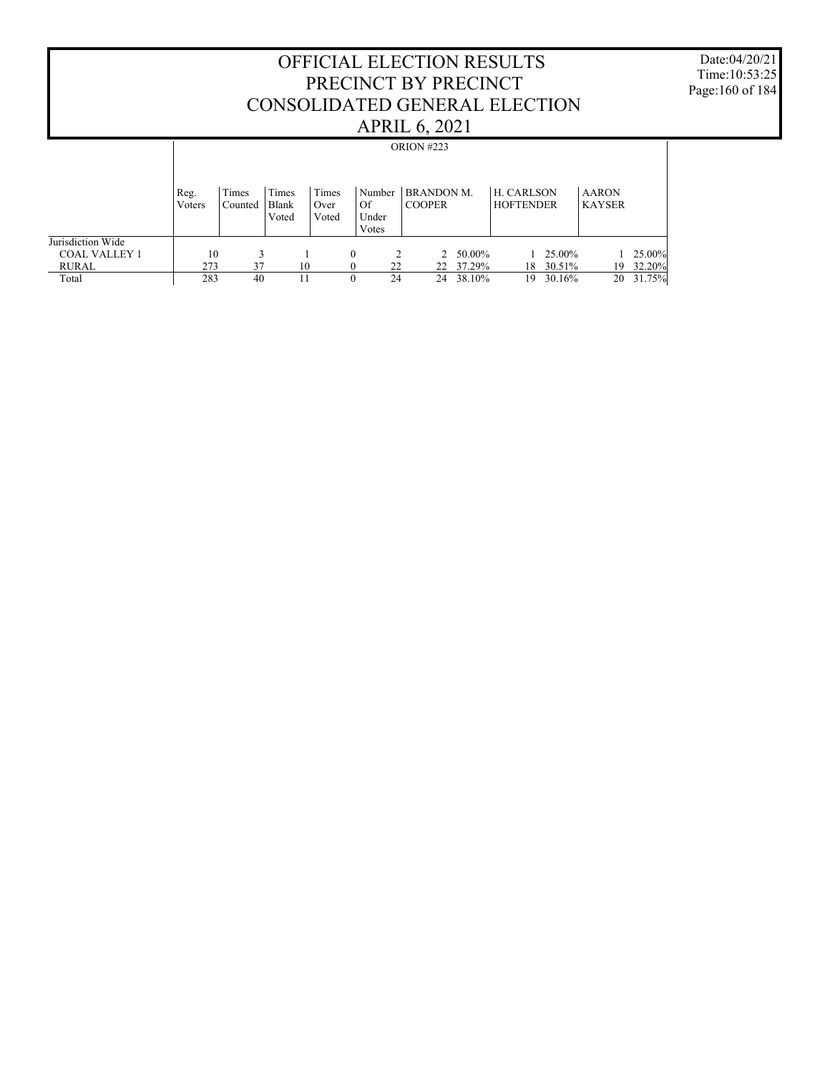Date:04/20/21 Time:10:53:25 Page:160 of 184

|                      |                |                  |                         |                        |                                |    | <b>ORION #223</b>                  |        |                                       |        |                               |           |
|----------------------|----------------|------------------|-------------------------|------------------------|--------------------------------|----|------------------------------------|--------|---------------------------------------|--------|-------------------------------|-----------|
|                      | Reg.<br>Voters | Times<br>Counted | Times<br>Blank<br>Voted | Times<br>Over<br>Voted | Number<br>Of<br>Under<br>Votes |    | <b>BRANDON M.</b><br><b>COOPER</b> |        | <b>H. CARLSON</b><br><b>HOFTENDER</b> |        | <b>AARON</b><br><b>KAYSER</b> |           |
| Jurisdiction Wide    |                |                  |                         |                        |                                |    |                                    |        |                                       |        |                               |           |
| <b>COAL VALLEY 1</b> | 10             |                  |                         |                        | $\theta$                       |    | $2^{\circ}$                        | 50.00% |                                       | 25.00% |                               | $25.00\%$ |
| <b>RURAL</b>         | 273            | 37               | 10                      |                        |                                | 22 | 22                                 | 37.29% | 18                                    | 30.51% | 19                            | 32.20%    |
| Total                | 283            | 40               | 11                      |                        | $\theta$                       | 24 | 24                                 | 38.10% | 19                                    | 30.16% | 20                            | 31.75%    |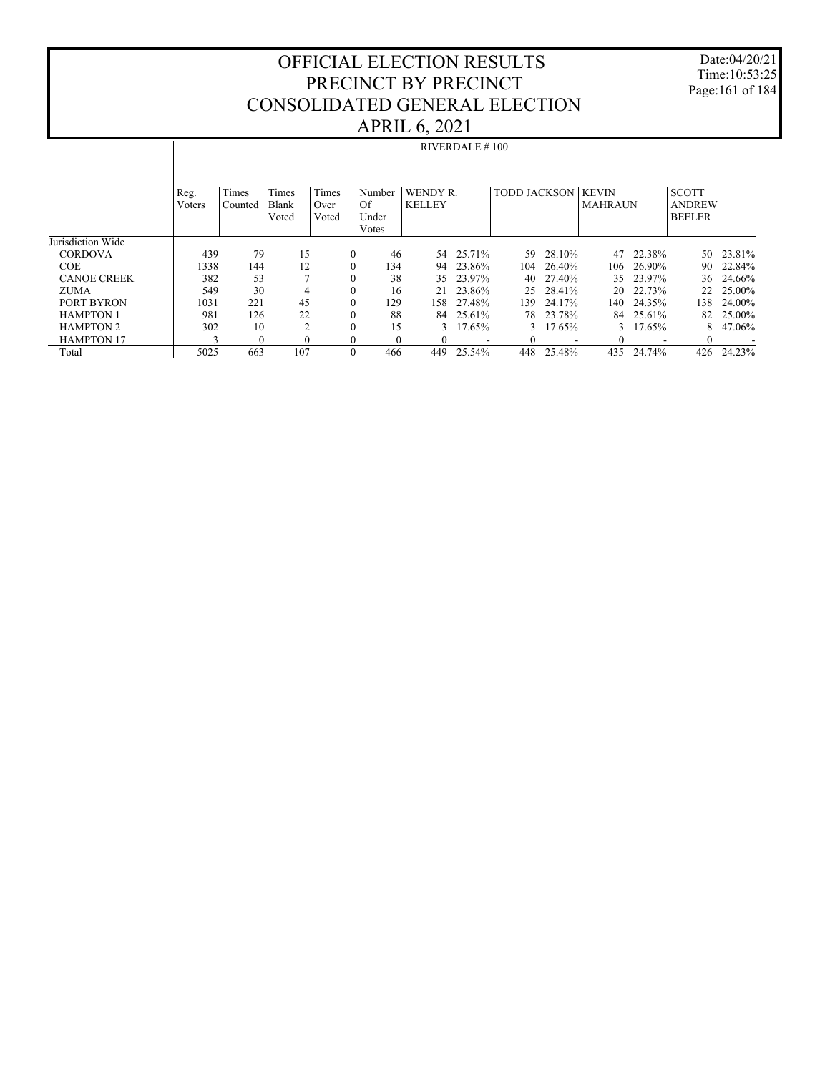Date:04/20/21 Time:10:53:25 Page:161 of 184

|                    |                | RIVERDALE $# 100$ |                |               |                |                           |        |                           |           |                |           |                               |        |
|--------------------|----------------|-------------------|----------------|---------------|----------------|---------------------------|--------|---------------------------|-----------|----------------|-----------|-------------------------------|--------|
|                    | Reg.<br>Voters | Times<br>Counted  | Times<br>Blank | Times<br>Over | Number<br>Of   | WENDY R.<br><b>KELLEY</b> |        | <b>TODD JACKSON KEVIN</b> |           | <b>MAHRAUN</b> |           | <b>SCOTT</b><br><b>ANDREW</b> |        |
|                    |                |                   | Voted          | Voted         | Under<br>Votes |                           |        |                           |           |                |           | <b>BEELER</b>                 |        |
| Jurisdiction Wide  |                |                   |                |               |                |                           |        |                           |           |                |           |                               |        |
| <b>CORDOVA</b>     | 439            | 79                | 15             | $\mathbf{0}$  | 46             | 54                        | 25.71% | 59.                       | 28.10%    | 47             | 22.38%    | 50                            | 23.81% |
| <b>COE</b>         | 1338           | 144               | 12             | $\mathbf{0}$  | 134            | 94                        | 23.86% | 104                       | 26.40%    | 106            | 26.90%    | 90                            | 22.84% |
| <b>CANOE CREEK</b> | 382            | 53                |                | $\mathbf{0}$  | 38             | 35                        | 23.97% | 40                        | 27.40%    |                | 35 23.97% | 36                            | 24.66% |
| <b>ZUMA</b>        | 549            | 30                | $\overline{4}$ | $\mathbf{0}$  | 16             | 2.1                       | 23.86% |                           | 25 28.41% |                | 20 22.73% | 22                            | 25.00% |
| PORT BYRON         | 1031           | 221               | 45             | $\mathbf{0}$  | 129            | 158.                      | 27.48% | 139                       | 24.17%    | 140-           | 24.35%    | 138                           | 24.00% |
| <b>HAMPTON 1</b>   | 981            | 126               | 22             | $\mathbf{0}$  | 88             | 84                        | 25.61% |                           | 78 23.78% | 84             | 25.61%    | 82                            | 25.00% |
| <b>HAMPTON 2</b>   | 302            | 10                | $\mathfrak{D}$ | $\mathbf{0}$  | 15             | 3                         | 17.65% | $\mathcal{E}$             | 17.65%    |                | 17.65%    | 8                             | 47.06% |
| <b>HAMPTON 17</b>  |                | $\mathbf{0}$      | $\theta$       | $\mathbf{0}$  | $\theta$       |                           |        |                           |           |                |           |                               |        |
| Total              | 5025           | 663               | 107            | $\mathbf{0}$  | 466            | 449                       | 25.54% | 448                       | 25.48%    | 435            | 24.74%    | 426                           | 24.23% |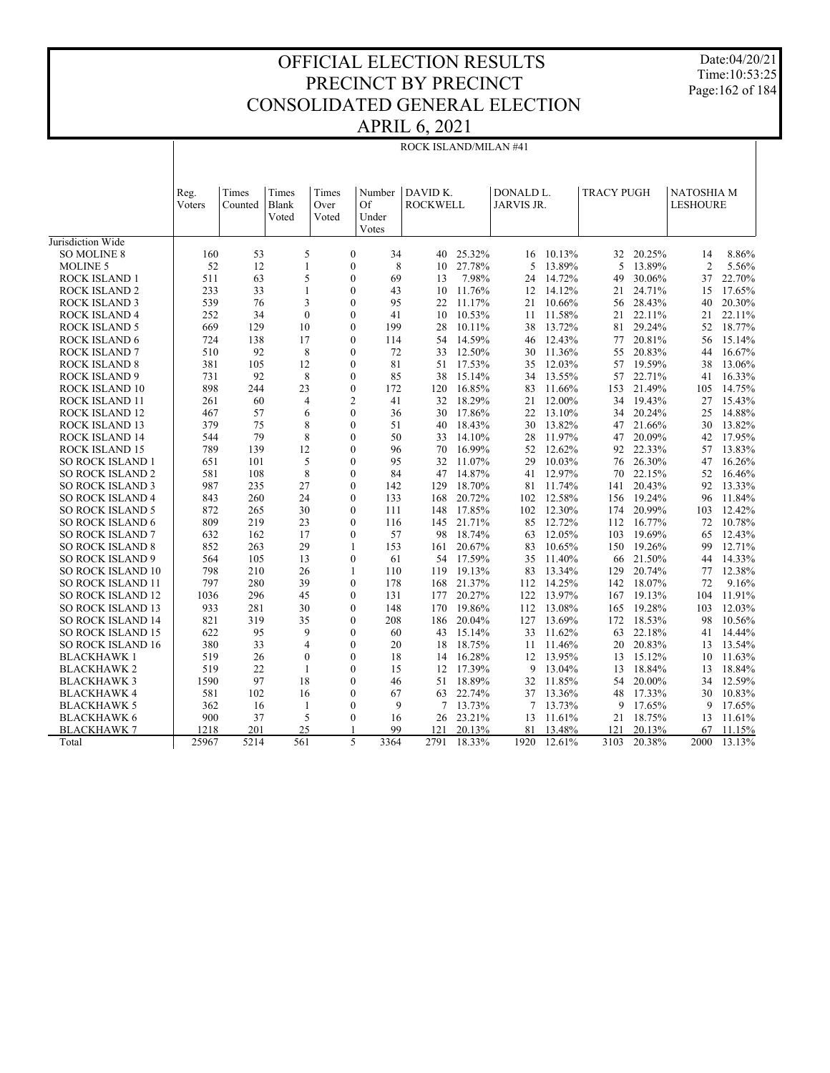Date:04/20/21 Time:10:53:25 Page:162 of 184

|                                              | ROCK ISLAND/MILAN #41 |          |                   |       |                                      |                 |                  |                     |                  |                   |                  |                   |                  |
|----------------------------------------------|-----------------------|----------|-------------------|-------|--------------------------------------|-----------------|------------------|---------------------|------------------|-------------------|------------------|-------------------|------------------|
|                                              |                       |          |                   |       |                                      |                 |                  |                     |                  |                   |                  |                   |                  |
|                                              | Reg.                  | Times    | Times             | Times | Number                               | DAVID K.        |                  | DONALD <sub>L</sub> |                  | <b>TRACY PUGH</b> |                  | <b>NATOSHIA M</b> |                  |
|                                              | Voters                | Counted  | Blank             | Over  | Of                                   | <b>ROCKWELL</b> |                  | <b>JARVIS JR.</b>   |                  |                   |                  | <b>LESHOURE</b>   |                  |
|                                              |                       |          | Voted             | Voted | Under                                |                 |                  |                     |                  |                   |                  |                   |                  |
|                                              |                       |          |                   |       | Votes                                |                 |                  |                     |                  |                   |                  |                   |                  |
| Jurisdiction Wide                            |                       |          |                   |       |                                      |                 |                  |                     |                  |                   |                  |                   |                  |
| <b>SO MOLINE 8</b>                           | 160                   | 53       | 5                 |       | $\mathbf{0}$<br>34                   | 40              | 25.32%           |                     | 16 10.13%        | 32                | 20.25%           | 14                | 8.86%            |
| <b>MOLINE 5</b>                              | 52                    | 12       | $\mathbf{1}$      |       | 8<br>$\theta$                        | 10              | 27.78%           | 5                   | 13.89%           | 5                 | 13.89%           | $\overline{2}$    | 5.56%            |
| <b>ROCK ISLAND 1</b>                         | 511                   | 63       | 5                 |       | $\mathbf{0}$<br>69                   | 13              | 7.98%            | 24                  | 14.72%           | 49                | 30.06%           | 37                | 22.70%           |
| <b>ROCK ISLAND 2</b><br><b>ROCK ISLAND 3</b> | 233<br>539            | 33       | $\mathbf{1}$      |       | $\mathbf{0}$<br>43<br>95<br>$\Omega$ | 10              | 11.76%           | 12                  | 14.12%           | 21                | 24.71%           | 15                | 17.65%<br>20.30% |
|                                              | 252                   | 76<br>34 | 3<br>$\mathbf{0}$ |       | $\mathbf{0}$<br>41                   | 22<br>10        | 11.17%<br>10.53% | 21<br>11            | 10.66%<br>11.58% | 56<br>21          | 28.43%<br>22.11% | 40<br>21          | 22.11%           |
| <b>ROCK ISLAND 4</b><br><b>ROCK ISLAND 5</b> | 669                   | 129      | 10                |       | $\theta$<br>199                      | 28              | 10.11%           | 38                  | 13.72%           | 81                | 29.24%           | 52                | 18.77%           |
| ROCK ISLAND 6                                | 724                   | 138      | 17                |       | $\mathbf{0}$<br>114                  | 54              | 14.59%           | 46                  | 12.43%           | 77                | 20.81%           | 56                | 15.14%           |
| <b>ROCK ISLAND 7</b>                         | 510                   | 92       | 8                 |       | $\mathbf{0}$<br>72                   | 33              | 12.50%           | 30                  | 11.36%           | 55                | 20.83%           | 44                | 16.67%           |
| <b>ROCK ISLAND 8</b>                         | 381                   | 105      | 12                |       | $\mathbf{0}$<br>81                   | 51              | 17.53%           | 35                  | 12.03%           | 57                | 19.59%           | 38                | 13.06%           |
| <b>ROCK ISLAND 9</b>                         | 731                   | 92       | 8                 |       | $\mathbf{0}$<br>85                   | 38              | 15.14%           | 34                  | 13.55%           | 57                | 22.71%           | 41                | 16.33%           |
| ROCK ISLAND 10                               | 898                   | 244      | 23                |       | $\mathbf{0}$<br>172                  | 120             | 16.85%           | 83                  | 11.66%           | 153               | 21.49%           | 105               | 14.75%           |
| ROCK ISLAND 11                               | 261                   | 60       | $\overline{4}$    |       | $\overline{2}$<br>41                 | 32              | 18.29%           | 21                  | 12.00%           | 34                | 19.43%           | 27                | 15.43%           |
| ROCK ISLAND 12                               | 467                   | 57       | 6                 |       | $\mathbf{0}$<br>36                   | 30              | 17.86%           | 22                  | 13.10%           | 34                | 20.24%           | 25                | 14.88%           |
| ROCK ISLAND 13                               | 379                   | 75       | 8                 |       | $\mathbf{0}$<br>51                   | 40              | 18.43%           | 30                  | 13.82%           | 47                | 21.66%           | 30                | 13.82%           |
| ROCK ISLAND 14                               | 544                   | 79       | 8                 |       | $\mathbf{0}$<br>50                   | 33              | 14.10%           | 28                  | 11.97%           | 47                | 20.09%           | 42                | 17.95%           |
| ROCK ISLAND 15                               | 789                   | 139      | 12                |       | $\theta$<br>96                       | 70              | 16.99%           | 52                  | 12.62%           | 92                | 22.33%           | 57                | 13.83%           |
| <b>SO ROCK ISLAND 1</b>                      | 651                   | 101      | 5                 |       | $\theta$<br>95                       | 32              | 11.07%           | 29                  | 10.03%           | 76                | 26.30%           | 47                | 16.26%           |
| <b>SO ROCK ISLAND 2</b>                      | 581                   | 108      | $\,$ 8 $\,$       |       | $\mathbf{0}$<br>84                   | 47              | 14.87%           | 41                  | 12.97%           | 70                | 22.15%           | 52                | 16.46%           |
| <b>SO ROCK ISLAND 3</b>                      | 987                   | 235      | 27                |       | $\mathbf{0}$<br>142                  | 129             | 18.70%           | 81                  | 11.74%           | 141               | 20.43%           | 92                | 13.33%           |
| <b>SO ROCK ISLAND 4</b>                      | 843                   | 260      | 24                |       | $\theta$<br>133                      | 168             | 20.72%           | 102                 | 12.58%           | 156               | 19.24%           | 96                | 11.84%           |
| <b>SO ROCK ISLAND 5</b>                      | 872                   | 265      | 30                |       | $\theta$<br>111                      | 148             | 17.85%           | 102                 | 12.30%           | 174               | 20.99%           | 103               | 12.42%           |
| <b>SO ROCK ISLAND 6</b>                      | 809                   | 219      | 23                |       | $\theta$<br>116                      | 145             | 21.71%           | 85                  | 12.72%           | 112               | 16.77%           | 72                | 10.78%           |
| <b>SO ROCK ISLAND 7</b>                      | 632                   | 162      | 17                |       | $\theta$<br>57                       | 98              | 18.74%           | 63                  | 12.05%           | 103               | 19.69%           | 65                | 12.43%           |
| <b>SO ROCK ISLAND 8</b>                      | 852                   | 263      | 29                |       | 153<br>$\mathbf{1}$                  | 161             | 20.67%           | 83                  | 10.65%           | 150               | 19.26%           | 99                | 12.71%           |
| <b>SO ROCK ISLAND 9</b>                      | 564                   | 105      | 13                |       | $\mathbf{0}$<br>61                   | 54              | 17.59%           | 35                  | 11.40%           | 66                | 21.50%           | 44                | 14.33%           |
| <b>SO ROCK ISLAND 10</b>                     | 798                   | 210      | 26                |       | 1<br>110                             | 119             | 19.13%           | 83                  | 13.34%           | 129               | 20.74%           | 77                | 12.38%           |
| <b>SO ROCK ISLAND 11</b>                     | 797                   | 280      | 39                |       | $\theta$<br>178                      | 168             | 21.37%           |                     | 112 14.25%       | 142               | 18.07%           | 72                | 9.16%            |
| <b>SO ROCK ISLAND 12</b>                     | 1036                  | 296      | 45                |       | $\theta$<br>131                      | 177             | 20.27%           | 122                 | 13.97%           | 167               | 19.13%           | 104               | 11.91%           |
| <b>SO ROCK ISLAND 13</b>                     | 933                   | 281      | 30                |       | $\theta$<br>148                      | 170             | 19.86%           | 112                 | 13.08%           | 165               | 19.28%           | 103               | 12.03%           |
| <b>SO ROCK ISLAND 14</b>                     | 821                   | 319      | 35                |       | $\mathbf{0}$<br>208                  | 186             | 20.04%           | 127                 | 13.69%           | 172               | 18.53%           | 98                | 10.56%           |
| <b>SO ROCK ISLAND 15</b>                     | 622                   | 95       | 9                 |       | $\theta$<br>60                       | 43              | 15.14%           | 33                  | 11.62%           | 63                | 22.18%           | 41                | 14.44%           |
| <b>SO ROCK ISLAND 16</b>                     | 380                   | 33       | $\overline{4}$    |       | $\mathbf{0}$<br>20                   | 18              | 18.75%           | 11                  | 11.46%           | 20                | 20.83%           | 13                | 13.54%           |
| BLACKHAWK 1                                  | 519                   | 26       | $\mathbf{0}$      |       | $\theta$<br>18                       | 14              | 16.28%           |                     | 12 13.95%        | 13                | 15.12%           | 10                | 11.63%           |
| <b>BLACKHAWK 2</b>                           | 519                   | 22       | 1                 |       | $\theta$<br>15                       | 12              | 17.39%           | 9                   | 13.04%           | 13                | 18.84%           | 13                | 18.84%           |
| <b>BLACKHAWK3</b>                            | 1590                  | 97       | 18                |       | $\mathbf{0}$<br>46                   | 51              | 18.89%           |                     | 32 11.85%        | 54                | 20.00%           | 34                | 12.59%           |
| <b>BLACKHAWK4</b>                            | 581                   | 102      | 16                |       | $\mathbf{0}$<br>67                   | 63              | 22.74%           | 37                  | 13.36%           | 48                | 17.33%           | 30                | 10.83%           |
| <b>BLACKHAWK 5</b>                           | 362                   | 16       | 1                 |       | $\theta$<br>9                        | 7               | 13.73%           | 7                   | 13.73%           | 9                 | 17.65%           | 9                 | 17.65%           |
| <b>BLACKHAWK 6</b>                           | 900                   | 37       | 5                 |       | $\theta$<br>16                       | 26              | 23.21%           | 13                  | 11.61%           | 21                | 18.75%           | 13                | 11.61%           |
| <b>BLACKHAWK7</b>                            | 1218                  | 201      | 25                |       | 99                                   | 121             | 20.13%           | 81                  | 13.48%           | 121               | 20.13%           | 67                | 11.15%           |
| Total                                        | 25967                 | 5214     | 561               |       | 5<br>3364                            | 2791            | 18.33%           | 1920                | 12.61%           | 3103              | 20.38%           | 2000              | $13.13\%$        |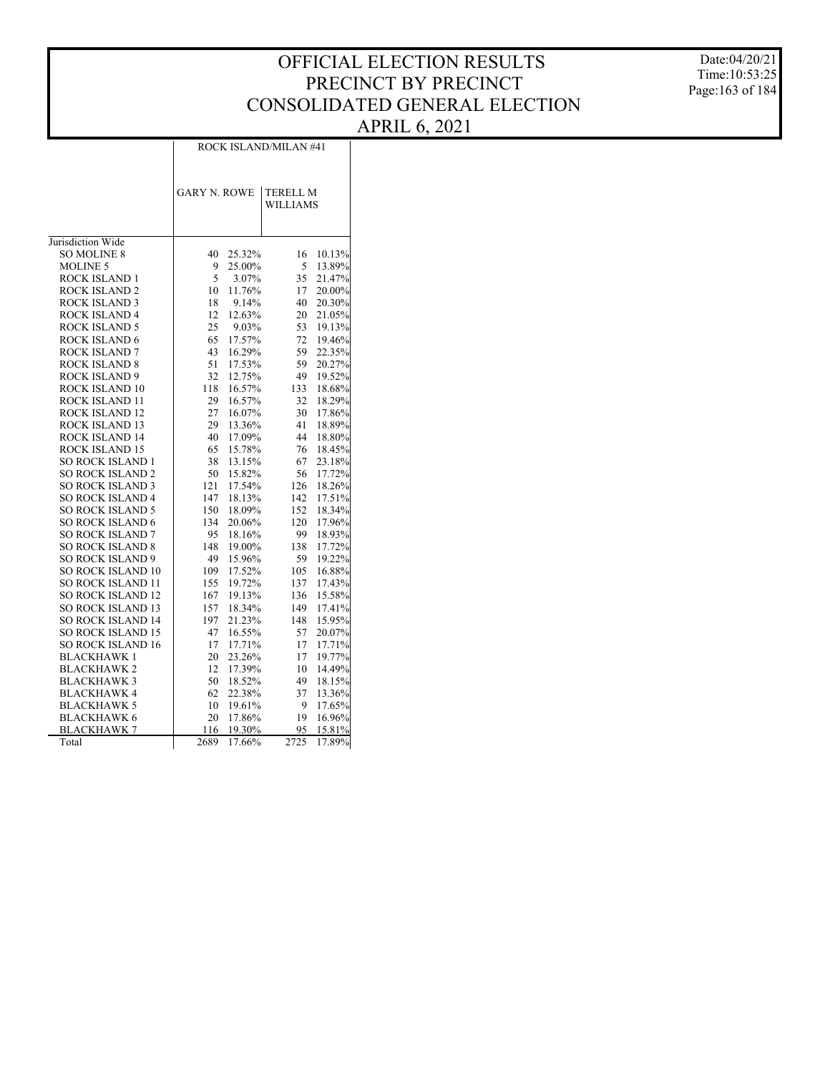Date:04/20/21 Time:10:53:25 Page:163 of 184

|                         | <b>GARY N. ROWE</b> |        | <b>TERELL M</b><br><b>WILLIAMS</b> |        |
|-------------------------|---------------------|--------|------------------------------------|--------|
| Jurisdiction Wide       |                     |        |                                    |        |
| <b>SO MOLINE 8</b>      | 40                  | 25.32% | 16                                 | 10.13% |
| <b>MOLINE 5</b>         | 9                   | 25.00% | 5                                  | 13.89% |
| <b>ROCK ISLAND 1</b>    | 5                   | 3.07%  | 35                                 | 21.47% |
| <b>ROCK ISLAND 2</b>    | 10                  | 11.76% | 17                                 | 20.00% |
| <b>ROCK ISLAND 3</b>    | 18                  | 9.14%  | 40                                 | 20.30% |
| <b>ROCK ISLAND 4</b>    | 12                  | 12.63% | 20                                 | 21.05% |
| ROCK ISLAND 5           | 25                  | 9.03%  | 53                                 | 19.13% |
| <b>ROCK ISLAND 6</b>    | 65                  | 17.57% | 72                                 | 19.46% |
| <b>ROCK ISLAND 7</b>    | 43                  | 16.29% | 59                                 | 22.35% |
| <b>ROCK ISLAND 8</b>    | 51                  | 17.53% | 59                                 | 20.27% |
| <b>ROCK ISLAND 9</b>    | 32                  | 12.75% | 49                                 | 19.52% |
| ROCK ISLAND 10          | 118                 | 16.57% | 133                                | 18.68% |
| <b>ROCK ISLAND 11</b>   | 29                  | 16.57% | 32                                 | 18.29% |
| ROCK ISLAND 12          | 27                  | 16.07% | 30                                 | 17.86% |
| ROCK ISLAND 13          | 29                  | 13.36% | 41                                 | 18.89% |
| <b>ROCK ISLAND 14</b>   | 40                  | 17.09% | 44                                 | 18.80% |
| ROCK ISLAND 15          | 65                  | 15.78% | 76                                 | 18.45% |
| <b>SO ROCK ISLAND 1</b> | 38                  | 13.15% | 67                                 | 23.18% |
| <b>SO ROCK ISLAND 2</b> | 50                  | 15.82% | 56                                 | 17.72% |
| <b>SO ROCK ISLAND 3</b> | 121                 | 17.54% | 126                                | 18.26% |

 SO ROCK ISLAND 4 SO ROCK ISLAND 5 SO ROCK ISLAND 6 SO ROCK ISLAND 7 SO ROCK ISLAND 8 SO ROCK ISLAND 9 SO ROCK ISLAND 10 SO ROCK ISLAND 11 SO ROCK ISLAND 12 SO ROCK ISLAND 13 SO ROCK ISLAND 14 SO ROCK ISLAND 15 SO ROCK ISLAND 16 BLACKHAWK 1 BLACKHAWK 2 BLACKHAWK 3 BLACKHAWK 4 BLACKHAWK 5 BLACKHAWK 6 BLACKHAWK 7

Total

ROCK ISLAND/MILAN #41

 18.13% 142 17.51% 18.09% 152 18.34% 20.06% 120 17.96% 95 18.16% 99 18.93%<br>148 19.00% 138 17.72% 19.00% 138 17.72% 15.96% 59 19.22% 17.52% 105 16.88%<br>19.72% 137 17.43%

167 19.13% 136 15.58%<br>157 18.34% 149 17.41% 18.34% 149 17.41%<br>21.23% 148 15.95% 197 21.23% 148 15.95% 47 16.55% 57 20.07% 17.71% 17 17.71%<br>23.26% 17 19.77% 20 23.26% 17 19.77%<br>12 17.39% 10 14.49%

50 18.52% 49 18.15% 22.38% 37 13.36%<br>19.61% 9 17.65%

20 17.86% 19 16.96%<br>116 19.30% 95 15.81%

2689 17.66% 2725 17.89%

155 19.72%<br>167 19.13%

12 17.39%

10 19.61%

19.30%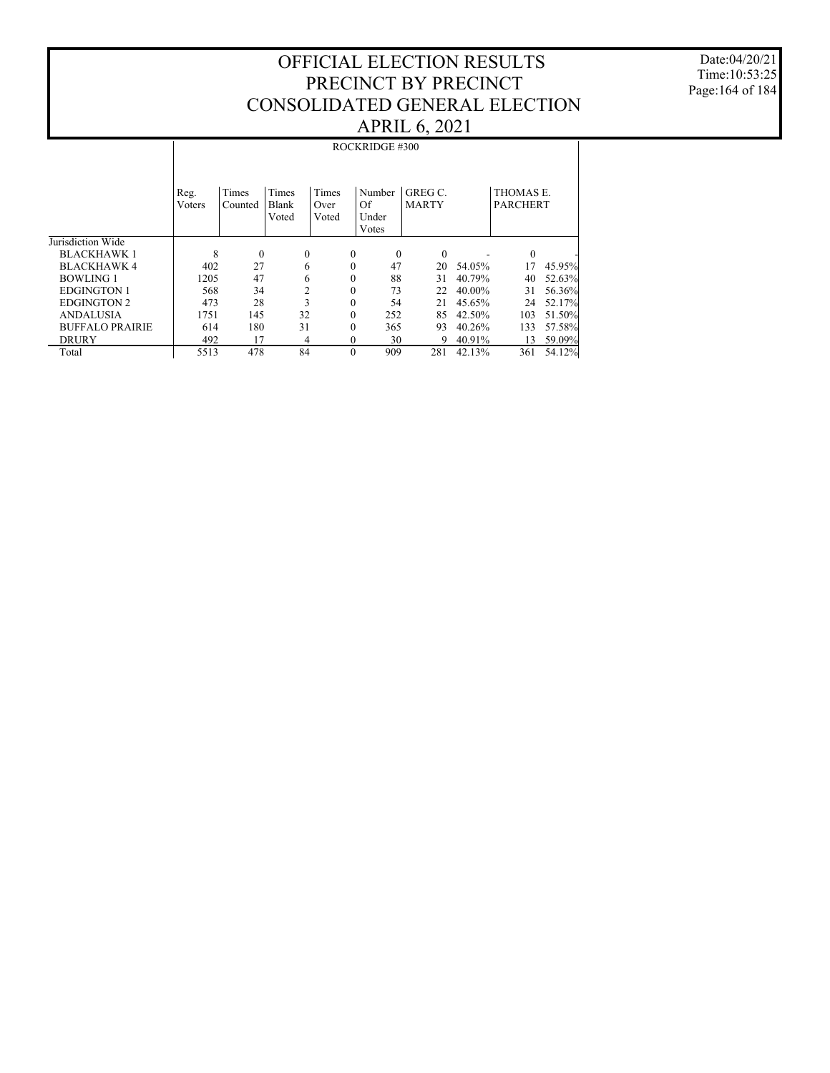Date:04/20/21 Time:10:53:25 Page:164 of 184

|                        |                        |                         |                       |               | ROCKRIDGE #300      |                       |           |                                    |        |
|------------------------|------------------------|-------------------------|-----------------------|---------------|---------------------|-----------------------|-----------|------------------------------------|--------|
|                        |                        |                         |                       |               |                     |                       |           |                                    |        |
|                        |                        |                         |                       |               |                     |                       |           |                                    |        |
|                        | Reg.<br><b>V</b> oters | <b>Times</b><br>Counted | <b>Times</b><br>Blank | Times<br>Over | Number<br>Of        | GREGC<br><b>MARTY</b> |           | <b>THOMAS E</b><br><b>PARCHERT</b> |        |
|                        |                        |                         | Voted                 | Voted         | Under               |                       |           |                                    |        |
|                        |                        |                         |                       |               | Votes               |                       |           |                                    |        |
| Jurisdiction Wide      |                        |                         |                       |               |                     |                       |           |                                    |        |
| <b>BLACKHAWK 1</b>     | 8                      | $\theta$                | 0                     |               | $\mathbf{0}$        | $\theta$<br>$\Omega$  |           | $\Omega$                           |        |
| <b>BLACKHAWK 4</b>     | 402                    | 27                      | 6                     |               | 47<br>$\mathbf{0}$  | 20                    | 54.05%    | 17                                 | 45.95% |
| <b>BOWLING 1</b>       | 1205                   | 47                      | 6                     |               | $\mathbf{0}$<br>88  | 31                    | 40.79%    | 40                                 | 52.63% |
| EDGINGTON 1            | 568                    | 34                      | $\overline{2}$        |               | 73<br>$\theta$      | 22                    | $40.00\%$ | 31                                 | 56.36% |
| <b>EDGINGTON 2</b>     | 473                    | 28                      | 3                     |               | $\theta$            | 54<br>21              | 45.65%    | 24                                 | 52.17% |
| <b>ANDALUSIA</b>       | 1751                   | 145                     | 32                    |               | 252<br>$\theta$     | 85                    | 42.50%    | 103                                | 51.50% |
| <b>BUFFALO PRAIRIE</b> | 614                    | 180                     | 31                    |               | $\mathbf{0}$<br>365 | 93                    | 40.26%    | 133                                | 57.58% |
| <b>DRURY</b>           | 492                    | 17                      | 4                     |               | $\theta$            | 30<br>9               | 40.91%    | 13                                 | 59.09% |
| Total                  | 5513                   | 478                     | 84                    |               | $\theta$<br>909     | 281                   | 42.13%    | 361                                | 54.12% |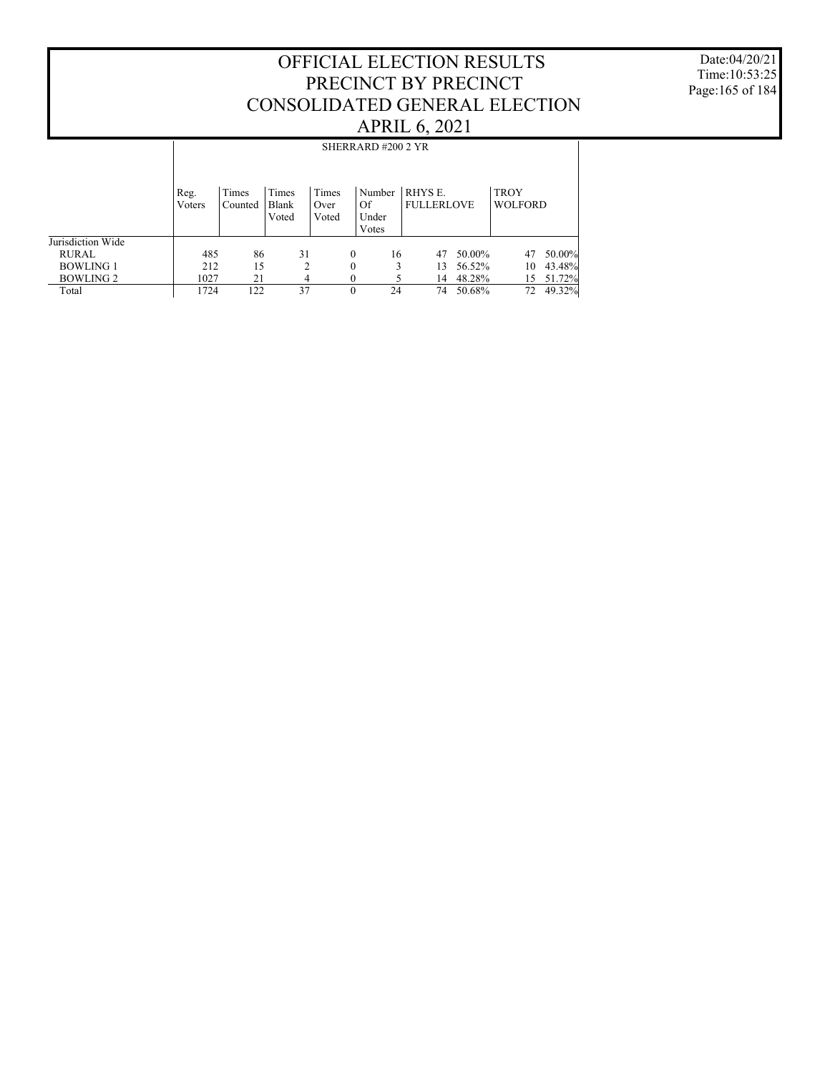Date:04/20/21 Time:10:53:25 Page:165 of 184

|                   |                |                  |                         |                        | SHERRARD#200 2 YR              |                              |        |                               |        |
|-------------------|----------------|------------------|-------------------------|------------------------|--------------------------------|------------------------------|--------|-------------------------------|--------|
|                   | Reg.<br>Voters | Times<br>Counted | Times<br>Blank<br>Voted | Times<br>Over<br>Voted | Number<br>Of<br>Under<br>Votes | RHYS E.<br><b>FULLERLOVE</b> |        | <b>TROY</b><br><b>WOLFORD</b> |        |
| Jurisdiction Wide |                |                  |                         |                        |                                |                              |        |                               |        |
| <b>RURAL</b>      | 485            | 86               | 31                      |                        | 16<br>$\Omega$                 | 47                           | 50.00% | 47                            | 50.00% |
| <b>BOWLING 1</b>  | 212            | 15               | $\overline{2}$          |                        | $\theta$                       | 3<br>13                      | 56.52% | 10                            | 43.48% |
| <b>BOWLING 2</b>  | 1027           | 21               | 4                       |                        | $\theta$                       | 14                           | 48.28% | 15                            | 51.72% |
| Total             | 1724           | 122              | 37                      |                        | $\theta$<br>24                 | 74                           | 50.68% | 72                            | 49.32% |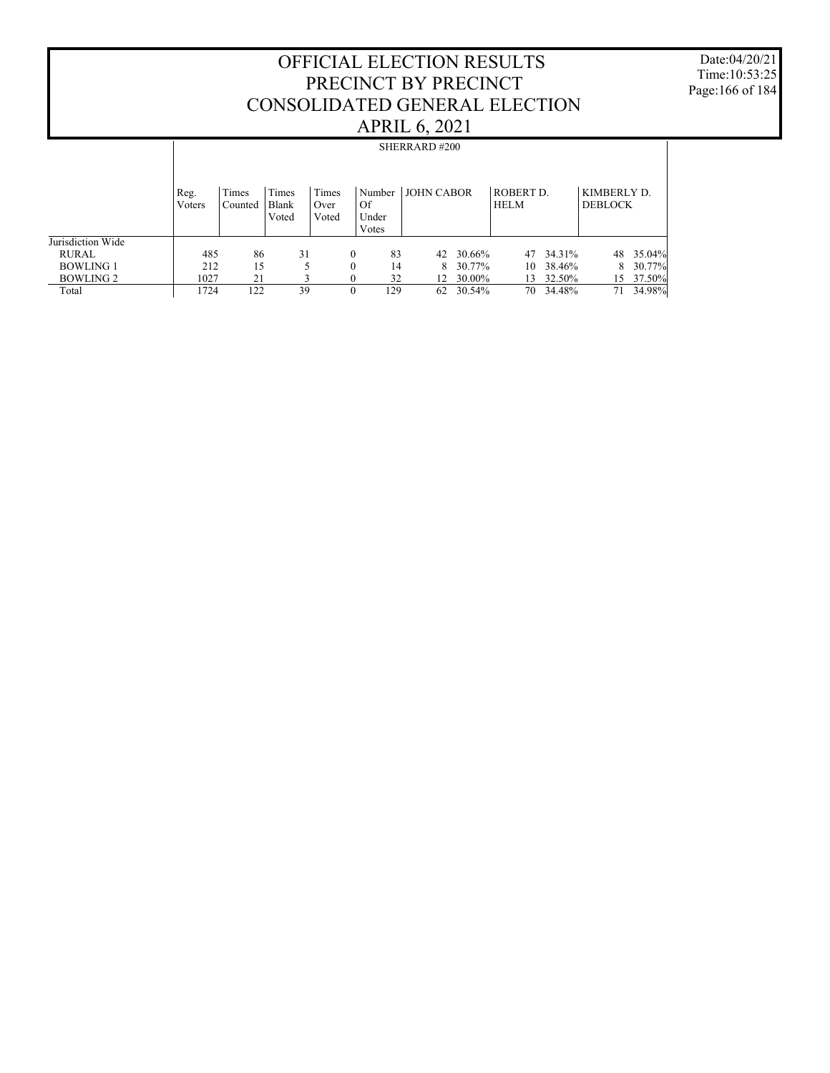Date:04/20/21 Time:10:53:25 Page:166 of 184

|                   |                |                  |                         |                        |                      |        | SHERRARD#200      |        |                          |        |                               |        |
|-------------------|----------------|------------------|-------------------------|------------------------|----------------------|--------|-------------------|--------|--------------------------|--------|-------------------------------|--------|
|                   | Reg.<br>Voters | Times<br>Counted | Times<br>Blank<br>Voted | Times<br>Over<br>Voted | Of<br>Under<br>Votes | Number | <b>JOHN CABOR</b> |        | ROBERT D.<br><b>HELM</b> |        | KIMBERLY D.<br><b>DEBLOCK</b> |        |
| Jurisdiction Wide |                |                  |                         |                        |                      |        |                   |        |                          |        |                               |        |
| RURAL             | 485            | 86               | 31                      |                        | $\mathbf{0}$         | 83     | 42                | 30.66% | 47                       | 34.31% | 48                            | 35.04% |
| <b>BOWLING 1</b>  | 212            | 15               |                         |                        | $\mathbf{0}$         | 14     | 8                 | 30.77% | 10                       | 38.46% | 8                             | 30.77% |
| <b>BOWLING 2</b>  | 1027           | 21               |                         |                        | 0                    | 32     | 12 <sup>12</sup>  | 30.00% | 13                       | 32.50% | 15                            | 37.50% |
| Total             | 1724           | 122              | 39                      |                        | $\theta$             | 129    | 62                | 30.54% | 70                       | 34.48% | 71                            | 34.98% |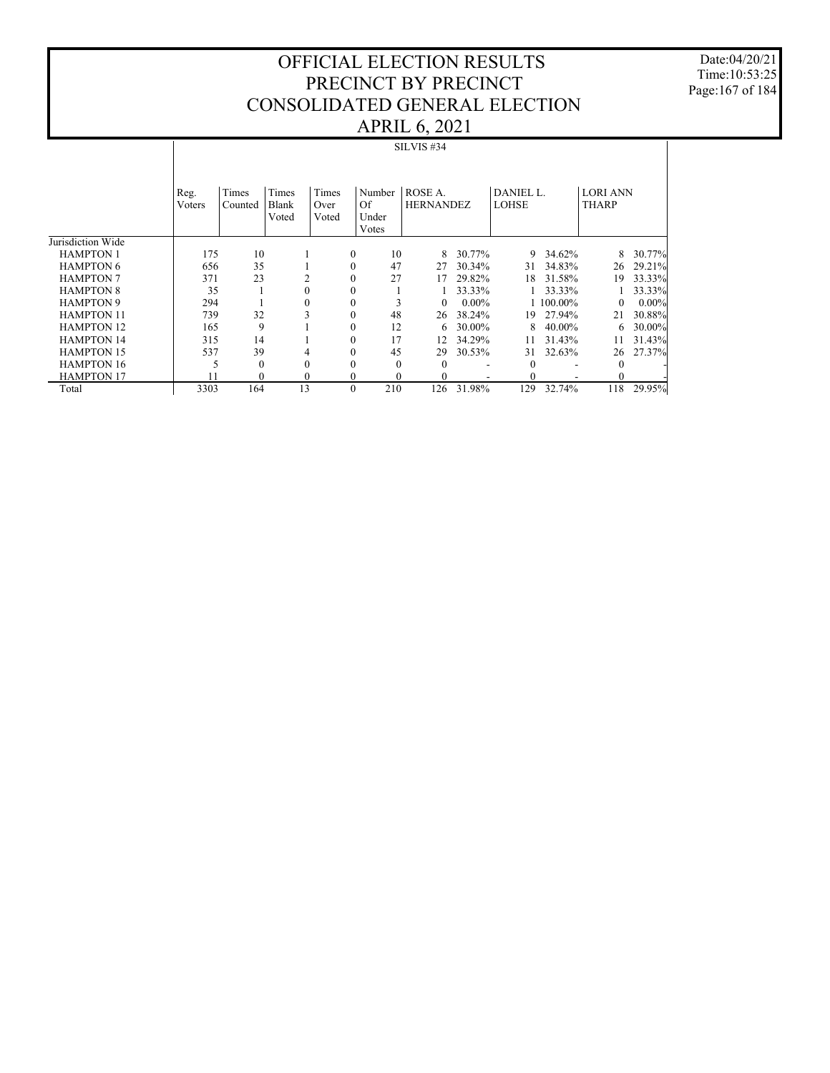Date:04/20/21 Time:10:53:25 Page:167 of 184

|                   |                |                  |                         |                        |              |                                | - 2                         |          |                    |           |                                 |          |
|-------------------|----------------|------------------|-------------------------|------------------------|--------------|--------------------------------|-----------------------------|----------|--------------------|-----------|---------------------------------|----------|
|                   |                |                  |                         |                        |              |                                | <b>SILVIS #34</b>           |          |                    |           |                                 |          |
|                   | Reg.<br>Voters | Times<br>Counted | Times<br>Blank<br>Voted | Times<br>Over<br>Voted |              | Number<br>Of<br>Under<br>Votes | ROSE A.<br><b>HERNANDEZ</b> |          | DANIEL L.<br>LOHSE |           | <b>LORI ANN</b><br><b>THARP</b> |          |
| Jurisdiction Wide |                |                  |                         |                        |              |                                |                             |          |                    |           |                                 |          |
| <b>HAMPTON 1</b>  | 175            | 10               |                         |                        | $\mathbf{0}$ | 10                             | 8                           | 30.77%   | 9                  | 34.62%    | 8                               | 30.77%   |
| <b>HAMPTON 6</b>  | 656            | 35               |                         |                        | $\mathbf{0}$ | 47                             | 27                          | 30.34%   | 31                 | 34.83%    | 26                              | 29.21%   |
| <b>HAMPTON 7</b>  | 371            | 23               |                         | 2                      | 0            | 27                             | 17                          | 29.82%   | 18                 | 31.58%    | 19                              | 33.33%   |
| <b>HAMPTON 8</b>  | 35             |                  |                         | $\theta$               | $\mathbf{0}$ |                                |                             | 33.33%   |                    | 33.33%    |                                 | 33.33%   |
| <b>HAMPTON 9</b>  | 294            |                  |                         | $\theta$               | $\mathbf{0}$ | 3                              | $\overline{0}$              | $0.00\%$ |                    | 1 100.00% | $\Omega$                        | $0.00\%$ |
| <b>HAMPTON 11</b> | 739            | 32               |                         | 3                      | $\mathbf{0}$ | 48                             | 26                          | 38.24%   | 19                 | 27.94%    | 21                              | 30.88%   |
| <b>HAMPTON 12</b> | 165            | 9                |                         |                        | $\mathbf{0}$ | 12                             | 6                           | 30.00%   | 8                  | 40.00%    | 6                               | 30.00%   |
| <b>HAMPTON 14</b> | 315            | 14               |                         |                        | 0            | 17                             | 12                          | 34.29%   | 11                 | 31.43%    | 11                              | 31.43%   |
| <b>HAMPTON 15</b> | 537            | 39               |                         | 4                      | 0            | 45                             | 29                          | 30.53%   | 31                 | 32.63%    | 26                              | 27.37%   |
| <b>HAMPTON 16</b> | 5              | $\Omega$         |                         | $\theta$               | 0            | $\Omega$                       | $\Omega$                    | ٠        | $\Omega$           |           | 0                               |          |
| <b>HAMPTON 17</b> | 11             | $\theta$         |                         | $\mathbf{0}$           | $\mathbf{0}$ |                                | $\mathbf{0}$                |          | 0                  |           | 0                               |          |
| Total             | 3303           | 164              | 13                      |                        | $\mathbf{0}$ | 210                            | 126                         | 31.98%   | 129                | 32.74%    | 118                             | 29.95%   |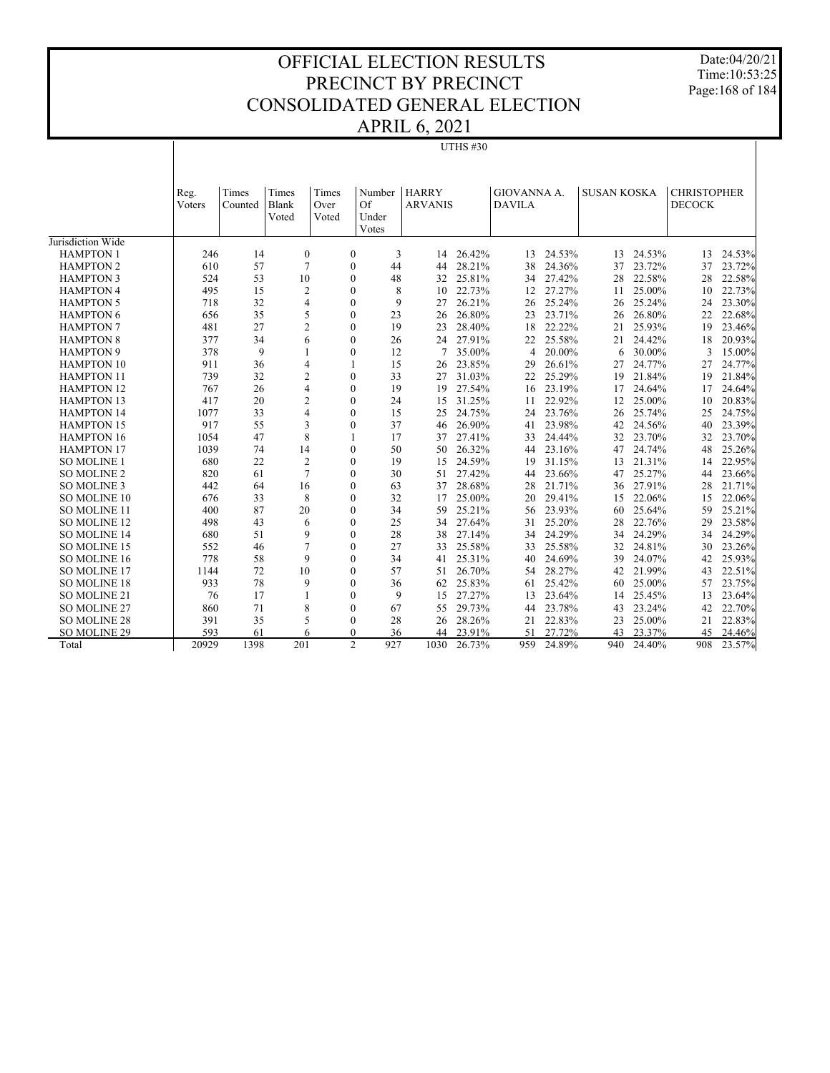Date:04/20/21 Time:10:53:25 Page:168 of 184

# APRIL 6, 2021

 $\overline{\phantom{a}}$ 

UTHS #30

|                     | Reg.<br>Voters | Times<br>Counted | Times<br>Blank<br>Voted | Times<br>Over<br>Voted | Number<br>Of<br>Under<br>Votes | <b>HARRY</b><br><b>ARVANIS</b> |        | GIOVANNA A.<br><b>DAVILA</b> |        | <b>SUSAN KOSKA</b> |        | <b>CHRISTOPHER</b><br><b>DECOCK</b> |        |
|---------------------|----------------|------------------|-------------------------|------------------------|--------------------------------|--------------------------------|--------|------------------------------|--------|--------------------|--------|-------------------------------------|--------|
| Jurisdiction Wide   |                |                  |                         |                        |                                |                                |        |                              |        |                    |        |                                     |        |
| <b>HAMPTON 1</b>    | 246            | 14               | $\boldsymbol{0}$        | $\boldsymbol{0}$       | 3                              | 14                             | 26.42% | 13                           | 24.53% | 13                 | 24.53% | 13                                  | 24.53% |
| <b>HAMPTON 2</b>    | 610            | 57               | $\overline{7}$          | $\boldsymbol{0}$       | 44                             | 44                             | 28.21% | 38                           | 24.36% | 37                 | 23.72% | 37                                  | 23.72% |
| <b>HAMPTON 3</b>    | 524            | 53               | 10                      | $\mathbf{0}$           | 48                             | 32                             | 25.81% | 34                           | 27.42% | 28                 | 22.58% | 28                                  | 22.58% |
| <b>HAMPTON 4</b>    | 495            | 15               | $\overline{c}$          | $\mathbf{0}$           | 8                              | 10                             | 22.73% | 12                           | 27.27% | 11                 | 25.00% | 10                                  | 22.73% |
| <b>HAMPTON 5</b>    | 718            | 32               | $\overline{4}$          | $\boldsymbol{0}$       | 9                              | 27                             | 26.21% | 26                           | 25.24% | 26                 | 25.24% | 24                                  | 23.30% |
| <b>HAMPTON 6</b>    | 656            | 35               | 5                       | $\mathbf{0}$           | 23                             | 26                             | 26.80% | 23                           | 23.71% | 26                 | 26.80% | 22                                  | 22.68% |
| <b>HAMPTON 7</b>    | 481            | 27               | $\overline{c}$          | $\boldsymbol{0}$       | 19                             | 23                             | 28.40% | 18                           | 22.22% | 21                 | 25.93% | 19                                  | 23.46% |
| <b>HAMPTON 8</b>    | 377            | 34               | 6                       | $\mathbf{0}$           | 26                             | 24                             | 27.91% | 22                           | 25.58% | 21                 | 24.42% | 18                                  | 20.93% |
| <b>HAMPTON 9</b>    | 378            | 9                | $\mathbf{1}$            | $\Omega$               | 12                             |                                | 35.00% | $\overline{4}$               | 20.00% | 6                  | 30.00% | 3                                   | 15.00% |
| <b>HAMPTON 10</b>   | 911            | 36               | $\overline{4}$          | 1                      | 15                             | 26                             | 23.85% | 29                           | 26.61% | 27                 | 24.77% | 27                                  | 24.77% |
| <b>HAMPTON 11</b>   | 739            | 32               | $\overline{c}$          | $\boldsymbol{0}$       | 33                             | 27                             | 31.03% | 22                           | 25.29% | 19                 | 21.84% | 19                                  | 21.84% |
| <b>HAMPTON 12</b>   | 767            | 26               | $\overline{4}$          | $\mathbf{0}$           | 19                             | 19                             | 27.54% | 16                           | 23.19% | 17                 | 24.64% | 17                                  | 24.64% |
| <b>HAMPTON 13</b>   | 417            | 20               | $\overline{c}$          | $\mathbf{0}$           | 24                             | 15                             | 31.25% | 11                           | 22.92% | 12                 | 25.00% | 10                                  | 20.83% |
| <b>HAMPTON 14</b>   | 1077           | 33               | $\overline{4}$          | $\overline{0}$         | 15                             | 25                             | 24.75% | 24                           | 23.76% | 26                 | 25.74% | 25                                  | 24.75% |
| <b>HAMPTON 15</b>   | 917            | 55               | 3                       | $\mathbf{0}$           | 37                             | 46                             | 26.90% | 41                           | 23.98% | 42                 | 24.56% | 40                                  | 23.39% |
| <b>HAMPTON 16</b>   | 1054           | 47               | 8                       | 1                      | 17                             | 37                             | 27.41% | 33                           | 24.44% | 32                 | 23.70% | 32                                  | 23.70% |
| <b>HAMPTON 17</b>   | 1039           | 74               | 14                      | $\boldsymbol{0}$       | 50                             | 50                             | 26.32% | 44                           | 23.16% | 47                 | 24.74% | 48                                  | 25.26% |
| <b>SO MOLINE 1</b>  | 680            | 22               | $\overline{c}$          | $\boldsymbol{0}$       | 19                             | 15                             | 24.59% | 19                           | 31.15% | 13                 | 21.31% | 14                                  | 22.95% |
| SO MOLINE 2         | 820            | 61               | $\overline{7}$          | $\mathbf{0}$           | 30                             | 51                             | 27.42% | 44                           | 23.66% | 47                 | 25.27% | 44                                  | 23.66% |
| <b>SO MOLINE 3</b>  | 442            | 64               | 16                      | $\mathbf{0}$           | 63                             | 37                             | 28.68% | 28                           | 21.71% | 36                 | 27.91% | 28                                  | 21.71% |
| SO MOLINE 10        | 676            | 33               | 8                       | $\mathbf{0}$           | 32                             | 17                             | 25.00% | 20                           | 29.41% | 15                 | 22.06% | 15                                  | 22.06% |
| <b>SO MOLINE 11</b> | 400            | 87               | 20                      | $\mathbf{0}$           | 34                             | 59                             | 25.21% | 56                           | 23.93% | 60                 | 25.64% | 59                                  | 25.21% |
| <b>SO MOLINE 12</b> | 498            | 43               | 6                       | $\mathbf{0}$           | 25                             | 34                             | 27.64% | 31                           | 25.20% | 28                 | 22.76% | 29                                  | 23.58% |
| <b>SO MOLINE 14</b> | 680            | 51               | 9                       | $\boldsymbol{0}$       | 28                             | 38                             | 27.14% | 34                           | 24.29% | 34                 | 24.29% | 34                                  | 24.29% |
| SO MOLINE 15        | 552            | 46               | $\overline{7}$          | $\mathbf{0}$           | 27                             | 33                             | 25.58% | 33                           | 25.58% | 32                 | 24.81% | 30                                  | 23.26% |
| SO MOLINE 16        | 778            | 58               | 9                       | $\mathbf{0}$           | 34                             | 41                             | 25.31% | 40                           | 24.69% | 39                 | 24.07% | 42                                  | 25.93% |
| SO MOLINE 17        | 1144           | 72               | 10                      | $\mathbf{0}$           | 57                             | 51                             | 26.70% | 54                           | 28.27% | 42                 | 21.99% | 43                                  | 22.51% |
| <b>SO MOLINE 18</b> | 933            | 78               | 9                       | 0                      | 36                             | 62                             | 25.83% | 61                           | 25.42% | 60                 | 25.00% | 57                                  | 23.75% |
| SO MOLINE 21        | 76             | 17               | $\mathbf{1}$            | $\mathbf{0}$           | 9                              | 15                             | 27.27% | 13                           | 23.64% | 14                 | 25.45% | 13                                  | 23.64% |
| <b>SO MOLINE 27</b> | 860            | 71               | 8                       | $\mathbf{0}$           | 67                             | 55                             | 29.73% | 44                           | 23.78% | 43                 | 23.24% | 42                                  | 22.70% |
| <b>SO MOLINE 28</b> | 391            | 35               | 5                       | $\mathbf{0}$           | 28                             | 26                             | 28.26% | 21                           | 22.83% | 23                 | 25.00% | 21                                  | 22.83% |
| SO MOLINE 29        | 593            | 61               | 6                       | $\Omega$               | 36                             | 44                             | 23.91% | 51                           | 27.72% | 43                 | 23.37% | 45                                  | 24.46% |
| Total               | 20929          | 1398             | 201                     | $\overline{2}$         | 927                            | 1030                           | 26.73% | 959                          | 24.89% | 940                | 24.40% | 908                                 | 23.57% |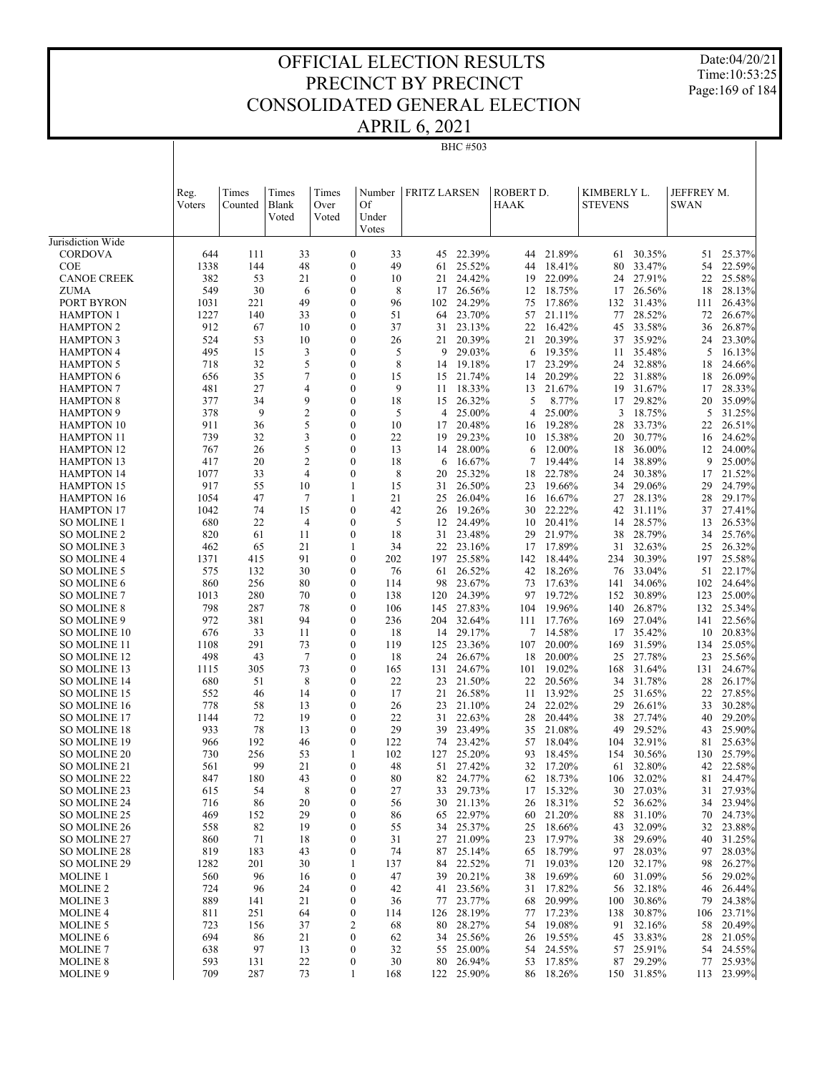Date:04/20/21 Time:10:53:25 Page:169 of 184

| <b>FRITZ LARSEN</b><br>ROBERT D.<br>KIMBERLY L.<br>JEFFREY M.<br>Times<br>Times<br>Times<br>Reg.<br>Number<br>Of<br>Blank<br>HAAK<br><b>STEVENS</b><br><b>SWAN</b><br>Voters<br>Counted<br>Over<br>Under<br>Voted<br>Voted<br>Votes<br>21.89%<br>22.39%<br>30.35%<br>25.37%<br><b>CORDOVA</b><br>644<br>33<br>$\boldsymbol{0}$<br>33<br>45<br>44<br>51<br>111<br>61<br>49<br>25.52%<br>18.41%<br>33.47%<br>22.59%<br>1338<br>144<br>48<br>$\boldsymbol{0}$<br>44<br>80<br>54<br><b>COE</b><br>61<br>382<br>53<br>24.42%<br>22.09%<br>27.91%<br><b>CANOE CREEK</b><br>21<br>$\mathbf{0}$<br>10<br>21<br>22<br>25.58%<br>19<br>24<br>549<br>30<br>$\boldsymbol{0}$<br>8<br>26.56%<br>18.75%<br>26.56%<br>18<br>28.13%<br>ZUMA<br>6<br>17<br>12<br>17<br>$\mathbf{0}$<br>24.29%<br>PORT BYRON<br>1031<br>221<br>49<br>96<br>75<br>17.86%<br>31.43%<br>26.43%<br>102<br>132<br>111<br>28.52%<br>1227<br>140<br>33<br>$\boldsymbol{0}$<br>51<br>64<br>23.70%<br>57<br>21.11%<br>77<br>72<br>26.67%<br><b>HAMPTON 1</b><br>912<br>$\mathbf{0}$<br>16.42%<br>33.58%<br><b>HAMPTON 2</b><br>67<br>10<br>37<br>23.13%<br>22<br>26.87%<br>31<br>45<br>36<br>524<br>$\boldsymbol{0}$<br>20.39%<br>35.92%<br>53<br>10<br>26<br>21<br>20.39%<br>21<br>24<br>23.30%<br><b>HAMPTON 3</b><br>37<br>495<br>3<br>$\mathbf{0}$<br>5<br>29.03%<br>19.35%<br>35.48%<br>5<br>15<br>9<br>16.13%<br><b>HAMPTON 4</b><br>6<br>11<br>5<br>$\mathbf{0}$<br>8<br>23.29%<br>32.88%<br>718<br>32<br>19.18%<br>17<br>24<br>24.66%<br><b>HAMPTON 5</b><br>14<br>18<br>35<br>7<br>$\mathbf{0}$<br>15<br>20.29%<br>31.88%<br><b>HAMPTON 6</b><br>656<br>21.74%<br>22<br>18<br>26.09%<br>15<br>14<br>481<br>27<br>$\mathbf{0}$<br>9<br>21.67%<br>4<br>18.33%<br>19<br>31.67%<br>17<br>28.33%<br><b>HAMPTON 7</b><br>11<br>13<br>377<br>9<br>$\mathbf{0}$<br>18<br>5<br>8.77%<br>29.82%<br>34<br>26.32%<br>20<br>35.09%<br><b>HAMPTON 8</b><br>15<br>17<br>378<br>9<br>$\mathfrak{2}$<br>$\mathbf{0}$<br>25.00%<br>18.75%<br>5<br>5<br>25.00%<br>$\overline{4}$<br>3<br>31.25%<br><b>HAMPTON 9</b><br>4<br>5<br>911<br>$\mathbf{0}$<br>19.28%<br>36<br>10<br>20.48%<br>28<br>33.73%<br>22<br>26.51%<br><b>HAMPTON 10</b><br>17<br>16<br>739<br>3<br>$\mathbf{0}$<br>22<br>32<br>29.23%<br>15.38%<br>20<br>30.77%<br>24.62%<br><b>HAMPTON 11</b><br>19<br>10<br>16<br>5<br>$\mathbf{0}$<br>767<br>26<br>13<br>28.00%<br>12.00%<br>18<br>36.00%<br>12<br>24.00%<br><b>HAMPTON 12</b><br>14<br>6<br>417<br>$\mathfrak{2}$<br>$\boldsymbol{0}$<br>38.89%<br>20<br>18<br>16.67%<br>7<br>19.44%<br>9<br>25.00%<br><b>HAMPTON 13</b><br>14<br>6<br>1077<br>$\overline{4}$<br>$\boldsymbol{0}$<br>8<br>22.78%<br>30.38%<br>33<br>25.32%<br>18<br>24<br>17<br>21.52%<br><b>HAMPTON 14</b><br>20<br>917<br>15<br>24.79%<br>55<br>10<br>1<br>26.50%<br>23<br>19.66%<br>34<br>29.06%<br>29<br><b>HAMPTON 15</b><br>31<br>1054<br>21<br>29.17%<br>47<br>7<br>1<br>26.04%<br>16.67%<br>27<br>28.13%<br>28<br><b>HAMPTON 16</b><br>25<br>16<br>74<br>15<br>22.22%<br>1042<br>$\boldsymbol{0}$<br>42<br>19.26%<br>31.11%<br>37<br>27.41%<br><b>HAMPTON 17</b><br>26<br>30<br>42<br>680<br>22<br>$\mathbf{0}$<br>5<br>24.49%<br>20.41%<br>28.57%<br>4<br>13<br>26.53%<br><b>SO MOLINE 1</b><br>12<br>10<br>14<br>21.97%<br>820<br>61<br>11<br>$\boldsymbol{0}$<br>18<br>23.48%<br>29<br>38<br>28.79%<br>34<br>25.76%<br>SO MOLINE 2<br>31<br>21<br>23.16%<br>17.89%<br>32.63%<br>26.32%<br>462<br>65<br>1<br>34<br>22<br>17<br>31<br>25<br>SO MOLINE 3<br>91<br>30.39%<br>1371<br>415<br>$\boldsymbol{0}$<br>202<br>25.58%<br>18.44%<br>197<br>25.58%<br>SO MOLINE 4<br>197<br>142<br>234<br>30<br>18.26%<br>33.04%<br>575<br>132<br>$\mathbf{0}$<br>76<br>26.52%<br>42<br>76<br>51<br>22.17%<br>SO MOLINE 5<br>61<br>860<br>256<br>80<br>$\boldsymbol{0}$<br>23.67%<br>73<br>17.63%<br>34.06%<br>24.64%<br>SO MOLINE 6<br>114<br>98<br>141<br>102<br>70<br>$\mathbf{0}$<br>19.72%<br>1013<br>280<br>138<br>120<br>24.39%<br>97<br>152<br>30.89%<br>123<br>25.00%<br><b>SO MOLINE 7</b><br>78<br>798<br>287<br>$\boldsymbol{0}$<br>27.83%<br>19.96%<br>140<br>26.87%<br>132<br>25.34%<br>SO MOLINE 8<br>106<br>145<br>104<br>972<br>94<br>$\mathbf{0}$<br>22.56%<br>381<br>236<br>204<br>32.64%<br>17.76%<br>169<br>27.04%<br>141<br>SO MOLINE 9<br>111<br>676<br>33<br>11<br>$\boldsymbol{0}$<br>29.17%<br>7<br>14.58%<br>35.42%<br>20.83%<br>SO MOLINE 10<br>18<br>14<br>17<br>10<br>291<br>73<br>$\mathbf{0}$<br>31.59%<br>1108<br>119<br>125<br>23.36%<br>107<br>20.00%<br>25.05%<br>SO MOLINE 11<br>169<br>134<br>498<br>27.78%<br>43<br>7<br>$\mathbf{0}$<br>18<br>24<br>26.67%<br>18<br>20.00%<br>25<br>23<br>25.56%<br>SO MOLINE 12<br>73<br>$\mathbf{0}$<br>1115<br>305<br>24.67%<br>19.02%<br>168<br>31.64%<br>131<br>24.67%<br>SO MOLINE 13<br>165<br>131<br>101<br>680<br>51<br>8<br>$\boldsymbol{0}$<br>22<br>23<br>21.50%<br>20.56%<br>31.78%<br>28<br>26.17%<br>SO MOLINE 14<br>22<br>34<br>$\mathbf{0}$<br>13.92%<br>552<br>14<br>17<br>21<br>26.58%<br>31.65%<br>22<br>27.85%<br>SO MOLINE 15<br>46<br>11<br>25<br>778<br>22.02%<br>58<br>$\boldsymbol{0}$<br>26<br>21.10%<br>29<br>26.61%<br>33<br>30.28%<br>SO MOLINE 16<br>13<br>23<br>24<br>72<br>22<br>29.20%<br>1144<br>19<br>$\mathbf{0}$<br>22.63%<br>28<br>20.44%<br>27.74%<br>40<br><b>SO MOLINE 17</b><br>31<br>38<br>933<br>29.52%<br>78<br>13<br>$\mathbf{0}$<br>29<br>23.49%<br>35<br>21.08%<br>49<br>25.90%<br>SO MOLINE 18<br>39<br>43<br>$\mathbf{0}$<br>966<br>192<br>46<br>122<br>23.42%<br>57<br>32.91%<br>81<br>25.63%<br>SO MOLINE 19<br>74<br>18.04%<br>104<br>SO MOLINE 20<br>730<br>256<br>53<br>102<br>127<br>25.20%<br>93<br>18.45%<br>154<br>30.56%<br>130<br>25.79%<br>22.58%<br>99<br>$\boldsymbol{0}$<br>48<br>27.42%<br>17.20%<br>32.80%<br>42<br>SO MOLINE 21<br>561<br>21<br>51<br>32<br>61<br>847<br>$\boldsymbol{0}$<br>24.77%<br>18.73%<br>32.02%<br>81<br>24.47%<br>SO MOLINE 22<br>180<br>43<br>80<br>82<br>62<br>106<br>54<br>8<br>$\boldsymbol{0}$<br>27<br>29.73%<br>15.32%<br>27.03%<br>27.93%<br>SO MOLINE 23<br>615<br>33<br>17<br>30<br>31<br>716<br>$\boldsymbol{0}$<br>21.13%<br>18.31%<br>36.62%<br>23.94%<br>SO MOLINE 24<br>86<br>20<br>56<br>30<br>26<br>52<br>34<br>469<br>29<br>$\boldsymbol{0}$<br>22.97%<br>21.20%<br>31.10%<br>24.73%<br>SO MOLINE 25<br>152<br>86<br>60<br>88<br>70<br>65<br>558<br>82<br>$\boldsymbol{0}$<br>25.37%<br>18.66%<br>32.09%<br>23.88%<br>SO MOLINE 26<br>19<br>55<br>34<br>25<br>43<br>32<br>71<br>$\boldsymbol{0}$<br>31<br>21.09%<br>23<br>17.97%<br>38<br>29.69%<br>40<br>31.25%<br>SO MOLINE 27<br>860<br>18<br>27<br>819<br>183<br>$\boldsymbol{0}$<br>74<br>18.79%<br>97<br>28.03%<br>28.03%<br>SO MOLINE 28<br>43<br>87<br>25.14%<br>65<br>97<br>1282<br>201<br>30<br>1<br>22.52%<br>19.03%<br>32.17%<br>26.27%<br>SO MOLINE 29<br>137<br>84<br>71<br>120<br>98<br>560<br>$\boldsymbol{0}$<br>20.21%<br>19.69%<br>31.09%<br>29.02%<br><b>MOLINE 1</b><br>96<br>16<br>47<br>39<br>38<br>60<br>56<br>724<br>96<br>24<br>$\boldsymbol{0}$<br>23.56%<br>17.82%<br>32.18%<br>26.44%<br><b>MOLINE 2</b><br>42<br>41<br>31<br>56<br>46<br>889<br>21<br>23.77%<br>20.99%<br>30.86%<br>24.38%<br><b>MOLINE 3</b><br>141<br>$\boldsymbol{0}$<br>36<br>77<br>68<br>100<br>79<br>$\boldsymbol{0}$<br>811<br>251<br>64<br>28.19%<br>17.23%<br>138<br>30.87%<br>23.71%<br><b>MOLINE 4</b><br>114<br>126<br>77<br>106<br>723<br>37<br>2<br>80 28.27%<br>19.08%<br>32.16%<br>58<br><b>MOLINE 5</b><br>156<br>68<br>54<br>91<br>694<br>21<br>$\boldsymbol{0}$<br>MOLINE 6<br>86<br>62<br>34 25.56%<br>26 19.55%<br>45 33.83% |                   |  |  |  | BHC #503 |  |  |  |
|-----------------------------------------------------------------------------------------------------------------------------------------------------------------------------------------------------------------------------------------------------------------------------------------------------------------------------------------------------------------------------------------------------------------------------------------------------------------------------------------------------------------------------------------------------------------------------------------------------------------------------------------------------------------------------------------------------------------------------------------------------------------------------------------------------------------------------------------------------------------------------------------------------------------------------------------------------------------------------------------------------------------------------------------------------------------------------------------------------------------------------------------------------------------------------------------------------------------------------------------------------------------------------------------------------------------------------------------------------------------------------------------------------------------------------------------------------------------------------------------------------------------------------------------------------------------------------------------------------------------------------------------------------------------------------------------------------------------------------------------------------------------------------------------------------------------------------------------------------------------------------------------------------------------------------------------------------------------------------------------------------------------------------------------------------------------------------------------------------------------------------------------------------------------------------------------------------------------------------------------------------------------------------------------------------------------------------------------------------------------------------------------------------------------------------------------------------------------------------------------------------------------------------------------------------------------------------------------------------------------------------------------------------------------------------------------------------------------------------------------------------------------------------------------------------------------------------------------------------------------------------------------------------------------------------------------------------------------------------------------------------------------------------------------------------------------------------------------------------------------------------------------------------------------------------------------------------------------------------------------------------------------------------------------------------------------------------------------------------------------------------------------------------------------------------------------------------------------------------------------------------------------------------------------------------------------------------------------------------------------------------------------------------------------------------------------------------------------------------------------------------------------------------------------------------------------------------------------------------------------------------------------------------------------------------------------------------------------------------------------------------------------------------------------------------------------------------------------------------------------------------------------------------------------------------------------------------------------------------------------------------------------------------------------------------------------------------------------------------------------------------------------------------------------------------------------------------------------------------------------------------------------------------------------------------------------------------------------------------------------------------------------------------------------------------------------------------------------------------------------------------------------------------------------------------------------------------------------------------------------------------------------------------------------------------------------------------------------------------------------------------------------------------------------------------------------------------------------------------------------------------------------------------------------------------------------------------------------------------------------------------------------------------------------------------------------------------------------------------------------------------------------------------------------------------------------------------------------------------------------------------------------------------------------------------------------------------------------------------------------------------------------------------------------------------------------------------------------------------------------------------------------------------------------------------------------------------------------------------------------------------------------------------------------------------------------------------------------------------------------------------------------------------------------------------------------------------------------------------------------------------------------------------------------------------------------------------------------------------------------------------------------------------------------------------------------------------------------------------------------------------------------------------------------------------------------------------------------------------------------------------------------------------------------------------------------------------------------------------------------------------------------------------------------------------------------------------------------------------------------------------------------------------------------------------------------------------------------------------------------------------------------------------------------------------------------------------------------------------------------------------------------------------------------------------------------------------------------------------------------------------------------------------------------------------------------------------------------------------------------------------------------------------------------------------------------------------------------------------------------------------------------------------------------------------------------------------------------------------------------------------------------------------------------------------------------------------------------------------------------------|-------------------|--|--|--|----------|--|--|--|
|                                                                                                                                                                                                                                                                                                                                                                                                                                                                                                                                                                                                                                                                                                                                                                                                                                                                                                                                                                                                                                                                                                                                                                                                                                                                                                                                                                                                                                                                                                                                                                                                                                                                                                                                                                                                                                                                                                                                                                                                                                                                                                                                                                                                                                                                                                                                                                                                                                                                                                                                                                                                                                                                                                                                                                                                                                                                                                                                                                                                                                                                                                                                                                                                                                                                                                                                                                                                                                                                                                                                                                                                                                                                                                                                                                                                                                                                                                                                                                                                                                                                                                                                                                                                                                                                                                                                                                                                                                                                                                                                                                                                                                                                                                                                                                                                                                                                                                                                                                                                                                                                                                                                                                                                                                                                                                                                                                                                                                                                                                                                                                                                                                                                                                                                                                                                                                                                                                                                                                                                                                                                                                                                                                                                                                                                                                                                                                                                                                                                                                                                                                                                                                                                                                                                                                                                                                                                                                                                                                                                                                                                                                                                                                                                                                                                                                                                                                                                                                                                                                                                                                                                                       |                   |  |  |  |          |  |  |  |
| 20.49%<br>28 21.05%                                                                                                                                                                                                                                                                                                                                                                                                                                                                                                                                                                                                                                                                                                                                                                                                                                                                                                                                                                                                                                                                                                                                                                                                                                                                                                                                                                                                                                                                                                                                                                                                                                                                                                                                                                                                                                                                                                                                                                                                                                                                                                                                                                                                                                                                                                                                                                                                                                                                                                                                                                                                                                                                                                                                                                                                                                                                                                                                                                                                                                                                                                                                                                                                                                                                                                                                                                                                                                                                                                                                                                                                                                                                                                                                                                                                                                                                                                                                                                                                                                                                                                                                                                                                                                                                                                                                                                                                                                                                                                                                                                                                                                                                                                                                                                                                                                                                                                                                                                                                                                                                                                                                                                                                                                                                                                                                                                                                                                                                                                                                                                                                                                                                                                                                                                                                                                                                                                                                                                                                                                                                                                                                                                                                                                                                                                                                                                                                                                                                                                                                                                                                                                                                                                                                                                                                                                                                                                                                                                                                                                                                                                                                                                                                                                                                                                                                                                                                                                                                                                                                                                                                   | Jurisdiction Wide |  |  |  |          |  |  |  |
|                                                                                                                                                                                                                                                                                                                                                                                                                                                                                                                                                                                                                                                                                                                                                                                                                                                                                                                                                                                                                                                                                                                                                                                                                                                                                                                                                                                                                                                                                                                                                                                                                                                                                                                                                                                                                                                                                                                                                                                                                                                                                                                                                                                                                                                                                                                                                                                                                                                                                                                                                                                                                                                                                                                                                                                                                                                                                                                                                                                                                                                                                                                                                                                                                                                                                                                                                                                                                                                                                                                                                                                                                                                                                                                                                                                                                                                                                                                                                                                                                                                                                                                                                                                                                                                                                                                                                                                                                                                                                                                                                                                                                                                                                                                                                                                                                                                                                                                                                                                                                                                                                                                                                                                                                                                                                                                                                                                                                                                                                                                                                                                                                                                                                                                                                                                                                                                                                                                                                                                                                                                                                                                                                                                                                                                                                                                                                                                                                                                                                                                                                                                                                                                                                                                                                                                                                                                                                                                                                                                                                                                                                                                                                                                                                                                                                                                                                                                                                                                                                                                                                                                                                       |                   |  |  |  |          |  |  |  |
|                                                                                                                                                                                                                                                                                                                                                                                                                                                                                                                                                                                                                                                                                                                                                                                                                                                                                                                                                                                                                                                                                                                                                                                                                                                                                                                                                                                                                                                                                                                                                                                                                                                                                                                                                                                                                                                                                                                                                                                                                                                                                                                                                                                                                                                                                                                                                                                                                                                                                                                                                                                                                                                                                                                                                                                                                                                                                                                                                                                                                                                                                                                                                                                                                                                                                                                                                                                                                                                                                                                                                                                                                                                                                                                                                                                                                                                                                                                                                                                                                                                                                                                                                                                                                                                                                                                                                                                                                                                                                                                                                                                                                                                                                                                                                                                                                                                                                                                                                                                                                                                                                                                                                                                                                                                                                                                                                                                                                                                                                                                                                                                                                                                                                                                                                                                                                                                                                                                                                                                                                                                                                                                                                                                                                                                                                                                                                                                                                                                                                                                                                                                                                                                                                                                                                                                                                                                                                                                                                                                                                                                                                                                                                                                                                                                                                                                                                                                                                                                                                                                                                                                                                       |                   |  |  |  |          |  |  |  |
|                                                                                                                                                                                                                                                                                                                                                                                                                                                                                                                                                                                                                                                                                                                                                                                                                                                                                                                                                                                                                                                                                                                                                                                                                                                                                                                                                                                                                                                                                                                                                                                                                                                                                                                                                                                                                                                                                                                                                                                                                                                                                                                                                                                                                                                                                                                                                                                                                                                                                                                                                                                                                                                                                                                                                                                                                                                                                                                                                                                                                                                                                                                                                                                                                                                                                                                                                                                                                                                                                                                                                                                                                                                                                                                                                                                                                                                                                                                                                                                                                                                                                                                                                                                                                                                                                                                                                                                                                                                                                                                                                                                                                                                                                                                                                                                                                                                                                                                                                                                                                                                                                                                                                                                                                                                                                                                                                                                                                                                                                                                                                                                                                                                                                                                                                                                                                                                                                                                                                                                                                                                                                                                                                                                                                                                                                                                                                                                                                                                                                                                                                                                                                                                                                                                                                                                                                                                                                                                                                                                                                                                                                                                                                                                                                                                                                                                                                                                                                                                                                                                                                                                                                       |                   |  |  |  |          |  |  |  |
|                                                                                                                                                                                                                                                                                                                                                                                                                                                                                                                                                                                                                                                                                                                                                                                                                                                                                                                                                                                                                                                                                                                                                                                                                                                                                                                                                                                                                                                                                                                                                                                                                                                                                                                                                                                                                                                                                                                                                                                                                                                                                                                                                                                                                                                                                                                                                                                                                                                                                                                                                                                                                                                                                                                                                                                                                                                                                                                                                                                                                                                                                                                                                                                                                                                                                                                                                                                                                                                                                                                                                                                                                                                                                                                                                                                                                                                                                                                                                                                                                                                                                                                                                                                                                                                                                                                                                                                                                                                                                                                                                                                                                                                                                                                                                                                                                                                                                                                                                                                                                                                                                                                                                                                                                                                                                                                                                                                                                                                                                                                                                                                                                                                                                                                                                                                                                                                                                                                                                                                                                                                                                                                                                                                                                                                                                                                                                                                                                                                                                                                                                                                                                                                                                                                                                                                                                                                                                                                                                                                                                                                                                                                                                                                                                                                                                                                                                                                                                                                                                                                                                                                                                       |                   |  |  |  |          |  |  |  |
|                                                                                                                                                                                                                                                                                                                                                                                                                                                                                                                                                                                                                                                                                                                                                                                                                                                                                                                                                                                                                                                                                                                                                                                                                                                                                                                                                                                                                                                                                                                                                                                                                                                                                                                                                                                                                                                                                                                                                                                                                                                                                                                                                                                                                                                                                                                                                                                                                                                                                                                                                                                                                                                                                                                                                                                                                                                                                                                                                                                                                                                                                                                                                                                                                                                                                                                                                                                                                                                                                                                                                                                                                                                                                                                                                                                                                                                                                                                                                                                                                                                                                                                                                                                                                                                                                                                                                                                                                                                                                                                                                                                                                                                                                                                                                                                                                                                                                                                                                                                                                                                                                                                                                                                                                                                                                                                                                                                                                                                                                                                                                                                                                                                                                                                                                                                                                                                                                                                                                                                                                                                                                                                                                                                                                                                                                                                                                                                                                                                                                                                                                                                                                                                                                                                                                                                                                                                                                                                                                                                                                                                                                                                                                                                                                                                                                                                                                                                                                                                                                                                                                                                                                       |                   |  |  |  |          |  |  |  |
|                                                                                                                                                                                                                                                                                                                                                                                                                                                                                                                                                                                                                                                                                                                                                                                                                                                                                                                                                                                                                                                                                                                                                                                                                                                                                                                                                                                                                                                                                                                                                                                                                                                                                                                                                                                                                                                                                                                                                                                                                                                                                                                                                                                                                                                                                                                                                                                                                                                                                                                                                                                                                                                                                                                                                                                                                                                                                                                                                                                                                                                                                                                                                                                                                                                                                                                                                                                                                                                                                                                                                                                                                                                                                                                                                                                                                                                                                                                                                                                                                                                                                                                                                                                                                                                                                                                                                                                                                                                                                                                                                                                                                                                                                                                                                                                                                                                                                                                                                                                                                                                                                                                                                                                                                                                                                                                                                                                                                                                                                                                                                                                                                                                                                                                                                                                                                                                                                                                                                                                                                                                                                                                                                                                                                                                                                                                                                                                                                                                                                                                                                                                                                                                                                                                                                                                                                                                                                                                                                                                                                                                                                                                                                                                                                                                                                                                                                                                                                                                                                                                                                                                                                       |                   |  |  |  |          |  |  |  |
|                                                                                                                                                                                                                                                                                                                                                                                                                                                                                                                                                                                                                                                                                                                                                                                                                                                                                                                                                                                                                                                                                                                                                                                                                                                                                                                                                                                                                                                                                                                                                                                                                                                                                                                                                                                                                                                                                                                                                                                                                                                                                                                                                                                                                                                                                                                                                                                                                                                                                                                                                                                                                                                                                                                                                                                                                                                                                                                                                                                                                                                                                                                                                                                                                                                                                                                                                                                                                                                                                                                                                                                                                                                                                                                                                                                                                                                                                                                                                                                                                                                                                                                                                                                                                                                                                                                                                                                                                                                                                                                                                                                                                                                                                                                                                                                                                                                                                                                                                                                                                                                                                                                                                                                                                                                                                                                                                                                                                                                                                                                                                                                                                                                                                                                                                                                                                                                                                                                                                                                                                                                                                                                                                                                                                                                                                                                                                                                                                                                                                                                                                                                                                                                                                                                                                                                                                                                                                                                                                                                                                                                                                                                                                                                                                                                                                                                                                                                                                                                                                                                                                                                                                       |                   |  |  |  |          |  |  |  |
|                                                                                                                                                                                                                                                                                                                                                                                                                                                                                                                                                                                                                                                                                                                                                                                                                                                                                                                                                                                                                                                                                                                                                                                                                                                                                                                                                                                                                                                                                                                                                                                                                                                                                                                                                                                                                                                                                                                                                                                                                                                                                                                                                                                                                                                                                                                                                                                                                                                                                                                                                                                                                                                                                                                                                                                                                                                                                                                                                                                                                                                                                                                                                                                                                                                                                                                                                                                                                                                                                                                                                                                                                                                                                                                                                                                                                                                                                                                                                                                                                                                                                                                                                                                                                                                                                                                                                                                                                                                                                                                                                                                                                                                                                                                                                                                                                                                                                                                                                                                                                                                                                                                                                                                                                                                                                                                                                                                                                                                                                                                                                                                                                                                                                                                                                                                                                                                                                                                                                                                                                                                                                                                                                                                                                                                                                                                                                                                                                                                                                                                                                                                                                                                                                                                                                                                                                                                                                                                                                                                                                                                                                                                                                                                                                                                                                                                                                                                                                                                                                                                                                                                                                       |                   |  |  |  |          |  |  |  |
|                                                                                                                                                                                                                                                                                                                                                                                                                                                                                                                                                                                                                                                                                                                                                                                                                                                                                                                                                                                                                                                                                                                                                                                                                                                                                                                                                                                                                                                                                                                                                                                                                                                                                                                                                                                                                                                                                                                                                                                                                                                                                                                                                                                                                                                                                                                                                                                                                                                                                                                                                                                                                                                                                                                                                                                                                                                                                                                                                                                                                                                                                                                                                                                                                                                                                                                                                                                                                                                                                                                                                                                                                                                                                                                                                                                                                                                                                                                                                                                                                                                                                                                                                                                                                                                                                                                                                                                                                                                                                                                                                                                                                                                                                                                                                                                                                                                                                                                                                                                                                                                                                                                                                                                                                                                                                                                                                                                                                                                                                                                                                                                                                                                                                                                                                                                                                                                                                                                                                                                                                                                                                                                                                                                                                                                                                                                                                                                                                                                                                                                                                                                                                                                                                                                                                                                                                                                                                                                                                                                                                                                                                                                                                                                                                                                                                                                                                                                                                                                                                                                                                                                                                       |                   |  |  |  |          |  |  |  |
|                                                                                                                                                                                                                                                                                                                                                                                                                                                                                                                                                                                                                                                                                                                                                                                                                                                                                                                                                                                                                                                                                                                                                                                                                                                                                                                                                                                                                                                                                                                                                                                                                                                                                                                                                                                                                                                                                                                                                                                                                                                                                                                                                                                                                                                                                                                                                                                                                                                                                                                                                                                                                                                                                                                                                                                                                                                                                                                                                                                                                                                                                                                                                                                                                                                                                                                                                                                                                                                                                                                                                                                                                                                                                                                                                                                                                                                                                                                                                                                                                                                                                                                                                                                                                                                                                                                                                                                                                                                                                                                                                                                                                                                                                                                                                                                                                                                                                                                                                                                                                                                                                                                                                                                                                                                                                                                                                                                                                                                                                                                                                                                                                                                                                                                                                                                                                                                                                                                                                                                                                                                                                                                                                                                                                                                                                                                                                                                                                                                                                                                                                                                                                                                                                                                                                                                                                                                                                                                                                                                                                                                                                                                                                                                                                                                                                                                                                                                                                                                                                                                                                                                                                       |                   |  |  |  |          |  |  |  |
|                                                                                                                                                                                                                                                                                                                                                                                                                                                                                                                                                                                                                                                                                                                                                                                                                                                                                                                                                                                                                                                                                                                                                                                                                                                                                                                                                                                                                                                                                                                                                                                                                                                                                                                                                                                                                                                                                                                                                                                                                                                                                                                                                                                                                                                                                                                                                                                                                                                                                                                                                                                                                                                                                                                                                                                                                                                                                                                                                                                                                                                                                                                                                                                                                                                                                                                                                                                                                                                                                                                                                                                                                                                                                                                                                                                                                                                                                                                                                                                                                                                                                                                                                                                                                                                                                                                                                                                                                                                                                                                                                                                                                                                                                                                                                                                                                                                                                                                                                                                                                                                                                                                                                                                                                                                                                                                                                                                                                                                                                                                                                                                                                                                                                                                                                                                                                                                                                                                                                                                                                                                                                                                                                                                                                                                                                                                                                                                                                                                                                                                                                                                                                                                                                                                                                                                                                                                                                                                                                                                                                                                                                                                                                                                                                                                                                                                                                                                                                                                                                                                                                                                                                       |                   |  |  |  |          |  |  |  |
|                                                                                                                                                                                                                                                                                                                                                                                                                                                                                                                                                                                                                                                                                                                                                                                                                                                                                                                                                                                                                                                                                                                                                                                                                                                                                                                                                                                                                                                                                                                                                                                                                                                                                                                                                                                                                                                                                                                                                                                                                                                                                                                                                                                                                                                                                                                                                                                                                                                                                                                                                                                                                                                                                                                                                                                                                                                                                                                                                                                                                                                                                                                                                                                                                                                                                                                                                                                                                                                                                                                                                                                                                                                                                                                                                                                                                                                                                                                                                                                                                                                                                                                                                                                                                                                                                                                                                                                                                                                                                                                                                                                                                                                                                                                                                                                                                                                                                                                                                                                                                                                                                                                                                                                                                                                                                                                                                                                                                                                                                                                                                                                                                                                                                                                                                                                                                                                                                                                                                                                                                                                                                                                                                                                                                                                                                                                                                                                                                                                                                                                                                                                                                                                                                                                                                                                                                                                                                                                                                                                                                                                                                                                                                                                                                                                                                                                                                                                                                                                                                                                                                                                                                       |                   |  |  |  |          |  |  |  |
|                                                                                                                                                                                                                                                                                                                                                                                                                                                                                                                                                                                                                                                                                                                                                                                                                                                                                                                                                                                                                                                                                                                                                                                                                                                                                                                                                                                                                                                                                                                                                                                                                                                                                                                                                                                                                                                                                                                                                                                                                                                                                                                                                                                                                                                                                                                                                                                                                                                                                                                                                                                                                                                                                                                                                                                                                                                                                                                                                                                                                                                                                                                                                                                                                                                                                                                                                                                                                                                                                                                                                                                                                                                                                                                                                                                                                                                                                                                                                                                                                                                                                                                                                                                                                                                                                                                                                                                                                                                                                                                                                                                                                                                                                                                                                                                                                                                                                                                                                                                                                                                                                                                                                                                                                                                                                                                                                                                                                                                                                                                                                                                                                                                                                                                                                                                                                                                                                                                                                                                                                                                                                                                                                                                                                                                                                                                                                                                                                                                                                                                                                                                                                                                                                                                                                                                                                                                                                                                                                                                                                                                                                                                                                                                                                                                                                                                                                                                                                                                                                                                                                                                                                       |                   |  |  |  |          |  |  |  |
|                                                                                                                                                                                                                                                                                                                                                                                                                                                                                                                                                                                                                                                                                                                                                                                                                                                                                                                                                                                                                                                                                                                                                                                                                                                                                                                                                                                                                                                                                                                                                                                                                                                                                                                                                                                                                                                                                                                                                                                                                                                                                                                                                                                                                                                                                                                                                                                                                                                                                                                                                                                                                                                                                                                                                                                                                                                                                                                                                                                                                                                                                                                                                                                                                                                                                                                                                                                                                                                                                                                                                                                                                                                                                                                                                                                                                                                                                                                                                                                                                                                                                                                                                                                                                                                                                                                                                                                                                                                                                                                                                                                                                                                                                                                                                                                                                                                                                                                                                                                                                                                                                                                                                                                                                                                                                                                                                                                                                                                                                                                                                                                                                                                                                                                                                                                                                                                                                                                                                                                                                                                                                                                                                                                                                                                                                                                                                                                                                                                                                                                                                                                                                                                                                                                                                                                                                                                                                                                                                                                                                                                                                                                                                                                                                                                                                                                                                                                                                                                                                                                                                                                                                       |                   |  |  |  |          |  |  |  |
|                                                                                                                                                                                                                                                                                                                                                                                                                                                                                                                                                                                                                                                                                                                                                                                                                                                                                                                                                                                                                                                                                                                                                                                                                                                                                                                                                                                                                                                                                                                                                                                                                                                                                                                                                                                                                                                                                                                                                                                                                                                                                                                                                                                                                                                                                                                                                                                                                                                                                                                                                                                                                                                                                                                                                                                                                                                                                                                                                                                                                                                                                                                                                                                                                                                                                                                                                                                                                                                                                                                                                                                                                                                                                                                                                                                                                                                                                                                                                                                                                                                                                                                                                                                                                                                                                                                                                                                                                                                                                                                                                                                                                                                                                                                                                                                                                                                                                                                                                                                                                                                                                                                                                                                                                                                                                                                                                                                                                                                                                                                                                                                                                                                                                                                                                                                                                                                                                                                                                                                                                                                                                                                                                                                                                                                                                                                                                                                                                                                                                                                                                                                                                                                                                                                                                                                                                                                                                                                                                                                                                                                                                                                                                                                                                                                                                                                                                                                                                                                                                                                                                                                                                       |                   |  |  |  |          |  |  |  |
|                                                                                                                                                                                                                                                                                                                                                                                                                                                                                                                                                                                                                                                                                                                                                                                                                                                                                                                                                                                                                                                                                                                                                                                                                                                                                                                                                                                                                                                                                                                                                                                                                                                                                                                                                                                                                                                                                                                                                                                                                                                                                                                                                                                                                                                                                                                                                                                                                                                                                                                                                                                                                                                                                                                                                                                                                                                                                                                                                                                                                                                                                                                                                                                                                                                                                                                                                                                                                                                                                                                                                                                                                                                                                                                                                                                                                                                                                                                                                                                                                                                                                                                                                                                                                                                                                                                                                                                                                                                                                                                                                                                                                                                                                                                                                                                                                                                                                                                                                                                                                                                                                                                                                                                                                                                                                                                                                                                                                                                                                                                                                                                                                                                                                                                                                                                                                                                                                                                                                                                                                                                                                                                                                                                                                                                                                                                                                                                                                                                                                                                                                                                                                                                                                                                                                                                                                                                                                                                                                                                                                                                                                                                                                                                                                                                                                                                                                                                                                                                                                                                                                                                                                       |                   |  |  |  |          |  |  |  |
|                                                                                                                                                                                                                                                                                                                                                                                                                                                                                                                                                                                                                                                                                                                                                                                                                                                                                                                                                                                                                                                                                                                                                                                                                                                                                                                                                                                                                                                                                                                                                                                                                                                                                                                                                                                                                                                                                                                                                                                                                                                                                                                                                                                                                                                                                                                                                                                                                                                                                                                                                                                                                                                                                                                                                                                                                                                                                                                                                                                                                                                                                                                                                                                                                                                                                                                                                                                                                                                                                                                                                                                                                                                                                                                                                                                                                                                                                                                                                                                                                                                                                                                                                                                                                                                                                                                                                                                                                                                                                                                                                                                                                                                                                                                                                                                                                                                                                                                                                                                                                                                                                                                                                                                                                                                                                                                                                                                                                                                                                                                                                                                                                                                                                                                                                                                                                                                                                                                                                                                                                                                                                                                                                                                                                                                                                                                                                                                                                                                                                                                                                                                                                                                                                                                                                                                                                                                                                                                                                                                                                                                                                                                                                                                                                                                                                                                                                                                                                                                                                                                                                                                                                       |                   |  |  |  |          |  |  |  |
|                                                                                                                                                                                                                                                                                                                                                                                                                                                                                                                                                                                                                                                                                                                                                                                                                                                                                                                                                                                                                                                                                                                                                                                                                                                                                                                                                                                                                                                                                                                                                                                                                                                                                                                                                                                                                                                                                                                                                                                                                                                                                                                                                                                                                                                                                                                                                                                                                                                                                                                                                                                                                                                                                                                                                                                                                                                                                                                                                                                                                                                                                                                                                                                                                                                                                                                                                                                                                                                                                                                                                                                                                                                                                                                                                                                                                                                                                                                                                                                                                                                                                                                                                                                                                                                                                                                                                                                                                                                                                                                                                                                                                                                                                                                                                                                                                                                                                                                                                                                                                                                                                                                                                                                                                                                                                                                                                                                                                                                                                                                                                                                                                                                                                                                                                                                                                                                                                                                                                                                                                                                                                                                                                                                                                                                                                                                                                                                                                                                                                                                                                                                                                                                                                                                                                                                                                                                                                                                                                                                                                                                                                                                                                                                                                                                                                                                                                                                                                                                                                                                                                                                                                       |                   |  |  |  |          |  |  |  |
|                                                                                                                                                                                                                                                                                                                                                                                                                                                                                                                                                                                                                                                                                                                                                                                                                                                                                                                                                                                                                                                                                                                                                                                                                                                                                                                                                                                                                                                                                                                                                                                                                                                                                                                                                                                                                                                                                                                                                                                                                                                                                                                                                                                                                                                                                                                                                                                                                                                                                                                                                                                                                                                                                                                                                                                                                                                                                                                                                                                                                                                                                                                                                                                                                                                                                                                                                                                                                                                                                                                                                                                                                                                                                                                                                                                                                                                                                                                                                                                                                                                                                                                                                                                                                                                                                                                                                                                                                                                                                                                                                                                                                                                                                                                                                                                                                                                                                                                                                                                                                                                                                                                                                                                                                                                                                                                                                                                                                                                                                                                                                                                                                                                                                                                                                                                                                                                                                                                                                                                                                                                                                                                                                                                                                                                                                                                                                                                                                                                                                                                                                                                                                                                                                                                                                                                                                                                                                                                                                                                                                                                                                                                                                                                                                                                                                                                                                                                                                                                                                                                                                                                                                       |                   |  |  |  |          |  |  |  |
|                                                                                                                                                                                                                                                                                                                                                                                                                                                                                                                                                                                                                                                                                                                                                                                                                                                                                                                                                                                                                                                                                                                                                                                                                                                                                                                                                                                                                                                                                                                                                                                                                                                                                                                                                                                                                                                                                                                                                                                                                                                                                                                                                                                                                                                                                                                                                                                                                                                                                                                                                                                                                                                                                                                                                                                                                                                                                                                                                                                                                                                                                                                                                                                                                                                                                                                                                                                                                                                                                                                                                                                                                                                                                                                                                                                                                                                                                                                                                                                                                                                                                                                                                                                                                                                                                                                                                                                                                                                                                                                                                                                                                                                                                                                                                                                                                                                                                                                                                                                                                                                                                                                                                                                                                                                                                                                                                                                                                                                                                                                                                                                                                                                                                                                                                                                                                                                                                                                                                                                                                                                                                                                                                                                                                                                                                                                                                                                                                                                                                                                                                                                                                                                                                                                                                                                                                                                                                                                                                                                                                                                                                                                                                                                                                                                                                                                                                                                                                                                                                                                                                                                                                       |                   |  |  |  |          |  |  |  |
|                                                                                                                                                                                                                                                                                                                                                                                                                                                                                                                                                                                                                                                                                                                                                                                                                                                                                                                                                                                                                                                                                                                                                                                                                                                                                                                                                                                                                                                                                                                                                                                                                                                                                                                                                                                                                                                                                                                                                                                                                                                                                                                                                                                                                                                                                                                                                                                                                                                                                                                                                                                                                                                                                                                                                                                                                                                                                                                                                                                                                                                                                                                                                                                                                                                                                                                                                                                                                                                                                                                                                                                                                                                                                                                                                                                                                                                                                                                                                                                                                                                                                                                                                                                                                                                                                                                                                                                                                                                                                                                                                                                                                                                                                                                                                                                                                                                                                                                                                                                                                                                                                                                                                                                                                                                                                                                                                                                                                                                                                                                                                                                                                                                                                                                                                                                                                                                                                                                                                                                                                                                                                                                                                                                                                                                                                                                                                                                                                                                                                                                                                                                                                                                                                                                                                                                                                                                                                                                                                                                                                                                                                                                                                                                                                                                                                                                                                                                                                                                                                                                                                                                                                       |                   |  |  |  |          |  |  |  |
|                                                                                                                                                                                                                                                                                                                                                                                                                                                                                                                                                                                                                                                                                                                                                                                                                                                                                                                                                                                                                                                                                                                                                                                                                                                                                                                                                                                                                                                                                                                                                                                                                                                                                                                                                                                                                                                                                                                                                                                                                                                                                                                                                                                                                                                                                                                                                                                                                                                                                                                                                                                                                                                                                                                                                                                                                                                                                                                                                                                                                                                                                                                                                                                                                                                                                                                                                                                                                                                                                                                                                                                                                                                                                                                                                                                                                                                                                                                                                                                                                                                                                                                                                                                                                                                                                                                                                                                                                                                                                                                                                                                                                                                                                                                                                                                                                                                                                                                                                                                                                                                                                                                                                                                                                                                                                                                                                                                                                                                                                                                                                                                                                                                                                                                                                                                                                                                                                                                                                                                                                                                                                                                                                                                                                                                                                                                                                                                                                                                                                                                                                                                                                                                                                                                                                                                                                                                                                                                                                                                                                                                                                                                                                                                                                                                                                                                                                                                                                                                                                                                                                                                                                       |                   |  |  |  |          |  |  |  |
|                                                                                                                                                                                                                                                                                                                                                                                                                                                                                                                                                                                                                                                                                                                                                                                                                                                                                                                                                                                                                                                                                                                                                                                                                                                                                                                                                                                                                                                                                                                                                                                                                                                                                                                                                                                                                                                                                                                                                                                                                                                                                                                                                                                                                                                                                                                                                                                                                                                                                                                                                                                                                                                                                                                                                                                                                                                                                                                                                                                                                                                                                                                                                                                                                                                                                                                                                                                                                                                                                                                                                                                                                                                                                                                                                                                                                                                                                                                                                                                                                                                                                                                                                                                                                                                                                                                                                                                                                                                                                                                                                                                                                                                                                                                                                                                                                                                                                                                                                                                                                                                                                                                                                                                                                                                                                                                                                                                                                                                                                                                                                                                                                                                                                                                                                                                                                                                                                                                                                                                                                                                                                                                                                                                                                                                                                                                                                                                                                                                                                                                                                                                                                                                                                                                                                                                                                                                                                                                                                                                                                                                                                                                                                                                                                                                                                                                                                                                                                                                                                                                                                                                                                       |                   |  |  |  |          |  |  |  |
|                                                                                                                                                                                                                                                                                                                                                                                                                                                                                                                                                                                                                                                                                                                                                                                                                                                                                                                                                                                                                                                                                                                                                                                                                                                                                                                                                                                                                                                                                                                                                                                                                                                                                                                                                                                                                                                                                                                                                                                                                                                                                                                                                                                                                                                                                                                                                                                                                                                                                                                                                                                                                                                                                                                                                                                                                                                                                                                                                                                                                                                                                                                                                                                                                                                                                                                                                                                                                                                                                                                                                                                                                                                                                                                                                                                                                                                                                                                                                                                                                                                                                                                                                                                                                                                                                                                                                                                                                                                                                                                                                                                                                                                                                                                                                                                                                                                                                                                                                                                                                                                                                                                                                                                                                                                                                                                                                                                                                                                                                                                                                                                                                                                                                                                                                                                                                                                                                                                                                                                                                                                                                                                                                                                                                                                                                                                                                                                                                                                                                                                                                                                                                                                                                                                                                                                                                                                                                                                                                                                                                                                                                                                                                                                                                                                                                                                                                                                                                                                                                                                                                                                                                       |                   |  |  |  |          |  |  |  |
|                                                                                                                                                                                                                                                                                                                                                                                                                                                                                                                                                                                                                                                                                                                                                                                                                                                                                                                                                                                                                                                                                                                                                                                                                                                                                                                                                                                                                                                                                                                                                                                                                                                                                                                                                                                                                                                                                                                                                                                                                                                                                                                                                                                                                                                                                                                                                                                                                                                                                                                                                                                                                                                                                                                                                                                                                                                                                                                                                                                                                                                                                                                                                                                                                                                                                                                                                                                                                                                                                                                                                                                                                                                                                                                                                                                                                                                                                                                                                                                                                                                                                                                                                                                                                                                                                                                                                                                                                                                                                                                                                                                                                                                                                                                                                                                                                                                                                                                                                                                                                                                                                                                                                                                                                                                                                                                                                                                                                                                                                                                                                                                                                                                                                                                                                                                                                                                                                                                                                                                                                                                                                                                                                                                                                                                                                                                                                                                                                                                                                                                                                                                                                                                                                                                                                                                                                                                                                                                                                                                                                                                                                                                                                                                                                                                                                                                                                                                                                                                                                                                                                                                                                       |                   |  |  |  |          |  |  |  |
|                                                                                                                                                                                                                                                                                                                                                                                                                                                                                                                                                                                                                                                                                                                                                                                                                                                                                                                                                                                                                                                                                                                                                                                                                                                                                                                                                                                                                                                                                                                                                                                                                                                                                                                                                                                                                                                                                                                                                                                                                                                                                                                                                                                                                                                                                                                                                                                                                                                                                                                                                                                                                                                                                                                                                                                                                                                                                                                                                                                                                                                                                                                                                                                                                                                                                                                                                                                                                                                                                                                                                                                                                                                                                                                                                                                                                                                                                                                                                                                                                                                                                                                                                                                                                                                                                                                                                                                                                                                                                                                                                                                                                                                                                                                                                                                                                                                                                                                                                                                                                                                                                                                                                                                                                                                                                                                                                                                                                                                                                                                                                                                                                                                                                                                                                                                                                                                                                                                                                                                                                                                                                                                                                                                                                                                                                                                                                                                                                                                                                                                                                                                                                                                                                                                                                                                                                                                                                                                                                                                                                                                                                                                                                                                                                                                                                                                                                                                                                                                                                                                                                                                                                       |                   |  |  |  |          |  |  |  |
|                                                                                                                                                                                                                                                                                                                                                                                                                                                                                                                                                                                                                                                                                                                                                                                                                                                                                                                                                                                                                                                                                                                                                                                                                                                                                                                                                                                                                                                                                                                                                                                                                                                                                                                                                                                                                                                                                                                                                                                                                                                                                                                                                                                                                                                                                                                                                                                                                                                                                                                                                                                                                                                                                                                                                                                                                                                                                                                                                                                                                                                                                                                                                                                                                                                                                                                                                                                                                                                                                                                                                                                                                                                                                                                                                                                                                                                                                                                                                                                                                                                                                                                                                                                                                                                                                                                                                                                                                                                                                                                                                                                                                                                                                                                                                                                                                                                                                                                                                                                                                                                                                                                                                                                                                                                                                                                                                                                                                                                                                                                                                                                                                                                                                                                                                                                                                                                                                                                                                                                                                                                                                                                                                                                                                                                                                                                                                                                                                                                                                                                                                                                                                                                                                                                                                                                                                                                                                                                                                                                                                                                                                                                                                                                                                                                                                                                                                                                                                                                                                                                                                                                                                       |                   |  |  |  |          |  |  |  |
|                                                                                                                                                                                                                                                                                                                                                                                                                                                                                                                                                                                                                                                                                                                                                                                                                                                                                                                                                                                                                                                                                                                                                                                                                                                                                                                                                                                                                                                                                                                                                                                                                                                                                                                                                                                                                                                                                                                                                                                                                                                                                                                                                                                                                                                                                                                                                                                                                                                                                                                                                                                                                                                                                                                                                                                                                                                                                                                                                                                                                                                                                                                                                                                                                                                                                                                                                                                                                                                                                                                                                                                                                                                                                                                                                                                                                                                                                                                                                                                                                                                                                                                                                                                                                                                                                                                                                                                                                                                                                                                                                                                                                                                                                                                                                                                                                                                                                                                                                                                                                                                                                                                                                                                                                                                                                                                                                                                                                                                                                                                                                                                                                                                                                                                                                                                                                                                                                                                                                                                                                                                                                                                                                                                                                                                                                                                                                                                                                                                                                                                                                                                                                                                                                                                                                                                                                                                                                                                                                                                                                                                                                                                                                                                                                                                                                                                                                                                                                                                                                                                                                                                                                       |                   |  |  |  |          |  |  |  |
|                                                                                                                                                                                                                                                                                                                                                                                                                                                                                                                                                                                                                                                                                                                                                                                                                                                                                                                                                                                                                                                                                                                                                                                                                                                                                                                                                                                                                                                                                                                                                                                                                                                                                                                                                                                                                                                                                                                                                                                                                                                                                                                                                                                                                                                                                                                                                                                                                                                                                                                                                                                                                                                                                                                                                                                                                                                                                                                                                                                                                                                                                                                                                                                                                                                                                                                                                                                                                                                                                                                                                                                                                                                                                                                                                                                                                                                                                                                                                                                                                                                                                                                                                                                                                                                                                                                                                                                                                                                                                                                                                                                                                                                                                                                                                                                                                                                                                                                                                                                                                                                                                                                                                                                                                                                                                                                                                                                                                                                                                                                                                                                                                                                                                                                                                                                                                                                                                                                                                                                                                                                                                                                                                                                                                                                                                                                                                                                                                                                                                                                                                                                                                                                                                                                                                                                                                                                                                                                                                                                                                                                                                                                                                                                                                                                                                                                                                                                                                                                                                                                                                                                                                       |                   |  |  |  |          |  |  |  |
|                                                                                                                                                                                                                                                                                                                                                                                                                                                                                                                                                                                                                                                                                                                                                                                                                                                                                                                                                                                                                                                                                                                                                                                                                                                                                                                                                                                                                                                                                                                                                                                                                                                                                                                                                                                                                                                                                                                                                                                                                                                                                                                                                                                                                                                                                                                                                                                                                                                                                                                                                                                                                                                                                                                                                                                                                                                                                                                                                                                                                                                                                                                                                                                                                                                                                                                                                                                                                                                                                                                                                                                                                                                                                                                                                                                                                                                                                                                                                                                                                                                                                                                                                                                                                                                                                                                                                                                                                                                                                                                                                                                                                                                                                                                                                                                                                                                                                                                                                                                                                                                                                                                                                                                                                                                                                                                                                                                                                                                                                                                                                                                                                                                                                                                                                                                                                                                                                                                                                                                                                                                                                                                                                                                                                                                                                                                                                                                                                                                                                                                                                                                                                                                                                                                                                                                                                                                                                                                                                                                                                                                                                                                                                                                                                                                                                                                                                                                                                                                                                                                                                                                                                       |                   |  |  |  |          |  |  |  |
|                                                                                                                                                                                                                                                                                                                                                                                                                                                                                                                                                                                                                                                                                                                                                                                                                                                                                                                                                                                                                                                                                                                                                                                                                                                                                                                                                                                                                                                                                                                                                                                                                                                                                                                                                                                                                                                                                                                                                                                                                                                                                                                                                                                                                                                                                                                                                                                                                                                                                                                                                                                                                                                                                                                                                                                                                                                                                                                                                                                                                                                                                                                                                                                                                                                                                                                                                                                                                                                                                                                                                                                                                                                                                                                                                                                                                                                                                                                                                                                                                                                                                                                                                                                                                                                                                                                                                                                                                                                                                                                                                                                                                                                                                                                                                                                                                                                                                                                                                                                                                                                                                                                                                                                                                                                                                                                                                                                                                                                                                                                                                                                                                                                                                                                                                                                                                                                                                                                                                                                                                                                                                                                                                                                                                                                                                                                                                                                                                                                                                                                                                                                                                                                                                                                                                                                                                                                                                                                                                                                                                                                                                                                                                                                                                                                                                                                                                                                                                                                                                                                                                                                                                       |                   |  |  |  |          |  |  |  |
|                                                                                                                                                                                                                                                                                                                                                                                                                                                                                                                                                                                                                                                                                                                                                                                                                                                                                                                                                                                                                                                                                                                                                                                                                                                                                                                                                                                                                                                                                                                                                                                                                                                                                                                                                                                                                                                                                                                                                                                                                                                                                                                                                                                                                                                                                                                                                                                                                                                                                                                                                                                                                                                                                                                                                                                                                                                                                                                                                                                                                                                                                                                                                                                                                                                                                                                                                                                                                                                                                                                                                                                                                                                                                                                                                                                                                                                                                                                                                                                                                                                                                                                                                                                                                                                                                                                                                                                                                                                                                                                                                                                                                                                                                                                                                                                                                                                                                                                                                                                                                                                                                                                                                                                                                                                                                                                                                                                                                                                                                                                                                                                                                                                                                                                                                                                                                                                                                                                                                                                                                                                                                                                                                                                                                                                                                                                                                                                                                                                                                                                                                                                                                                                                                                                                                                                                                                                                                                                                                                                                                                                                                                                                                                                                                                                                                                                                                                                                                                                                                                                                                                                                                       |                   |  |  |  |          |  |  |  |
|                                                                                                                                                                                                                                                                                                                                                                                                                                                                                                                                                                                                                                                                                                                                                                                                                                                                                                                                                                                                                                                                                                                                                                                                                                                                                                                                                                                                                                                                                                                                                                                                                                                                                                                                                                                                                                                                                                                                                                                                                                                                                                                                                                                                                                                                                                                                                                                                                                                                                                                                                                                                                                                                                                                                                                                                                                                                                                                                                                                                                                                                                                                                                                                                                                                                                                                                                                                                                                                                                                                                                                                                                                                                                                                                                                                                                                                                                                                                                                                                                                                                                                                                                                                                                                                                                                                                                                                                                                                                                                                                                                                                                                                                                                                                                                                                                                                                                                                                                                                                                                                                                                                                                                                                                                                                                                                                                                                                                                                                                                                                                                                                                                                                                                                                                                                                                                                                                                                                                                                                                                                                                                                                                                                                                                                                                                                                                                                                                                                                                                                                                                                                                                                                                                                                                                                                                                                                                                                                                                                                                                                                                                                                                                                                                                                                                                                                                                                                                                                                                                                                                                                                                       |                   |  |  |  |          |  |  |  |
|                                                                                                                                                                                                                                                                                                                                                                                                                                                                                                                                                                                                                                                                                                                                                                                                                                                                                                                                                                                                                                                                                                                                                                                                                                                                                                                                                                                                                                                                                                                                                                                                                                                                                                                                                                                                                                                                                                                                                                                                                                                                                                                                                                                                                                                                                                                                                                                                                                                                                                                                                                                                                                                                                                                                                                                                                                                                                                                                                                                                                                                                                                                                                                                                                                                                                                                                                                                                                                                                                                                                                                                                                                                                                                                                                                                                                                                                                                                                                                                                                                                                                                                                                                                                                                                                                                                                                                                                                                                                                                                                                                                                                                                                                                                                                                                                                                                                                                                                                                                                                                                                                                                                                                                                                                                                                                                                                                                                                                                                                                                                                                                                                                                                                                                                                                                                                                                                                                                                                                                                                                                                                                                                                                                                                                                                                                                                                                                                                                                                                                                                                                                                                                                                                                                                                                                                                                                                                                                                                                                                                                                                                                                                                                                                                                                                                                                                                                                                                                                                                                                                                                                                                       |                   |  |  |  |          |  |  |  |
|                                                                                                                                                                                                                                                                                                                                                                                                                                                                                                                                                                                                                                                                                                                                                                                                                                                                                                                                                                                                                                                                                                                                                                                                                                                                                                                                                                                                                                                                                                                                                                                                                                                                                                                                                                                                                                                                                                                                                                                                                                                                                                                                                                                                                                                                                                                                                                                                                                                                                                                                                                                                                                                                                                                                                                                                                                                                                                                                                                                                                                                                                                                                                                                                                                                                                                                                                                                                                                                                                                                                                                                                                                                                                                                                                                                                                                                                                                                                                                                                                                                                                                                                                                                                                                                                                                                                                                                                                                                                                                                                                                                                                                                                                                                                                                                                                                                                                                                                                                                                                                                                                                                                                                                                                                                                                                                                                                                                                                                                                                                                                                                                                                                                                                                                                                                                                                                                                                                                                                                                                                                                                                                                                                                                                                                                                                                                                                                                                                                                                                                                                                                                                                                                                                                                                                                                                                                                                                                                                                                                                                                                                                                                                                                                                                                                                                                                                                                                                                                                                                                                                                                                                       |                   |  |  |  |          |  |  |  |
|                                                                                                                                                                                                                                                                                                                                                                                                                                                                                                                                                                                                                                                                                                                                                                                                                                                                                                                                                                                                                                                                                                                                                                                                                                                                                                                                                                                                                                                                                                                                                                                                                                                                                                                                                                                                                                                                                                                                                                                                                                                                                                                                                                                                                                                                                                                                                                                                                                                                                                                                                                                                                                                                                                                                                                                                                                                                                                                                                                                                                                                                                                                                                                                                                                                                                                                                                                                                                                                                                                                                                                                                                                                                                                                                                                                                                                                                                                                                                                                                                                                                                                                                                                                                                                                                                                                                                                                                                                                                                                                                                                                                                                                                                                                                                                                                                                                                                                                                                                                                                                                                                                                                                                                                                                                                                                                                                                                                                                                                                                                                                                                                                                                                                                                                                                                                                                                                                                                                                                                                                                                                                                                                                                                                                                                                                                                                                                                                                                                                                                                                                                                                                                                                                                                                                                                                                                                                                                                                                                                                                                                                                                                                                                                                                                                                                                                                                                                                                                                                                                                                                                                                                       |                   |  |  |  |          |  |  |  |
|                                                                                                                                                                                                                                                                                                                                                                                                                                                                                                                                                                                                                                                                                                                                                                                                                                                                                                                                                                                                                                                                                                                                                                                                                                                                                                                                                                                                                                                                                                                                                                                                                                                                                                                                                                                                                                                                                                                                                                                                                                                                                                                                                                                                                                                                                                                                                                                                                                                                                                                                                                                                                                                                                                                                                                                                                                                                                                                                                                                                                                                                                                                                                                                                                                                                                                                                                                                                                                                                                                                                                                                                                                                                                                                                                                                                                                                                                                                                                                                                                                                                                                                                                                                                                                                                                                                                                                                                                                                                                                                                                                                                                                                                                                                                                                                                                                                                                                                                                                                                                                                                                                                                                                                                                                                                                                                                                                                                                                                                                                                                                                                                                                                                                                                                                                                                                                                                                                                                                                                                                                                                                                                                                                                                                                                                                                                                                                                                                                                                                                                                                                                                                                                                                                                                                                                                                                                                                                                                                                                                                                                                                                                                                                                                                                                                                                                                                                                                                                                                                                                                                                                                                       |                   |  |  |  |          |  |  |  |
|                                                                                                                                                                                                                                                                                                                                                                                                                                                                                                                                                                                                                                                                                                                                                                                                                                                                                                                                                                                                                                                                                                                                                                                                                                                                                                                                                                                                                                                                                                                                                                                                                                                                                                                                                                                                                                                                                                                                                                                                                                                                                                                                                                                                                                                                                                                                                                                                                                                                                                                                                                                                                                                                                                                                                                                                                                                                                                                                                                                                                                                                                                                                                                                                                                                                                                                                                                                                                                                                                                                                                                                                                                                                                                                                                                                                                                                                                                                                                                                                                                                                                                                                                                                                                                                                                                                                                                                                                                                                                                                                                                                                                                                                                                                                                                                                                                                                                                                                                                                                                                                                                                                                                                                                                                                                                                                                                                                                                                                                                                                                                                                                                                                                                                                                                                                                                                                                                                                                                                                                                                                                                                                                                                                                                                                                                                                                                                                                                                                                                                                                                                                                                                                                                                                                                                                                                                                                                                                                                                                                                                                                                                                                                                                                                                                                                                                                                                                                                                                                                                                                                                                                                       |                   |  |  |  |          |  |  |  |
|                                                                                                                                                                                                                                                                                                                                                                                                                                                                                                                                                                                                                                                                                                                                                                                                                                                                                                                                                                                                                                                                                                                                                                                                                                                                                                                                                                                                                                                                                                                                                                                                                                                                                                                                                                                                                                                                                                                                                                                                                                                                                                                                                                                                                                                                                                                                                                                                                                                                                                                                                                                                                                                                                                                                                                                                                                                                                                                                                                                                                                                                                                                                                                                                                                                                                                                                                                                                                                                                                                                                                                                                                                                                                                                                                                                                                                                                                                                                                                                                                                                                                                                                                                                                                                                                                                                                                                                                                                                                                                                                                                                                                                                                                                                                                                                                                                                                                                                                                                                                                                                                                                                                                                                                                                                                                                                                                                                                                                                                                                                                                                                                                                                                                                                                                                                                                                                                                                                                                                                                                                                                                                                                                                                                                                                                                                                                                                                                                                                                                                                                                                                                                                                                                                                                                                                                                                                                                                                                                                                                                                                                                                                                                                                                                                                                                                                                                                                                                                                                                                                                                                                                                       |                   |  |  |  |          |  |  |  |
|                                                                                                                                                                                                                                                                                                                                                                                                                                                                                                                                                                                                                                                                                                                                                                                                                                                                                                                                                                                                                                                                                                                                                                                                                                                                                                                                                                                                                                                                                                                                                                                                                                                                                                                                                                                                                                                                                                                                                                                                                                                                                                                                                                                                                                                                                                                                                                                                                                                                                                                                                                                                                                                                                                                                                                                                                                                                                                                                                                                                                                                                                                                                                                                                                                                                                                                                                                                                                                                                                                                                                                                                                                                                                                                                                                                                                                                                                                                                                                                                                                                                                                                                                                                                                                                                                                                                                                                                                                                                                                                                                                                                                                                                                                                                                                                                                                                                                                                                                                                                                                                                                                                                                                                                                                                                                                                                                                                                                                                                                                                                                                                                                                                                                                                                                                                                                                                                                                                                                                                                                                                                                                                                                                                                                                                                                                                                                                                                                                                                                                                                                                                                                                                                                                                                                                                                                                                                                                                                                                                                                                                                                                                                                                                                                                                                                                                                                                                                                                                                                                                                                                                                                       |                   |  |  |  |          |  |  |  |
|                                                                                                                                                                                                                                                                                                                                                                                                                                                                                                                                                                                                                                                                                                                                                                                                                                                                                                                                                                                                                                                                                                                                                                                                                                                                                                                                                                                                                                                                                                                                                                                                                                                                                                                                                                                                                                                                                                                                                                                                                                                                                                                                                                                                                                                                                                                                                                                                                                                                                                                                                                                                                                                                                                                                                                                                                                                                                                                                                                                                                                                                                                                                                                                                                                                                                                                                                                                                                                                                                                                                                                                                                                                                                                                                                                                                                                                                                                                                                                                                                                                                                                                                                                                                                                                                                                                                                                                                                                                                                                                                                                                                                                                                                                                                                                                                                                                                                                                                                                                                                                                                                                                                                                                                                                                                                                                                                                                                                                                                                                                                                                                                                                                                                                                                                                                                                                                                                                                                                                                                                                                                                                                                                                                                                                                                                                                                                                                                                                                                                                                                                                                                                                                                                                                                                                                                                                                                                                                                                                                                                                                                                                                                                                                                                                                                                                                                                                                                                                                                                                                                                                                                                       |                   |  |  |  |          |  |  |  |
|                                                                                                                                                                                                                                                                                                                                                                                                                                                                                                                                                                                                                                                                                                                                                                                                                                                                                                                                                                                                                                                                                                                                                                                                                                                                                                                                                                                                                                                                                                                                                                                                                                                                                                                                                                                                                                                                                                                                                                                                                                                                                                                                                                                                                                                                                                                                                                                                                                                                                                                                                                                                                                                                                                                                                                                                                                                                                                                                                                                                                                                                                                                                                                                                                                                                                                                                                                                                                                                                                                                                                                                                                                                                                                                                                                                                                                                                                                                                                                                                                                                                                                                                                                                                                                                                                                                                                                                                                                                                                                                                                                                                                                                                                                                                                                                                                                                                                                                                                                                                                                                                                                                                                                                                                                                                                                                                                                                                                                                                                                                                                                                                                                                                                                                                                                                                                                                                                                                                                                                                                                                                                                                                                                                                                                                                                                                                                                                                                                                                                                                                                                                                                                                                                                                                                                                                                                                                                                                                                                                                                                                                                                                                                                                                                                                                                                                                                                                                                                                                                                                                                                                                                       |                   |  |  |  |          |  |  |  |
|                                                                                                                                                                                                                                                                                                                                                                                                                                                                                                                                                                                                                                                                                                                                                                                                                                                                                                                                                                                                                                                                                                                                                                                                                                                                                                                                                                                                                                                                                                                                                                                                                                                                                                                                                                                                                                                                                                                                                                                                                                                                                                                                                                                                                                                                                                                                                                                                                                                                                                                                                                                                                                                                                                                                                                                                                                                                                                                                                                                                                                                                                                                                                                                                                                                                                                                                                                                                                                                                                                                                                                                                                                                                                                                                                                                                                                                                                                                                                                                                                                                                                                                                                                                                                                                                                                                                                                                                                                                                                                                                                                                                                                                                                                                                                                                                                                                                                                                                                                                                                                                                                                                                                                                                                                                                                                                                                                                                                                                                                                                                                                                                                                                                                                                                                                                                                                                                                                                                                                                                                                                                                                                                                                                                                                                                                                                                                                                                                                                                                                                                                                                                                                                                                                                                                                                                                                                                                                                                                                                                                                                                                                                                                                                                                                                                                                                                                                                                                                                                                                                                                                                                                       |                   |  |  |  |          |  |  |  |
|                                                                                                                                                                                                                                                                                                                                                                                                                                                                                                                                                                                                                                                                                                                                                                                                                                                                                                                                                                                                                                                                                                                                                                                                                                                                                                                                                                                                                                                                                                                                                                                                                                                                                                                                                                                                                                                                                                                                                                                                                                                                                                                                                                                                                                                                                                                                                                                                                                                                                                                                                                                                                                                                                                                                                                                                                                                                                                                                                                                                                                                                                                                                                                                                                                                                                                                                                                                                                                                                                                                                                                                                                                                                                                                                                                                                                                                                                                                                                                                                                                                                                                                                                                                                                                                                                                                                                                                                                                                                                                                                                                                                                                                                                                                                                                                                                                                                                                                                                                                                                                                                                                                                                                                                                                                                                                                                                                                                                                                                                                                                                                                                                                                                                                                                                                                                                                                                                                                                                                                                                                                                                                                                                                                                                                                                                                                                                                                                                                                                                                                                                                                                                                                                                                                                                                                                                                                                                                                                                                                                                                                                                                                                                                                                                                                                                                                                                                                                                                                                                                                                                                                                                       |                   |  |  |  |          |  |  |  |
|                                                                                                                                                                                                                                                                                                                                                                                                                                                                                                                                                                                                                                                                                                                                                                                                                                                                                                                                                                                                                                                                                                                                                                                                                                                                                                                                                                                                                                                                                                                                                                                                                                                                                                                                                                                                                                                                                                                                                                                                                                                                                                                                                                                                                                                                                                                                                                                                                                                                                                                                                                                                                                                                                                                                                                                                                                                                                                                                                                                                                                                                                                                                                                                                                                                                                                                                                                                                                                                                                                                                                                                                                                                                                                                                                                                                                                                                                                                                                                                                                                                                                                                                                                                                                                                                                                                                                                                                                                                                                                                                                                                                                                                                                                                                                                                                                                                                                                                                                                                                                                                                                                                                                                                                                                                                                                                                                                                                                                                                                                                                                                                                                                                                                                                                                                                                                                                                                                                                                                                                                                                                                                                                                                                                                                                                                                                                                                                                                                                                                                                                                                                                                                                                                                                                                                                                                                                                                                                                                                                                                                                                                                                                                                                                                                                                                                                                                                                                                                                                                                                                                                                                                       |                   |  |  |  |          |  |  |  |
|                                                                                                                                                                                                                                                                                                                                                                                                                                                                                                                                                                                                                                                                                                                                                                                                                                                                                                                                                                                                                                                                                                                                                                                                                                                                                                                                                                                                                                                                                                                                                                                                                                                                                                                                                                                                                                                                                                                                                                                                                                                                                                                                                                                                                                                                                                                                                                                                                                                                                                                                                                                                                                                                                                                                                                                                                                                                                                                                                                                                                                                                                                                                                                                                                                                                                                                                                                                                                                                                                                                                                                                                                                                                                                                                                                                                                                                                                                                                                                                                                                                                                                                                                                                                                                                                                                                                                                                                                                                                                                                                                                                                                                                                                                                                                                                                                                                                                                                                                                                                                                                                                                                                                                                                                                                                                                                                                                                                                                                                                                                                                                                                                                                                                                                                                                                                                                                                                                                                                                                                                                                                                                                                                                                                                                                                                                                                                                                                                                                                                                                                                                                                                                                                                                                                                                                                                                                                                                                                                                                                                                                                                                                                                                                                                                                                                                                                                                                                                                                                                                                                                                                                                       |                   |  |  |  |          |  |  |  |
|                                                                                                                                                                                                                                                                                                                                                                                                                                                                                                                                                                                                                                                                                                                                                                                                                                                                                                                                                                                                                                                                                                                                                                                                                                                                                                                                                                                                                                                                                                                                                                                                                                                                                                                                                                                                                                                                                                                                                                                                                                                                                                                                                                                                                                                                                                                                                                                                                                                                                                                                                                                                                                                                                                                                                                                                                                                                                                                                                                                                                                                                                                                                                                                                                                                                                                                                                                                                                                                                                                                                                                                                                                                                                                                                                                                                                                                                                                                                                                                                                                                                                                                                                                                                                                                                                                                                                                                                                                                                                                                                                                                                                                                                                                                                                                                                                                                                                                                                                                                                                                                                                                                                                                                                                                                                                                                                                                                                                                                                                                                                                                                                                                                                                                                                                                                                                                                                                                                                                                                                                                                                                                                                                                                                                                                                                                                                                                                                                                                                                                                                                                                                                                                                                                                                                                                                                                                                                                                                                                                                                                                                                                                                                                                                                                                                                                                                                                                                                                                                                                                                                                                                                       |                   |  |  |  |          |  |  |  |
|                                                                                                                                                                                                                                                                                                                                                                                                                                                                                                                                                                                                                                                                                                                                                                                                                                                                                                                                                                                                                                                                                                                                                                                                                                                                                                                                                                                                                                                                                                                                                                                                                                                                                                                                                                                                                                                                                                                                                                                                                                                                                                                                                                                                                                                                                                                                                                                                                                                                                                                                                                                                                                                                                                                                                                                                                                                                                                                                                                                                                                                                                                                                                                                                                                                                                                                                                                                                                                                                                                                                                                                                                                                                                                                                                                                                                                                                                                                                                                                                                                                                                                                                                                                                                                                                                                                                                                                                                                                                                                                                                                                                                                                                                                                                                                                                                                                                                                                                                                                                                                                                                                                                                                                                                                                                                                                                                                                                                                                                                                                                                                                                                                                                                                                                                                                                                                                                                                                                                                                                                                                                                                                                                                                                                                                                                                                                                                                                                                                                                                                                                                                                                                                                                                                                                                                                                                                                                                                                                                                                                                                                                                                                                                                                                                                                                                                                                                                                                                                                                                                                                                                                                       |                   |  |  |  |          |  |  |  |
|                                                                                                                                                                                                                                                                                                                                                                                                                                                                                                                                                                                                                                                                                                                                                                                                                                                                                                                                                                                                                                                                                                                                                                                                                                                                                                                                                                                                                                                                                                                                                                                                                                                                                                                                                                                                                                                                                                                                                                                                                                                                                                                                                                                                                                                                                                                                                                                                                                                                                                                                                                                                                                                                                                                                                                                                                                                                                                                                                                                                                                                                                                                                                                                                                                                                                                                                                                                                                                                                                                                                                                                                                                                                                                                                                                                                                                                                                                                                                                                                                                                                                                                                                                                                                                                                                                                                                                                                                                                                                                                                                                                                                                                                                                                                                                                                                                                                                                                                                                                                                                                                                                                                                                                                                                                                                                                                                                                                                                                                                                                                                                                                                                                                                                                                                                                                                                                                                                                                                                                                                                                                                                                                                                                                                                                                                                                                                                                                                                                                                                                                                                                                                                                                                                                                                                                                                                                                                                                                                                                                                                                                                                                                                                                                                                                                                                                                                                                                                                                                                                                                                                                                                       |                   |  |  |  |          |  |  |  |
|                                                                                                                                                                                                                                                                                                                                                                                                                                                                                                                                                                                                                                                                                                                                                                                                                                                                                                                                                                                                                                                                                                                                                                                                                                                                                                                                                                                                                                                                                                                                                                                                                                                                                                                                                                                                                                                                                                                                                                                                                                                                                                                                                                                                                                                                                                                                                                                                                                                                                                                                                                                                                                                                                                                                                                                                                                                                                                                                                                                                                                                                                                                                                                                                                                                                                                                                                                                                                                                                                                                                                                                                                                                                                                                                                                                                                                                                                                                                                                                                                                                                                                                                                                                                                                                                                                                                                                                                                                                                                                                                                                                                                                                                                                                                                                                                                                                                                                                                                                                                                                                                                                                                                                                                                                                                                                                                                                                                                                                                                                                                                                                                                                                                                                                                                                                                                                                                                                                                                                                                                                                                                                                                                                                                                                                                                                                                                                                                                                                                                                                                                                                                                                                                                                                                                                                                                                                                                                                                                                                                                                                                                                                                                                                                                                                                                                                                                                                                                                                                                                                                                                                                                       |                   |  |  |  |          |  |  |  |
|                                                                                                                                                                                                                                                                                                                                                                                                                                                                                                                                                                                                                                                                                                                                                                                                                                                                                                                                                                                                                                                                                                                                                                                                                                                                                                                                                                                                                                                                                                                                                                                                                                                                                                                                                                                                                                                                                                                                                                                                                                                                                                                                                                                                                                                                                                                                                                                                                                                                                                                                                                                                                                                                                                                                                                                                                                                                                                                                                                                                                                                                                                                                                                                                                                                                                                                                                                                                                                                                                                                                                                                                                                                                                                                                                                                                                                                                                                                                                                                                                                                                                                                                                                                                                                                                                                                                                                                                                                                                                                                                                                                                                                                                                                                                                                                                                                                                                                                                                                                                                                                                                                                                                                                                                                                                                                                                                                                                                                                                                                                                                                                                                                                                                                                                                                                                                                                                                                                                                                                                                                                                                                                                                                                                                                                                                                                                                                                                                                                                                                                                                                                                                                                                                                                                                                                                                                                                                                                                                                                                                                                                                                                                                                                                                                                                                                                                                                                                                                                                                                                                                                                                                       |                   |  |  |  |          |  |  |  |
|                                                                                                                                                                                                                                                                                                                                                                                                                                                                                                                                                                                                                                                                                                                                                                                                                                                                                                                                                                                                                                                                                                                                                                                                                                                                                                                                                                                                                                                                                                                                                                                                                                                                                                                                                                                                                                                                                                                                                                                                                                                                                                                                                                                                                                                                                                                                                                                                                                                                                                                                                                                                                                                                                                                                                                                                                                                                                                                                                                                                                                                                                                                                                                                                                                                                                                                                                                                                                                                                                                                                                                                                                                                                                                                                                                                                                                                                                                                                                                                                                                                                                                                                                                                                                                                                                                                                                                                                                                                                                                                                                                                                                                                                                                                                                                                                                                                                                                                                                                                                                                                                                                                                                                                                                                                                                                                                                                                                                                                                                                                                                                                                                                                                                                                                                                                                                                                                                                                                                                                                                                                                                                                                                                                                                                                                                                                                                                                                                                                                                                                                                                                                                                                                                                                                                                                                                                                                                                                                                                                                                                                                                                                                                                                                                                                                                                                                                                                                                                                                                                                                                                                                                       |                   |  |  |  |          |  |  |  |
|                                                                                                                                                                                                                                                                                                                                                                                                                                                                                                                                                                                                                                                                                                                                                                                                                                                                                                                                                                                                                                                                                                                                                                                                                                                                                                                                                                                                                                                                                                                                                                                                                                                                                                                                                                                                                                                                                                                                                                                                                                                                                                                                                                                                                                                                                                                                                                                                                                                                                                                                                                                                                                                                                                                                                                                                                                                                                                                                                                                                                                                                                                                                                                                                                                                                                                                                                                                                                                                                                                                                                                                                                                                                                                                                                                                                                                                                                                                                                                                                                                                                                                                                                                                                                                                                                                                                                                                                                                                                                                                                                                                                                                                                                                                                                                                                                                                                                                                                                                                                                                                                                                                                                                                                                                                                                                                                                                                                                                                                                                                                                                                                                                                                                                                                                                                                                                                                                                                                                                                                                                                                                                                                                                                                                                                                                                                                                                                                                                                                                                                                                                                                                                                                                                                                                                                                                                                                                                                                                                                                                                                                                                                                                                                                                                                                                                                                                                                                                                                                                                                                                                                                                       |                   |  |  |  |          |  |  |  |
|                                                                                                                                                                                                                                                                                                                                                                                                                                                                                                                                                                                                                                                                                                                                                                                                                                                                                                                                                                                                                                                                                                                                                                                                                                                                                                                                                                                                                                                                                                                                                                                                                                                                                                                                                                                                                                                                                                                                                                                                                                                                                                                                                                                                                                                                                                                                                                                                                                                                                                                                                                                                                                                                                                                                                                                                                                                                                                                                                                                                                                                                                                                                                                                                                                                                                                                                                                                                                                                                                                                                                                                                                                                                                                                                                                                                                                                                                                                                                                                                                                                                                                                                                                                                                                                                                                                                                                                                                                                                                                                                                                                                                                                                                                                                                                                                                                                                                                                                                                                                                                                                                                                                                                                                                                                                                                                                                                                                                                                                                                                                                                                                                                                                                                                                                                                                                                                                                                                                                                                                                                                                                                                                                                                                                                                                                                                                                                                                                                                                                                                                                                                                                                                                                                                                                                                                                                                                                                                                                                                                                                                                                                                                                                                                                                                                                                                                                                                                                                                                                                                                                                                                                       |                   |  |  |  |          |  |  |  |
|                                                                                                                                                                                                                                                                                                                                                                                                                                                                                                                                                                                                                                                                                                                                                                                                                                                                                                                                                                                                                                                                                                                                                                                                                                                                                                                                                                                                                                                                                                                                                                                                                                                                                                                                                                                                                                                                                                                                                                                                                                                                                                                                                                                                                                                                                                                                                                                                                                                                                                                                                                                                                                                                                                                                                                                                                                                                                                                                                                                                                                                                                                                                                                                                                                                                                                                                                                                                                                                                                                                                                                                                                                                                                                                                                                                                                                                                                                                                                                                                                                                                                                                                                                                                                                                                                                                                                                                                                                                                                                                                                                                                                                                                                                                                                                                                                                                                                                                                                                                                                                                                                                                                                                                                                                                                                                                                                                                                                                                                                                                                                                                                                                                                                                                                                                                                                                                                                                                                                                                                                                                                                                                                                                                                                                                                                                                                                                                                                                                                                                                                                                                                                                                                                                                                                                                                                                                                                                                                                                                                                                                                                                                                                                                                                                                                                                                                                                                                                                                                                                                                                                                                                       |                   |  |  |  |          |  |  |  |

694 86 21 0 62 34 25.56% 26 19.55% 45 33.83% 28 21.05% 638 97 13 0 32 55 25.00% 54 24.55% 57 25.91% 54 24.55% 593 131 22 0 30 80 26.94% 53 17.85% 87 29.29% 77 25.93%

150 31.85%

 MOLINE 6 MOLINE 7 MOLINE 8 MOLINE 9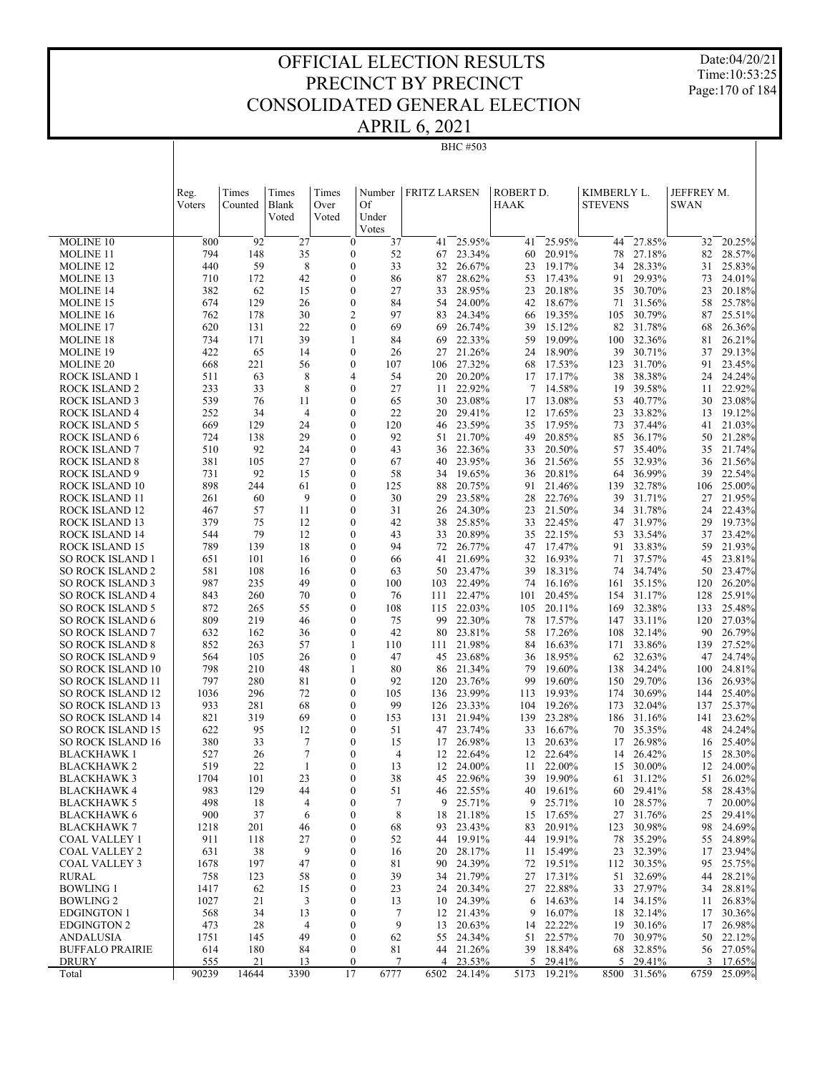Date:04/20/21 Time:10:53:25 Page:170 of 184

| PRIL 6, 2021 |                |
|--------------|----------------|
|              | <b>BHC#503</b> |

| <b>MOLINE 10</b><br>800<br>92<br>27<br>37<br>25.95%<br>25.95%<br>27.85%<br>20.25%<br>$\mathbf{0}$<br>41<br>44<br>32<br>41<br>35<br>20.91%<br>27.18%<br>28.57%<br><b>MOLINE 11</b><br>794<br>148<br>$\mathbf{0}$<br>52<br>23.34%<br>60<br>78<br>82<br>67<br>8<br>$\mathbf{0}$<br>440<br>59<br>33<br>26.67%<br>19.17%<br>28.33%<br>25.83%<br><b>MOLINE 12</b><br>32<br>23<br>34<br>31<br>29.93%<br>710<br>172<br>42<br>0<br>87<br>28.62%<br>17.43%<br>91<br>73<br>24.01%<br>MOLINE 13<br>86<br>53<br>382<br>$\mathbf{0}$<br>62<br>15<br>27<br>28.95%<br>20.18%<br>35<br>30.70%<br>23<br>20.18%<br><b>MOLINE 14</b><br>33<br>23<br>674<br>129<br>26<br>$\mathbf{0}$<br>84<br>24.00%<br>18.67%<br>71<br>31.56%<br>58<br>25.78%<br><b>MOLINE 15</b><br>54<br>42<br>30<br>$\overline{c}$<br>762<br>178<br>97<br>24.34%<br>19.35%<br>30.79%<br>25.51%<br><b>MOLINE 16</b><br>83<br>105<br>87<br>66<br>620<br>131<br>22<br>$\mathbf{0}$<br>69<br>26.74%<br>15.12%<br>82<br>31.78%<br>68<br>26.36%<br><b>MOLINE 17</b><br>69<br>39<br>39<br>734<br>171<br>1<br>22.33%<br>19.09%<br>100<br>32.36%<br>81<br>26.21%<br>MOLINE 18<br>84<br>69<br>59<br>30.71%<br>422<br>65<br>$\mathbf{0}$<br>21.26%<br>24 18.90%<br>39<br>29.13%<br>MOLINE 19<br>14<br>26<br>27<br>37<br>$\overline{0}$<br>668<br>221<br>56<br>27.32%<br>17.53%<br>123<br>31.70%<br>91<br>23.45%<br><b>MOLINE 20</b><br>107<br>106<br>68<br>8<br>4<br>54<br>20.20%<br>17 17.17%<br>38<br>38.38%<br>24.24%<br>ROCK ISLAND 1<br>511<br>63<br>20<br>24<br>8<br>22.92%<br>14.58%<br>233<br>0<br>27<br>7<br>19<br>39.58%<br>22.92%<br>ROCK ISLAND 2<br>33<br>11<br>11<br>539<br>$\mathbf{0}$<br>23.08%<br>13.08%<br>53<br>40.77%<br>30<br>23.08%<br>ROCK ISLAND 3<br>76<br>11<br>65<br>30<br>17<br>252<br>$\overline{4}$<br>$\mathbf{0}$<br>33.82%<br>34<br>22<br>29.41%<br>17.65%<br>23<br>19.12%<br>ROCK ISLAND 4<br>20<br>12<br>13<br>669<br>129<br>24<br>0<br>120<br>23.59%<br>17.95%<br>37.44%<br>21.03%<br>ROCK ISLAND 5<br>46<br>35<br>73<br>41<br>29<br>$\mathbf{0}$<br><b>ROCK ISLAND 6</b><br>724<br>138<br>92<br>21.70%<br>49<br>20.85%<br>85<br>36.17%<br>50<br>21.28%<br>51<br>20.50%<br>ROCK ISLAND 7<br>510<br>92<br>24<br>$\mathbf{0}$<br>43<br>22.36%<br>35.40%<br>21.74%<br>36<br>33<br>57<br>35<br>27<br>$\mathbf{0}$<br><b>ROCK ISLAND 8</b><br>381<br>105<br>23.95%<br>21.56%<br>32.93%<br>21.56%<br>67<br>40<br>36<br>55<br>36<br>731<br>92<br>15<br>$\mathbf{0}$<br>58<br>19.65%<br>20.81%<br>36.99%<br>39<br>22.54%<br>ROCK ISLAND 9<br>34<br>36<br>64<br>$\overline{0}$<br>ROCK ISLAND 10<br>898<br>61<br>20.75%<br>21.46%<br>32.78%<br>25.00%<br>244<br>125<br>88<br>91<br>139<br>106<br>9<br>31.71%<br>ROCK ISLAND 11<br>261<br>0<br>30<br>29<br>23.58%<br>28<br>22.76%<br>39<br>21.95%<br>60<br>27<br>$\overline{0}$<br>21.50%<br>31.78%<br>467<br>57<br>11<br>24.30%<br>22.43%<br>ROCK ISLAND 12<br>31<br>26<br>23<br>34<br>24<br>31.97%<br>379<br>$\mathbf{0}$<br>42<br>25.85%<br>22.45%<br>29<br>19.73%<br>ROCK ISLAND 13<br>75<br>12<br>38<br>33<br>47<br>544<br>79<br>$\mathbf{0}$<br>22.15%<br>ROCK ISLAND 14<br>12<br>20.89%<br>33.54%<br>23.42%<br>43<br>33<br>35<br>53<br>37<br>33.83%<br>ROCK ISLAND 15<br>789<br>139<br>18<br>$\mathbf{0}$<br>94<br>72<br>26.77%<br>17.47%<br>91<br>59<br>21.93%<br>47<br>$\mathbf{0}$<br><b>SO ROCK ISLAND 1</b><br>651<br>101<br>16<br>21.69%<br>16.93%<br>71<br>37.57%<br>45<br>23.81%<br>66<br>41<br>32<br>34.74%<br><b>SO ROCK ISLAND 2</b><br>581<br>108<br>$\mathbf{0}$<br>23.47%<br>18.31%<br>74<br>50<br>23.47%<br>16<br>63<br>50<br>39<br>987<br>49<br>$\overline{0}$<br><b>SO ROCK ISLAND 3</b><br>235<br>22.49%<br>16.16%<br>35.15%<br>120<br>26.20%<br>100<br>103<br>74<br>161<br>20.45%<br><b>SO ROCK ISLAND 4</b><br>843<br>260<br>70<br>$\mathbf{0}$<br>22.47%<br>154<br>31.17%<br>128<br>25.91%<br>76<br>111<br>101<br>55<br>$\overline{0}$<br>25.48%<br><b>SO ROCK ISLAND 5</b><br>872<br>265<br>115<br>22.03%<br>20.11%<br>32.38%<br>133<br>108<br>105<br>169<br><b>SO ROCK ISLAND 6</b><br>809<br>219<br>46<br>0<br>75<br>99<br>22.30%<br>78<br>17.57%<br>33.11%<br>27.03%<br>147<br>120<br>632<br><b>SO ROCK ISLAND 7</b><br>162<br>36<br>$\mathbf{0}$<br>42<br>23.81%<br>58<br>17.26%<br>108<br>32.14%<br>90<br>26.79%<br>80<br>21.98%<br>33.86%<br>27.52%<br><b>SO ROCK ISLAND 8</b><br>852<br>263<br>57<br>1<br>16.63%<br>139<br>110<br>111<br>84<br>171<br><b>SO ROCK ISLAND 9</b><br>564<br>26<br>$\mathbf{0}$<br>47<br>45<br>23.68%<br>18.95%<br>62<br>32.63%<br>24.74%<br>105<br>36<br>47<br><b>SO ROCK ISLAND 10</b><br>798<br>210<br>48<br>80<br>21.34%<br>19.60%<br>138<br>34.24%<br>24.81%<br>1<br>86<br>79<br>100<br>797<br><b>SO ROCK ISLAND 11</b><br>280<br>81<br>$\mathbf{0}$<br>92<br>23.76%<br>99<br>19.60%<br>150<br>29.70%<br>136<br>26.93%<br>120<br><b>SO ROCK ISLAND 12</b><br>1036<br>296<br>72<br>0<br>23.99%<br>19.93%<br>174<br>30.69%<br>25.40%<br>105<br>136<br>113<br>144<br>$\overline{0}$<br><b>SO ROCK ISLAND 13</b><br>933<br>281<br>68<br>99<br>23.33%<br>19.26%<br>173<br>32.04%<br>25.37%<br>126<br>104<br>137<br><b>SO ROCK ISLAND 14</b><br>821<br>319<br>69<br>$\mathbf{0}$<br>153<br>21.94%<br>23.28%<br>31.16%<br>23.62%<br>131<br>139<br>186<br>141<br><b>SO ROCK ISLAND 15</b><br>622<br>95<br>12<br>$\mathbf{0}$<br>51<br>47<br>23.74%<br>16.67%<br>70<br>35.35%<br>48<br>24.24%<br>33<br>7<br><b>SO ROCK ISLAND 16</b><br>380<br>$\mathbf{0}$<br>26.98%<br>20.63%<br>26.98%<br>25.40%<br>33<br>15<br>17<br>13<br>17<br>16<br>7<br>527<br>$\mathbf{0}$<br>22.64%<br>22.64%<br>26.42%<br>15<br>28.30%<br>BLACKHAWK 1<br>26<br>4<br>12<br>12<br>14<br>519<br>22<br>1<br>$\mathbf{0}$<br>24.00%<br>22.00%<br>30.00%<br>24.00%<br><b>BLACKHAWK 2</b><br>13<br>12<br>11<br>15<br>12<br>1704<br>23<br>$\boldsymbol{0}$<br>38<br>26.02%<br>101<br>45 22.96%<br>39 19.90%<br>31.12%<br>51<br>BLACKHAWK 3<br>61<br>$\boldsymbol{0}$<br>46 22.55%<br>40 19.61%<br>60 29.41%<br>58 28.43%<br>BLACKHAWK 4<br>983<br>129<br>44<br>51<br>25.71%<br>25.71%<br>28.57%<br><b>BLACKHAWK 5</b><br>498<br>18<br>4<br>$\boldsymbol{0}$<br>7<br>9<br>9<br>10<br>7<br>20.00%<br><b>BLACKHAWK 6</b><br>900<br>37<br>$\boldsymbol{0}$<br>8<br>21.18%<br>15 17.65%<br>27<br>31.76%<br>25<br>29.41%<br>6<br>18<br>1218<br>201<br>46<br>$\boldsymbol{0}$<br>23.43%<br>20.91%<br>123<br>30.98%<br>98<br>24.69%<br><b>BLACKHAWK 7</b><br>68<br>93<br>83<br>27<br>$\boldsymbol{0}$<br>19.91%<br>44 19.91%<br>35.29%<br>24.89%<br>COAL VALLEY 1<br>911<br>118<br>52<br>44<br>78<br>55<br>9<br><b>COAL VALLEY 2</b><br>38<br>$\boldsymbol{0}$<br>28.17%<br>15.49%<br>23<br>32.39%<br>23.94%<br>631<br>16<br>20<br>11<br>17<br><b>COAL VALLEY 3</b><br>197<br>47<br>$\boldsymbol{0}$<br>24.39%<br>72 19.51%<br>112 30.35%<br>25.75%<br>1678<br>81<br>90<br>95<br>32.69%<br>28.21%<br>758<br>123<br>58<br>$\boldsymbol{0}$<br>39<br>21.79%<br>17.31%<br>RURAL<br>34<br>27<br>51<br>44<br><b>BOWLING 1</b><br>20.34%<br>27 22.88%<br>27.97%<br>28.81%<br>1417<br>62<br>15<br>$\boldsymbol{0}$<br>23<br>24<br>33<br>34<br><b>BOWLING 2</b><br>1027<br>21<br>3<br>$\boldsymbol{0}$<br>24.39%<br>14.63%<br>14 34.15%<br>26.83%<br>13<br>6<br>10<br>11<br><b>EDGINGTON 1</b><br>568<br>$\boldsymbol{0}$<br>7<br>21.43%<br>16.07%<br>18 32.14%<br>30.36%<br>34<br>13<br>12<br>9<br>17<br><b>EDGINGTON 2</b><br>473<br>28<br>4<br>$\boldsymbol{0}$<br>9<br>20.63%<br>22.22%<br>30.16%<br>26.98%<br>13<br>14<br>19<br>17<br>1751<br>49<br>$\boldsymbol{0}$<br>24.34%<br>51 22.57%<br>30.97%<br>22.12%<br>ANDALUSIA<br>145<br>62<br>55<br>70<br>50<br>18.84%<br><b>BUFFALO PRAIRIE</b><br>614<br>180<br>84<br>$\boldsymbol{0}$<br>21.26%<br>39<br>32.85%<br>27.05%<br>81<br>44<br>68<br>56<br><b>DRURY</b><br>555<br>21<br>7<br>4 23.53%<br>5 29.41%<br>5 29.41%<br>3 17.65%<br>13<br>$\bf{0}$<br>14644<br>17<br>25.09%<br>90239<br>3390<br>6777<br>6502<br>24.14%<br>5173<br>19.21%<br>8500<br>31.56%<br>6759<br>Total | Reg.<br>Voters | Times<br>Counted | Times<br><b>Blank</b><br>Voted | Times<br>Over<br>Voted | Number<br>Of<br>Under<br>Votes | <b>FRITZ LARSEN</b> | ROBERT D.<br>HAAK | KIMBERLY L.<br><b>STEVENS</b> | JEFFREY M.<br><b>SWAN</b> |  |
|---------------------------------------------------------------------------------------------------------------------------------------------------------------------------------------------------------------------------------------------------------------------------------------------------------------------------------------------------------------------------------------------------------------------------------------------------------------------------------------------------------------------------------------------------------------------------------------------------------------------------------------------------------------------------------------------------------------------------------------------------------------------------------------------------------------------------------------------------------------------------------------------------------------------------------------------------------------------------------------------------------------------------------------------------------------------------------------------------------------------------------------------------------------------------------------------------------------------------------------------------------------------------------------------------------------------------------------------------------------------------------------------------------------------------------------------------------------------------------------------------------------------------------------------------------------------------------------------------------------------------------------------------------------------------------------------------------------------------------------------------------------------------------------------------------------------------------------------------------------------------------------------------------------------------------------------------------------------------------------------------------------------------------------------------------------------------------------------------------------------------------------------------------------------------------------------------------------------------------------------------------------------------------------------------------------------------------------------------------------------------------------------------------------------------------------------------------------------------------------------------------------------------------------------------------------------------------------------------------------------------------------------------------------------------------------------------------------------------------------------------------------------------------------------------------------------------------------------------------------------------------------------------------------------------------------------------------------------------------------------------------------------------------------------------------------------------------------------------------------------------------------------------------------------------------------------------------------------------------------------------------------------------------------------------------------------------------------------------------------------------------------------------------------------------------------------------------------------------------------------------------------------------------------------------------------------------------------------------------------------------------------------------------------------------------------------------------------------------------------------------------------------------------------------------------------------------------------------------------------------------------------------------------------------------------------------------------------------------------------------------------------------------------------------------------------------------------------------------------------------------------------------------------------------------------------------------------------------------------------------------------------------------------------------------------------------------------------------------------------------------------------------------------------------------------------------------------------------------------------------------------------------------------------------------------------------------------------------------------------------------------------------------------------------------------------------------------------------------------------------------------------------------------------------------------------------------------------------------------------------------------------------------------------------------------------------------------------------------------------------------------------------------------------------------------------------------------------------------------------------------------------------------------------------------------------------------------------------------------------------------------------------------------------------------------------------------------------------------------------------------------------------------------------------------------------------------------------------------------------------------------------------------------------------------------------------------------------------------------------------------------------------------------------------------------------------------------------------------------------------------------------------------------------------------------------------------------------------------------------------------------------------------------------------------------------------------------------------------------------------------------------------------------------------------------------------------------------------------------------------------------------------------------------------------------------------------------------------------------------------------------------------------------------------------------------------------------------------------------------------------------------------------------------------------------------------------------------------------------------------------------------------------------------------------------------------------------------------------------------------------------------------------------------------------------------------------------------------------------------------------------------------------------------------------------------------------------------------------------------------------------------------------------------------------------------------------------------------------------------------------------------------------------------------------------------------------------------------------------------------------------------------------------------------------------------------------------------------------------------------------------------------------------------------------------------------------------------------------------------------------------------------------------------------------------------------------------------------------------------------------------------------------------------------------------------------------------------------------------------------------------------------------------------------------------------------------------------------------------------------------------------------------------------------------------------------------------------------------------------------------------------------------------------------------------------------------------------------|----------------|------------------|--------------------------------|------------------------|--------------------------------|---------------------|-------------------|-------------------------------|---------------------------|--|
|                                                                                                                                                                                                                                                                                                                                                                                                                                                                                                                                                                                                                                                                                                                                                                                                                                                                                                                                                                                                                                                                                                                                                                                                                                                                                                                                                                                                                                                                                                                                                                                                                                                                                                                                                                                                                                                                                                                                                                                                                                                                                                                                                                                                                                                                                                                                                                                                                                                                                                                                                                                                                                                                                                                                                                                                                                                                                                                                                                                                                                                                                                                                                                                                                                                                                                                                                                                                                                                                                                                                                                                                                                                                                                                                                                                                                                                                                                                                                                                                                                                                                                                                                                                                                                                                                                                                                                                                                                                                                                                                                                                                                                                                                                                                                                                                                                                                                                                                                                                                                                                                                                                                                                                                                                                                                                                                                                                                                                                                                                                                                                                                                                                                                                                                                                                                                                                                                                                                                                                                                                                                                                                                                                                                                                                                                                                                                                                                                                                                                                                                                                                                                                                                                                                                                                                                                                                                                                                                                                                                                                                                                                                                                                                                                                                                                                                                                                                                                                                                                                                                                                                                                                                                                                                                                                                                                                                                                                                                                                     |                |                  |                                |                        |                                |                     |                   |                               |                           |  |
|                                                                                                                                                                                                                                                                                                                                                                                                                                                                                                                                                                                                                                                                                                                                                                                                                                                                                                                                                                                                                                                                                                                                                                                                                                                                                                                                                                                                                                                                                                                                                                                                                                                                                                                                                                                                                                                                                                                                                                                                                                                                                                                                                                                                                                                                                                                                                                                                                                                                                                                                                                                                                                                                                                                                                                                                                                                                                                                                                                                                                                                                                                                                                                                                                                                                                                                                                                                                                                                                                                                                                                                                                                                                                                                                                                                                                                                                                                                                                                                                                                                                                                                                                                                                                                                                                                                                                                                                                                                                                                                                                                                                                                                                                                                                                                                                                                                                                                                                                                                                                                                                                                                                                                                                                                                                                                                                                                                                                                                                                                                                                                                                                                                                                                                                                                                                                                                                                                                                                                                                                                                                                                                                                                                                                                                                                                                                                                                                                                                                                                                                                                                                                                                                                                                                                                                                                                                                                                                                                                                                                                                                                                                                                                                                                                                                                                                                                                                                                                                                                                                                                                                                                                                                                                                                                                                                                                                                                                                                                                     |                |                  |                                |                        |                                |                     |                   |                               |                           |  |
|                                                                                                                                                                                                                                                                                                                                                                                                                                                                                                                                                                                                                                                                                                                                                                                                                                                                                                                                                                                                                                                                                                                                                                                                                                                                                                                                                                                                                                                                                                                                                                                                                                                                                                                                                                                                                                                                                                                                                                                                                                                                                                                                                                                                                                                                                                                                                                                                                                                                                                                                                                                                                                                                                                                                                                                                                                                                                                                                                                                                                                                                                                                                                                                                                                                                                                                                                                                                                                                                                                                                                                                                                                                                                                                                                                                                                                                                                                                                                                                                                                                                                                                                                                                                                                                                                                                                                                                                                                                                                                                                                                                                                                                                                                                                                                                                                                                                                                                                                                                                                                                                                                                                                                                                                                                                                                                                                                                                                                                                                                                                                                                                                                                                                                                                                                                                                                                                                                                                                                                                                                                                                                                                                                                                                                                                                                                                                                                                                                                                                                                                                                                                                                                                                                                                                                                                                                                                                                                                                                                                                                                                                                                                                                                                                                                                                                                                                                                                                                                                                                                                                                                                                                                                                                                                                                                                                                                                                                                                                                     |                |                  |                                |                        |                                |                     |                   |                               |                           |  |
|                                                                                                                                                                                                                                                                                                                                                                                                                                                                                                                                                                                                                                                                                                                                                                                                                                                                                                                                                                                                                                                                                                                                                                                                                                                                                                                                                                                                                                                                                                                                                                                                                                                                                                                                                                                                                                                                                                                                                                                                                                                                                                                                                                                                                                                                                                                                                                                                                                                                                                                                                                                                                                                                                                                                                                                                                                                                                                                                                                                                                                                                                                                                                                                                                                                                                                                                                                                                                                                                                                                                                                                                                                                                                                                                                                                                                                                                                                                                                                                                                                                                                                                                                                                                                                                                                                                                                                                                                                                                                                                                                                                                                                                                                                                                                                                                                                                                                                                                                                                                                                                                                                                                                                                                                                                                                                                                                                                                                                                                                                                                                                                                                                                                                                                                                                                                                                                                                                                                                                                                                                                                                                                                                                                                                                                                                                                                                                                                                                                                                                                                                                                                                                                                                                                                                                                                                                                                                                                                                                                                                                                                                                                                                                                                                                                                                                                                                                                                                                                                                                                                                                                                                                                                                                                                                                                                                                                                                                                                                                     |                |                  |                                |                        |                                |                     |                   |                               |                           |  |
|                                                                                                                                                                                                                                                                                                                                                                                                                                                                                                                                                                                                                                                                                                                                                                                                                                                                                                                                                                                                                                                                                                                                                                                                                                                                                                                                                                                                                                                                                                                                                                                                                                                                                                                                                                                                                                                                                                                                                                                                                                                                                                                                                                                                                                                                                                                                                                                                                                                                                                                                                                                                                                                                                                                                                                                                                                                                                                                                                                                                                                                                                                                                                                                                                                                                                                                                                                                                                                                                                                                                                                                                                                                                                                                                                                                                                                                                                                                                                                                                                                                                                                                                                                                                                                                                                                                                                                                                                                                                                                                                                                                                                                                                                                                                                                                                                                                                                                                                                                                                                                                                                                                                                                                                                                                                                                                                                                                                                                                                                                                                                                                                                                                                                                                                                                                                                                                                                                                                                                                                                                                                                                                                                                                                                                                                                                                                                                                                                                                                                                                                                                                                                                                                                                                                                                                                                                                                                                                                                                                                                                                                                                                                                                                                                                                                                                                                                                                                                                                                                                                                                                                                                                                                                                                                                                                                                                                                                                                                                                     |                |                  |                                |                        |                                |                     |                   |                               |                           |  |
|                                                                                                                                                                                                                                                                                                                                                                                                                                                                                                                                                                                                                                                                                                                                                                                                                                                                                                                                                                                                                                                                                                                                                                                                                                                                                                                                                                                                                                                                                                                                                                                                                                                                                                                                                                                                                                                                                                                                                                                                                                                                                                                                                                                                                                                                                                                                                                                                                                                                                                                                                                                                                                                                                                                                                                                                                                                                                                                                                                                                                                                                                                                                                                                                                                                                                                                                                                                                                                                                                                                                                                                                                                                                                                                                                                                                                                                                                                                                                                                                                                                                                                                                                                                                                                                                                                                                                                                                                                                                                                                                                                                                                                                                                                                                                                                                                                                                                                                                                                                                                                                                                                                                                                                                                                                                                                                                                                                                                                                                                                                                                                                                                                                                                                                                                                                                                                                                                                                                                                                                                                                                                                                                                                                                                                                                                                                                                                                                                                                                                                                                                                                                                                                                                                                                                                                                                                                                                                                                                                                                                                                                                                                                                                                                                                                                                                                                                                                                                                                                                                                                                                                                                                                                                                                                                                                                                                                                                                                                                                     |                |                  |                                |                        |                                |                     |                   |                               |                           |  |
|                                                                                                                                                                                                                                                                                                                                                                                                                                                                                                                                                                                                                                                                                                                                                                                                                                                                                                                                                                                                                                                                                                                                                                                                                                                                                                                                                                                                                                                                                                                                                                                                                                                                                                                                                                                                                                                                                                                                                                                                                                                                                                                                                                                                                                                                                                                                                                                                                                                                                                                                                                                                                                                                                                                                                                                                                                                                                                                                                                                                                                                                                                                                                                                                                                                                                                                                                                                                                                                                                                                                                                                                                                                                                                                                                                                                                                                                                                                                                                                                                                                                                                                                                                                                                                                                                                                                                                                                                                                                                                                                                                                                                                                                                                                                                                                                                                                                                                                                                                                                                                                                                                                                                                                                                                                                                                                                                                                                                                                                                                                                                                                                                                                                                                                                                                                                                                                                                                                                                                                                                                                                                                                                                                                                                                                                                                                                                                                                                                                                                                                                                                                                                                                                                                                                                                                                                                                                                                                                                                                                                                                                                                                                                                                                                                                                                                                                                                                                                                                                                                                                                                                                                                                                                                                                                                                                                                                                                                                                                                     |                |                  |                                |                        |                                |                     |                   |                               |                           |  |
|                                                                                                                                                                                                                                                                                                                                                                                                                                                                                                                                                                                                                                                                                                                                                                                                                                                                                                                                                                                                                                                                                                                                                                                                                                                                                                                                                                                                                                                                                                                                                                                                                                                                                                                                                                                                                                                                                                                                                                                                                                                                                                                                                                                                                                                                                                                                                                                                                                                                                                                                                                                                                                                                                                                                                                                                                                                                                                                                                                                                                                                                                                                                                                                                                                                                                                                                                                                                                                                                                                                                                                                                                                                                                                                                                                                                                                                                                                                                                                                                                                                                                                                                                                                                                                                                                                                                                                                                                                                                                                                                                                                                                                                                                                                                                                                                                                                                                                                                                                                                                                                                                                                                                                                                                                                                                                                                                                                                                                                                                                                                                                                                                                                                                                                                                                                                                                                                                                                                                                                                                                                                                                                                                                                                                                                                                                                                                                                                                                                                                                                                                                                                                                                                                                                                                                                                                                                                                                                                                                                                                                                                                                                                                                                                                                                                                                                                                                                                                                                                                                                                                                                                                                                                                                                                                                                                                                                                                                                                                                     |                |                  |                                |                        |                                |                     |                   |                               |                           |  |
|                                                                                                                                                                                                                                                                                                                                                                                                                                                                                                                                                                                                                                                                                                                                                                                                                                                                                                                                                                                                                                                                                                                                                                                                                                                                                                                                                                                                                                                                                                                                                                                                                                                                                                                                                                                                                                                                                                                                                                                                                                                                                                                                                                                                                                                                                                                                                                                                                                                                                                                                                                                                                                                                                                                                                                                                                                                                                                                                                                                                                                                                                                                                                                                                                                                                                                                                                                                                                                                                                                                                                                                                                                                                                                                                                                                                                                                                                                                                                                                                                                                                                                                                                                                                                                                                                                                                                                                                                                                                                                                                                                                                                                                                                                                                                                                                                                                                                                                                                                                                                                                                                                                                                                                                                                                                                                                                                                                                                                                                                                                                                                                                                                                                                                                                                                                                                                                                                                                                                                                                                                                                                                                                                                                                                                                                                                                                                                                                                                                                                                                                                                                                                                                                                                                                                                                                                                                                                                                                                                                                                                                                                                                                                                                                                                                                                                                                                                                                                                                                                                                                                                                                                                                                                                                                                                                                                                                                                                                                                                     |                |                  |                                |                        |                                |                     |                   |                               |                           |  |
|                                                                                                                                                                                                                                                                                                                                                                                                                                                                                                                                                                                                                                                                                                                                                                                                                                                                                                                                                                                                                                                                                                                                                                                                                                                                                                                                                                                                                                                                                                                                                                                                                                                                                                                                                                                                                                                                                                                                                                                                                                                                                                                                                                                                                                                                                                                                                                                                                                                                                                                                                                                                                                                                                                                                                                                                                                                                                                                                                                                                                                                                                                                                                                                                                                                                                                                                                                                                                                                                                                                                                                                                                                                                                                                                                                                                                                                                                                                                                                                                                                                                                                                                                                                                                                                                                                                                                                                                                                                                                                                                                                                                                                                                                                                                                                                                                                                                                                                                                                                                                                                                                                                                                                                                                                                                                                                                                                                                                                                                                                                                                                                                                                                                                                                                                                                                                                                                                                                                                                                                                                                                                                                                                                                                                                                                                                                                                                                                                                                                                                                                                                                                                                                                                                                                                                                                                                                                                                                                                                                                                                                                                                                                                                                                                                                                                                                                                                                                                                                                                                                                                                                                                                                                                                                                                                                                                                                                                                                                                                     |                |                  |                                |                        |                                |                     |                   |                               |                           |  |
|                                                                                                                                                                                                                                                                                                                                                                                                                                                                                                                                                                                                                                                                                                                                                                                                                                                                                                                                                                                                                                                                                                                                                                                                                                                                                                                                                                                                                                                                                                                                                                                                                                                                                                                                                                                                                                                                                                                                                                                                                                                                                                                                                                                                                                                                                                                                                                                                                                                                                                                                                                                                                                                                                                                                                                                                                                                                                                                                                                                                                                                                                                                                                                                                                                                                                                                                                                                                                                                                                                                                                                                                                                                                                                                                                                                                                                                                                                                                                                                                                                                                                                                                                                                                                                                                                                                                                                                                                                                                                                                                                                                                                                                                                                                                                                                                                                                                                                                                                                                                                                                                                                                                                                                                                                                                                                                                                                                                                                                                                                                                                                                                                                                                                                                                                                                                                                                                                                                                                                                                                                                                                                                                                                                                                                                                                                                                                                                                                                                                                                                                                                                                                                                                                                                                                                                                                                                                                                                                                                                                                                                                                                                                                                                                                                                                                                                                                                                                                                                                                                                                                                                                                                                                                                                                                                                                                                                                                                                                                                     |                |                  |                                |                        |                                |                     |                   |                               |                           |  |
|                                                                                                                                                                                                                                                                                                                                                                                                                                                                                                                                                                                                                                                                                                                                                                                                                                                                                                                                                                                                                                                                                                                                                                                                                                                                                                                                                                                                                                                                                                                                                                                                                                                                                                                                                                                                                                                                                                                                                                                                                                                                                                                                                                                                                                                                                                                                                                                                                                                                                                                                                                                                                                                                                                                                                                                                                                                                                                                                                                                                                                                                                                                                                                                                                                                                                                                                                                                                                                                                                                                                                                                                                                                                                                                                                                                                                                                                                                                                                                                                                                                                                                                                                                                                                                                                                                                                                                                                                                                                                                                                                                                                                                                                                                                                                                                                                                                                                                                                                                                                                                                                                                                                                                                                                                                                                                                                                                                                                                                                                                                                                                                                                                                                                                                                                                                                                                                                                                                                                                                                                                                                                                                                                                                                                                                                                                                                                                                                                                                                                                                                                                                                                                                                                                                                                                                                                                                                                                                                                                                                                                                                                                                                                                                                                                                                                                                                                                                                                                                                                                                                                                                                                                                                                                                                                                                                                                                                                                                                                                     |                |                  |                                |                        |                                |                     |                   |                               |                           |  |
|                                                                                                                                                                                                                                                                                                                                                                                                                                                                                                                                                                                                                                                                                                                                                                                                                                                                                                                                                                                                                                                                                                                                                                                                                                                                                                                                                                                                                                                                                                                                                                                                                                                                                                                                                                                                                                                                                                                                                                                                                                                                                                                                                                                                                                                                                                                                                                                                                                                                                                                                                                                                                                                                                                                                                                                                                                                                                                                                                                                                                                                                                                                                                                                                                                                                                                                                                                                                                                                                                                                                                                                                                                                                                                                                                                                                                                                                                                                                                                                                                                                                                                                                                                                                                                                                                                                                                                                                                                                                                                                                                                                                                                                                                                                                                                                                                                                                                                                                                                                                                                                                                                                                                                                                                                                                                                                                                                                                                                                                                                                                                                                                                                                                                                                                                                                                                                                                                                                                                                                                                                                                                                                                                                                                                                                                                                                                                                                                                                                                                                                                                                                                                                                                                                                                                                                                                                                                                                                                                                                                                                                                                                                                                                                                                                                                                                                                                                                                                                                                                                                                                                                                                                                                                                                                                                                                                                                                                                                                                                     |                |                  |                                |                        |                                |                     |                   |                               |                           |  |
|                                                                                                                                                                                                                                                                                                                                                                                                                                                                                                                                                                                                                                                                                                                                                                                                                                                                                                                                                                                                                                                                                                                                                                                                                                                                                                                                                                                                                                                                                                                                                                                                                                                                                                                                                                                                                                                                                                                                                                                                                                                                                                                                                                                                                                                                                                                                                                                                                                                                                                                                                                                                                                                                                                                                                                                                                                                                                                                                                                                                                                                                                                                                                                                                                                                                                                                                                                                                                                                                                                                                                                                                                                                                                                                                                                                                                                                                                                                                                                                                                                                                                                                                                                                                                                                                                                                                                                                                                                                                                                                                                                                                                                                                                                                                                                                                                                                                                                                                                                                                                                                                                                                                                                                                                                                                                                                                                                                                                                                                                                                                                                                                                                                                                                                                                                                                                                                                                                                                                                                                                                                                                                                                                                                                                                                                                                                                                                                                                                                                                                                                                                                                                                                                                                                                                                                                                                                                                                                                                                                                                                                                                                                                                                                                                                                                                                                                                                                                                                                                                                                                                                                                                                                                                                                                                                                                                                                                                                                                                                     |                |                  |                                |                        |                                |                     |                   |                               |                           |  |
|                                                                                                                                                                                                                                                                                                                                                                                                                                                                                                                                                                                                                                                                                                                                                                                                                                                                                                                                                                                                                                                                                                                                                                                                                                                                                                                                                                                                                                                                                                                                                                                                                                                                                                                                                                                                                                                                                                                                                                                                                                                                                                                                                                                                                                                                                                                                                                                                                                                                                                                                                                                                                                                                                                                                                                                                                                                                                                                                                                                                                                                                                                                                                                                                                                                                                                                                                                                                                                                                                                                                                                                                                                                                                                                                                                                                                                                                                                                                                                                                                                                                                                                                                                                                                                                                                                                                                                                                                                                                                                                                                                                                                                                                                                                                                                                                                                                                                                                                                                                                                                                                                                                                                                                                                                                                                                                                                                                                                                                                                                                                                                                                                                                                                                                                                                                                                                                                                                                                                                                                                                                                                                                                                                                                                                                                                                                                                                                                                                                                                                                                                                                                                                                                                                                                                                                                                                                                                                                                                                                                                                                                                                                                                                                                                                                                                                                                                                                                                                                                                                                                                                                                                                                                                                                                                                                                                                                                                                                                                                     |                |                  |                                |                        |                                |                     |                   |                               |                           |  |
|                                                                                                                                                                                                                                                                                                                                                                                                                                                                                                                                                                                                                                                                                                                                                                                                                                                                                                                                                                                                                                                                                                                                                                                                                                                                                                                                                                                                                                                                                                                                                                                                                                                                                                                                                                                                                                                                                                                                                                                                                                                                                                                                                                                                                                                                                                                                                                                                                                                                                                                                                                                                                                                                                                                                                                                                                                                                                                                                                                                                                                                                                                                                                                                                                                                                                                                                                                                                                                                                                                                                                                                                                                                                                                                                                                                                                                                                                                                                                                                                                                                                                                                                                                                                                                                                                                                                                                                                                                                                                                                                                                                                                                                                                                                                                                                                                                                                                                                                                                                                                                                                                                                                                                                                                                                                                                                                                                                                                                                                                                                                                                                                                                                                                                                                                                                                                                                                                                                                                                                                                                                                                                                                                                                                                                                                                                                                                                                                                                                                                                                                                                                                                                                                                                                                                                                                                                                                                                                                                                                                                                                                                                                                                                                                                                                                                                                                                                                                                                                                                                                                                                                                                                                                                                                                                                                                                                                                                                                                                                     |                |                  |                                |                        |                                |                     |                   |                               |                           |  |
|                                                                                                                                                                                                                                                                                                                                                                                                                                                                                                                                                                                                                                                                                                                                                                                                                                                                                                                                                                                                                                                                                                                                                                                                                                                                                                                                                                                                                                                                                                                                                                                                                                                                                                                                                                                                                                                                                                                                                                                                                                                                                                                                                                                                                                                                                                                                                                                                                                                                                                                                                                                                                                                                                                                                                                                                                                                                                                                                                                                                                                                                                                                                                                                                                                                                                                                                                                                                                                                                                                                                                                                                                                                                                                                                                                                                                                                                                                                                                                                                                                                                                                                                                                                                                                                                                                                                                                                                                                                                                                                                                                                                                                                                                                                                                                                                                                                                                                                                                                                                                                                                                                                                                                                                                                                                                                                                                                                                                                                                                                                                                                                                                                                                                                                                                                                                                                                                                                                                                                                                                                                                                                                                                                                                                                                                                                                                                                                                                                                                                                                                                                                                                                                                                                                                                                                                                                                                                                                                                                                                                                                                                                                                                                                                                                                                                                                                                                                                                                                                                                                                                                                                                                                                                                                                                                                                                                                                                                                                                                     |                |                  |                                |                        |                                |                     |                   |                               |                           |  |
|                                                                                                                                                                                                                                                                                                                                                                                                                                                                                                                                                                                                                                                                                                                                                                                                                                                                                                                                                                                                                                                                                                                                                                                                                                                                                                                                                                                                                                                                                                                                                                                                                                                                                                                                                                                                                                                                                                                                                                                                                                                                                                                                                                                                                                                                                                                                                                                                                                                                                                                                                                                                                                                                                                                                                                                                                                                                                                                                                                                                                                                                                                                                                                                                                                                                                                                                                                                                                                                                                                                                                                                                                                                                                                                                                                                                                                                                                                                                                                                                                                                                                                                                                                                                                                                                                                                                                                                                                                                                                                                                                                                                                                                                                                                                                                                                                                                                                                                                                                                                                                                                                                                                                                                                                                                                                                                                                                                                                                                                                                                                                                                                                                                                                                                                                                                                                                                                                                                                                                                                                                                                                                                                                                                                                                                                                                                                                                                                                                                                                                                                                                                                                                                                                                                                                                                                                                                                                                                                                                                                                                                                                                                                                                                                                                                                                                                                                                                                                                                                                                                                                                                                                                                                                                                                                                                                                                                                                                                                                                     |                |                  |                                |                        |                                |                     |                   |                               |                           |  |
|                                                                                                                                                                                                                                                                                                                                                                                                                                                                                                                                                                                                                                                                                                                                                                                                                                                                                                                                                                                                                                                                                                                                                                                                                                                                                                                                                                                                                                                                                                                                                                                                                                                                                                                                                                                                                                                                                                                                                                                                                                                                                                                                                                                                                                                                                                                                                                                                                                                                                                                                                                                                                                                                                                                                                                                                                                                                                                                                                                                                                                                                                                                                                                                                                                                                                                                                                                                                                                                                                                                                                                                                                                                                                                                                                                                                                                                                                                                                                                                                                                                                                                                                                                                                                                                                                                                                                                                                                                                                                                                                                                                                                                                                                                                                                                                                                                                                                                                                                                                                                                                                                                                                                                                                                                                                                                                                                                                                                                                                                                                                                                                                                                                                                                                                                                                                                                                                                                                                                                                                                                                                                                                                                                                                                                                                                                                                                                                                                                                                                                                                                                                                                                                                                                                                                                                                                                                                                                                                                                                                                                                                                                                                                                                                                                                                                                                                                                                                                                                                                                                                                                                                                                                                                                                                                                                                                                                                                                                                                                     |                |                  |                                |                        |                                |                     |                   |                               |                           |  |
|                                                                                                                                                                                                                                                                                                                                                                                                                                                                                                                                                                                                                                                                                                                                                                                                                                                                                                                                                                                                                                                                                                                                                                                                                                                                                                                                                                                                                                                                                                                                                                                                                                                                                                                                                                                                                                                                                                                                                                                                                                                                                                                                                                                                                                                                                                                                                                                                                                                                                                                                                                                                                                                                                                                                                                                                                                                                                                                                                                                                                                                                                                                                                                                                                                                                                                                                                                                                                                                                                                                                                                                                                                                                                                                                                                                                                                                                                                                                                                                                                                                                                                                                                                                                                                                                                                                                                                                                                                                                                                                                                                                                                                                                                                                                                                                                                                                                                                                                                                                                                                                                                                                                                                                                                                                                                                                                                                                                                                                                                                                                                                                                                                                                                                                                                                                                                                                                                                                                                                                                                                                                                                                                                                                                                                                                                                                                                                                                                                                                                                                                                                                                                                                                                                                                                                                                                                                                                                                                                                                                                                                                                                                                                                                                                                                                                                                                                                                                                                                                                                                                                                                                                                                                                                                                                                                                                                                                                                                                                                     |                |                  |                                |                        |                                |                     |                   |                               |                           |  |
|                                                                                                                                                                                                                                                                                                                                                                                                                                                                                                                                                                                                                                                                                                                                                                                                                                                                                                                                                                                                                                                                                                                                                                                                                                                                                                                                                                                                                                                                                                                                                                                                                                                                                                                                                                                                                                                                                                                                                                                                                                                                                                                                                                                                                                                                                                                                                                                                                                                                                                                                                                                                                                                                                                                                                                                                                                                                                                                                                                                                                                                                                                                                                                                                                                                                                                                                                                                                                                                                                                                                                                                                                                                                                                                                                                                                                                                                                                                                                                                                                                                                                                                                                                                                                                                                                                                                                                                                                                                                                                                                                                                                                                                                                                                                                                                                                                                                                                                                                                                                                                                                                                                                                                                                                                                                                                                                                                                                                                                                                                                                                                                                                                                                                                                                                                                                                                                                                                                                                                                                                                                                                                                                                                                                                                                                                                                                                                                                                                                                                                                                                                                                                                                                                                                                                                                                                                                                                                                                                                                                                                                                                                                                                                                                                                                                                                                                                                                                                                                                                                                                                                                                                                                                                                                                                                                                                                                                                                                                                                     |                |                  |                                |                        |                                |                     |                   |                               |                           |  |
|                                                                                                                                                                                                                                                                                                                                                                                                                                                                                                                                                                                                                                                                                                                                                                                                                                                                                                                                                                                                                                                                                                                                                                                                                                                                                                                                                                                                                                                                                                                                                                                                                                                                                                                                                                                                                                                                                                                                                                                                                                                                                                                                                                                                                                                                                                                                                                                                                                                                                                                                                                                                                                                                                                                                                                                                                                                                                                                                                                                                                                                                                                                                                                                                                                                                                                                                                                                                                                                                                                                                                                                                                                                                                                                                                                                                                                                                                                                                                                                                                                                                                                                                                                                                                                                                                                                                                                                                                                                                                                                                                                                                                                                                                                                                                                                                                                                                                                                                                                                                                                                                                                                                                                                                                                                                                                                                                                                                                                                                                                                                                                                                                                                                                                                                                                                                                                                                                                                                                                                                                                                                                                                                                                                                                                                                                                                                                                                                                                                                                                                                                                                                                                                                                                                                                                                                                                                                                                                                                                                                                                                                                                                                                                                                                                                                                                                                                                                                                                                                                                                                                                                                                                                                                                                                                                                                                                                                                                                                                                     |                |                  |                                |                        |                                |                     |                   |                               |                           |  |
|                                                                                                                                                                                                                                                                                                                                                                                                                                                                                                                                                                                                                                                                                                                                                                                                                                                                                                                                                                                                                                                                                                                                                                                                                                                                                                                                                                                                                                                                                                                                                                                                                                                                                                                                                                                                                                                                                                                                                                                                                                                                                                                                                                                                                                                                                                                                                                                                                                                                                                                                                                                                                                                                                                                                                                                                                                                                                                                                                                                                                                                                                                                                                                                                                                                                                                                                                                                                                                                                                                                                                                                                                                                                                                                                                                                                                                                                                                                                                                                                                                                                                                                                                                                                                                                                                                                                                                                                                                                                                                                                                                                                                                                                                                                                                                                                                                                                                                                                                                                                                                                                                                                                                                                                                                                                                                                                                                                                                                                                                                                                                                                                                                                                                                                                                                                                                                                                                                                                                                                                                                                                                                                                                                                                                                                                                                                                                                                                                                                                                                                                                                                                                                                                                                                                                                                                                                                                                                                                                                                                                                                                                                                                                                                                                                                                                                                                                                                                                                                                                                                                                                                                                                                                                                                                                                                                                                                                                                                                                                     |                |                  |                                |                        |                                |                     |                   |                               |                           |  |
|                                                                                                                                                                                                                                                                                                                                                                                                                                                                                                                                                                                                                                                                                                                                                                                                                                                                                                                                                                                                                                                                                                                                                                                                                                                                                                                                                                                                                                                                                                                                                                                                                                                                                                                                                                                                                                                                                                                                                                                                                                                                                                                                                                                                                                                                                                                                                                                                                                                                                                                                                                                                                                                                                                                                                                                                                                                                                                                                                                                                                                                                                                                                                                                                                                                                                                                                                                                                                                                                                                                                                                                                                                                                                                                                                                                                                                                                                                                                                                                                                                                                                                                                                                                                                                                                                                                                                                                                                                                                                                                                                                                                                                                                                                                                                                                                                                                                                                                                                                                                                                                                                                                                                                                                                                                                                                                                                                                                                                                                                                                                                                                                                                                                                                                                                                                                                                                                                                                                                                                                                                                                                                                                                                                                                                                                                                                                                                                                                                                                                                                                                                                                                                                                                                                                                                                                                                                                                                                                                                                                                                                                                                                                                                                                                                                                                                                                                                                                                                                                                                                                                                                                                                                                                                                                                                                                                                                                                                                                                                     |                |                  |                                |                        |                                |                     |                   |                               |                           |  |
|                                                                                                                                                                                                                                                                                                                                                                                                                                                                                                                                                                                                                                                                                                                                                                                                                                                                                                                                                                                                                                                                                                                                                                                                                                                                                                                                                                                                                                                                                                                                                                                                                                                                                                                                                                                                                                                                                                                                                                                                                                                                                                                                                                                                                                                                                                                                                                                                                                                                                                                                                                                                                                                                                                                                                                                                                                                                                                                                                                                                                                                                                                                                                                                                                                                                                                                                                                                                                                                                                                                                                                                                                                                                                                                                                                                                                                                                                                                                                                                                                                                                                                                                                                                                                                                                                                                                                                                                                                                                                                                                                                                                                                                                                                                                                                                                                                                                                                                                                                                                                                                                                                                                                                                                                                                                                                                                                                                                                                                                                                                                                                                                                                                                                                                                                                                                                                                                                                                                                                                                                                                                                                                                                                                                                                                                                                                                                                                                                                                                                                                                                                                                                                                                                                                                                                                                                                                                                                                                                                                                                                                                                                                                                                                                                                                                                                                                                                                                                                                                                                                                                                                                                                                                                                                                                                                                                                                                                                                                                                     |                |                  |                                |                        |                                |                     |                   |                               |                           |  |
|                                                                                                                                                                                                                                                                                                                                                                                                                                                                                                                                                                                                                                                                                                                                                                                                                                                                                                                                                                                                                                                                                                                                                                                                                                                                                                                                                                                                                                                                                                                                                                                                                                                                                                                                                                                                                                                                                                                                                                                                                                                                                                                                                                                                                                                                                                                                                                                                                                                                                                                                                                                                                                                                                                                                                                                                                                                                                                                                                                                                                                                                                                                                                                                                                                                                                                                                                                                                                                                                                                                                                                                                                                                                                                                                                                                                                                                                                                                                                                                                                                                                                                                                                                                                                                                                                                                                                                                                                                                                                                                                                                                                                                                                                                                                                                                                                                                                                                                                                                                                                                                                                                                                                                                                                                                                                                                                                                                                                                                                                                                                                                                                                                                                                                                                                                                                                                                                                                                                                                                                                                                                                                                                                                                                                                                                                                                                                                                                                                                                                                                                                                                                                                                                                                                                                                                                                                                                                                                                                                                                                                                                                                                                                                                                                                                                                                                                                                                                                                                                                                                                                                                                                                                                                                                                                                                                                                                                                                                                                                     |                |                  |                                |                        |                                |                     |                   |                               |                           |  |
|                                                                                                                                                                                                                                                                                                                                                                                                                                                                                                                                                                                                                                                                                                                                                                                                                                                                                                                                                                                                                                                                                                                                                                                                                                                                                                                                                                                                                                                                                                                                                                                                                                                                                                                                                                                                                                                                                                                                                                                                                                                                                                                                                                                                                                                                                                                                                                                                                                                                                                                                                                                                                                                                                                                                                                                                                                                                                                                                                                                                                                                                                                                                                                                                                                                                                                                                                                                                                                                                                                                                                                                                                                                                                                                                                                                                                                                                                                                                                                                                                                                                                                                                                                                                                                                                                                                                                                                                                                                                                                                                                                                                                                                                                                                                                                                                                                                                                                                                                                                                                                                                                                                                                                                                                                                                                                                                                                                                                                                                                                                                                                                                                                                                                                                                                                                                                                                                                                                                                                                                                                                                                                                                                                                                                                                                                                                                                                                                                                                                                                                                                                                                                                                                                                                                                                                                                                                                                                                                                                                                                                                                                                                                                                                                                                                                                                                                                                                                                                                                                                                                                                                                                                                                                                                                                                                                                                                                                                                                                                     |                |                  |                                |                        |                                |                     |                   |                               |                           |  |
|                                                                                                                                                                                                                                                                                                                                                                                                                                                                                                                                                                                                                                                                                                                                                                                                                                                                                                                                                                                                                                                                                                                                                                                                                                                                                                                                                                                                                                                                                                                                                                                                                                                                                                                                                                                                                                                                                                                                                                                                                                                                                                                                                                                                                                                                                                                                                                                                                                                                                                                                                                                                                                                                                                                                                                                                                                                                                                                                                                                                                                                                                                                                                                                                                                                                                                                                                                                                                                                                                                                                                                                                                                                                                                                                                                                                                                                                                                                                                                                                                                                                                                                                                                                                                                                                                                                                                                                                                                                                                                                                                                                                                                                                                                                                                                                                                                                                                                                                                                                                                                                                                                                                                                                                                                                                                                                                                                                                                                                                                                                                                                                                                                                                                                                                                                                                                                                                                                                                                                                                                                                                                                                                                                                                                                                                                                                                                                                                                                                                                                                                                                                                                                                                                                                                                                                                                                                                                                                                                                                                                                                                                                                                                                                                                                                                                                                                                                                                                                                                                                                                                                                                                                                                                                                                                                                                                                                                                                                                                                     |                |                  |                                |                        |                                |                     |                   |                               |                           |  |
|                                                                                                                                                                                                                                                                                                                                                                                                                                                                                                                                                                                                                                                                                                                                                                                                                                                                                                                                                                                                                                                                                                                                                                                                                                                                                                                                                                                                                                                                                                                                                                                                                                                                                                                                                                                                                                                                                                                                                                                                                                                                                                                                                                                                                                                                                                                                                                                                                                                                                                                                                                                                                                                                                                                                                                                                                                                                                                                                                                                                                                                                                                                                                                                                                                                                                                                                                                                                                                                                                                                                                                                                                                                                                                                                                                                                                                                                                                                                                                                                                                                                                                                                                                                                                                                                                                                                                                                                                                                                                                                                                                                                                                                                                                                                                                                                                                                                                                                                                                                                                                                                                                                                                                                                                                                                                                                                                                                                                                                                                                                                                                                                                                                                                                                                                                                                                                                                                                                                                                                                                                                                                                                                                                                                                                                                                                                                                                                                                                                                                                                                                                                                                                                                                                                                                                                                                                                                                                                                                                                                                                                                                                                                                                                                                                                                                                                                                                                                                                                                                                                                                                                                                                                                                                                                                                                                                                                                                                                                                                     |                |                  |                                |                        |                                |                     |                   |                               |                           |  |
|                                                                                                                                                                                                                                                                                                                                                                                                                                                                                                                                                                                                                                                                                                                                                                                                                                                                                                                                                                                                                                                                                                                                                                                                                                                                                                                                                                                                                                                                                                                                                                                                                                                                                                                                                                                                                                                                                                                                                                                                                                                                                                                                                                                                                                                                                                                                                                                                                                                                                                                                                                                                                                                                                                                                                                                                                                                                                                                                                                                                                                                                                                                                                                                                                                                                                                                                                                                                                                                                                                                                                                                                                                                                                                                                                                                                                                                                                                                                                                                                                                                                                                                                                                                                                                                                                                                                                                                                                                                                                                                                                                                                                                                                                                                                                                                                                                                                                                                                                                                                                                                                                                                                                                                                                                                                                                                                                                                                                                                                                                                                                                                                                                                                                                                                                                                                                                                                                                                                                                                                                                                                                                                                                                                                                                                                                                                                                                                                                                                                                                                                                                                                                                                                                                                                                                                                                                                                                                                                                                                                                                                                                                                                                                                                                                                                                                                                                                                                                                                                                                                                                                                                                                                                                                                                                                                                                                                                                                                                                                     |                |                  |                                |                        |                                |                     |                   |                               |                           |  |
|                                                                                                                                                                                                                                                                                                                                                                                                                                                                                                                                                                                                                                                                                                                                                                                                                                                                                                                                                                                                                                                                                                                                                                                                                                                                                                                                                                                                                                                                                                                                                                                                                                                                                                                                                                                                                                                                                                                                                                                                                                                                                                                                                                                                                                                                                                                                                                                                                                                                                                                                                                                                                                                                                                                                                                                                                                                                                                                                                                                                                                                                                                                                                                                                                                                                                                                                                                                                                                                                                                                                                                                                                                                                                                                                                                                                                                                                                                                                                                                                                                                                                                                                                                                                                                                                                                                                                                                                                                                                                                                                                                                                                                                                                                                                                                                                                                                                                                                                                                                                                                                                                                                                                                                                                                                                                                                                                                                                                                                                                                                                                                                                                                                                                                                                                                                                                                                                                                                                                                                                                                                                                                                                                                                                                                                                                                                                                                                                                                                                                                                                                                                                                                                                                                                                                                                                                                                                                                                                                                                                                                                                                                                                                                                                                                                                                                                                                                                                                                                                                                                                                                                                                                                                                                                                                                                                                                                                                                                                                                     |                |                  |                                |                        |                                |                     |                   |                               |                           |  |
|                                                                                                                                                                                                                                                                                                                                                                                                                                                                                                                                                                                                                                                                                                                                                                                                                                                                                                                                                                                                                                                                                                                                                                                                                                                                                                                                                                                                                                                                                                                                                                                                                                                                                                                                                                                                                                                                                                                                                                                                                                                                                                                                                                                                                                                                                                                                                                                                                                                                                                                                                                                                                                                                                                                                                                                                                                                                                                                                                                                                                                                                                                                                                                                                                                                                                                                                                                                                                                                                                                                                                                                                                                                                                                                                                                                                                                                                                                                                                                                                                                                                                                                                                                                                                                                                                                                                                                                                                                                                                                                                                                                                                                                                                                                                                                                                                                                                                                                                                                                                                                                                                                                                                                                                                                                                                                                                                                                                                                                                                                                                                                                                                                                                                                                                                                                                                                                                                                                                                                                                                                                                                                                                                                                                                                                                                                                                                                                                                                                                                                                                                                                                                                                                                                                                                                                                                                                                                                                                                                                                                                                                                                                                                                                                                                                                                                                                                                                                                                                                                                                                                                                                                                                                                                                                                                                                                                                                                                                                                                     |                |                  |                                |                        |                                |                     |                   |                               |                           |  |
|                                                                                                                                                                                                                                                                                                                                                                                                                                                                                                                                                                                                                                                                                                                                                                                                                                                                                                                                                                                                                                                                                                                                                                                                                                                                                                                                                                                                                                                                                                                                                                                                                                                                                                                                                                                                                                                                                                                                                                                                                                                                                                                                                                                                                                                                                                                                                                                                                                                                                                                                                                                                                                                                                                                                                                                                                                                                                                                                                                                                                                                                                                                                                                                                                                                                                                                                                                                                                                                                                                                                                                                                                                                                                                                                                                                                                                                                                                                                                                                                                                                                                                                                                                                                                                                                                                                                                                                                                                                                                                                                                                                                                                                                                                                                                                                                                                                                                                                                                                                                                                                                                                                                                                                                                                                                                                                                                                                                                                                                                                                                                                                                                                                                                                                                                                                                                                                                                                                                                                                                                                                                                                                                                                                                                                                                                                                                                                                                                                                                                                                                                                                                                                                                                                                                                                                                                                                                                                                                                                                                                                                                                                                                                                                                                                                                                                                                                                                                                                                                                                                                                                                                                                                                                                                                                                                                                                                                                                                                                                     |                |                  |                                |                        |                                |                     |                   |                               |                           |  |
|                                                                                                                                                                                                                                                                                                                                                                                                                                                                                                                                                                                                                                                                                                                                                                                                                                                                                                                                                                                                                                                                                                                                                                                                                                                                                                                                                                                                                                                                                                                                                                                                                                                                                                                                                                                                                                                                                                                                                                                                                                                                                                                                                                                                                                                                                                                                                                                                                                                                                                                                                                                                                                                                                                                                                                                                                                                                                                                                                                                                                                                                                                                                                                                                                                                                                                                                                                                                                                                                                                                                                                                                                                                                                                                                                                                                                                                                                                                                                                                                                                                                                                                                                                                                                                                                                                                                                                                                                                                                                                                                                                                                                                                                                                                                                                                                                                                                                                                                                                                                                                                                                                                                                                                                                                                                                                                                                                                                                                                                                                                                                                                                                                                                                                                                                                                                                                                                                                                                                                                                                                                                                                                                                                                                                                                                                                                                                                                                                                                                                                                                                                                                                                                                                                                                                                                                                                                                                                                                                                                                                                                                                                                                                                                                                                                                                                                                                                                                                                                                                                                                                                                                                                                                                                                                                                                                                                                                                                                                                                     |                |                  |                                |                        |                                |                     |                   |                               |                           |  |
|                                                                                                                                                                                                                                                                                                                                                                                                                                                                                                                                                                                                                                                                                                                                                                                                                                                                                                                                                                                                                                                                                                                                                                                                                                                                                                                                                                                                                                                                                                                                                                                                                                                                                                                                                                                                                                                                                                                                                                                                                                                                                                                                                                                                                                                                                                                                                                                                                                                                                                                                                                                                                                                                                                                                                                                                                                                                                                                                                                                                                                                                                                                                                                                                                                                                                                                                                                                                                                                                                                                                                                                                                                                                                                                                                                                                                                                                                                                                                                                                                                                                                                                                                                                                                                                                                                                                                                                                                                                                                                                                                                                                                                                                                                                                                                                                                                                                                                                                                                                                                                                                                                                                                                                                                                                                                                                                                                                                                                                                                                                                                                                                                                                                                                                                                                                                                                                                                                                                                                                                                                                                                                                                                                                                                                                                                                                                                                                                                                                                                                                                                                                                                                                                                                                                                                                                                                                                                                                                                                                                                                                                                                                                                                                                                                                                                                                                                                                                                                                                                                                                                                                                                                                                                                                                                                                                                                                                                                                                                                     |                |                  |                                |                        |                                |                     |                   |                               |                           |  |
|                                                                                                                                                                                                                                                                                                                                                                                                                                                                                                                                                                                                                                                                                                                                                                                                                                                                                                                                                                                                                                                                                                                                                                                                                                                                                                                                                                                                                                                                                                                                                                                                                                                                                                                                                                                                                                                                                                                                                                                                                                                                                                                                                                                                                                                                                                                                                                                                                                                                                                                                                                                                                                                                                                                                                                                                                                                                                                                                                                                                                                                                                                                                                                                                                                                                                                                                                                                                                                                                                                                                                                                                                                                                                                                                                                                                                                                                                                                                                                                                                                                                                                                                                                                                                                                                                                                                                                                                                                                                                                                                                                                                                                                                                                                                                                                                                                                                                                                                                                                                                                                                                                                                                                                                                                                                                                                                                                                                                                                                                                                                                                                                                                                                                                                                                                                                                                                                                                                                                                                                                                                                                                                                                                                                                                                                                                                                                                                                                                                                                                                                                                                                                                                                                                                                                                                                                                                                                                                                                                                                                                                                                                                                                                                                                                                                                                                                                                                                                                                                                                                                                                                                                                                                                                                                                                                                                                                                                                                                                                     |                |                  |                                |                        |                                |                     |                   |                               |                           |  |
|                                                                                                                                                                                                                                                                                                                                                                                                                                                                                                                                                                                                                                                                                                                                                                                                                                                                                                                                                                                                                                                                                                                                                                                                                                                                                                                                                                                                                                                                                                                                                                                                                                                                                                                                                                                                                                                                                                                                                                                                                                                                                                                                                                                                                                                                                                                                                                                                                                                                                                                                                                                                                                                                                                                                                                                                                                                                                                                                                                                                                                                                                                                                                                                                                                                                                                                                                                                                                                                                                                                                                                                                                                                                                                                                                                                                                                                                                                                                                                                                                                                                                                                                                                                                                                                                                                                                                                                                                                                                                                                                                                                                                                                                                                                                                                                                                                                                                                                                                                                                                                                                                                                                                                                                                                                                                                                                                                                                                                                                                                                                                                                                                                                                                                                                                                                                                                                                                                                                                                                                                                                                                                                                                                                                                                                                                                                                                                                                                                                                                                                                                                                                                                                                                                                                                                                                                                                                                                                                                                                                                                                                                                                                                                                                                                                                                                                                                                                                                                                                                                                                                                                                                                                                                                                                                                                                                                                                                                                                                                     |                |                  |                                |                        |                                |                     |                   |                               |                           |  |
|                                                                                                                                                                                                                                                                                                                                                                                                                                                                                                                                                                                                                                                                                                                                                                                                                                                                                                                                                                                                                                                                                                                                                                                                                                                                                                                                                                                                                                                                                                                                                                                                                                                                                                                                                                                                                                                                                                                                                                                                                                                                                                                                                                                                                                                                                                                                                                                                                                                                                                                                                                                                                                                                                                                                                                                                                                                                                                                                                                                                                                                                                                                                                                                                                                                                                                                                                                                                                                                                                                                                                                                                                                                                                                                                                                                                                                                                                                                                                                                                                                                                                                                                                                                                                                                                                                                                                                                                                                                                                                                                                                                                                                                                                                                                                                                                                                                                                                                                                                                                                                                                                                                                                                                                                                                                                                                                                                                                                                                                                                                                                                                                                                                                                                                                                                                                                                                                                                                                                                                                                                                                                                                                                                                                                                                                                                                                                                                                                                                                                                                                                                                                                                                                                                                                                                                                                                                                                                                                                                                                                                                                                                                                                                                                                                                                                                                                                                                                                                                                                                                                                                                                                                                                                                                                                                                                                                                                                                                                                                     |                |                  |                                |                        |                                |                     |                   |                               |                           |  |
|                                                                                                                                                                                                                                                                                                                                                                                                                                                                                                                                                                                                                                                                                                                                                                                                                                                                                                                                                                                                                                                                                                                                                                                                                                                                                                                                                                                                                                                                                                                                                                                                                                                                                                                                                                                                                                                                                                                                                                                                                                                                                                                                                                                                                                                                                                                                                                                                                                                                                                                                                                                                                                                                                                                                                                                                                                                                                                                                                                                                                                                                                                                                                                                                                                                                                                                                                                                                                                                                                                                                                                                                                                                                                                                                                                                                                                                                                                                                                                                                                                                                                                                                                                                                                                                                                                                                                                                                                                                                                                                                                                                                                                                                                                                                                                                                                                                                                                                                                                                                                                                                                                                                                                                                                                                                                                                                                                                                                                                                                                                                                                                                                                                                                                                                                                                                                                                                                                                                                                                                                                                                                                                                                                                                                                                                                                                                                                                                                                                                                                                                                                                                                                                                                                                                                                                                                                                                                                                                                                                                                                                                                                                                                                                                                                                                                                                                                                                                                                                                                                                                                                                                                                                                                                                                                                                                                                                                                                                                                                     |                |                  |                                |                        |                                |                     |                   |                               |                           |  |
|                                                                                                                                                                                                                                                                                                                                                                                                                                                                                                                                                                                                                                                                                                                                                                                                                                                                                                                                                                                                                                                                                                                                                                                                                                                                                                                                                                                                                                                                                                                                                                                                                                                                                                                                                                                                                                                                                                                                                                                                                                                                                                                                                                                                                                                                                                                                                                                                                                                                                                                                                                                                                                                                                                                                                                                                                                                                                                                                                                                                                                                                                                                                                                                                                                                                                                                                                                                                                                                                                                                                                                                                                                                                                                                                                                                                                                                                                                                                                                                                                                                                                                                                                                                                                                                                                                                                                                                                                                                                                                                                                                                                                                                                                                                                                                                                                                                                                                                                                                                                                                                                                                                                                                                                                                                                                                                                                                                                                                                                                                                                                                                                                                                                                                                                                                                                                                                                                                                                                                                                                                                                                                                                                                                                                                                                                                                                                                                                                                                                                                                                                                                                                                                                                                                                                                                                                                                                                                                                                                                                                                                                                                                                                                                                                                                                                                                                                                                                                                                                                                                                                                                                                                                                                                                                                                                                                                                                                                                                                                     |                |                  |                                |                        |                                |                     |                   |                               |                           |  |
|                                                                                                                                                                                                                                                                                                                                                                                                                                                                                                                                                                                                                                                                                                                                                                                                                                                                                                                                                                                                                                                                                                                                                                                                                                                                                                                                                                                                                                                                                                                                                                                                                                                                                                                                                                                                                                                                                                                                                                                                                                                                                                                                                                                                                                                                                                                                                                                                                                                                                                                                                                                                                                                                                                                                                                                                                                                                                                                                                                                                                                                                                                                                                                                                                                                                                                                                                                                                                                                                                                                                                                                                                                                                                                                                                                                                                                                                                                                                                                                                                                                                                                                                                                                                                                                                                                                                                                                                                                                                                                                                                                                                                                                                                                                                                                                                                                                                                                                                                                                                                                                                                                                                                                                                                                                                                                                                                                                                                                                                                                                                                                                                                                                                                                                                                                                                                                                                                                                                                                                                                                                                                                                                                                                                                                                                                                                                                                                                                                                                                                                                                                                                                                                                                                                                                                                                                                                                                                                                                                                                                                                                                                                                                                                                                                                                                                                                                                                                                                                                                                                                                                                                                                                                                                                                                                                                                                                                                                                                                                     |                |                  |                                |                        |                                |                     |                   |                               |                           |  |
|                                                                                                                                                                                                                                                                                                                                                                                                                                                                                                                                                                                                                                                                                                                                                                                                                                                                                                                                                                                                                                                                                                                                                                                                                                                                                                                                                                                                                                                                                                                                                                                                                                                                                                                                                                                                                                                                                                                                                                                                                                                                                                                                                                                                                                                                                                                                                                                                                                                                                                                                                                                                                                                                                                                                                                                                                                                                                                                                                                                                                                                                                                                                                                                                                                                                                                                                                                                                                                                                                                                                                                                                                                                                                                                                                                                                                                                                                                                                                                                                                                                                                                                                                                                                                                                                                                                                                                                                                                                                                                                                                                                                                                                                                                                                                                                                                                                                                                                                                                                                                                                                                                                                                                                                                                                                                                                                                                                                                                                                                                                                                                                                                                                                                                                                                                                                                                                                                                                                                                                                                                                                                                                                                                                                                                                                                                                                                                                                                                                                                                                                                                                                                                                                                                                                                                                                                                                                                                                                                                                                                                                                                                                                                                                                                                                                                                                                                                                                                                                                                                                                                                                                                                                                                                                                                                                                                                                                                                                                                                     |                |                  |                                |                        |                                |                     |                   |                               |                           |  |
|                                                                                                                                                                                                                                                                                                                                                                                                                                                                                                                                                                                                                                                                                                                                                                                                                                                                                                                                                                                                                                                                                                                                                                                                                                                                                                                                                                                                                                                                                                                                                                                                                                                                                                                                                                                                                                                                                                                                                                                                                                                                                                                                                                                                                                                                                                                                                                                                                                                                                                                                                                                                                                                                                                                                                                                                                                                                                                                                                                                                                                                                                                                                                                                                                                                                                                                                                                                                                                                                                                                                                                                                                                                                                                                                                                                                                                                                                                                                                                                                                                                                                                                                                                                                                                                                                                                                                                                                                                                                                                                                                                                                                                                                                                                                                                                                                                                                                                                                                                                                                                                                                                                                                                                                                                                                                                                                                                                                                                                                                                                                                                                                                                                                                                                                                                                                                                                                                                                                                                                                                                                                                                                                                                                                                                                                                                                                                                                                                                                                                                                                                                                                                                                                                                                                                                                                                                                                                                                                                                                                                                                                                                                                                                                                                                                                                                                                                                                                                                                                                                                                                                                                                                                                                                                                                                                                                                                                                                                                                                     |                |                  |                                |                        |                                |                     |                   |                               |                           |  |
|                                                                                                                                                                                                                                                                                                                                                                                                                                                                                                                                                                                                                                                                                                                                                                                                                                                                                                                                                                                                                                                                                                                                                                                                                                                                                                                                                                                                                                                                                                                                                                                                                                                                                                                                                                                                                                                                                                                                                                                                                                                                                                                                                                                                                                                                                                                                                                                                                                                                                                                                                                                                                                                                                                                                                                                                                                                                                                                                                                                                                                                                                                                                                                                                                                                                                                                                                                                                                                                                                                                                                                                                                                                                                                                                                                                                                                                                                                                                                                                                                                                                                                                                                                                                                                                                                                                                                                                                                                                                                                                                                                                                                                                                                                                                                                                                                                                                                                                                                                                                                                                                                                                                                                                                                                                                                                                                                                                                                                                                                                                                                                                                                                                                                                                                                                                                                                                                                                                                                                                                                                                                                                                                                                                                                                                                                                                                                                                                                                                                                                                                                                                                                                                                                                                                                                                                                                                                                                                                                                                                                                                                                                                                                                                                                                                                                                                                                                                                                                                                                                                                                                                                                                                                                                                                                                                                                                                                                                                                                                     |                |                  |                                |                        |                                |                     |                   |                               |                           |  |
|                                                                                                                                                                                                                                                                                                                                                                                                                                                                                                                                                                                                                                                                                                                                                                                                                                                                                                                                                                                                                                                                                                                                                                                                                                                                                                                                                                                                                                                                                                                                                                                                                                                                                                                                                                                                                                                                                                                                                                                                                                                                                                                                                                                                                                                                                                                                                                                                                                                                                                                                                                                                                                                                                                                                                                                                                                                                                                                                                                                                                                                                                                                                                                                                                                                                                                                                                                                                                                                                                                                                                                                                                                                                                                                                                                                                                                                                                                                                                                                                                                                                                                                                                                                                                                                                                                                                                                                                                                                                                                                                                                                                                                                                                                                                                                                                                                                                                                                                                                                                                                                                                                                                                                                                                                                                                                                                                                                                                                                                                                                                                                                                                                                                                                                                                                                                                                                                                                                                                                                                                                                                                                                                                                                                                                                                                                                                                                                                                                                                                                                                                                                                                                                                                                                                                                                                                                                                                                                                                                                                                                                                                                                                                                                                                                                                                                                                                                                                                                                                                                                                                                                                                                                                                                                                                                                                                                                                                                                                                                     |                |                  |                                |                        |                                |                     |                   |                               |                           |  |
|                                                                                                                                                                                                                                                                                                                                                                                                                                                                                                                                                                                                                                                                                                                                                                                                                                                                                                                                                                                                                                                                                                                                                                                                                                                                                                                                                                                                                                                                                                                                                                                                                                                                                                                                                                                                                                                                                                                                                                                                                                                                                                                                                                                                                                                                                                                                                                                                                                                                                                                                                                                                                                                                                                                                                                                                                                                                                                                                                                                                                                                                                                                                                                                                                                                                                                                                                                                                                                                                                                                                                                                                                                                                                                                                                                                                                                                                                                                                                                                                                                                                                                                                                                                                                                                                                                                                                                                                                                                                                                                                                                                                                                                                                                                                                                                                                                                                                                                                                                                                                                                                                                                                                                                                                                                                                                                                                                                                                                                                                                                                                                                                                                                                                                                                                                                                                                                                                                                                                                                                                                                                                                                                                                                                                                                                                                                                                                                                                                                                                                                                                                                                                                                                                                                                                                                                                                                                                                                                                                                                                                                                                                                                                                                                                                                                                                                                                                                                                                                                                                                                                                                                                                                                                                                                                                                                                                                                                                                                                                     |                |                  |                                |                        |                                |                     |                   |                               |                           |  |
|                                                                                                                                                                                                                                                                                                                                                                                                                                                                                                                                                                                                                                                                                                                                                                                                                                                                                                                                                                                                                                                                                                                                                                                                                                                                                                                                                                                                                                                                                                                                                                                                                                                                                                                                                                                                                                                                                                                                                                                                                                                                                                                                                                                                                                                                                                                                                                                                                                                                                                                                                                                                                                                                                                                                                                                                                                                                                                                                                                                                                                                                                                                                                                                                                                                                                                                                                                                                                                                                                                                                                                                                                                                                                                                                                                                                                                                                                                                                                                                                                                                                                                                                                                                                                                                                                                                                                                                                                                                                                                                                                                                                                                                                                                                                                                                                                                                                                                                                                                                                                                                                                                                                                                                                                                                                                                                                                                                                                                                                                                                                                                                                                                                                                                                                                                                                                                                                                                                                                                                                                                                                                                                                                                                                                                                                                                                                                                                                                                                                                                                                                                                                                                                                                                                                                                                                                                                                                                                                                                                                                                                                                                                                                                                                                                                                                                                                                                                                                                                                                                                                                                                                                                                                                                                                                                                                                                                                                                                                                                     |                |                  |                                |                        |                                |                     |                   |                               |                           |  |
|                                                                                                                                                                                                                                                                                                                                                                                                                                                                                                                                                                                                                                                                                                                                                                                                                                                                                                                                                                                                                                                                                                                                                                                                                                                                                                                                                                                                                                                                                                                                                                                                                                                                                                                                                                                                                                                                                                                                                                                                                                                                                                                                                                                                                                                                                                                                                                                                                                                                                                                                                                                                                                                                                                                                                                                                                                                                                                                                                                                                                                                                                                                                                                                                                                                                                                                                                                                                                                                                                                                                                                                                                                                                                                                                                                                                                                                                                                                                                                                                                                                                                                                                                                                                                                                                                                                                                                                                                                                                                                                                                                                                                                                                                                                                                                                                                                                                                                                                                                                                                                                                                                                                                                                                                                                                                                                                                                                                                                                                                                                                                                                                                                                                                                                                                                                                                                                                                                                                                                                                                                                                                                                                                                                                                                                                                                                                                                                                                                                                                                                                                                                                                                                                                                                                                                                                                                                                                                                                                                                                                                                                                                                                                                                                                                                                                                                                                                                                                                                                                                                                                                                                                                                                                                                                                                                                                                                                                                                                                                     |                |                  |                                |                        |                                |                     |                   |                               |                           |  |
|                                                                                                                                                                                                                                                                                                                                                                                                                                                                                                                                                                                                                                                                                                                                                                                                                                                                                                                                                                                                                                                                                                                                                                                                                                                                                                                                                                                                                                                                                                                                                                                                                                                                                                                                                                                                                                                                                                                                                                                                                                                                                                                                                                                                                                                                                                                                                                                                                                                                                                                                                                                                                                                                                                                                                                                                                                                                                                                                                                                                                                                                                                                                                                                                                                                                                                                                                                                                                                                                                                                                                                                                                                                                                                                                                                                                                                                                                                                                                                                                                                                                                                                                                                                                                                                                                                                                                                                                                                                                                                                                                                                                                                                                                                                                                                                                                                                                                                                                                                                                                                                                                                                                                                                                                                                                                                                                                                                                                                                                                                                                                                                                                                                                                                                                                                                                                                                                                                                                                                                                                                                                                                                                                                                                                                                                                                                                                                                                                                                                                                                                                                                                                                                                                                                                                                                                                                                                                                                                                                                                                                                                                                                                                                                                                                                                                                                                                                                                                                                                                                                                                                                                                                                                                                                                                                                                                                                                                                                                                                     |                |                  |                                |                        |                                |                     |                   |                               |                           |  |
|                                                                                                                                                                                                                                                                                                                                                                                                                                                                                                                                                                                                                                                                                                                                                                                                                                                                                                                                                                                                                                                                                                                                                                                                                                                                                                                                                                                                                                                                                                                                                                                                                                                                                                                                                                                                                                                                                                                                                                                                                                                                                                                                                                                                                                                                                                                                                                                                                                                                                                                                                                                                                                                                                                                                                                                                                                                                                                                                                                                                                                                                                                                                                                                                                                                                                                                                                                                                                                                                                                                                                                                                                                                                                                                                                                                                                                                                                                                                                                                                                                                                                                                                                                                                                                                                                                                                                                                                                                                                                                                                                                                                                                                                                                                                                                                                                                                                                                                                                                                                                                                                                                                                                                                                                                                                                                                                                                                                                                                                                                                                                                                                                                                                                                                                                                                                                                                                                                                                                                                                                                                                                                                                                                                                                                                                                                                                                                                                                                                                                                                                                                                                                                                                                                                                                                                                                                                                                                                                                                                                                                                                                                                                                                                                                                                                                                                                                                                                                                                                                                                                                                                                                                                                                                                                                                                                                                                                                                                                                                     |                |                  |                                |                        |                                |                     |                   |                               |                           |  |
|                                                                                                                                                                                                                                                                                                                                                                                                                                                                                                                                                                                                                                                                                                                                                                                                                                                                                                                                                                                                                                                                                                                                                                                                                                                                                                                                                                                                                                                                                                                                                                                                                                                                                                                                                                                                                                                                                                                                                                                                                                                                                                                                                                                                                                                                                                                                                                                                                                                                                                                                                                                                                                                                                                                                                                                                                                                                                                                                                                                                                                                                                                                                                                                                                                                                                                                                                                                                                                                                                                                                                                                                                                                                                                                                                                                                                                                                                                                                                                                                                                                                                                                                                                                                                                                                                                                                                                                                                                                                                                                                                                                                                                                                                                                                                                                                                                                                                                                                                                                                                                                                                                                                                                                                                                                                                                                                                                                                                                                                                                                                                                                                                                                                                                                                                                                                                                                                                                                                                                                                                                                                                                                                                                                                                                                                                                                                                                                                                                                                                                                                                                                                                                                                                                                                                                                                                                                                                                                                                                                                                                                                                                                                                                                                                                                                                                                                                                                                                                                                                                                                                                                                                                                                                                                                                                                                                                                                                                                                                                     |                |                  |                                |                        |                                |                     |                   |                               |                           |  |
|                                                                                                                                                                                                                                                                                                                                                                                                                                                                                                                                                                                                                                                                                                                                                                                                                                                                                                                                                                                                                                                                                                                                                                                                                                                                                                                                                                                                                                                                                                                                                                                                                                                                                                                                                                                                                                                                                                                                                                                                                                                                                                                                                                                                                                                                                                                                                                                                                                                                                                                                                                                                                                                                                                                                                                                                                                                                                                                                                                                                                                                                                                                                                                                                                                                                                                                                                                                                                                                                                                                                                                                                                                                                                                                                                                                                                                                                                                                                                                                                                                                                                                                                                                                                                                                                                                                                                                                                                                                                                                                                                                                                                                                                                                                                                                                                                                                                                                                                                                                                                                                                                                                                                                                                                                                                                                                                                                                                                                                                                                                                                                                                                                                                                                                                                                                                                                                                                                                                                                                                                                                                                                                                                                                                                                                                                                                                                                                                                                                                                                                                                                                                                                                                                                                                                                                                                                                                                                                                                                                                                                                                                                                                                                                                                                                                                                                                                                                                                                                                                                                                                                                                                                                                                                                                                                                                                                                                                                                                                                     |                |                  |                                |                        |                                |                     |                   |                               |                           |  |
|                                                                                                                                                                                                                                                                                                                                                                                                                                                                                                                                                                                                                                                                                                                                                                                                                                                                                                                                                                                                                                                                                                                                                                                                                                                                                                                                                                                                                                                                                                                                                                                                                                                                                                                                                                                                                                                                                                                                                                                                                                                                                                                                                                                                                                                                                                                                                                                                                                                                                                                                                                                                                                                                                                                                                                                                                                                                                                                                                                                                                                                                                                                                                                                                                                                                                                                                                                                                                                                                                                                                                                                                                                                                                                                                                                                                                                                                                                                                                                                                                                                                                                                                                                                                                                                                                                                                                                                                                                                                                                                                                                                                                                                                                                                                                                                                                                                                                                                                                                                                                                                                                                                                                                                                                                                                                                                                                                                                                                                                                                                                                                                                                                                                                                                                                                                                                                                                                                                                                                                                                                                                                                                                                                                                                                                                                                                                                                                                                                                                                                                                                                                                                                                                                                                                                                                                                                                                                                                                                                                                                                                                                                                                                                                                                                                                                                                                                                                                                                                                                                                                                                                                                                                                                                                                                                                                                                                                                                                                                                     |                |                  |                                |                        |                                |                     |                   |                               |                           |  |
|                                                                                                                                                                                                                                                                                                                                                                                                                                                                                                                                                                                                                                                                                                                                                                                                                                                                                                                                                                                                                                                                                                                                                                                                                                                                                                                                                                                                                                                                                                                                                                                                                                                                                                                                                                                                                                                                                                                                                                                                                                                                                                                                                                                                                                                                                                                                                                                                                                                                                                                                                                                                                                                                                                                                                                                                                                                                                                                                                                                                                                                                                                                                                                                                                                                                                                                                                                                                                                                                                                                                                                                                                                                                                                                                                                                                                                                                                                                                                                                                                                                                                                                                                                                                                                                                                                                                                                                                                                                                                                                                                                                                                                                                                                                                                                                                                                                                                                                                                                                                                                                                                                                                                                                                                                                                                                                                                                                                                                                                                                                                                                                                                                                                                                                                                                                                                                                                                                                                                                                                                                                                                                                                                                                                                                                                                                                                                                                                                                                                                                                                                                                                                                                                                                                                                                                                                                                                                                                                                                                                                                                                                                                                                                                                                                                                                                                                                                                                                                                                                                                                                                                                                                                                                                                                                                                                                                                                                                                                                                     |                |                  |                                |                        |                                |                     |                   |                               |                           |  |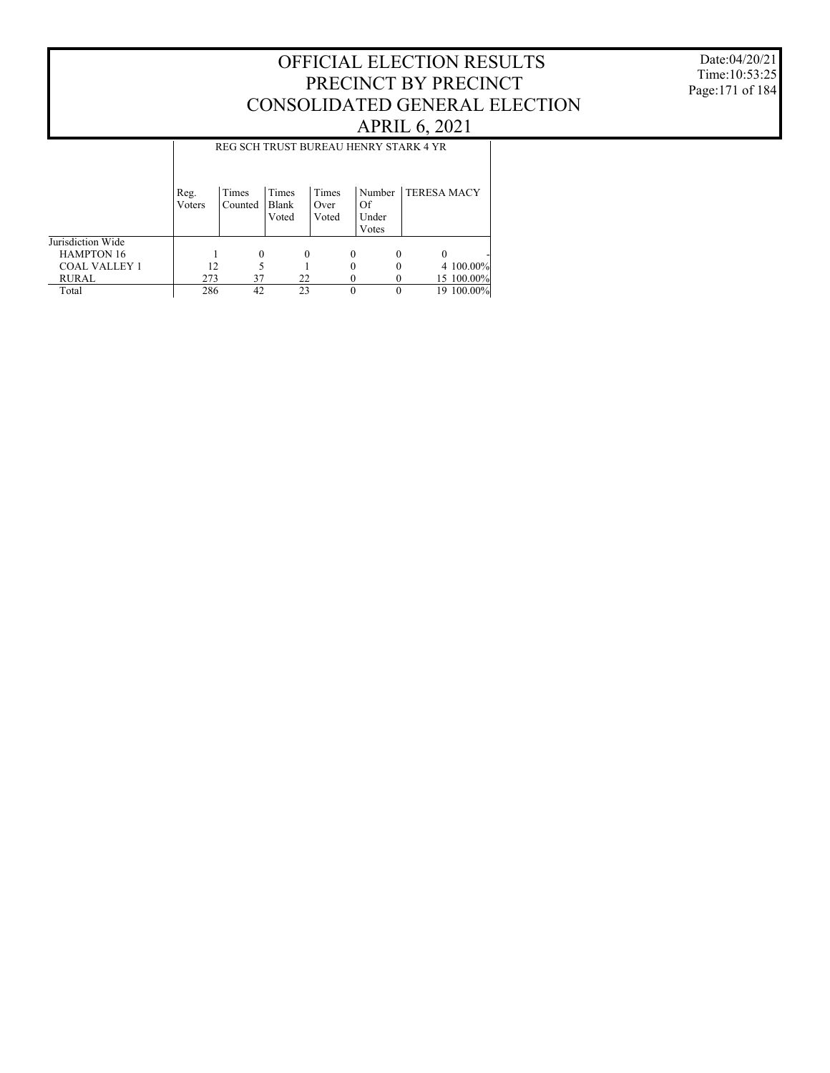### Date:04/20/21 Time:10:53:25 Page:171 of 184

## OFFICIAL ELECTION RESULTS PRECINCT BY PRECINCT CONSOLIDATED GENERAL ELECTION APRIL 6, 2021

|                      |        |         |       |       | REG SCH TRUST BUREAU HENRY STARK 4 YR |                    |
|----------------------|--------|---------|-------|-------|---------------------------------------|--------------------|
|                      | Reg.   | Times   | Times | Times | Number                                | <b>TERESA MACY</b> |
|                      | Voters | Counted | Blank | Over  | Of                                    |                    |
|                      |        |         | Voted | Voted | Under                                 |                    |
|                      |        |         |       |       | Votes                                 |                    |
| Jurisdiction Wide    |        |         |       |       |                                       |                    |
| <b>HAMPTON 16</b>    |        | 0       | 0     | 0     | 0                                     | $\theta$           |
| <b>COAL VALLEY 1</b> | 12     |         |       |       | 0                                     | 4 100,00%          |
| <b>RURAL</b>         | 273    | 37      | 22    |       |                                       | 15 100.00%         |
| Total                | 286    | 42      | 23    |       | $\theta$                              | 19 100.00%         |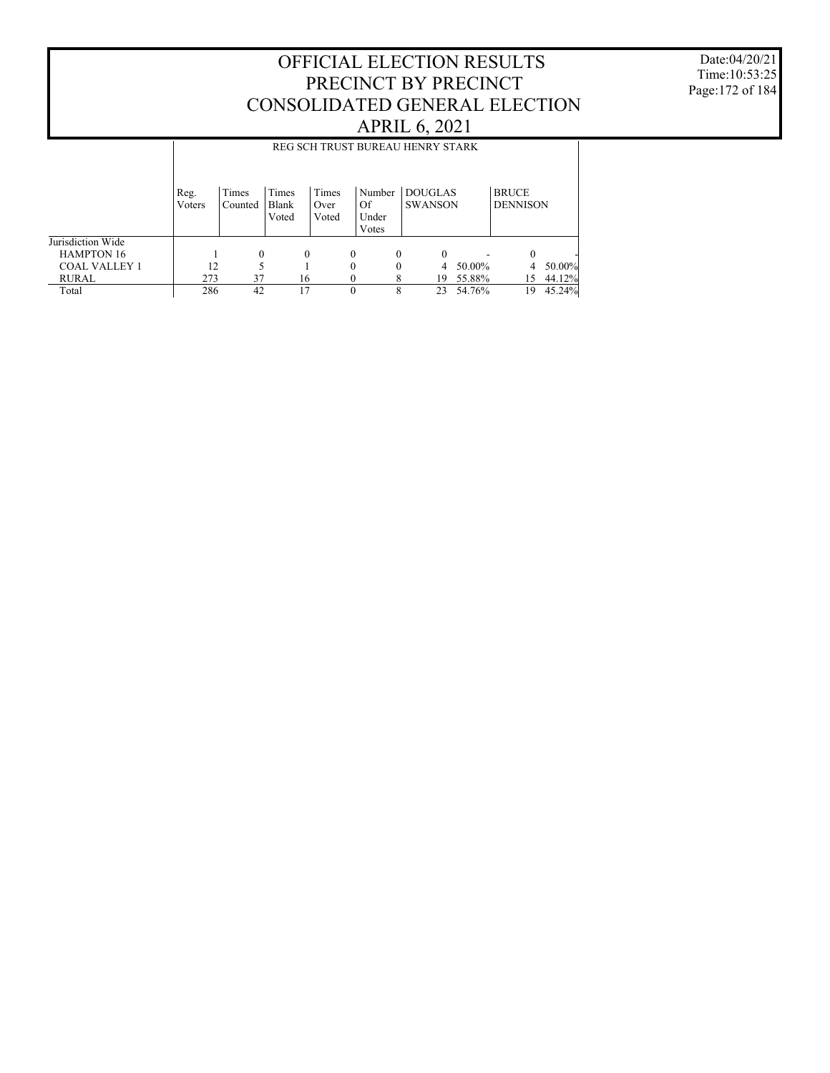Date:04/20/21 Time:10:53:25 Page:172 of 184

|                      |                | REG SCH TRUST BUREAU HENRY STARK |                         |                        |                                |                                  |        |                                 |        |  |  |
|----------------------|----------------|----------------------------------|-------------------------|------------------------|--------------------------------|----------------------------------|--------|---------------------------------|--------|--|--|
|                      | Reg.<br>Voters | Times<br>Counted                 | Times<br>Blank<br>Voted | Times<br>Over<br>Voted | Number<br>Of<br>Under<br>Votes | <b>DOUGLAS</b><br><b>SWANSON</b> |        | <b>BRUCE</b><br><b>DENNISON</b> |        |  |  |
| Jurisdiction Wide    |                |                                  |                         |                        |                                |                                  |        |                                 |        |  |  |
| <b>HAMPTON 16</b>    |                | $\theta$                         | $\theta$                |                        | 0<br>$\Omega$                  | $\Omega$                         |        | $\Omega$                        |        |  |  |
| <b>COAL VALLEY 1</b> | 12             |                                  |                         |                        | 0<br>$\Omega$                  | 4                                | 50.00% | 4                               | 50.00% |  |  |
| RURAL                | 273            | 37                               | 16                      |                        |                                | 19                               | 55.88% | 15                              | 44.12% |  |  |
| Total                | 286            | 42                               | 17                      |                        | $\Omega$<br>8                  | 23                               | 54.76% | 19                              | 45.24% |  |  |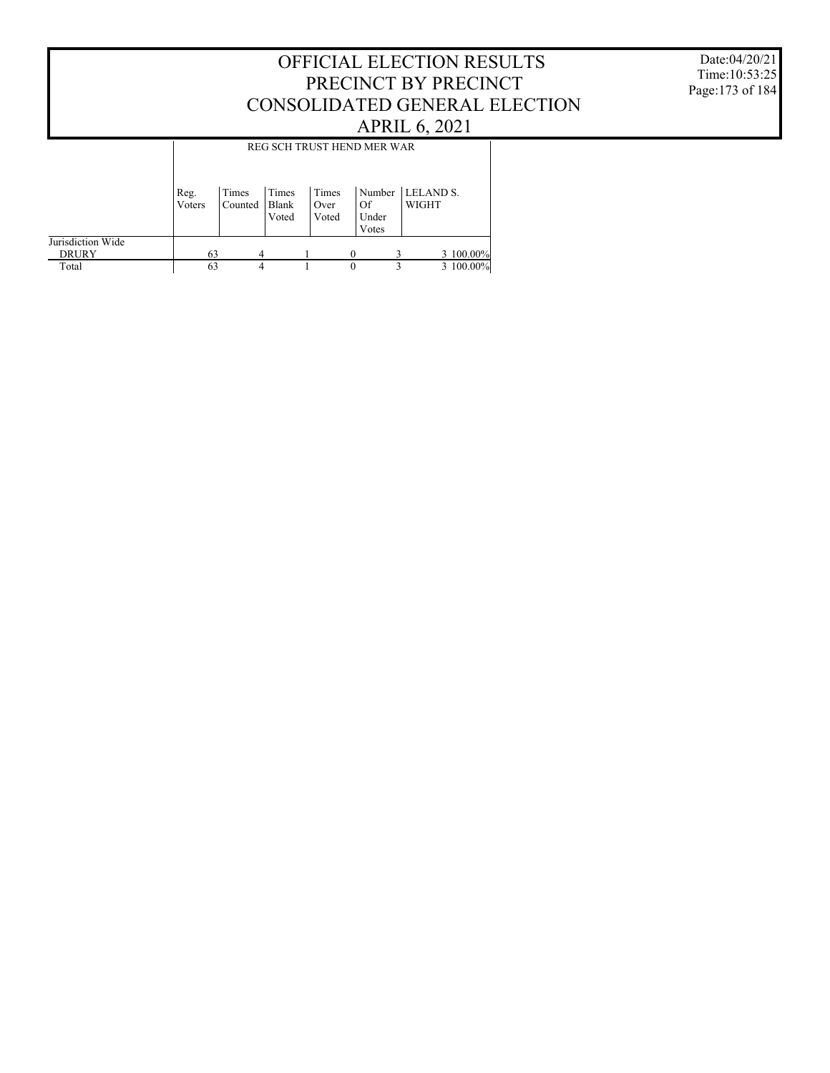### Date:04/20/21 Time:10:53:25 Page:173 of 184

## OFFICIAL ELECTION RESULTS PRECINCT BY PRECINCT CONSOLIDATED GENERAL ELECTION APRIL 6, 2021

|                                   | REG SCH TRUST HEND MER WAR |                  |                           |                        |                                |                    |           |  |  |  |
|-----------------------------------|----------------------------|------------------|---------------------------|------------------------|--------------------------------|--------------------|-----------|--|--|--|
|                                   | Reg.<br>Voters             | Times<br>Counted | I Times<br>Blank<br>Voted | Times<br>Over<br>Voted | Number<br>Of<br>Under<br>Votes | LELAND S.<br>WIGHT |           |  |  |  |
| Jurisdiction Wide<br><b>DRURY</b> | 63                         | 4                |                           |                        |                                |                    | 3 100.00% |  |  |  |
| Total                             | 63                         | 4                |                           |                        | $\theta$                       | 3                  | 3 100,00% |  |  |  |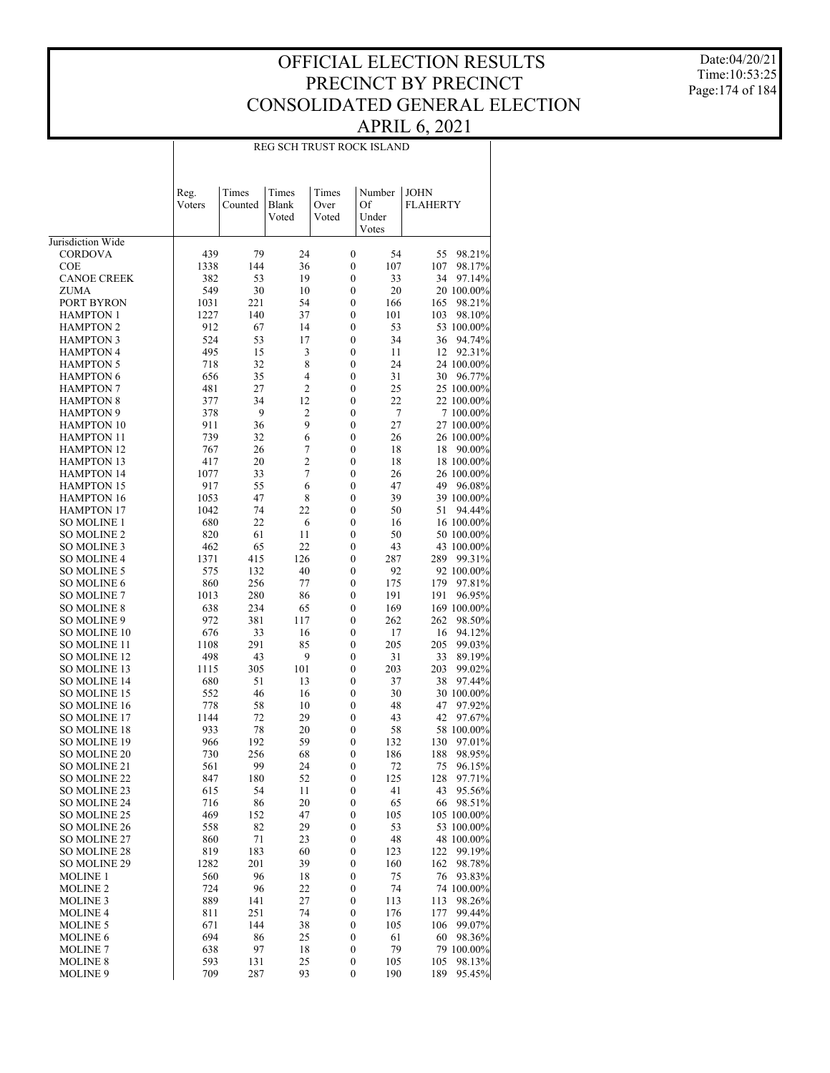Date:04/20/21 Time:10:53:25 Page:174 of 184

### REG SCH TRUST ROCK ISLAND

|                                      | Reg.<br>Voters | Times<br>Counted | Times<br>Blank<br>Voted          | Times<br>Over<br>Voted | Number<br>Of<br>Under<br>Votes                   | <b>JOHN</b><br><b>FLAHERTY</b> |
|--------------------------------------|----------------|------------------|----------------------------------|------------------------|--------------------------------------------------|--------------------------------|
| Jurisdiction Wide                    |                |                  |                                  |                        |                                                  |                                |
| <b>CORDOVA</b>                       | 439            | 79               | 24                               |                        | $\boldsymbol{0}$<br>54                           | 98.21%<br>55                   |
| COE                                  | 1338           | 144              | 36                               |                        | $\boldsymbol{0}$<br>107                          | 107<br>98.17%                  |
| <b>CANOE CREEK</b>                   | 382            | 53               | 19                               |                        | 33<br>0                                          | 34<br>97.14%                   |
| ZUMA                                 | 549            | 30               | 10                               |                        | 20<br>$\boldsymbol{0}$                           | 20 100.00%                     |
| PORT BYRON                           | 1031           | 221              | 54                               |                        | 0<br>166                                         | 165<br>98.21%                  |
| <b>HAMPTON 1</b>                     | 1227           | 140              | 37                               |                        | $\boldsymbol{0}$<br>101                          | 103<br>98.10%                  |
| <b>HAMPTON 2</b>                     | 912            | 67               | 14                               |                        | 53<br>0                                          | 53 100.00%                     |
| <b>HAMPTON 3</b>                     | 524            | 53               | 17                               |                        | $\boldsymbol{0}$<br>34                           | 94.74%<br>36                   |
| <b>HAMPTON 4</b>                     | 495            | 15               | 3                                |                        | 0<br>11                                          | 12<br>92.31%                   |
| <b>HAMPTON 5</b>                     | 718            | 32               | 8                                |                        | 24<br>$\boldsymbol{0}$                           | 24 100.00%                     |
| <b>HAMPTON 6</b>                     | 656            | 35               | $\overline{4}$<br>$\overline{2}$ |                        | 0<br>31                                          | 30<br>96.77%                   |
| <b>HAMPTON 7</b><br><b>HAMPTON 8</b> | 481            | 27<br>34         | 12                               |                        | $\boldsymbol{0}$<br>25<br>22<br>0                | 25 100.00%                     |
| <b>HAMPTON 9</b>                     | 377<br>378     | 9                | $\overline{c}$                   |                        | 7<br>$\boldsymbol{0}$                            | 22 100.00%<br>7 100.00%        |
| <b>HAMPTON 10</b>                    | 911            | 36               | 9                                |                        | 27<br>0                                          | 27 100.00%                     |
| <b>HAMPTON 11</b>                    | 739            | 32               | 6                                |                        | $\boldsymbol{0}$<br>26                           | 26 100.00%                     |
| <b>HAMPTON 12</b>                    | 767            | 26               | $\overline{7}$                   |                        | 0<br>18                                          | 18<br>90.00%                   |
| HAMPTON 13                           | 417            | 20               | $\overline{c}$                   |                        | $\boldsymbol{0}$<br>18                           | 18 100.00%                     |
| <b>HAMPTON 14</b>                    | 1077           | 33               | 7                                |                        | 0<br>26                                          | 26 100.00%                     |
| <b>HAMPTON 15</b>                    | 917            | 55               | 6                                |                        | $\boldsymbol{0}$<br>47                           | 49<br>96.08%                   |
| <b>HAMPTON 16</b>                    | 1053           | 47               | 8                                |                        | 0<br>39                                          | 39 100.00%                     |
| <b>HAMPTON 17</b>                    | 1042           | 74               | 22                               |                        | $\boldsymbol{0}$<br>50                           | 51<br>94.44%                   |
| <b>SO MOLINE 1</b>                   | 680            | 22               | 6                                |                        | 0<br>16                                          | 16 100.00%                     |
| SO MOLINE 2                          | 820            | 61               | 11                               |                        | 50<br>$\boldsymbol{0}$                           | 50 100.00%                     |
| SO MOLINE 3                          | 462            | 65               | 22                               |                        | 0<br>43                                          | 43 100.00%                     |
| SO MOLINE 4                          | 1371           | 415              | 126                              |                        | $\boldsymbol{0}$<br>287                          | 289<br>99.31%                  |
| <b>SO MOLINE 5</b>                   | 575            | 132              | 40                               |                        | 92<br>0                                          | 92 100.00%                     |
| SO MOLINE 6                          | 860            | 256              | 77                               |                        | 175<br>$\boldsymbol{0}$                          | 179<br>97.81%                  |
| SO MOLINE 7                          | 1013           | 280              | 86                               |                        | 0<br>191                                         | 191<br>96.95%                  |
| <b>SO MOLINE 8</b>                   | 638            | 234              | 65                               |                        | $\boldsymbol{0}$<br>169                          | 169 100.00%                    |
| SO MOLINE 9                          | 972            | 381              | 117                              |                        | 0<br>262                                         | 262<br>98.50%                  |
| SO MOLINE 10                         | 676            | 33               | 16                               |                        | $\boldsymbol{0}$<br>17                           | 94.12%<br>16                   |
| SO MOLINE 11                         | 1108           | 291              | 85                               |                        | 205<br>0                                         | 205<br>99.03%                  |
| <b>SO MOLINE 12</b>                  | 498            | 43               | 9                                |                        | 31<br>$\boldsymbol{0}$                           | 33<br>89.19%                   |
| SO MOLINE 13                         | 1115           | 305<br>51        | 101<br>13                        |                        | 0<br>203<br>$\boldsymbol{0}$<br>37               | 99.02%<br>203<br>38<br>97.44%  |
| SO MOLINE 14<br>SO MOLINE 15         | 680<br>552     | 46               | 16                               |                        | 0<br>30                                          | 30 100.00%                     |
| SO MOLINE 16                         | 778            | 58               | 10                               |                        | $\boldsymbol{0}$<br>48                           | 47<br>97.92%                   |
| SO MOLINE 17                         | 1144           | 72               | 29                               |                        | 0<br>43                                          | 42<br>97.67%                   |
| <b>SO MOLINE 18</b>                  | 933            | 78               | 20                               |                        | $\boldsymbol{0}$<br>58                           | 58 100.00%                     |
| SO MOLINE 19                         | 966            | 192              | 59                               |                        | 0<br>132                                         | 130<br>97.01%                  |
| <b>SO MOLINE 20</b>                  | 730            | 256              | 68                               |                        | $\boldsymbol{0}$<br>186                          | 188<br>98.95%                  |
| SO MOLINE 21                         | 561            | 99               | 24                               |                        | 0<br>72                                          | 75<br>96.15%                   |
| SO MOLINE 22                         | 847            | 180              | 52                               |                        | 125<br>$\mathbf{0}$                              | 128<br>97.71%                  |
| SO MOLINE 23                         | 615            | 54               | 11                               |                        | $\boldsymbol{0}$<br>41                           | 43<br>95.56%                   |
| SO MOLINE 24                         | 716            | 86               | 20                               |                        | $\boldsymbol{0}$<br>65                           | 66<br>98.51%                   |
| SO MOLINE 25                         | 469            | 152              | 47                               |                        | $\boldsymbol{0}$<br>105                          | 105 100.00%                    |
| SO MOLINE 26                         | 558            | 82               | 29                               |                        | $\boldsymbol{0}$<br>53                           | 53 100.00%                     |
| SO MOLINE 27                         | 860            | 71               | 23                               |                        | $\boldsymbol{0}$<br>48                           | 48 100.00%                     |
| SO MOLINE 28                         | 819            | 183              | 60                               |                        | $\boldsymbol{0}$<br>123                          | 122<br>99.19%                  |
| SO MOLINE 29                         | 1282           | 201              | 39                               |                        | $\boldsymbol{0}$<br>160                          | 162<br>98.78%                  |
| <b>MOLINE 1</b>                      | 560            | 96               | 18                               |                        | $\boldsymbol{0}$<br>75                           | 76<br>93.83%                   |
| <b>MOLINE 2</b>                      | 724            | 96               | 22                               |                        | 74<br>$\boldsymbol{0}$                           | 74 100.00%                     |
| <b>MOLINE 3</b>                      | 889            | 141              | 27                               |                        | $\boldsymbol{0}$<br>113                          | 113<br>98.26%                  |
| <b>MOLINE 4</b>                      | 811            | 251              | 74                               |                        | $\boldsymbol{0}$<br>176                          | 177<br>99.44%                  |
| <b>MOLINE 5</b>                      | 671            | 144<br>86        | 38<br>25                         |                        | $\boldsymbol{0}$<br>105                          | 106<br>99.07%                  |
| <b>MOLINE 6</b><br><b>MOLINE 7</b>   | 694<br>638     | 97               | 18                               |                        | $\boldsymbol{0}$<br>61<br>$\boldsymbol{0}$<br>79 | 60<br>98.36%<br>79 100.00%     |
| <b>MOLINE 8</b>                      | 593            | 131              | 25                               |                        | $\boldsymbol{0}$<br>105                          | 105<br>98.13%                  |
| <b>MOLINE 9</b>                      | 709            | 287              | 93                               |                        | $\boldsymbol{0}$<br>190                          | 189<br>95.45%                  |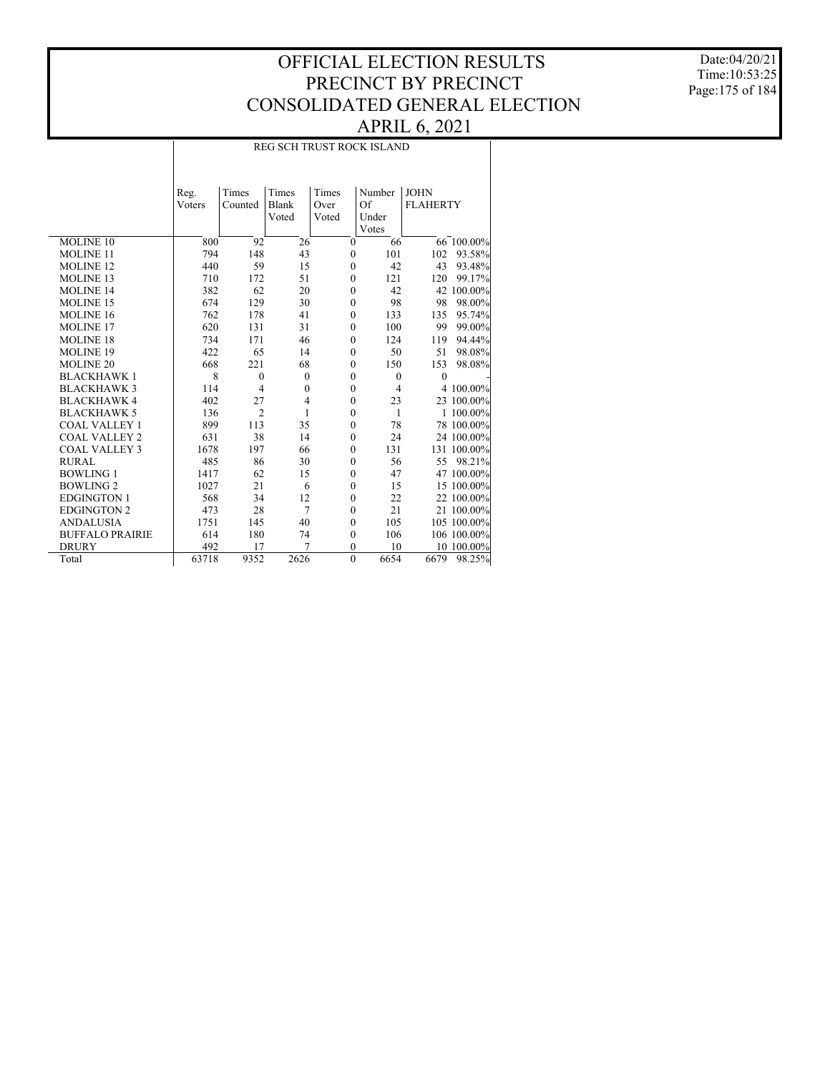Date:04/20/21 Time:10:53:25 Page:175 of 184

### REG SCH TRUST ROCK ISLAND

|                        | Reg.   | Times            | Times          | Times            | Number         | <b>JOHN</b>     |                 |
|------------------------|--------|------------------|----------------|------------------|----------------|-----------------|-----------------|
|                        | Voters | Counted          | Blank          | Over             | Of             | <b>FLAHERTY</b> |                 |
|                        |        |                  | Voted          | Voted            | Under          |                 |                 |
|                        |        |                  |                |                  | Votes          |                 |                 |
| MOLINE <sub>10</sub>   | 800    | 92               | 26             | $\mathbf{0}$     | 66             |                 | $66 - 100.00\%$ |
| <b>MOLINE 11</b>       | 794    | 148              | 43             | $\mathbf{0}$     | 101            | 102             | 93.58%          |
| <b>MOLINE 12</b>       | 440    | 59               | 15             | $\mathbf{0}$     | 42             | 43              | 93.48%          |
| <b>MOLINE 13</b>       | 710    | 172              | 51             | $\mathbf{0}$     | 121            | 120             | 99.17%          |
| <b>MOLINE 14</b>       | 382    | 62               | 20             | $\mathbf{0}$     | 42             |                 | 42 100.00%      |
| <b>MOLINE 15</b>       | 674    | 129              | 30             | $\mathbf{0}$     | 98             | 98              | 98.00%          |
| <b>MOLINE 16</b>       | 762    | 178              | 41             | $\boldsymbol{0}$ | 133            | 135             | 95.74%          |
| <b>MOLINE 17</b>       | 620    | 131              | 31             | $\mathbf{0}$     | 100            | 99              | 99.00%          |
| <b>MOLINE 18</b>       | 734    | 171              | 46             | $\mathbf{0}$     | 124            | 119             | 94.44%          |
| <b>MOLINE 19</b>       | 422    | 65               | 14             | $\mathbf{0}$     | 50             | 51              | 98.08%          |
| <b>MOLINE 20</b>       | 668    | 221              | 68             | $\mathbf{0}$     | 150            | 153             | 98.08%          |
| <b>BLACKHAWK1</b>      | 8      | $\boldsymbol{0}$ | $\mathbf{0}$   | $\mathbf{0}$     | $\theta$       | $\theta$        |                 |
| <b>BLACKHAWK3</b>      | 114    | $\overline{4}$   | $\mathbf{0}$   | $\boldsymbol{0}$ | $\overline{4}$ |                 | 4 100.00%       |
| <b>BLACKHAWK4</b>      | 402    | 27               | $\overline{4}$ | $\mathbf{0}$     | 23             |                 | 23 100.00%      |
| <b>BLACKHAWK 5</b>     | 136    | $\overline{2}$   | 1              | $\mathbf{0}$     | $\mathbf{1}$   |                 | 1 100.00%       |
| <b>COAL VALLEY 1</b>   | 899    | 113              | 35             | $\mathbf{0}$     | 78             |                 | 78 100.00%      |
| <b>COAL VALLEY 2</b>   | 631    | 38               | 14             | $\overline{0}$   | 24             |                 | 24 100.00%      |
| <b>COAL VALLEY 3</b>   | 1678   | 197              | 66             | $\mathbf{0}$     | 131            |                 | 131 100.00%     |
| <b>RURAL</b>           | 485    | 86               | 30             | $\boldsymbol{0}$ | 56             |                 | 55 98.21%       |
| <b>BOWLING 1</b>       | 1417   | 62               | 15             | $\boldsymbol{0}$ | 47             |                 | 47 100.00%      |
| <b>BOWLING 2</b>       | 1027   | 21               | 6              | $\mathbf{0}$     | 15             |                 | 15 100.00%      |
| <b>EDGINGTON 1</b>     | 568    | 34               | 12             | $\mathbf{0}$     | 22             |                 | 22 100.00%      |
| <b>EDGINGTON 2</b>     | 473    | 28               | $\overline{7}$ | $\mathbf{0}$     | 21             |                 | 21 100.00%      |
| <b>ANDALUSIA</b>       | 1751   | 145              | 40             | $\mathbf{0}$     | 105            |                 | 105 100.00%     |
| <b>BUFFALO PRAIRIE</b> | 614    | 180              | 74             | $\mathbf{0}$     | 106            |                 | 106 100.00%     |
| <b>DRURY</b>           | 492    | 17               | 7              | $\theta$         | 10             |                 | 10_100.00%      |
| Total                  | 63718  | 9352             | 2626           | $\mathbf{0}$     | 6654           | 6679            | 98.25%          |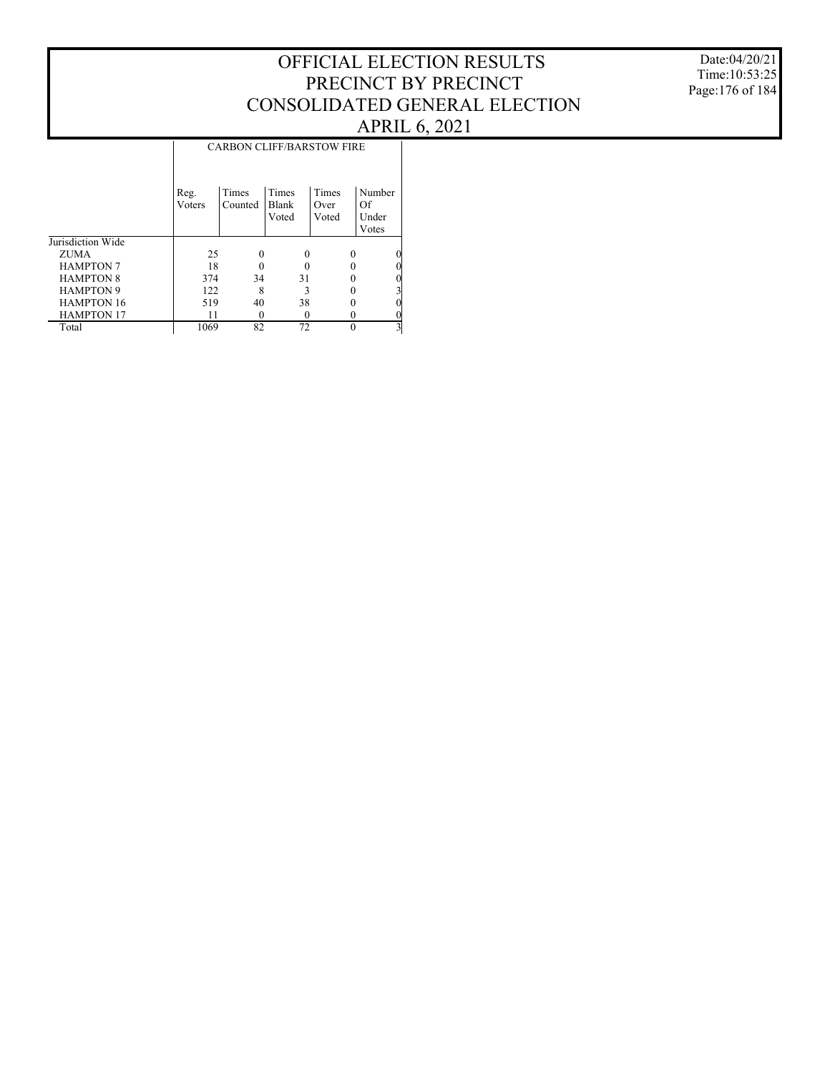Date:04/20/21 Time:10:53:25 Page:176 of 184

|                   | <b>CARBON CLIFF/BARSTOW FIRE</b> |                  |                                |                        |                                |  |  |  |  |
|-------------------|----------------------------------|------------------|--------------------------------|------------------------|--------------------------------|--|--|--|--|
|                   | Reg.<br>Voters                   | Times<br>Counted | <b>Times</b><br>Blank<br>Voted | Times<br>Over<br>Voted | Number<br>Of<br>Under<br>Votes |  |  |  |  |
| Jurisdiction Wide |                                  |                  |                                |                        |                                |  |  |  |  |
| ZUMA              | 25                               |                  | 0                              | $\Omega$               | 0                              |  |  |  |  |
| <b>HAMPTON 7</b>  | 18                               |                  |                                |                        | 0                              |  |  |  |  |
| <b>HAMPTON 8</b>  | 374                              | 34               | 31                             |                        | 0                              |  |  |  |  |
| <b>HAMPTON 9</b>  | 122                              | 8                | 3                              |                        | 3                              |  |  |  |  |
| <b>HAMPTON 16</b> | 519                              | 40               | 38                             |                        | 0                              |  |  |  |  |
| <b>HAMPTON 17</b> | 11                               |                  |                                | $\theta$               | 0                              |  |  |  |  |
| Total             | 1069                             | 82               | 72                             | $\Omega$               | 3                              |  |  |  |  |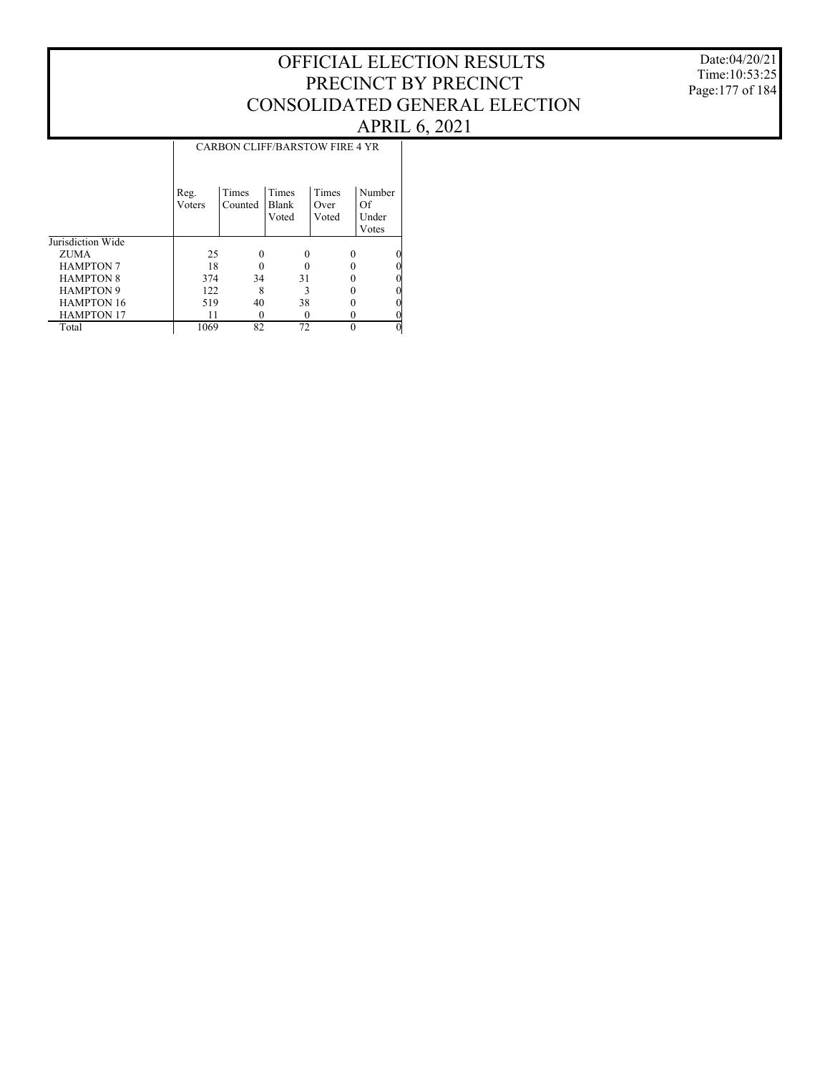Date:04/20/21 Time:10:53:25 Page:177 of 184

|                   |                | <b>CARBON CLIFF/BARSTOW FIRE 4 YR</b> |                                |                        |                                |  |  |  |  |  |
|-------------------|----------------|---------------------------------------|--------------------------------|------------------------|--------------------------------|--|--|--|--|--|
|                   | Reg.<br>Voters | Times<br>Counted                      | <b>Times</b><br>Blank<br>Voted | Times<br>Over<br>Voted | Number<br>Of<br>Under<br>Votes |  |  |  |  |  |
| Jurisdiction Wide |                |                                       |                                |                        |                                |  |  |  |  |  |
| ZUMA              | 25             |                                       | 0                              | 0                      | 0                              |  |  |  |  |  |
| <b>HAMPTON 7</b>  | 18             |                                       |                                |                        | 0                              |  |  |  |  |  |
| <b>HAMPTON 8</b>  | 374            | 34                                    | 31                             |                        | 0                              |  |  |  |  |  |
| <b>HAMPTON 9</b>  | 122            | 8                                     | 3                              |                        | 0                              |  |  |  |  |  |
| <b>HAMPTON 16</b> | 519            | 40                                    | 38                             |                        | 0                              |  |  |  |  |  |
| <b>HAMPTON 17</b> | 11             | $\theta$                              |                                |                        | 0                              |  |  |  |  |  |
| Total             | 1069           | 82                                    | 72                             | $\Omega$               | $\theta$                       |  |  |  |  |  |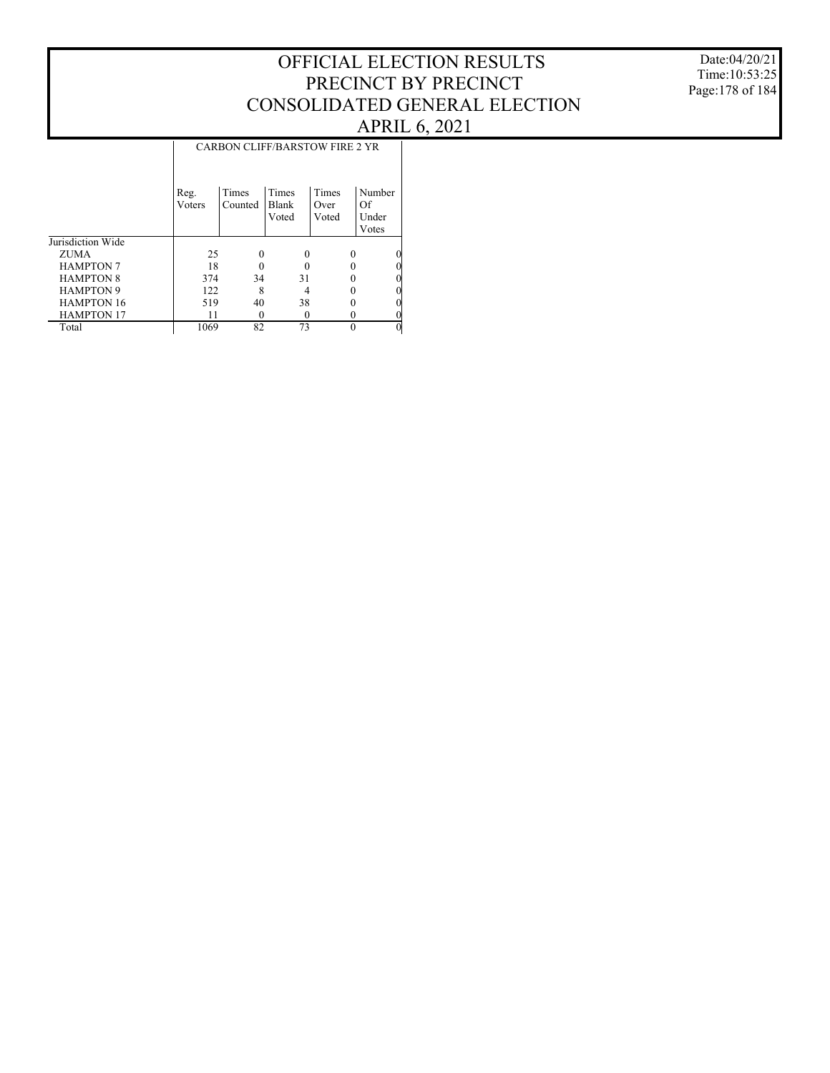Date:04/20/21 Time:10:53:25 Page:178 of 184

|                   | <b>CARBON CLIFF/BARSTOW FIRE 2 YR</b> |                  |                                |                        |                                |  |  |  |  |
|-------------------|---------------------------------------|------------------|--------------------------------|------------------------|--------------------------------|--|--|--|--|
|                   | Reg.<br>Voters                        | Times<br>Counted | <b>Times</b><br>Blank<br>Voted | Times<br>Over<br>Voted | Number<br>Of<br>Under<br>Votes |  |  |  |  |
| Jurisdiction Wide |                                       |                  |                                |                        |                                |  |  |  |  |
| ZUMA              | 25                                    |                  | 0                              | $\Omega$               | $\theta$                       |  |  |  |  |
| <b>HAMPTON 7</b>  | 18                                    |                  |                                |                        | 0                              |  |  |  |  |
| <b>HAMPTON 8</b>  | 374                                   | 34               | 31                             |                        | 0                              |  |  |  |  |
| <b>HAMPTON 9</b>  | 122                                   | 8                |                                |                        | $\theta$                       |  |  |  |  |
| <b>HAMPTON 16</b> | 519                                   | 40               | 38                             |                        | 0                              |  |  |  |  |
| <b>HAMPTON 17</b> | 11                                    |                  |                                |                        | 0                              |  |  |  |  |
| Total             | 1069                                  | 82               | 73                             | $\Omega$               | $\theta$                       |  |  |  |  |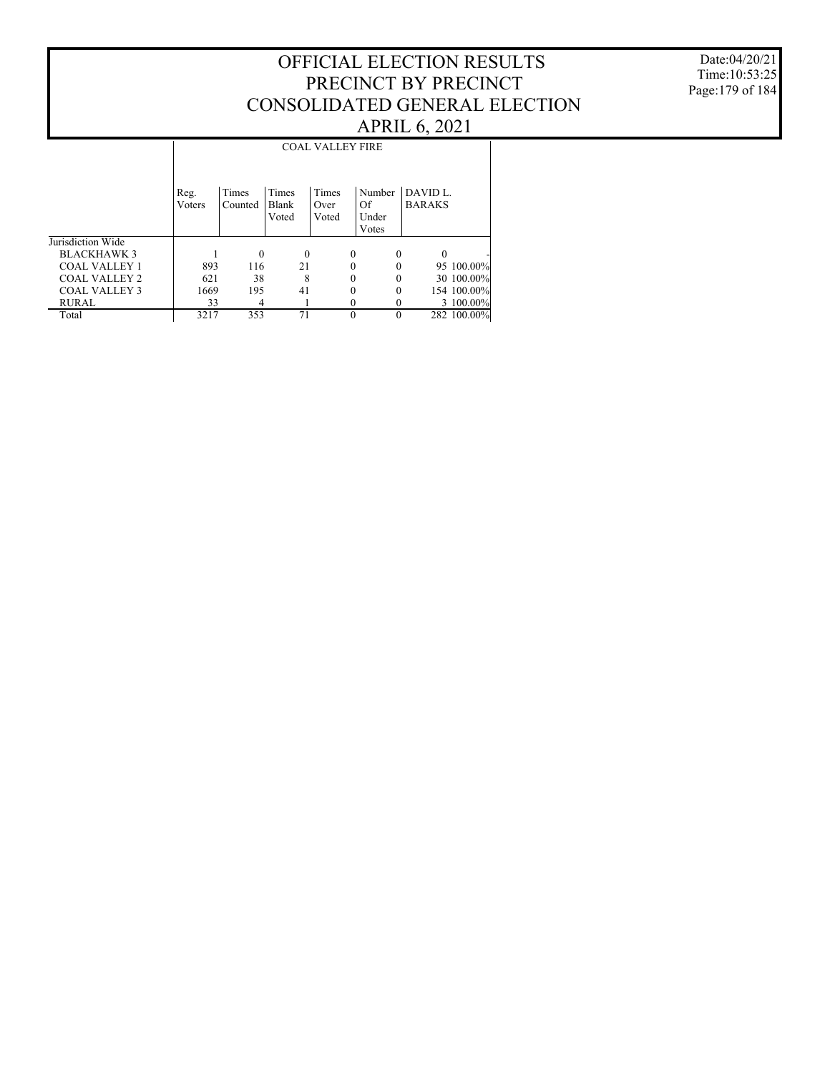Date:04/20/21 Time:10:53:25 Page:179 of 184

#### Jurisdiction Wide BLACKHAWK 3 COAL VALLEY 1 COAL VALLEY 2 COAL VALLEY 3 RURAL Total Reg. Voters Times Counted Times Blank Voted Times Over Voted Number DAVID L. Of Under Votes BARAKS COAL VALLEY FIRE 1 0 0 0 0 0 - 893 116 21 0 0 95 100.00%<br>621 38 8 0 0 30 100.00% 621 38 8 0 0 30 100.00% 1669 195 41 0 0 154 100.00%<br>33 4 1 0 0 3 100.00%  $\frac{33}{3217}$   $\frac{4}{353}$   $\frac{1}{71}$  0 0  $\frac{3}{282}$   $\frac{100.00\%}{100.00\%}$ 282 100.00%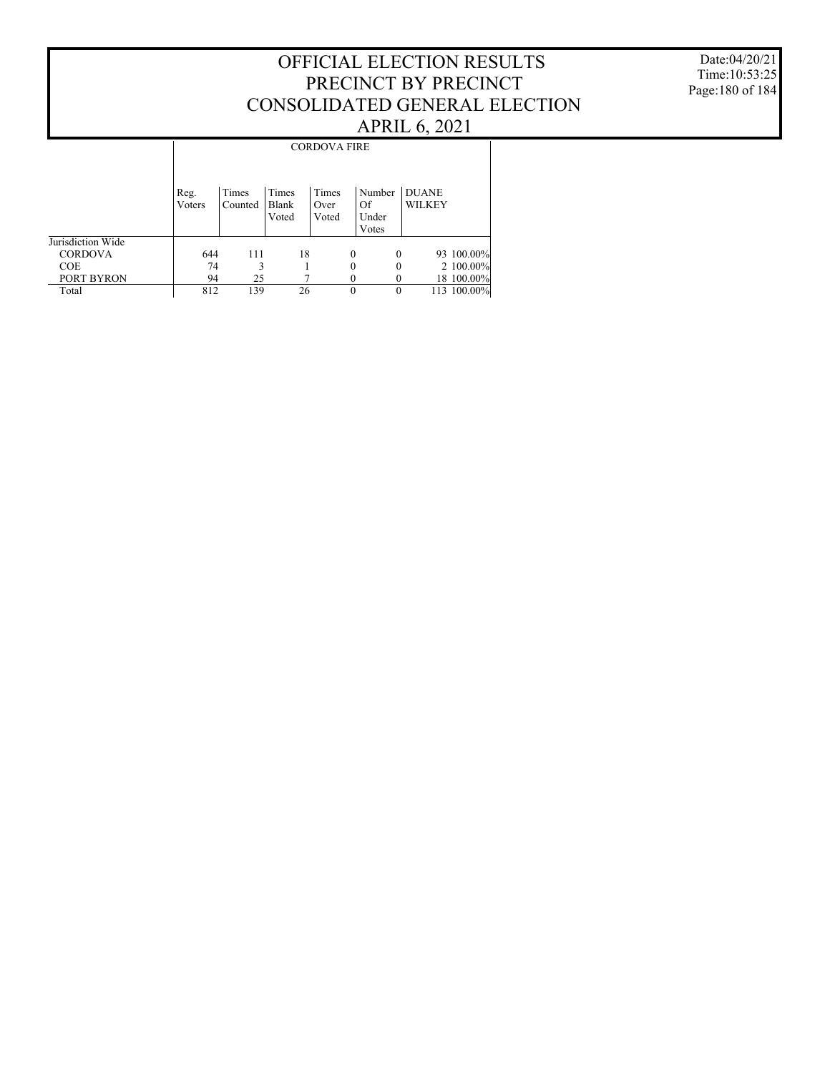Date:04/20/21 Time:10:53:25 Page:180 of 184

|                   |                | <b>CORDOVA FIRE</b> |                         |                        |                                |                               |             |  |  |  |
|-------------------|----------------|---------------------|-------------------------|------------------------|--------------------------------|-------------------------------|-------------|--|--|--|
|                   | Reg.<br>Voters | Times<br>Counted    | Times<br>Blank<br>Voted | Times<br>Over<br>Voted | Number<br>Of<br>Under<br>Votes | <b>DUANE</b><br><b>WILKEY</b> |             |  |  |  |
| Jurisdiction Wide |                |                     |                         |                        |                                |                               |             |  |  |  |
| <b>CORDOVA</b>    | 644            | 111                 | 18                      | $\Omega$               | $\theta$                       |                               | 93 100.00%  |  |  |  |
| <b>COE</b>        | 74             | 3                   |                         | 0                      | 0                              |                               | $2100.00\%$ |  |  |  |
| PORT BYRON        | 94             | 25                  |                         |                        |                                |                               | 18 100.00%  |  |  |  |
| Total             | 812            | 139                 | 26                      | $\theta$               | 0                              |                               | 113 100.00% |  |  |  |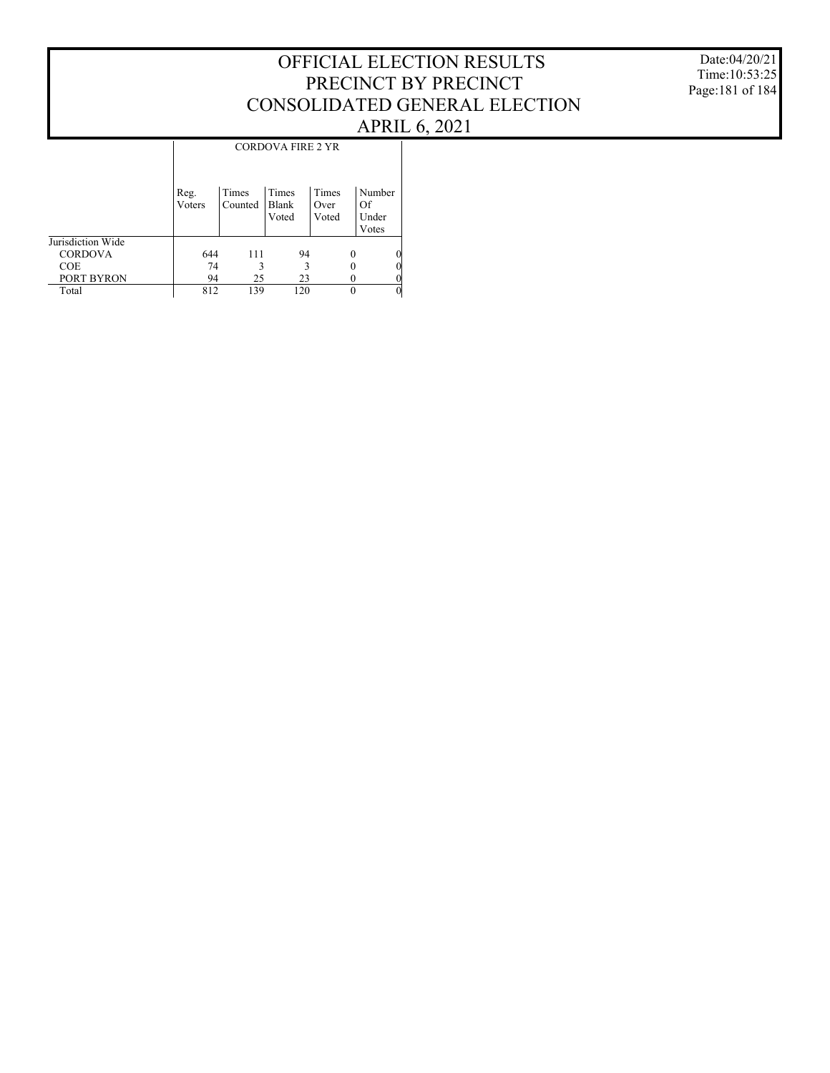Date:04/20/21 Time:10:53:25 Page:181 of 184

### CORDOVA FIRE 2 YR

|                   | Reg.<br>Voters | Times<br>Counted | Times<br>Blank<br>Voted | Times<br>Over<br>Voted | Number<br>Of<br>Under<br>Votes |
|-------------------|----------------|------------------|-------------------------|------------------------|--------------------------------|
| Jurisdiction Wide |                |                  |                         |                        |                                |
| <b>CORDOVA</b>    | 644            | 111              | 94                      | 0                      | 0                              |
| <b>COE</b>        | 74             |                  |                         |                        | 0                              |
| PORT BYRON        | 94             | 25               | 23                      |                        | 0                              |
| Total             | 812            | 139              | 120                     |                        | 0                              |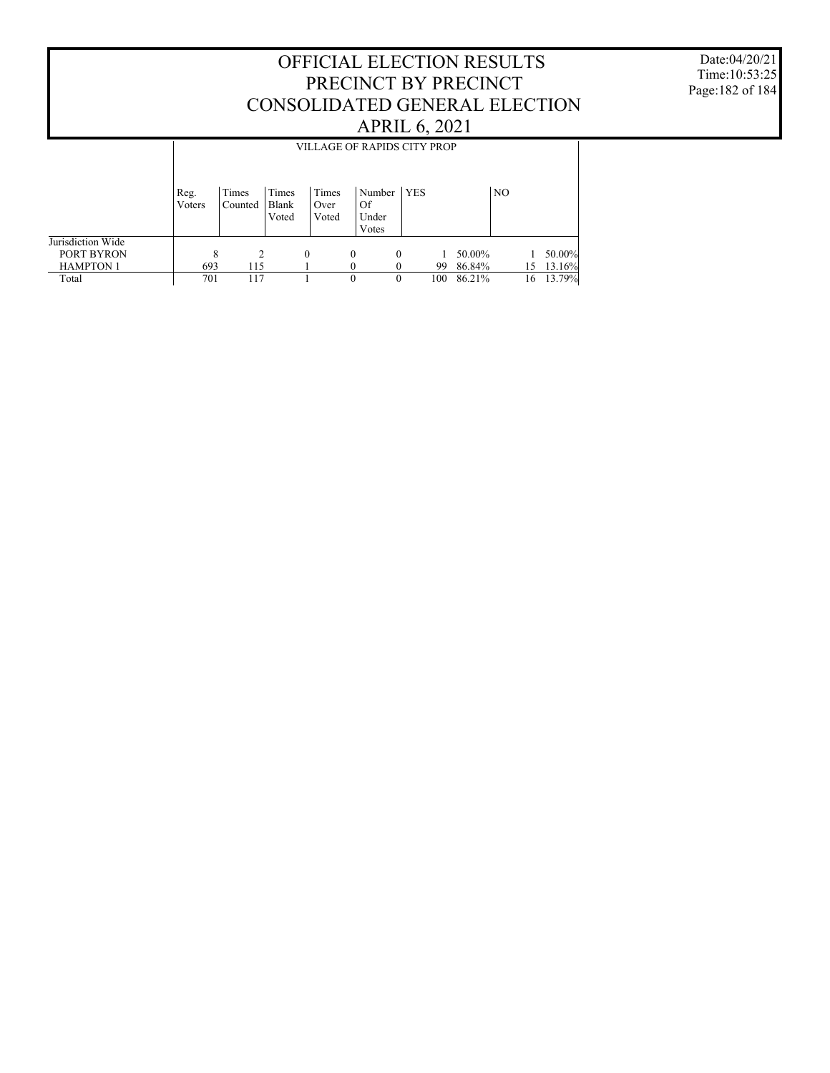Date:04/20/21 Time:10:53:25 Page:182 of 184

|                                |                | VILLAGE OF RAPIDS CITY PROP |                         |                        |                       |          |     |                  |                |    |                  |  |
|--------------------------------|----------------|-----------------------------|-------------------------|------------------------|-----------------------|----------|-----|------------------|----------------|----|------------------|--|
|                                |                |                             |                         |                        |                       |          |     |                  |                |    |                  |  |
|                                | Reg.<br>Voters | Times<br>Counted            | Times<br>Blank<br>Voted | Times<br>Over<br>Voted | Number<br>Of<br>Under | YES      |     |                  | N <sub>O</sub> |    |                  |  |
| Jurisdiction Wide              |                |                             |                         |                        | Votes                 |          |     |                  |                |    |                  |  |
| PORT BYRON<br><b>HAMPTON 1</b> | 8<br>693       | $\mathcal{L}$<br>115        |                         | $\Omega$               | $\theta$<br>$\Omega$  | $\Omega$ | 99  | 50.00%<br>86.84% |                | 15 | 50.00%<br>13.16% |  |
| Total                          | 701            | 117                         |                         |                        | $\theta$              | $\Omega$ | 100 | 86.21%           |                | 16 | 13.79%           |  |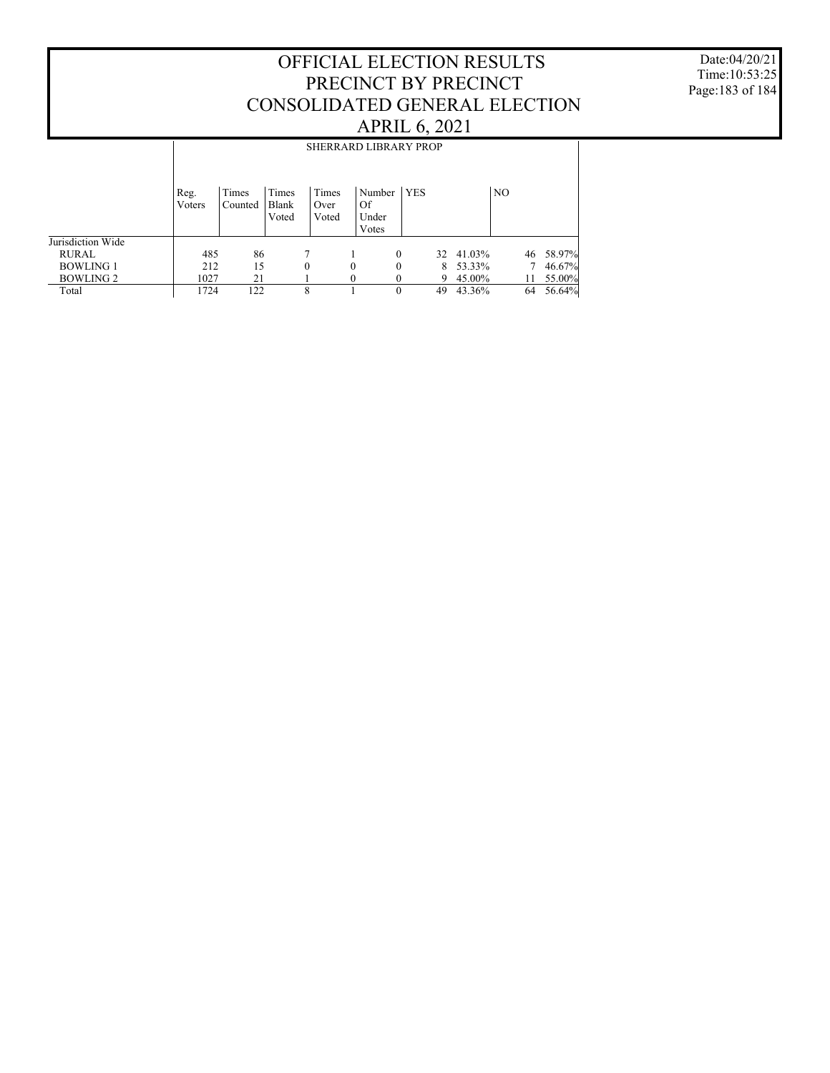Date:04/20/21 Time:10:53:25 Page:183 of 184

|                   | <b>SHERRARD LIBRARY PROP</b> |                  |                         |                        |                                       |            |    |        |                |    |        |
|-------------------|------------------------------|------------------|-------------------------|------------------------|---------------------------------------|------------|----|--------|----------------|----|--------|
|                   | Reg.<br>Voters               | Times<br>Counted | Times<br>Blank<br>Voted | Times<br>Over<br>Voted | Number<br><b>Of</b><br>Under<br>Votes | <b>YES</b> |    |        | N <sub>O</sub> |    |        |
| Jurisdiction Wide |                              |                  |                         |                        |                                       |            |    |        |                |    |        |
| RURAL             | 485                          | 86               |                         | 7                      |                                       | $\Omega$   | 32 | 41.03% |                | 46 | 58.97% |
| <b>BOWLING 1</b>  | 212                          | 15               |                         | 0                      | $\theta$                              | $\Omega$   | 8. | 53.33% |                |    | 46.67% |
| <b>BOWLING 2</b>  | 1027                         | 21               |                         |                        | $\theta$                              |            | 9  | 45.00% |                |    | 55.00% |
| Total             | 1724                         | 122              |                         | 8                      |                                       | $\theta$   | 49 | 43.36% | 64             |    | 56.64% |